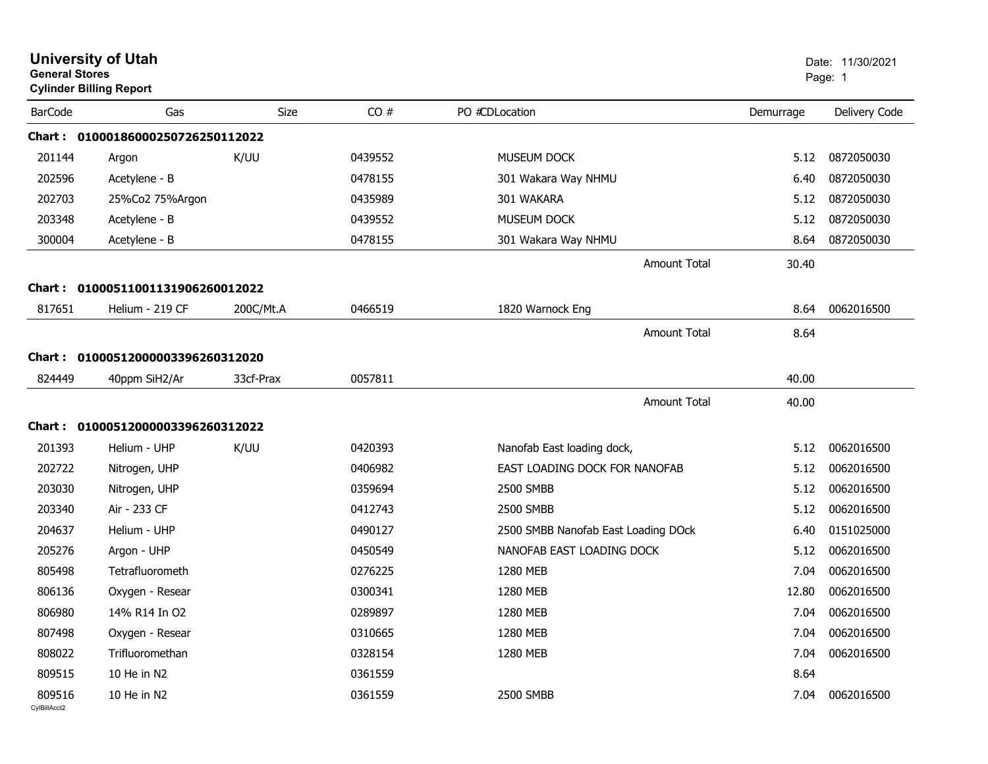| <b>General Stores</b>  | <b>University of Utah</b><br><b>Cylinder Billing Report</b> |             |         |                                     |           | Date: 11/30/2021<br>Page: 1 |
|------------------------|-------------------------------------------------------------|-------------|---------|-------------------------------------|-----------|-----------------------------|
| <b>BarCode</b>         | Gas                                                         | <b>Size</b> | CO#     | PO #CDLocation                      | Demurrage | Delivery Code               |
|                        | Chart: 01000186000250726250112022                           |             |         |                                     |           |                             |
| 201144                 | Argon                                                       | K/UU        | 0439552 | <b>MUSEUM DOCK</b>                  | 5.12      | 0872050030                  |
| 202596                 | Acetylene - B                                               |             | 0478155 | 301 Wakara Way NHMU                 | 6.40      | 0872050030                  |
| 202703                 | 25%Co2 75%Argon                                             |             | 0435989 | 301 WAKARA                          | 5.12      | 0872050030                  |
| 203348                 | Acetylene - B                                               |             | 0439552 | MUSEUM DOCK                         | 5.12      | 0872050030                  |
| 300004                 | Acetylene - B                                               |             | 0478155 | 301 Wakara Way NHMU                 | 8.64      | 0872050030                  |
|                        |                                                             |             |         | Amount Total                        | 30.40     |                             |
| <b>Chart:</b>          | 01000511001131906260012022                                  |             |         |                                     |           |                             |
| 817651                 | Helium - 219 CF                                             | 200C/Mt.A   | 0466519 | 1820 Warnock Eng                    | 8.64      | 0062016500                  |
|                        |                                                             |             |         | Amount Total                        | 8.64      |                             |
|                        | Chart: 01000512000003396260312020                           |             |         |                                     |           |                             |
| 824449                 | 40ppm SiH2/Ar                                               | 33cf-Prax   | 0057811 |                                     | 40.00     |                             |
|                        |                                                             |             |         |                                     |           |                             |
|                        |                                                             |             |         | <b>Amount Total</b>                 | 40.00     |                             |
|                        | Chart: 01000512000003396260312022                           |             |         |                                     |           |                             |
| 201393                 | Helium - UHP                                                | K/UU        | 0420393 | Nanofab East loading dock,          | 5.12      | 0062016500                  |
| 202722                 | Nitrogen, UHP                                               |             | 0406982 | EAST LOADING DOCK FOR NANOFAB       | 5.12      | 0062016500                  |
| 203030                 | Nitrogen, UHP                                               |             | 0359694 | 2500 SMBB                           | 5.12      | 0062016500                  |
| 203340                 | Air - 233 CF                                                |             | 0412743 | 2500 SMBB                           | 5.12      | 0062016500                  |
| 204637                 | Helium - UHP                                                |             | 0490127 | 2500 SMBB Nanofab East Loading DOck | 6.40      | 0151025000                  |
| 205276                 | Argon - UHP                                                 |             | 0450549 | NANOFAB EAST LOADING DOCK           | 5.12      | 0062016500                  |
| 805498                 | Tetrafluorometh                                             |             | 0276225 | 1280 MEB                            | 7.04      | 0062016500                  |
| 806136                 | Oxygen - Resear                                             |             | 0300341 | 1280 MEB                            | 12.80     | 0062016500                  |
| 806980                 | 14% R14 In O2                                               |             | 0289897 | 1280 MEB                            | 7.04      | 0062016500                  |
| 807498                 | Oxygen - Resear                                             |             | 0310665 | 1280 MEB                            | 7.04      | 0062016500                  |
| 808022                 | Trifluoromethan                                             |             | 0328154 | 1280 MEB                            | 7.04      | 0062016500                  |
| 809515                 | 10 He in N2                                                 |             | 0361559 |                                     | 8.64      |                             |
| 809516<br>CylBillAcct2 | 10 He in N2                                                 |             | 0361559 | 2500 SMBB                           | 7.04      | 0062016500                  |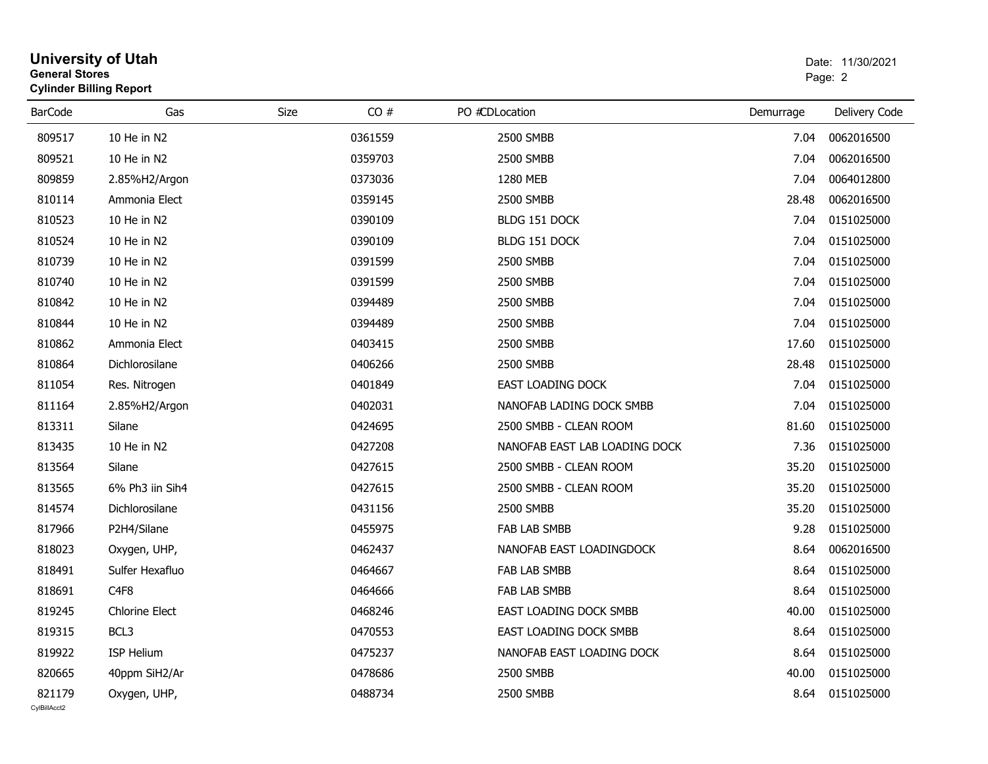| <b>General Stores</b>  | <b>University of Utah</b><br><b>Cylinder Billing Report</b> |      |         | Date: 11/30/2021<br>Page: 2   |           |                  |
|------------------------|-------------------------------------------------------------|------|---------|-------------------------------|-----------|------------------|
| <b>BarCode</b>         | Gas                                                         | Size | CO#     | PO #CDLocation                | Demurrage | Delivery Code    |
| 809517                 | 10 He in N2                                                 |      | 0361559 | 2500 SMBB                     | 7.04      | 0062016500       |
| 809521                 | 10 He in N2                                                 |      | 0359703 | 2500 SMBB                     | 7.04      | 0062016500       |
| 809859                 | 2.85%H2/Argon                                               |      | 0373036 | 1280 MEB                      | 7.04      | 0064012800       |
| 810114                 | Ammonia Elect                                               |      | 0359145 | 2500 SMBB                     | 28.48     | 0062016500       |
| 810523                 | 10 He in N2                                                 |      | 0390109 | BLDG 151 DOCK                 | 7.04      | 0151025000       |
| 810524                 | 10 He in N2                                                 |      | 0390109 | BLDG 151 DOCK                 | 7.04      | 0151025000       |
| 810739                 | 10 He in N2                                                 |      | 0391599 | 2500 SMBB                     | 7.04      | 0151025000       |
| 810740                 | 10 He in N2                                                 |      | 0391599 | 2500 SMBB                     | 7.04      | 0151025000       |
| 810842                 | 10 He in N2                                                 |      | 0394489 | 2500 SMBB                     | 7.04      | 0151025000       |
| 810844                 | 10 He in N2                                                 |      | 0394489 | 2500 SMBB                     | 7.04      | 0151025000       |
| 810862                 | Ammonia Elect                                               |      | 0403415 | 2500 SMBB                     | 17.60     | 0151025000       |
| 810864                 | Dichlorosilane                                              |      | 0406266 | 2500 SMBB                     | 28.48     | 0151025000       |
| 811054                 | Res. Nitrogen                                               |      | 0401849 | EAST LOADING DOCK             | 7.04      | 0151025000       |
| 811164                 | 2.85%H2/Argon                                               |      | 0402031 | NANOFAB LADING DOCK SMBB      | 7.04      | 0151025000       |
| 813311                 | Silane                                                      |      | 0424695 | 2500 SMBB - CLEAN ROOM        | 81.60     | 0151025000       |
| 813435                 | 10 He in N2                                                 |      | 0427208 | NANOFAB EAST LAB LOADING DOCK | 7.36      | 0151025000       |
| 813564                 | Silane                                                      |      | 0427615 | 2500 SMBB - CLEAN ROOM        | 35.20     | 0151025000       |
| 813565                 | 6% Ph3 iin Sih4                                             |      | 0427615 | 2500 SMBB - CLEAN ROOM        | 35.20     | 0151025000       |
| 814574                 | Dichlorosilane                                              |      | 0431156 | 2500 SMBB                     | 35.20     | 0151025000       |
| 817966                 | P2H4/Silane                                                 |      | 0455975 | FAB LAB SMBB                  | 9.28      | 0151025000       |
| 818023                 | Oxygen, UHP,                                                |      | 0462437 | NANOFAB EAST LOADINGDOCK      | 8.64      | 0062016500       |
| 818491                 | Sulfer Hexafluo                                             |      | 0464667 | FAB LAB SMBB                  | 8.64      | 0151025000       |
| 818691                 | C <sub>4F8</sub>                                            |      | 0464666 | <b>FAB LAB SMBB</b>           | 8.64      | 0151025000       |
| 819245                 | <b>Chlorine Elect</b>                                       |      | 0468246 | EAST LOADING DOCK SMBB        |           | 40.00 0151025000 |
| 819315                 | BCL3                                                        |      | 0470553 | EAST LOADING DOCK SMBB        | 8.64      | 0151025000       |
| 819922                 | ISP Helium                                                  |      | 0475237 | NANOFAB EAST LOADING DOCK     | 8.64      | 0151025000       |
| 820665                 | 40ppm SiH2/Ar                                               |      | 0478686 | 2500 SMBB                     | 40.00     | 0151025000       |
| 821179<br>CvIBillAcct2 | Oxygen, UHP,                                                |      | 0488734 | 2500 SMBB                     | 8.64      | 0151025000       |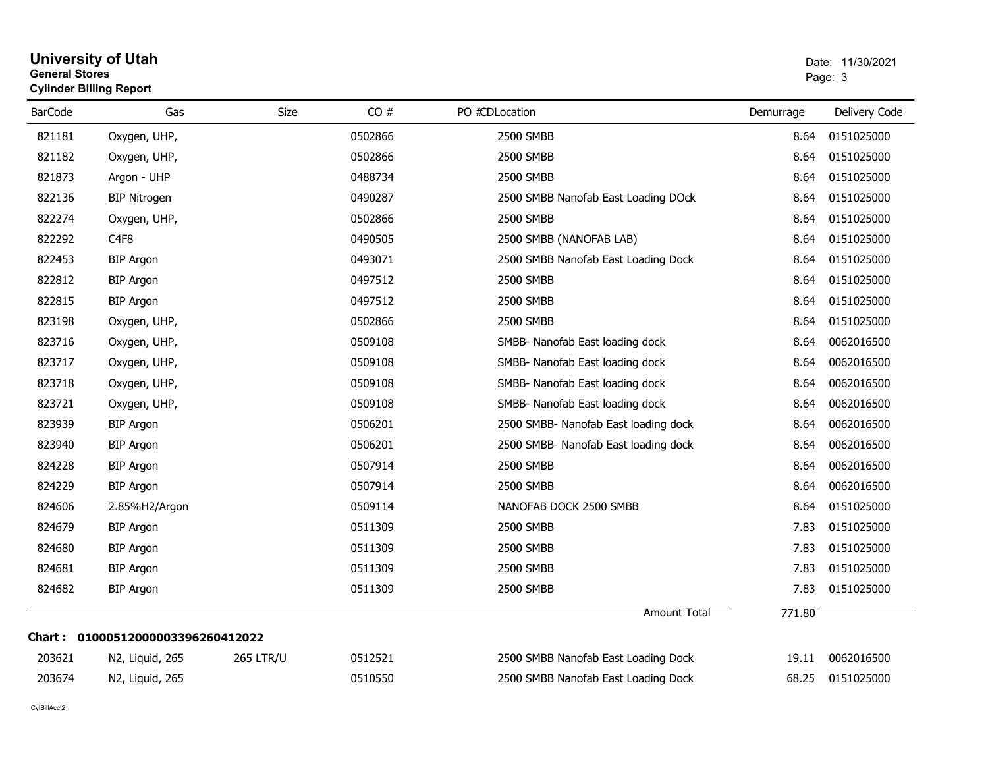| <b>General Stores</b> | <b>Cylinder Billing Report</b> |                  |         |                                      | Page: 3   |               |  |
|-----------------------|--------------------------------|------------------|---------|--------------------------------------|-----------|---------------|--|
| <b>BarCode</b>        | Gas                            | <b>Size</b>      | CO#     | PO #CDLocation                       | Demurrage | Delivery Code |  |
| 821181                | Oxygen, UHP,                   |                  | 0502866 | 2500 SMBB                            | 8.64      | 0151025000    |  |
| 821182                | Oxygen, UHP,                   |                  | 0502866 | 2500 SMBB                            | 8.64      | 0151025000    |  |
| 821873                | Argon - UHP                    |                  | 0488734 | 2500 SMBB                            | 8.64      | 0151025000    |  |
| 822136                | <b>BIP Nitrogen</b>            |                  | 0490287 | 2500 SMBB Nanofab East Loading DOck  | 8.64      | 0151025000    |  |
| 822274                | Oxygen, UHP,                   |                  | 0502866 | 2500 SMBB                            | 8.64      | 0151025000    |  |
| 822292                | C <sub>4F8</sub>               |                  | 0490505 | 2500 SMBB (NANOFAB LAB)              | 8.64      | 0151025000    |  |
| 822453                | <b>BIP Argon</b>               |                  | 0493071 | 2500 SMBB Nanofab East Loading Dock  | 8.64      | 0151025000    |  |
| 822812                | <b>BIP Argon</b>               |                  | 0497512 | 2500 SMBB                            | 8.64      | 0151025000    |  |
| 822815                | <b>BIP Argon</b>               |                  | 0497512 | 2500 SMBB                            | 8.64      | 0151025000    |  |
| 823198                | Oxygen, UHP,                   |                  | 0502866 | 2500 SMBB                            | 8.64      | 0151025000    |  |
| 823716                | Oxygen, UHP,                   |                  | 0509108 | SMBB- Nanofab East loading dock      | 8.64      | 0062016500    |  |
| 823717                | Oxygen, UHP,                   |                  | 0509108 | SMBB- Nanofab East loading dock      | 8.64      | 0062016500    |  |
| 823718                | Oxygen, UHP,                   |                  | 0509108 | SMBB- Nanofab East loading dock      | 8.64      | 0062016500    |  |
| 823721                | Oxygen, UHP,                   |                  | 0509108 | SMBB- Nanofab East loading dock      | 8.64      | 0062016500    |  |
| 823939                | <b>BIP Argon</b>               |                  | 0506201 | 2500 SMBB- Nanofab East loading dock | 8.64      | 0062016500    |  |
| 823940                | <b>BIP Argon</b>               |                  | 0506201 | 2500 SMBB- Nanofab East loading dock | 8.64      | 0062016500    |  |
| 824228                | <b>BIP Argon</b>               |                  | 0507914 | 2500 SMBB                            | 8.64      | 0062016500    |  |
| 824229                | <b>BIP Argon</b>               |                  | 0507914 | 2500 SMBB                            | 8.64      | 0062016500    |  |
| 824606                | 2.85%H2/Argon                  |                  | 0509114 | NANOFAB DOCK 2500 SMBB               | 8.64      | 0151025000    |  |
| 824679                | <b>BIP Argon</b>               |                  | 0511309 | 2500 SMBB                            | 7.83      | 0151025000    |  |
| 824680                | <b>BIP Argon</b>               |                  | 0511309 | 2500 SMBB                            | 7.83      | 0151025000    |  |
| 824681                | <b>BIP Argon</b>               |                  | 0511309 | 2500 SMBB                            | 7.83      | 0151025000    |  |
| 824682                | <b>BIP Argon</b>               |                  | 0511309 | 2500 SMBB                            | 7.83      | 0151025000    |  |
|                       |                                |                  |         | <b>Amount Total</b>                  | 771.80    |               |  |
| Chart :               | 01000512000003396260412022     |                  |         |                                      |           |               |  |
| 203621                | N2, Liquid, 265                | <b>265 LTR/U</b> | 0512521 | 2500 SMBB Nanofab East Loading Dock  | 19.11     | 0062016500    |  |

N2, Liquid, 265 250 2510550 0510550 2500 SMBB Nanofab East Loading Dock 68.25 0151025000

**University of Utah** Date: 11/30/2021

CylBillAcct2

203674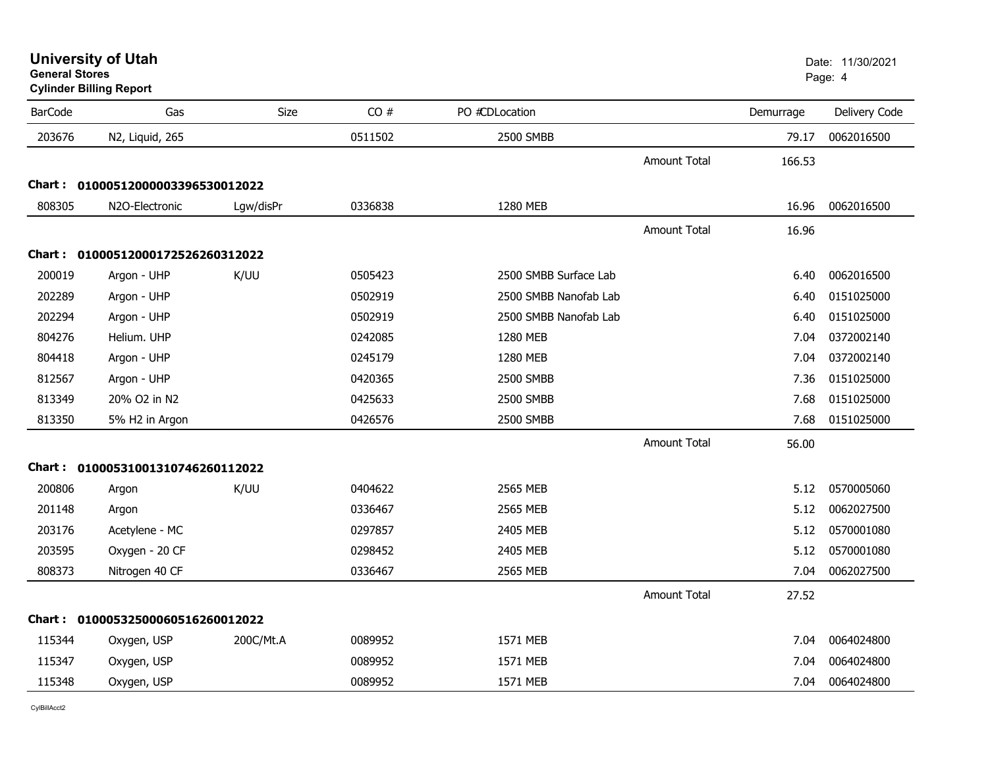**Cylinder Billing Report**

| <b>BarCode</b> | Gas                               | Size      | CO#     | PO #CDLocation        |                     | Demurrage | Delivery Code |
|----------------|-----------------------------------|-----------|---------|-----------------------|---------------------|-----------|---------------|
| 203676         | N2, Liquid, 265                   |           | 0511502 | 2500 SMBB             |                     | 79.17     | 0062016500    |
|                |                                   |           |         |                       | <b>Amount Total</b> | 166.53    |               |
|                | Chart: 01000512000003396530012022 |           |         |                       |                     |           |               |
| 808305         | N2O-Electronic                    | Lgw/disPr | 0336838 | 1280 MEB              |                     | 16.96     | 0062016500    |
|                |                                   |           |         |                       | <b>Amount Total</b> | 16.96     |               |
|                | Chart: 01000512000172526260312022 |           |         |                       |                     |           |               |
| 200019         | Argon - UHP                       | K/UU      | 0505423 | 2500 SMBB Surface Lab |                     | 6.40      | 0062016500    |
| 202289         | Argon - UHP                       |           | 0502919 | 2500 SMBB Nanofab Lab |                     | 6.40      | 0151025000    |
| 202294         | Argon - UHP                       |           | 0502919 | 2500 SMBB Nanofab Lab |                     | 6.40      | 0151025000    |
| 804276         | Helium. UHP                       |           | 0242085 | 1280 MEB              |                     | 7.04      | 0372002140    |
| 804418         | Argon - UHP                       |           | 0245179 | 1280 MEB              |                     | 7.04      | 0372002140    |
| 812567         | Argon - UHP                       |           | 0420365 | 2500 SMBB             |                     | 7.36      | 0151025000    |
| 813349         | 20% O2 in N2                      |           | 0425633 | 2500 SMBB             |                     | 7.68      | 0151025000    |
| 813350         | 5% H2 in Argon                    |           | 0426576 | 2500 SMBB             |                     | 7.68      | 0151025000    |
|                |                                   |           |         |                       | <b>Amount Total</b> | 56.00     |               |
|                | Chart: 01000531001310746260112022 |           |         |                       |                     |           |               |
| 200806         | Argon                             | K/UU      | 0404622 | 2565 MEB              |                     | 5.12      | 0570005060    |
| 201148         | Argon                             |           | 0336467 | 2565 MEB              |                     | 5.12      | 0062027500    |
| 203176         | Acetylene - MC                    |           | 0297857 | 2405 MEB              |                     | 5.12      | 0570001080    |
| 203595         | Oxygen - 20 CF                    |           | 0298452 | 2405 MEB              |                     | 5.12      | 0570001080    |
| 808373         | Nitrogen 40 CF                    |           | 0336467 | 2565 MEB              |                     | 7.04      | 0062027500    |
|                |                                   |           |         |                       | <b>Amount Total</b> | 27.52     |               |
|                | Chart: 01000532500060516260012022 |           |         |                       |                     |           |               |
| 115344         | Oxygen, USP                       | 200C/Mt.A | 0089952 | 1571 MEB              |                     | 7.04      | 0064024800    |
| 115347         | Oxygen, USP                       |           | 0089952 | 1571 MEB              |                     | 7.04      | 0064024800    |
| 115348         | Oxygen, USP                       |           | 0089952 | 1571 MEB              |                     | 7.04      | 0064024800    |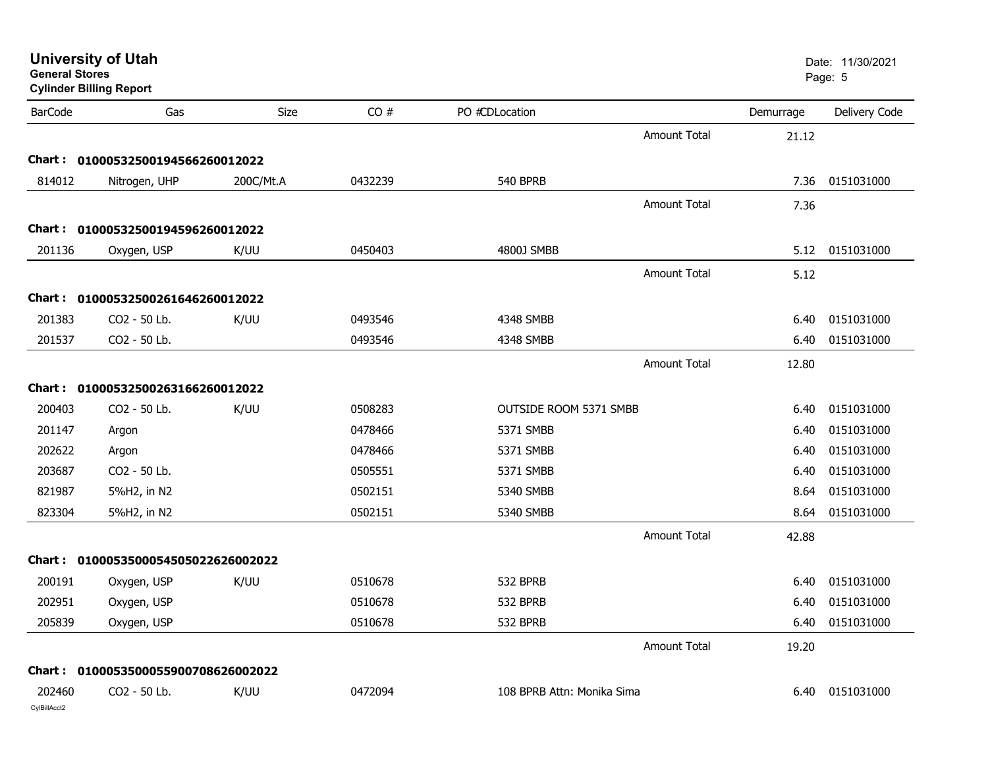| <b>General Stores</b>  | <b>University of Utah</b><br><b>Cylinder Billing Report</b> |           |         |                            |                     |           | Date: 11/30/2021<br>Page: 5 |
|------------------------|-------------------------------------------------------------|-----------|---------|----------------------------|---------------------|-----------|-----------------------------|
| <b>BarCode</b>         | Gas                                                         | Size      | CO#     | PO #CDLocation             |                     | Demurrage | Delivery Code               |
|                        |                                                             |           |         |                            | <b>Amount Total</b> | 21.12     |                             |
|                        | Chart: 01000532500194566260012022                           |           |         |                            |                     |           |                             |
| 814012                 | Nitrogen, UHP                                               | 200C/Mt.A | 0432239 | <b>540 BPRB</b>            |                     |           | 7.36 0151031000             |
|                        |                                                             |           |         |                            | <b>Amount Total</b> | 7.36      |                             |
|                        | Chart: 01000532500194596260012022                           |           |         |                            |                     |           |                             |
| 201136                 | Oxygen, USP                                                 | K/UU      | 0450403 | 4800J SMBB                 |                     | 5.12      | 0151031000                  |
|                        |                                                             |           |         |                            | <b>Amount Total</b> | 5.12      |                             |
|                        | Chart: 01000532500261646260012022                           |           |         |                            |                     |           |                             |
| 201383                 | CO2 - 50 Lb.                                                | K/UU      | 0493546 | 4348 SMBB                  |                     | 6.40      | 0151031000                  |
| 201537                 | CO2 - 50 Lb.                                                |           | 0493546 | 4348 SMBB                  |                     | 6.40      | 0151031000                  |
|                        |                                                             |           |         |                            | <b>Amount Total</b> | 12.80     |                             |
|                        | Chart: 01000532500263166260012022                           |           |         |                            |                     |           |                             |
| 200403                 | CO2 - 50 Lb.                                                | K/UU      | 0508283 | OUTSIDE ROOM 5371 SMBB     |                     | 6.40      | 0151031000                  |
| 201147                 | Argon                                                       |           | 0478466 | 5371 SMBB                  |                     | 6.40      | 0151031000                  |
| 202622                 | Argon                                                       |           | 0478466 | 5371 SMBB                  |                     | 6.40      | 0151031000                  |
| 203687                 | CO2 - 50 Lb.                                                |           | 0505551 | 5371 SMBB                  |                     | 6.40      | 0151031000                  |
| 821987                 | 5%H2, in N2                                                 |           | 0502151 | 5340 SMBB                  |                     | 8.64      | 0151031000                  |
| 823304                 | 5%H2, in N2                                                 |           | 0502151 | 5340 SMBB                  |                     | 8.64      | 0151031000                  |
|                        |                                                             |           |         |                            | <b>Amount Total</b> | 42.88     |                             |
|                        | Chart: 0100053500054505022626002022                         |           |         |                            |                     |           |                             |
| 200191                 | Oxygen, USP                                                 | K/UU      | 0510678 | 532 BPRB                   |                     | 6.40      | 0151031000                  |
| 202951                 | Oxygen, USP                                                 |           | 0510678 | 532 BPRB                   |                     | 6.40      | 0151031000                  |
| 205839                 | Oxygen, USP                                                 |           | 0510678 | 532 BPRB                   |                     |           | 6.40 0151031000             |
|                        |                                                             |           |         |                            | <b>Amount Total</b> | 19.20     |                             |
|                        | Chart: 0100053500055900708626002022                         |           |         |                            |                     |           |                             |
| 202460<br>CylBillAcct2 | CO2 - 50 Lb.                                                | K/UU      | 0472094 | 108 BPRB Attn: Monika Sima |                     |           | 6.40 0151031000             |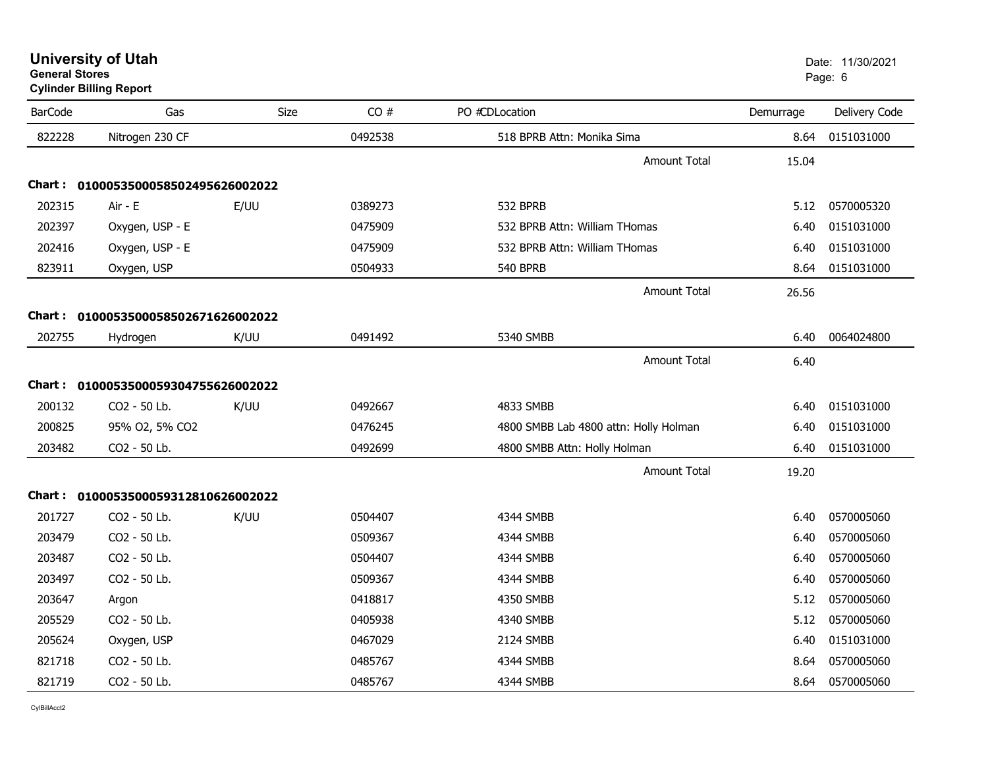**University of Utah** Date: 11/30/2021 **General Stores**entities and the contract of the contract of the contract of the contract of the contract of the contract of the contract of the contract of the contract of the contract of the contract of the contract of the contract of t **Cylinder Billing Report**

| <b>BarCode</b> | Gas                                 | Size | CO#     | PO #CDLocation                        | Demurrage | Delivery Code |
|----------------|-------------------------------------|------|---------|---------------------------------------|-----------|---------------|
| 822228         | Nitrogen 230 CF                     |      | 0492538 | 518 BPRB Attn: Monika Sima            | 8.64      | 0151031000    |
|                |                                     |      |         | <b>Amount Total</b>                   | 15.04     |               |
| Chart:         | 0100053500058502495626002022        |      |         |                                       |           |               |
| 202315         | Air - E                             | E/UU | 0389273 | 532 BPRB                              | 5.12      | 0570005320    |
| 202397         | Oxygen, USP - E                     |      | 0475909 | 532 BPRB Attn: William THomas         | 6.40      | 0151031000    |
| 202416         | Oxygen, USP - E                     |      | 0475909 | 532 BPRB Attn: William THomas         | 6.40      | 0151031000    |
| 823911         | Oxygen, USP                         |      | 0504933 | <b>540 BPRB</b>                       | 8.64      | 0151031000    |
|                |                                     |      |         | <b>Amount Total</b>                   | 26.56     |               |
|                | Chart: 0100053500058502671626002022 |      |         |                                       |           |               |
| 202755         | Hydrogen                            | K/UU | 0491492 | 5340 SMBB                             | 6.40      | 0064024800    |
|                |                                     |      |         | <b>Amount Total</b>                   | 6.40      |               |
| Chart :        | 0100053500059304755626002022        |      |         |                                       |           |               |
| 200132         | CO2 - 50 Lb.                        | K/UU | 0492667 | 4833 SMBB                             | 6.40      | 0151031000    |
| 200825         | 95% O2, 5% CO2                      |      | 0476245 | 4800 SMBB Lab 4800 attn: Holly Holman | 6.40      | 0151031000    |
| 203482         | CO2 - 50 Lb.                        |      | 0492699 | 4800 SMBB Attn: Holly Holman          | 6.40      | 0151031000    |
|                |                                     |      |         | <b>Amount Total</b>                   | 19.20     |               |
| Chart:         | 0100053500059312810626002022        |      |         |                                       |           |               |
| 201727         | CO2 - 50 Lb.                        | K/UU | 0504407 | 4344 SMBB                             | 6.40      | 0570005060    |
| 203479         | CO2 - 50 Lb.                        |      | 0509367 | 4344 SMBB                             | 6.40      | 0570005060    |
| 203487         | CO2 - 50 Lb.                        |      | 0504407 | 4344 SMBB                             | 6.40      | 0570005060    |
| 203497         | CO2 - 50 Lb.                        |      | 0509367 | 4344 SMBB                             | 6.40      | 0570005060    |
| 203647         | Argon                               |      | 0418817 | 4350 SMBB                             | 5.12      | 0570005060    |
| 205529         | CO2 - 50 Lb.                        |      | 0405938 | 4340 SMBB                             | 5.12      | 0570005060    |
| 205624         | Oxygen, USP                         |      | 0467029 | 2124 SMBB                             | 6.40      | 0151031000    |
| 821718         | CO2 - 50 Lb.                        |      | 0485767 | 4344 SMBB                             | 8.64      | 0570005060    |
| 821719         | CO2 - 50 Lb.                        |      | 0485767 | 4344 SMBB                             | 8.64      | 0570005060    |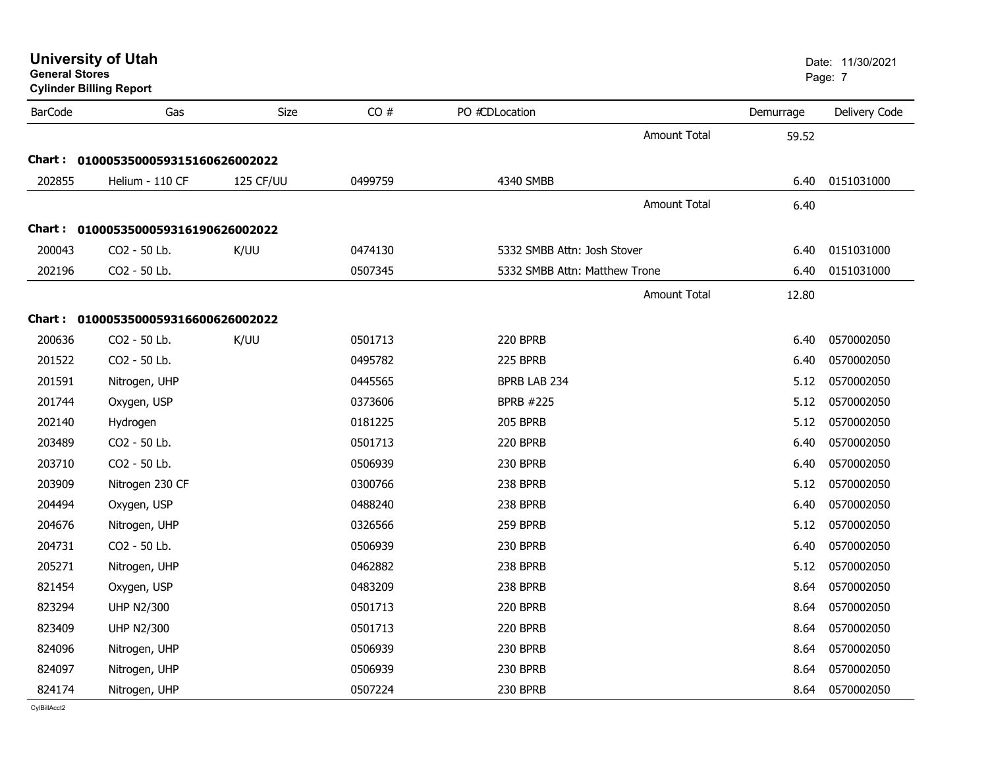| <b>General Stores</b> | <b>Cylinder Billing Report</b>      |           |         |                               |                     |           | Page: 7       |
|-----------------------|-------------------------------------|-----------|---------|-------------------------------|---------------------|-----------|---------------|
| <b>BarCode</b>        | Gas                                 | Size      | CO#     | PO #CDLocation                |                     | Demurrage | Delivery Code |
|                       |                                     |           |         |                               | <b>Amount Total</b> | 59.52     |               |
|                       | Chart: 0100053500059315160626002022 |           |         |                               |                     |           |               |
| 202855                | Helium - 110 CF                     | 125 CF/UU | 0499759 | 4340 SMBB                     |                     | 6.40      | 0151031000    |
|                       |                                     |           |         |                               | <b>Amount Total</b> | 6.40      |               |
|                       | Chart: 0100053500059316190626002022 |           |         |                               |                     |           |               |
| 200043                | CO <sub>2</sub> - 50 Lb.            | K/UU      | 0474130 | 5332 SMBB Attn: Josh Stover   |                     | 6.40      | 0151031000    |
| 202196                | CO2 - 50 Lb.                        |           | 0507345 | 5332 SMBB Attn: Matthew Trone |                     | 6.40      | 0151031000    |
|                       |                                     |           |         |                               | Amount Total        | 12.80     |               |
|                       | Chart: 0100053500059316600626002022 |           |         |                               |                     |           |               |
| 200636                | CO2 - 50 Lb.                        | K/UU      | 0501713 | 220 BPRB                      |                     | 6.40      | 0570002050    |
| 201522                | CO2 - 50 Lb.                        |           | 0495782 | 225 BPRB                      |                     | 6.40      | 0570002050    |
| 201591                | Nitrogen, UHP                       |           | 0445565 | BPRB LAB 234                  |                     | 5.12      | 0570002050    |
| 201744                | Oxygen, USP                         |           | 0373606 | <b>BPRB #225</b>              |                     | 5.12      | 0570002050    |
| 202140                | Hydrogen                            |           | 0181225 | <b>205 BPRB</b>               |                     | 5.12      | 0570002050    |
| 203489                | CO <sub>2</sub> - 50 Lb.            |           | 0501713 | 220 BPRB                      |                     | 6.40      | 0570002050    |
| 203710                | CO2 - 50 Lb.                        |           | 0506939 | 230 BPRB                      |                     | 6.40      | 0570002050    |
| 203909                | Nitrogen 230 CF                     |           | 0300766 | 238 BPRB                      |                     | 5.12      | 0570002050    |
| 204494                | Oxygen, USP                         |           | 0488240 | 238 BPRB                      |                     | 6.40      | 0570002050    |
| 204676                | Nitrogen, UHP                       |           | 0326566 | 259 BPRB                      |                     | 5.12      | 0570002050    |
| 204731                | CO2 - 50 Lb.                        |           | 0506939 | 230 BPRB                      |                     | 6.40      | 0570002050    |
| 205271                | Nitrogen, UHP                       |           | 0462882 | 238 BPRB                      |                     | 5.12      | 0570002050    |
| 821454                | Oxygen, USP                         |           | 0483209 | 238 BPRB                      |                     | 8.64      | 0570002050    |
| 823294                | <b>UHP N2/300</b>                   |           | 0501713 | 220 BPRB                      |                     | 8.64      | 0570002050    |
| 823409                | <b>UHP N2/300</b>                   |           | 0501713 | <b>220 BPRB</b>               |                     | 8.64      | 0570002050    |
| 824096                | Nitrogen, UHP                       |           | 0506939 | 230 BPRB                      |                     | 8.64      | 0570002050    |
| 824097                | Nitrogen, UHP                       |           | 0506939 | 230 BPRB                      |                     | 8.64      | 0570002050    |
| 824174                | Nitrogen, UHP                       |           | 0507224 | 230 BPRB                      |                     | 8.64      | 0570002050    |

# **University of Utah** Date: 11/30/2021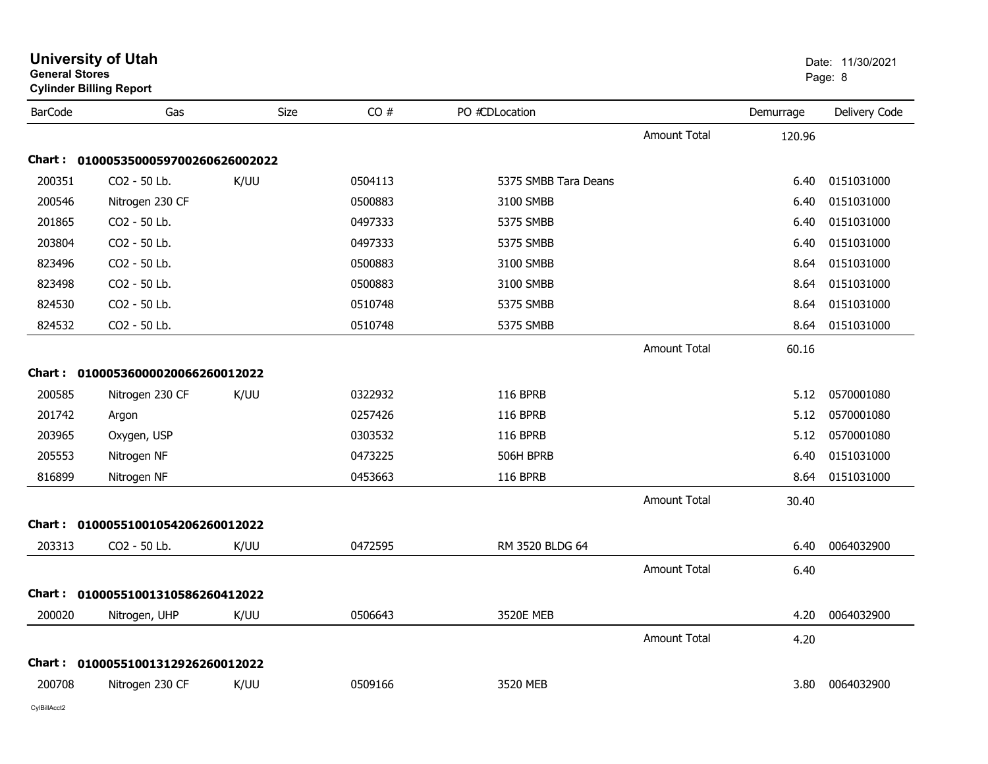| <b>General Stores</b> | <b>Cylinder Billing Report</b>      |      |         |                      |                     |           | Page: 8       |
|-----------------------|-------------------------------------|------|---------|----------------------|---------------------|-----------|---------------|
| <b>BarCode</b>        | Gas                                 | Size | CO#     | PO #CDLocation       |                     | Demurrage | Delivery Code |
|                       |                                     |      |         |                      | <b>Amount Total</b> | 120.96    |               |
|                       | Chart: 0100053500059700260626002022 |      |         |                      |                     |           |               |
| 200351                | CO <sub>2</sub> - 50 Lb.            | K/UU | 0504113 | 5375 SMBB Tara Deans |                     | 6.40      | 0151031000    |
| 200546                | Nitrogen 230 CF                     |      | 0500883 | 3100 SMBB            |                     | 6.40      | 0151031000    |
| 201865                | CO2 - 50 Lb.                        |      | 0497333 | 5375 SMBB            |                     | 6.40      | 0151031000    |
| 203804                | CO <sub>2</sub> - 50 Lb.            |      | 0497333 | 5375 SMBB            |                     | 6.40      | 0151031000    |
| 823496                | CO2 - 50 Lb.                        |      | 0500883 | 3100 SMBB            |                     | 8.64      | 0151031000    |
| 823498                | CO2 - 50 Lb.                        |      | 0500883 | 3100 SMBB            |                     | 8.64      | 0151031000    |
| 824530                | CO2 - 50 Lb.                        |      | 0510748 | 5375 SMBB            |                     | 8.64      | 0151031000    |
| 824532                | CO2 - 50 Lb.                        |      | 0510748 | 5375 SMBB            |                     | 8.64      | 0151031000    |
|                       |                                     |      |         |                      | <b>Amount Total</b> | 60.16     |               |
|                       | Chart: 01000536000020066260012022   |      |         |                      |                     |           |               |
| 200585                | Nitrogen 230 CF                     | K/UU | 0322932 | <b>116 BPRB</b>      |                     | 5.12      | 0570001080    |
| 201742                | Argon                               |      | 0257426 | <b>116 BPRB</b>      |                     | 5.12      | 0570001080    |
| 203965                | Oxygen, USP                         |      | 0303532 | <b>116 BPRB</b>      |                     | 5.12      | 0570001080    |
| 205553                | Nitrogen NF                         |      | 0473225 | 506H BPRB            |                     | 6.40      | 0151031000    |
| 816899                | Nitrogen NF                         |      | 0453663 | <b>116 BPRB</b>      |                     | 8.64      | 0151031000    |
|                       |                                     |      |         |                      | <b>Amount Total</b> | 30.40     |               |
| Chart :               | 01000551001054206260012022          |      |         |                      |                     |           |               |
| 203313                | CO2 - 50 Lb.                        | K/UU | 0472595 | RM 3520 BLDG 64      |                     | 6.40      | 0064032900    |
|                       |                                     |      |         |                      | <b>Amount Total</b> | 6.40      |               |
| Chart :               | 01000551001310586260412022          |      |         |                      |                     |           |               |
| 200020                | Nitrogen, UHP                       | K/UU | 0506643 | <b>3520E MEB</b>     |                     | 4.20      | 0064032900    |
|                       |                                     |      |         |                      | <b>Amount Total</b> | 4.20      |               |
|                       | Chart: 01000551001312926260012022   |      |         |                      |                     |           |               |
| 200708                | Nitrogen 230 CF                     | K/UU | 0509166 | 3520 MEB             |                     | 3.80      | 0064032900    |

**University of Utah**  Date: 11/30/2021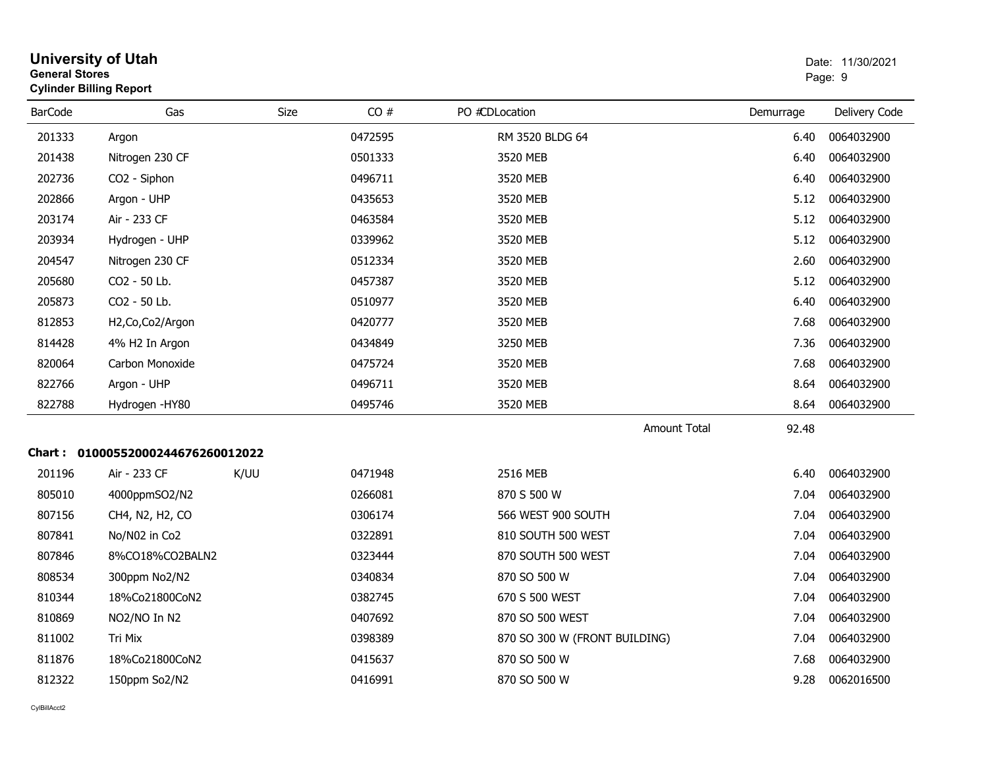| <b>General Stores</b> | <b>University of Utah</b><br><b>Cylinder Billing Report</b> |      |         |                               |           | Date: 11/30/2021<br>Page: 9 |
|-----------------------|-------------------------------------------------------------|------|---------|-------------------------------|-----------|-----------------------------|
| <b>BarCode</b>        | Gas                                                         | Size | CO#     | PO #CDLocation                | Demurrage | Delivery Code               |
| 201333                | Argon                                                       |      | 0472595 | RM 3520 BLDG 64               | 6.40      | 0064032900                  |
| 201438                | Nitrogen 230 CF                                             |      | 0501333 | 3520 MEB                      | 6.40      | 0064032900                  |
| 202736                | CO2 - Siphon                                                |      | 0496711 | 3520 MEB                      | 6.40      | 0064032900                  |
| 202866                | Argon - UHP                                                 |      | 0435653 | 3520 MEB                      | 5.12      | 0064032900                  |
| 203174                | Air - 233 CF                                                |      | 0463584 | 3520 MEB                      | 5.12      | 0064032900                  |
| 203934                | Hydrogen - UHP                                              |      | 0339962 | 3520 MEB                      | 5.12      | 0064032900                  |
| 204547                | Nitrogen 230 CF                                             |      | 0512334 | 3520 MEB                      | 2.60      | 0064032900                  |
| 205680                | CO2 - 50 Lb.                                                |      | 0457387 | 3520 MEB                      | 5.12      | 0064032900                  |
| 205873                | CO2 - 50 Lb.                                                |      | 0510977 | 3520 MEB                      | 6.40      | 0064032900                  |
| 812853                | H2, Co, Co2/Argon                                           |      | 0420777 | 3520 MEB                      | 7.68      | 0064032900                  |
| 814428                | 4% H2 In Argon                                              |      | 0434849 | 3250 MEB                      | 7.36      | 0064032900                  |
| 820064                | Carbon Monoxide                                             |      | 0475724 | 3520 MEB                      | 7.68      | 0064032900                  |
| 822766                | Argon - UHP                                                 |      | 0496711 | 3520 MEB                      | 8.64      | 0064032900                  |
| 822788                | Hydrogen -HY80                                              |      | 0495746 | 3520 MEB                      | 8.64      | 0064032900                  |
|                       |                                                             |      |         | <b>Amount Total</b>           | 92.48     |                             |
|                       | Chart: 01000552000244676260012022                           |      |         |                               |           |                             |
| 201196                | Air - 233 CF                                                | K/UU | 0471948 | 2516 MEB                      | 6.40      | 0064032900                  |
| 805010                | 4000ppmSO2/N2                                               |      | 0266081 | 870 S 500 W                   | 7.04      | 0064032900                  |
| 807156                | CH4, N2, H2, CO                                             |      | 0306174 | 566 WEST 900 SOUTH            | 7.04      | 0064032900                  |
| 807841                | No/N02 in Co2                                               |      | 0322891 | 810 SOUTH 500 WEST            | 7.04      | 0064032900                  |
| 807846                | 8%CO18%CO2BALN2                                             |      | 0323444 | 870 SOUTH 500 WEST            | 7.04      | 0064032900                  |
| 808534                | 300ppm No2/N2                                               |      | 0340834 | 870 SO 500 W                  | 7.04      | 0064032900                  |
| 810344                | 18%Co21800CoN2                                              |      | 0382745 | 670 S 500 WEST                | 7.04      | 0064032900                  |
| 810869                | NO2/NO In N2                                                |      | 0407692 | 870 SO 500 WEST               | 7.04      | 0064032900                  |
| 811002                | Tri Mix                                                     |      | 0398389 | 870 SO 300 W (FRONT BUILDING) | 7.04      | 0064032900                  |
| 811876                | 18%Co21800CoN2                                              |      | 0415637 | 870 SO 500 W                  | 7.68      | 0064032900                  |
| 812322                | 150ppm So2/N2                                               |      | 0416991 | 870 SO 500 W                  | 9.28      | 0062016500                  |
|                       |                                                             |      |         |                               |           |                             |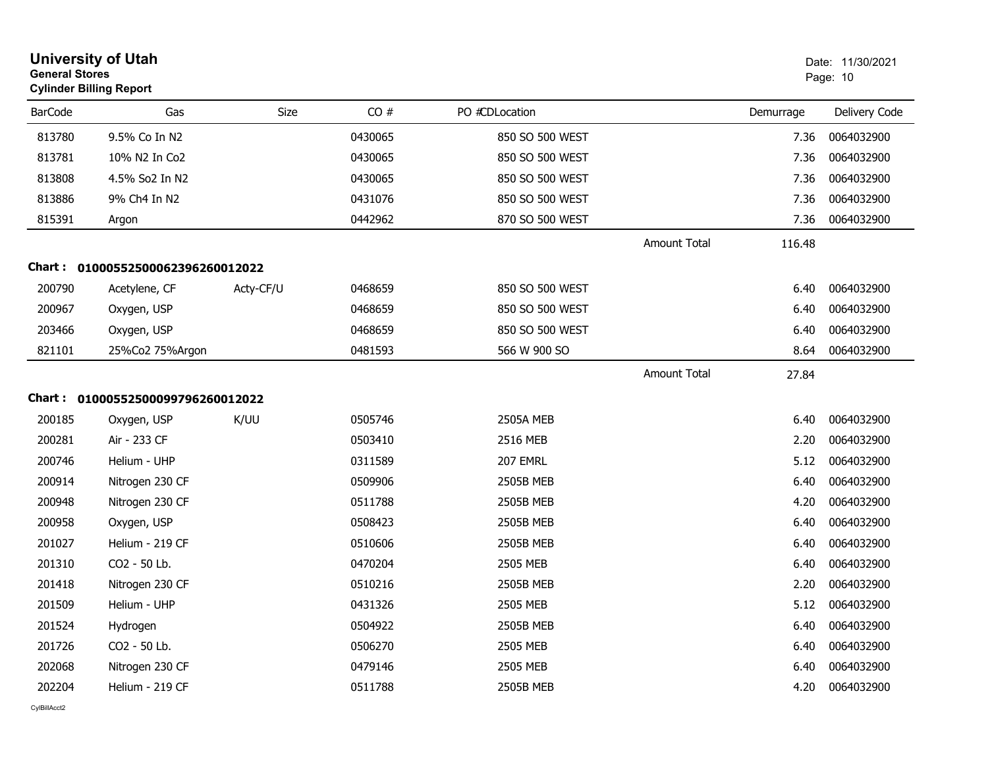| <b>University of Utah</b><br><b>General Stores</b><br><b>Cylinder Billing Report</b> |                                   |           |         |                 |                     |           | Date: 11/30/2021<br>Page: 10 |  |
|--------------------------------------------------------------------------------------|-----------------------------------|-----------|---------|-----------------|---------------------|-----------|------------------------------|--|
| <b>BarCode</b>                                                                       | Gas                               | Size      | CO#     | PO #CDLocation  |                     | Demurrage | Delivery Code                |  |
| 813780                                                                               | 9.5% Co In N2                     |           | 0430065 | 850 SO 500 WEST |                     | 7.36      | 0064032900                   |  |
| 813781                                                                               | 10% N2 In Co2                     |           | 0430065 | 850 SO 500 WEST |                     | 7.36      | 0064032900                   |  |
| 813808                                                                               | 4.5% So2 In N2                    |           | 0430065 | 850 SO 500 WEST |                     | 7.36      | 0064032900                   |  |
| 813886                                                                               | 9% Ch4 In N2                      |           | 0431076 | 850 SO 500 WEST |                     | 7.36      | 0064032900                   |  |
| 815391                                                                               | Argon                             |           | 0442962 | 870 SO 500 WEST |                     | 7.36      | 0064032900                   |  |
|                                                                                      |                                   |           |         |                 | <b>Amount Total</b> | 116.48    |                              |  |
|                                                                                      | Chart: 01000552500062396260012022 |           |         |                 |                     |           |                              |  |
| 200790                                                                               | Acetylene, CF                     | Acty-CF/U | 0468659 | 850 SO 500 WEST |                     | 6.40      | 0064032900                   |  |
| 200967                                                                               | Oxygen, USP                       |           | 0468659 | 850 SO 500 WEST |                     | 6.40      | 0064032900                   |  |
| 203466                                                                               | Oxygen, USP                       |           | 0468659 | 850 SO 500 WEST |                     | 6.40      | 0064032900                   |  |
| 821101                                                                               | 25%Co2 75%Argon                   |           | 0481593 | 566 W 900 SO    |                     | 8.64      | 0064032900                   |  |
|                                                                                      |                                   |           |         |                 | Amount Total        | 27.84     |                              |  |
|                                                                                      | Chart: 01000552500099796260012022 |           |         |                 |                     |           |                              |  |
| 200185                                                                               | Oxygen, USP                       | K/UU      | 0505746 | 2505A MEB       |                     | 6.40      | 0064032900                   |  |
| 200281                                                                               | Air - 233 CF                      |           | 0503410 | 2516 MEB        |                     | 2.20      | 0064032900                   |  |
| 200746                                                                               | Helium - UHP                      |           | 0311589 | 207 EMRL        |                     | 5.12      | 0064032900                   |  |
| 200914                                                                               | Nitrogen 230 CF                   |           | 0509906 | 2505B MEB       |                     | 6.40      | 0064032900                   |  |
| 200948                                                                               | Nitrogen 230 CF                   |           | 0511788 | 2505B MEB       |                     | 4.20      | 0064032900                   |  |
| 200958                                                                               | Oxygen, USP                       |           | 0508423 | 2505B MEB       |                     | 6.40      | 0064032900                   |  |
| 201027                                                                               | Helium - 219 CF                   |           | 0510606 | 2505B MEB       |                     | 6.40      | 0064032900                   |  |
| 201310                                                                               | CO2 - 50 Lb.                      |           | 0470204 | 2505 MEB        |                     | 6.40      | 0064032900                   |  |
| 201418                                                                               | Nitrogen 230 CF                   |           | 0510216 | 2505B MEB       |                     | 2.20      | 0064032900                   |  |
| 201509                                                                               | Helium - UHP                      |           | 0431326 | 2505 MEB        |                     | 5.12      | 0064032900                   |  |
| 201524                                                                               | Hydrogen                          |           | 0504922 | 2505B MEB       |                     | 6.40      | 0064032900                   |  |
| 201726                                                                               | CO2 - 50 Lb.                      |           | 0506270 | 2505 MEB        |                     | 6.40      | 0064032900                   |  |
| 202068                                                                               | Nitrogen 230 CF                   |           | 0479146 | 2505 MEB        |                     | 6.40      | 0064032900                   |  |
| 202204                                                                               | Helium - 219 CF                   |           | 0511788 | 2505B MEB       |                     | 4.20      | 0064032900                   |  |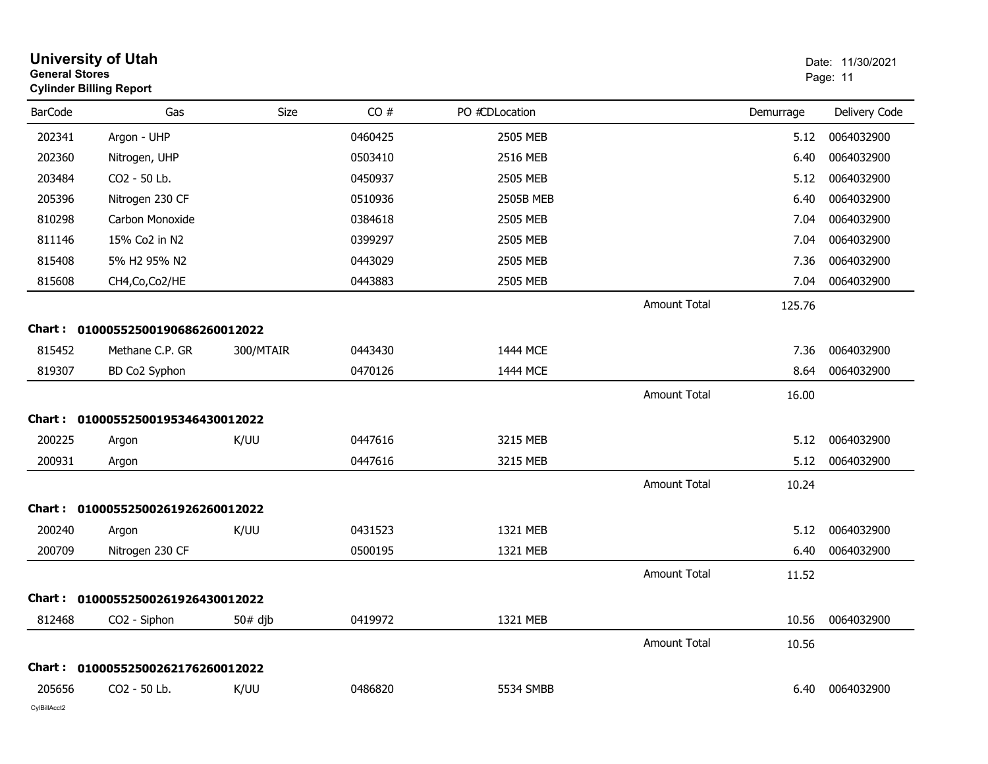| <b>General Stores</b> | <b>University of Utah</b><br><b>Cylinder Billing Report</b> |           |         |                |                     |           | Date: 11/30/2021<br>Page: 11 |
|-----------------------|-------------------------------------------------------------|-----------|---------|----------------|---------------------|-----------|------------------------------|
| <b>BarCode</b>        | Gas                                                         | Size      | CO#     | PO #CDLocation |                     | Demurrage | Delivery Code                |
| 202341                | Argon - UHP                                                 |           | 0460425 | 2505 MEB       |                     | 5.12      | 0064032900                   |
| 202360                | Nitrogen, UHP                                               |           | 0503410 | 2516 MEB       |                     | 6.40      | 0064032900                   |
| 203484                | CO2 - 50 Lb.                                                |           | 0450937 | 2505 MEB       |                     | 5.12      | 0064032900                   |
| 205396                | Nitrogen 230 CF                                             |           | 0510936 | 2505B MEB      |                     | 6.40      | 0064032900                   |
| 810298                | Carbon Monoxide                                             |           | 0384618 | 2505 MEB       |                     | 7.04      | 0064032900                   |
| 811146                | 15% Co2 in N2                                               |           | 0399297 | 2505 MEB       |                     | 7.04      | 0064032900                   |
| 815408                | 5% H2 95% N2                                                |           | 0443029 | 2505 MEB       |                     | 7.36      | 0064032900                   |
| 815608                | CH4, Co, Co2/HE                                             |           | 0443883 | 2505 MEB       |                     | 7.04      | 0064032900                   |
|                       |                                                             |           |         |                | <b>Amount Total</b> | 125.76    |                              |
| Chart :               | 01000552500190686260012022                                  |           |         |                |                     |           |                              |
| 815452                | Methane C.P. GR                                             | 300/MTAIR | 0443430 | 1444 MCE       |                     | 7.36      | 0064032900                   |
| 819307                | BD Co2 Syphon                                               |           | 0470126 | 1444 MCE       |                     | 8.64      | 0064032900                   |
|                       |                                                             |           |         |                | <b>Amount Total</b> | 16.00     |                              |
|                       | Chart: 01000552500195346430012022                           |           |         |                |                     |           |                              |
| 200225                | Argon                                                       | K/UU      | 0447616 | 3215 MEB       |                     | 5.12      | 0064032900                   |
| 200931                | Argon                                                       |           | 0447616 | 3215 MEB       |                     | 5.12      | 0064032900                   |
|                       |                                                             |           |         |                | <b>Amount Total</b> | 10.24     |                              |
| Chart :               | 01000552500261926260012022                                  |           |         |                |                     |           |                              |
| 200240                | Argon                                                       | K/UU      | 0431523 | 1321 MEB       |                     | 5.12      | 0064032900                   |
| 200709                | Nitrogen 230 CF                                             |           | 0500195 | 1321 MEB       |                     | 6.40      | 0064032900                   |
|                       |                                                             |           |         |                | <b>Amount Total</b> | 11.52     |                              |
|                       | Chart: 01000552500261926430012022                           |           |         |                |                     |           |                              |
| 812468                | CO2 - Siphon                                                | $50#$ djb | 0419972 | 1321 MEB       |                     | 10.56     | 0064032900                   |
|                       |                                                             |           |         |                | Amount Total        | 10.56     |                              |
|                       | Chart: 01000552500262176260012022                           |           |         |                |                     |           |                              |
| 205656                | CO2 - 50 Lb.                                                | K/UU      | 0486820 | 5534 SMBB      |                     | 6.40      | 0064032900                   |
|                       |                                                             |           |         |                |                     |           |                              |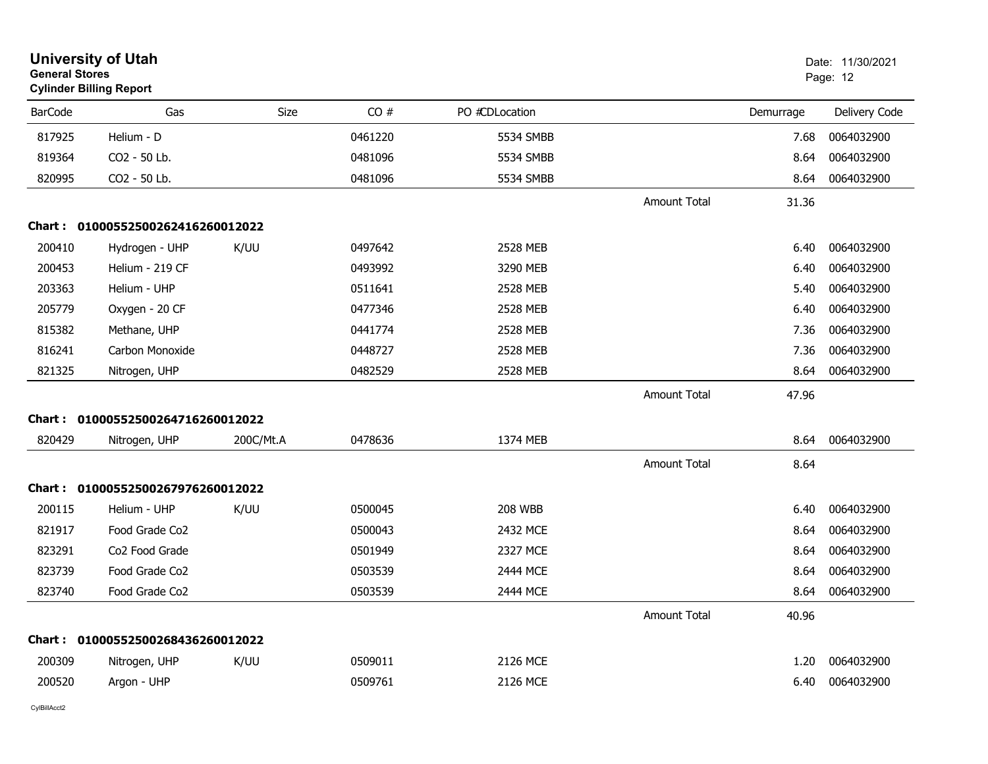| <b>General Stores</b> | <b>University of Utah</b><br><b>Cylinder Billing Report</b> |           |         |                |                     |           | Date: 11/30/2021<br>Page: 12 |  |
|-----------------------|-------------------------------------------------------------|-----------|---------|----------------|---------------------|-----------|------------------------------|--|
| <b>BarCode</b>        | Gas                                                         | Size      | CO#     | PO #CDLocation |                     | Demurrage | Delivery Code                |  |
| 817925                | Helium - D                                                  |           | 0461220 | 5534 SMBB      |                     | 7.68      | 0064032900                   |  |
| 819364                | CO2 - 50 Lb.                                                |           | 0481096 | 5534 SMBB      |                     | 8.64      | 0064032900                   |  |
| 820995                | CO <sub>2</sub> - 50 Lb.                                    |           | 0481096 | 5534 SMBB      |                     | 8.64      | 0064032900                   |  |
|                       |                                                             |           |         |                | <b>Amount Total</b> | 31.36     |                              |  |
|                       | Chart: 01000552500262416260012022                           |           |         |                |                     |           |                              |  |
| 200410                | Hydrogen - UHP                                              | K/UU      | 0497642 | 2528 MEB       |                     | 6.40      | 0064032900                   |  |
| 200453                | Helium - 219 CF                                             |           | 0493992 | 3290 MEB       |                     | 6.40      | 0064032900                   |  |
| 203363                | Helium - UHP                                                |           | 0511641 | 2528 MEB       |                     | 5.40      | 0064032900                   |  |
| 205779                | Oxygen - 20 CF                                              |           | 0477346 | 2528 MEB       |                     | 6.40      | 0064032900                   |  |
| 815382                | Methane, UHP                                                |           | 0441774 | 2528 MEB       |                     | 7.36      | 0064032900                   |  |
| 816241                | Carbon Monoxide                                             |           | 0448727 | 2528 MEB       |                     | 7.36      | 0064032900                   |  |
| 821325                | Nitrogen, UHP                                               |           | 0482529 | 2528 MEB       |                     | 8.64      | 0064032900                   |  |
|                       |                                                             |           |         |                | <b>Amount Total</b> | 47.96     |                              |  |
| Chart :               | 01000552500264716260012022                                  |           |         |                |                     |           |                              |  |
| 820429                | Nitrogen, UHP                                               | 200C/Mt.A | 0478636 | 1374 MEB       |                     | 8.64      | 0064032900                   |  |
|                       |                                                             |           |         |                | <b>Amount Total</b> | 8.64      |                              |  |
|                       | Chart: 01000552500267976260012022                           |           |         |                |                     |           |                              |  |
| 200115                | Helium - UHP                                                | K/UU      | 0500045 | <b>208 WBB</b> |                     | 6.40      | 0064032900                   |  |
| 821917                | Food Grade Co2                                              |           | 0500043 | 2432 MCE       |                     | 8.64      | 0064032900                   |  |
| 823291                | Co2 Food Grade                                              |           | 0501949 | 2327 MCE       |                     | 8.64      | 0064032900                   |  |
| 823739                | Food Grade Co2                                              |           | 0503539 | 2444 MCE       |                     | 8.64      | 0064032900                   |  |
| 823740                | Food Grade Co2                                              |           | 0503539 | 2444 MCE       |                     | 8.64      | 0064032900                   |  |
|                       |                                                             |           |         |                | <b>Amount Total</b> | 40.96     |                              |  |
| Chart :               | 01000552500268436260012022                                  |           |         |                |                     |           |                              |  |
| 200309                | Nitrogen, UHP                                               | K/UU      | 0509011 | 2126 MCE       |                     | 1.20      | 0064032900                   |  |
| 200520                | Argon - UHP                                                 |           | 0509761 | 2126 MCE       |                     | 6.40      | 0064032900                   |  |
|                       |                                                             |           |         |                |                     |           |                              |  |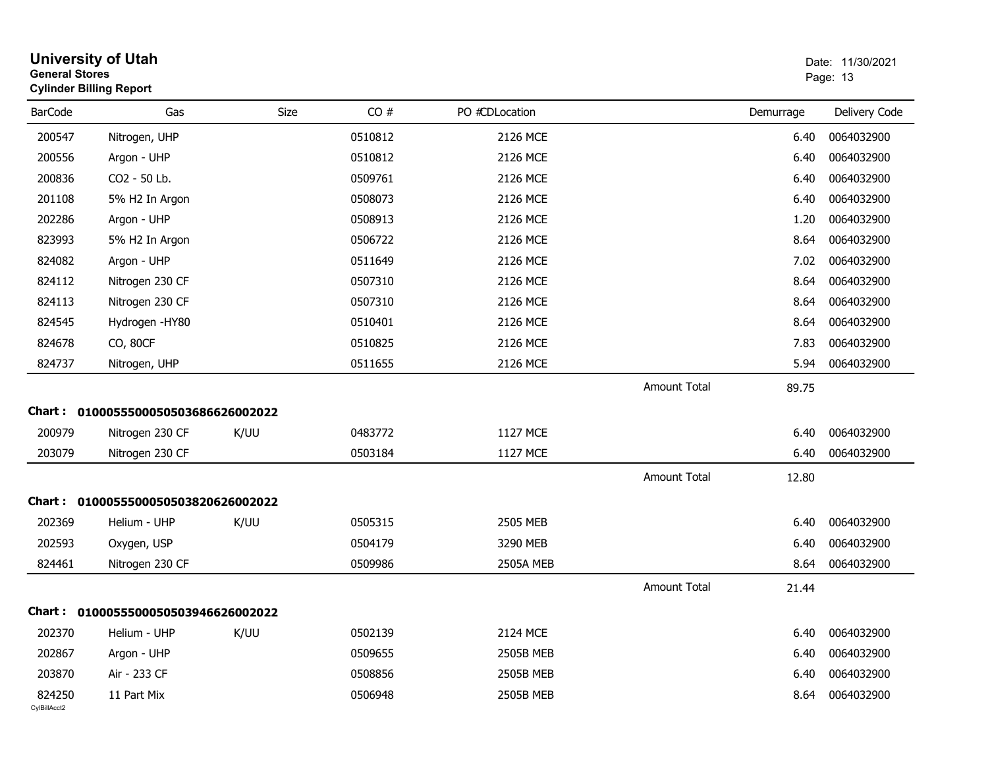| <b>General Stores</b>  | <b>University of Utah</b><br><b>Cylinder Billing Report</b> |      |         |                  |                     |           | Date: 11/30/2021<br>Page: 13 |
|------------------------|-------------------------------------------------------------|------|---------|------------------|---------------------|-----------|------------------------------|
| <b>BarCode</b>         | Gas                                                         | Size | CO#     | PO #CDLocation   |                     | Demurrage | Delivery Code                |
| 200547                 | Nitrogen, UHP                                               |      | 0510812 | 2126 MCE         |                     | 6.40      | 0064032900                   |
| 200556                 | Argon - UHP                                                 |      | 0510812 | 2126 MCE         |                     | 6.40      | 0064032900                   |
| 200836                 | CO2 - 50 Lb.                                                |      | 0509761 | 2126 MCE         |                     | 6.40      | 0064032900                   |
| 201108                 | 5% H2 In Argon                                              |      | 0508073 | 2126 MCE         |                     | 6.40      | 0064032900                   |
| 202286                 | Argon - UHP                                                 |      | 0508913 | 2126 MCE         |                     | 1.20      | 0064032900                   |
| 823993                 | 5% H2 In Argon                                              |      | 0506722 | 2126 MCE         |                     | 8.64      | 0064032900                   |
| 824082                 | Argon - UHP                                                 |      | 0511649 | 2126 MCE         |                     | 7.02      | 0064032900                   |
| 824112                 | Nitrogen 230 CF                                             |      | 0507310 | 2126 MCE         |                     | 8.64      | 0064032900                   |
| 824113                 | Nitrogen 230 CF                                             |      | 0507310 | 2126 MCE         |                     | 8.64      | 0064032900                   |
| 824545                 | Hydrogen -HY80                                              |      | 0510401 | 2126 MCE         |                     | 8.64      | 0064032900                   |
| 824678                 | CO, 80CF                                                    |      | 0510825 | 2126 MCE         |                     | 7.83      | 0064032900                   |
| 824737                 | Nitrogen, UHP                                               |      | 0511655 | 2126 MCE         |                     | 5.94      | 0064032900                   |
|                        |                                                             |      |         |                  | Amount Total        | 89.75     |                              |
|                        | Chart: 0100055500050503686626002022                         |      |         |                  |                     |           |                              |
| 200979                 | Nitrogen 230 CF                                             | K/UU | 0483772 | 1127 MCE         |                     | 6.40      | 0064032900                   |
| 203079                 | Nitrogen 230 CF                                             |      | 0503184 | 1127 MCE         |                     | 6.40      | 0064032900                   |
|                        |                                                             |      |         |                  | <b>Amount Total</b> | 12.80     |                              |
|                        | Chart: 0100055500050503820626002022                         |      |         |                  |                     |           |                              |
| 202369                 | Helium - UHP                                                | K/UU | 0505315 | 2505 MEB         |                     | 6.40      | 0064032900                   |
| 202593                 | Oxygen, USP                                                 |      | 0504179 | 3290 MEB         |                     | 6.40      | 0064032900                   |
| 824461                 | Nitrogen 230 CF                                             |      | 0509986 | <b>2505A MEB</b> |                     | 8.64      | 0064032900                   |
|                        |                                                             |      |         |                  | Amount Total        | 21.44     |                              |
|                        | Chart: 0100055500050503946626002022                         |      |         |                  |                     |           |                              |
| 202370                 | Helium - UHP                                                | K/UU | 0502139 | 2124 MCE         |                     | 6.40      | 0064032900                   |
| 202867                 | Argon - UHP                                                 |      | 0509655 | 2505B MEB        |                     | 6.40      | 0064032900                   |
| 203870                 | Air - 233 CF                                                |      | 0508856 | 2505B MEB        |                     | 6.40      | 0064032900                   |
| 824250<br>CylBillAcct2 | 11 Part Mix                                                 |      | 0506948 | 2505B MEB        |                     | 8.64      | 0064032900                   |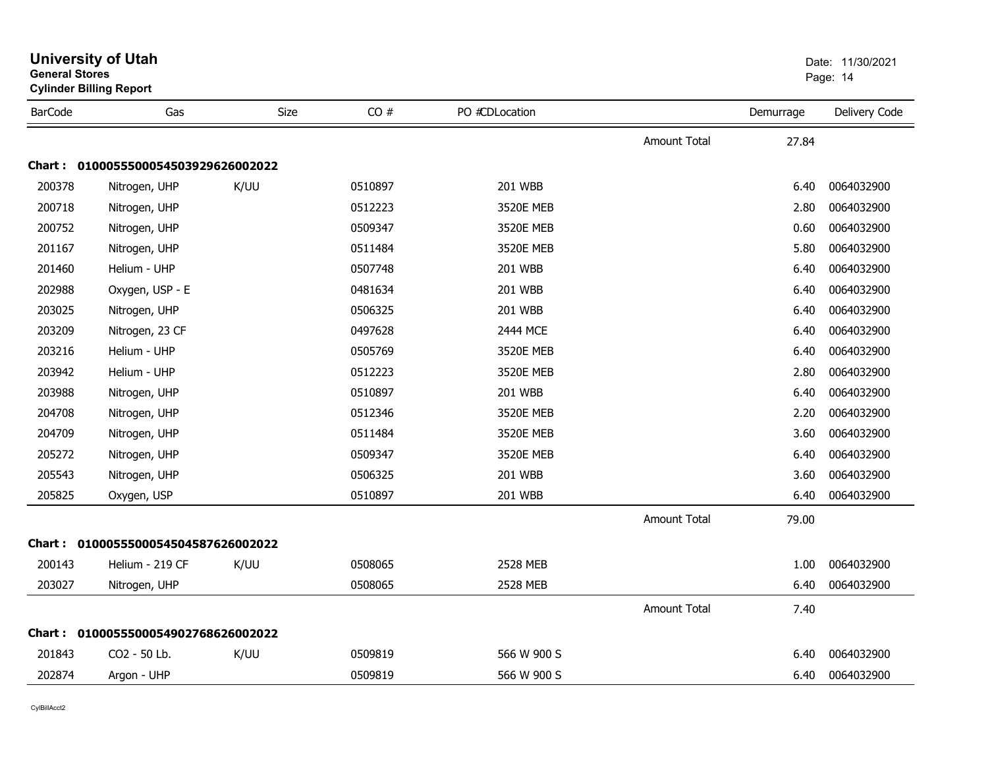| General Stores | <b>Cylinder Billing Report</b>      |      |         |                |                     |           | Page: 14      |
|----------------|-------------------------------------|------|---------|----------------|---------------------|-----------|---------------|
| <b>BarCode</b> | Gas                                 | Size | CO#     | PO #CDLocation |                     | Demurrage | Delivery Code |
|                |                                     |      |         |                | <b>Amount Total</b> | 27.84     |               |
|                | Chart: 0100055500054503929626002022 |      |         |                |                     |           |               |
| 200378         | Nitrogen, UHP                       | K/UU | 0510897 | <b>201 WBB</b> |                     | 6.40      | 0064032900    |
| 200718         | Nitrogen, UHP                       |      | 0512223 | 3520E MEB      |                     | 2.80      | 0064032900    |
| 200752         | Nitrogen, UHP                       |      | 0509347 | 3520E MEB      |                     | 0.60      | 0064032900    |
| 201167         | Nitrogen, UHP                       |      | 0511484 | 3520E MEB      |                     | 5.80      | 0064032900    |
| 201460         | Helium - UHP                        |      | 0507748 | <b>201 WBB</b> |                     | 6.40      | 0064032900    |
| 202988         | Oxygen, USP - E                     |      | 0481634 | 201 WBB        |                     | 6.40      | 0064032900    |
| 203025         | Nitrogen, UHP                       |      | 0506325 | 201 WBB        |                     | 6.40      | 0064032900    |
| 203209         | Nitrogen, 23 CF                     |      | 0497628 | 2444 MCE       |                     | 6.40      | 0064032900    |
| 203216         | Helium - UHP                        |      | 0505769 | 3520E MEB      |                     | 6.40      | 0064032900    |
| 203942         | Helium - UHP                        |      | 0512223 | 3520E MEB      |                     | 2.80      | 0064032900    |
| 203988         | Nitrogen, UHP                       |      | 0510897 | 201 WBB        |                     | 6.40      | 0064032900    |
| 204708         | Nitrogen, UHP                       |      | 0512346 | 3520E MEB      |                     | 2.20      | 0064032900    |
| 204709         | Nitrogen, UHP                       |      | 0511484 | 3520E MEB      |                     | 3.60      | 0064032900    |
| 205272         | Nitrogen, UHP                       |      | 0509347 | 3520E MEB      |                     | 6.40      | 0064032900    |
| 205543         | Nitrogen, UHP                       |      | 0506325 | 201 WBB        |                     | 3.60      | 0064032900    |
| 205825         | Oxygen, USP                         |      | 0510897 | 201 WBB        |                     | 6.40      | 0064032900    |
|                |                                     |      |         |                | <b>Amount Total</b> | 79.00     |               |
|                | Chart: 0100055500054504587626002022 |      |         |                |                     |           |               |
| 200143         | Helium - 219 CF                     | K/UU | 0508065 | 2528 MEB       |                     | 1.00      | 0064032900    |
| 203027         | Nitrogen, UHP                       |      | 0508065 | 2528 MEB       |                     | 6.40      | 0064032900    |
|                |                                     |      |         |                | <b>Amount Total</b> | 7.40      |               |
|                | Chart: 0100055500054902768626002022 |      |         |                |                     |           |               |
| 201843         | CO2 - 50 Lb.                        | K/UU | 0509819 | 566 W 900 S    |                     | 6.40      | 0064032900    |
| 202874         | Argon - UHP                         |      | 0509819 | 566 W 900 S    |                     | 6.40      | 0064032900    |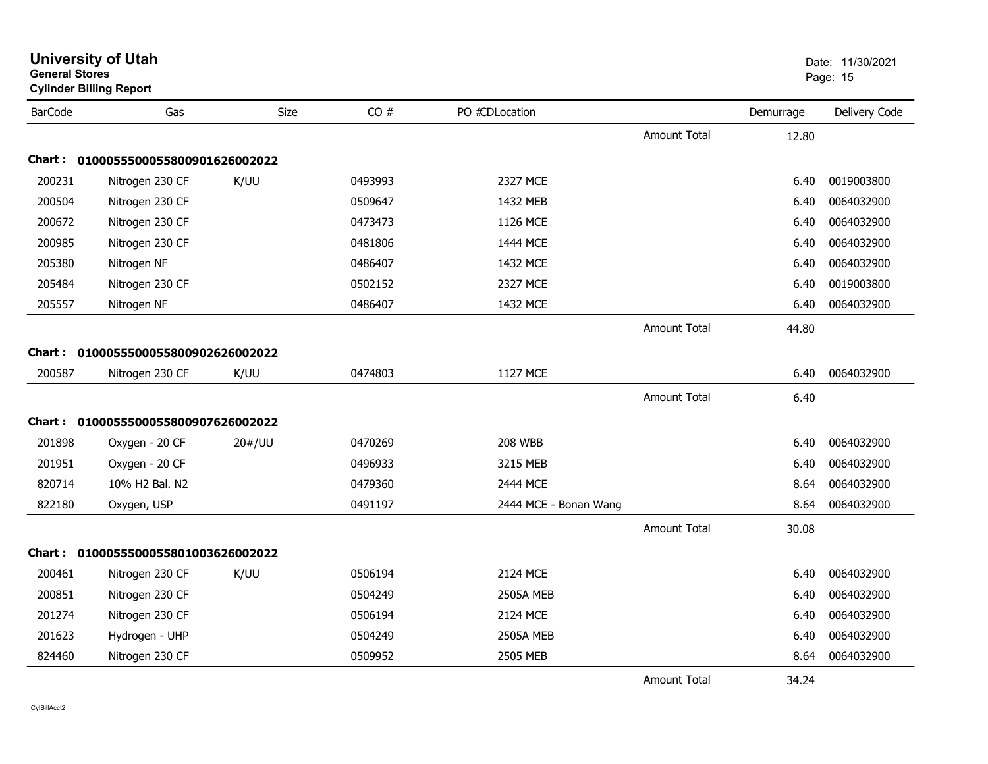| General Stores | <b>Cylinder Billing Report</b> |             |         |                       |                     |           | Page: 15      |
|----------------|--------------------------------|-------------|---------|-----------------------|---------------------|-----------|---------------|
| <b>BarCode</b> | Gas                            | <b>Size</b> | CO#     | PO #CDLocation        |                     | Demurrage | Delivery Code |
|                |                                |             |         |                       | <b>Amount Total</b> | 12.80     |               |
| Chart :        | 0100055500055800901626002022   |             |         |                       |                     |           |               |
| 200231         | Nitrogen 230 CF                | K/UU        | 0493993 | 2327 MCE              |                     | 6.40      | 0019003800    |
| 200504         | Nitrogen 230 CF                |             | 0509647 | 1432 MEB              |                     | 6.40      | 0064032900    |
| 200672         | Nitrogen 230 CF                |             | 0473473 | 1126 MCE              |                     | 6.40      | 0064032900    |
| 200985         | Nitrogen 230 CF                |             | 0481806 | 1444 MCE              |                     | 6.40      | 0064032900    |
| 205380         | Nitrogen NF                    |             | 0486407 | 1432 MCE              |                     | 6.40      | 0064032900    |
| 205484         | Nitrogen 230 CF                |             | 0502152 | 2327 MCE              |                     | 6.40      | 0019003800    |
| 205557         | Nitrogen NF                    |             | 0486407 | 1432 MCE              |                     | 6.40      | 0064032900    |
|                |                                |             |         |                       | <b>Amount Total</b> | 44.80     |               |
| Chart :        | 0100055500055800902626002022   |             |         |                       |                     |           |               |
| 200587         | Nitrogen 230 CF                | K/UU        | 0474803 | 1127 MCE              |                     | 6.40      | 0064032900    |
|                |                                |             |         |                       | <b>Amount Total</b> | 6.40      |               |
| <b>Chart :</b> | 0100055500055800907626002022   |             |         |                       |                     |           |               |
| 201898         | Oxygen - 20 CF                 | 20#/UU      | 0470269 | <b>208 WBB</b>        |                     | 6.40      | 0064032900    |
| 201951         | Oxygen - 20 CF                 |             | 0496933 | 3215 MEB              |                     | 6.40      | 0064032900    |
| 820714         | 10% H2 Bal. N2                 |             | 0479360 | 2444 MCE              |                     | 8.64      | 0064032900    |
| 822180         | Oxygen, USP                    |             | 0491197 | 2444 MCE - Bonan Wang |                     | 8.64      | 0064032900    |
|                |                                |             |         |                       | <b>Amount Total</b> | 30.08     |               |
| Chart :        | 0100055500055801003626002022   |             |         |                       |                     |           |               |
| 200461         | Nitrogen 230 CF                | K/UU        | 0506194 | 2124 MCE              |                     | 6.40      | 0064032900    |
| 200851         | Nitrogen 230 CF                |             | 0504249 | <b>2505A MEB</b>      |                     | 6.40      | 0064032900    |
| 201274         | Nitrogen 230 CF                |             | 0506194 | 2124 MCE              |                     | 6.40      | 0064032900    |
| 201623         | Hydrogen - UHP                 |             | 0504249 | <b>2505A MEB</b>      |                     | 6.40      | 0064032900    |
| 824460         | Nitrogen 230 CF                |             | 0509952 | 2505 MEB              |                     | 8.64      | 0064032900    |
|                |                                |             |         |                       | <b>Amount Total</b> | 34.24     |               |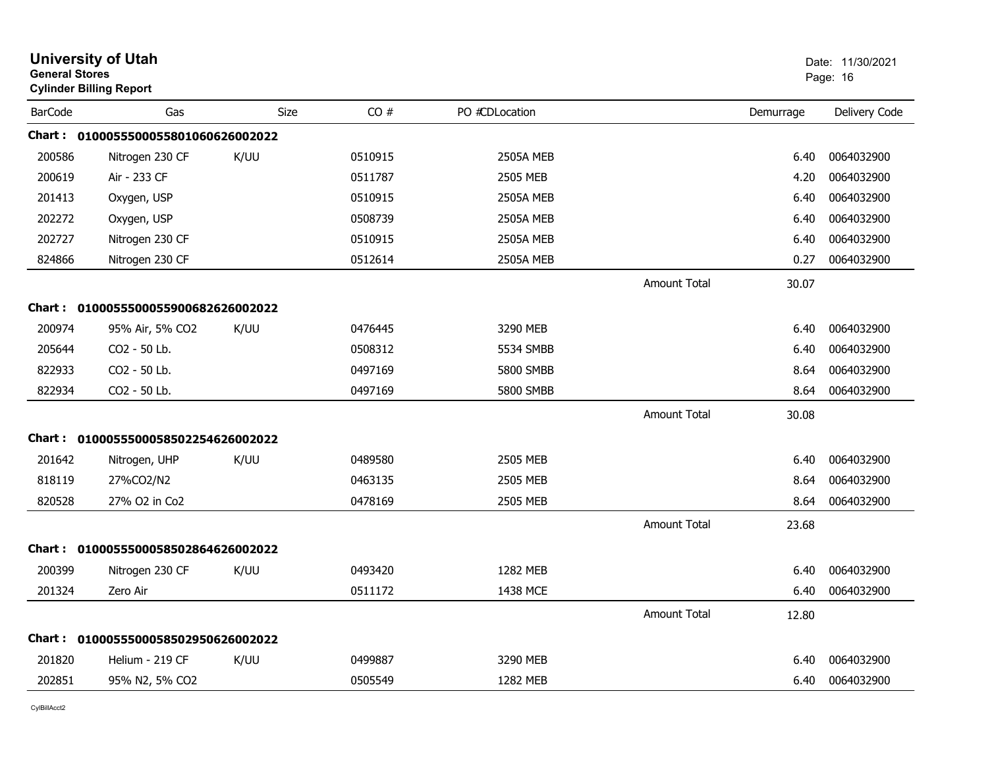| <b>General Stores</b> | <b>University of Utah</b><br><b>Cylinder Billing Report</b> |             |         |                  |                     |           | Date: 11/30/2021<br>Page: 16 |
|-----------------------|-------------------------------------------------------------|-------------|---------|------------------|---------------------|-----------|------------------------------|
| <b>BarCode</b>        | Gas                                                         | <b>Size</b> | CO#     | PO #CDLocation   |                     | Demurrage | Delivery Code                |
|                       | Chart: 0100055500055801060626002022                         |             |         |                  |                     |           |                              |
| 200586                | Nitrogen 230 CF                                             | K/UU        | 0510915 | <b>2505A MEB</b> |                     | 6.40      | 0064032900                   |
| 200619                | Air - 233 CF                                                |             | 0511787 | 2505 MEB         |                     | 4.20      | 0064032900                   |
| 201413                | Oxygen, USP                                                 |             | 0510915 | <b>2505A MEB</b> |                     | 6.40      | 0064032900                   |
| 202272                | Oxygen, USP                                                 |             | 0508739 | <b>2505A MEB</b> |                     | 6.40      | 0064032900                   |
| 202727                | Nitrogen 230 CF                                             |             | 0510915 | <b>2505A MEB</b> |                     | 6.40      | 0064032900                   |
| 824866                | Nitrogen 230 CF                                             |             | 0512614 | <b>2505A MEB</b> |                     | 0.27      | 0064032900                   |
|                       |                                                             |             |         |                  | <b>Amount Total</b> | 30.07     |                              |
|                       | Chart: 0100055500055900682626002022                         |             |         |                  |                     |           |                              |
| 200974                | 95% Air, 5% CO2                                             | K/UU        | 0476445 | 3290 MEB         |                     | 6.40      | 0064032900                   |
| 205644                | CO2 - 50 Lb.                                                |             | 0508312 | 5534 SMBB        |                     | 6.40      | 0064032900                   |
| 822933                | CO <sub>2</sub> - 50 Lb.                                    |             | 0497169 | 5800 SMBB        |                     | 8.64      | 0064032900                   |
| 822934                | CO2 - 50 Lb.                                                |             | 0497169 | 5800 SMBB        |                     | 8.64      | 0064032900                   |
|                       |                                                             |             |         |                  | <b>Amount Total</b> | 30.08     |                              |
|                       | Chart: 0100055500058502254626002022                         |             |         |                  |                     |           |                              |
| 201642                | Nitrogen, UHP                                               | K/UU        | 0489580 | 2505 MEB         |                     | 6.40      | 0064032900                   |
| 818119                | 27%CO2/N2                                                   |             | 0463135 | 2505 MEB         |                     | 8.64      | 0064032900                   |
| 820528                | 27% O2 in Co2                                               |             | 0478169 | 2505 MEB         |                     | 8.64      | 0064032900                   |
|                       |                                                             |             |         |                  | <b>Amount Total</b> | 23.68     |                              |
|                       | Chart: 0100055500058502864626002022                         |             |         |                  |                     |           |                              |
| 200399                | Nitrogen 230 CF                                             | K/UU        | 0493420 | 1282 MEB         |                     | 6.40      | 0064032900                   |
| 201324                | Zero Air                                                    |             | 0511172 | 1438 MCE         |                     | 6.40      | 0064032900                   |
|                       |                                                             |             |         |                  | <b>Amount Total</b> | 12.80     |                              |
|                       | Chart: 0100055500058502950626002022                         |             |         |                  |                     |           |                              |
| 201820                | Helium - 219 CF                                             | K/UU        | 0499887 | 3290 MEB         |                     | 6.40      | 0064032900                   |
| 202851                | 95% N2, 5% CO2                                              |             | 0505549 | 1282 MEB         |                     | 6.40      | 0064032900                   |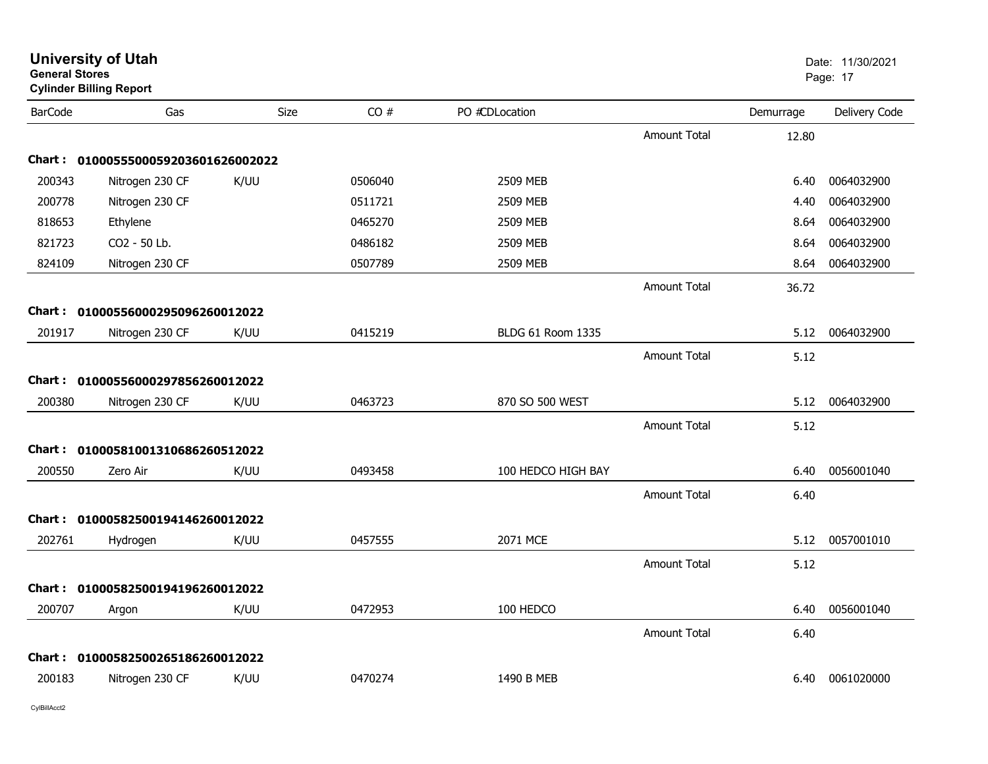| <b>General Stores</b> | <b>University of Utah</b><br><b>Cylinder Billing Report</b> |      |         |                          |                     |           | Date: 11/30/2021<br>Page: 17 |
|-----------------------|-------------------------------------------------------------|------|---------|--------------------------|---------------------|-----------|------------------------------|
| <b>BarCode</b>        | Gas                                                         | Size | CO#     | PO #CDLocation           |                     | Demurrage | Delivery Code                |
|                       |                                                             |      |         |                          | <b>Amount Total</b> | 12.80     |                              |
|                       | Chart: 0100055500059203601626002022                         |      |         |                          |                     |           |                              |
| 200343                | Nitrogen 230 CF                                             | K/UU | 0506040 | 2509 MEB                 |                     | 6.40      | 0064032900                   |
| 200778                | Nitrogen 230 CF                                             |      | 0511721 | 2509 MEB                 |                     | 4.40      | 0064032900                   |
| 818653                | Ethylene                                                    |      | 0465270 | 2509 MEB                 |                     | 8.64      | 0064032900                   |
| 821723                | CO2 - 50 Lb.                                                |      | 0486182 | 2509 MEB                 |                     | 8.64      | 0064032900                   |
| 824109                | Nitrogen 230 CF                                             |      | 0507789 | 2509 MEB                 |                     | 8.64      | 0064032900                   |
|                       |                                                             |      |         |                          | <b>Amount Total</b> | 36.72     |                              |
|                       | Chart: 01000556000295096260012022                           |      |         |                          |                     |           |                              |
| 201917                | Nitrogen 230 CF                                             | K/UU | 0415219 | <b>BLDG 61 Room 1335</b> |                     | 5.12      | 0064032900                   |
|                       |                                                             |      |         |                          | <b>Amount Total</b> | 5.12      |                              |
|                       | Chart: 01000556000297856260012022                           |      |         |                          |                     |           |                              |
| 200380                | Nitrogen 230 CF                                             | K/UU | 0463723 | 870 SO 500 WEST          |                     | 5.12      | 0064032900                   |
|                       |                                                             |      |         |                          | <b>Amount Total</b> | 5.12      |                              |
|                       |                                                             |      |         |                          |                     |           |                              |
| 200550                | Chart: 01000581001310686260512022                           | K/UU | 0493458 | 100 HEDCO HIGH BAY       |                     | 6.40      | 0056001040                   |
|                       | Zero Air                                                    |      |         |                          |                     |           |                              |
|                       |                                                             |      |         |                          | <b>Amount Total</b> | 6.40      |                              |
|                       | Chart: 01000582500194146260012022                           |      |         |                          |                     |           |                              |
| 202761                | Hydrogen                                                    | K/UU | 0457555 | 2071 MCE                 |                     | 5.12      | 0057001010                   |
|                       |                                                             |      |         |                          | <b>Amount Total</b> | 5.12      |                              |
|                       | Chart: 01000582500194196260012022                           |      |         |                          |                     |           |                              |
| 200707                | Argon                                                       | K/UU | 0472953 | 100 HEDCO                |                     | 6.40      | 0056001040                   |
|                       |                                                             |      |         |                          | <b>Amount Total</b> | 6.40      |                              |
|                       | Chart: 01000582500265186260012022                           |      |         |                          |                     |           |                              |
| 200183                | Nitrogen 230 CF                                             | K/UU | 0470274 | 1490 B MEB               |                     | 6.40      | 0061020000                   |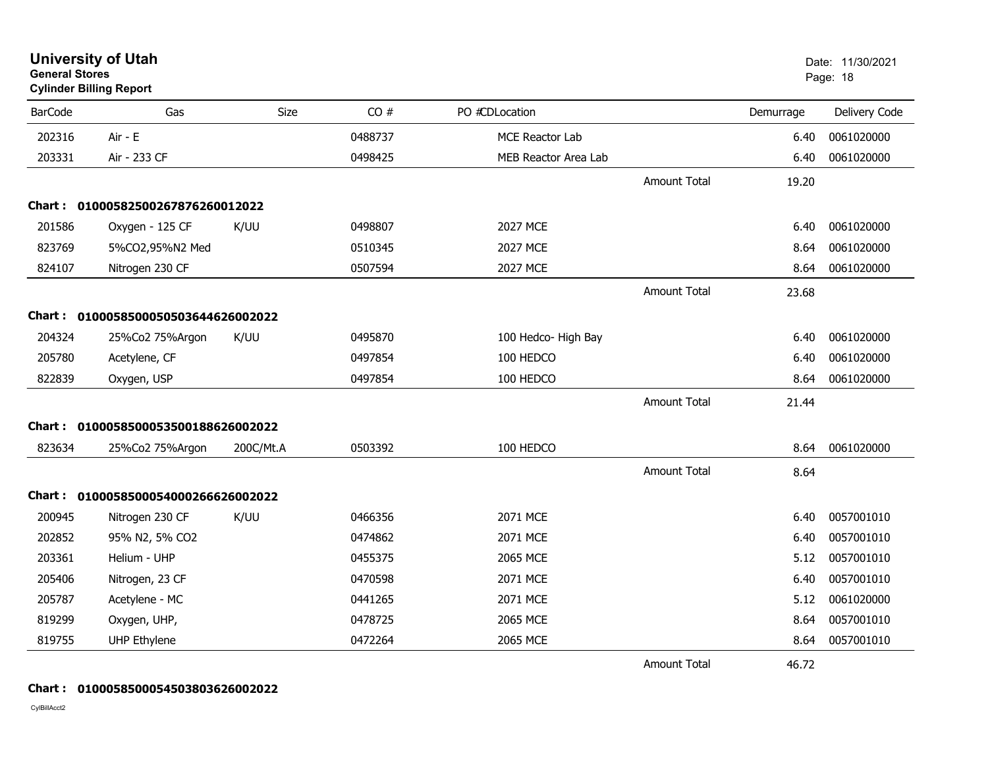| <b>General Stores</b> | <b>University of Utah</b><br><b>Cylinder Billing Report</b> |             |         |                      |                     |           | Date: 11/30/2021<br>Page: 18 |
|-----------------------|-------------------------------------------------------------|-------------|---------|----------------------|---------------------|-----------|------------------------------|
| <b>BarCode</b>        | Gas                                                         | <b>Size</b> | CO#     | PO #CDLocation       |                     | Demurrage | Delivery Code                |
| 202316                | Air - E                                                     |             | 0488737 | MCE Reactor Lab      |                     | 6.40      | 0061020000                   |
| 203331                | Air - 233 CF                                                |             | 0498425 | MEB Reactor Area Lab |                     | 6.40      | 0061020000                   |
|                       |                                                             |             |         |                      | <b>Amount Total</b> | 19.20     |                              |
|                       | Chart: 01000582500267876260012022                           |             |         |                      |                     |           |                              |
| 201586                | Oxygen - 125 CF                                             | K/UU        | 0498807 | 2027 MCE             |                     | 6.40      | 0061020000                   |
| 823769                | 5%CO2,95%N2 Med                                             |             | 0510345 | <b>2027 MCE</b>      |                     | 8.64      | 0061020000                   |
| 824107                | Nitrogen 230 CF                                             |             | 0507594 | 2027 MCE             |                     | 8.64      | 0061020000                   |
|                       |                                                             |             |         |                      | <b>Amount Total</b> | 23.68     |                              |
|                       | Chart: 0100058500050503644626002022                         |             |         |                      |                     |           |                              |
| 204324                | 25%Co2 75%Argon                                             | K/UU        | 0495870 | 100 Hedco- High Bay  |                     | 6.40      | 0061020000                   |
| 205780                | Acetylene, CF                                               |             | 0497854 | 100 HEDCO            |                     | 6.40      | 0061020000                   |
| 822839                | Oxygen, USP                                                 |             | 0497854 | 100 HEDCO            |                     | 8.64      | 0061020000                   |
|                       |                                                             |             |         |                      | <b>Amount Total</b> | 21.44     |                              |
|                       | Chart: 0100058500053500188626002022                         |             |         |                      |                     |           |                              |
| 823634                | 25%Co2 75%Argon                                             | 200C/Mt.A   | 0503392 | 100 HEDCO            |                     | 8.64      | 0061020000                   |
|                       |                                                             |             |         |                      | <b>Amount Total</b> | 8.64      |                              |
|                       | Chart: 0100058500054000266626002022                         |             |         |                      |                     |           |                              |
| 200945                | Nitrogen 230 CF                                             | K/UU        | 0466356 | 2071 MCE             |                     | 6.40      | 0057001010                   |
| 202852                | 95% N2, 5% CO2                                              |             | 0474862 | 2071 MCE             |                     | 6.40      | 0057001010                   |
| 203361                | Helium - UHP                                                |             | 0455375 | 2065 MCE             |                     | 5.12      | 0057001010                   |
| 205406                | Nitrogen, 23 CF                                             |             | 0470598 | 2071 MCE             |                     | 6.40      | 0057001010                   |
| 205787                | Acetylene - MC                                              |             | 0441265 | 2071 MCE             |                     | 5.12      | 0061020000                   |
| 819299                | Oxygen, UHP,                                                |             | 0478725 | 2065 MCE             |                     | 8.64      | 0057001010                   |
| 819755                | <b>UHP Ethylene</b>                                         |             | 0472264 | 2065 MCE             |                     | 8.64      | 0057001010                   |
|                       |                                                             |             |         |                      | <b>Amount Total</b> | 46.72     |                              |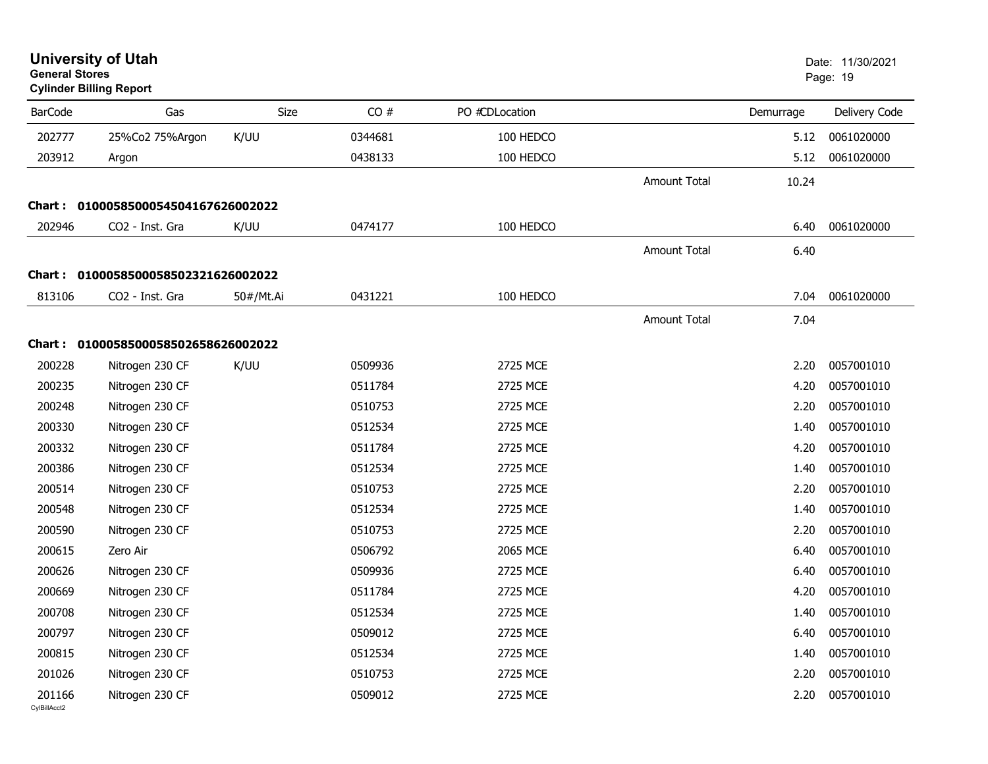| <b>General Stores</b>  | <b>University of Utah</b><br><b>Cylinder Billing Report</b> |           |         |                |                     |           | Date: 11/30/2021<br>Page: 19 |
|------------------------|-------------------------------------------------------------|-----------|---------|----------------|---------------------|-----------|------------------------------|
| <b>BarCode</b>         | Gas                                                         | Size      | CO#     | PO #CDLocation |                     | Demurrage | Delivery Code                |
| 202777                 | 25%Co2 75%Argon                                             | K/UU      | 0344681 | 100 HEDCO      |                     | 5.12      | 0061020000                   |
| 203912                 | Argon                                                       |           | 0438133 | 100 HEDCO      |                     | 5.12      | 0061020000                   |
|                        |                                                             |           |         |                | <b>Amount Total</b> | 10.24     |                              |
| <b>Chart :</b>         | 0100058500054504167626002022                                |           |         |                |                     |           |                              |
| 202946                 | CO2 - Inst. Gra                                             | K/UU      | 0474177 | 100 HEDCO      |                     | 6.40      | 0061020000                   |
|                        |                                                             |           |         |                | <b>Amount Total</b> | 6.40      |                              |
|                        | Chart: 0100058500058502321626002022                         |           |         |                |                     |           |                              |
| 813106                 | CO2 - Inst. Gra                                             | 50#/Mt.Ai | 0431221 | 100 HEDCO      |                     | 7.04      | 0061020000                   |
|                        |                                                             |           |         |                | <b>Amount Total</b> | 7.04      |                              |
|                        | Chart: 0100058500058502658626002022                         |           |         |                |                     |           |                              |
| 200228                 | Nitrogen 230 CF                                             | K/UU      | 0509936 | 2725 MCE       |                     | 2.20      | 0057001010                   |
| 200235                 | Nitrogen 230 CF                                             |           | 0511784 | 2725 MCE       |                     | 4.20      | 0057001010                   |
| 200248                 | Nitrogen 230 CF                                             |           | 0510753 | 2725 MCE       |                     | 2.20      | 0057001010                   |
| 200330                 | Nitrogen 230 CF                                             |           | 0512534 | 2725 MCE       |                     | 1.40      | 0057001010                   |
| 200332                 | Nitrogen 230 CF                                             |           | 0511784 | 2725 MCE       |                     | 4.20      | 0057001010                   |
| 200386                 | Nitrogen 230 CF                                             |           | 0512534 | 2725 MCE       |                     | 1.40      | 0057001010                   |
| 200514                 | Nitrogen 230 CF                                             |           | 0510753 | 2725 MCE       |                     | 2.20      | 0057001010                   |
| 200548                 | Nitrogen 230 CF                                             |           | 0512534 | 2725 MCE       |                     | 1.40      | 0057001010                   |
| 200590                 | Nitrogen 230 CF                                             |           | 0510753 | 2725 MCE       |                     | 2.20      | 0057001010                   |
| 200615                 | Zero Air                                                    |           | 0506792 | 2065 MCE       |                     | 6.40      | 0057001010                   |
| 200626                 | Nitrogen 230 CF                                             |           | 0509936 | 2725 MCE       |                     | 6.40      | 0057001010                   |
| 200669                 | Nitrogen 230 CF                                             |           | 0511784 | 2725 MCE       |                     | 4.20      | 0057001010                   |
| 200708                 | Nitrogen 230 CF                                             |           | 0512534 | 2725 MCE       |                     |           | 1.40 0057001010              |
| 200797                 | Nitrogen 230 CF                                             |           | 0509012 | 2725 MCE       |                     | 6.40      | 0057001010                   |
| 200815                 | Nitrogen 230 CF                                             |           | 0512534 | 2725 MCE       |                     | 1.40      | 0057001010                   |
| 201026                 | Nitrogen 230 CF                                             |           | 0510753 | 2725 MCE       |                     | 2.20      | 0057001010                   |
| 201166<br>CylBillAcct2 | Nitrogen 230 CF                                             |           | 0509012 | 2725 MCE       |                     | 2.20      | 0057001010                   |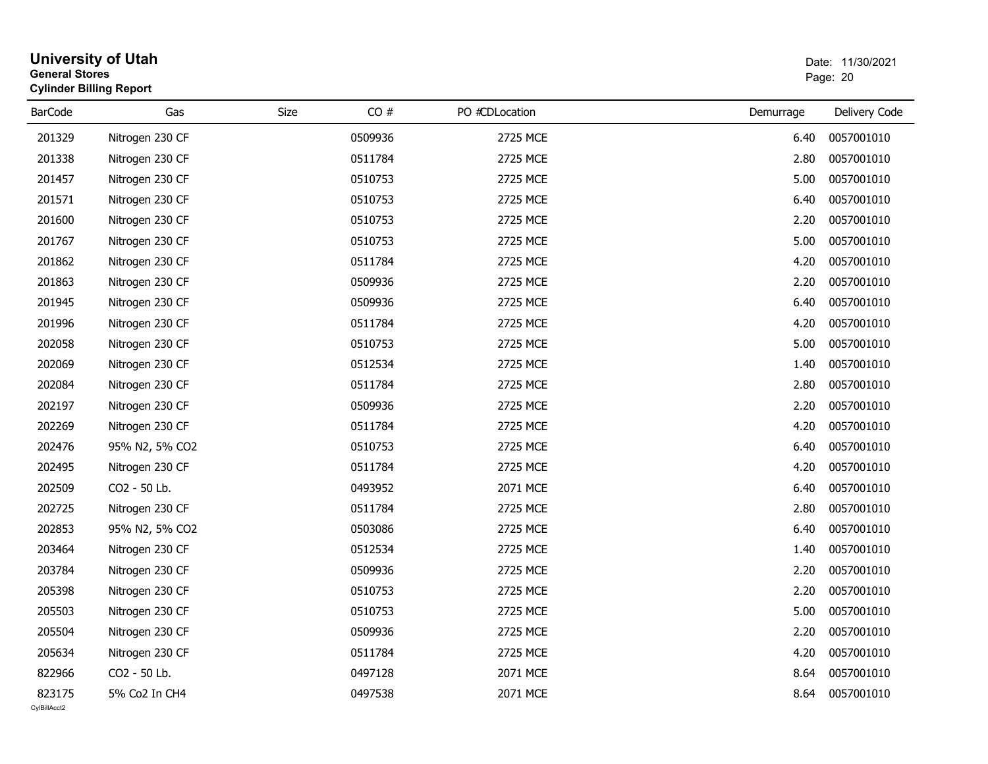| <b>General Stores</b>  | <b>University of Utah</b><br><b>Cylinder Billing Report</b> |      |         |                |           | Date: 11/30/2021<br>Page: 20 |
|------------------------|-------------------------------------------------------------|------|---------|----------------|-----------|------------------------------|
| <b>BarCode</b>         | Gas                                                         | Size | CO#     | PO #CDLocation | Demurrage | Delivery Code                |
| 201329                 | Nitrogen 230 CF                                             |      | 0509936 | 2725 MCE       | 6.40      | 0057001010                   |
| 201338                 | Nitrogen 230 CF                                             |      | 0511784 | 2725 MCE       | 2.80      | 0057001010                   |
| 201457                 | Nitrogen 230 CF                                             |      | 0510753 | 2725 MCE       | 5.00      | 0057001010                   |
| 201571                 | Nitrogen 230 CF                                             |      | 0510753 | 2725 MCE       | 6.40      | 0057001010                   |
| 201600                 | Nitrogen 230 CF                                             |      | 0510753 | 2725 MCE       | 2.20      | 0057001010                   |
| 201767                 | Nitrogen 230 CF                                             |      | 0510753 | 2725 MCE       | 5.00      | 0057001010                   |
| 201862                 | Nitrogen 230 CF                                             |      | 0511784 | 2725 MCE       | 4.20      | 0057001010                   |
| 201863                 | Nitrogen 230 CF                                             |      | 0509936 | 2725 MCE       | 2.20      | 0057001010                   |
| 201945                 | Nitrogen 230 CF                                             |      | 0509936 | 2725 MCE       | 6.40      | 0057001010                   |
| 201996                 | Nitrogen 230 CF                                             |      | 0511784 | 2725 MCE       | 4.20      | 0057001010                   |
| 202058                 | Nitrogen 230 CF                                             |      | 0510753 | 2725 MCE       | 5.00      | 0057001010                   |
| 202069                 | Nitrogen 230 CF                                             |      | 0512534 | 2725 MCE       | 1.40      | 0057001010                   |
| 202084                 | Nitrogen 230 CF                                             |      | 0511784 | 2725 MCE       | 2.80      | 0057001010                   |
| 202197                 | Nitrogen 230 CF                                             |      | 0509936 | 2725 MCE       | 2.20      | 0057001010                   |
| 202269                 | Nitrogen 230 CF                                             |      | 0511784 | 2725 MCE       | 4.20      | 0057001010                   |
| 202476                 | 95% N2, 5% CO2                                              |      | 0510753 | 2725 MCE       | 6.40      | 0057001010                   |
| 202495                 | Nitrogen 230 CF                                             |      | 0511784 | 2725 MCE       | 4.20      | 0057001010                   |
| 202509                 | CO2 - 50 Lb.                                                |      | 0493952 | 2071 MCE       | 6.40      | 0057001010                   |
| 202725                 | Nitrogen 230 CF                                             |      | 0511784 | 2725 MCE       | 2.80      | 0057001010                   |
| 202853                 | 95% N2, 5% CO2                                              |      | 0503086 | 2725 MCE       | 6.40      | 0057001010                   |
| 203464                 | Nitrogen 230 CF                                             |      | 0512534 | 2725 MCE       | 1.40      | 0057001010                   |
| 203784                 | Nitrogen 230 CF                                             |      | 0509936 | 2725 MCE       | 2.20      | 0057001010                   |
| 205398                 | Nitrogen 230 CF                                             |      | 0510753 | 2725 MCE       | 2.20      | 0057001010                   |
| 205503                 | Nitrogen 230 CF                                             |      | 0510753 | 2725 MCE       | 5.00      | 0057001010                   |
| 205504                 | Nitrogen 230 CF                                             |      | 0509936 | 2725 MCE       | 2.20      | 0057001010                   |
| 205634                 | Nitrogen 230 CF                                             |      | 0511784 | 2725 MCE       | 4.20      | 0057001010                   |
| 822966                 | CO2 - 50 Lb.                                                |      | 0497128 | 2071 MCE       | 8.64      | 0057001010                   |
| 823175<br>CvIBillAcct2 | 5% Co2 In CH4                                               |      | 0497538 | 2071 MCE       | 8.64      | 0057001010                   |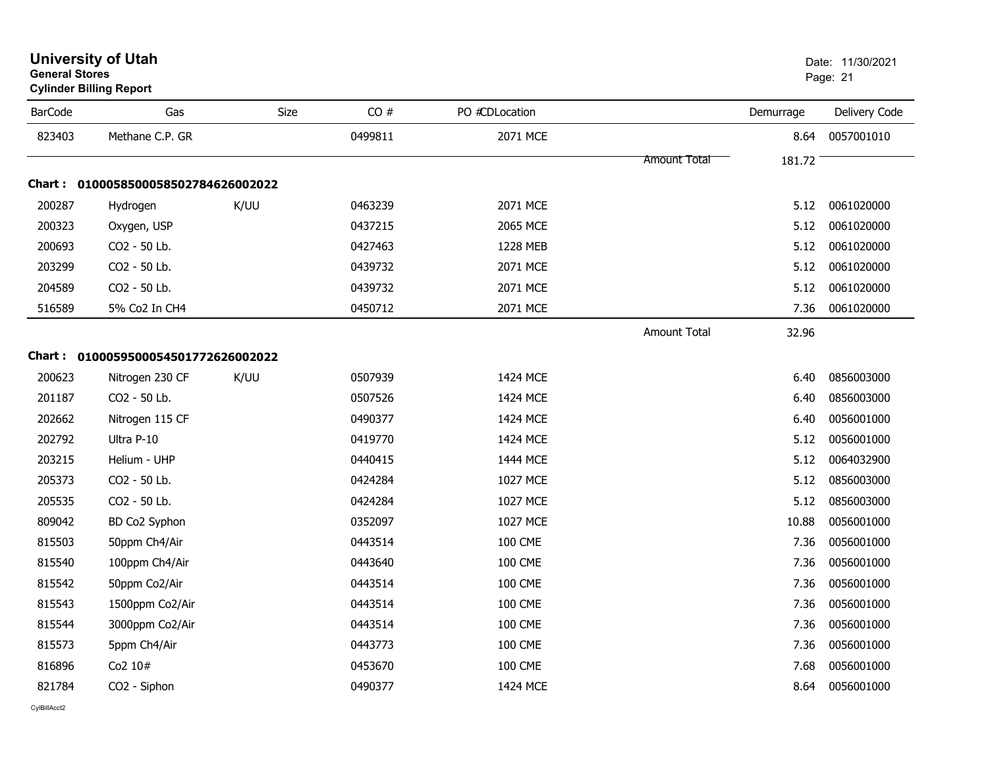| <b>BarCode</b> | Gas                                 | Size | CO#     | PO #CDLocation  |                     | Demurrage | Delivery Code |
|----------------|-------------------------------------|------|---------|-----------------|---------------------|-----------|---------------|
| 823403         | Methane C.P. GR                     |      | 0499811 | 2071 MCE        |                     | 8.64      | 0057001010    |
|                |                                     |      |         |                 | <b>Amount Total</b> | 181.72    |               |
|                | Chart: 0100058500058502784626002022 |      |         |                 |                     |           |               |
| 200287         | Hydrogen                            | K/UU | 0463239 | 2071 MCE        |                     | 5.12      | 0061020000    |
| 200323         | Oxygen, USP                         |      | 0437215 | 2065 MCE        |                     | 5.12      | 0061020000    |
| 200693         | CO2 - 50 Lb.                        |      | 0427463 | 1228 MEB        |                     | 5.12      | 0061020000    |
| 203299         | CO2 - 50 Lb.                        |      | 0439732 | 2071 MCE        |                     | 5.12      | 0061020000    |
| 204589         | CO2 - 50 Lb.                        |      | 0439732 | 2071 MCE        |                     | 5.12      | 0061020000    |
| 516589         | 5% Co2 In CH4                       |      | 0450712 | 2071 MCE        |                     | 7.36      | 0061020000    |
|                |                                     |      |         |                 | <b>Amount Total</b> | 32.96     |               |
|                | Chart: 0100059500054501772626002022 |      |         |                 |                     |           |               |
| 200623         | Nitrogen 230 CF                     | K/UU | 0507939 | 1424 MCE        |                     | 6.40      | 0856003000    |
| 201187         | CO2 - 50 Lb.                        |      | 0507526 | 1424 MCE        |                     | 6.40      | 0856003000    |
| 202662         | Nitrogen 115 CF                     |      | 0490377 | 1424 MCE        |                     | 6.40      | 0056001000    |
| 202792         | Ultra P-10                          |      | 0419770 | 1424 MCE        |                     | 5.12      | 0056001000    |
| 203215         | Helium - UHP                        |      | 0440415 | 1444 MCE        |                     | 5.12      | 0064032900    |
| 205373         | CO2 - 50 Lb.                        |      | 0424284 | 1027 MCE        |                     | 5.12      | 0856003000    |
| 205535         | CO2 - 50 Lb.                        |      | 0424284 | <b>1027 MCE</b> |                     | 5.12      | 0856003000    |
| 809042         | BD Co2 Syphon                       |      | 0352097 | <b>1027 MCE</b> |                     | 10.88     | 0056001000    |
| 815503         | 50ppm Ch4/Air                       |      | 0443514 | <b>100 CME</b>  |                     | 7.36      | 0056001000    |
| 815540         | 100ppm Ch4/Air                      |      | 0443640 | <b>100 CME</b>  |                     | 7.36      | 0056001000    |
| 815542         | 50ppm Co2/Air                       |      | 0443514 | <b>100 CME</b>  |                     | 7.36      | 0056001000    |
| 815543         | 1500ppm Co2/Air                     |      | 0443514 | <b>100 CME</b>  |                     | 7.36      | 0056001000    |
| 815544         | 3000ppm Co2/Air                     |      | 0443514 | <b>100 CME</b>  |                     | 7.36      | 0056001000    |
| 815573         | 5ppm Ch4/Air                        |      | 0443773 | <b>100 CME</b>  |                     | 7.36      | 0056001000    |
| 816896         | Co2 10#                             |      | 0453670 | <b>100 CME</b>  |                     | 7.68      | 0056001000    |
| 821784         | CO2 - Siphon                        |      | 0490377 | 1424 MCE        |                     | 8.64      | 0056001000    |

#### **University of Utah** Date: 11/30/2021 **General Stores**end and the state of the state of the state of the state of the state of the state of the state of the state of the state of the state of the state of the state of the state of the state of the state of the state of the st

**Cylinder Billing Report**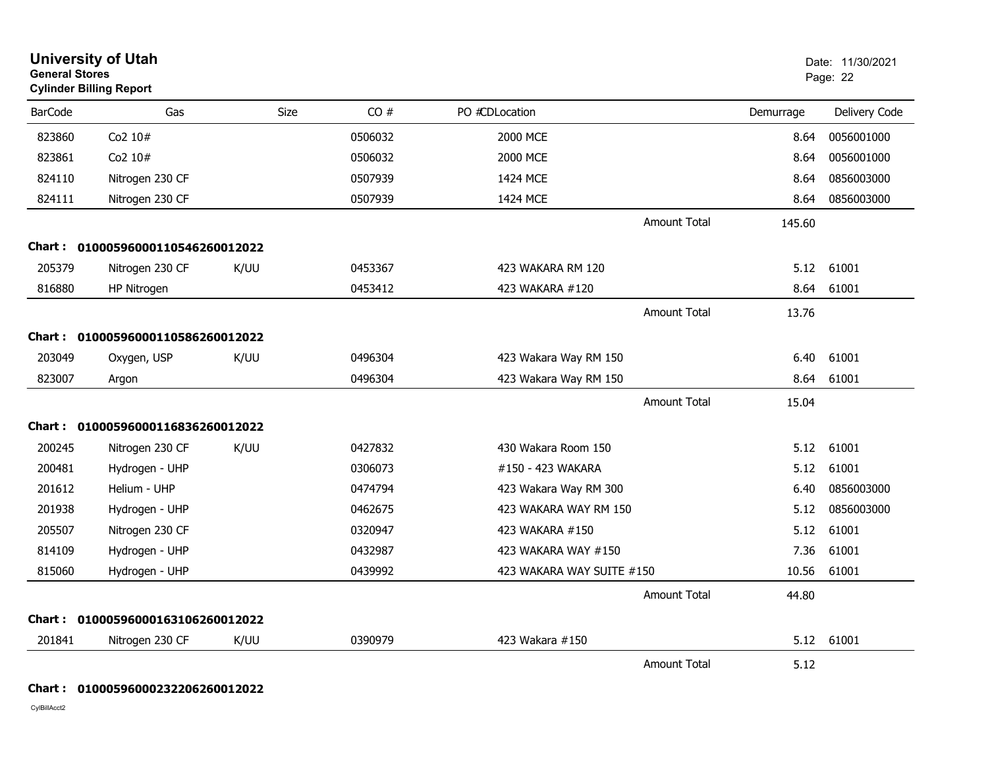| <b>General Stores</b> | <b>University of Utah</b><br><b>Cylinder Billing Report</b> |      |         |                           |           | Date: 11/30/2021<br>Page: 22 |
|-----------------------|-------------------------------------------------------------|------|---------|---------------------------|-----------|------------------------------|
| <b>BarCode</b>        | Gas                                                         | Size | CO#     | PO #CDLocation            | Demurrage | Delivery Code                |
| 823860                | Co2 10#                                                     |      | 0506032 | 2000 MCE                  | 8.64      | 0056001000                   |
| 823861                | Co2 10#                                                     |      | 0506032 | 2000 MCE                  | 8.64      | 0056001000                   |
| 824110                | Nitrogen 230 CF                                             |      | 0507939 | 1424 MCE                  | 8.64      | 0856003000                   |
| 824111                | Nitrogen 230 CF                                             |      | 0507939 | 1424 MCE                  | 8.64      | 0856003000                   |
|                       |                                                             |      |         | <b>Amount Total</b>       | 145.60    |                              |
|                       | Chart: 01000596000110546260012022                           |      |         |                           |           |                              |
| 205379                | Nitrogen 230 CF                                             | K/UU | 0453367 | 423 WAKARA RM 120         | 5.12      | 61001                        |
| 816880                | HP Nitrogen                                                 |      | 0453412 | 423 WAKARA #120           | 8.64      | 61001                        |
|                       |                                                             |      |         | <b>Amount Total</b>       | 13.76     |                              |
|                       | Chart: 01000596000110586260012022                           |      |         |                           |           |                              |
| 203049                | Oxygen, USP                                                 | K/UU | 0496304 | 423 Wakara Way RM 150     | 6.40      | 61001                        |
| 823007                | Argon                                                       |      | 0496304 | 423 Wakara Way RM 150     | 8.64      | 61001                        |
|                       |                                                             |      |         | <b>Amount Total</b>       | 15.04     |                              |
|                       | Chart: 01000596000116836260012022                           |      |         |                           |           |                              |
| 200245                | Nitrogen 230 CF                                             | K/UU | 0427832 | 430 Wakara Room 150       | 5.12      | 61001                        |
| 200481                | Hydrogen - UHP                                              |      | 0306073 | #150 - 423 WAKARA         | 5.12      | 61001                        |
| 201612                | Helium - UHP                                                |      | 0474794 | 423 Wakara Way RM 300     | 6.40      | 0856003000                   |
| 201938                | Hydrogen - UHP                                              |      | 0462675 | 423 WAKARA WAY RM 150     | 5.12      | 0856003000                   |
| 205507                | Nitrogen 230 CF                                             |      | 0320947 | 423 WAKARA #150           | 5.12      | 61001                        |
| 814109                | Hydrogen - UHP                                              |      | 0432987 | 423 WAKARA WAY #150       | 7.36      | 61001                        |
| 815060                | Hydrogen - UHP                                              |      | 0439992 | 423 WAKARA WAY SUITE #150 | 10.56     | 61001                        |
|                       |                                                             |      |         | <b>Amount Total</b>       | 44.80     |                              |
|                       | Chart: 01000596000163106260012022                           |      |         |                           |           |                              |
| 201841                | Nitrogen 230 CF                                             | K/UU | 0390979 | 423 Wakara #150           |           | 5.12 61001                   |
|                       |                                                             |      |         | <b>Amount Total</b>       | 5.12      |                              |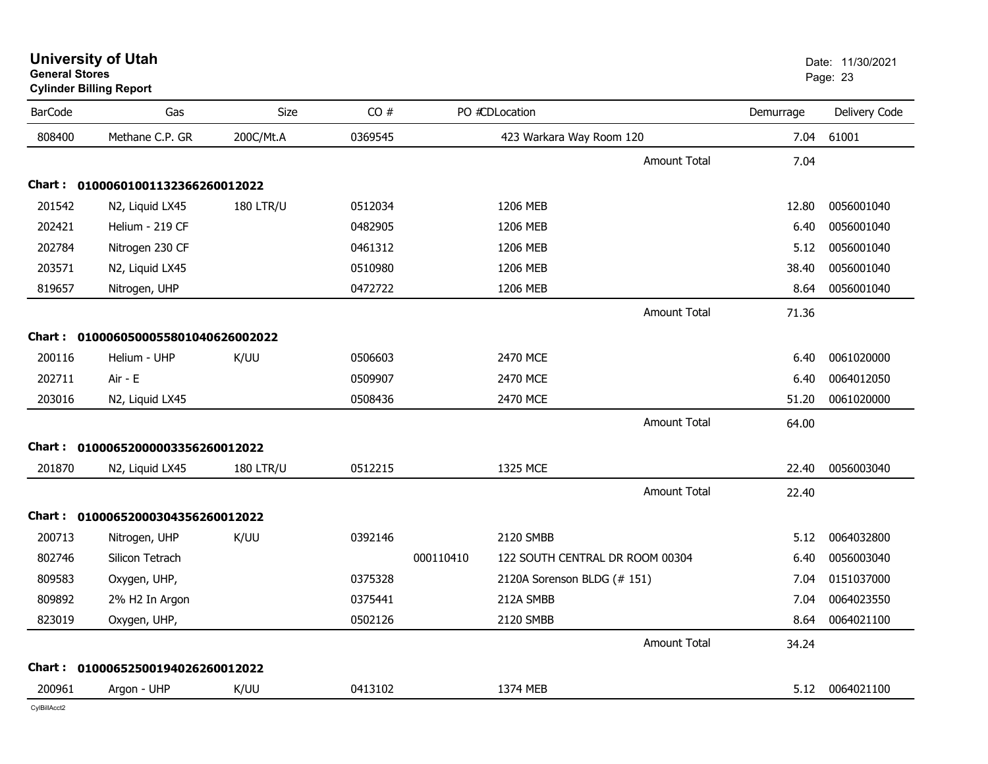| <b>BarCode</b> | Gas                                 | Size             | CO#     |           | PO #CDLocation                  |                     | Demurrage | Delivery Code   |
|----------------|-------------------------------------|------------------|---------|-----------|---------------------------------|---------------------|-----------|-----------------|
| 808400         | Methane C.P. GR                     | 200C/Mt.A        | 0369545 |           | 423 Warkara Way Room 120        |                     | 7.04      | 61001           |
|                |                                     |                  |         |           |                                 | <b>Amount Total</b> | 7.04      |                 |
|                | Chart: 01000601001132366260012022   |                  |         |           |                                 |                     |           |                 |
| 201542         | N2, Liquid LX45                     | <b>180 LTR/U</b> | 0512034 |           | 1206 MEB                        |                     | 12.80     | 0056001040      |
| 202421         | Helium - 219 CF                     |                  | 0482905 |           | 1206 MEB                        |                     | 6.40      | 0056001040      |
| 202784         | Nitrogen 230 CF                     |                  | 0461312 |           | 1206 MEB                        |                     | 5.12      | 0056001040      |
| 203571         | N2, Liquid LX45                     |                  | 0510980 |           | 1206 MEB                        |                     | 38.40     | 0056001040      |
| 819657         | Nitrogen, UHP                       |                  | 0472722 |           | 1206 MEB                        |                     | 8.64      | 0056001040      |
|                |                                     |                  |         |           |                                 | Amount Total        | 71.36     |                 |
|                | Chart: 0100060500055801040626002022 |                  |         |           |                                 |                     |           |                 |
| 200116         | Helium - UHP                        | K/UU             | 0506603 |           | 2470 MCE                        |                     | 6.40      | 0061020000      |
| 202711         | Air - E                             |                  | 0509907 |           | 2470 MCE                        |                     | 6.40      | 0064012050      |
| 203016         | N2, Liquid LX45                     |                  | 0508436 |           | 2470 MCE                        |                     | 51.20     | 0061020000      |
|                |                                     |                  |         |           |                                 | <b>Amount Total</b> | 64.00     |                 |
|                | Chart: 01000652000003356260012022   |                  |         |           |                                 |                     |           |                 |
| 201870         | N2, Liquid LX45                     | <b>180 LTR/U</b> | 0512215 |           | 1325 MCE                        |                     | 22.40     | 0056003040      |
|                |                                     |                  |         |           |                                 | Amount Total        | 22.40     |                 |
|                | Chart: 01000652000304356260012022   |                  |         |           |                                 |                     |           |                 |
| 200713         | Nitrogen, UHP                       | K/UU             | 0392146 |           | 2120 SMBB                       |                     | 5.12      | 0064032800      |
| 802746         | Silicon Tetrach                     |                  |         | 000110410 | 122 SOUTH CENTRAL DR ROOM 00304 |                     | 6.40      | 0056003040      |
| 809583         | Oxygen, UHP,                        |                  | 0375328 |           | 2120A Sorenson BLDG (# 151)     |                     | 7.04      | 0151037000      |
| 809892         | 2% H2 In Argon                      |                  | 0375441 |           | 212A SMBB                       |                     | 7.04      | 0064023550      |
| 823019         | Oxygen, UHP,                        |                  | 0502126 |           | 2120 SMBB                       |                     | 8.64      | 0064021100      |
|                |                                     |                  |         |           |                                 | <b>Amount Total</b> | 34.24     |                 |
|                | Chart: 01000652500194026260012022   |                  |         |           |                                 |                     |           |                 |
| 200961         | Argon - UHP                         | K/UU             | 0413102 |           | 1374 MEB                        |                     |           | 5.12 0064021100 |

### **University of Utah** Date: 11/30/2021 **General Stores**en de la provincia de la provincia de la provincia de la provincia de la provincia de la provincia de la provi **Cylinder Billing Report**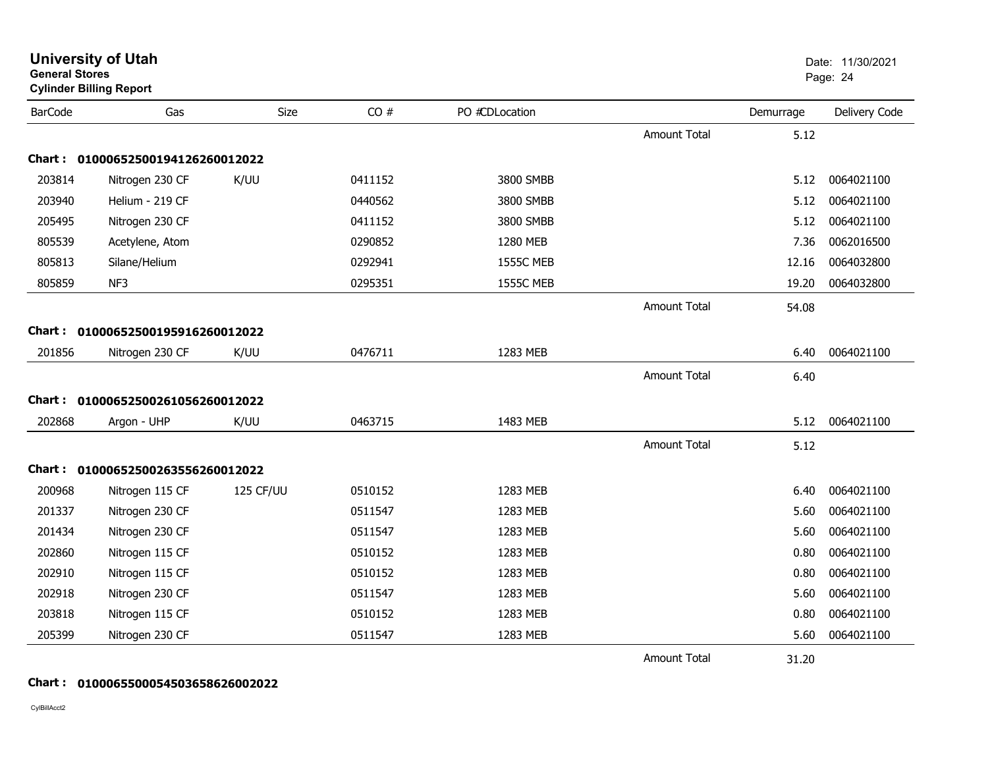| <b>General Stores</b> | <b>Cylinder Billing Report</b>    |           |         |                  |                     |           | Page: 24      |
|-----------------------|-----------------------------------|-----------|---------|------------------|---------------------|-----------|---------------|
| <b>BarCode</b>        | Gas                               | Size      | CO#     | PO #CDLocation   |                     | Demurrage | Delivery Code |
|                       |                                   |           |         |                  | Amount Total        | 5.12      |               |
| Chart :               | 01000652500194126260012022        |           |         |                  |                     |           |               |
| 203814                | Nitrogen 230 CF                   | K/UU      | 0411152 | 3800 SMBB        |                     | 5.12      | 0064021100    |
| 203940                | Helium - 219 CF                   |           | 0440562 | 3800 SMBB        |                     | 5.12      | 0064021100    |
| 205495                | Nitrogen 230 CF                   |           | 0411152 | 3800 SMBB        |                     | 5.12      | 0064021100    |
| 805539                | Acetylene, Atom                   |           | 0290852 | 1280 MEB         |                     | 7.36      | 0062016500    |
| 805813                | Silane/Helium                     |           | 0292941 | <b>1555C MEB</b> |                     | 12.16     | 0064032800    |
| 805859                | NF3                               |           | 0295351 | <b>1555C MEB</b> |                     | 19.20     | 0064032800    |
|                       |                                   |           |         |                  | <b>Amount Total</b> | 54.08     |               |
| <b>Chart:</b>         | 01000652500195916260012022        |           |         |                  |                     |           |               |
| 201856                | Nitrogen 230 CF                   | K/UU      | 0476711 | 1283 MEB         |                     | 6.40      | 0064021100    |
|                       |                                   |           |         |                  | Amount Total        | 6.40      |               |
|                       | Chart: 01000652500261056260012022 |           |         |                  |                     |           |               |
| 202868                | Argon - UHP                       | K/UU      | 0463715 | 1483 MEB         |                     | 5.12      | 0064021100    |
|                       |                                   |           |         |                  | <b>Amount Total</b> | 5.12      |               |
| Chart :               | 01000652500263556260012022        |           |         |                  |                     |           |               |
| 200968                | Nitrogen 115 CF                   | 125 CF/UU | 0510152 | 1283 MEB         |                     | 6.40      | 0064021100    |
| 201337                | Nitrogen 230 CF                   |           | 0511547 | 1283 MEB         |                     | 5.60      | 0064021100    |
| 201434                | Nitrogen 230 CF                   |           | 0511547 | 1283 MEB         |                     | 5.60      | 0064021100    |
| 202860                | Nitrogen 115 CF                   |           | 0510152 | 1283 MEB         |                     | 0.80      | 0064021100    |
| 202910                | Nitrogen 115 CF                   |           | 0510152 | 1283 MEB         |                     | 0.80      | 0064021100    |
| 202918                | Nitrogen 230 CF                   |           | 0511547 | 1283 MEB         |                     | 5.60      | 0064021100    |
| 203818                | Nitrogen 115 CF                   |           | 0510152 | 1283 MEB         |                     | 0.80      | 0064021100    |
| 205399                | Nitrogen 230 CF                   |           | 0511547 | 1283 MEB         |                     | 5.60      | 0064021100    |
|                       |                                   |           |         |                  | <b>Amount Total</b> | 31.20     |               |

**University of Utah** Date: 11/30/2021

#### **Chart : 0100065500054503658626002022**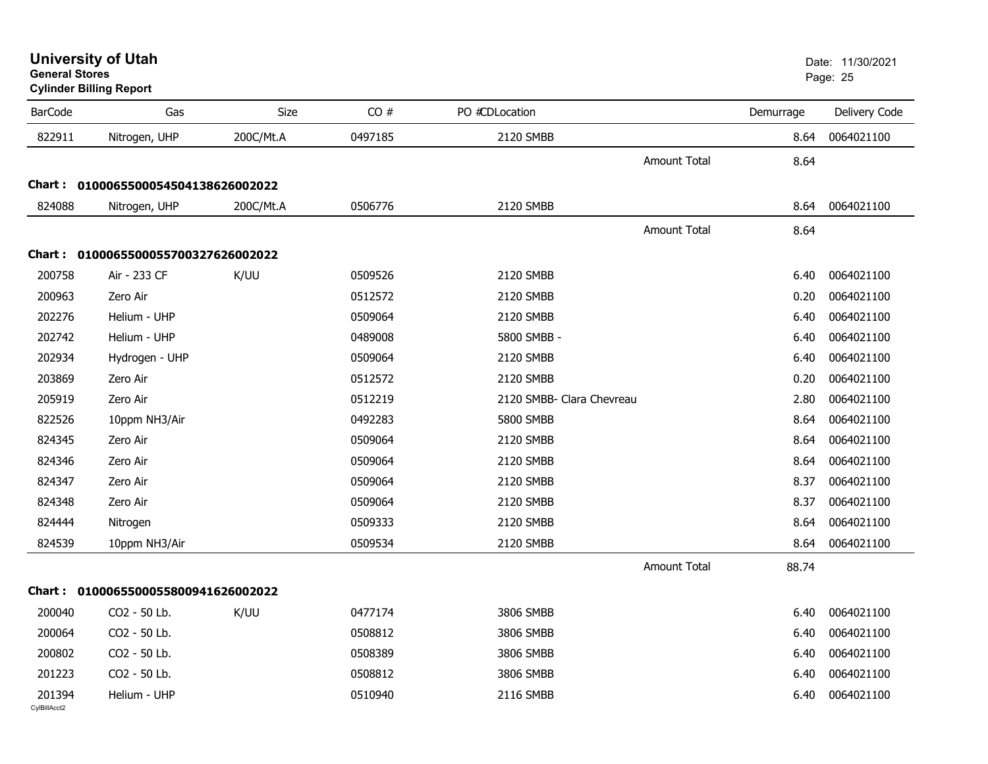|                | <b>Cylinder Billing Report</b>      |           |         |                           |           |               |
|----------------|-------------------------------------|-----------|---------|---------------------------|-----------|---------------|
| <b>BarCode</b> | Gas                                 | Size      | CO#     | PO #CDLocation            | Demurrage | Delivery Code |
| 822911         | Nitrogen, UHP                       | 200C/Mt.A | 0497185 | 2120 SMBB                 | 8.64      | 0064021100    |
|                |                                     |           |         | <b>Amount Total</b>       | 8.64      |               |
|                | Chart: 0100065500054504138626002022 |           |         |                           |           |               |
| 824088         | Nitrogen, UHP                       | 200C/Mt.A | 0506776 | 2120 SMBB                 | 8.64      | 0064021100    |
|                |                                     |           |         | <b>Amount Total</b>       | 8.64      |               |
|                | Chart: 0100065500055700327626002022 |           |         |                           |           |               |
| 200758         | Air - 233 CF                        | K/UU      | 0509526 | 2120 SMBB                 | 6.40      | 0064021100    |
| 200963         | Zero Air                            |           | 0512572 | 2120 SMBB                 | 0.20      | 0064021100    |
| 202276         | Helium - UHP                        |           | 0509064 | 2120 SMBB                 | 6.40      | 0064021100    |
| 202742         | Helium - UHP                        |           | 0489008 | 5800 SMBB -               | 6.40      | 0064021100    |
| 202934         | Hydrogen - UHP                      |           | 0509064 | 2120 SMBB                 | 6.40      | 0064021100    |
| 203869         | Zero Air                            |           | 0512572 | 2120 SMBB                 | 0.20      | 0064021100    |
| 205919         | Zero Air                            |           | 0512219 | 2120 SMBB- Clara Chevreau | 2.80      | 0064021100    |
| 822526         | 10ppm NH3/Air                       |           | 0492283 | 5800 SMBB                 | 8.64      | 0064021100    |
| 824345         | Zero Air                            |           | 0509064 | 2120 SMBB                 | 8.64      | 0064021100    |
| 824346         | Zero Air                            |           | 0509064 | 2120 SMBB                 | 8.64      | 0064021100    |
| 824347         | Zero Air                            |           | 0509064 | 2120 SMBB                 | 8.37      | 0064021100    |
| 824348         | Zero Air                            |           | 0509064 | 2120 SMBB                 | 8.37      | 0064021100    |
| 824444         | Nitrogen                            |           | 0509333 | 2120 SMBB                 | 8.64      | 0064021100    |
| 824539         | 10ppm NH3/Air                       |           | 0509534 | 2120 SMBB                 | 8.64      | 0064021100    |
|                |                                     |           |         | <b>Amount Total</b>       | 88.74     |               |
|                | Chart: 0100065500055800941626002022 |           |         |                           |           |               |
| 200040         | CO2 - 50 Lb.                        | K/UU      | 0477174 | 3806 SMBB                 | 6.40      | 0064021100    |
| 200064         | CO2 - 50 Lb.                        |           | 0508812 | 3806 SMBB                 | 6.40      | 0064021100    |
| 200802         | CO2 - 50 Lb.                        |           | 0508389 | 3806 SMBB                 | 6.40      | 0064021100    |
| 201223         | CO2 - 50 Lb.                        |           | 0508812 | 3806 SMBB                 | 6.40      | 0064021100    |
| 201394         | Helium - UHP                        |           | 0510940 | 2116 SMBB                 | 6.40      | 0064021100    |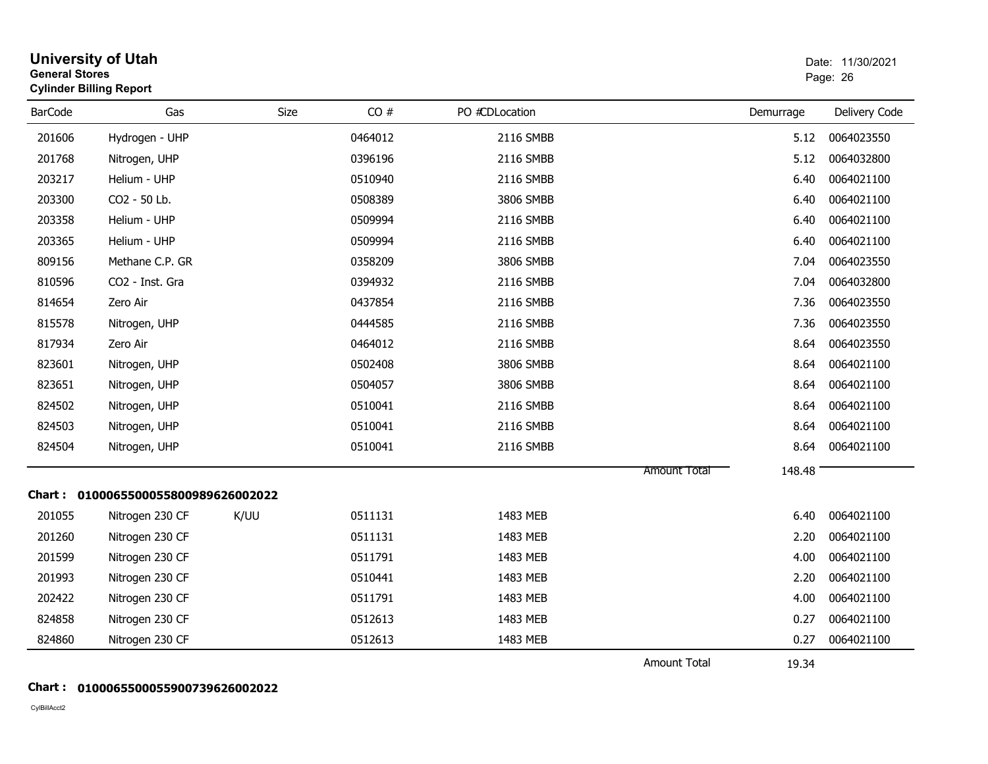| <b>General Stores</b> | <b>University of Utah</b><br><b>Cylinder Billing Report</b> |      |         |                |                     |           | Date: 11/30/2021<br>Page: 26 |
|-----------------------|-------------------------------------------------------------|------|---------|----------------|---------------------|-----------|------------------------------|
| <b>BarCode</b>        | Gas                                                         | Size | CO#     | PO #CDLocation |                     | Demurrage | Delivery Code                |
| 201606                | Hydrogen - UHP                                              |      | 0464012 | 2116 SMBB      |                     | 5.12      | 0064023550                   |
| 201768                | Nitrogen, UHP                                               |      | 0396196 | 2116 SMBB      |                     | 5.12      | 0064032800                   |
| 203217                | Helium - UHP                                                |      | 0510940 | 2116 SMBB      |                     | 6.40      | 0064021100                   |
| 203300                | CO2 - 50 Lb.                                                |      | 0508389 | 3806 SMBB      |                     | 6.40      | 0064021100                   |
| 203358                | Helium - UHP                                                |      | 0509994 | 2116 SMBB      |                     | 6.40      | 0064021100                   |
| 203365                | Helium - UHP                                                |      | 0509994 | 2116 SMBB      |                     | 6.40      | 0064021100                   |
| 809156                | Methane C.P. GR                                             |      | 0358209 | 3806 SMBB      |                     | 7.04      | 0064023550                   |
| 810596                | CO2 - Inst. Gra                                             |      | 0394932 | 2116 SMBB      |                     | 7.04      | 0064032800                   |
| 814654                | Zero Air                                                    |      | 0437854 | 2116 SMBB      |                     | 7.36      | 0064023550                   |
| 815578                | Nitrogen, UHP                                               |      | 0444585 | 2116 SMBB      |                     | 7.36      | 0064023550                   |
| 817934                | Zero Air                                                    |      | 0464012 | 2116 SMBB      |                     | 8.64      | 0064023550                   |
| 823601                | Nitrogen, UHP                                               |      | 0502408 | 3806 SMBB      |                     | 8.64      | 0064021100                   |
| 823651                | Nitrogen, UHP                                               |      | 0504057 | 3806 SMBB      |                     | 8.64      | 0064021100                   |
| 824502                | Nitrogen, UHP                                               |      | 0510041 | 2116 SMBB      |                     | 8.64      | 0064021100                   |
| 824503                | Nitrogen, UHP                                               |      | 0510041 | 2116 SMBB      |                     | 8.64      | 0064021100                   |
| 824504                | Nitrogen, UHP                                               |      | 0510041 | 2116 SMBB      |                     | 8.64      | 0064021100                   |
|                       |                                                             |      |         |                | <b>Amount Total</b> | 148.48    |                              |
|                       | Chart: 0100065500055800989626002022                         |      |         |                |                     |           |                              |
| 201055                | Nitrogen 230 CF                                             | K/UU | 0511131 | 1483 MEB       |                     | 6.40      | 0064021100                   |
| 201260                | Nitrogen 230 CF                                             |      | 0511131 | 1483 MEB       |                     | 2.20      | 0064021100                   |
| 201599                | Nitrogen 230 CF                                             |      | 0511791 | 1483 MEB       |                     | 4.00      | 0064021100                   |
| 201993                | Nitrogen 230 CF                                             |      | 0510441 | 1483 MEB       |                     | 2.20      | 0064021100                   |
| 202422                | Nitrogen 230 CF                                             |      | 0511791 | 1483 MEB       |                     | 4.00      | 0064021100                   |
| 824858                | Nitrogen 230 CF                                             |      | 0512613 | 1483 MEB       |                     | 0.27      | 0064021100                   |
| 824860                | Nitrogen 230 CF                                             |      | 0512613 | 1483 MEB       |                     | 0.27      | 0064021100                   |
|                       |                                                             |      |         |                | <b>Amount Total</b> | 19.34     |                              |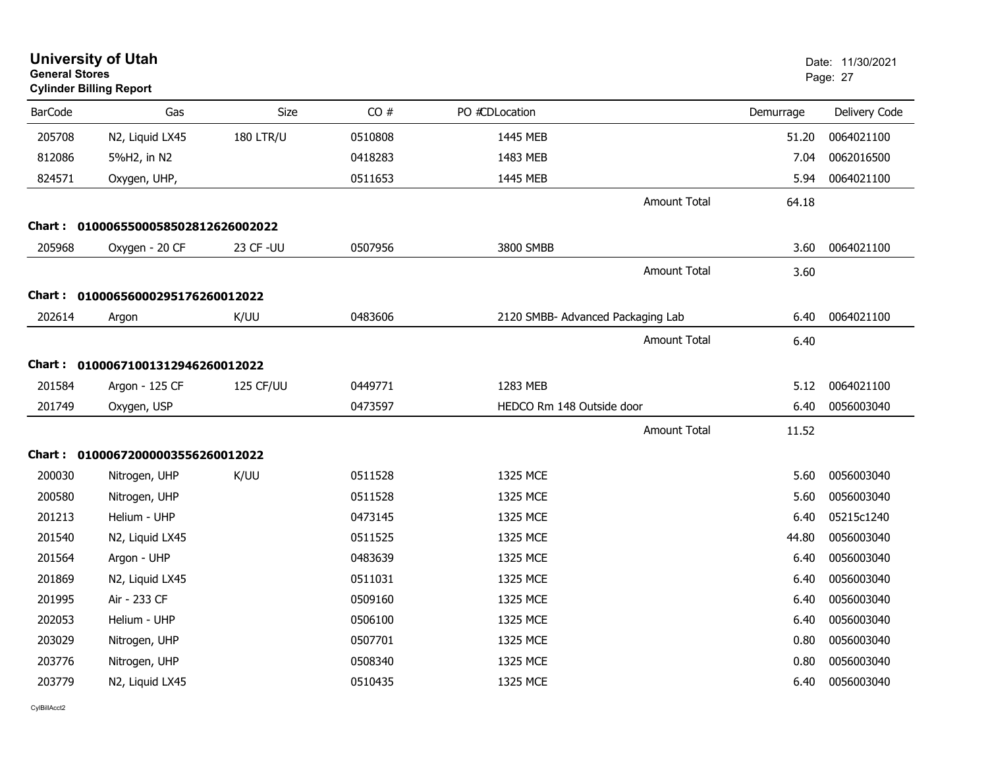| <b>General Stores</b> | <b>University of Utah</b><br><b>Cylinder Billing Report</b> |                  |         |                                   |                     |           | Date: 11/30/2021<br>Page: 27 |
|-----------------------|-------------------------------------------------------------|------------------|---------|-----------------------------------|---------------------|-----------|------------------------------|
| <b>BarCode</b>        | Gas                                                         | <b>Size</b>      | CO#     | PO #CDLocation                    |                     | Demurrage | Delivery Code                |
| 205708                | N2, Liquid LX45                                             | <b>180 LTR/U</b> | 0510808 | 1445 MEB                          |                     | 51.20     | 0064021100                   |
| 812086                | 5%H2, in N2                                                 |                  | 0418283 | 1483 MEB                          |                     | 7.04      | 0062016500                   |
| 824571                | Oxygen, UHP,                                                |                  | 0511653 | 1445 MEB                          |                     | 5.94      | 0064021100                   |
|                       |                                                             |                  |         |                                   | <b>Amount Total</b> | 64.18     |                              |
|                       | Chart: 0100065500058502812626002022                         |                  |         |                                   |                     |           |                              |
| 205968                | Oxygen - 20 CF                                              | 23 CF - UU       | 0507956 | 3800 SMBB                         |                     | 3.60      | 0064021100                   |
|                       |                                                             |                  |         |                                   | <b>Amount Total</b> | 3.60      |                              |
|                       | Chart: 01000656000295176260012022                           |                  |         |                                   |                     |           |                              |
| 202614                | Argon                                                       | K/UU             | 0483606 | 2120 SMBB- Advanced Packaging Lab |                     | 6.40      | 0064021100                   |
|                       |                                                             |                  |         |                                   | <b>Amount Total</b> | 6.40      |                              |
|                       | Chart: 01000671001312946260012022                           |                  |         |                                   |                     |           |                              |
| 201584                | Argon - 125 CF                                              | 125 CF/UU        | 0449771 | 1283 MEB                          |                     | 5.12      | 0064021100                   |
| 201749                | Oxygen, USP                                                 |                  | 0473597 | HEDCO Rm 148 Outside door         |                     | 6.40      | 0056003040                   |
|                       |                                                             |                  |         |                                   | Amount Total        | 11.52     |                              |
|                       | Chart: 01000672000003556260012022                           |                  |         |                                   |                     |           |                              |
| 200030                | Nitrogen, UHP                                               | K/UU             | 0511528 | 1325 MCE                          |                     | 5.60      | 0056003040                   |
| 200580                | Nitrogen, UHP                                               |                  | 0511528 | 1325 MCE                          |                     | 5.60      | 0056003040                   |
| 201213                | Helium - UHP                                                |                  | 0473145 | 1325 MCE                          |                     | 6.40      | 05215c1240                   |
| 201540                | N2, Liquid LX45                                             |                  | 0511525 | 1325 MCE                          |                     | 44.80     | 0056003040                   |
| 201564                | Argon - UHP                                                 |                  | 0483639 | 1325 MCE                          |                     | 6.40      | 0056003040                   |
| 201869                | N2, Liquid LX45                                             |                  | 0511031 | 1325 MCE                          |                     | 6.40      | 0056003040                   |
| 201995                | Air - 233 CF                                                |                  | 0509160 | 1325 MCE                          |                     | 6.40      | 0056003040                   |
| 202053                | Helium - UHP                                                |                  | 0506100 | 1325 MCE                          |                     | 6.40      | 0056003040                   |
| 203029                | Nitrogen, UHP                                               |                  | 0507701 | 1325 MCE                          |                     | 0.80      | 0056003040                   |
| 203776                | Nitrogen, UHP                                               |                  | 0508340 | 1325 MCE                          |                     | 0.80      | 0056003040                   |
| 203779                | N2, Liquid LX45                                             |                  | 0510435 | 1325 MCE                          |                     | 6.40      | 0056003040                   |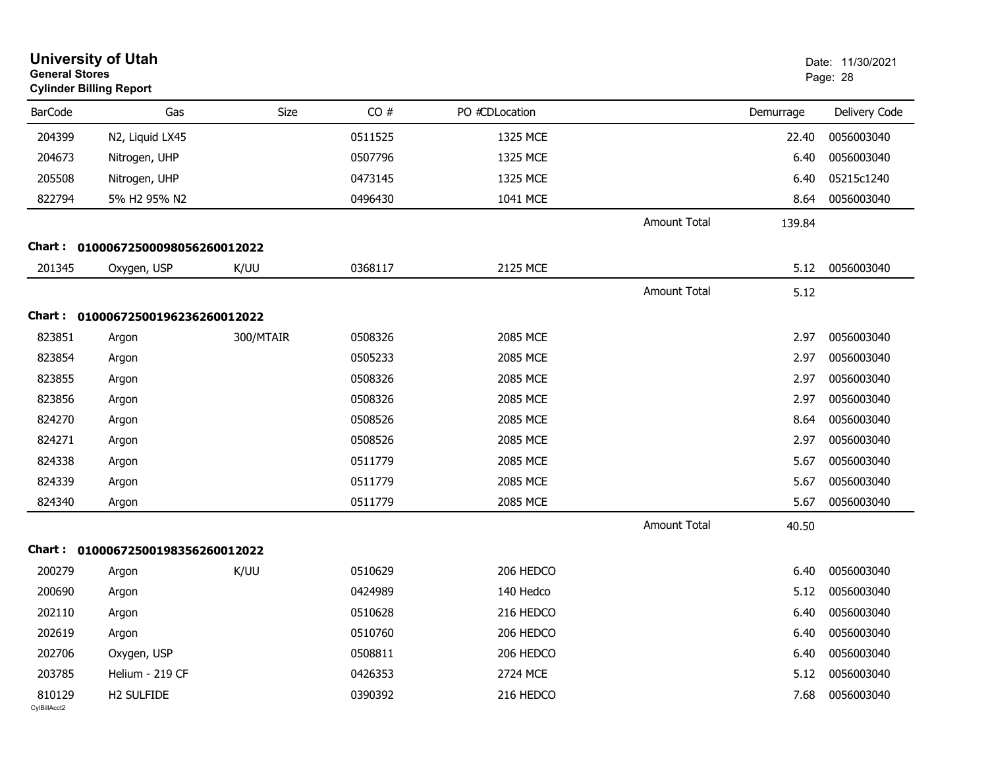| <b>General Stores</b>  | <b>University of Utah</b><br><b>Cylinder Billing Report</b> |             |         |                |                     |           | Date: 11/30/2021<br>Page: 28 |
|------------------------|-------------------------------------------------------------|-------------|---------|----------------|---------------------|-----------|------------------------------|
| <b>BarCode</b>         | Gas                                                         | <b>Size</b> | CO#     | PO #CDLocation |                     | Demurrage | Delivery Code                |
| 204399                 | N2, Liquid LX45                                             |             | 0511525 | 1325 MCE       |                     | 22.40     | 0056003040                   |
| 204673                 | Nitrogen, UHP                                               |             | 0507796 | 1325 MCE       |                     | 6.40      | 0056003040                   |
| 205508                 | Nitrogen, UHP                                               |             | 0473145 | 1325 MCE       |                     | 6.40      | 05215c1240                   |
| 822794                 | 5% H2 95% N2                                                |             | 0496430 | 1041 MCE       |                     | 8.64      | 0056003040                   |
|                        |                                                             |             |         |                | Amount Total        | 139.84    |                              |
| Chart :                | 01000672500098056260012022                                  |             |         |                |                     |           |                              |
| 201345                 | Oxygen, USP                                                 | K/UU        | 0368117 | 2125 MCE       |                     | 5.12      | 0056003040                   |
|                        |                                                             |             |         |                | <b>Amount Total</b> | 5.12      |                              |
| <b>Chart :</b>         | 01000672500196236260012022                                  |             |         |                |                     |           |                              |
| 823851                 | Argon                                                       | 300/MTAIR   | 0508326 | 2085 MCE       |                     | 2.97      | 0056003040                   |
| 823854                 | Argon                                                       |             | 0505233 | 2085 MCE       |                     | 2.97      | 0056003040                   |
| 823855                 | Argon                                                       |             | 0508326 | 2085 MCE       |                     | 2.97      | 0056003040                   |
| 823856                 | Argon                                                       |             | 0508326 | 2085 MCE       |                     | 2.97      | 0056003040                   |
| 824270                 | Argon                                                       |             | 0508526 | 2085 MCE       |                     | 8.64      | 0056003040                   |
| 824271                 | Argon                                                       |             | 0508526 | 2085 MCE       |                     | 2.97      | 0056003040                   |
| 824338                 | Argon                                                       |             | 0511779 | 2085 MCE       |                     | 5.67      | 0056003040                   |
| 824339                 | Argon                                                       |             | 0511779 | 2085 MCE       |                     | 5.67      | 0056003040                   |
| 824340                 | Argon                                                       |             | 0511779 | 2085 MCE       |                     | 5.67      | 0056003040                   |
|                        |                                                             |             |         |                | <b>Amount Total</b> | 40.50     |                              |
|                        | Chart: 01000672500198356260012022                           |             |         |                |                     |           |                              |
| 200279                 | Argon                                                       | K/UU        | 0510629 | 206 HEDCO      |                     | 6.40      | 0056003040                   |
| 200690                 | Argon                                                       |             | 0424989 | 140 Hedco      |                     | 5.12      | 0056003040                   |
| 202110                 | Argon                                                       |             | 0510628 | 216 HEDCO      |                     | 6.40      | 0056003040                   |
| 202619                 | Argon                                                       |             | 0510760 | 206 HEDCO      |                     | 6.40      | 0056003040                   |
| 202706                 | Oxygen, USP                                                 |             | 0508811 | 206 HEDCO      |                     | 6.40      | 0056003040                   |
| 203785                 | Helium - 219 CF                                             |             | 0426353 | 2724 MCE       |                     | 5.12      | 0056003040                   |
| 810129<br>CylBillAcct2 | H2 SULFIDE                                                  |             | 0390392 | 216 HEDCO      |                     | 7.68      | 0056003040                   |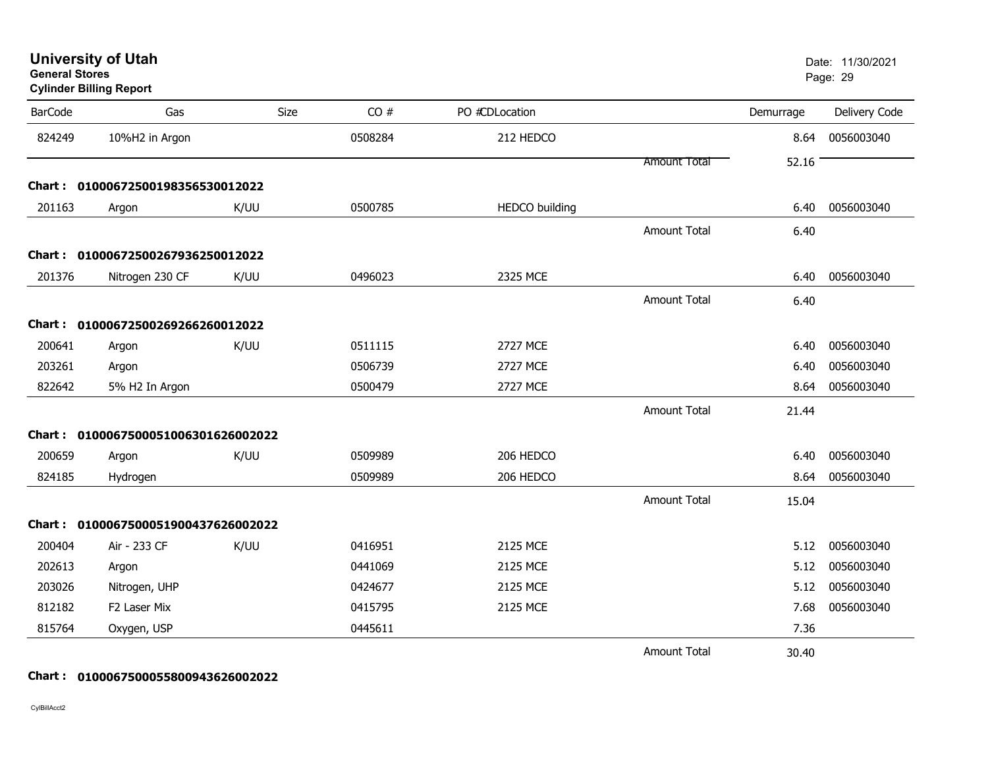| General Stores | <b>Cylinder Billing Report</b>      |      |         |                       |                     |           | Page: 29      |
|----------------|-------------------------------------|------|---------|-----------------------|---------------------|-----------|---------------|
| <b>BarCode</b> | Gas                                 | Size | CO#     | PO #CDLocation        |                     | Demurrage | Delivery Code |
| 824249         | 10%H2 in Argon                      |      | 0508284 | 212 HEDCO             |                     | 8.64      | 0056003040    |
|                |                                     |      |         |                       | Amount Total        | 52.16     |               |
|                | Chart: 01000672500198356530012022   |      |         |                       |                     |           |               |
| 201163         | Argon                               | K/UU | 0500785 | <b>HEDCO</b> building |                     | 6.40      | 0056003040    |
|                |                                     |      |         |                       | <b>Amount Total</b> | 6.40      |               |
|                | Chart: 01000672500267936250012022   |      |         |                       |                     |           |               |
| 201376         | Nitrogen 230 CF                     | K/UU | 0496023 | 2325 MCE              |                     | 6.40      | 0056003040    |
|                |                                     |      |         |                       | <b>Amount Total</b> | 6.40      |               |
|                | Chart: 01000672500269266260012022   |      |         |                       |                     |           |               |
| 200641         | Argon                               | K/UU | 0511115 | <b>2727 MCE</b>       |                     | 6.40      | 0056003040    |
| 203261         | Argon                               |      | 0506739 | <b>2727 MCE</b>       |                     | 6.40      | 0056003040    |
| 822642         | 5% H2 In Argon                      |      | 0500479 | <b>2727 MCE</b>       |                     | 8.64      | 0056003040    |
|                |                                     |      |         |                       | <b>Amount Total</b> | 21.44     |               |
| Chart :        | 0100067500051006301626002022        |      |         |                       |                     |           |               |
| 200659         | Argon                               | K/UU | 0509989 | 206 HEDCO             |                     | 6.40      | 0056003040    |
| 824185         | Hydrogen                            |      | 0509989 | 206 HEDCO             |                     | 8.64      | 0056003040    |
|                |                                     |      |         |                       | <b>Amount Total</b> | 15.04     |               |
|                | Chart: 0100067500051900437626002022 |      |         |                       |                     |           |               |
| 200404         | Air - 233 CF                        | K/UU | 0416951 | 2125 MCE              |                     | 5.12      | 0056003040    |
| 202613         | Argon                               |      | 0441069 | 2125 MCE              |                     | 5.12      | 0056003040    |
| 203026         | Nitrogen, UHP                       |      | 0424677 | 2125 MCE              |                     | 5.12      | 0056003040    |
| 812182         | F2 Laser Mix                        |      | 0415795 | 2125 MCE              |                     | 7.68      | 0056003040    |
| 815764         | Oxygen, USP                         |      | 0445611 |                       |                     | 7.36      |               |
|                |                                     |      |         |                       | <b>Amount Total</b> | 30.40     |               |

**University of Utah** Date: 11/30/2021

### **Chart : 0100067500055800943626002022**

CylBillAcct2

**General Stores**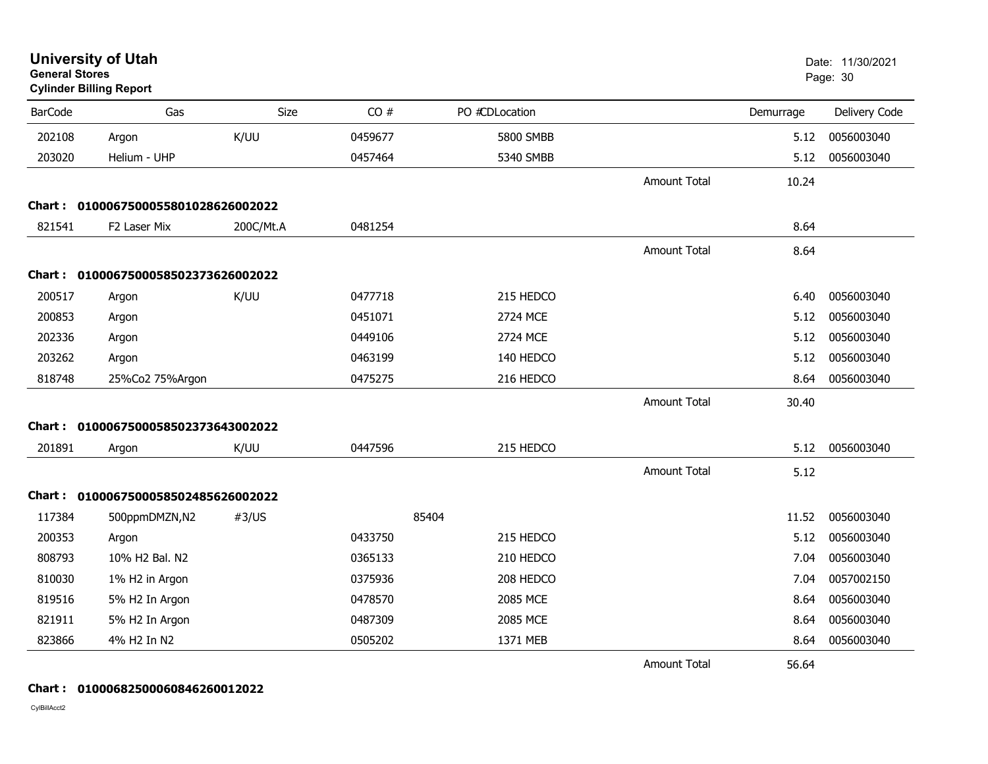| <b>General Stores</b> | <b>University of Utah</b><br><b>Cylinder Billing Report</b> |           |         |                |                     |           | Date: 11/30/2021<br>Page: 30 |
|-----------------------|-------------------------------------------------------------|-----------|---------|----------------|---------------------|-----------|------------------------------|
| <b>BarCode</b>        | Gas                                                         | Size      | CO#     | PO #CDLocation |                     | Demurrage | Delivery Code                |
| 202108                | Argon                                                       | K/UU      | 0459677 | 5800 SMBB      |                     | 5.12      | 0056003040                   |
| 203020                | Helium - UHP                                                |           | 0457464 | 5340 SMBB      |                     | 5.12      | 0056003040                   |
|                       |                                                             |           |         |                | <b>Amount Total</b> | 10.24     |                              |
| <b>Chart :</b>        | 0100067500055801028626002022                                |           |         |                |                     |           |                              |
| 821541                | F2 Laser Mix                                                | 200C/Mt.A | 0481254 |                |                     | 8.64      |                              |
|                       |                                                             |           |         |                | <b>Amount Total</b> | 8.64      |                              |
| Chart :               | 0100067500058502373626002022                                |           |         |                |                     |           |                              |
| 200517                | Argon                                                       | K/UU      | 0477718 | 215 HEDCO      |                     | 6.40      | 0056003040                   |
| 200853                | Argon                                                       |           | 0451071 | 2724 MCE       |                     | 5.12      | 0056003040                   |
| 202336                | Argon                                                       |           | 0449106 | 2724 MCE       |                     | 5.12      | 0056003040                   |
| 203262                | Argon                                                       |           | 0463199 | 140 HEDCO      |                     | 5.12      | 0056003040                   |
| 818748                | 25%Co2 75%Argon                                             |           | 0475275 | 216 HEDCO      |                     | 8.64      | 0056003040                   |
|                       |                                                             |           |         |                | <b>Amount Total</b> | 30.40     |                              |
| Chart :               | 0100067500058502373643002022                                |           |         |                |                     |           |                              |
| 201891                | Argon                                                       | K/UU      | 0447596 | 215 HEDCO      |                     | 5.12      | 0056003040                   |
|                       |                                                             |           |         |                | <b>Amount Total</b> | 5.12      |                              |
|                       | Chart: 0100067500058502485626002022                         |           |         |                |                     |           |                              |
| 117384                | 500ppmDMZN,N2                                               | #3/US     |         | 85404          |                     | 11.52     | 0056003040                   |
| 200353                | Argon                                                       |           | 0433750 | 215 HEDCO      |                     | 5.12      | 0056003040                   |
| 808793                | 10% H <sub>2</sub> Bal, N <sub>2</sub>                      |           | 0365133 | 210 HEDCO      |                     | 7.04      | 0056003040                   |
| 810030                | 1% H2 in Argon                                              |           | 0375936 | 208 HEDCO      |                     | 7.04      | 0057002150                   |
| 819516                | 5% H2 In Argon                                              |           | 0478570 | 2085 MCE       |                     | 8.64      | 0056003040                   |
| 821911                | 5% H2 In Argon                                              |           | 0487309 | 2085 MCE       |                     | 8.64      | 0056003040                   |
| 823866                | 4% H2 In N2                                                 |           | 0505202 | 1371 MEB       |                     | 8.64      | 0056003040                   |
|                       |                                                             |           |         |                | <b>Amount Total</b> | 56.64     |                              |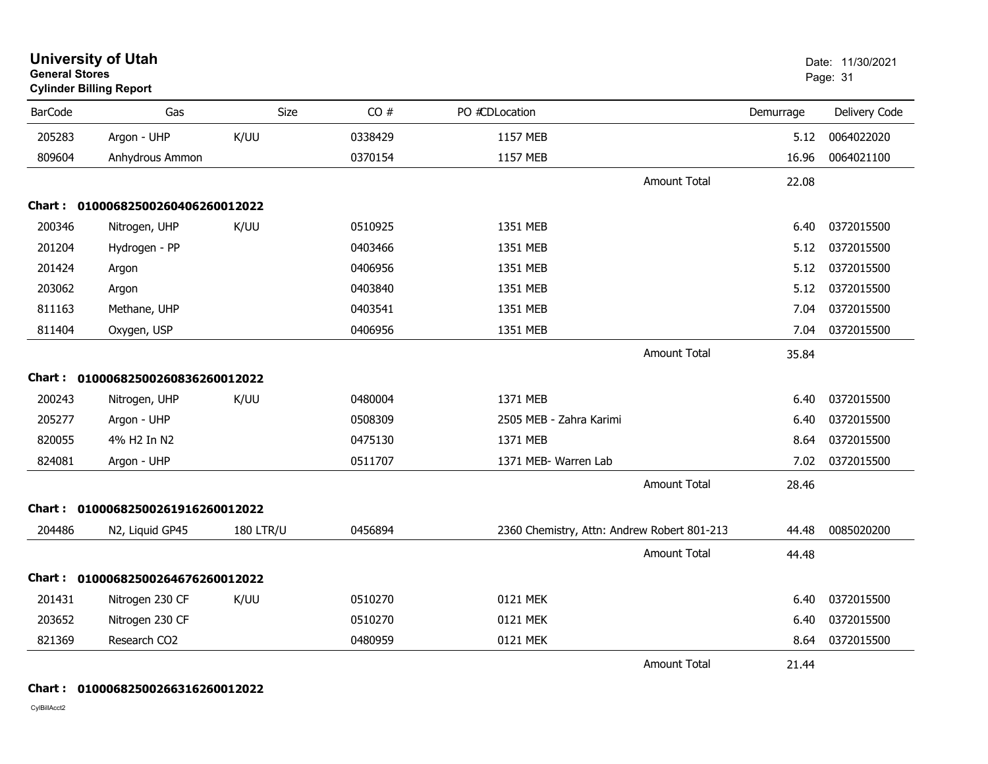| <b>General Stores</b> | <b>University of Utah</b><br><b>Cylinder Billing Report</b> |                  |         |                                             |                     |           | Date: 11/30/2021<br>Page: 31 |
|-----------------------|-------------------------------------------------------------|------------------|---------|---------------------------------------------|---------------------|-----------|------------------------------|
| <b>BarCode</b>        | Gas                                                         | Size             | CO#     | PO #CDLocation                              |                     | Demurrage | Delivery Code                |
| 205283                | Argon - UHP                                                 | K/UU             | 0338429 | 1157 MEB                                    |                     | 5.12      | 0064022020                   |
| 809604                | Anhydrous Ammon                                             |                  | 0370154 | 1157 MEB                                    |                     | 16.96     | 0064021100                   |
|                       |                                                             |                  |         |                                             | <b>Amount Total</b> | 22.08     |                              |
|                       | Chart: 01000682500260406260012022                           |                  |         |                                             |                     |           |                              |
| 200346                | Nitrogen, UHP                                               | K/UU             | 0510925 | 1351 MEB                                    |                     | 6.40      | 0372015500                   |
| 201204                | Hydrogen - PP                                               |                  | 0403466 | 1351 MEB                                    |                     | 5.12      | 0372015500                   |
| 201424                | Argon                                                       |                  | 0406956 | 1351 MEB                                    |                     | 5.12      | 0372015500                   |
| 203062                | Argon                                                       |                  | 0403840 | 1351 MEB                                    |                     | 5.12      | 0372015500                   |
| 811163                | Methane, UHP                                                |                  | 0403541 | 1351 MEB                                    |                     | 7.04      | 0372015500                   |
| 811404                | Oxygen, USP                                                 |                  | 0406956 | 1351 MEB                                    |                     | 7.04      | 0372015500                   |
|                       |                                                             |                  |         |                                             | <b>Amount Total</b> | 35.84     |                              |
|                       | Chart: 01000682500260836260012022                           |                  |         |                                             |                     |           |                              |
| 200243                | Nitrogen, UHP                                               | K/UU             | 0480004 | 1371 MEB                                    |                     | 6.40      | 0372015500                   |
| 205277                | Argon - UHP                                                 |                  | 0508309 | 2505 MEB - Zahra Karimi                     |                     | 6.40      | 0372015500                   |
| 820055                | 4% H2 In N2                                                 |                  | 0475130 | 1371 MEB                                    |                     | 8.64      | 0372015500                   |
| 824081                | Argon - UHP                                                 |                  | 0511707 | 1371 MEB- Warren Lab                        |                     | 7.02      | 0372015500                   |
|                       |                                                             |                  |         |                                             | <b>Amount Total</b> | 28.46     |                              |
|                       | Chart: 01000682500261916260012022                           |                  |         |                                             |                     |           |                              |
| 204486                | N2, Liquid GP45                                             | <b>180 LTR/U</b> | 0456894 | 2360 Chemistry, Attn: Andrew Robert 801-213 |                     | 44.48     | 0085020200                   |
|                       |                                                             |                  |         |                                             | <b>Amount Total</b> | 44.48     |                              |
| Chart :               | 01000682500264676260012022                                  |                  |         |                                             |                     |           |                              |
| 201431                | Nitrogen 230 CF                                             | K/UU             | 0510270 | 0121 MEK                                    |                     | 6.40      | 0372015500                   |
| 203652                | Nitrogen 230 CF                                             |                  | 0510270 | 0121 MEK                                    |                     | 6.40      | 0372015500                   |
| 821369                | Research CO2                                                |                  | 0480959 | 0121 MEK                                    |                     | 8.64      | 0372015500                   |
|                       |                                                             |                  |         |                                             | <b>Amount Total</b> | 21.44     |                              |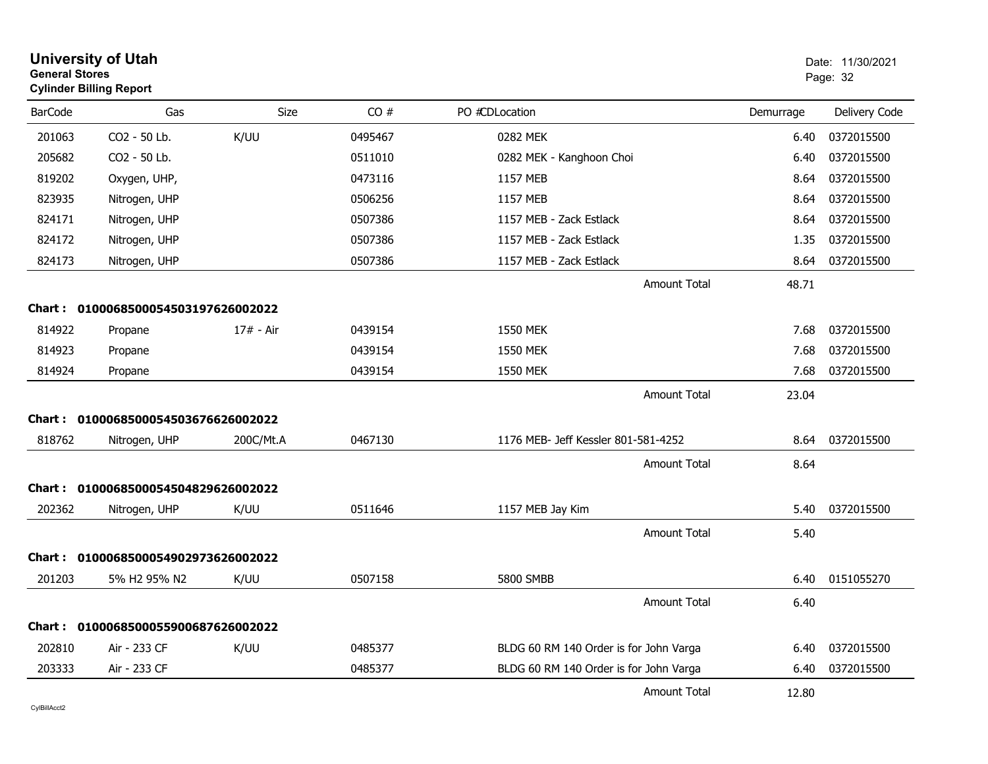| <b>General Stores</b> | <b>University of Utah</b><br><b>Cylinder Billing Report</b> |           |         |                                        |                     |           | Date: 11/30/2021<br>Page: 32 |
|-----------------------|-------------------------------------------------------------|-----------|---------|----------------------------------------|---------------------|-----------|------------------------------|
| <b>BarCode</b>        | Gas                                                         | Size      | CO#     | PO #CDLocation                         |                     | Demurrage | Delivery Code                |
| 201063                | CO2 - 50 Lb.                                                | K/UU      | 0495467 | 0282 MEK                               |                     | 6.40      | 0372015500                   |
| 205682                | CO <sub>2</sub> - 50 Lb.                                    |           | 0511010 | 0282 MEK - Kanghoon Choi               |                     | 6.40      | 0372015500                   |
| 819202                | Oxygen, UHP,                                                |           | 0473116 | <b>1157 MEB</b>                        |                     | 8.64      | 0372015500                   |
| 823935                | Nitrogen, UHP                                               |           | 0506256 | <b>1157 MEB</b>                        |                     | 8.64      | 0372015500                   |
| 824171                | Nitrogen, UHP                                               |           | 0507386 | 1157 MEB - Zack Estlack                |                     | 8.64      | 0372015500                   |
| 824172                | Nitrogen, UHP                                               |           | 0507386 | 1157 MEB - Zack Estlack                |                     | 1.35      | 0372015500                   |
| 824173                | Nitrogen, UHP                                               |           | 0507386 | 1157 MEB - Zack Estlack                |                     | 8.64      | 0372015500                   |
|                       |                                                             |           |         |                                        | Amount Total        | 48.71     |                              |
|                       | Chart: 0100068500054503197626002022                         |           |         |                                        |                     |           |                              |
| 814922                | Propane                                                     | 17# - Air | 0439154 | 1550 MEK                               |                     | 7.68      | 0372015500                   |
| 814923                | Propane                                                     |           | 0439154 | <b>1550 MEK</b>                        |                     | 7.68      | 0372015500                   |
| 814924                | Propane                                                     |           | 0439154 | 1550 MEK                               |                     | 7.68      | 0372015500                   |
|                       |                                                             |           |         |                                        | Amount Total        | 23.04     |                              |
|                       | Chart: 0100068500054503676626002022                         |           |         |                                        |                     |           |                              |
| 818762                | Nitrogen, UHP                                               | 200C/Mt.A | 0467130 | 1176 MEB- Jeff Kessler 801-581-4252    |                     | 8.64      | 0372015500                   |
|                       |                                                             |           |         |                                        | <b>Amount Total</b> | 8.64      |                              |
|                       | Chart: 0100068500054504829626002022                         |           |         |                                        |                     |           |                              |
| 202362                | Nitrogen, UHP                                               | K/UU      | 0511646 | 1157 MEB Jay Kim                       |                     | 5.40      | 0372015500                   |
|                       |                                                             |           |         |                                        | <b>Amount Total</b> | 5.40      |                              |
|                       | Chart: 0100068500054902973626002022                         |           |         |                                        |                     |           |                              |
| 201203                | 5% H <sub>2</sub> 95% N <sub>2</sub>                        | K/UU      | 0507158 | <b>5800 SMBB</b>                       |                     | 6.40      | 0151055270                   |
|                       |                                                             |           |         |                                        | <b>Amount Total</b> | 6.40      |                              |
|                       | Chart: 0100068500055900687626002022                         |           |         |                                        |                     |           |                              |
| 202810                | Air - 233 CF                                                | K/UU      | 0485377 | BLDG 60 RM 140 Order is for John Varga |                     | 6.40      | 0372015500                   |
| 203333                | Air - 233 CF                                                |           | 0485377 | BLDG 60 RM 140 Order is for John Varga |                     | 6.40      | 0372015500                   |
|                       |                                                             |           |         |                                        | <b>Amount Total</b> | 12.80     |                              |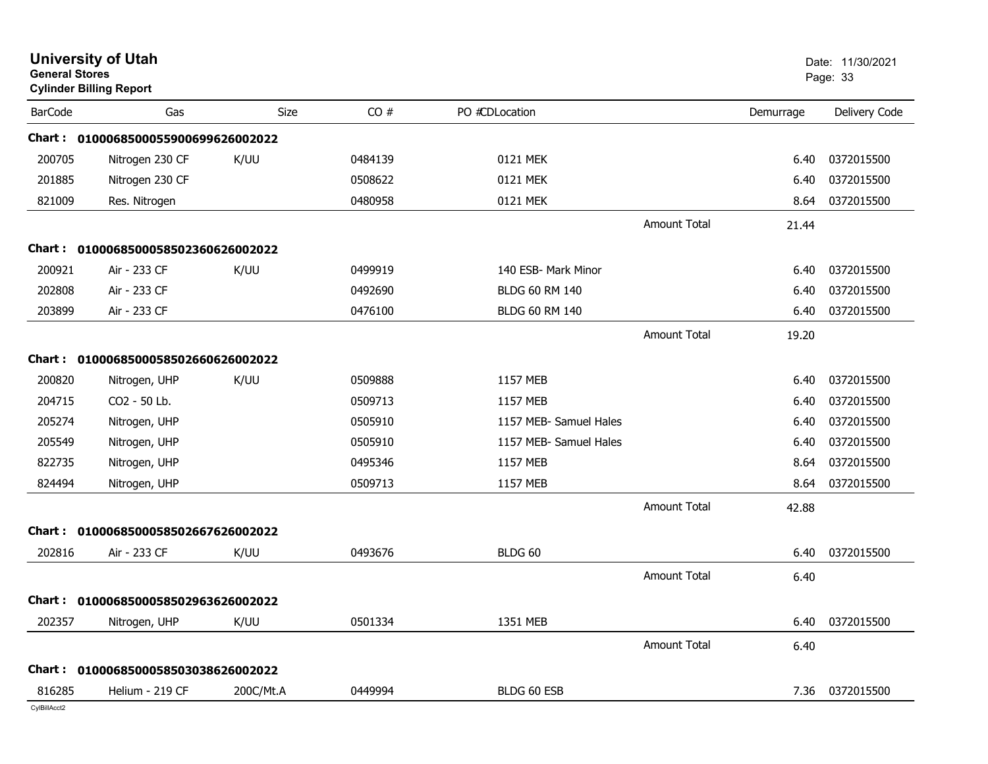|                | <b>University of Utah</b><br><b>General Stores</b><br><b>Cylinder Billing Report</b> |           |         | Date: 11/30/2021<br>Page: 33 |                     |           |               |
|----------------|--------------------------------------------------------------------------------------|-----------|---------|------------------------------|---------------------|-----------|---------------|
| <b>BarCode</b> | Gas                                                                                  | Size      | CO#     | PO #CDLocation               |                     | Demurrage | Delivery Code |
|                | Chart: 0100068500055900699626002022                                                  |           |         |                              |                     |           |               |
| 200705         | Nitrogen 230 CF                                                                      | K/UU      | 0484139 | 0121 MEK                     |                     | 6.40      | 0372015500    |
| 201885         | Nitrogen 230 CF                                                                      |           | 0508622 | 0121 MEK                     |                     | 6.40      | 0372015500    |
| 821009         | Res. Nitrogen                                                                        |           | 0480958 | 0121 MEK                     |                     | 8.64      | 0372015500    |
|                |                                                                                      |           |         |                              | <b>Amount Total</b> | 21.44     |               |
| Chart :        | 0100068500058502360626002022                                                         |           |         |                              |                     |           |               |
| 200921         | Air - 233 CF                                                                         | K/UU      | 0499919 | 140 ESB- Mark Minor          |                     | 6.40      | 0372015500    |
| 202808         | Air - 233 CF                                                                         |           | 0492690 | <b>BLDG 60 RM 140</b>        |                     | 6.40      | 0372015500    |
| 203899         | Air - 233 CF                                                                         |           | 0476100 | <b>BLDG 60 RM 140</b>        |                     | 6.40      | 0372015500    |
|                |                                                                                      |           |         |                              | <b>Amount Total</b> | 19.20     |               |
|                | Chart: 0100068500058502660626002022                                                  |           |         |                              |                     |           |               |
| 200820         | Nitrogen, UHP                                                                        | K/UU      | 0509888 | 1157 MEB                     |                     | 6.40      | 0372015500    |
| 204715         | CO2 - 50 Lb.                                                                         |           | 0509713 | 1157 MEB                     |                     | 6.40      | 0372015500    |
| 205274         | Nitrogen, UHP                                                                        |           | 0505910 | 1157 MEB- Samuel Hales       |                     | 6.40      | 0372015500    |
| 205549         | Nitrogen, UHP                                                                        |           | 0505910 | 1157 MEB- Samuel Hales       |                     | 6.40      | 0372015500    |
| 822735         | Nitrogen, UHP                                                                        |           | 0495346 | 1157 MEB                     |                     | 8.64      | 0372015500    |
| 824494         | Nitrogen, UHP                                                                        |           | 0509713 | 1157 MEB                     |                     | 8.64      | 0372015500    |
|                |                                                                                      |           |         |                              | <b>Amount Total</b> | 42.88     |               |
| Chart :        | 0100068500058502667626002022                                                         |           |         |                              |                     |           |               |
| 202816         | Air - 233 CF                                                                         | K/UU      | 0493676 | BLDG 60                      |                     | 6.40      | 0372015500    |
|                |                                                                                      |           |         |                              | <b>Amount Total</b> | 6.40      |               |
|                | Chart: 0100068500058502963626002022                                                  |           |         |                              |                     |           |               |
| 202357         | Nitrogen, UHP                                                                        | K/UU      | 0501334 | 1351 MEB                     |                     | 6.40      | 0372015500    |
|                |                                                                                      |           |         |                              | Amount Total        | 6.40      |               |
|                | Chart: 0100068500058503038626002022                                                  |           |         |                              |                     |           |               |
| 816285         | Helium - 219 CF                                                                      | 200C/Mt.A | 0449994 | BLDG 60 ESB                  |                     | 7.36      | 0372015500    |
|                |                                                                                      |           |         |                              |                     |           |               |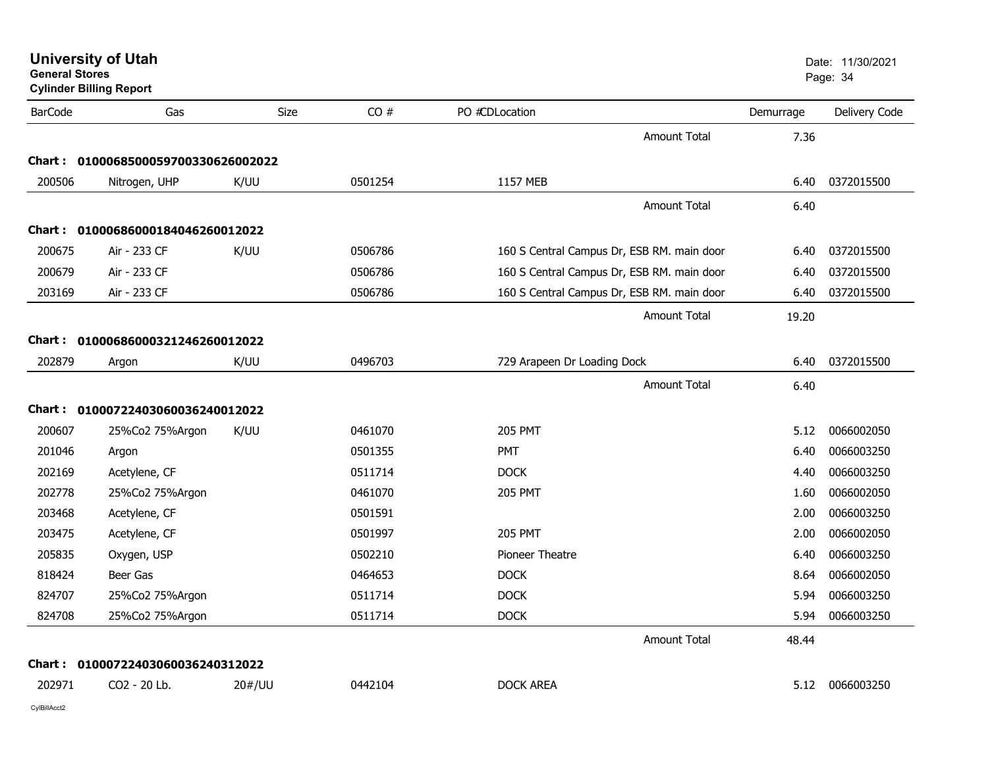**University of Utah** Date: 11/30/2021

| <b>BarCode</b> | Gas                                 | Size   | CO#     | PO #CDLocation                             | Demurrage | Delivery Code |
|----------------|-------------------------------------|--------|---------|--------------------------------------------|-----------|---------------|
|                |                                     |        |         | <b>Amount Total</b>                        | 7.36      |               |
|                | Chart: 0100068500059700330626002022 |        |         |                                            |           |               |
| 200506         | Nitrogen, UHP                       | K/UU   | 0501254 | 1157 MEB                                   | 6.40      | 0372015500    |
|                |                                     |        |         | <b>Amount Total</b>                        | 6.40      |               |
| Chart :        | 01000686000184046260012022          |        |         |                                            |           |               |
| 200675         | Air - 233 CF                        | K/UU   | 0506786 | 160 S Central Campus Dr, ESB RM. main door | 6.40      | 0372015500    |
| 200679         | Air - 233 CF                        |        | 0506786 | 160 S Central Campus Dr, ESB RM. main door | 6.40      | 0372015500    |
| 203169         | Air - 233 CF                        |        | 0506786 | 160 S Central Campus Dr, ESB RM. main door | 6.40      | 0372015500    |
|                |                                     |        |         | <b>Amount Total</b>                        | 19.20     |               |
| Chart :        | 01000686000321246260012022          |        |         |                                            |           |               |
| 202879         | Argon                               | K/UU   | 0496703 | 729 Arapeen Dr Loading Dock                | 6.40      | 0372015500    |
|                |                                     |        |         | <b>Amount Total</b>                        | 6.40      |               |
| <b>Chart :</b> | 01000722403060036240012022          |        |         |                                            |           |               |
| 200607         | 25%Co2 75%Argon                     | K/UU   | 0461070 | <b>205 PMT</b>                             | 5.12      | 0066002050    |
| 201046         | Argon                               |        | 0501355 | PMT                                        | 6.40      | 0066003250    |
| 202169         | Acetylene, CF                       |        | 0511714 | <b>DOCK</b>                                | 4.40      | 0066003250    |
| 202778         | 25%Co2 75%Argon                     |        | 0461070 | <b>205 PMT</b>                             | 1.60      | 0066002050    |
| 203468         | Acetylene, CF                       |        | 0501591 |                                            | 2.00      | 0066003250    |
| 203475         | Acetylene, CF                       |        | 0501997 | <b>205 PMT</b>                             | 2.00      | 0066002050    |
| 205835         | Oxygen, USP                         |        | 0502210 | Pioneer Theatre                            | 6.40      | 0066003250    |
| 818424         | Beer Gas                            |        | 0464653 | <b>DOCK</b>                                | 8.64      | 0066002050    |
|                |                                     |        |         |                                            |           |               |
| 824707         | 25%Co2 75%Argon                     |        | 0511714 | <b>DOCK</b>                                | 5.94      | 0066003250    |
| 824708         | 25%Co2 75%Argon                     |        | 0511714 | <b>DOCK</b>                                | 5.94      | 0066003250    |
|                |                                     |        |         | Amount Total                               | 48.44     |               |
| Chart :        | 01000722403060036240312022          |        |         |                                            |           |               |
| 202971         | CO2 - 20 Lb.                        | 20#/UU | 0442104 | <b>DOCK AREA</b>                           | 5.12      | 0066003250    |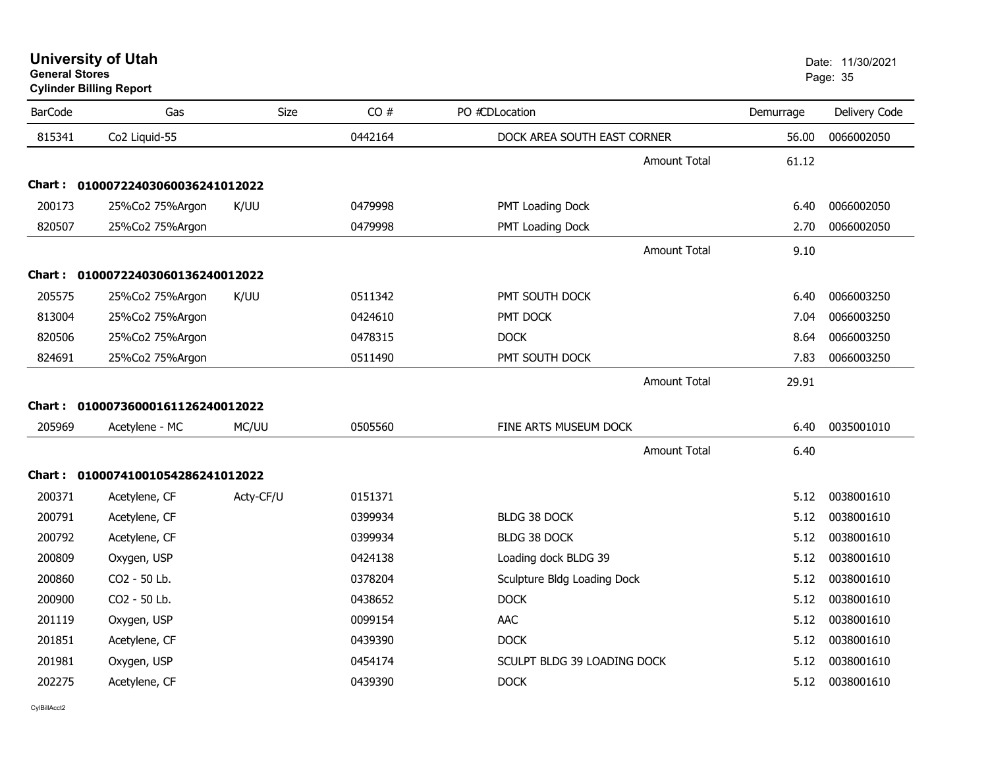## **Cylinder Billing Report**

| <b>BarCode</b> | Gas                               | Size      | CO#     | PO #CDLocation              | Demurrage | Delivery Code |
|----------------|-----------------------------------|-----------|---------|-----------------------------|-----------|---------------|
| 815341         | Co2 Liquid-55                     |           | 0442164 | DOCK AREA SOUTH EAST CORNER | 56.00     | 0066002050    |
|                |                                   |           |         | <b>Amount Total</b>         | 61.12     |               |
| Chart :        | 01000722403060036241012022        |           |         |                             |           |               |
| 200173         | 25%Co2 75%Argon                   | K/UU      | 0479998 | PMT Loading Dock            | 6.40      | 0066002050    |
| 820507         | 25%Co2 75%Argon                   |           | 0479998 | PMT Loading Dock            | 2.70      | 0066002050    |
|                |                                   |           |         | <b>Amount Total</b>         | 9.10      |               |
| Chart :        | 01000722403060136240012022        |           |         |                             |           |               |
| 205575         | 25%Co2 75%Argon                   | K/UU      | 0511342 | PMT SOUTH DOCK              | 6.40      | 0066003250    |
| 813004         | 25%Co2 75%Argon                   |           | 0424610 | PMT DOCK                    | 7.04      | 0066003250    |
| 820506         | 25%Co2 75%Argon                   |           | 0478315 | <b>DOCK</b>                 | 8.64      | 0066003250    |
| 824691         | 25%Co2 75%Argon                   |           | 0511490 | PMT SOUTH DOCK              | 7.83      | 0066003250    |
|                |                                   |           |         | <b>Amount Total</b>         | 29.91     |               |
| Chart :        | 01000736000161126240012022        |           |         |                             |           |               |
| 205969         | Acetylene - MC                    | MC/UU     | 0505560 | FINE ARTS MUSEUM DOCK       | 6.40      | 0035001010    |
|                |                                   |           |         | <b>Amount Total</b>         | 6.40      |               |
|                | Chart: 01000741001054286241012022 |           |         |                             |           |               |
| 200371         | Acetylene, CF                     | Acty-CF/U | 0151371 |                             | 5.12      | 0038001610    |
| 200791         | Acetylene, CF                     |           | 0399934 | BLDG 38 DOCK                | 5.12      | 0038001610    |
| 200792         | Acetylene, CF                     |           | 0399934 | <b>BLDG 38 DOCK</b>         | 5.12      | 0038001610    |
| 200809         | Oxygen, USP                       |           | 0424138 | Loading dock BLDG 39        | 5.12      | 0038001610    |
| 200860         | CO2 - 50 Lb.                      |           | 0378204 | Sculpture Bldg Loading Dock | 5.12      | 0038001610    |
| 200900         | CO2 - 50 Lb.                      |           | 0438652 | <b>DOCK</b>                 | 5.12      | 0038001610    |
| 201119         | Oxygen, USP                       |           | 0099154 | AAC                         | 5.12      | 0038001610    |
| 201851         | Acetylene, CF                     |           | 0439390 | <b>DOCK</b>                 | 5.12      | 0038001610    |
| 201981         | Oxygen, USP                       |           | 0454174 | SCULPT BLDG 39 LOADING DOCK | 5.12      | 0038001610    |
| 202275         | Acetylene, CF                     |           | 0439390 | <b>DOCK</b>                 | 5.12      | 0038001610    |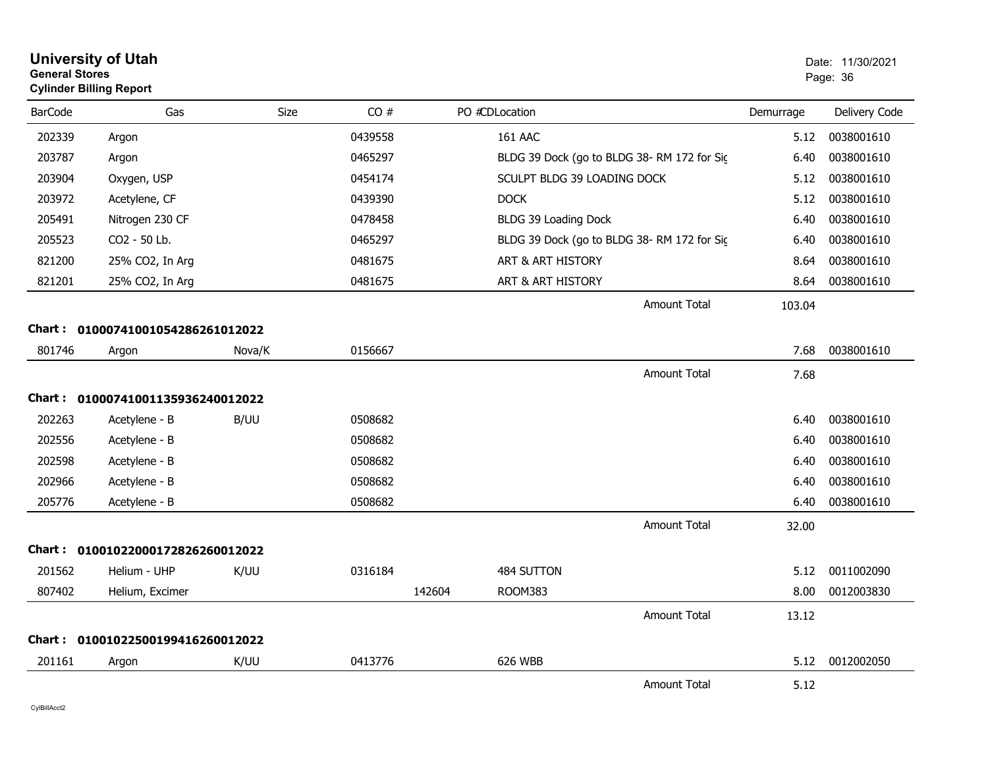| <b>General Stores</b> | <b>Cylinder Billing Report</b>    |        |         |        |                                            |           | Page: 36      |
|-----------------------|-----------------------------------|--------|---------|--------|--------------------------------------------|-----------|---------------|
| <b>BarCode</b>        | Gas                               | Size   | CO#     |        | PO #CDLocation                             | Demurrage | Delivery Code |
| 202339                | Argon                             |        | 0439558 |        | <b>161 AAC</b>                             | 5.12      | 0038001610    |
| 203787                | Argon                             |        | 0465297 |        | BLDG 39 Dock (go to BLDG 38-RM 172 for Sic | 6.40      | 0038001610    |
| 203904                | Oxygen, USP                       |        | 0454174 |        | SCULPT BLDG 39 LOADING DOCK                | 5.12      | 0038001610    |
| 203972                | Acetylene, CF                     |        | 0439390 |        | <b>DOCK</b>                                | 5.12      | 0038001610    |
| 205491                | Nitrogen 230 CF                   |        | 0478458 |        | BLDG 39 Loading Dock                       | 6.40      | 0038001610    |
| 205523                | CO2 - 50 Lb.                      |        | 0465297 |        | BLDG 39 Dock (go to BLDG 38-RM 172 for Sic | 6.40      | 0038001610    |
| 821200                | 25% CO2, In Arg                   |        | 0481675 |        | ART & ART HISTORY                          | 8.64      | 0038001610    |
| 821201                | 25% CO2, In Arg                   |        | 0481675 |        | ART & ART HISTORY                          | 8.64      | 0038001610    |
|                       |                                   |        |         |        | <b>Amount Total</b>                        | 103.04    |               |
| Chart :               | 01000741001054286261012022        |        |         |        |                                            |           |               |
| 801746                | Argon                             | Nova/K | 0156667 |        |                                            | 7.68      | 0038001610    |
|                       |                                   |        |         |        | <b>Amount Total</b>                        | 7.68      |               |
|                       | Chart: 01000741001135936240012022 |        |         |        |                                            |           |               |
| 202263                | Acetylene - B                     | B/UU   | 0508682 |        |                                            | 6.40      | 0038001610    |
| 202556                | Acetylene - B                     |        | 0508682 |        |                                            | 6.40      | 0038001610    |
| 202598                | Acetylene - B                     |        | 0508682 |        |                                            | 6.40      | 0038001610    |
| 202966                | Acetylene - B                     |        | 0508682 |        |                                            | 6.40      | 0038001610    |
| 205776                | Acetylene - B                     |        | 0508682 |        |                                            | 6.40      | 0038001610    |
|                       |                                   |        |         |        | <b>Amount Total</b>                        | 32.00     |               |
| Chart :               | 01001022000172826260012022        |        |         |        |                                            |           |               |
| 201562                | Helium - UHP                      | K/UU   | 0316184 |        | 484 SUTTON                                 | 5.12      | 0011002090    |
| 807402                | Helium, Excimer                   |        |         | 142604 | <b>ROOM383</b>                             | 8.00      | 0012003830    |
|                       |                                   |        |         |        | Amount Total                               | 13.12     |               |
| Chart :               | 01001022500199416260012022        |        |         |        |                                            |           |               |
| 201161                | Argon                             | K/UU   | 0413776 |        | 626 WBB                                    | 5.12      | 0012002050    |
|                       |                                   |        |         |        | <b>Amount Total</b>                        | 5.12      |               |

**University of Utah** Date: 11/30/2021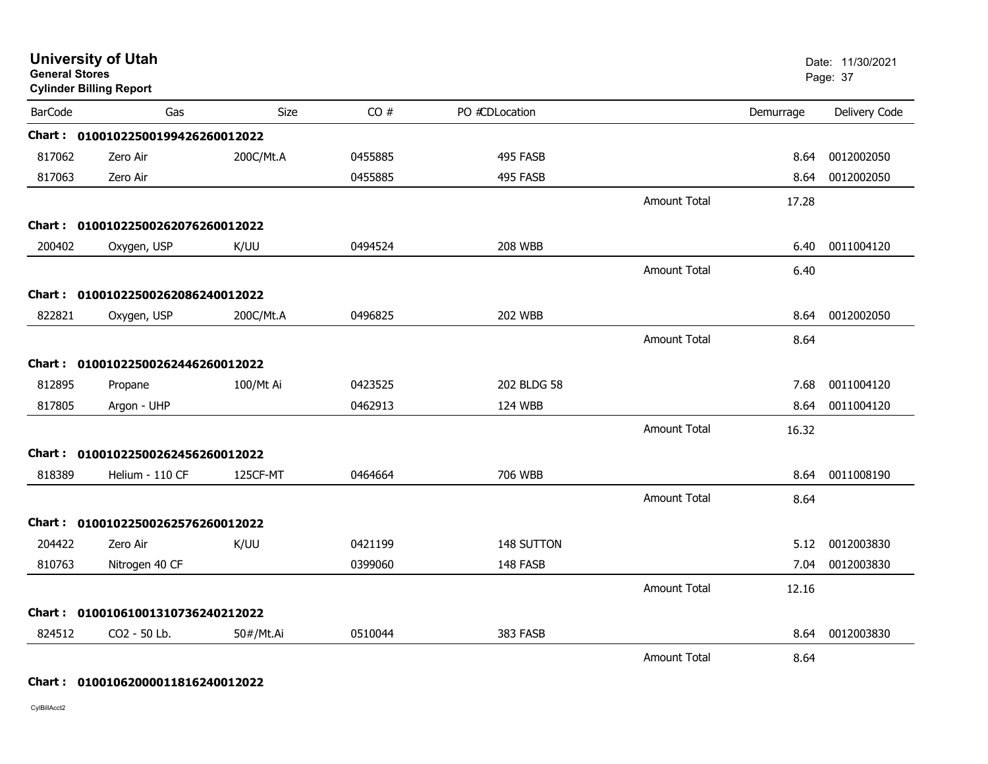| <b>General Stores</b> | <b>University of Utah</b><br><b>Cylinder Billing Report</b> |           |         |                |                     |           | Date: 11/30/2021<br>Page: 37 |
|-----------------------|-------------------------------------------------------------|-----------|---------|----------------|---------------------|-----------|------------------------------|
| <b>BarCode</b>        | Gas                                                         | Size      | CO#     | PO #CDLocation |                     | Demurrage | Delivery Code                |
|                       | Chart: 01001022500199426260012022                           |           |         |                |                     |           |                              |
| 817062                | Zero Air                                                    | 200C/Mt.A | 0455885 | 495 FASB       |                     | 8.64      | 0012002050                   |
| 817063                | Zero Air                                                    |           | 0455885 | 495 FASB       |                     | 8.64      | 0012002050                   |
|                       |                                                             |           |         |                | <b>Amount Total</b> | 17.28     |                              |
|                       | Chart: 01001022500262076260012022                           |           |         |                |                     |           |                              |
| 200402                | Oxygen, USP                                                 | K/UU      | 0494524 | <b>208 WBB</b> |                     | 6.40      | 0011004120                   |
|                       |                                                             |           |         |                | <b>Amount Total</b> | 6.40      |                              |
|                       | Chart: 01001022500262086240012022                           |           |         |                |                     |           |                              |
| 822821                | Oxygen, USP                                                 | 200C/Mt.A | 0496825 | <b>202 WBB</b> |                     | 8.64      | 0012002050                   |
|                       |                                                             |           |         |                | Amount Total        | 8.64      |                              |
|                       | Chart: 01001022500262446260012022                           |           |         |                |                     |           |                              |
| 812895                | Propane                                                     | 100/Mt Ai | 0423525 | 202 BLDG 58    |                     | 7.68      | 0011004120                   |
| 817805                | Argon - UHP                                                 |           | 0462913 | 124 WBB        |                     | 8.64      | 0011004120                   |
|                       |                                                             |           |         |                | <b>Amount Total</b> | 16.32     |                              |
|                       | Chart: 01001022500262456260012022                           |           |         |                |                     |           |                              |
| 818389                | Helium - 110 CF                                             | 125CF-MT  | 0464664 | 706 WBB        |                     | 8.64      | 0011008190                   |
|                       |                                                             |           |         |                | <b>Amount Total</b> | 8.64      |                              |
|                       | Chart: 01001022500262576260012022                           |           |         |                |                     |           |                              |
| 204422                | Zero Air                                                    | K/UU      | 0421199 | 148 SUTTON     |                     | 5.12      | 0012003830                   |
| 810763                | Nitrogen 40 CF                                              |           | 0399060 | 148 FASB       |                     | 7.04      | 0012003830                   |
|                       |                                                             |           |         |                | <b>Amount Total</b> | 12.16     |                              |
|                       | Chart: 01001061001310736240212022                           |           |         |                |                     |           |                              |
| 824512                | CO2 - 50 Lb.                                                | 50#/Mt.Ai | 0510044 | 383 FASB       |                     | 8.64      | 0012003830                   |
|                       |                                                             |           |         |                | <b>Amount Total</b> | 8.64      |                              |

#### **Chart : 01001062000011816240012022**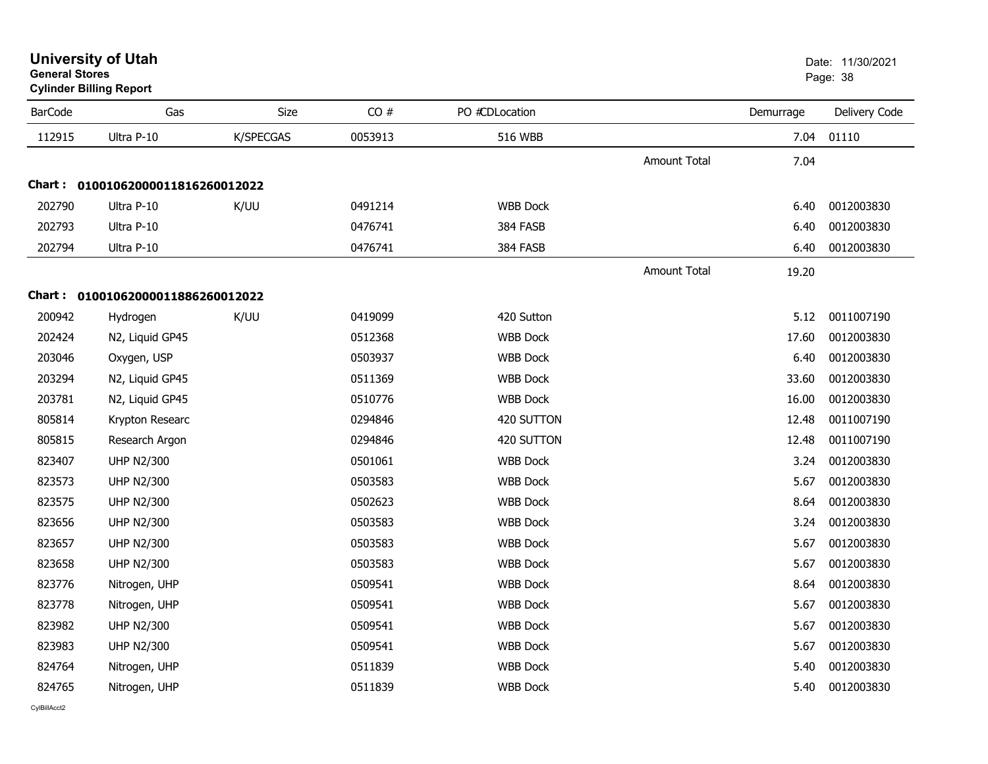| General Stores | <b>Cylinder Billing Report</b>    |           |         |                 |                     |           | Page: 38      |
|----------------|-----------------------------------|-----------|---------|-----------------|---------------------|-----------|---------------|
| <b>BarCode</b> | Gas                               | Size      | CO#     | PO #CDLocation  |                     | Demurrage | Delivery Code |
| 112915         | Ultra P-10                        | K/SPECGAS | 0053913 | <b>516 WBB</b>  |                     | 7.04      | 01110         |
|                |                                   |           |         |                 | <b>Amount Total</b> | 7.04      |               |
|                | Chart: 01001062000011816260012022 |           |         |                 |                     |           |               |
| 202790         | Ultra P-10                        | K/UU      | 0491214 | <b>WBB Dock</b> |                     | 6.40      | 0012003830    |
| 202793         | Ultra P-10                        |           | 0476741 | 384 FASB        |                     | 6.40      | 0012003830    |
| 202794         | Ultra P-10                        |           | 0476741 | 384 FASB        |                     | 6.40      | 0012003830    |
|                |                                   |           |         |                 | <b>Amount Total</b> | 19.20     |               |
|                | Chart: 01001062000011886260012022 |           |         |                 |                     |           |               |
| 200942         | Hydrogen                          | K/UU      | 0419099 | 420 Sutton      |                     | 5.12      | 0011007190    |
| 202424         | N2, Liquid GP45                   |           | 0512368 | <b>WBB Dock</b> |                     | 17.60     | 0012003830    |
| 203046         | Oxygen, USP                       |           | 0503937 | <b>WBB Dock</b> |                     | 6.40      | 0012003830    |
| 203294         | N2, Liquid GP45                   |           | 0511369 | <b>WBB Dock</b> |                     | 33.60     | 0012003830    |
| 203781         | N2, Liquid GP45                   |           | 0510776 | <b>WBB Dock</b> |                     | 16.00     | 0012003830    |
| 805814         | Krypton Researc                   |           | 0294846 | 420 SUTTON      |                     | 12.48     | 0011007190    |
| 805815         | Research Argon                    |           | 0294846 | 420 SUTTON      |                     | 12.48     | 0011007190    |
| 823407         | <b>UHP N2/300</b>                 |           | 0501061 | <b>WBB Dock</b> |                     | 3.24      | 0012003830    |
| 823573         | <b>UHP N2/300</b>                 |           | 0503583 | <b>WBB Dock</b> |                     | 5.67      | 0012003830    |
| 823575         | <b>UHP N2/300</b>                 |           | 0502623 | <b>WBB Dock</b> |                     | 8.64      | 0012003830    |
| 823656         | <b>UHP N2/300</b>                 |           | 0503583 | <b>WBB Dock</b> |                     | 3.24      | 0012003830    |
| 823657         | <b>UHP N2/300</b>                 |           | 0503583 | <b>WBB Dock</b> |                     | 5.67      | 0012003830    |
| 823658         | <b>UHP N2/300</b>                 |           | 0503583 | <b>WBB Dock</b> |                     | 5.67      | 0012003830    |
| 823776         | Nitrogen, UHP                     |           | 0509541 | <b>WBB Dock</b> |                     | 8.64      | 0012003830    |
| 823778         | Nitrogen, UHP                     |           | 0509541 | <b>WBB Dock</b> |                     | 5.67      | 0012003830    |
| 823982         | <b>UHP N2/300</b>                 |           | 0509541 | <b>WBB Dock</b> |                     | 5.67      | 0012003830    |
| 823983         | <b>UHP N2/300</b>                 |           | 0509541 | <b>WBB Dock</b> |                     | 5.67      | 0012003830    |
| 824764         | Nitrogen, UHP                     |           | 0511839 | <b>WBB Dock</b> |                     | 5.40      | 0012003830    |
| 824765         | Nitrogen, UHP                     |           | 0511839 | <b>WBB Dock</b> |                     | 5.40      | 0012003830    |

## **General Stores**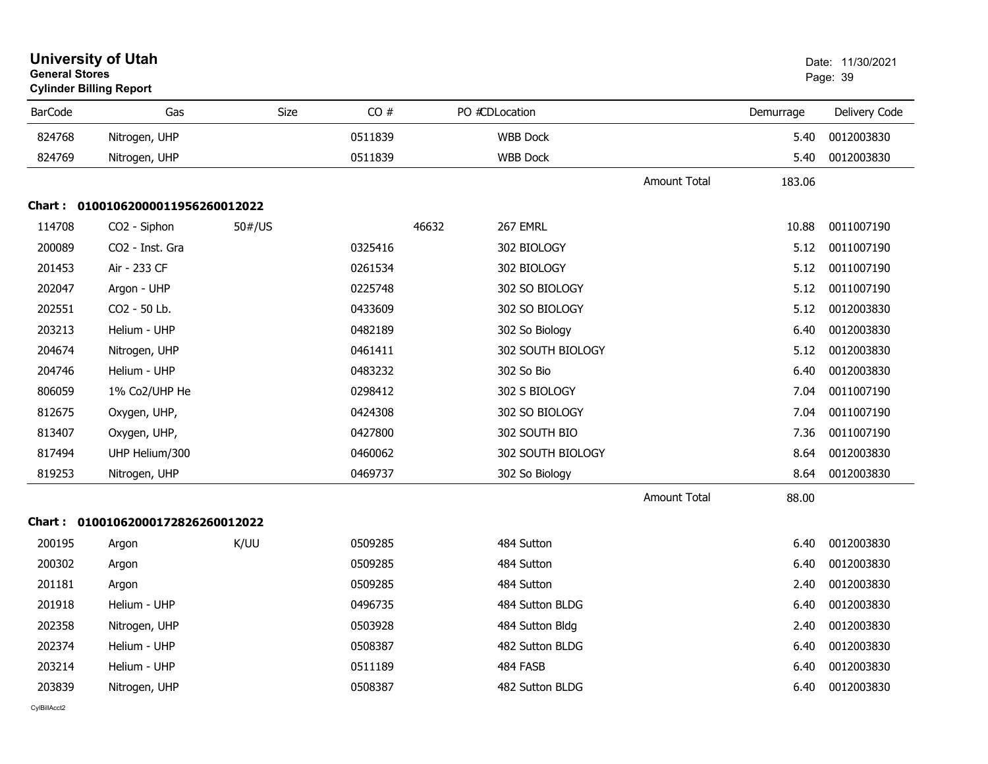| <b>General Stores</b> | <b>University of Utah</b><br><b>Cylinder Billing Report</b> |             |         |                   |                     |           | Date: 11/30/2021<br>Page: 39 |
|-----------------------|-------------------------------------------------------------|-------------|---------|-------------------|---------------------|-----------|------------------------------|
| <b>BarCode</b>        | Gas                                                         | <b>Size</b> | CO#     | PO #CDLocation    |                     | Demurrage | Delivery Code                |
| 824768                | Nitrogen, UHP                                               |             | 0511839 | <b>WBB Dock</b>   |                     | 5.40      | 0012003830                   |
| 824769                | Nitrogen, UHP                                               |             | 0511839 | <b>WBB Dock</b>   |                     | 5.40      | 0012003830                   |
|                       |                                                             |             |         |                   | Amount Total        | 183.06    |                              |
|                       | Chart: 01001062000011956260012022                           |             |         |                   |                     |           |                              |
| 114708                | CO <sub>2</sub> - Siphon                                    | 50#/US      |         | 46632<br>267 EMRL |                     | 10.88     | 0011007190                   |
| 200089                | CO <sub>2</sub> - Inst. Gra                                 |             | 0325416 | 302 BIOLOGY       |                     | 5.12      | 0011007190                   |
| 201453                | Air - 233 CF                                                |             | 0261534 | 302 BIOLOGY       |                     | 5.12      | 0011007190                   |
| 202047                | Argon - UHP                                                 |             | 0225748 | 302 SO BIOLOGY    |                     | 5.12      | 0011007190                   |
| 202551                | CO2 - 50 Lb.                                                |             | 0433609 | 302 SO BIOLOGY    |                     | 5.12      | 0012003830                   |
| 203213                | Helium - UHP                                                |             | 0482189 | 302 So Biology    |                     | 6.40      | 0012003830                   |
| 204674                | Nitrogen, UHP                                               |             | 0461411 | 302 SOUTH BIOLOGY |                     | 5.12      | 0012003830                   |
| 204746                | Helium - UHP                                                |             | 0483232 | 302 So Bio        |                     | 6.40      | 0012003830                   |
| 806059                | 1% Co2/UHP He                                               |             | 0298412 | 302 S BIOLOGY     |                     | 7.04      | 0011007190                   |
| 812675                | Oxygen, UHP,                                                |             | 0424308 | 302 SO BIOLOGY    |                     | 7.04      | 0011007190                   |
| 813407                | Oxygen, UHP,                                                |             | 0427800 | 302 SOUTH BIO     |                     | 7.36      | 0011007190                   |
| 817494                | UHP Helium/300                                              |             | 0460062 | 302 SOUTH BIOLOGY |                     | 8.64      | 0012003830                   |
| 819253                | Nitrogen, UHP                                               |             | 0469737 | 302 So Biology    |                     | 8.64      | 0012003830                   |
|                       |                                                             |             |         |                   | <b>Amount Total</b> | 88.00     |                              |
|                       | Chart: 01001062000172826260012022                           |             |         |                   |                     |           |                              |
| 200195                | Argon                                                       | K/UU        | 0509285 | 484 Sutton        |                     | 6.40      | 0012003830                   |
| 200302                | Argon                                                       |             | 0509285 | 484 Sutton        |                     | 6.40      | 0012003830                   |
| 201181                | Argon                                                       |             | 0509285 | 484 Sutton        |                     | 2.40      | 0012003830                   |
| 201918                | Helium - UHP                                                |             | 0496735 | 484 Sutton BLDG   |                     | 6.40      | 0012003830                   |
| 202358                | Nitrogen, UHP                                               |             | 0503928 | 484 Sutton Bldg   |                     | 2.40      | 0012003830                   |
| 202374                | Helium - UHP                                                |             | 0508387 | 482 Sutton BLDG   |                     | 6.40      | 0012003830                   |
| 203214                | Helium - UHP                                                |             | 0511189 | 484 FASB          |                     | 6.40      | 0012003830                   |
| 203839                | Nitrogen, UHP                                               |             | 0508387 | 482 Sutton BLDG   |                     | 6.40      | 0012003830                   |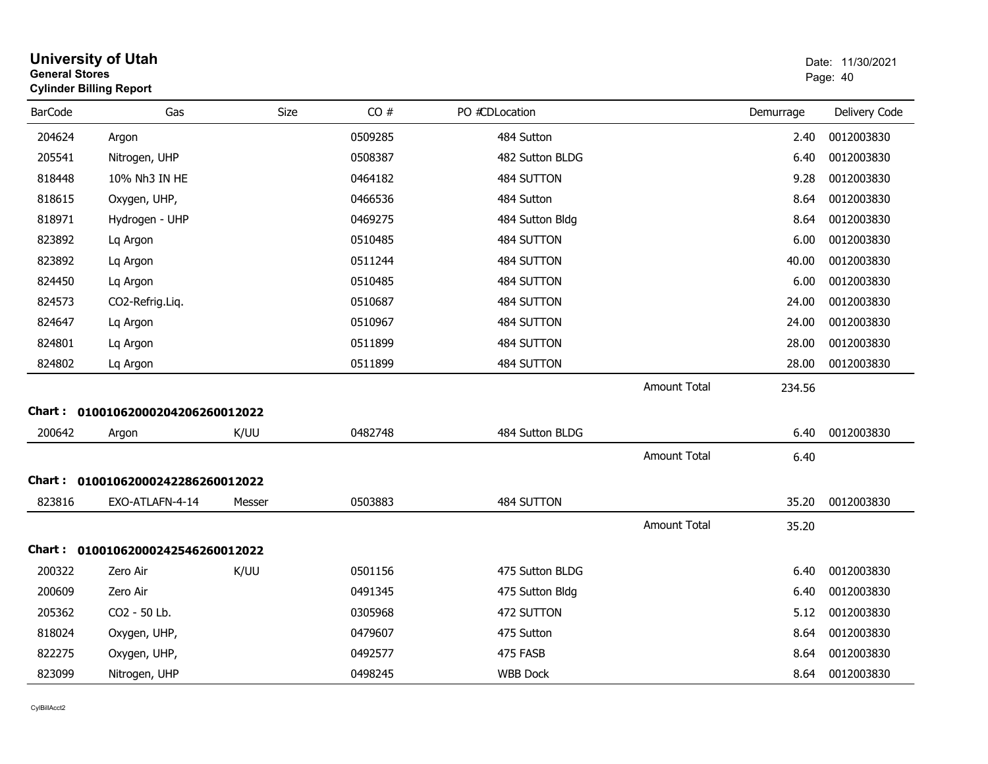| <b>General Stores</b> | <b>University of Utah</b><br><b>Cylinder Billing Report</b> |        |         |                 |                     |           | Date: 11/30/2021<br>Page: 40 |
|-----------------------|-------------------------------------------------------------|--------|---------|-----------------|---------------------|-----------|------------------------------|
| <b>BarCode</b>        | Gas                                                         | Size   | CO#     | PO #CDLocation  |                     | Demurrage | Delivery Code                |
| 204624                | Argon                                                       |        | 0509285 | 484 Sutton      |                     | 2.40      | 0012003830                   |
| 205541                | Nitrogen, UHP                                               |        | 0508387 | 482 Sutton BLDG |                     | 6.40      | 0012003830                   |
| 818448                | 10% Nh3 IN HE                                               |        | 0464182 | 484 SUTTON      |                     | 9.28      | 0012003830                   |
| 818615                | Oxygen, UHP,                                                |        | 0466536 | 484 Sutton      |                     | 8.64      | 0012003830                   |
| 818971                | Hydrogen - UHP                                              |        | 0469275 | 484 Sutton Bldg |                     | 8.64      | 0012003830                   |
| 823892                | Lq Argon                                                    |        | 0510485 | 484 SUTTON      |                     | 6.00      | 0012003830                   |
| 823892                | Lq Argon                                                    |        | 0511244 | 484 SUTTON      |                     | 40.00     | 0012003830                   |
| 824450                | Lq Argon                                                    |        | 0510485 | 484 SUTTON      |                     | 6.00      | 0012003830                   |
| 824573                | CO2-Refrig.Liq.                                             |        | 0510687 | 484 SUTTON      |                     | 24.00     | 0012003830                   |
| 824647                | Lq Argon                                                    |        | 0510967 | 484 SUTTON      |                     | 24.00     | 0012003830                   |
| 824801                | Lq Argon                                                    |        | 0511899 | 484 SUTTON      |                     | 28.00     | 0012003830                   |
| 824802                | Lg Argon                                                    |        | 0511899 | 484 SUTTON      |                     | 28.00     | 0012003830                   |
|                       |                                                             |        |         |                 | Amount Total        | 234.56    |                              |
|                       | Chart: 01001062000204206260012022                           |        |         |                 |                     |           |                              |
| 200642                | Argon                                                       | K/UU   | 0482748 | 484 Sutton BLDG |                     | 6.40      | 0012003830                   |
|                       |                                                             |        |         |                 | <b>Amount Total</b> | 6.40      |                              |
|                       | Chart: 01001062000242286260012022                           |        |         |                 |                     |           |                              |
| 823816                | EXO-ATLAFN-4-14                                             | Messer | 0503883 | 484 SUTTON      |                     | 35.20     | 0012003830                   |
|                       |                                                             |        |         |                 | <b>Amount Total</b> | 35.20     |                              |
|                       | Chart: 01001062000242546260012022                           |        |         |                 |                     |           |                              |
| 200322                | Zero Air                                                    | K/UU   | 0501156 | 475 Sutton BLDG |                     | 6.40      | 0012003830                   |
| 200609                | Zero Air                                                    |        | 0491345 | 475 Sutton Bldg |                     | 6.40      | 0012003830                   |
| 205362                | CO2 - 50 Lb.                                                |        | 0305968 | 472 SUTTON      |                     | 5.12      | 0012003830                   |
| 818024                | Oxygen, UHP,                                                |        | 0479607 | 475 Sutton      |                     | 8.64      | 0012003830                   |
| 822275                | Oxygen, UHP,                                                |        | 0492577 | 475 FASB        |                     | 8.64      | 0012003830                   |
| 823099                | Nitrogen, UHP                                               |        | 0498245 | <b>WBB Dock</b> |                     | 8.64      | 0012003830                   |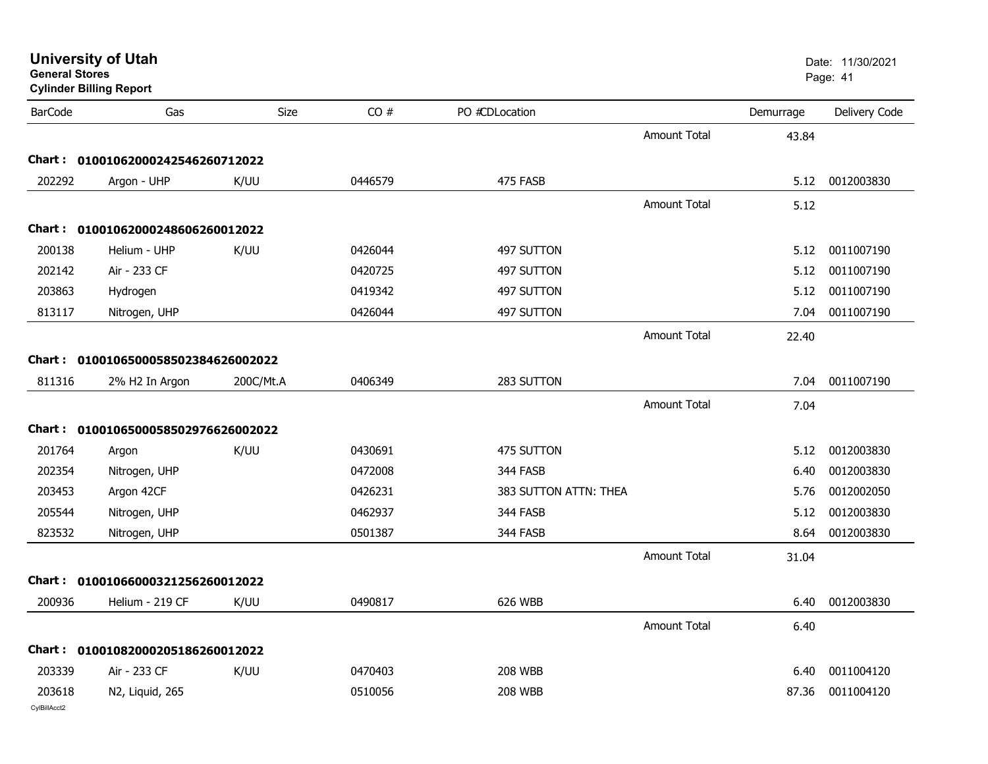| <b>BarCode</b> | Gas                                 | Size      | CO#     | PO #CDLocation        |                     | Demurrage | Delivery Code |
|----------------|-------------------------------------|-----------|---------|-----------------------|---------------------|-----------|---------------|
|                |                                     |           |         |                       | <b>Amount Total</b> | 43.84     |               |
|                | Chart: 01001062000242546260712022   |           |         |                       |                     |           |               |
| 202292         | Argon - UHP                         | K/UU      | 0446579 | 475 FASB              |                     | 5.12      | 0012003830    |
|                |                                     |           |         |                       | <b>Amount Total</b> | 5.12      |               |
| Chart :        | 01001062000248606260012022          |           |         |                       |                     |           |               |
| 200138         | Helium - UHP                        | K/UU      | 0426044 | 497 SUTTON            |                     | 5.12      | 0011007190    |
| 202142         | Air - 233 CF                        |           | 0420725 | 497 SUTTON            |                     | 5.12      | 0011007190    |
| 203863         | Hydrogen                            |           | 0419342 | 497 SUTTON            |                     | 5.12      | 0011007190    |
| 813117         | Nitrogen, UHP                       |           | 0426044 | 497 SUTTON            |                     | 7.04      | 0011007190    |
|                |                                     |           |         |                       | <b>Amount Total</b> | 22.40     |               |
|                | Chart: 0100106500058502384626002022 |           |         |                       |                     |           |               |
| 811316         | 2% H2 In Argon                      | 200C/Mt.A | 0406349 | 283 SUTTON            |                     | 7.04      | 0011007190    |
|                |                                     |           |         |                       | <b>Amount Total</b> | 7.04      |               |
|                | Chart: 0100106500058502976626002022 |           |         |                       |                     |           |               |
| 201764         | Argon                               | K/UU      | 0430691 | 475 SUTTON            |                     | 5.12      | 0012003830    |
| 202354         | Nitrogen, UHP                       |           | 0472008 | 344 FASB              |                     | 6.40      | 0012003830    |
| 203453         | Argon 42CF                          |           | 0426231 | 383 SUTTON ATTN: THEA |                     | 5.76      | 0012002050    |
| 205544         | Nitrogen, UHP                       |           | 0462937 | 344 FASB              |                     | 5.12      | 0012003830    |
| 823532         | Nitrogen, UHP                       |           | 0501387 | 344 FASB              |                     | 8.64      | 0012003830    |
|                |                                     |           |         |                       | <b>Amount Total</b> | 31.04     |               |
|                |                                     |           |         |                       |                     |           |               |

**General Stores**

6.40

Amount Total

CylBillAcct2

200936

## Cha

**Chart : 01001066000321256260012022**

| 203339 | Air - 233 CF    | K/UU | 0470403 | 208 WBB | 6.40 | 0011004120       |
|--------|-----------------|------|---------|---------|------|------------------|
| 203618 | N2, Liquid, 265 |      | 0510056 | 208 WBB |      | 87.36 0011004120 |

936 Helium - 219 CF K/UU 0490817 626 WBB 6.40 0012003830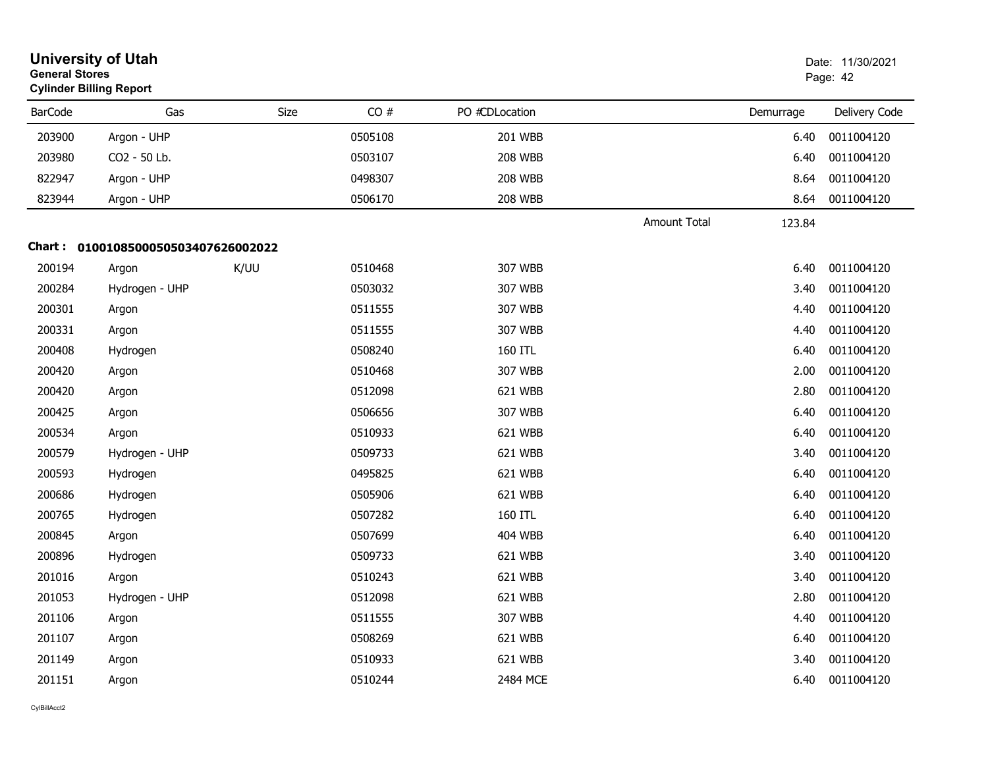| <b>General Stores</b> | <b>University of Utah</b><br><b>Cylinder Billing Report</b> |      | Date: 11/30/2021<br>Page: 42 |                |                     |           |               |
|-----------------------|-------------------------------------------------------------|------|------------------------------|----------------|---------------------|-----------|---------------|
| <b>BarCode</b>        | Gas                                                         | Size | CO#                          | PO #CDLocation |                     | Demurrage | Delivery Code |
| 203900                | Argon - UHP                                                 |      | 0505108                      | 201 WBB        |                     | 6.40      | 0011004120    |
| 203980                | CO2 - 50 Lb.                                                |      | 0503107                      | <b>208 WBB</b> |                     | 6.40      | 0011004120    |
| 822947                | Argon - UHP                                                 |      | 0498307                      | <b>208 WBB</b> |                     | 8.64      | 0011004120    |
| 823944                | Argon - UHP                                                 |      | 0506170                      | <b>208 WBB</b> |                     | 8.64      | 0011004120    |
|                       |                                                             |      |                              |                | <b>Amount Total</b> | 123.84    |               |
|                       | Chart: 0100108500050503407626002022                         |      |                              |                |                     |           |               |
| 200194                | Argon                                                       | K/UU | 0510468                      | 307 WBB        |                     | 6.40      | 0011004120    |
| 200284                | Hydrogen - UHP                                              |      | 0503032                      | 307 WBB        |                     | 3.40      | 0011004120    |
| 200301                | Argon                                                       |      | 0511555                      | 307 WBB        |                     | 4.40      | 0011004120    |
| 200331                | Argon                                                       |      | 0511555                      | 307 WBB        |                     | 4.40      | 0011004120    |
| 200408                | Hydrogen                                                    |      | 0508240                      | 160 ITL        |                     | 6.40      | 0011004120    |
| 200420                | Argon                                                       |      | 0510468                      | 307 WBB        |                     | 2.00      | 0011004120    |
| 200420                | Argon                                                       |      | 0512098                      | 621 WBB        |                     | 2.80      | 0011004120    |
| 200425                | Argon                                                       |      | 0506656                      | 307 WBB        |                     | 6.40      | 0011004120    |
| 200534                | Argon                                                       |      | 0510933                      | 621 WBB        |                     | 6.40      | 0011004120    |
| 200579                | Hydrogen - UHP                                              |      | 0509733                      | 621 WBB        |                     | 3.40      | 0011004120    |
| 200593                | Hydrogen                                                    |      | 0495825                      | 621 WBB        |                     | 6.40      | 0011004120    |
| 200686                | Hydrogen                                                    |      | 0505906                      | 621 WBB        |                     | 6.40      | 0011004120    |
| 200765                | Hydrogen                                                    |      | 0507282                      | 160 ITL        |                     | 6.40      | 0011004120    |
| 200845                | Argon                                                       |      | 0507699                      | 404 WBB        |                     | 6.40      | 0011004120    |
| 200896                | Hydrogen                                                    |      | 0509733                      | 621 WBB        |                     | 3.40      | 0011004120    |
| 201016                | Argon                                                       |      | 0510243                      | 621 WBB        |                     | 3.40      | 0011004120    |
| 201053                | Hydrogen - UHP                                              |      | 0512098                      | 621 WBB        |                     | 2.80      | 0011004120    |
| 201106                | Argon                                                       |      | 0511555                      | 307 WBB        |                     | 4.40      | 0011004120    |
| 201107                | Argon                                                       |      | 0508269                      | 621 WBB        |                     | 6.40      | 0011004120    |
| 201149                | Argon                                                       |      | 0510933                      | 621 WBB        |                     | 3.40      | 0011004120    |
| 201151                | Argon                                                       |      | 0510244                      | 2484 MCE       |                     | 6.40      | 0011004120    |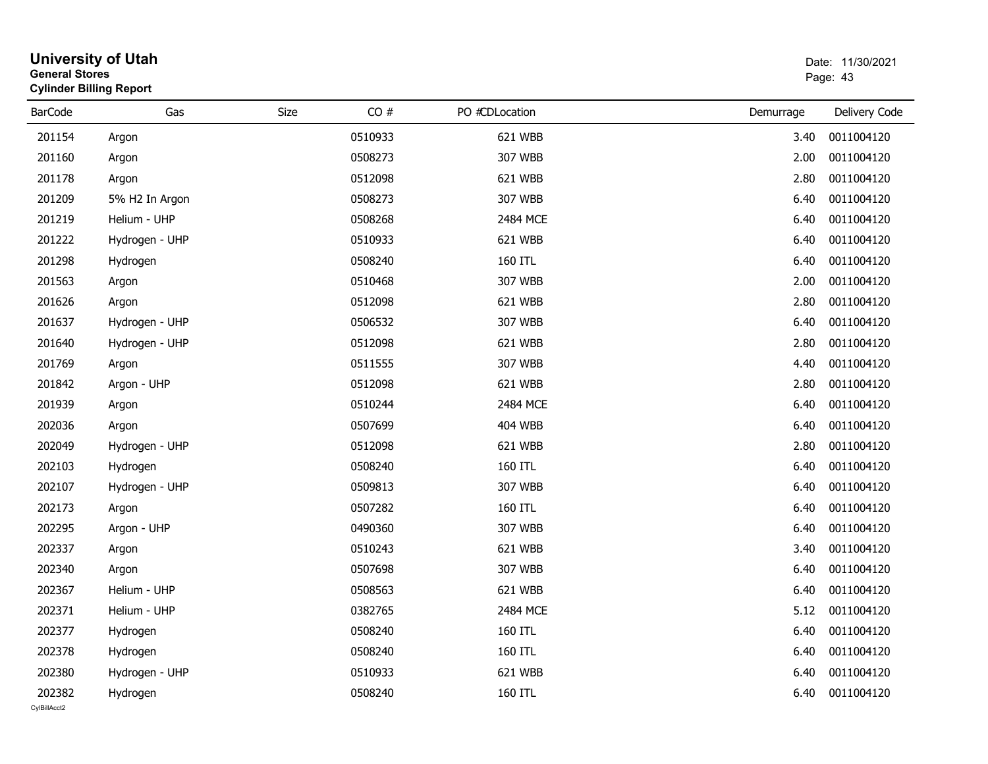| <b>General Stores</b>  | <b>University of Utah</b><br><b>Cylinder Billing Report</b> |      |         |                |           | Date: 11/30/2021<br>Page: 43 |
|------------------------|-------------------------------------------------------------|------|---------|----------------|-----------|------------------------------|
| <b>BarCode</b>         | Gas                                                         | Size | CO#     | PO #CDLocation | Demurrage | Delivery Code                |
| 201154                 | Argon                                                       |      | 0510933 | 621 WBB        | 3.40      | 0011004120                   |
| 201160                 | Argon                                                       |      | 0508273 | 307 WBB        | 2.00      | 0011004120                   |
| 201178                 | Argon                                                       |      | 0512098 | 621 WBB        | 2.80      | 0011004120                   |
| 201209                 | 5% H2 In Argon                                              |      | 0508273 | 307 WBB        | 6.40      | 0011004120                   |
| 201219                 | Helium - UHP                                                |      | 0508268 | 2484 MCE       | 6.40      | 0011004120                   |
| 201222                 | Hydrogen - UHP                                              |      | 0510933 | 621 WBB        | 6.40      | 0011004120                   |
| 201298                 | Hydrogen                                                    |      | 0508240 | 160 ITL        | 6.40      | 0011004120                   |
| 201563                 | Argon                                                       |      | 0510468 | 307 WBB        | 2.00      | 0011004120                   |
| 201626                 | Argon                                                       |      | 0512098 | 621 WBB        | 2.80      | 0011004120                   |
| 201637                 | Hydrogen - UHP                                              |      | 0506532 | 307 WBB        | 6.40      | 0011004120                   |
| 201640                 | Hydrogen - UHP                                              |      | 0512098 | 621 WBB        | 2.80      | 0011004120                   |
| 201769                 | Argon                                                       |      | 0511555 | 307 WBB        | 4.40      | 0011004120                   |
| 201842                 | Argon - UHP                                                 |      | 0512098 | 621 WBB        | 2.80      | 0011004120                   |
| 201939                 | Argon                                                       |      | 0510244 | 2484 MCE       | 6.40      | 0011004120                   |
| 202036                 | Argon                                                       |      | 0507699 | <b>404 WBB</b> | 6.40      | 0011004120                   |
| 202049                 | Hydrogen - UHP                                              |      | 0512098 | 621 WBB        | 2.80      | 0011004120                   |
| 202103                 | Hydrogen                                                    |      | 0508240 | 160 ITL        | 6.40      | 0011004120                   |
| 202107                 | Hydrogen - UHP                                              |      | 0509813 | 307 WBB        | 6.40      | 0011004120                   |
| 202173                 | Argon                                                       |      | 0507282 | 160 ITL        | 6.40      | 0011004120                   |
| 202295                 | Argon - UHP                                                 |      | 0490360 | 307 WBB        | 6.40      | 0011004120                   |
| 202337                 | Argon                                                       |      | 0510243 | 621 WBB        | 3.40      | 0011004120                   |
| 202340                 | Argon                                                       |      | 0507698 | 307 WBB        | 6.40      | 0011004120                   |
| 202367                 | Helium - UHP                                                |      | 0508563 | 621 WBB        | 6.40      | 0011004120                   |
| 202371                 | Helium - UHP                                                |      | 0382765 | 2484 MCE       | 5.12      | 0011004120                   |
| 202377                 | Hydrogen                                                    |      | 0508240 | 160 ITL        | 6.40      | 0011004120                   |
| 202378                 | Hydrogen                                                    |      | 0508240 | 160 ITL        | 6.40      | 0011004120                   |
| 202380                 | Hydrogen - UHP                                              |      | 0510933 | 621 WBB        | 6.40      | 0011004120                   |
| 202382<br>CvIBillAcct2 | Hydrogen                                                    |      | 0508240 | 160 ITL        | 6.40      | 0011004120                   |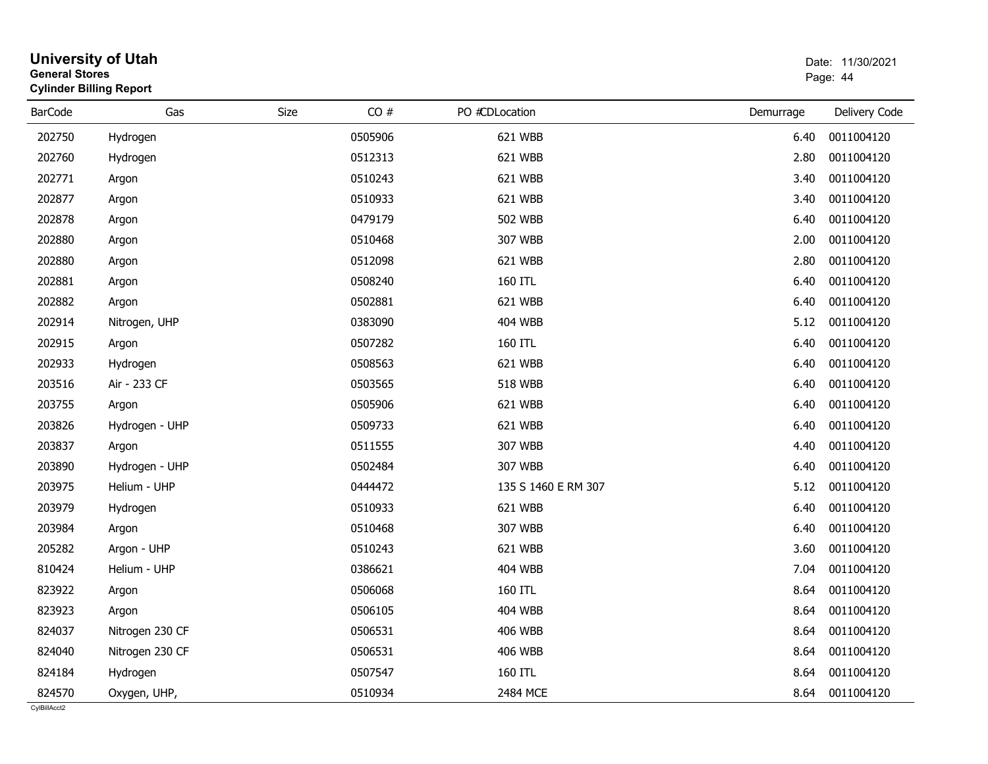| <b>General Stores</b><br><b>Cylinder Billing Report</b> |                 |      | Page: 44 |                     |           |               |
|---------------------------------------------------------|-----------------|------|----------|---------------------|-----------|---------------|
| <b>BarCode</b>                                          | Gas             | Size | CO#      | PO #CDLocation      | Demurrage | Delivery Code |
| 202750                                                  | Hydrogen        |      | 0505906  | 621 WBB             | 6.40      | 0011004120    |
| 202760                                                  | Hydrogen        |      | 0512313  | 621 WBB             | 2.80      | 0011004120    |
| 202771                                                  | Argon           |      | 0510243  | 621 WBB             | 3.40      | 0011004120    |
| 202877                                                  | Argon           |      | 0510933  | 621 WBB             | 3.40      | 0011004120    |
| 202878                                                  | Argon           |      | 0479179  | <b>502 WBB</b>      | 6.40      | 0011004120    |
| 202880                                                  | Argon           |      | 0510468  | 307 WBB             | 2.00      | 0011004120    |
| 202880                                                  | Argon           |      | 0512098  | 621 WBB             | 2.80      | 0011004120    |
| 202881                                                  | Argon           |      | 0508240  | 160 ITL             | 6.40      | 0011004120    |
| 202882                                                  | Argon           |      | 0502881  | 621 WBB             | 6.40      | 0011004120    |
| 202914                                                  | Nitrogen, UHP   |      | 0383090  | <b>404 WBB</b>      | 5.12      | 0011004120    |
| 202915                                                  | Argon           |      | 0507282  | 160 ITL             | 6.40      | 0011004120    |
| 202933                                                  | Hydrogen        |      | 0508563  | 621 WBB             | 6.40      | 0011004120    |
| 203516                                                  | Air - 233 CF    |      | 0503565  | <b>518 WBB</b>      | 6.40      | 0011004120    |
| 203755                                                  | Argon           |      | 0505906  | 621 WBB             | 6.40      | 0011004120    |
| 203826                                                  | Hydrogen - UHP  |      | 0509733  | 621 WBB             | 6.40      | 0011004120    |
| 203837                                                  | Argon           |      | 0511555  | 307 WBB             | 4.40      | 0011004120    |
| 203890                                                  | Hydrogen - UHP  |      | 0502484  | 307 WBB             | 6.40      | 0011004120    |
| 203975                                                  | Helium - UHP    |      | 0444472  | 135 S 1460 E RM 307 | 5.12      | 0011004120    |
| 203979                                                  | Hydrogen        |      | 0510933  | 621 WBB             | 6.40      | 0011004120    |
| 203984                                                  | Argon           |      | 0510468  | 307 WBB             | 6.40      | 0011004120    |
| 205282                                                  | Argon - UHP     |      | 0510243  | 621 WBB             | 3.60      | 0011004120    |
| 810424                                                  | Helium - UHP    |      | 0386621  | <b>404 WBB</b>      | 7.04      | 0011004120    |
| 823922                                                  | Argon           |      | 0506068  | 160 ITL             | 8.64      | 0011004120    |
| 823923                                                  | Argon           |      | 0506105  | <b>404 WBB</b>      | 8.64      | 0011004120    |
| 824037                                                  | Nitrogen 230 CF |      | 0506531  | <b>406 WBB</b>      | 8.64      | 0011004120    |
| 824040                                                  | Nitrogen 230 CF |      | 0506531  | <b>406 WBB</b>      | 8.64      | 0011004120    |
| 824184                                                  | Hydrogen        |      | 0507547  | 160 ITL             | 8.64      | 0011004120    |
| 824570                                                  | Oxygen, UHP,    |      | 0510934  | 2484 MCE            | 8.64      | 0011004120    |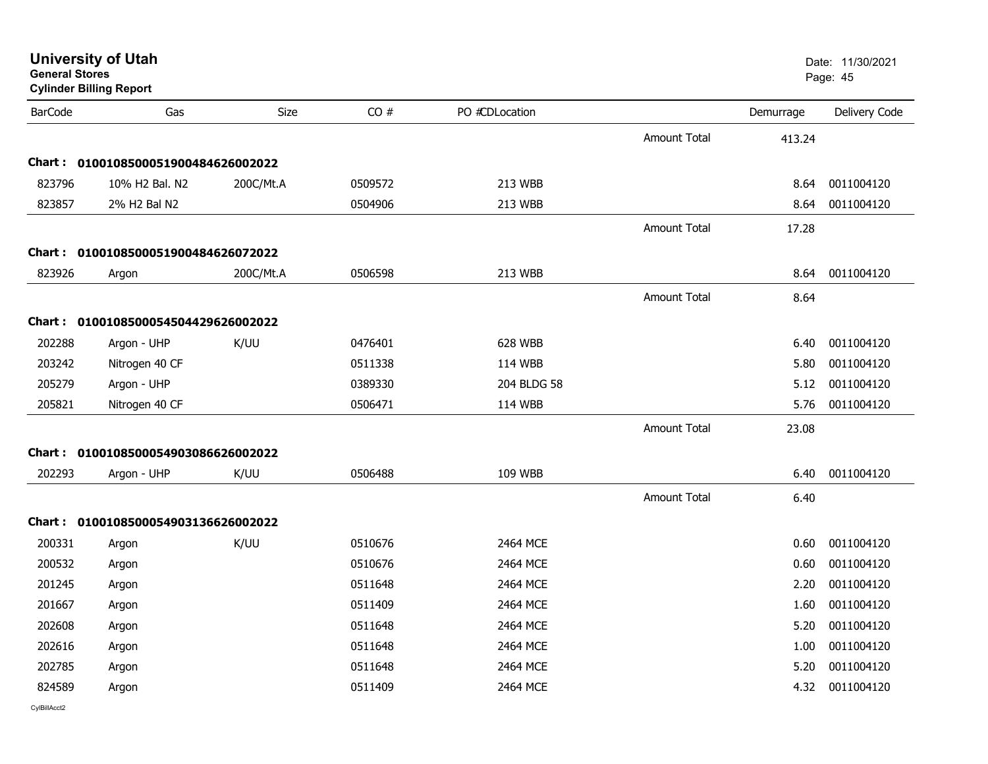| <b>General Stores</b> | <b>Cylinder Billing Report</b>      |             |         |                |                     |           | Page: 45      |
|-----------------------|-------------------------------------|-------------|---------|----------------|---------------------|-----------|---------------|
| <b>BarCode</b>        | Gas                                 | <b>Size</b> | CO#     | PO #CDLocation |                     | Demurrage | Delivery Code |
|                       |                                     |             |         |                | <b>Amount Total</b> | 413.24    |               |
|                       | Chart: 0100108500051900484626002022 |             |         |                |                     |           |               |
| 823796                | 10% H2 Bal. N2                      | 200C/Mt.A   | 0509572 | 213 WBB        |                     | 8.64      | 0011004120    |
| 823857                | 2% H2 Bal N2                        |             | 0504906 | 213 WBB        |                     | 8.64      | 0011004120    |
|                       |                                     |             |         |                | <b>Amount Total</b> | 17.28     |               |
|                       | Chart: 0100108500051900484626072022 |             |         |                |                     |           |               |
| 823926                | Argon                               | 200C/Mt.A   | 0506598 | 213 WBB        |                     | 8.64      | 0011004120    |
|                       |                                     |             |         |                | <b>Amount Total</b> | 8.64      |               |
|                       | Chart: 0100108500054504429626002022 |             |         |                |                     |           |               |
| 202288                | Argon - UHP                         | K/UU        | 0476401 | 628 WBB        |                     | 6.40      | 0011004120    |
| 203242                | Nitrogen 40 CF                      |             | 0511338 | 114 WBB        |                     | 5.80      | 0011004120    |
| 205279                | Argon - UHP                         |             | 0389330 | 204 BLDG 58    |                     | 5.12      | 0011004120    |
| 205821                | Nitrogen 40 CF                      |             | 0506471 | 114 WBB        |                     | 5.76      | 0011004120    |
|                       |                                     |             |         |                | Amount Total        | 23.08     |               |
|                       | Chart: 0100108500054903086626002022 |             |         |                |                     |           |               |
| 202293                | Argon - UHP                         | K/UU        | 0506488 | 109 WBB        |                     | 6.40      | 0011004120    |
|                       |                                     |             |         |                | <b>Amount Total</b> | 6.40      |               |
|                       | Chart: 0100108500054903136626002022 |             |         |                |                     |           |               |
| 200331                | Argon                               | K/UU        | 0510676 | 2464 MCE       |                     | 0.60      | 0011004120    |
| 200532                | Argon                               |             | 0510676 | 2464 MCE       |                     | 0.60      | 0011004120    |
| 201245                | Argon                               |             | 0511648 | 2464 MCE       |                     | 2.20      | 0011004120    |
| 201667                | Argon                               |             | 0511409 | 2464 MCE       |                     | 1.60      | 0011004120    |
| 202608                | Argon                               |             | 0511648 | 2464 MCE       |                     | 5.20      | 0011004120    |
| 202616                | Argon                               |             | 0511648 | 2464 MCE       |                     | 1.00      | 0011004120    |
| 202785                | Argon                               |             | 0511648 | 2464 MCE       |                     | 5.20      | 0011004120    |
| 824589                | Argon                               |             | 0511409 | 2464 MCE       |                     | 4.32      | 0011004120    |
|                       |                                     |             |         |                |                     |           |               |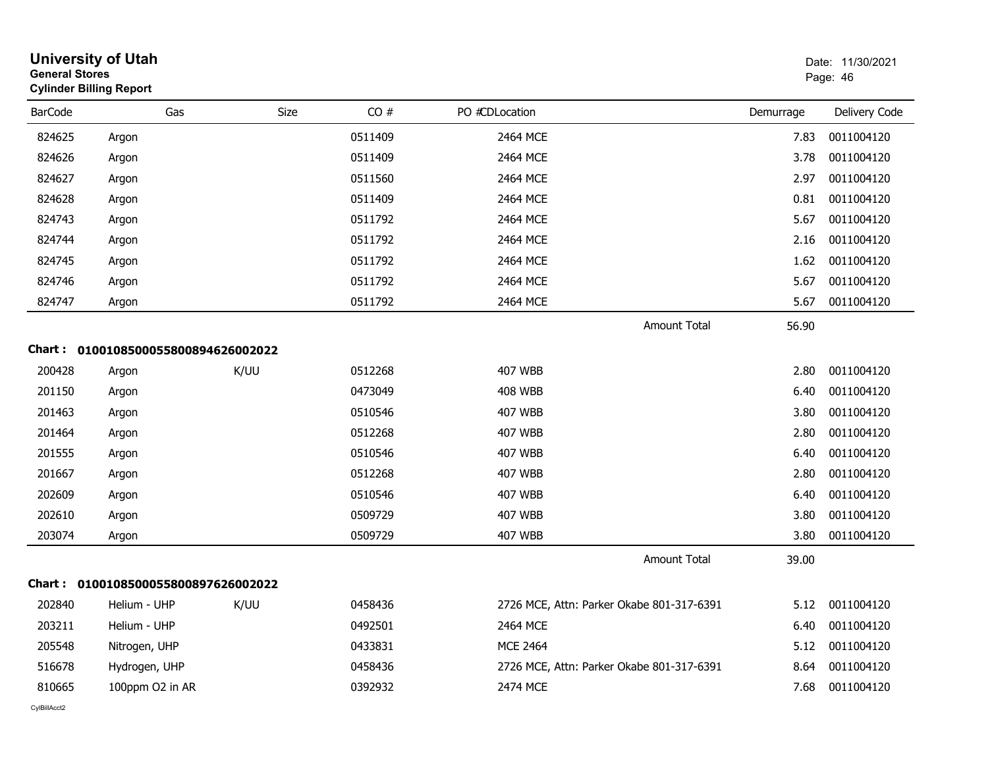| <b>General Stores</b> | <b>University of Utah</b><br><b>Cylinder Billing Report</b> |      |         |     |                |                                           |                     |           | Date: 11/30/2021<br>Page: 46 |
|-----------------------|-------------------------------------------------------------|------|---------|-----|----------------|-------------------------------------------|---------------------|-----------|------------------------------|
| <b>BarCode</b>        |                                                             | Gas  | Size    | CO# | PO #CDLocation |                                           |                     | Demurrage | Delivery Code                |
| 824625                | Argon                                                       |      | 0511409 |     |                | 2464 MCE                                  |                     | 7.83      | 0011004120                   |
| 824626                | Argon                                                       |      | 0511409 |     |                | 2464 MCE                                  |                     | 3.78      | 0011004120                   |
| 824627                | Argon                                                       |      | 0511560 |     |                | 2464 MCE                                  |                     | 2.97      | 0011004120                   |
| 824628                | Argon                                                       |      | 0511409 |     |                | 2464 MCE                                  |                     | 0.81      | 0011004120                   |
| 824743                | Argon                                                       |      | 0511792 |     |                | 2464 MCE                                  |                     | 5.67      | 0011004120                   |
| 824744                | Argon                                                       |      | 0511792 |     |                | 2464 MCE                                  |                     | 2.16      | 0011004120                   |
| 824745                | Argon                                                       |      | 0511792 |     |                | 2464 MCE                                  |                     | 1.62      | 0011004120                   |
| 824746                | Argon                                                       |      | 0511792 |     |                | 2464 MCE                                  |                     | 5.67      | 0011004120                   |
| 824747                | Argon                                                       |      | 0511792 |     |                | 2464 MCE                                  |                     | 5.67      | 0011004120                   |
|                       |                                                             |      |         |     |                |                                           | <b>Amount Total</b> | 56.90     |                              |
| Chart :               | 0100108500055800894626002022                                |      |         |     |                |                                           |                     |           |                              |
| 200428                | Argon                                                       | K/UU | 0512268 |     |                | <b>407 WBB</b>                            |                     | 2.80      | 0011004120                   |
| 201150                | Argon                                                       |      | 0473049 |     |                | 408 WBB                                   |                     | 6.40      | 0011004120                   |
| 201463                | Argon                                                       |      | 0510546 |     |                | 407 WBB                                   |                     | 3.80      | 0011004120                   |
| 201464                | Argon                                                       |      | 0512268 |     |                | 407 WBB                                   |                     | 2.80      | 0011004120                   |
| 201555                | Argon                                                       |      | 0510546 |     |                | 407 WBB                                   |                     | 6.40      | 0011004120                   |
| 201667                | Argon                                                       |      | 0512268 |     |                | <b>407 WBB</b>                            |                     | 2.80      | 0011004120                   |
| 202609                | Argon                                                       |      | 0510546 |     |                | <b>407 WBB</b>                            |                     | 6.40      | 0011004120                   |
| 202610                | Argon                                                       |      | 0509729 |     |                | 407 WBB                                   |                     | 3.80      | 0011004120                   |
| 203074                | Argon                                                       |      | 0509729 |     |                | 407 WBB                                   |                     | 3.80      | 0011004120                   |
|                       |                                                             |      |         |     |                |                                           | Amount Total        | 39.00     |                              |
| Chart :               | 0100108500055800897626002022                                |      |         |     |                |                                           |                     |           |                              |
| 202840                | Helium - UHP                                                | K/UU | 0458436 |     |                | 2726 MCE, Attn: Parker Okabe 801-317-6391 |                     | 5.12      | 0011004120                   |
| 203211                | Helium - UHP                                                |      | 0492501 |     |                | 2464 MCE                                  |                     | 6.40      | 0011004120                   |
| 205548                | Nitrogen, UHP                                               |      | 0433831 |     |                | <b>MCE 2464</b>                           |                     | 5.12      | 0011004120                   |
| 516678                | Hydrogen, UHP                                               |      | 0458436 |     |                | 2726 MCE, Attn: Parker Okabe 801-317-6391 |                     | 8.64      | 0011004120                   |
| 810665                | 100ppm O2 in AR                                             |      | 0392932 |     |                | 2474 MCE                                  |                     | 7.68      | 0011004120                   |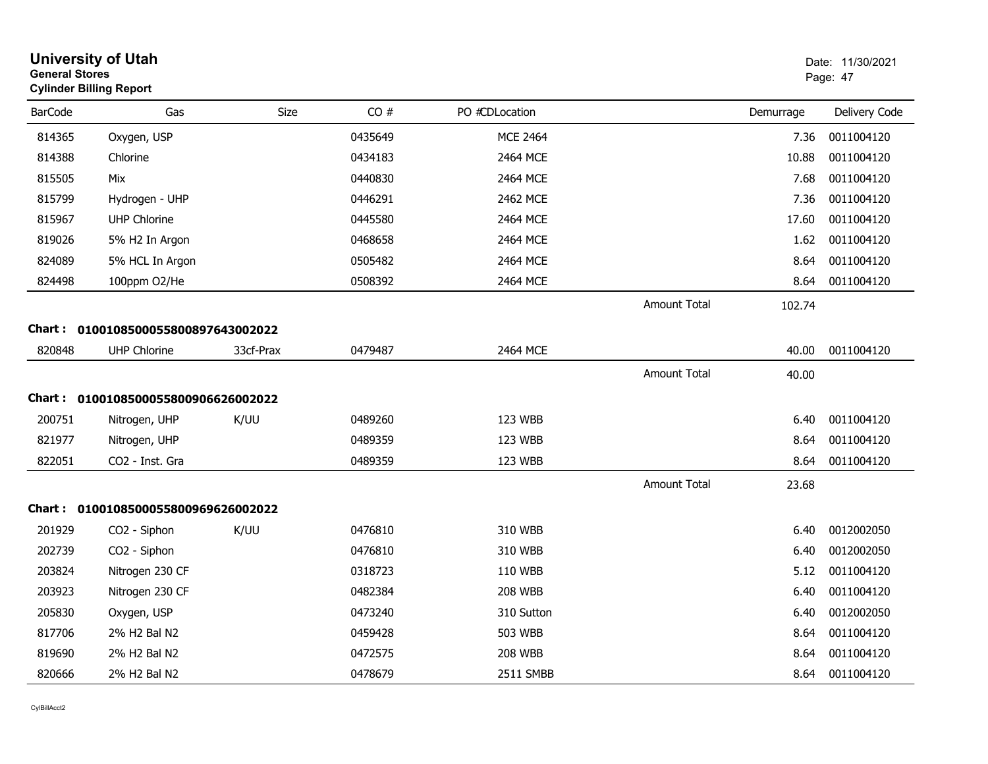| <b>General Stores</b> | <b>University of Utah</b><br><b>Cylinder Billing Report</b> |           |         |                 |                     | Date: 11/30/2021<br>Page: 47 |               |  |
|-----------------------|-------------------------------------------------------------|-----------|---------|-----------------|---------------------|------------------------------|---------------|--|
| <b>BarCode</b>        | Gas                                                         | Size      | CO#     | PO #CDLocation  |                     | Demurrage                    | Delivery Code |  |
| 814365                | Oxygen, USP                                                 |           | 0435649 | <b>MCE 2464</b> |                     | 7.36                         | 0011004120    |  |
| 814388                | Chlorine                                                    |           | 0434183 | 2464 MCE        |                     | 10.88                        | 0011004120    |  |
| 815505                | Mix                                                         |           | 0440830 | 2464 MCE        |                     | 7.68                         | 0011004120    |  |
| 815799                | Hydrogen - UHP                                              |           | 0446291 | 2462 MCE        |                     | 7.36                         | 0011004120    |  |
| 815967                | <b>UHP Chlorine</b>                                         |           | 0445580 | 2464 MCE        |                     | 17.60                        | 0011004120    |  |
| 819026                | 5% H2 In Argon                                              |           | 0468658 | 2464 MCE        |                     | 1.62                         | 0011004120    |  |
| 824089                | 5% HCL In Argon                                             |           | 0505482 | 2464 MCE        |                     | 8.64                         | 0011004120    |  |
| 824498                | 100ppm O2/He                                                |           | 0508392 | 2464 MCE        |                     | 8.64                         | 0011004120    |  |
|                       |                                                             |           |         |                 | <b>Amount Total</b> | 102.74                       |               |  |
|                       | Chart: 0100108500055800897643002022                         |           |         |                 |                     |                              |               |  |
| 820848                | <b>UHP Chlorine</b>                                         | 33cf-Prax | 0479487 | 2464 MCE        |                     | 40.00                        | 0011004120    |  |
|                       |                                                             |           |         |                 | <b>Amount Total</b> | 40.00                        |               |  |
|                       | Chart: 0100108500055800906626002022                         |           |         |                 |                     |                              |               |  |
| 200751                | Nitrogen, UHP                                               | K/UU      | 0489260 | 123 WBB         |                     | 6.40                         | 0011004120    |  |
| 821977                | Nitrogen, UHP                                               |           | 0489359 | 123 WBB         |                     | 8.64                         | 0011004120    |  |
| 822051                | CO2 - Inst. Gra                                             |           | 0489359 | 123 WBB         |                     | 8.64                         | 0011004120    |  |
|                       |                                                             |           |         |                 | <b>Amount Total</b> | 23.68                        |               |  |
|                       | Chart: 0100108500055800969626002022                         |           |         |                 |                     |                              |               |  |
| 201929                | CO <sub>2</sub> - Siphon                                    | K/UU      | 0476810 | 310 WBB         |                     | 6.40                         | 0012002050    |  |
| 202739                | CO2 - Siphon                                                |           | 0476810 | 310 WBB         |                     | 6.40                         | 0012002050    |  |
| 203824                | Nitrogen 230 CF                                             |           | 0318723 | 110 WBB         |                     | 5.12                         | 0011004120    |  |
| 203923                | Nitrogen 230 CF                                             |           | 0482384 | <b>208 WBB</b>  |                     | 6.40                         | 0011004120    |  |
| 205830                | Oxygen, USP                                                 |           | 0473240 | 310 Sutton      |                     | 6.40                         | 0012002050    |  |
| 817706                | 2% H2 Bal N2                                                |           | 0459428 | 503 WBB         |                     | 8.64                         | 0011004120    |  |
| 819690                | 2% H2 Bal N2                                                |           | 0472575 | <b>208 WBB</b>  |                     | 8.64                         | 0011004120    |  |
| 820666                | 2% H2 Bal N2                                                |           | 0478679 | 2511 SMBB       |                     | 8.64                         | 0011004120    |  |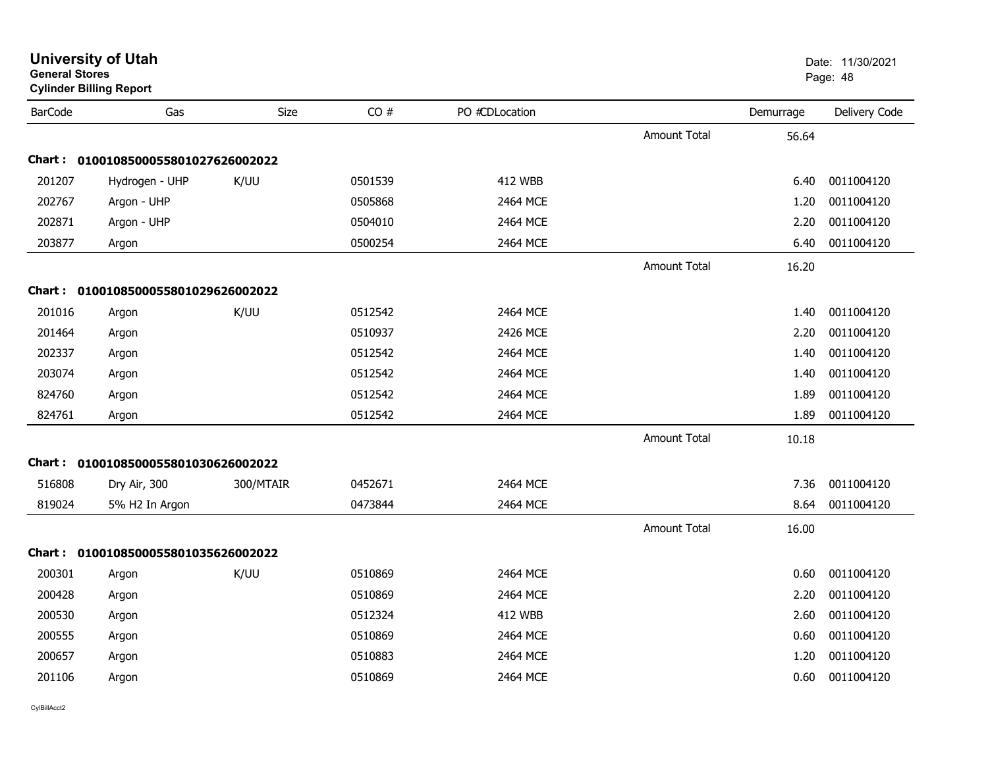| General Stores | <b>Cylinder Billing Report</b>      |           |         |                |                     |           | Page: 48      |
|----------------|-------------------------------------|-----------|---------|----------------|---------------------|-----------|---------------|
| <b>BarCode</b> | Gas                                 | Size      | CO#     | PO #CDLocation |                     | Demurrage | Delivery Code |
|                |                                     |           |         |                | <b>Amount Total</b> | 56.64     |               |
|                | Chart: 0100108500055801027626002022 |           |         |                |                     |           |               |
| 201207         | Hydrogen - UHP                      | K/UU      | 0501539 | <b>412 WBB</b> |                     | 6.40      | 0011004120    |
| 202767         | Argon - UHP                         |           | 0505868 | 2464 MCE       |                     | 1.20      | 0011004120    |
| 202871         | Argon - UHP                         |           | 0504010 | 2464 MCE       |                     | 2.20      | 0011004120    |
| 203877         | Argon                               |           | 0500254 | 2464 MCE       |                     | 6.40      | 0011004120    |
|                |                                     |           |         |                | <b>Amount Total</b> | 16.20     |               |
|                | Chart: 0100108500055801029626002022 |           |         |                |                     |           |               |
| 201016         | Argon                               | K/UU      | 0512542 | 2464 MCE       |                     | 1.40      | 0011004120    |
| 201464         | Argon                               |           | 0510937 | 2426 MCE       |                     | 2.20      | 0011004120    |
| 202337         | Argon                               |           | 0512542 | 2464 MCE       |                     | 1.40      | 0011004120    |
| 203074         | Argon                               |           | 0512542 | 2464 MCE       |                     | 1.40      | 0011004120    |
| 824760         | Argon                               |           | 0512542 | 2464 MCE       |                     | 1.89      | 0011004120    |
| 824761         | Argon                               |           | 0512542 | 2464 MCE       |                     | 1.89      | 0011004120    |
|                |                                     |           |         |                | <b>Amount Total</b> | 10.18     |               |
|                | Chart: 0100108500055801030626002022 |           |         |                |                     |           |               |
| 516808         | Dry Air, 300                        | 300/MTAIR | 0452671 | 2464 MCE       |                     | 7.36      | 0011004120    |
| 819024         | 5% H2 In Argon                      |           | 0473844 | 2464 MCE       |                     | 8.64      | 0011004120    |
|                |                                     |           |         |                | Amount Total        | 16.00     |               |
|                | Chart: 0100108500055801035626002022 |           |         |                |                     |           |               |
| 200301         | Argon                               | K/UU      | 0510869 | 2464 MCE       |                     | 0.60      | 0011004120    |
| 200428         | Argon                               |           | 0510869 | 2464 MCE       |                     | 2.20      | 0011004120    |
| 200530         | Argon                               |           | 0512324 | <b>412 WBB</b> |                     | 2.60      | 0011004120    |
| 200555         | Argon                               |           | 0510869 | 2464 MCE       |                     | 0.60      | 0011004120    |
| 200657         | Argon                               |           | 0510883 | 2464 MCE       |                     | 1.20      | 0011004120    |
| 201106         | Argon                               |           | 0510869 | 2464 MCE       |                     | 0.60      | 0011004120    |
|                |                                     |           |         |                |                     |           |               |

**University of Utah** Date: 11/30/2021 **General Stores**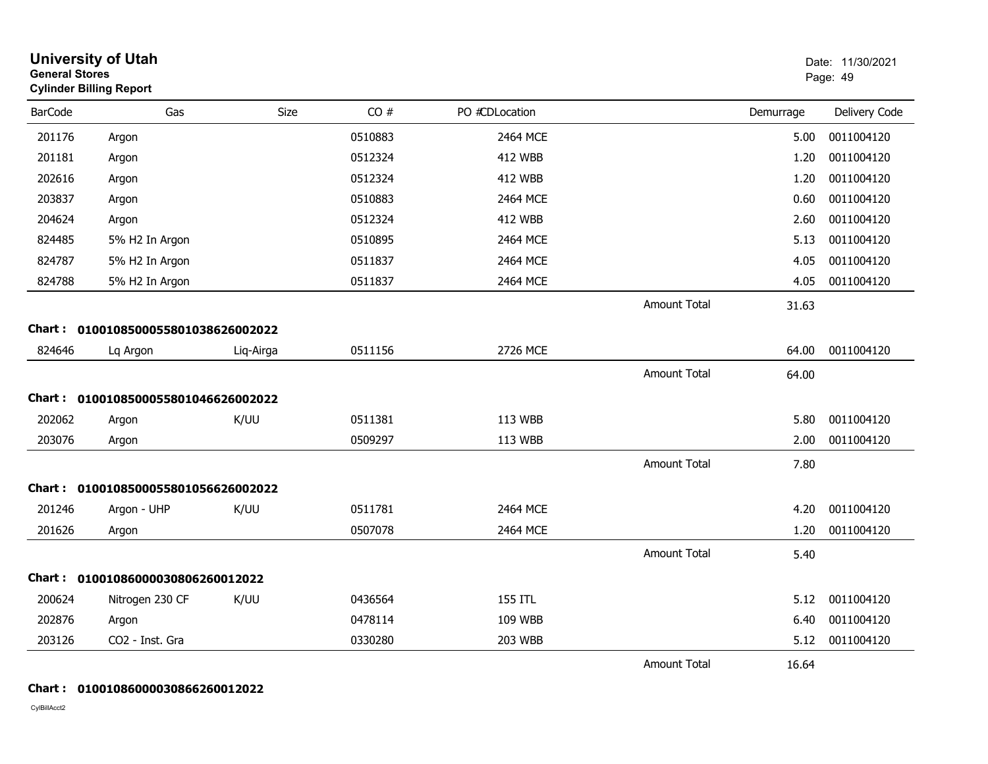| <b>General Stores</b> | <b>University of Utah</b><br><b>Cylinder Billing Report</b> |           |         |                |                     | Date: 11/30/2021<br>Page: 49 |               |
|-----------------------|-------------------------------------------------------------|-----------|---------|----------------|---------------------|------------------------------|---------------|
| <b>BarCode</b>        | Gas                                                         | Size      | CO#     | PO #CDLocation |                     | Demurrage                    | Delivery Code |
| 201176                | Argon                                                       |           | 0510883 | 2464 MCE       |                     | 5.00                         | 0011004120    |
| 201181                | Argon                                                       |           | 0512324 | <b>412 WBB</b> |                     | 1.20                         | 0011004120    |
| 202616                | Argon                                                       |           | 0512324 | <b>412 WBB</b> |                     | 1.20                         | 0011004120    |
| 203837                | Argon                                                       |           | 0510883 | 2464 MCE       |                     | 0.60                         | 0011004120    |
| 204624                | Argon                                                       |           | 0512324 | <b>412 WBB</b> |                     | 2.60                         | 0011004120    |
| 824485                | 5% H2 In Argon                                              |           | 0510895 | 2464 MCE       |                     | 5.13                         | 0011004120    |
| 824787                | 5% H2 In Argon                                              |           | 0511837 | 2464 MCE       |                     | 4.05                         | 0011004120    |
| 824788                | 5% H2 In Argon                                              |           | 0511837 | 2464 MCE       |                     | 4.05                         | 0011004120    |
|                       |                                                             |           |         |                | <b>Amount Total</b> | 31.63                        |               |
|                       | Chart: 0100108500055801038626002022                         |           |         |                |                     |                              |               |
| 824646                | Lq Argon                                                    | Liq-Airga | 0511156 | 2726 MCE       |                     | 64.00                        | 0011004120    |
|                       |                                                             |           |         |                | <b>Amount Total</b> | 64.00                        |               |
|                       | Chart: 0100108500055801046626002022                         |           |         |                |                     |                              |               |
| 202062                | Argon                                                       | K/UU      | 0511381 | 113 WBB        |                     | 5.80                         | 0011004120    |
| 203076                | Argon                                                       |           | 0509297 | 113 WBB        |                     | 2.00                         | 0011004120    |
|                       |                                                             |           |         |                | <b>Amount Total</b> | 7.80                         |               |
|                       | Chart: 0100108500055801056626002022                         |           |         |                |                     |                              |               |
| 201246                | Argon - UHP                                                 | K/UU      | 0511781 | 2464 MCE       |                     | 4.20                         | 0011004120    |
| 201626                | Argon                                                       |           | 0507078 | 2464 MCE       |                     | 1.20                         | 0011004120    |
|                       |                                                             |           |         |                | <b>Amount Total</b> | 5.40                         |               |
|                       | Chart: 01001086000030806260012022                           |           |         |                |                     |                              |               |
| 200624                | Nitrogen 230 CF                                             | K/UU      | 0436564 | 155 ITL        |                     | 5.12                         | 0011004120    |
| 202876                | Argon                                                       |           | 0478114 | 109 WBB        |                     | 6.40                         | 0011004120    |
| 203126                | CO2 - Inst. Gra                                             |           | 0330280 | 203 WBB        |                     | 5.12                         | 0011004120    |
|                       |                                                             |           |         |                | <b>Amount Total</b> |                              |               |
|                       |                                                             |           |         |                |                     | 16.64                        |               |

### **Chart : 01001086000030866260012022**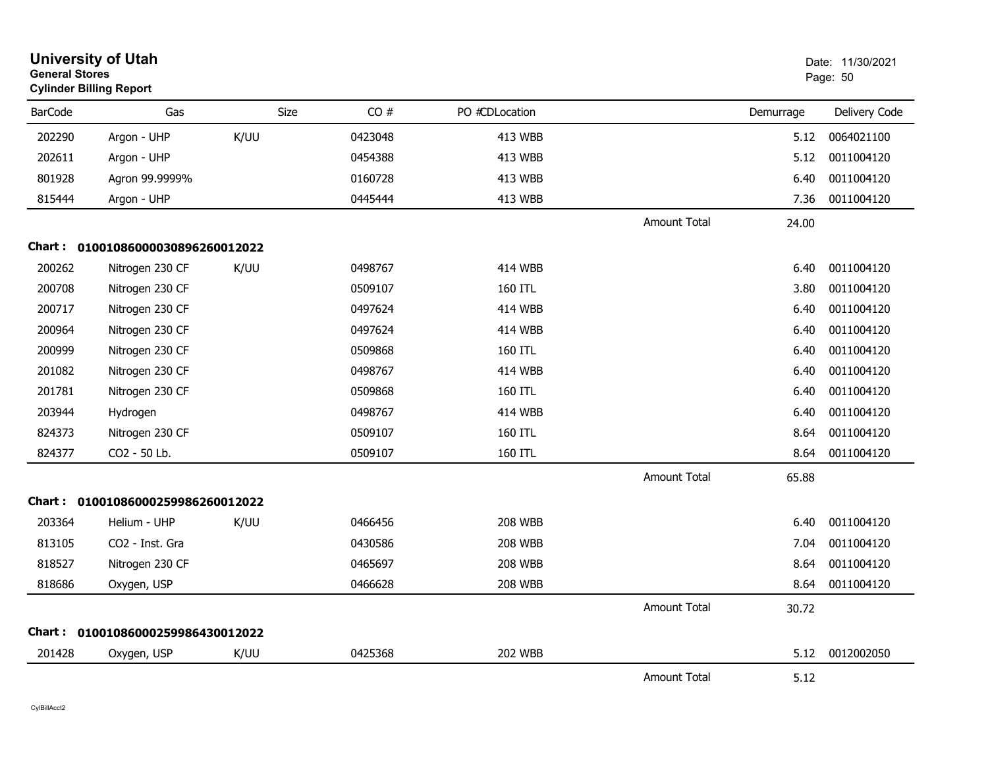|                | <b>University of Utah</b><br><b>General Stores</b><br><b>Cylinder Billing Report</b> |      |         |                | Date: 11/30/2021<br>Page: 50 |           |               |
|----------------|--------------------------------------------------------------------------------------|------|---------|----------------|------------------------------|-----------|---------------|
| <b>BarCode</b> | Gas                                                                                  | Size | CO#     | PO #CDLocation |                              | Demurrage | Delivery Code |
| 202290         | Argon - UHP                                                                          | K/UU | 0423048 | 413 WBB        |                              | 5.12      | 0064021100    |
| 202611         | Argon - UHP                                                                          |      | 0454388 | 413 WBB        |                              | 5.12      | 0011004120    |
| 801928         | Agron 99.9999%                                                                       |      | 0160728 | 413 WBB        |                              | 6.40      | 0011004120    |
| 815444         | Argon - UHP                                                                          |      | 0445444 | 413 WBB        |                              | 7.36      | 0011004120    |
|                |                                                                                      |      |         |                | <b>Amount Total</b>          | 24.00     |               |
|                | Chart: 01001086000030896260012022                                                    |      |         |                |                              |           |               |
| 200262         | Nitrogen 230 CF                                                                      | K/UU | 0498767 | <b>414 WBB</b> |                              | 6.40      | 0011004120    |
| 200708         | Nitrogen 230 CF                                                                      |      | 0509107 | 160 ITL        |                              | 3.80      | 0011004120    |
| 200717         | Nitrogen 230 CF                                                                      |      | 0497624 | 414 WBB        |                              | 6.40      | 0011004120    |
| 200964         | Nitrogen 230 CF                                                                      |      | 0497624 | <b>414 WBB</b> |                              | 6.40      | 0011004120    |
| 200999         | Nitrogen 230 CF                                                                      |      | 0509868 | 160 ITL        |                              | 6.40      | 0011004120    |
| 201082         | Nitrogen 230 CF                                                                      |      | 0498767 | <b>414 WBB</b> |                              | 6.40      | 0011004120    |
| 201781         | Nitrogen 230 CF                                                                      |      | 0509868 | 160 ITL        |                              | 6.40      | 0011004120    |
| 203944         | Hydrogen                                                                             |      | 0498767 | <b>414 WBB</b> |                              | 6.40      | 0011004120    |
| 824373         | Nitrogen 230 CF                                                                      |      | 0509107 | 160 ITL        |                              | 8.64      | 0011004120    |
| 824377         | CO2 - 50 Lb.                                                                         |      | 0509107 | 160 ITL        |                              | 8.64      | 0011004120    |
|                |                                                                                      |      |         |                | <b>Amount Total</b>          | 65.88     |               |
|                | Chart: 01001086000259986260012022                                                    |      |         |                |                              |           |               |
| 203364         | Helium - UHP                                                                         | K/UU | 0466456 | <b>208 WBB</b> |                              | 6.40      | 0011004120    |
| 813105         | CO2 - Inst. Gra                                                                      |      | 0430586 | <b>208 WBB</b> |                              | 7.04      | 0011004120    |
| 818527         | Nitrogen 230 CF                                                                      |      | 0465697 | <b>208 WBB</b> |                              | 8.64      | 0011004120    |
| 818686         | Oxygen, USP                                                                          |      | 0466628 | <b>208 WBB</b> |                              | 8.64      | 0011004120    |
|                |                                                                                      |      |         |                | <b>Amount Total</b>          | 30.72     |               |
|                | Chart: 01001086000259986430012022                                                    |      |         |                |                              |           |               |
| 201428         | Oxygen, USP                                                                          | K/UU | 0425368 | <b>202 WBB</b> |                              | 5.12      | 0012002050    |
|                |                                                                                      |      |         |                | <b>Amount Total</b>          | 5.12      |               |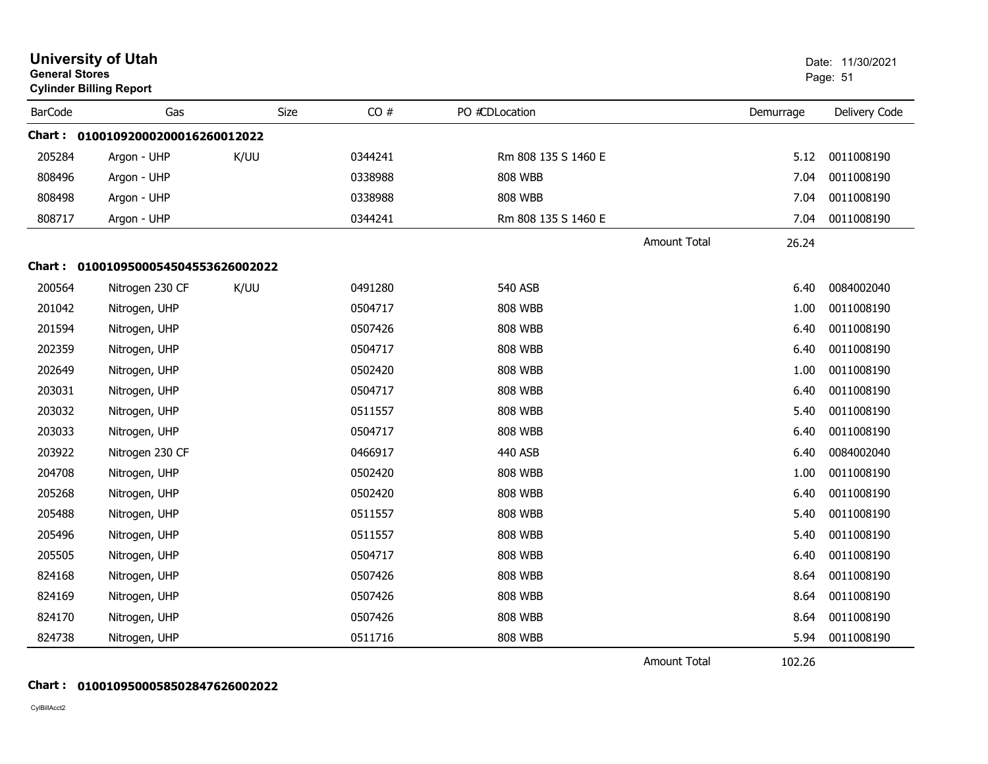|                | <b>University of Utah</b><br><b>General Stores</b><br><b>Cylinder Billing Report</b> |      |         |                     |                     | Date: 11/30/2021<br>Page: 51 |               |
|----------------|--------------------------------------------------------------------------------------|------|---------|---------------------|---------------------|------------------------------|---------------|
| <b>BarCode</b> | Gas                                                                                  | Size | CO#     | PO #CDLocation      |                     | Demurrage                    | Delivery Code |
|                | Chart: 01001092000200016260012022                                                    |      |         |                     |                     |                              |               |
| 205284         | Argon - UHP                                                                          | K/UU | 0344241 | Rm 808 135 S 1460 E |                     | 5.12                         | 0011008190    |
| 808496         | Argon - UHP                                                                          |      | 0338988 | <b>808 WBB</b>      |                     | 7.04                         | 0011008190    |
| 808498         | Argon - UHP                                                                          |      | 0338988 | <b>808 WBB</b>      |                     | 7.04                         | 0011008190    |
| 808717         | Argon - UHP                                                                          |      | 0344241 | Rm 808 135 S 1460 E |                     | 7.04                         | 0011008190    |
|                |                                                                                      |      |         |                     | <b>Amount Total</b> | 26.24                        |               |
|                | Chart: 0100109500054504553626002022                                                  |      |         |                     |                     |                              |               |
| 200564         | Nitrogen 230 CF                                                                      | K/UU | 0491280 | <b>540 ASB</b>      |                     | 6.40                         | 0084002040    |
| 201042         | Nitrogen, UHP                                                                        |      | 0504717 | <b>808 WBB</b>      |                     | 1.00                         | 0011008190    |
| 201594         | Nitrogen, UHP                                                                        |      | 0507426 | <b>808 WBB</b>      |                     | 6.40                         | 0011008190    |
| 202359         | Nitrogen, UHP                                                                        |      | 0504717 | <b>808 WBB</b>      |                     | 6.40                         | 0011008190    |
| 202649         | Nitrogen, UHP                                                                        |      | 0502420 | 808 WBB             |                     | 1.00                         | 0011008190    |
| 203031         | Nitrogen, UHP                                                                        |      | 0504717 | <b>808 WBB</b>      |                     | 6.40                         | 0011008190    |
| 203032         | Nitrogen, UHP                                                                        |      | 0511557 | <b>808 WBB</b>      |                     | 5.40                         | 0011008190    |
| 203033         | Nitrogen, UHP                                                                        |      | 0504717 | <b>808 WBB</b>      |                     | 6.40                         | 0011008190    |
| 203922         | Nitrogen 230 CF                                                                      |      | 0466917 | <b>440 ASB</b>      |                     | 6.40                         | 0084002040    |
| 204708         | Nitrogen, UHP                                                                        |      | 0502420 | <b>808 WBB</b>      |                     | 1.00                         | 0011008190    |
| 205268         | Nitrogen, UHP                                                                        |      | 0502420 | <b>808 WBB</b>      |                     | 6.40                         | 0011008190    |
| 205488         | Nitrogen, UHP                                                                        |      | 0511557 | <b>808 WBB</b>      |                     | 5.40                         | 0011008190    |
| 205496         | Nitrogen, UHP                                                                        |      | 0511557 | <b>808 WBB</b>      |                     | 5.40                         | 0011008190    |
| 205505         | Nitrogen, UHP                                                                        |      | 0504717 | <b>808 WBB</b>      |                     | 6.40                         | 0011008190    |
| 824168         | Nitrogen, UHP                                                                        |      | 0507426 | <b>808 WBB</b>      |                     | 8.64                         | 0011008190    |
| 824169         | Nitrogen, UHP                                                                        |      | 0507426 | <b>808 WBB</b>      |                     | 8.64                         | 0011008190    |
| 824170         | Nitrogen, UHP                                                                        |      | 0507426 | <b>808 WBB</b>      |                     | 8.64                         | 0011008190    |
| 824738         | Nitrogen, UHP                                                                        |      | 0511716 | <b>808 WBB</b>      |                     | 5.94                         | 0011008190    |

Amount Total

102.26

## **Chart : 0100109500058502847626002022**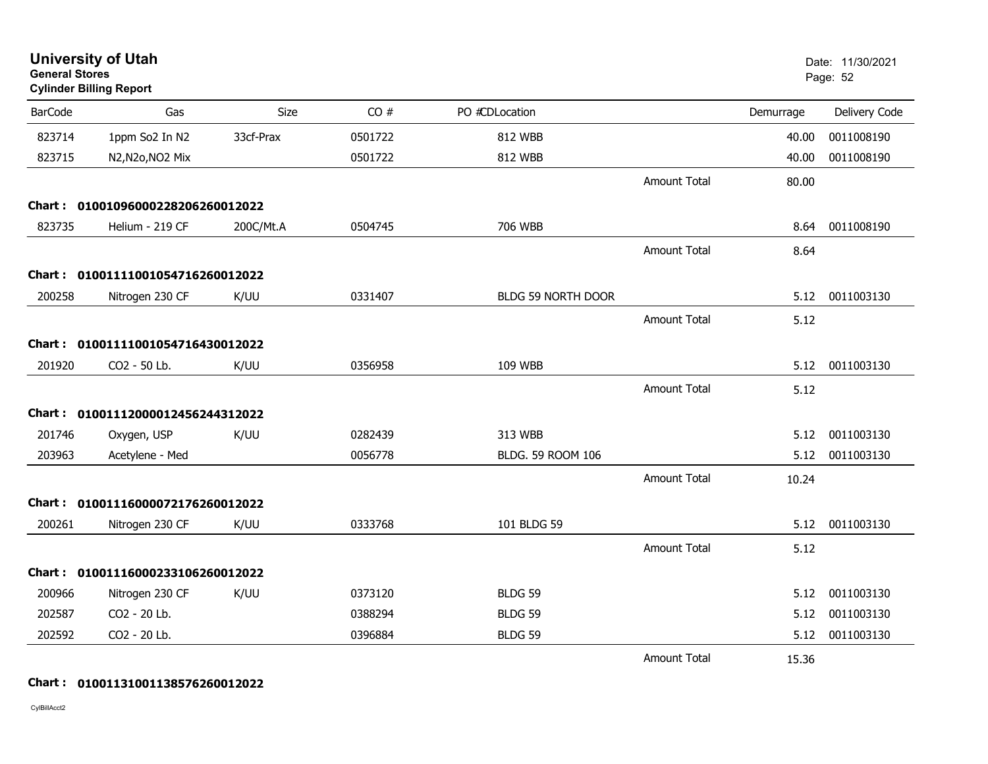| <b>General Stores</b> | <b>University of Utah</b><br><b>Cylinder Billing Report</b> |           |         |                    |                     |           | Date: 11/30/2021<br>Page: 52 |  |
|-----------------------|-------------------------------------------------------------|-----------|---------|--------------------|---------------------|-----------|------------------------------|--|
| <b>BarCode</b>        | Gas                                                         | Size      | CO#     | PO #CDLocation     |                     | Demurrage | Delivery Code                |  |
| 823714                | 1ppm So2 In N2                                              | 33cf-Prax | 0501722 | 812 WBB            |                     | 40.00     | 0011008190                   |  |
| 823715                | N2, N2o, NO2 Mix                                            |           | 0501722 | 812 WBB            |                     | 40.00     | 0011008190                   |  |
|                       |                                                             |           |         |                    | <b>Amount Total</b> | 80.00     |                              |  |
|                       | Chart: 01001096000228206260012022                           |           |         |                    |                     |           |                              |  |
| 823735                | Helium - 219 CF                                             | 200C/Mt.A | 0504745 | 706 WBB            |                     | 8.64      | 0011008190                   |  |
|                       |                                                             |           |         |                    | <b>Amount Total</b> | 8.64      |                              |  |
|                       | Chart: 01001111001054716260012022                           |           |         |                    |                     |           |                              |  |
| 200258                | Nitrogen 230 CF                                             | K/UU      | 0331407 | BLDG 59 NORTH DOOR |                     | 5.12      | 0011003130                   |  |
|                       |                                                             |           |         |                    | <b>Amount Total</b> | 5.12      |                              |  |
|                       | Chart: 01001111001054716430012022                           |           |         |                    |                     |           |                              |  |
| 201920                | CO2 - 50 Lb.                                                | K/UU      | 0356958 | 109 WBB            |                     | 5.12      | 0011003130                   |  |
|                       |                                                             |           |         |                    | <b>Amount Total</b> | 5.12      |                              |  |
|                       | Chart: 01001112000012456244312022                           |           |         |                    |                     |           |                              |  |
| 201746                | Oxygen, USP                                                 | K/UU      | 0282439 | 313 WBB            |                     | 5.12      | 0011003130                   |  |
| 203963                | Acetylene - Med                                             |           | 0056778 | BLDG. 59 ROOM 106  |                     | 5.12      | 0011003130                   |  |
|                       |                                                             |           |         |                    | <b>Amount Total</b> | 10.24     |                              |  |
|                       | Chart: 01001116000072176260012022                           |           |         |                    |                     |           |                              |  |
| 200261                | Nitrogen 230 CF                                             | K/UU      | 0333768 | 101 BLDG 59        |                     | 5.12      | 0011003130                   |  |
|                       |                                                             |           |         |                    | <b>Amount Total</b> | 5.12      |                              |  |
|                       | Chart: 01001116000233106260012022                           |           |         |                    |                     |           |                              |  |
| 200966                | Nitrogen 230 CF                                             | K/UU      | 0373120 | <b>BLDG 59</b>     |                     | 5.12      | 0011003130                   |  |
| 202587                | CO2 - 20 Lb.                                                |           | 0388294 | <b>BLDG 59</b>     |                     | 5.12      | 0011003130                   |  |
| 202592                | CO2 - 20 Lb.                                                |           | 0396884 | BLDG 59            |                     | 5.12      | 0011003130                   |  |
|                       |                                                             |           |         |                    | <b>Amount Total</b> | 15.36     |                              |  |

#### **Chart : 01001131001138576260012022**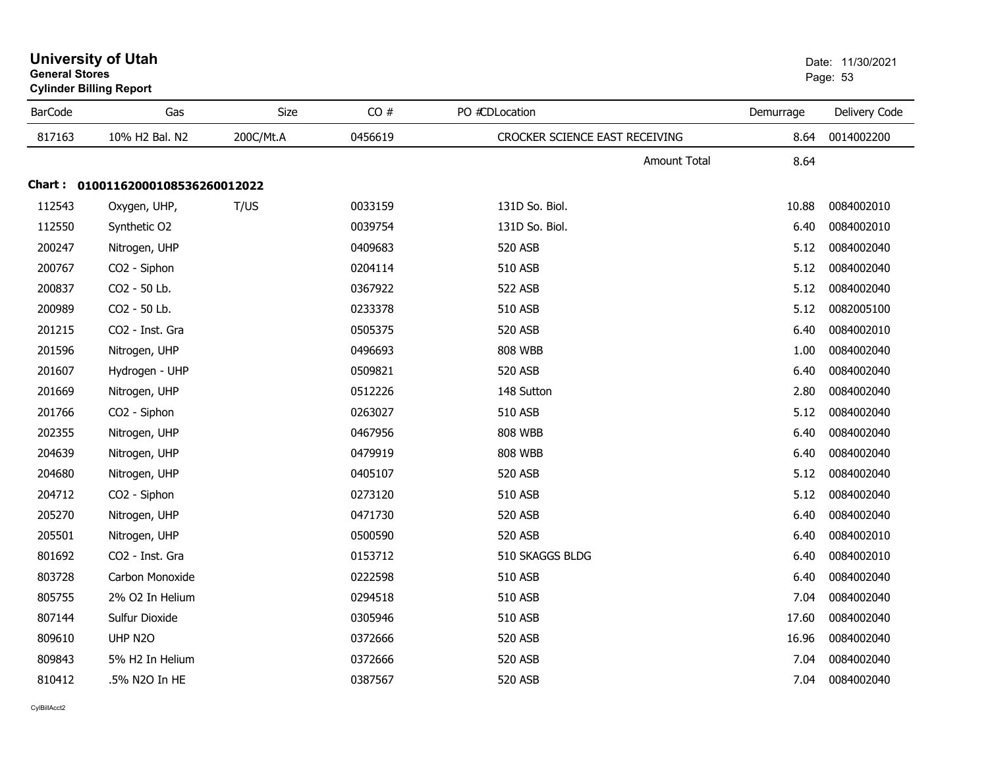| General Stores | <b>Cylinder Billing Report</b>    |           | Page: 53 |                                |                             |               |
|----------------|-----------------------------------|-----------|----------|--------------------------------|-----------------------------|---------------|
| <b>BarCode</b> | Gas                               | Size      | CO#      | PO #CDLocation                 | Demurrage                   | Delivery Code |
| 817163         | 10% H2 Bal. N2                    | 200C/Mt.A | 0456619  | CROCKER SCIENCE EAST RECEIVING | 8.64                        | 0014002200    |
|                |                                   |           |          |                                | <b>Amount Total</b><br>8.64 |               |
|                | Chart: 01001162000108536260012022 |           |          |                                |                             |               |
| 112543         | Oxygen, UHP,                      | T/US      | 0033159  | 131D So. Biol.                 | 10.88                       | 0084002010    |
| 112550         | Synthetic O2                      |           | 0039754  | 131D So. Biol.                 | 6.40                        | 0084002010    |
| 200247         | Nitrogen, UHP                     |           | 0409683  | 520 ASB                        | 5.12                        | 0084002040    |
| 200767         | CO2 - Siphon                      |           | 0204114  | <b>510 ASB</b>                 | 5.12                        | 0084002040    |
| 200837         | CO2 - 50 Lb.                      |           | 0367922  | 522 ASB                        | 5.12                        | 0084002040    |
| 200989         | CO2 - 50 Lb.                      |           | 0233378  | 510 ASB                        | 5.12                        | 0082005100    |
| 201215         | CO2 - Inst. Gra                   |           | 0505375  | 520 ASB                        | 6.40                        | 0084002010    |
| 201596         | Nitrogen, UHP                     |           | 0496693  | <b>808 WBB</b>                 | 1.00                        | 0084002040    |
| 201607         | Hydrogen - UHP                    |           | 0509821  | 520 ASB                        | 6.40                        | 0084002040    |
| 201669         | Nitrogen, UHP                     |           | 0512226  | 148 Sutton                     | 2.80                        | 0084002040    |
| 201766         | CO2 - Siphon                      |           | 0263027  | 510 ASB                        | 5.12                        | 0084002040    |
| 202355         | Nitrogen, UHP                     |           | 0467956  | <b>808 WBB</b>                 | 6.40                        | 0084002040    |
| 204639         | Nitrogen, UHP                     |           | 0479919  | <b>808 WBB</b>                 | 6.40                        | 0084002040    |
| 204680         | Nitrogen, UHP                     |           | 0405107  | 520 ASB                        | 5.12                        | 0084002040    |
| 204712         | CO2 - Siphon                      |           | 0273120  | 510 ASB                        | 5.12                        | 0084002040    |
| 205270         | Nitrogen, UHP                     |           | 0471730  | 520 ASB                        | 6.40                        | 0084002040    |
| 205501         | Nitrogen, UHP                     |           | 0500590  | 520 ASB                        | 6.40                        | 0084002010    |
| 801692         | CO2 - Inst. Gra                   |           | 0153712  | 510 SKAGGS BLDG                | 6.40                        | 0084002010    |
| 803728         | Carbon Monoxide                   |           | 0222598  | 510 ASB                        | 6.40                        | 0084002040    |
| 805755         | 2% O2 In Helium                   |           | 0294518  | 510 ASB                        | 7.04                        | 0084002040    |
| 807144         | Sulfur Dioxide                    |           | 0305946  | 510 ASB                        | 17.60                       | 0084002040    |
| 809610         | UHP N2O                           |           | 0372666  | 520 ASB                        | 16.96                       | 0084002040    |
| 809843         | 5% H <sub>2</sub> In Helium       |           | 0372666  | 520 ASB                        | 7.04                        | 0084002040    |
| 810412         | .5% N2O In HE                     |           | 0387567  | <b>520 ASB</b>                 | 7.04                        | 0084002040    |

## **University of Utah** Date: 11/30/2021 **General Stores**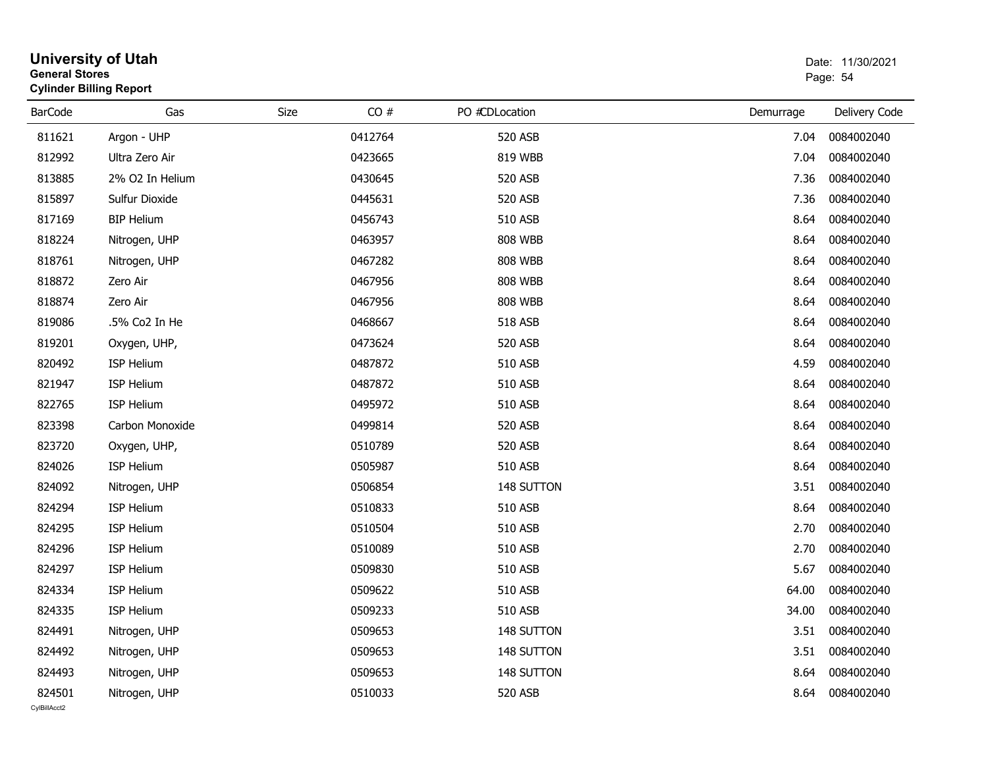| <b>General Stores</b>  | <b>University of Utah</b><br><b>Cylinder Billing Report</b> |      |         |                |           | Date: 11/30/2021<br>Page: 54 |  |  |
|------------------------|-------------------------------------------------------------|------|---------|----------------|-----------|------------------------------|--|--|
| <b>BarCode</b>         | Gas                                                         | Size | CO#     | PO #CDLocation | Demurrage | Delivery Code                |  |  |
| 811621                 | Argon - UHP                                                 |      | 0412764 | 520 ASB        | 7.04      | 0084002040                   |  |  |
| 812992                 | Ultra Zero Air                                              |      | 0423665 | 819 WBB        | 7.04      | 0084002040                   |  |  |
| 813885                 | 2% O2 In Helium                                             |      | 0430645 | 520 ASB        | 7.36      | 0084002040                   |  |  |
| 815897                 | Sulfur Dioxide                                              |      | 0445631 | 520 ASB        | 7.36      | 0084002040                   |  |  |
| 817169                 | <b>BIP Helium</b>                                           |      | 0456743 | 510 ASB        | 8.64      | 0084002040                   |  |  |
| 818224                 | Nitrogen, UHP                                               |      | 0463957 | <b>808 WBB</b> | 8.64      | 0084002040                   |  |  |
| 818761                 | Nitrogen, UHP                                               |      | 0467282 | <b>808 WBB</b> | 8.64      | 0084002040                   |  |  |
| 818872                 | Zero Air                                                    |      | 0467956 | <b>808 WBB</b> | 8.64      | 0084002040                   |  |  |
| 818874                 | Zero Air                                                    |      | 0467956 | <b>808 WBB</b> | 8.64      | 0084002040                   |  |  |
| 819086                 | .5% Co2 In He                                               |      | 0468667 | 518 ASB        | 8.64      | 0084002040                   |  |  |
| 819201                 | Oxygen, UHP,                                                |      | 0473624 | 520 ASB        | 8.64      | 0084002040                   |  |  |
| 820492                 | ISP Helium                                                  |      | 0487872 | 510 ASB        | 4.59      | 0084002040                   |  |  |
| 821947                 | ISP Helium                                                  |      | 0487872 | 510 ASB        | 8.64      | 0084002040                   |  |  |
| 822765                 | ISP Helium                                                  |      | 0495972 | 510 ASB        | 8.64      | 0084002040                   |  |  |
| 823398                 | Carbon Monoxide                                             |      | 0499814 | 520 ASB        | 8.64      | 0084002040                   |  |  |
| 823720                 | Oxygen, UHP,                                                |      | 0510789 | 520 ASB        | 8.64      | 0084002040                   |  |  |
| 824026                 | ISP Helium                                                  |      | 0505987 | 510 ASB        | 8.64      | 0084002040                   |  |  |
| 824092                 | Nitrogen, UHP                                               |      | 0506854 | 148 SUTTON     | 3.51      | 0084002040                   |  |  |
| 824294                 | ISP Helium                                                  |      | 0510833 | 510 ASB        | 8.64      | 0084002040                   |  |  |
| 824295                 | ISP Helium                                                  |      | 0510504 | 510 ASB        | 2.70      | 0084002040                   |  |  |
| 824296                 | ISP Helium                                                  |      | 0510089 | 510 ASB        | 2.70      | 0084002040                   |  |  |
| 824297                 | ISP Helium                                                  |      | 0509830 | 510 ASB        | 5.67      | 0084002040                   |  |  |
| 824334                 | ISP Helium                                                  |      | 0509622 | 510 ASB        | 64.00     | 0084002040                   |  |  |
| 824335                 | <b>ISP Helium</b>                                           |      | 0509233 | 510 ASB        | 34.00     | 0084002040                   |  |  |
| 824491                 | Nitrogen, UHP                                               |      | 0509653 | 148 SUTTON     | 3.51      | 0084002040                   |  |  |
| 824492                 | Nitrogen, UHP                                               |      | 0509653 | 148 SUTTON     | 3.51      | 0084002040                   |  |  |
| 824493                 | Nitrogen, UHP                                               |      | 0509653 | 148 SUTTON     | 8.64      | 0084002040                   |  |  |
| 824501<br>CvIBillAcct2 | Nitrogen, UHP                                               |      | 0510033 | 520 ASB        | 8.64      | 0084002040                   |  |  |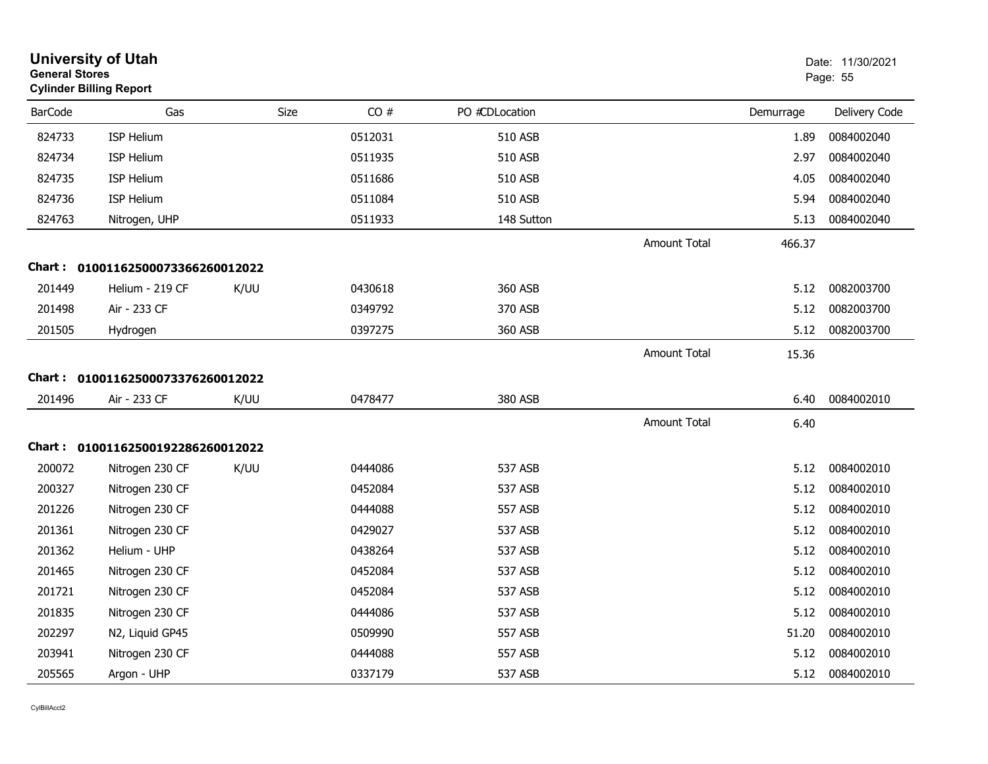| <b>General Stores</b> | <b>University of Utah</b><br><b>Cylinder Billing Report</b> |      |         |                |                     |           | Date: 11/30/2021<br>Page: 55 |  |
|-----------------------|-------------------------------------------------------------|------|---------|----------------|---------------------|-----------|------------------------------|--|
| <b>BarCode</b>        | Gas                                                         | Size | CO#     | PO #CDLocation |                     | Demurrage | Delivery Code                |  |
| 824733                | <b>ISP Helium</b>                                           |      | 0512031 | 510 ASB        |                     | 1.89      | 0084002040                   |  |
| 824734                | <b>ISP Helium</b>                                           |      | 0511935 | 510 ASB        |                     | 2.97      | 0084002040                   |  |
| 824735                | <b>ISP Helium</b>                                           |      | 0511686 | 510 ASB        |                     | 4.05      | 0084002040                   |  |
| 824736                | <b>ISP Helium</b>                                           |      | 0511084 | <b>510 ASB</b> |                     | 5.94      | 0084002040                   |  |
| 824763                | Nitrogen, UHP                                               |      | 0511933 | 148 Sutton     |                     | 5.13      | 0084002040                   |  |
|                       |                                                             |      |         |                | <b>Amount Total</b> | 466.37    |                              |  |
|                       | Chart: 01001162500073366260012022                           |      |         |                |                     |           |                              |  |
| 201449                | Helium - 219 CF                                             | K/UU | 0430618 | 360 ASB        |                     | 5.12      | 0082003700                   |  |
| 201498                | Air - 233 CF                                                |      | 0349792 | 370 ASB        |                     | 5.12      | 0082003700                   |  |
| 201505                | Hydrogen                                                    |      | 0397275 | 360 ASB        |                     | 5.12      | 0082003700                   |  |
|                       |                                                             |      |         |                | <b>Amount Total</b> | 15.36     |                              |  |
|                       | Chart: 01001162500073376260012022                           |      |         |                |                     |           |                              |  |
| 201496                | Air - 233 CF                                                | K/UU | 0478477 | 380 ASB        |                     | 6.40      | 0084002010                   |  |
|                       |                                                             |      |         |                | <b>Amount Total</b> | 6.40      |                              |  |
|                       | Chart: 01001162500192286260012022                           |      |         |                |                     |           |                              |  |
| 200072                | Nitrogen 230 CF                                             | K/UU | 0444086 | 537 ASB        |                     | 5.12      | 0084002010                   |  |
| 200327                | Nitrogen 230 CF                                             |      | 0452084 | 537 ASB        |                     | 5.12      | 0084002010                   |  |
| 201226                | Nitrogen 230 CF                                             |      | 0444088 | 557 ASB        |                     | 5.12      | 0084002010                   |  |
| 201361                | Nitrogen 230 CF                                             |      | 0429027 | 537 ASB        |                     | 5.12      | 0084002010                   |  |
| 201362                | Helium - UHP                                                |      | 0438264 | 537 ASB        |                     | 5.12      | 0084002010                   |  |
| 201465                | Nitrogen 230 CF                                             |      | 0452084 | 537 ASB        |                     | 5.12      | 0084002010                   |  |
| 201721                | Nitrogen 230 CF                                             |      | 0452084 | 537 ASB        |                     | 5.12      | 0084002010                   |  |
| 201835                | Nitrogen 230 CF                                             |      | 0444086 | 537 ASB        |                     | 5.12      | 0084002010                   |  |
| 202297                | N2, Liquid GP45                                             |      | 0509990 | 557 ASB        |                     | 51.20     | 0084002010                   |  |
| 203941                | Nitrogen 230 CF                                             |      | 0444088 | <b>557 ASB</b> |                     | 5.12      | 0084002010                   |  |
| 205565                | Argon - UHP                                                 |      | 0337179 | 537 ASB        |                     | 5.12      | 0084002010                   |  |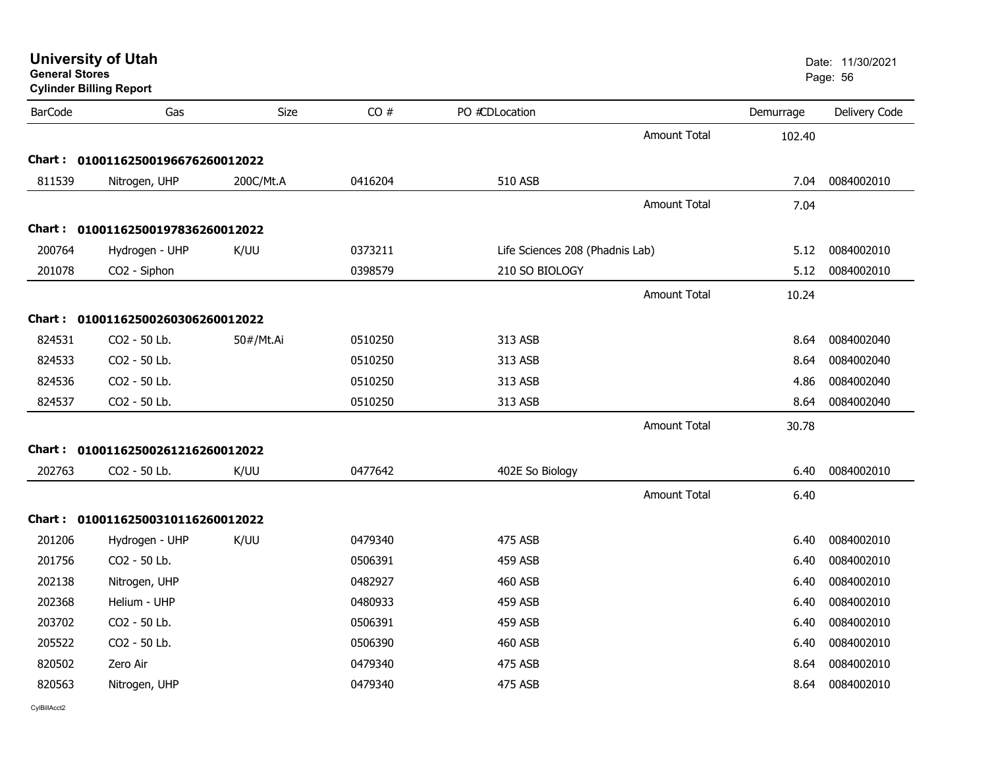| General Stores<br><b>Cylinder Billing Report</b> |                                   |             |         |                                 |                     |           | Page: 56      |
|--------------------------------------------------|-----------------------------------|-------------|---------|---------------------------------|---------------------|-----------|---------------|
| <b>BarCode</b>                                   | Gas                               | <b>Size</b> | CO#     | PO #CDLocation                  |                     | Demurrage | Delivery Code |
|                                                  |                                   |             |         |                                 | <b>Amount Total</b> | 102.40    |               |
|                                                  | Chart: 01001162500196676260012022 |             |         |                                 |                     |           |               |
| 811539                                           | Nitrogen, UHP                     | 200C/Mt.A   | 0416204 | 510 ASB                         |                     | 7.04      | 0084002010    |
|                                                  |                                   |             |         |                                 | <b>Amount Total</b> | 7.04      |               |
|                                                  | Chart: 01001162500197836260012022 |             |         |                                 |                     |           |               |
| 200764                                           | Hydrogen - UHP                    | K/UU        | 0373211 | Life Sciences 208 (Phadnis Lab) |                     | 5.12      | 0084002010    |
| 201078                                           | CO2 - Siphon                      |             | 0398579 | 210 SO BIOLOGY                  |                     | 5.12      | 0084002010    |
|                                                  |                                   |             |         |                                 | <b>Amount Total</b> | 10.24     |               |
|                                                  | Chart: 01001162500260306260012022 |             |         |                                 |                     |           |               |
| 824531                                           | CO2 - 50 Lb.                      | 50#/Mt.Ai   | 0510250 | 313 ASB                         |                     | 8.64      | 0084002040    |
| 824533                                           | CO2 - 50 Lb.                      |             | 0510250 | 313 ASB                         |                     | 8.64      | 0084002040    |
| 824536                                           | CO2 - 50 Lb.                      |             | 0510250 | 313 ASB                         |                     | 4.86      | 0084002040    |
| 824537                                           | CO2 - 50 Lb.                      |             | 0510250 | 313 ASB                         |                     | 8.64      | 0084002040    |
|                                                  |                                   |             |         |                                 | <b>Amount Total</b> | 30.78     |               |
|                                                  | Chart: 01001162500261216260012022 |             |         |                                 |                     |           |               |
| 202763                                           | CO2 - 50 Lb.                      | K/UU        | 0477642 | 402E So Biology                 |                     | 6.40      | 0084002010    |
|                                                  |                                   |             |         |                                 | <b>Amount Total</b> | 6.40      |               |
|                                                  | Chart: 01001162500310116260012022 |             |         |                                 |                     |           |               |
| 201206                                           | Hydrogen - UHP                    | K/UU        | 0479340 | 475 ASB                         |                     | 6.40      | 0084002010    |
| 201756                                           | CO2 - 50 Lb.                      |             | 0506391 | <b>459 ASB</b>                  |                     | 6.40      | 0084002010    |
| 202138                                           | Nitrogen, UHP                     |             | 0482927 | <b>460 ASB</b>                  |                     | 6.40      | 0084002010    |
| 202368                                           | Helium - UHP                      |             | 0480933 | <b>459 ASB</b>                  |                     | 6.40      | 0084002010    |
| 203702                                           | CO2 - 50 Lb.                      |             | 0506391 | <b>459 ASB</b>                  |                     | 6.40      | 0084002010    |
| 205522                                           | CO2 - 50 Lb.                      |             | 0506390 | <b>460 ASB</b>                  |                     | 6.40      | 0084002010    |
| 820502                                           | Zero Air                          |             | 0479340 | <b>475 ASB</b>                  |                     | 8.64      | 0084002010    |
| 820563                                           | Nitrogen, UHP                     |             | 0479340 | 475 ASB                         |                     | 8.64      | 0084002010    |
|                                                  |                                   |             |         |                                 |                     |           |               |

**General Stores**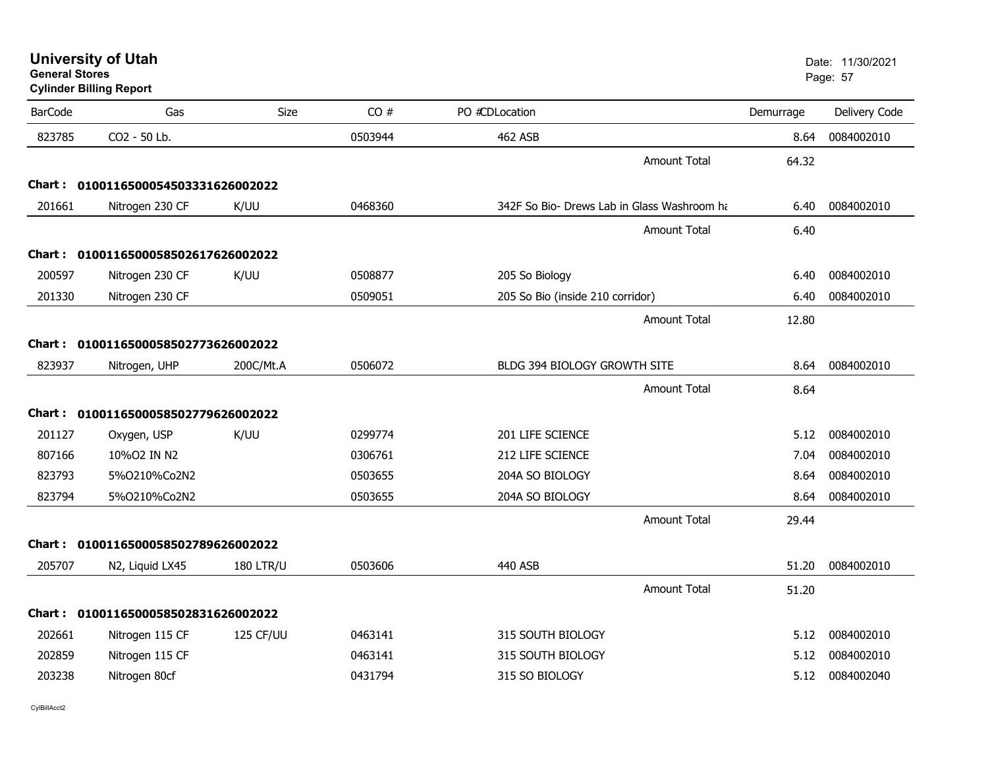| General Stores | <b>Cylinder Billing Report</b>      |                  |         |                                             |           | Page: 57      |
|----------------|-------------------------------------|------------------|---------|---------------------------------------------|-----------|---------------|
| <b>BarCode</b> | Gas                                 | Size             | CO#     | PO #CDLocation                              | Demurrage | Delivery Code |
| 823785         | CO2 - 50 Lb.                        |                  | 0503944 | <b>462 ASB</b>                              | 8.64      | 0084002010    |
|                |                                     |                  |         | <b>Amount Total</b>                         | 64.32     |               |
|                | Chart: 0100116500054503331626002022 |                  |         |                                             |           |               |
| 201661         | Nitrogen 230 CF                     | K/UU             | 0468360 | 342F So Bio- Drews Lab in Glass Washroom ha | 6.40      | 0084002010    |
|                |                                     |                  |         | <b>Amount Total</b>                         | 6.40      |               |
|                | Chart: 0100116500058502617626002022 |                  |         |                                             |           |               |
| 200597         | Nitrogen 230 CF                     | K/UU             | 0508877 | 205 So Biology                              | 6.40      | 0084002010    |
| 201330         | Nitrogen 230 CF                     |                  | 0509051 | 205 So Bio (inside 210 corridor)            | 6.40      | 0084002010    |
|                |                                     |                  |         | <b>Amount Total</b>                         | 12.80     |               |
|                | Chart: 0100116500058502773626002022 |                  |         |                                             |           |               |
| 823937         | Nitrogen, UHP                       | 200C/Mt.A        | 0506072 | BLDG 394 BIOLOGY GROWTH SITE                | 8.64      | 0084002010    |
|                |                                     |                  |         | <b>Amount Total</b>                         | 8.64      |               |
|                | Chart: 0100116500058502779626002022 |                  |         |                                             |           |               |
| 201127         | Oxygen, USP                         | K/UU             | 0299774 | 201 LIFE SCIENCE                            | 5.12      | 0084002010    |
| 807166         | 10%02 IN N2                         |                  | 0306761 | 212 LIFE SCIENCE                            | 7.04      | 0084002010    |
| 823793         | 5%0210%Co2N2                        |                  | 0503655 | 204A SO BIOLOGY                             | 8.64      | 0084002010    |
| 823794         | 5%O210%Co2N2                        |                  | 0503655 | 204A SO BIOLOGY                             | 8.64      | 0084002010    |
|                |                                     |                  |         | Amount Total                                | 29.44     |               |
|                | Chart: 0100116500058502789626002022 |                  |         |                                             |           |               |
| 205707         | N2, Liquid LX45                     | <b>180 LTR/U</b> | 0503606 | 440 ASB                                     | 51.20     | 0084002010    |
|                |                                     |                  |         | <b>Amount Total</b>                         | 51.20     |               |
|                | Chart: 0100116500058502831626002022 |                  |         |                                             |           |               |
| 202661         | Nitrogen 115 CF                     | 125 CF/UU        | 0463141 | 315 SOUTH BIOLOGY                           | 5.12      | 0084002010    |
| 202859         | Nitrogen 115 CF                     |                  | 0463141 | 315 SOUTH BIOLOGY                           | 5.12      | 0084002010    |
| 203238         | Nitrogen 80cf                       |                  | 0431794 | 315 SO BIOLOGY                              | 5.12      | 0084002040    |
|                |                                     |                  |         |                                             |           |               |

CylBillAcct2

**General Stores**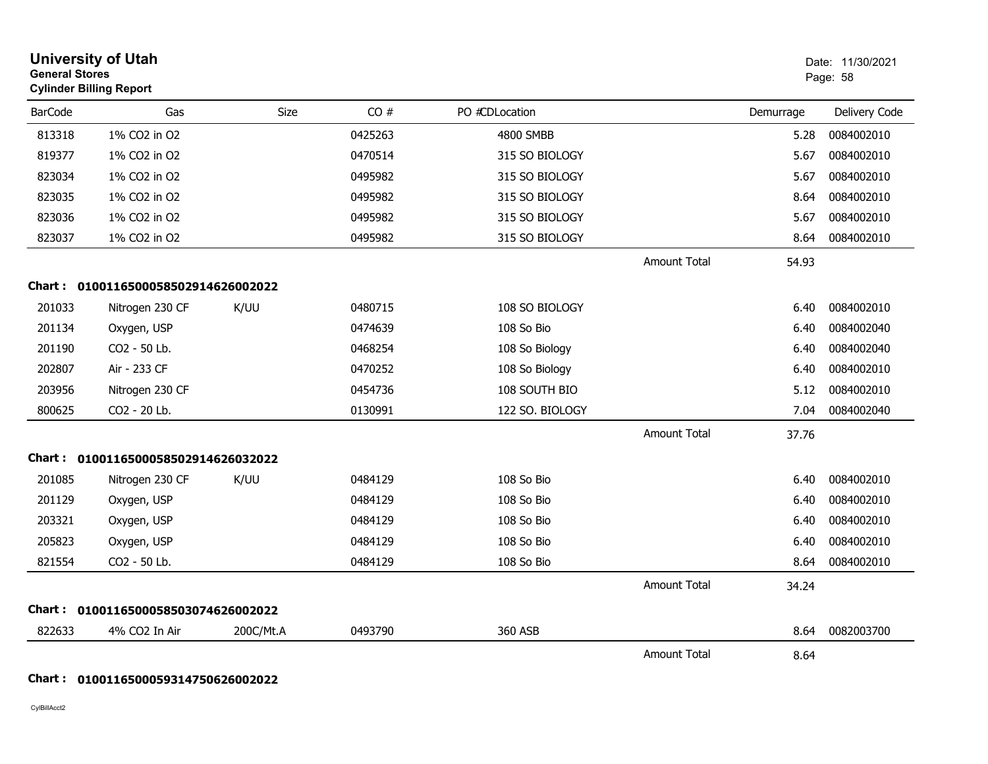|                | <b>University of Utah</b><br><b>General Stores</b><br><b>Cylinder Billing Report</b> |           |         |                  |                     | Date: 11/30/2021<br>Page: 58 |               |
|----------------|--------------------------------------------------------------------------------------|-----------|---------|------------------|---------------------|------------------------------|---------------|
| <b>BarCode</b> | Gas                                                                                  | Size      | CO#     | PO #CDLocation   |                     | Demurrage                    | Delivery Code |
| 813318         | 1% CO2 in O2                                                                         |           | 0425263 | <b>4800 SMBB</b> |                     | 5.28                         | 0084002010    |
| 819377         | 1% CO2 in O2                                                                         |           | 0470514 | 315 SO BIOLOGY   |                     | 5.67                         | 0084002010    |
| 823034         | 1% CO2 in O2                                                                         |           | 0495982 | 315 SO BIOLOGY   |                     | 5.67                         | 0084002010    |
| 823035         | 1% CO2 in O2                                                                         |           | 0495982 | 315 SO BIOLOGY   |                     | 8.64                         | 0084002010    |
| 823036         | 1% CO2 in O2                                                                         |           | 0495982 | 315 SO BIOLOGY   |                     | 5.67                         | 0084002010    |
| 823037         | 1% CO2 in O2                                                                         |           | 0495982 | 315 SO BIOLOGY   |                     | 8.64                         | 0084002010    |
|                |                                                                                      |           |         |                  | <b>Amount Total</b> | 54.93                        |               |
|                | Chart: 0100116500058502914626002022                                                  |           |         |                  |                     |                              |               |
| 201033         | Nitrogen 230 CF                                                                      | K/UU      | 0480715 | 108 SO BIOLOGY   |                     | 6.40                         | 0084002010    |
| 201134         | Oxygen, USP                                                                          |           | 0474639 | 108 So Bio       |                     | 6.40                         | 0084002040    |
| 201190         | CO2 - 50 Lb.                                                                         |           | 0468254 | 108 So Biology   |                     | 6.40                         | 0084002040    |
| 202807         | Air - 233 CF                                                                         |           | 0470252 | 108 So Biology   |                     | 6.40                         | 0084002010    |
| 203956         | Nitrogen 230 CF                                                                      |           | 0454736 | 108 SOUTH BIO    |                     | 5.12                         | 0084002010    |
| 800625         | CO2 - 20 Lb.                                                                         |           | 0130991 | 122 SO. BIOLOGY  |                     | 7.04                         | 0084002040    |
|                |                                                                                      |           |         |                  | <b>Amount Total</b> | 37.76                        |               |
|                | Chart: 0100116500058502914626032022                                                  |           |         |                  |                     |                              |               |
| 201085         | Nitrogen 230 CF                                                                      | K/UU      | 0484129 | 108 So Bio       |                     | 6.40                         | 0084002010    |
| 201129         | Oxygen, USP                                                                          |           | 0484129 | 108 So Bio       |                     | 6.40                         | 0084002010    |
| 203321         | Oxygen, USP                                                                          |           | 0484129 | 108 So Bio       |                     | 6.40                         | 0084002010    |
| 205823         | Oxygen, USP                                                                          |           | 0484129 | 108 So Bio       |                     | 6.40                         | 0084002010    |
| 821554         | CO2 - 50 Lb.                                                                         |           | 0484129 | 108 So Bio       |                     | 8.64                         | 0084002010    |
|                |                                                                                      |           |         |                  | <b>Amount Total</b> | 34.24                        |               |
| Chart :        | 0100116500058503074626002022                                                         |           |         |                  |                     |                              |               |
| 822633         | 4% CO2 In Air                                                                        | 200C/Mt.A | 0493790 | 360 ASB          |                     | 8.64                         | 0082003700    |
|                |                                                                                      |           |         |                  | <b>Amount Total</b> | 8.64                         |               |

## **Chart : 0100116500059314750626002022**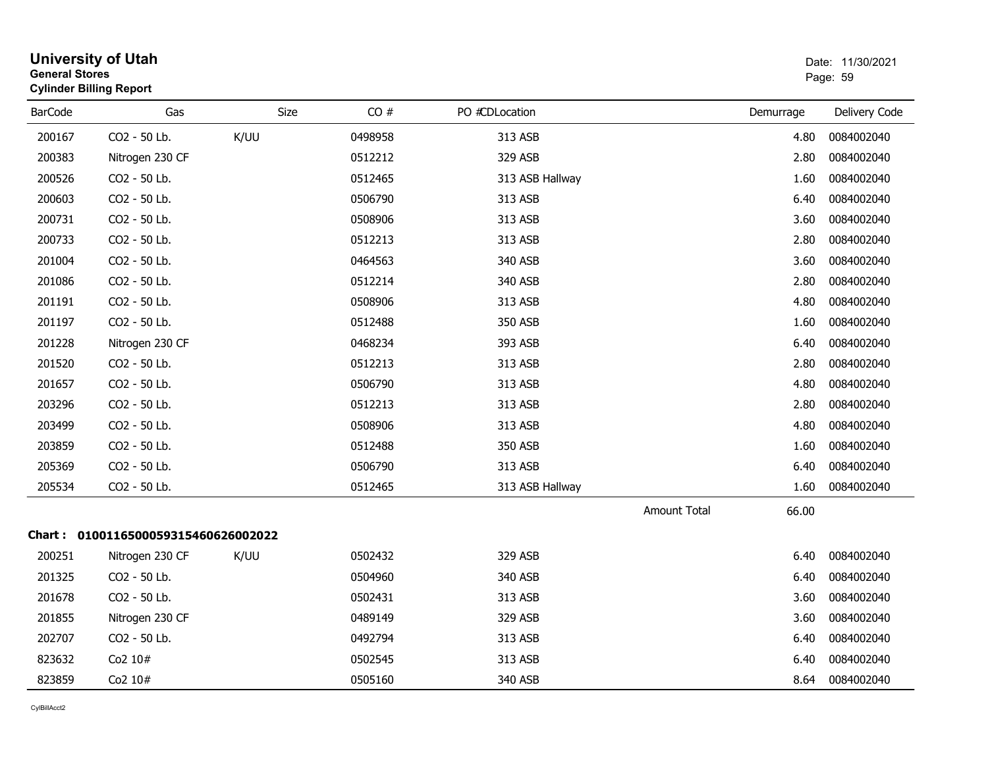| <b>General Stores</b> | <b>University of Utah</b><br><b>Cylinder Billing Report</b> |             |         |                 |                     |           | Date: 11/30/2021<br>Page: 59 |
|-----------------------|-------------------------------------------------------------|-------------|---------|-----------------|---------------------|-----------|------------------------------|
| <b>BarCode</b>        | Gas                                                         | <b>Size</b> | CO#     | PO #CDLocation  |                     | Demurrage | Delivery Code                |
| 200167                | CO2 - 50 Lb.                                                | K/UU        | 0498958 | 313 ASB         |                     | 4.80      | 0084002040                   |
| 200383                | Nitrogen 230 CF                                             |             | 0512212 | 329 ASB         |                     | 2.80      | 0084002040                   |
| 200526                | CO2 - 50 Lb.                                                |             | 0512465 | 313 ASB Hallway |                     | 1.60      | 0084002040                   |
| 200603                | CO2 - 50 Lb.                                                |             | 0506790 | 313 ASB         |                     | 6.40      | 0084002040                   |
| 200731                | CO2 - 50 Lb.                                                |             | 0508906 | 313 ASB         |                     | 3.60      | 0084002040                   |
| 200733                | CO2 - 50 Lb.                                                |             | 0512213 | 313 ASB         |                     | 2.80      | 0084002040                   |
| 201004                | CO2 - 50 Lb.                                                |             | 0464563 | 340 ASB         |                     | 3.60      | 0084002040                   |
| 201086                | CO2 - 50 Lb.                                                |             | 0512214 | 340 ASB         |                     | 2.80      | 0084002040                   |
| 201191                | CO2 - 50 Lb.                                                |             | 0508906 | 313 ASB         |                     | 4.80      | 0084002040                   |
| 201197                | CO2 - 50 Lb.                                                |             | 0512488 | 350 ASB         |                     | 1.60      | 0084002040                   |
| 201228                | Nitrogen 230 CF                                             |             | 0468234 | 393 ASB         |                     | 6.40      | 0084002040                   |
| 201520                | CO2 - 50 Lb.                                                |             | 0512213 | 313 ASB         |                     | 2.80      | 0084002040                   |
| 201657                | CO2 - 50 Lb.                                                |             | 0506790 | 313 ASB         |                     | 4.80      | 0084002040                   |
| 203296                | CO2 - 50 Lb.                                                |             | 0512213 | 313 ASB         |                     | 2.80      | 0084002040                   |
| 203499                | CO2 - 50 Lb.                                                |             | 0508906 | 313 ASB         |                     | 4.80      | 0084002040                   |
| 203859                | CO2 - 50 Lb.                                                |             | 0512488 | 350 ASB         |                     | 1.60      | 0084002040                   |
| 205369                | CO2 - 50 Lb.                                                |             | 0506790 | 313 ASB         |                     | 6.40      | 0084002040                   |
| 205534                | CO2 - 50 Lb.                                                |             | 0512465 | 313 ASB Hallway |                     | 1.60      | 0084002040                   |
|                       |                                                             |             |         |                 | <b>Amount Total</b> | 66.00     |                              |
|                       | Chart: 0100116500059315460626002022                         |             |         |                 |                     |           |                              |
| 200251                | Nitrogen 230 CF                                             | K/UU        | 0502432 | 329 ASB         |                     | 6.40      | 0084002040                   |
| 201325                | CO2 - 50 Lb.                                                |             | 0504960 | 340 ASB         |                     | 6.40      | 0084002040                   |
| 201678                | CO2 - 50 Lb.                                                |             | 0502431 | 313 ASB         |                     | 3.60      | 0084002040                   |
| 201855                | Nitrogen 230 CF                                             |             | 0489149 | 329 ASB         |                     | 3.60      | 0084002040                   |
| 202707                | CO2 - 50 Lb.                                                |             | 0492794 | 313 ASB         |                     | 6.40      | 0084002040                   |
| 823632                | Co2 10#                                                     |             | 0502545 | 313 ASB         |                     | 6.40      | 0084002040                   |
| 823859                | Co2 10#                                                     |             | 0505160 | 340 ASB         |                     | 8.64      | 0084002040                   |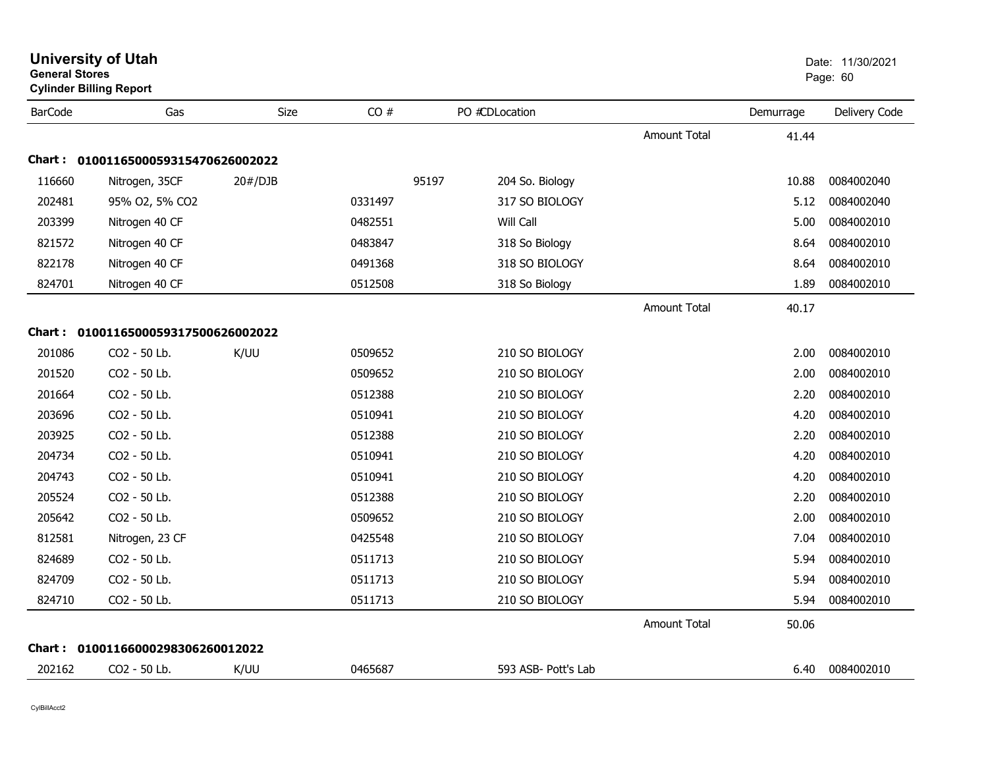| <b>General Stores</b> | <b>University of Utah</b><br><b>Cylinder Billing Report</b> |         |         |                          |                     |           | Date: 11/30/2021<br>Page: 60 |
|-----------------------|-------------------------------------------------------------|---------|---------|--------------------------|---------------------|-----------|------------------------------|
| <b>BarCode</b>        | Gas                                                         | Size    | CO#     | PO #CDLocation           |                     | Demurrage | Delivery Code                |
|                       |                                                             |         |         |                          | <b>Amount Total</b> | 41.44     |                              |
|                       | Chart: 0100116500059315470626002022                         |         |         |                          |                     |           |                              |
| 116660                | Nitrogen, 35CF                                              | 20#/DJB |         | 95197<br>204 So. Biology |                     | 10.88     | 0084002040                   |
| 202481                | 95% O2, 5% CO2                                              |         | 0331497 | 317 SO BIOLOGY           |                     | 5.12      | 0084002040                   |
| 203399                | Nitrogen 40 CF                                              |         | 0482551 | Will Call                |                     | 5.00      | 0084002010                   |
| 821572                | Nitrogen 40 CF                                              |         | 0483847 | 318 So Biology           |                     | 8.64      | 0084002010                   |
| 822178                | Nitrogen 40 CF                                              |         | 0491368 | 318 SO BIOLOGY           |                     | 8.64      | 0084002010                   |
| 824701                | Nitrogen 40 CF                                              |         | 0512508 | 318 So Biology           |                     | 1.89      | 0084002010                   |
|                       |                                                             |         |         |                          | Amount Total        | 40.17     |                              |
|                       | Chart: 0100116500059317500626002022                         |         |         |                          |                     |           |                              |
| 201086                | CO2 - 50 Lb.                                                | K/UU    | 0509652 | 210 SO BIOLOGY           |                     | 2.00      | 0084002010                   |
| 201520                | CO2 - 50 Lb.                                                |         | 0509652 | 210 SO BIOLOGY           |                     | 2.00      | 0084002010                   |
| 201664                | CO2 - 50 Lb.                                                |         | 0512388 | 210 SO BIOLOGY           |                     | 2.20      | 0084002010                   |
| 203696                | CO2 - 50 Lb.                                                |         | 0510941 | 210 SO BIOLOGY           |                     | 4.20      | 0084002010                   |
| 203925                | CO2 - 50 Lb.                                                |         | 0512388 | 210 SO BIOLOGY           |                     | 2.20      | 0084002010                   |
| 204734                | CO2 - 50 Lb.                                                |         | 0510941 | 210 SO BIOLOGY           |                     | 4.20      | 0084002010                   |
| 204743                | CO2 - 50 Lb.                                                |         | 0510941 | 210 SO BIOLOGY           |                     | 4.20      | 0084002010                   |
| 205524                | CO2 - 50 Lb.                                                |         | 0512388 | 210 SO BIOLOGY           |                     | 2.20      | 0084002010                   |
| 205642                | CO2 - 50 Lb.                                                |         | 0509652 | 210 SO BIOLOGY           |                     | 2.00      | 0084002010                   |
| 812581                | Nitrogen, 23 CF                                             |         | 0425548 | 210 SO BIOLOGY           |                     | 7.04      | 0084002010                   |
| 824689                | CO2 - 50 Lb.                                                |         | 0511713 | 210 SO BIOLOGY           |                     | 5.94      | 0084002010                   |
| 824709                | CO2 - 50 Lb.                                                |         | 0511713 | 210 SO BIOLOGY           |                     | 5.94      | 0084002010                   |
| 824710                | CO2 - 50 Lb.                                                |         | 0511713 | 210 SO BIOLOGY           |                     | 5.94      | 0084002010                   |
|                       |                                                             |         |         |                          | <b>Amount Total</b> | 50.06     |                              |
|                       | Chart: 01001166000298306260012022                           |         |         |                          |                     |           |                              |
| 202162                | CO <sub>2</sub> - 50 Lb.                                    | K/UU    | 0465687 | 593 ASB- Pott's Lab      |                     | 6.40      | 0084002010                   |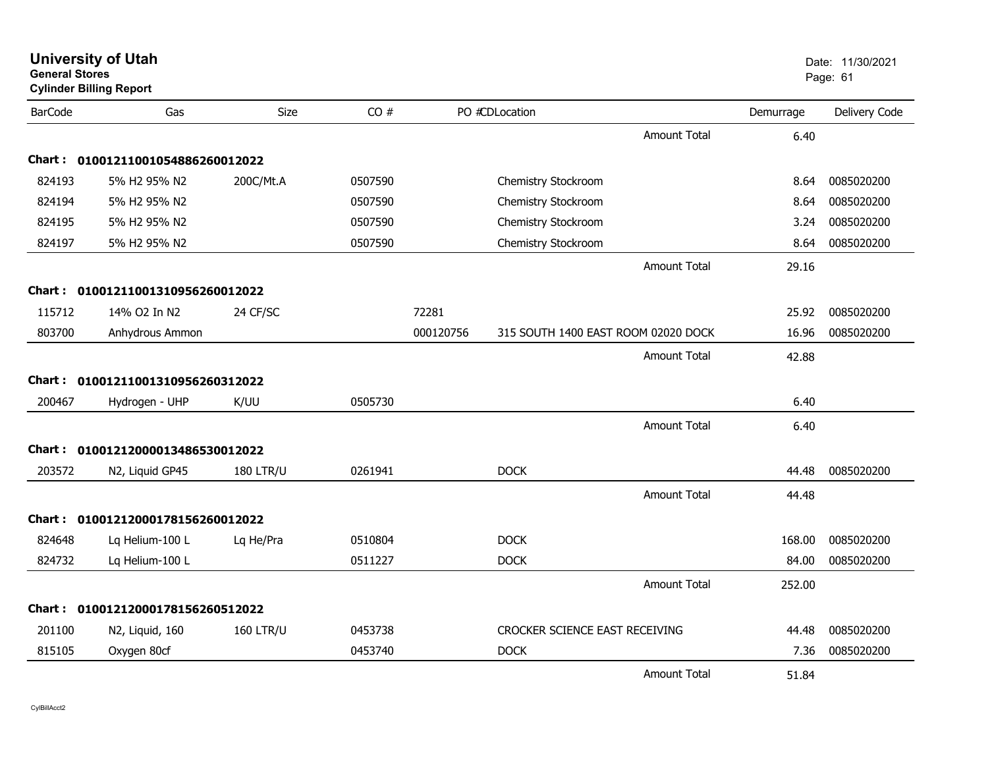| <b>General Stores</b> | <b>University of Utah</b><br><b>Cylinder Billing Report</b> |                  |         |           |                                     |                     |           | Date: 11/30/2021<br>Page: 61 |
|-----------------------|-------------------------------------------------------------|------------------|---------|-----------|-------------------------------------|---------------------|-----------|------------------------------|
| <b>BarCode</b>        | Gas                                                         | Size             | CO#     |           | PO #CDLocation                      |                     | Demurrage | Delivery Code                |
|                       |                                                             |                  |         |           |                                     | <b>Amount Total</b> | 6.40      |                              |
|                       | Chart: 01001211001054886260012022                           |                  |         |           |                                     |                     |           |                              |
| 824193                | 5% H2 95% N2                                                | 200C/Mt.A        | 0507590 |           | Chemistry Stockroom                 |                     | 8.64      | 0085020200                   |
| 824194                | 5% H2 95% N2                                                |                  | 0507590 |           | Chemistry Stockroom                 |                     | 8.64      | 0085020200                   |
| 824195                | 5% H2 95% N2                                                |                  | 0507590 |           | Chemistry Stockroom                 |                     | 3.24      | 0085020200                   |
| 824197                | 5% H2 95% N2                                                |                  | 0507590 |           | Chemistry Stockroom                 |                     | 8.64      | 0085020200                   |
|                       |                                                             |                  |         |           |                                     | Amount Total        | 29.16     |                              |
| <b>Chart :</b>        | 01001211001310956260012022                                  |                  |         |           |                                     |                     |           |                              |
| 115712                | 14% O2 In N2                                                | 24 CF/SC         |         | 72281     |                                     |                     | 25.92     | 0085020200                   |
| 803700                | Anhydrous Ammon                                             |                  |         | 000120756 | 315 SOUTH 1400 EAST ROOM 02020 DOCK |                     | 16.96     | 0085020200                   |
|                       |                                                             |                  |         |           |                                     | <b>Amount Total</b> | 42.88     |                              |
| Chart :               | 01001211001310956260312022                                  |                  |         |           |                                     |                     |           |                              |
| 200467                | Hydrogen - UHP                                              | K/UU             | 0505730 |           |                                     |                     | 6.40      |                              |
|                       |                                                             |                  |         |           |                                     | <b>Amount Total</b> | 6.40      |                              |
|                       | Chart: 01001212000013486530012022                           |                  |         |           |                                     |                     |           |                              |
| 203572                | N2, Liquid GP45                                             | <b>180 LTR/U</b> | 0261941 |           | <b>DOCK</b>                         |                     | 44.48     | 0085020200                   |
|                       |                                                             |                  |         |           |                                     | <b>Amount Total</b> | 44.48     |                              |
|                       | Chart: 01001212000178156260012022                           |                  |         |           |                                     |                     |           |                              |
| 824648                | Lq Helium-100 L                                             | Lq He/Pra        | 0510804 |           | <b>DOCK</b>                         |                     | 168.00    | 0085020200                   |
| 824732                | Lq Helium-100 L                                             |                  | 0511227 |           | <b>DOCK</b>                         |                     | 84.00     | 0085020200                   |
|                       |                                                             |                  |         |           |                                     | <b>Amount Total</b> | 252.00    |                              |
| Chart :               | 01001212000178156260512022                                  |                  |         |           |                                     |                     |           |                              |
| 201100                | N2, Liquid, 160                                             | <b>160 LTR/U</b> | 0453738 |           | CROCKER SCIENCE EAST RECEIVING      |                     | 44.48     | 0085020200                   |
| 815105                | Oxygen 80cf                                                 |                  | 0453740 |           | <b>DOCK</b>                         |                     | 7.36      | 0085020200                   |
|                       |                                                             |                  |         |           |                                     | <b>Amount Total</b> | 51.84     |                              |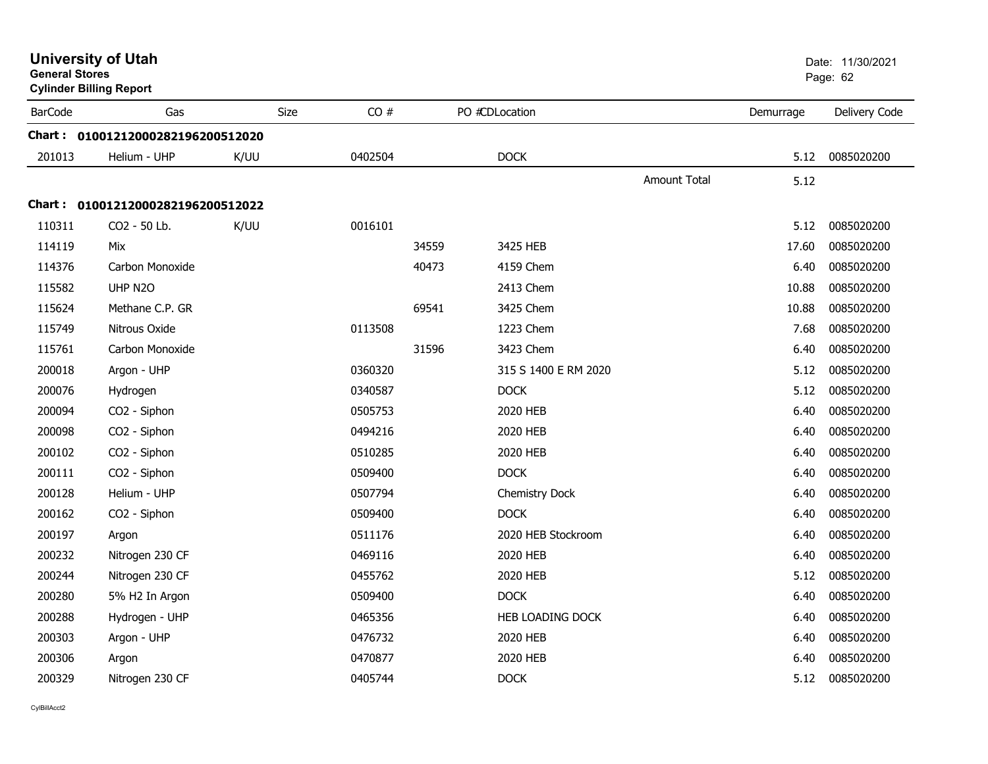|                | <b>University of Utah</b><br><b>General Stores</b><br><b>Cylinder Billing Report</b><br>Gas<br>Size |      |         |       |                      | Date: 11/30/2021<br>Page: 62 |           |               |
|----------------|-----------------------------------------------------------------------------------------------------|------|---------|-------|----------------------|------------------------------|-----------|---------------|
| <b>BarCode</b> |                                                                                                     |      | CO#     |       | PO #CDLocation       |                              | Demurrage | Delivery Code |
|                | Chart: 01001212000282196200512020                                                                   |      |         |       |                      |                              |           |               |
| 201013         | Helium - UHP                                                                                        | K/UU | 0402504 |       | <b>DOCK</b>          |                              | 5.12      | 0085020200    |
|                |                                                                                                     |      |         |       |                      | <b>Amount Total</b>          | 5.12      |               |
|                | Chart: 01001212000282196200512022                                                                   |      |         |       |                      |                              |           |               |
| 110311         | CO2 - 50 Lb.                                                                                        | K/UU | 0016101 |       |                      |                              | 5.12      | 0085020200    |
| 114119         | Mix                                                                                                 |      |         | 34559 | 3425 HEB             |                              | 17.60     | 0085020200    |
| 114376         | Carbon Monoxide                                                                                     |      |         | 40473 | 4159 Chem            |                              | 6.40      | 0085020200    |
| 115582         | UHP N2O                                                                                             |      |         |       | 2413 Chem            |                              | 10.88     | 0085020200    |
| 115624         | Methane C.P. GR                                                                                     |      |         | 69541 | 3425 Chem            |                              | 10.88     | 0085020200    |
| 115749         | Nitrous Oxide                                                                                       |      | 0113508 |       | 1223 Chem            |                              | 7.68      | 0085020200    |
| 115761         | Carbon Monoxide                                                                                     |      |         | 31596 | 3423 Chem            |                              | 6.40      | 0085020200    |
| 200018         | Argon - UHP                                                                                         |      | 0360320 |       | 315 S 1400 E RM 2020 |                              | 5.12      | 0085020200    |
| 200076         | Hydrogen                                                                                            |      | 0340587 |       | <b>DOCK</b>          |                              | 5.12      | 0085020200    |
| 200094         | CO2 - Siphon                                                                                        |      | 0505753 |       | 2020 HEB             |                              | 6.40      | 0085020200    |
| 200098         | CO2 - Siphon                                                                                        |      | 0494216 |       | 2020 HEB             |                              | 6.40      | 0085020200    |
| 200102         | CO2 - Siphon                                                                                        |      | 0510285 |       | 2020 HEB             |                              | 6.40      | 0085020200    |
| 200111         | CO2 - Siphon                                                                                        |      | 0509400 |       | <b>DOCK</b>          |                              | 6.40      | 0085020200    |
| 200128         | Helium - UHP                                                                                        |      | 0507794 |       | Chemistry Dock       |                              | 6.40      | 0085020200    |
| 200162         | CO2 - Siphon                                                                                        |      | 0509400 |       | <b>DOCK</b>          |                              | 6.40      | 0085020200    |
| 200197         | Argon                                                                                               |      | 0511176 |       | 2020 HEB Stockroom   |                              | 6.40      | 0085020200    |
| 200232         | Nitrogen 230 CF                                                                                     |      | 0469116 |       | 2020 HEB             |                              | 6.40      | 0085020200    |
| 200244         | Nitrogen 230 CF                                                                                     |      | 0455762 |       | 2020 HEB             |                              | 5.12      | 0085020200    |
| 200280         | 5% H2 In Argon                                                                                      |      | 0509400 |       | <b>DOCK</b>          |                              | 6.40      | 0085020200    |
| 200288         | Hydrogen - UHP                                                                                      |      | 0465356 |       | HEB LOADING DOCK     |                              | 6.40      | 0085020200    |
| 200303         | Argon - UHP                                                                                         |      | 0476732 |       | 2020 HEB             |                              | 6.40      | 0085020200    |
| 200306         | Argon                                                                                               |      | 0470877 |       | 2020 HEB             |                              | 6.40      | 0085020200    |
| 200329         | Nitrogen 230 CF                                                                                     |      | 0405744 |       | <b>DOCK</b>          |                              | 5.12      | 0085020200    |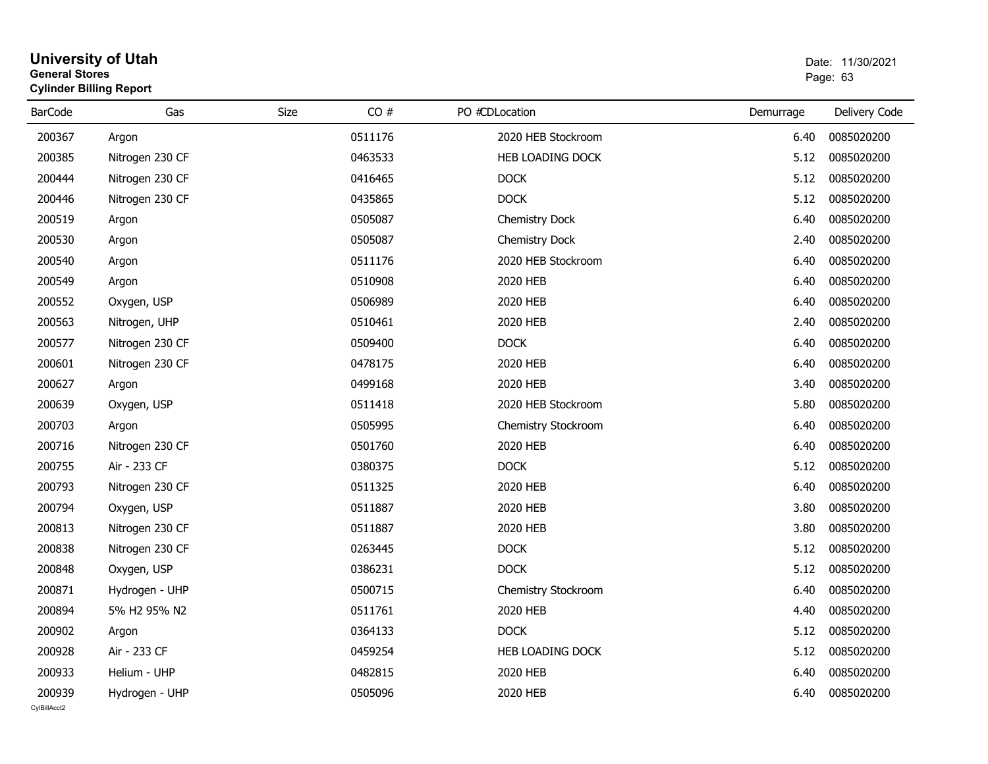#### **University of Utah** Date: 11/30/2021 **General Stores**entry of the control of the control of the control of the control of the control of the control of the control of the control of the control of the control of the control of the control of the control of the control of the **Cylinder Billing Report**

| <b>BarCode</b> | Gas             | CO#<br>Size | PO #CDLocation        | Demurrage | Delivery Code |
|----------------|-----------------|-------------|-----------------------|-----------|---------------|
|                |                 |             |                       |           |               |
| 200367         | Argon           | 0511176     | 2020 HEB Stockroom    | 6.40      | 0085020200    |
| 200385         | Nitrogen 230 CF | 0463533     | HEB LOADING DOCK      | 5.12      | 0085020200    |
| 200444         | Nitrogen 230 CF | 0416465     | <b>DOCK</b>           | 5.12      | 0085020200    |
| 200446         | Nitrogen 230 CF | 0435865     | <b>DOCK</b>           | 5.12      | 0085020200    |
| 200519         | Argon           | 0505087     | <b>Chemistry Dock</b> | 6.40      | 0085020200    |
| 200530         | Argon           | 0505087     | Chemistry Dock        | 2.40      | 0085020200    |
| 200540         | Argon           | 0511176     | 2020 HEB Stockroom    | 6.40      | 0085020200    |
| 200549         | Argon           | 0510908     | 2020 HEB              | 6.40      | 0085020200    |
| 200552         | Oxygen, USP     | 0506989     | 2020 HEB              | 6.40      | 0085020200    |
| 200563         | Nitrogen, UHP   | 0510461     | 2020 HEB              | 2.40      | 0085020200    |
| 200577         | Nitrogen 230 CF | 0509400     | <b>DOCK</b>           | 6.40      | 0085020200    |
| 200601         | Nitrogen 230 CF | 0478175     | 2020 HEB              | 6.40      | 0085020200    |
| 200627         | Argon           | 0499168     | 2020 HEB              | 3.40      | 0085020200    |
| 200639         | Oxygen, USP     | 0511418     | 2020 HEB Stockroom    | 5.80      | 0085020200    |
| 200703         | Argon           | 0505995     | Chemistry Stockroom   | 6.40      | 0085020200    |
| 200716         | Nitrogen 230 CF | 0501760     | 2020 HEB              | 6.40      | 0085020200    |
| 200755         | Air - 233 CF    | 0380375     | <b>DOCK</b>           | 5.12      | 0085020200    |
| 200793         | Nitrogen 230 CF | 0511325     | 2020 HEB              | 6.40      | 0085020200    |
| 200794         | Oxygen, USP     | 0511887     | 2020 HEB              | 3.80      | 0085020200    |
| 200813         | Nitrogen 230 CF | 0511887     | 2020 HEB              | 3.80      | 0085020200    |
| 200838         | Nitrogen 230 CF | 0263445     | <b>DOCK</b>           | 5.12      | 0085020200    |
| 200848         | Oxygen, USP     | 0386231     | <b>DOCK</b>           | 5.12      | 0085020200    |
| 200871         | Hydrogen - UHP  | 0500715     | Chemistry Stockroom   | 6.40      | 0085020200    |
| 200894         | 5% H2 95% N2    | 0511761     | 2020 HEB              | 4.40      | 0085020200    |
| 200902         | Argon           | 0364133     | <b>DOCK</b>           | 5.12      | 0085020200    |
| 200928         | Air - 233 CF    | 0459254     | HEB LOADING DOCK      | 5.12      | 0085020200    |
| 200933         | Helium - UHP    | 0482815     | 2020 HEB              | 6.40      | 0085020200    |
| 200939         | Hydrogen - UHP  | 0505096     | 2020 HEB              | 6.40      | 0085020200    |
| CvIBillAcct2   |                 |             |                       |           |               |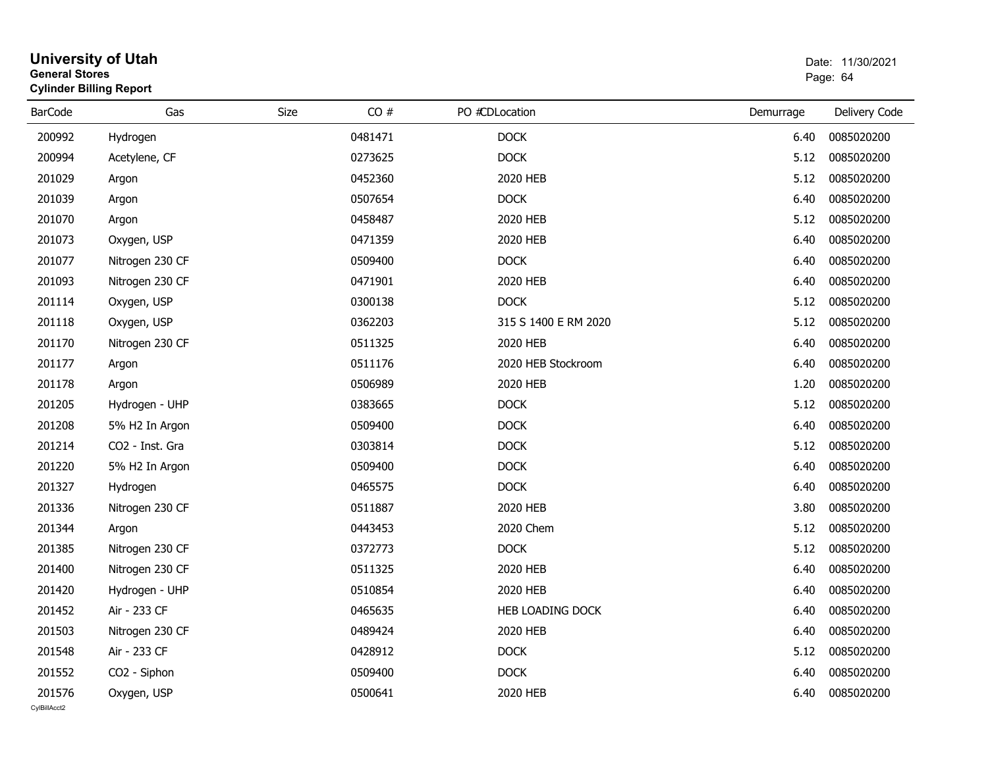|                | <b>General Stores</b><br><b>Cylinder Billing Report</b> |      |         |  |                      | Page: 64  |               |  |
|----------------|---------------------------------------------------------|------|---------|--|----------------------|-----------|---------------|--|
| <b>BarCode</b> | Gas                                                     | Size | CO#     |  | PO #CDLocation       | Demurrage | Delivery Code |  |
| 200992         | Hydrogen                                                |      | 0481471 |  | <b>DOCK</b>          | 6.40      | 0085020200    |  |
| 200994         | Acetylene, CF                                           |      | 0273625 |  | <b>DOCK</b>          | 5.12      | 0085020200    |  |
| 201029         | Argon                                                   |      | 0452360 |  | 2020 HEB             | 5.12      | 0085020200    |  |
| 201039         | Argon                                                   |      | 0507654 |  | <b>DOCK</b>          | 6.40      | 0085020200    |  |
| 201070         | Argon                                                   |      | 0458487 |  | 2020 HEB             | 5.12      | 0085020200    |  |
| 201073         | Oxygen, USP                                             |      | 0471359 |  | 2020 HEB             | 6.40      | 0085020200    |  |
| 201077         | Nitrogen 230 CF                                         |      | 0509400 |  | <b>DOCK</b>          | 6.40      | 0085020200    |  |
| 201093         | Nitrogen 230 CF                                         |      | 0471901 |  | 2020 HEB             | 6.40      | 0085020200    |  |
| 201114         | Oxygen, USP                                             |      | 0300138 |  | <b>DOCK</b>          | 5.12      | 0085020200    |  |
| 201118         | Oxygen, USP                                             |      | 0362203 |  | 315 S 1400 E RM 2020 | 5.12      | 0085020200    |  |
| 201170         | Nitrogen 230 CF                                         |      | 0511325 |  | 2020 HEB             | 6.40      | 0085020200    |  |
| 201177         | Argon                                                   |      | 0511176 |  | 2020 HEB Stockroom   | 6.40      | 0085020200    |  |
| 201178         | Argon                                                   |      | 0506989 |  | 2020 HEB             | 1.20      | 0085020200    |  |
| 201205         | Hydrogen - UHP                                          |      | 0383665 |  | <b>DOCK</b>          | 5.12      | 0085020200    |  |
| 201208         | 5% H2 In Argon                                          |      | 0509400 |  | <b>DOCK</b>          | 6.40      | 0085020200    |  |
| 201214         | CO2 - Inst. Gra                                         |      | 0303814 |  | <b>DOCK</b>          | 5.12      | 0085020200    |  |
| 201220         | 5% H2 In Argon                                          |      | 0509400 |  | <b>DOCK</b>          | 6.40      | 0085020200    |  |
| 201327         | Hydrogen                                                |      | 0465575 |  | <b>DOCK</b>          | 6.40      | 0085020200    |  |
| 201336         | Nitrogen 230 CF                                         |      | 0511887 |  | 2020 HEB             | 3.80      | 0085020200    |  |
| 201344         | Argon                                                   |      | 0443453 |  | 2020 Chem            | 5.12      | 0085020200    |  |
| 201385         | Nitrogen 230 CF                                         |      | 0372773 |  | <b>DOCK</b>          | 5.12      | 0085020200    |  |
| 201400         | Nitrogen 230 CF                                         |      | 0511325 |  | 2020 HEB             | 6.40      | 0085020200    |  |
| 201420         | Hydrogen - UHP                                          |      | 0510854 |  | 2020 HEB             | 6.40      | 0085020200    |  |
| 201452         | Air - 233 CF                                            |      | 0465635 |  | HEB LOADING DOCK     | 6.40      | 0085020200    |  |
| 201503         | Nitrogen 230 CF                                         |      | 0489424 |  | 2020 HEB             | 6.40      | 0085020200    |  |
| 201548         | Air - 233 CF                                            |      | 0428912 |  | <b>DOCK</b>          | 5.12      | 0085020200    |  |
| 201552         | CO2 - Siphon                                            |      | 0509400 |  | <b>DOCK</b>          | 6.40      | 0085020200    |  |
| 201576         | Oxygen, USP                                             |      | 0500641 |  | 2020 HEB             | 6.40      | 0085020200    |  |

## **University of Utah**  Date: 11/30/2021 **General Stores**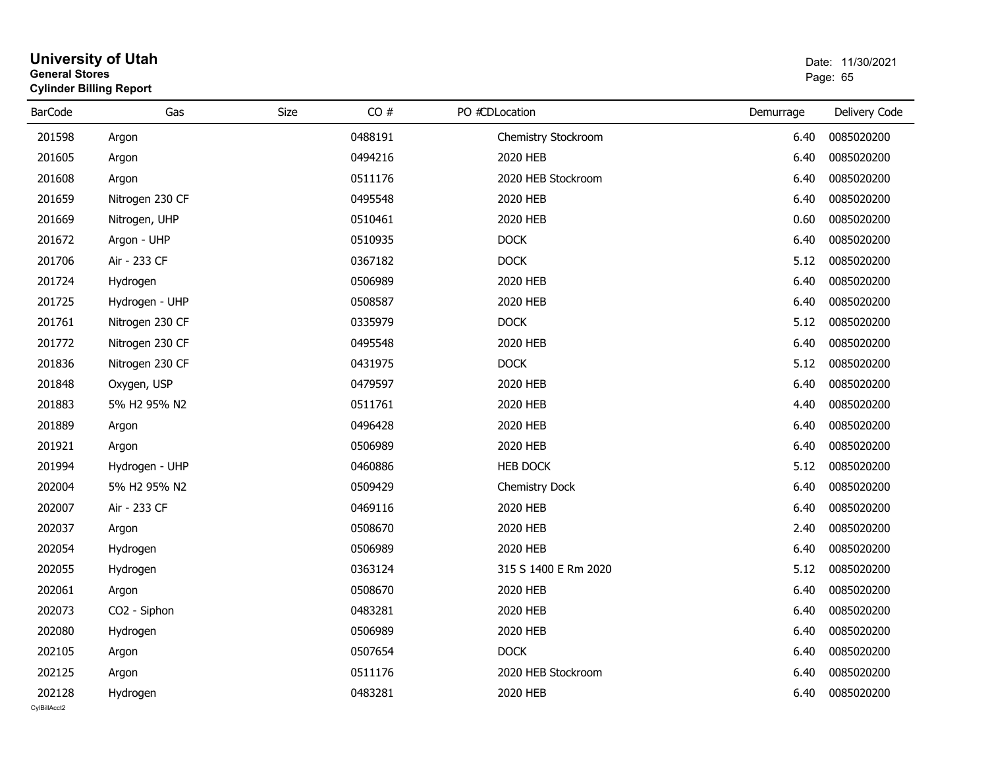#### **University of Utah** Date: 11/30/2021 **General Stores**entry of the control of the control of the control of the control of the control of the control of the control of the control of the control of the control of the control of the control of the control of the control of the **Cylinder Billing Report**

| <b>BarCode</b> | Gas             | CO#<br>Size | PO #CDLocation       | Demurrage | Delivery Code |
|----------------|-----------------|-------------|----------------------|-----------|---------------|
| 201598         | Argon           | 0488191     | Chemistry Stockroom  | 6.40      | 0085020200    |
| 201605         | Argon           | 0494216     | 2020 HEB             | 6.40      | 0085020200    |
| 201608         | Argon           | 0511176     | 2020 HEB Stockroom   | 6.40      | 0085020200    |
| 201659         | Nitrogen 230 CF | 0495548     | 2020 HEB             | 6.40      | 0085020200    |
| 201669         | Nitrogen, UHP   | 0510461     | 2020 HEB             | 0.60      | 0085020200    |
| 201672         | Argon - UHP     | 0510935     | <b>DOCK</b>          | 6.40      | 0085020200    |
| 201706         | Air - 233 CF    | 0367182     | <b>DOCK</b>          | 5.12      | 0085020200    |
| 201724         | Hydrogen        | 0506989     | 2020 HEB             | 6.40      | 0085020200    |
| 201725         | Hydrogen - UHP  | 0508587     | 2020 HEB             | 6.40      | 0085020200    |
| 201761         | Nitrogen 230 CF | 0335979     | <b>DOCK</b>          | 5.12      | 0085020200    |
| 201772         | Nitrogen 230 CF | 0495548     | 2020 HEB             | 6.40      | 0085020200    |
| 201836         | Nitrogen 230 CF | 0431975     | <b>DOCK</b>          | 5.12      | 0085020200    |
| 201848         | Oxygen, USP     | 0479597     | 2020 HEB             | 6.40      | 0085020200    |
| 201883         | 5% H2 95% N2    | 0511761     | 2020 HEB             | 4.40      | 0085020200    |
| 201889         | Argon           | 0496428     | 2020 HEB             | 6.40      | 0085020200    |
| 201921         | Argon           | 0506989     | 2020 HEB             | 6.40      | 0085020200    |
| 201994         | Hydrogen - UHP  | 0460886     | <b>HEB DOCK</b>      | 5.12      | 0085020200    |
| 202004         | 5% H2 95% N2    | 0509429     | Chemistry Dock       | 6.40      | 0085020200    |
| 202007         | Air - 233 CF    | 0469116     | 2020 HEB             | 6.40      | 0085020200    |
| 202037         | Argon           | 0508670     | 2020 HEB             | 2.40      | 0085020200    |
| 202054         | Hydrogen        | 0506989     | 2020 HEB             | 6.40      | 0085020200    |
| 202055         | Hydrogen        | 0363124     | 315 S 1400 E Rm 2020 | 5.12      | 0085020200    |
| 202061         | Argon           | 0508670     | 2020 HEB             | 6.40      | 0085020200    |
| 202073         | CO2 - Siphon    | 0483281     | 2020 HEB             | 6.40      | 0085020200    |
| 202080         | Hydrogen        | 0506989     | 2020 HEB             | 6.40      | 0085020200    |
| 202105         | Argon           | 0507654     | <b>DOCK</b>          | 6.40      | 0085020200    |
| 202125         | Argon           | 0511176     | 2020 HEB Stockroom   | 6.40      | 0085020200    |
| 202128         | Hydrogen        | 0483281     | 2020 HEB             | 6.40      | 0085020200    |
| CvIBillAcct2   |                 |             |                      |           |               |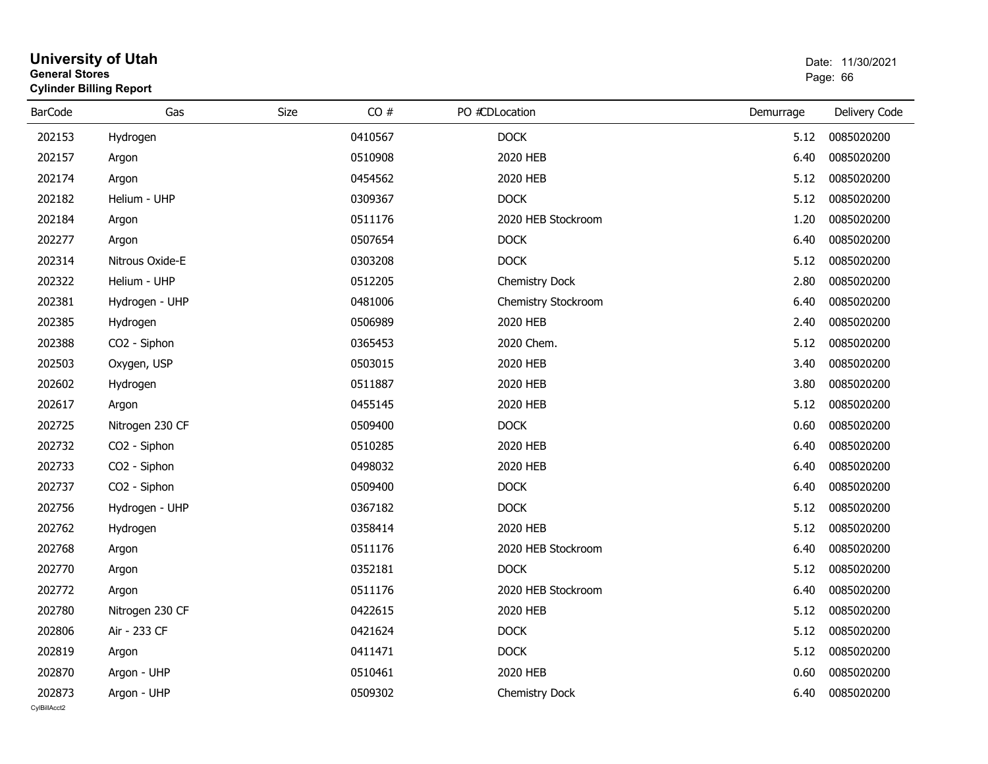#### **University of Utah** Date: 11/30/2021 **General Stores**е в последници по последници по последници по последници по последници по последници по последници по последниц<br>В 1963 године по последници по последници по последници по последници по последници по последници по последни **Cylinder Billing Report**

| <b>BarCode</b> | Gas             | CO#<br>Size | PO #CDLocation      | Demurrage | Delivery Code |
|----------------|-----------------|-------------|---------------------|-----------|---------------|
| 202153         | Hydrogen        | 0410567     | <b>DOCK</b>         | 5.12      | 0085020200    |
| 202157         | Argon           | 0510908     | 2020 HEB            | 6.40      | 0085020200    |
| 202174         | Argon           | 0454562     | 2020 HEB            | 5.12      | 0085020200    |
| 202182         | Helium - UHP    | 0309367     | <b>DOCK</b>         | 5.12      | 0085020200    |
| 202184         | Argon           | 0511176     | 2020 HEB Stockroom  | 1.20      | 0085020200    |
| 202277         | Argon           | 0507654     | <b>DOCK</b>         | 6.40      | 0085020200    |
| 202314         | Nitrous Oxide-E | 0303208     | <b>DOCK</b>         | 5.12      | 0085020200    |
| 202322         | Helium - UHP    | 0512205     | Chemistry Dock      | 2.80      | 0085020200    |
| 202381         | Hydrogen - UHP  | 0481006     | Chemistry Stockroom | 6.40      | 0085020200    |
| 202385         | Hydrogen        | 0506989     | 2020 HEB            | 2.40      | 0085020200    |
| 202388         | CO2 - Siphon    | 0365453     | 2020 Chem.          | 5.12      | 0085020200    |
| 202503         | Oxygen, USP     | 0503015     | 2020 HEB            | 3.40      | 0085020200    |
| 202602         | Hydrogen        | 0511887     | 2020 HEB            | 3.80      | 0085020200    |
| 202617         | Argon           | 0455145     | 2020 HEB            | 5.12      | 0085020200    |
| 202725         | Nitrogen 230 CF | 0509400     | <b>DOCK</b>         | 0.60      | 0085020200    |
| 202732         | CO2 - Siphon    | 0510285     | 2020 HEB            | 6.40      | 0085020200    |
| 202733         | CO2 - Siphon    | 0498032     | 2020 HEB            | 6.40      | 0085020200    |
| 202737         | CO2 - Siphon    | 0509400     | <b>DOCK</b>         | 6.40      | 0085020200    |
| 202756         | Hydrogen - UHP  | 0367182     | <b>DOCK</b>         | 5.12      | 0085020200    |
| 202762         | Hydrogen        | 0358414     | 2020 HEB            | 5.12      | 0085020200    |
| 202768         | Argon           | 0511176     | 2020 HEB Stockroom  | 6.40      | 0085020200    |
| 202770         | Argon           | 0352181     | <b>DOCK</b>         | 5.12      | 0085020200    |
| 202772         | Argon           | 0511176     | 2020 HEB Stockroom  | 6.40      | 0085020200    |
| 202780         | Nitrogen 230 CF | 0422615     | 2020 HEB            | 5.12      | 0085020200    |
| 202806         | Air - 233 CF    | 0421624     | <b>DOCK</b>         | 5.12      | 0085020200    |
| 202819         | Argon           | 0411471     | <b>DOCK</b>         | 5.12      | 0085020200    |
| 202870         | Argon - UHP     | 0510461     | 2020 HEB            | 0.60      | 0085020200    |
| 202873         | Argon - UHP     | 0509302     | Chemistry Dock      | 6.40      | 0085020200    |
| CvIBillAcct2   |                 |             |                     |           |               |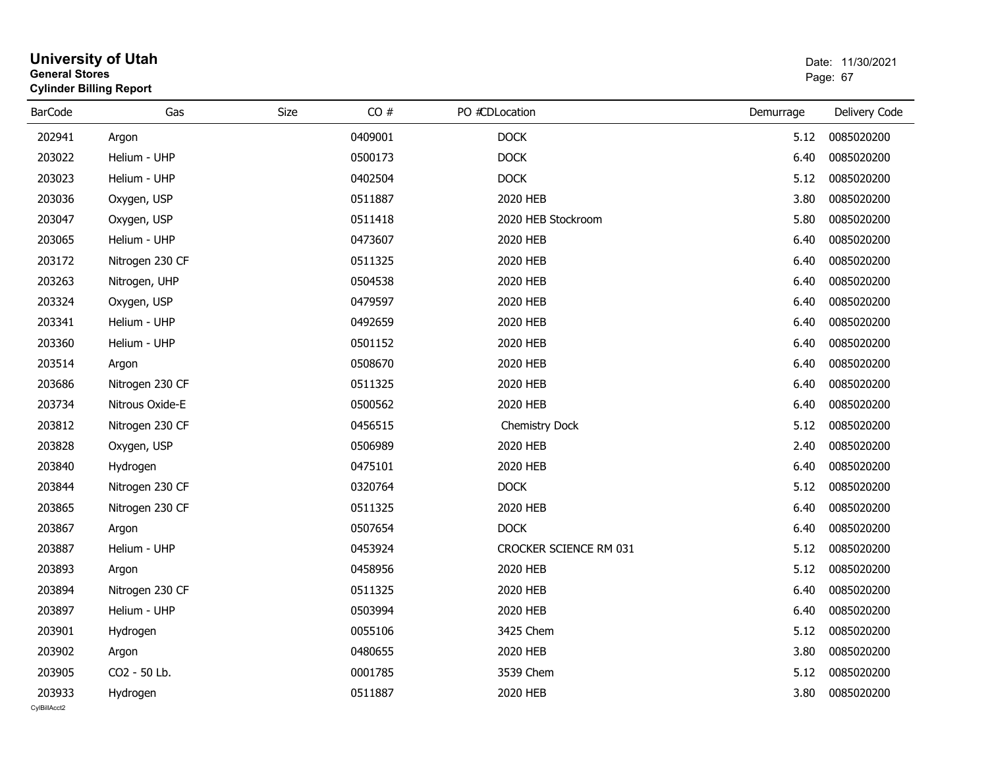| General Stores         | <b>Cylinder Billing Report</b> |      | Page: 67 |                        |           |               |
|------------------------|--------------------------------|------|----------|------------------------|-----------|---------------|
| <b>BarCode</b>         | Gas                            | Size | CO#      | PO #CDLocation         | Demurrage | Delivery Code |
| 202941                 | Argon                          |      | 0409001  | <b>DOCK</b>            | 5.12      | 0085020200    |
| 203022                 | Helium - UHP                   |      | 0500173  | <b>DOCK</b>            | 6.40      | 0085020200    |
| 203023                 | Helium - UHP                   |      | 0402504  | <b>DOCK</b>            | 5.12      | 0085020200    |
| 203036                 | Oxygen, USP                    |      | 0511887  | 2020 HEB               | 3.80      | 0085020200    |
| 203047                 | Oxygen, USP                    |      | 0511418  | 2020 HEB Stockroom     | 5.80      | 0085020200    |
| 203065                 | Helium - UHP                   |      | 0473607  | 2020 HEB               | 6.40      | 0085020200    |
| 203172                 | Nitrogen 230 CF                |      | 0511325  | 2020 HEB               | 6.40      | 0085020200    |
| 203263                 | Nitrogen, UHP                  |      | 0504538  | 2020 HEB               | 6.40      | 0085020200    |
| 203324                 | Oxygen, USP                    |      | 0479597  | 2020 HEB               | 6.40      | 0085020200    |
| 203341                 | Helium - UHP                   |      | 0492659  | 2020 HEB               | 6.40      | 0085020200    |
| 203360                 | Helium - UHP                   |      | 0501152  | 2020 HEB               | 6.40      | 0085020200    |
| 203514                 | Argon                          |      | 0508670  | 2020 HEB               | 6.40      | 0085020200    |
| 203686                 | Nitrogen 230 CF                |      | 0511325  | 2020 HEB               | 6.40      | 0085020200    |
| 203734                 | Nitrous Oxide-E                |      | 0500562  | 2020 HEB               | 6.40      | 0085020200    |
| 203812                 | Nitrogen 230 CF                |      | 0456515  | <b>Chemistry Dock</b>  | 5.12      | 0085020200    |
| 203828                 | Oxygen, USP                    |      | 0506989  | 2020 HEB               | 2.40      | 0085020200    |
| 203840                 | Hydrogen                       |      | 0475101  | 2020 HEB               | 6.40      | 0085020200    |
| 203844                 | Nitrogen 230 CF                |      | 0320764  | <b>DOCK</b>            | 5.12      | 0085020200    |
| 203865                 | Nitrogen 230 CF                |      | 0511325  | 2020 HEB               | 6.40      | 0085020200    |
| 203867                 | Argon                          |      | 0507654  | <b>DOCK</b>            | 6.40      | 0085020200    |
| 203887                 | Helium - UHP                   |      | 0453924  | CROCKER SCIENCE RM 031 | 5.12      | 0085020200    |
| 203893                 | Argon                          |      | 0458956  | 2020 HEB               | 5.12      | 0085020200    |
| 203894                 | Nitrogen 230 CF                |      | 0511325  | 2020 HEB               | 6.40      | 0085020200    |
| 203897                 | Helium - UHP                   |      | 0503994  | 2020 HEB               | 6.40      | 0085020200    |
| 203901                 | Hydrogen                       |      | 0055106  | 3425 Chem              | 5.12      | 0085020200    |
| 203902                 | Argon                          |      | 0480655  | 2020 HEB               | 3.80      | 0085020200    |
| 203905                 | CO2 - 50 Lb.                   |      | 0001785  | 3539 Chem              | 5.12      | 0085020200    |
| 203933<br>CvIBillAcct2 | Hydrogen                       |      | 0511887  | 2020 HEB               | 3.80      | 0085020200    |

**University of Utah** Date: 11/30/2021 **General Stores**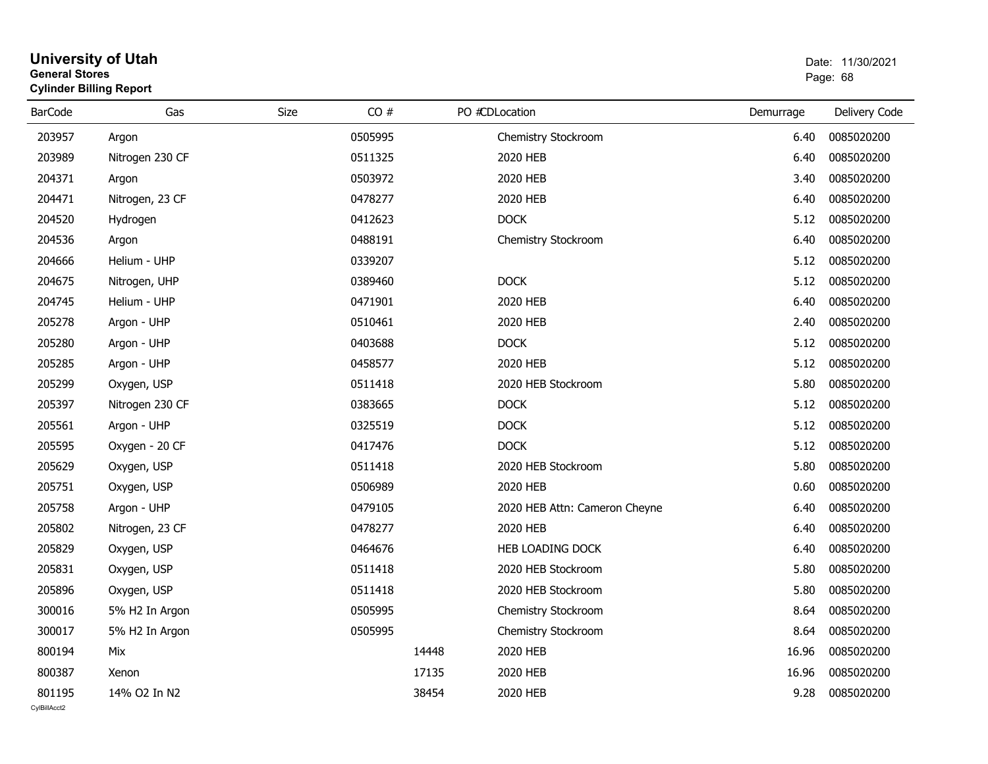|                | Cylinder Billing Report |      |         |                               |           |               |  |  |  |  |  |
|----------------|-------------------------|------|---------|-------------------------------|-----------|---------------|--|--|--|--|--|
| <b>BarCode</b> | Gas                     | Size | CO#     | PO #CDLocation                | Demurrage | Delivery Code |  |  |  |  |  |
| 203957         | Argon                   |      | 0505995 | Chemistry Stockroom           | 6.40      | 0085020200    |  |  |  |  |  |
| 203989         | Nitrogen 230 CF         |      | 0511325 | 2020 HEB                      | 6.40      | 0085020200    |  |  |  |  |  |
| 204371         | Argon                   |      | 0503972 | 2020 HEB                      | 3.40      | 0085020200    |  |  |  |  |  |
| 204471         | Nitrogen, 23 CF         |      | 0478277 | 2020 HEB                      | 6.40      | 0085020200    |  |  |  |  |  |
| 204520         | Hydrogen                |      | 0412623 | <b>DOCK</b>                   | 5.12      | 0085020200    |  |  |  |  |  |
| 204536         | Argon                   |      | 0488191 | Chemistry Stockroom           | 6.40      | 0085020200    |  |  |  |  |  |
| 204666         | Helium - UHP            |      | 0339207 |                               | 5.12      | 0085020200    |  |  |  |  |  |
| 204675         | Nitrogen, UHP           |      | 0389460 | <b>DOCK</b>                   | 5.12      | 0085020200    |  |  |  |  |  |
| 204745         | Helium - UHP            |      | 0471901 | 2020 HEB                      | 6.40      | 0085020200    |  |  |  |  |  |
| 205278         | Argon - UHP             |      | 0510461 | 2020 HEB                      | 2.40      | 0085020200    |  |  |  |  |  |
| 205280         | Argon - UHP             |      | 0403688 | <b>DOCK</b>                   | 5.12      | 0085020200    |  |  |  |  |  |
| 205285         | Argon - UHP             |      | 0458577 | 2020 HEB                      | 5.12      | 0085020200    |  |  |  |  |  |
| 205299         | Oxygen, USP             |      | 0511418 | 2020 HEB Stockroom            | 5.80      | 0085020200    |  |  |  |  |  |
| 205397         | Nitrogen 230 CF         |      | 0383665 | <b>DOCK</b>                   | 5.12      | 0085020200    |  |  |  |  |  |
| 205561         | Argon - UHP             |      | 0325519 | <b>DOCK</b>                   | 5.12      | 0085020200    |  |  |  |  |  |
| 205595         | Oxygen - 20 CF          |      | 0417476 | <b>DOCK</b>                   | 5.12      | 0085020200    |  |  |  |  |  |
| 205629         | Oxygen, USP             |      | 0511418 | 2020 HEB Stockroom            | 5.80      | 0085020200    |  |  |  |  |  |
| 205751         | Oxygen, USP             |      | 0506989 | 2020 HEB                      | 0.60      | 0085020200    |  |  |  |  |  |
| 205758         | Argon - UHP             |      | 0479105 | 2020 HEB Attn: Cameron Cheyne | 6.40      | 0085020200    |  |  |  |  |  |
| 205802         | Nitrogen, 23 CF         |      | 0478277 | 2020 HEB                      | 6.40      | 0085020200    |  |  |  |  |  |
| 205829         | Oxygen, USP             |      | 0464676 | HEB LOADING DOCK              | 6.40      | 0085020200    |  |  |  |  |  |
| 205831         | Oxygen, USP             |      | 0511418 | 2020 HEB Stockroom            | 5.80      | 0085020200    |  |  |  |  |  |
| 205896         | Oxygen, USP             |      | 0511418 | 2020 HEB Stockroom            | 5.80      | 0085020200    |  |  |  |  |  |
| 300016         | 5% H2 In Argon          |      | 0505995 | Chemistry Stockroom           | 8.64      | 0085020200    |  |  |  |  |  |
| 300017         | 5% H2 In Argon          |      | 0505995 | Chemistry Stockroom           | 8.64      | 0085020200    |  |  |  |  |  |
| 800194         | Mix                     |      |         | 2020 HEB<br>14448             | 16.96     | 0085020200    |  |  |  |  |  |
| 800387         | Xenon                   |      |         | 17135<br>2020 HEB             | 16.96     | 0085020200    |  |  |  |  |  |
| 801195         | 14% O2 In N2            |      |         | 38454<br>2020 HEB             | 9.28      | 0085020200    |  |  |  |  |  |

**University of Utah** Date: 11/30/2021 **General Stores**entry of the control of the control of the control of the control of the control of the control of the control of the control of the control of the control of the control of the control of the control of the control of the

**Cylinder Billing Report**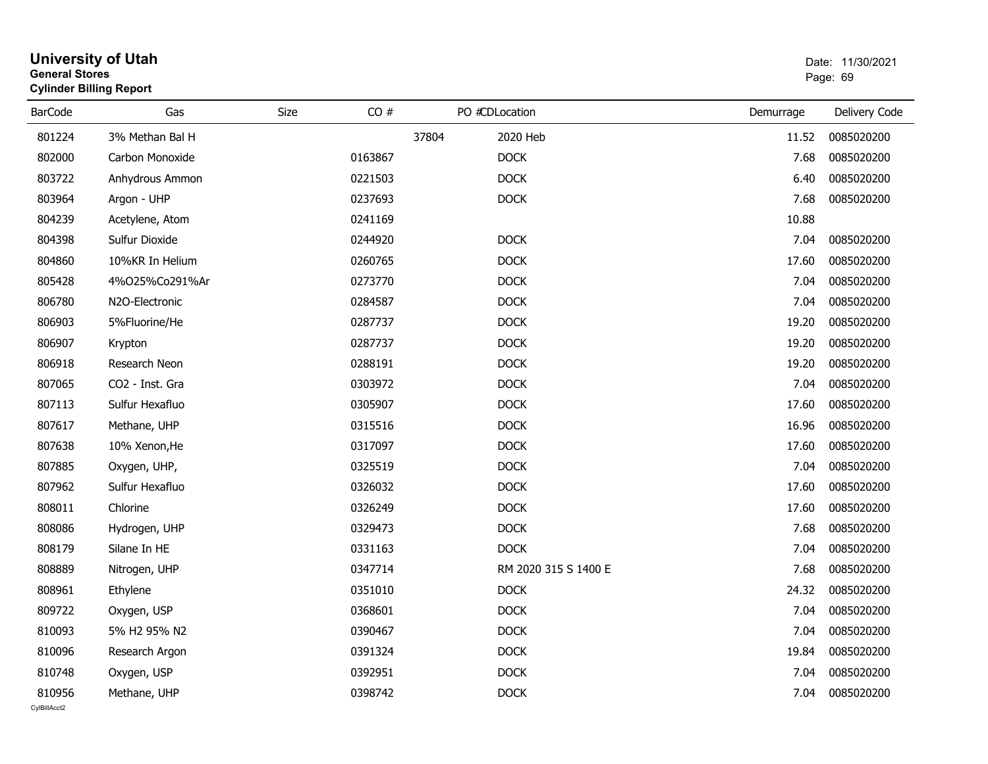|                | General Stores<br><b>Cylinder Billing Report</b> |      |         |                      |           |               |  |  |
|----------------|--------------------------------------------------|------|---------|----------------------|-----------|---------------|--|--|
| <b>BarCode</b> | Gas                                              | Size | CO#     | PO #CDLocation       | Demurrage | Delivery Code |  |  |
| 801224         | 3% Methan Bal H                                  |      | 37804   | 2020 Heb             | 11.52     | 0085020200    |  |  |
| 802000         | Carbon Monoxide                                  |      | 0163867 | <b>DOCK</b>          | 7.68      | 0085020200    |  |  |
| 803722         | Anhydrous Ammon                                  |      | 0221503 | <b>DOCK</b>          | 6.40      | 0085020200    |  |  |
| 803964         | Argon - UHP                                      |      | 0237693 | <b>DOCK</b>          | 7.68      | 0085020200    |  |  |
| 804239         | Acetylene, Atom                                  |      | 0241169 |                      | 10.88     |               |  |  |
| 804398         | Sulfur Dioxide                                   |      | 0244920 | <b>DOCK</b>          | 7.04      | 0085020200    |  |  |
| 804860         | 10%KR In Helium                                  |      | 0260765 | <b>DOCK</b>          | 17.60     | 0085020200    |  |  |
| 805428         | 4%025%Co291%Ar                                   |      | 0273770 | <b>DOCK</b>          | 7.04      | 0085020200    |  |  |
| 806780         | N <sub>2</sub> O-Electronic                      |      | 0284587 | <b>DOCK</b>          | 7.04      | 0085020200    |  |  |
| 806903         | 5%Fluorine/He                                    |      | 0287737 | <b>DOCK</b>          | 19.20     | 0085020200    |  |  |
| 806907         | Krypton                                          |      | 0287737 | <b>DOCK</b>          | 19.20     | 0085020200    |  |  |
| 806918         | Research Neon                                    |      | 0288191 | <b>DOCK</b>          | 19.20     | 0085020200    |  |  |
| 807065         | CO2 - Inst. Gra                                  |      | 0303972 | <b>DOCK</b>          | 7.04      | 0085020200    |  |  |
| 807113         | Sulfur Hexafluo                                  |      | 0305907 | <b>DOCK</b>          | 17.60     | 0085020200    |  |  |
| 807617         | Methane, UHP                                     |      | 0315516 | <b>DOCK</b>          | 16.96     | 0085020200    |  |  |
| 807638         | 10% Xenon, He                                    |      | 0317097 | <b>DOCK</b>          | 17.60     | 0085020200    |  |  |
| 807885         | Oxygen, UHP,                                     |      | 0325519 | <b>DOCK</b>          | 7.04      | 0085020200    |  |  |
| 807962         | Sulfur Hexafluo                                  |      | 0326032 | <b>DOCK</b>          | 17.60     | 0085020200    |  |  |
| 808011         | Chlorine                                         |      | 0326249 | <b>DOCK</b>          | 17.60     | 0085020200    |  |  |
| 808086         | Hydrogen, UHP                                    |      | 0329473 | <b>DOCK</b>          | 7.68      | 0085020200    |  |  |
| 808179         | Silane In HE                                     |      | 0331163 | <b>DOCK</b>          | 7.04      | 0085020200    |  |  |
| 808889         | Nitrogen, UHP                                    |      | 0347714 | RM 2020 315 S 1400 E | 7.68      | 0085020200    |  |  |
| 808961         | Ethylene                                         |      | 0351010 | <b>DOCK</b>          | 24.32     | 0085020200    |  |  |
| 809722         | Oxygen, USP                                      |      | 0368601 | <b>DOCK</b>          | 7.04      | 0085020200    |  |  |
| 810093         | 5% H <sub>2</sub> 95% N <sub>2</sub>             |      | 0390467 | <b>DOCK</b>          | 7.04      | 0085020200    |  |  |
| 810096         | Research Argon                                   |      | 0391324 | <b>DOCK</b>          | 19.84     | 0085020200    |  |  |
| 810748         | Oxygen, USP                                      |      | 0392951 | <b>DOCK</b>          | 7.04      | 0085020200    |  |  |
| 810956         | Methane, UHP                                     |      | 0398742 | <b>DOCK</b>          | 7.04      | 0085020200    |  |  |
| CvIBillAcct2   |                                                  |      |         |                      |           |               |  |  |

## **University of Utah** Date: 11/30/2021 **General Stores**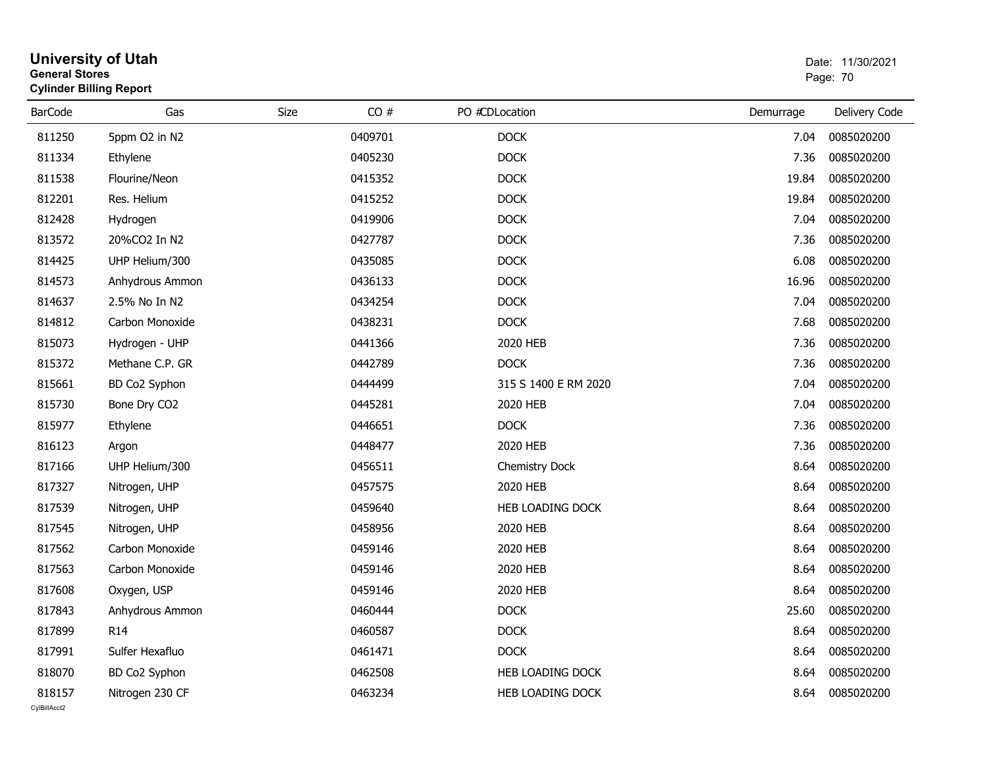| <b>General Stores</b> | <b>University of Utah</b><br><b>Cylinder Billing Report</b> | Date: 11/30/2021<br>Page: 70 |         |                      |           |               |
|-----------------------|-------------------------------------------------------------|------------------------------|---------|----------------------|-----------|---------------|
| <b>BarCode</b>        | Gas                                                         | <b>Size</b>                  | CO#     | PO #CDLocation       | Demurrage | Delivery Code |
| 811250                | 5ppm O2 in N2                                               |                              | 0409701 | <b>DOCK</b>          | 7.04      | 0085020200    |
| 811334                | Ethylene                                                    |                              | 0405230 | <b>DOCK</b>          | 7.36      | 0085020200    |
| 811538                | Flourine/Neon                                               |                              | 0415352 | <b>DOCK</b>          | 19.84     | 0085020200    |
| 812201                | Res. Helium                                                 |                              | 0415252 | <b>DOCK</b>          | 19.84     | 0085020200    |
| 812428                | Hydrogen                                                    |                              | 0419906 | <b>DOCK</b>          | 7.04      | 0085020200    |
| 813572                | 20%CO2 In N2                                                |                              | 0427787 | <b>DOCK</b>          | 7.36      | 0085020200    |
| 814425                | UHP Helium/300                                              |                              | 0435085 | <b>DOCK</b>          | 6.08      | 0085020200    |
| 814573                | Anhydrous Ammon                                             |                              | 0436133 | <b>DOCK</b>          | 16.96     | 0085020200    |
| 814637                | 2.5% No In N2                                               |                              | 0434254 | <b>DOCK</b>          | 7.04      | 0085020200    |
| 814812                | Carbon Monoxide                                             |                              | 0438231 | <b>DOCK</b>          | 7.68      | 0085020200    |
| 815073                | Hydrogen - UHP                                              |                              | 0441366 | 2020 HEB             | 7.36      | 0085020200    |
| 815372                | Methane C.P. GR                                             |                              | 0442789 | <b>DOCK</b>          | 7.36      | 0085020200    |
| 815661                | BD Co2 Syphon                                               |                              | 0444499 | 315 S 1400 E RM 2020 | 7.04      | 0085020200    |
| 815730                | Bone Dry CO2                                                |                              | 0445281 | 2020 HEB             | 7.04      | 0085020200    |
| 815977                | Ethylene                                                    |                              | 0446651 | <b>DOCK</b>          | 7.36      | 0085020200    |
| 816123                | Argon                                                       |                              | 0448477 | 2020 HEB             | 7.36      | 0085020200    |
| 817166                | UHP Helium/300                                              |                              | 0456511 | Chemistry Dock       | 8.64      | 0085020200    |
| 817327                | Nitrogen, UHP                                               |                              | 0457575 | 2020 HEB             | 8.64      | 0085020200    |
| 817539                | Nitrogen, UHP                                               |                              | 0459640 | HEB LOADING DOCK     | 8.64      | 0085020200    |
| 817545                | Nitrogen, UHP                                               |                              | 0458956 | 2020 HEB             | 8.64      | 0085020200    |
| 817562                | Carbon Monoxide                                             |                              | 0459146 | 2020 HEB             | 8.64      | 0085020200    |
| 817563                | Carbon Monoxide                                             |                              | 0459146 | 2020 HEB             | 8.64      | 0085020200    |
| 817608                | Oxygen, USP                                                 |                              | 0459146 | 2020 HEB             | 8.64      | 0085020200    |
| 817843                | Anhydrous Ammon                                             |                              | 0460444 | <b>DOCK</b>          | 25.60     | 0085020200    |
| 817899                | R <sub>14</sub>                                             |                              | 0460587 | <b>DOCK</b>          | 8.64      | 0085020200    |
| 817991                | Sulfer Hexafluo                                             |                              | 0461471 | <b>DOCK</b>          | 8.64      | 0085020200    |
| 818070                | BD Co2 Syphon                                               |                              | 0462508 | HEB LOADING DOCK     | 8.64      | 0085020200    |
| 818157                | Nitrogen 230 CF                                             |                              | 0463234 | HEB LOADING DOCK     | 8.64      | 0085020200    |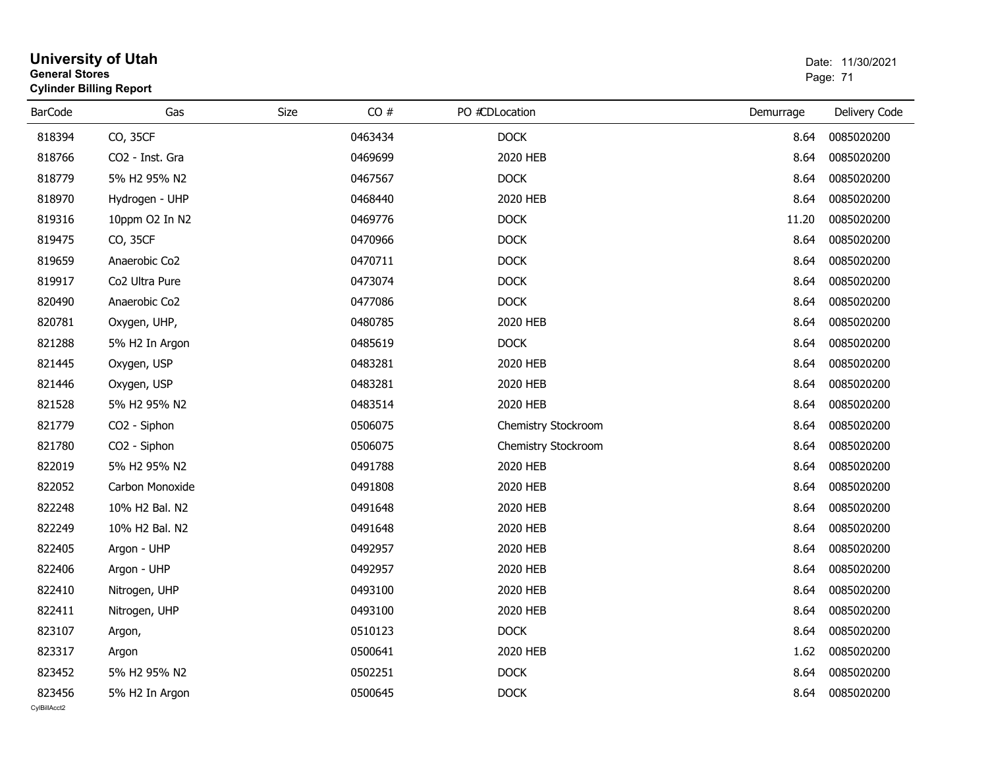| <b>General Stores</b>  | <b>University of Utah</b><br><b>Cylinder Billing Report</b> |      |         |                     | Date: 11/30/2021<br>Page: 71 |               |  |
|------------------------|-------------------------------------------------------------|------|---------|---------------------|------------------------------|---------------|--|
| <b>BarCode</b>         | Gas                                                         | Size | CO#     | PO #CDLocation      | Demurrage                    | Delivery Code |  |
| 818394                 | CO, 35CF                                                    |      | 0463434 | <b>DOCK</b>         | 8.64                         | 0085020200    |  |
| 818766                 | CO2 - Inst. Gra                                             |      | 0469699 | 2020 HEB            | 8.64                         | 0085020200    |  |
| 818779                 | 5% H2 95% N2                                                |      | 0467567 | <b>DOCK</b>         | 8.64                         | 0085020200    |  |
| 818970                 | Hydrogen - UHP                                              |      | 0468440 | 2020 HEB            | 8.64                         | 0085020200    |  |
| 819316                 | 10ppm O2 In N2                                              |      | 0469776 | <b>DOCK</b>         | 11.20                        | 0085020200    |  |
| 819475                 | CO, 35CF                                                    |      | 0470966 | <b>DOCK</b>         | 8.64                         | 0085020200    |  |
| 819659                 | Anaerobic Co2                                               |      | 0470711 | <b>DOCK</b>         | 8.64                         | 0085020200    |  |
| 819917                 | Co2 Ultra Pure                                              |      | 0473074 | <b>DOCK</b>         | 8.64                         | 0085020200    |  |
| 820490                 | Anaerobic Co2                                               |      | 0477086 | <b>DOCK</b>         | 8.64                         | 0085020200    |  |
| 820781                 | Oxygen, UHP,                                                |      | 0480785 | 2020 HEB            | 8.64                         | 0085020200    |  |
| 821288                 | 5% H2 In Argon                                              |      | 0485619 | <b>DOCK</b>         | 8.64                         | 0085020200    |  |
| 821445                 | Oxygen, USP                                                 |      | 0483281 | 2020 HEB            | 8.64                         | 0085020200    |  |
| 821446                 | Oxygen, USP                                                 |      | 0483281 | 2020 HEB            | 8.64                         | 0085020200    |  |
| 821528                 | 5% H2 95% N2                                                |      | 0483514 | 2020 HEB            | 8.64                         | 0085020200    |  |
| 821779                 | CO <sub>2</sub> - Siphon                                    |      | 0506075 | Chemistry Stockroom | 8.64                         | 0085020200    |  |
| 821780                 | CO <sub>2</sub> - Siphon                                    |      | 0506075 | Chemistry Stockroom | 8.64                         | 0085020200    |  |
| 822019                 | 5% H2 95% N2                                                |      | 0491788 | 2020 HEB            | 8.64                         | 0085020200    |  |
| 822052                 | Carbon Monoxide                                             |      | 0491808 | 2020 HEB            | 8.64                         | 0085020200    |  |
| 822248                 | 10% H2 Bal. N2                                              |      | 0491648 | 2020 HEB            | 8.64                         | 0085020200    |  |
| 822249                 | 10% H2 Bal. N2                                              |      | 0491648 | 2020 HEB            | 8.64                         | 0085020200    |  |
| 822405                 | Argon - UHP                                                 |      | 0492957 | 2020 HEB            | 8.64                         | 0085020200    |  |
| 822406                 | Argon - UHP                                                 |      | 0492957 | 2020 HEB            | 8.64                         | 0085020200    |  |
| 822410                 | Nitrogen, UHP                                               |      | 0493100 | 2020 HEB            | 8.64                         | 0085020200    |  |
| 822411                 | Nitrogen, UHP                                               |      | 0493100 | 2020 HEB            | 8.64                         | 0085020200    |  |
| 823107                 | Argon,                                                      |      | 0510123 | <b>DOCK</b>         | 8.64                         | 0085020200    |  |
| 823317                 | Argon                                                       |      | 0500641 | 2020 HEB            | 1.62                         | 0085020200    |  |
| 823452                 | 5% H2 95% N2                                                |      | 0502251 | <b>DOCK</b>         | 8.64                         | 0085020200    |  |
| 823456<br>CvIBillAcct2 | 5% H2 In Argon                                              |      | 0500645 | <b>DOCK</b>         | 8.64                         | 0085020200    |  |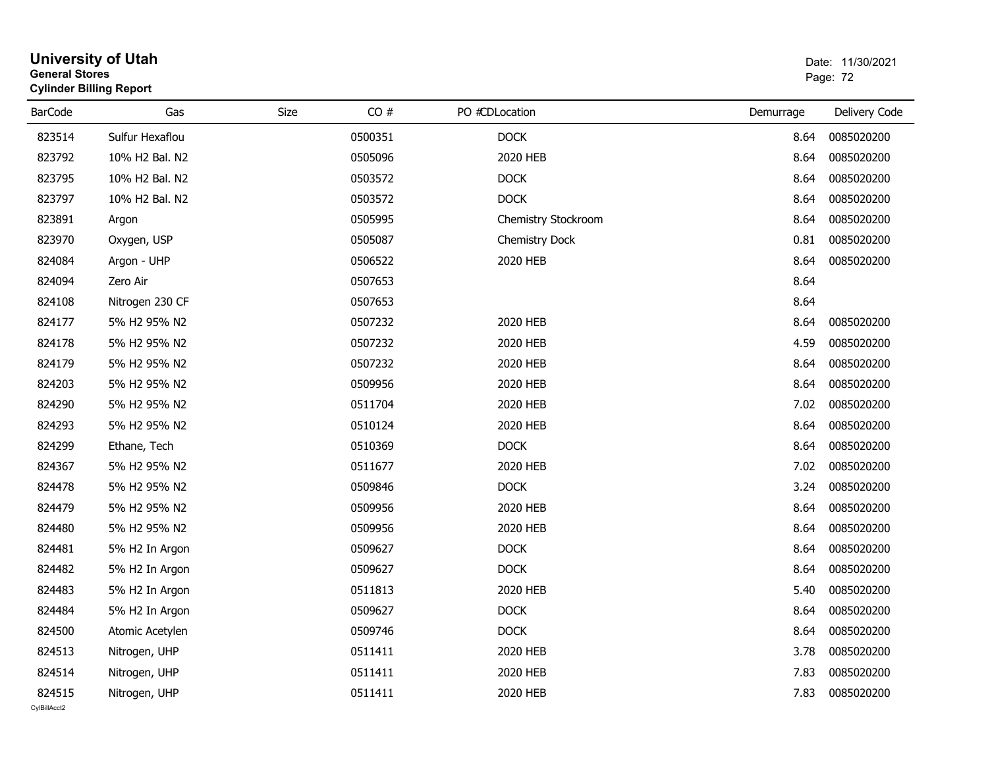| <b>General Stores</b><br><b>Cylinder Billing Report</b> |                 |      |         |                |                     |           | Page: 72      |  |
|---------------------------------------------------------|-----------------|------|---------|----------------|---------------------|-----------|---------------|--|
| <b>BarCode</b>                                          | Gas             | Size | CO#     | PO #CDLocation |                     | Demurrage | Delivery Code |  |
| 823514                                                  | Sulfur Hexaflou |      | 0500351 |                | <b>DOCK</b>         | 8.64      | 0085020200    |  |
| 823792                                                  | 10% H2 Bal. N2  |      | 0505096 |                | 2020 HEB            | 8.64      | 0085020200    |  |
| 823795                                                  | 10% H2 Bal. N2  |      | 0503572 |                | <b>DOCK</b>         | 8.64      | 0085020200    |  |
| 823797                                                  | 10% H2 Bal. N2  |      | 0503572 |                | <b>DOCK</b>         | 8.64      | 0085020200    |  |
| 823891                                                  | Argon           |      | 0505995 |                | Chemistry Stockroom | 8.64      | 0085020200    |  |
| 823970                                                  | Oxygen, USP     |      | 0505087 |                | Chemistry Dock      | 0.81      | 0085020200    |  |
| 824084                                                  | Argon - UHP     |      | 0506522 |                | 2020 HEB            | 8.64      | 0085020200    |  |
| 824094                                                  | Zero Air        |      | 0507653 |                |                     | 8.64      |               |  |
| 824108                                                  | Nitrogen 230 CF |      | 0507653 |                |                     | 8.64      |               |  |
| 824177                                                  | 5% H2 95% N2    |      | 0507232 |                | 2020 HEB            | 8.64      | 0085020200    |  |
| 824178                                                  | 5% H2 95% N2    |      | 0507232 |                | 2020 HEB            | 4.59      | 0085020200    |  |
| 824179                                                  | 5% H2 95% N2    |      | 0507232 |                | 2020 HEB            | 8.64      | 0085020200    |  |
| 824203                                                  | 5% H2 95% N2    |      | 0509956 |                | 2020 HEB            | 8.64      | 0085020200    |  |
| 824290                                                  | 5% H2 95% N2    |      | 0511704 |                | 2020 HEB            | 7.02      | 0085020200    |  |
| 824293                                                  | 5% H2 95% N2    |      | 0510124 |                | 2020 HEB            | 8.64      | 0085020200    |  |
| 824299                                                  | Ethane, Tech    |      | 0510369 |                | <b>DOCK</b>         | 8.64      | 0085020200    |  |
| 824367                                                  | 5% H2 95% N2    |      | 0511677 |                | 2020 HEB            | 7.02      | 0085020200    |  |
| 824478                                                  | 5% H2 95% N2    |      | 0509846 |                | <b>DOCK</b>         | 3.24      | 0085020200    |  |
| 824479                                                  | 5% H2 95% N2    |      | 0509956 |                | 2020 HEB            | 8.64      | 0085020200    |  |
| 824480                                                  | 5% H2 95% N2    |      | 0509956 |                | 2020 HEB            | 8.64      | 0085020200    |  |
| 824481                                                  | 5% H2 In Argon  |      | 0509627 |                | <b>DOCK</b>         | 8.64      | 0085020200    |  |
| 824482                                                  | 5% H2 In Argon  |      | 0509627 |                | <b>DOCK</b>         | 8.64      | 0085020200    |  |
| 824483                                                  | 5% H2 In Argon  |      | 0511813 |                | 2020 HEB            | 5.40      | 0085020200    |  |
| 824484                                                  | 5% H2 In Argon  |      | 0509627 |                | <b>DOCK</b>         | 8.64      | 0085020200    |  |
| 824500                                                  | Atomic Acetylen |      | 0509746 |                | <b>DOCK</b>         | 8.64      | 0085020200    |  |
| 824513                                                  | Nitrogen, UHP   |      | 0511411 |                | 2020 HEB            | 3.78      | 0085020200    |  |
| 824514                                                  | Nitrogen, UHP   |      | 0511411 |                | 2020 HEB            | 7.83      | 0085020200    |  |
| 824515<br>CvIBillAcct2                                  | Nitrogen, UHP   |      | 0511411 |                | 2020 HEB            | 7.83      | 0085020200    |  |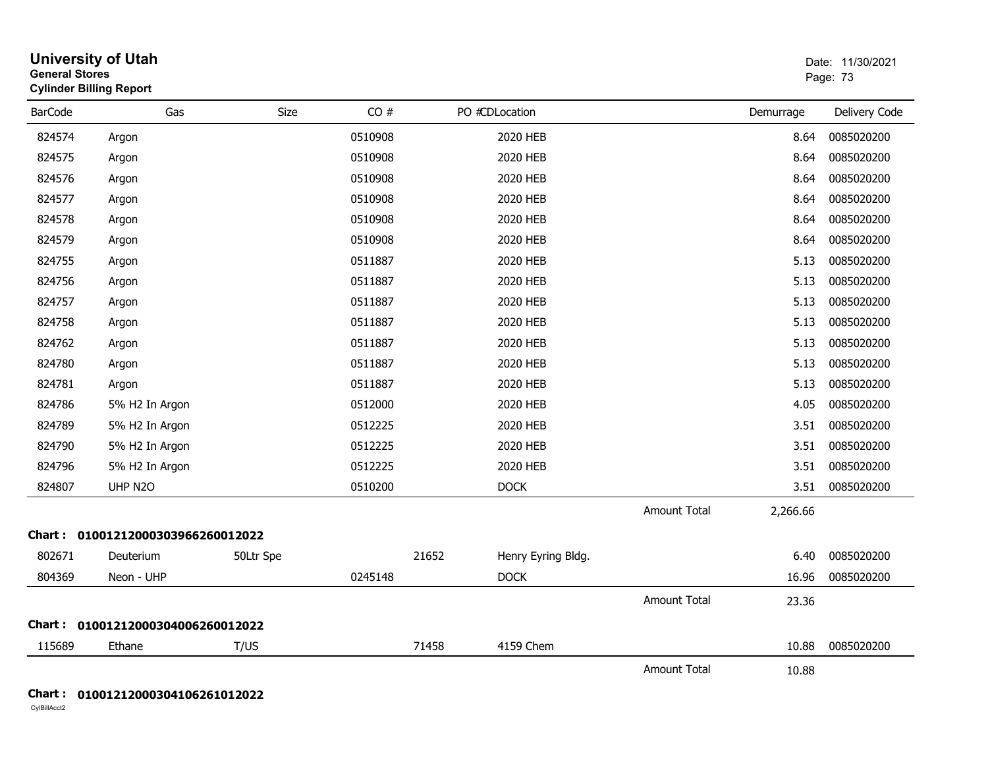| <b>General Stores</b> | <b>University of Utah</b><br><b>Cylinder Billing Report</b> |           |         |       |                    |                     |           | Date: 11/30/2021<br>Page: 73 |
|-----------------------|-------------------------------------------------------------|-----------|---------|-------|--------------------|---------------------|-----------|------------------------------|
| <b>BarCode</b>        | Gas                                                         | Size      | CO#     |       | PO #CDLocation     |                     | Demurrage | Delivery Code                |
| 824574                | Argon                                                       |           | 0510908 |       | 2020 HEB           |                     | 8.64      | 0085020200                   |
| 824575                | Argon                                                       |           | 0510908 |       | 2020 HEB           |                     | 8.64      | 0085020200                   |
| 824576                | Argon                                                       |           | 0510908 |       | 2020 HEB           |                     | 8.64      | 0085020200                   |
| 824577                | Argon                                                       |           | 0510908 |       | 2020 HEB           |                     | 8.64      | 0085020200                   |
| 824578                | Argon                                                       |           | 0510908 |       | 2020 HEB           |                     | 8.64      | 0085020200                   |
| 824579                | Argon                                                       |           | 0510908 |       | 2020 HEB           |                     | 8.64      | 0085020200                   |
| 824755                | Argon                                                       |           | 0511887 |       | 2020 HEB           |                     | 5.13      | 0085020200                   |
| 824756                | Argon                                                       |           | 0511887 |       | 2020 HEB           |                     | 5.13      | 0085020200                   |
| 824757                | Argon                                                       |           | 0511887 |       | 2020 HEB           |                     | 5.13      | 0085020200                   |
| 824758                | Argon                                                       |           | 0511887 |       | 2020 HEB           |                     | 5.13      | 0085020200                   |
| 824762                | Argon                                                       |           | 0511887 |       | 2020 HEB           |                     | 5.13      | 0085020200                   |
| 824780                | Argon                                                       |           | 0511887 |       | 2020 HEB           |                     | 5.13      | 0085020200                   |
| 824781                | Argon                                                       |           | 0511887 |       | 2020 HEB           |                     | 5.13      | 0085020200                   |
| 824786                | 5% H2 In Argon                                              |           | 0512000 |       | 2020 HEB           |                     | 4.05      | 0085020200                   |
| 824789                | 5% H2 In Argon                                              |           | 0512225 |       | 2020 HEB           |                     | 3.51      | 0085020200                   |
| 824790                | 5% H2 In Argon                                              |           | 0512225 |       | 2020 HEB           |                     | 3.51      | 0085020200                   |
| 824796                | 5% H2 In Argon                                              |           | 0512225 |       | 2020 HEB           |                     | 3.51      | 0085020200                   |
| 824807                | UHP N2O                                                     |           | 0510200 |       | <b>DOCK</b>        |                     | 3.51      | 0085020200                   |
|                       |                                                             |           |         |       |                    | <b>Amount Total</b> | 2,266.66  |                              |
|                       | Chart: 01001212000303966260012022                           |           |         |       |                    |                     |           |                              |
| 802671                | Deuterium                                                   | 50Ltr Spe |         | 21652 | Henry Eyring Bldg. |                     | 6.40      | 0085020200                   |
| 804369                | Neon - UHP                                                  |           | 0245148 |       | <b>DOCK</b>        |                     | 16.96     | 0085020200                   |
|                       |                                                             |           |         |       |                    | <b>Amount Total</b> | 23.36     |                              |
|                       | Chart: 01001212000304006260012022                           |           |         |       |                    |                     |           |                              |
| 115689                | Ethane                                                      | T/US      |         | 71458 | 4159 Chem          |                     | 10.88     | 0085020200                   |
|                       |                                                             |           |         |       |                    | <b>Amount Total</b> | 10.88     |                              |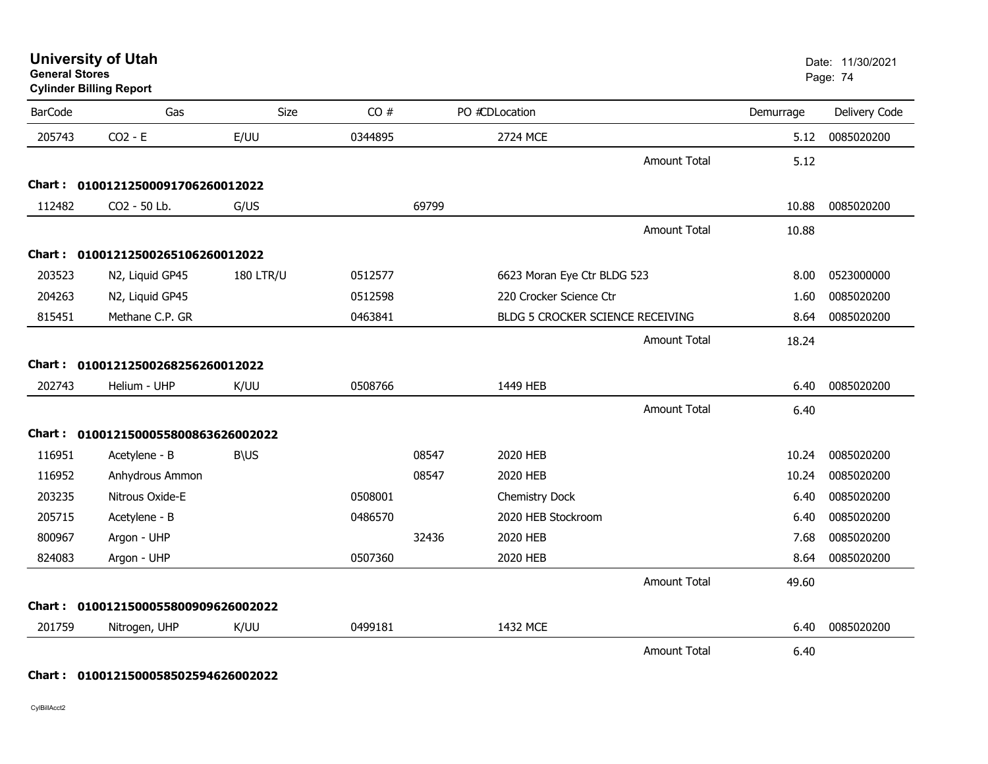| <b>General Stores</b> | <b>Cylinder Billing Report</b>      |                  |         |       |                                  |                     |           | Page: 74      |
|-----------------------|-------------------------------------|------------------|---------|-------|----------------------------------|---------------------|-----------|---------------|
| <b>BarCode</b>        | Gas                                 | Size             | CO#     |       | PO #CDLocation                   |                     | Demurrage | Delivery Code |
| 205743                | $CO2 - E$                           | E/UU             | 0344895 |       | <b>2724 MCE</b>                  |                     | 5.12      | 0085020200    |
|                       |                                     |                  |         |       |                                  | <b>Amount Total</b> | 5.12      |               |
| Chart :               | 01001212500091706260012022          |                  |         |       |                                  |                     |           |               |
| 112482                | CO2 - 50 Lb.                        | G/US             |         | 69799 |                                  |                     | 10.88     | 0085020200    |
|                       |                                     |                  |         |       |                                  | <b>Amount Total</b> | 10.88     |               |
|                       | Chart: 01001212500265106260012022   |                  |         |       |                                  |                     |           |               |
| 203523                | N2, Liquid GP45                     | <b>180 LTR/U</b> | 0512577 |       | 6623 Moran Eye Ctr BLDG 523      |                     | 8.00      | 0523000000    |
| 204263                | N2, Liquid GP45                     |                  | 0512598 |       | 220 Crocker Science Ctr          |                     | 1.60      | 0085020200    |
| 815451                | Methane C.P. GR                     |                  | 0463841 |       | BLDG 5 CROCKER SCIENCE RECEIVING |                     | 8.64      | 0085020200    |
|                       |                                     |                  |         |       |                                  | <b>Amount Total</b> | 18.24     |               |
|                       | Chart: 01001212500268256260012022   |                  |         |       |                                  |                     |           |               |
| 202743                | Helium - UHP                        | K/UU             | 0508766 |       | 1449 HEB                         |                     | 6.40      | 0085020200    |
|                       |                                     |                  |         |       |                                  | <b>Amount Total</b> | 6.40      |               |
|                       | Chart: 0100121500055800863626002022 |                  |         |       |                                  |                     |           |               |
| 116951                | Acetylene - B                       | <b>B\US</b>      |         | 08547 | 2020 HEB                         |                     | 10.24     | 0085020200    |
| 116952                | Anhydrous Ammon                     |                  |         | 08547 | 2020 HEB                         |                     | 10.24     | 0085020200    |
| 203235                | Nitrous Oxide-E                     |                  | 0508001 |       | Chemistry Dock                   |                     | 6.40      | 0085020200    |
| 205715                | Acetylene - B                       |                  | 0486570 |       | 2020 HEB Stockroom               |                     | 6.40      | 0085020200    |
| 800967                | Argon - UHP                         |                  |         | 32436 | 2020 HEB                         |                     | 7.68      | 0085020200    |
| 824083                | Argon - UHP                         |                  | 0507360 |       | 2020 HEB                         |                     | 8.64      | 0085020200    |
|                       |                                     |                  |         |       |                                  | <b>Amount Total</b> | 49.60     |               |
|                       | Chart: 0100121500055800909626002022 |                  |         |       |                                  |                     |           |               |
| 201759                | Nitrogen, UHP                       | K/UU             | 0499181 |       | 1432 MCE                         |                     | 6.40      | 0085020200    |
|                       |                                     |                  |         |       |                                  | Amount Total        | 6.40      |               |

**University of Utah** Date: 11/30/2021

# **Chart : 0100121500058502594626002022**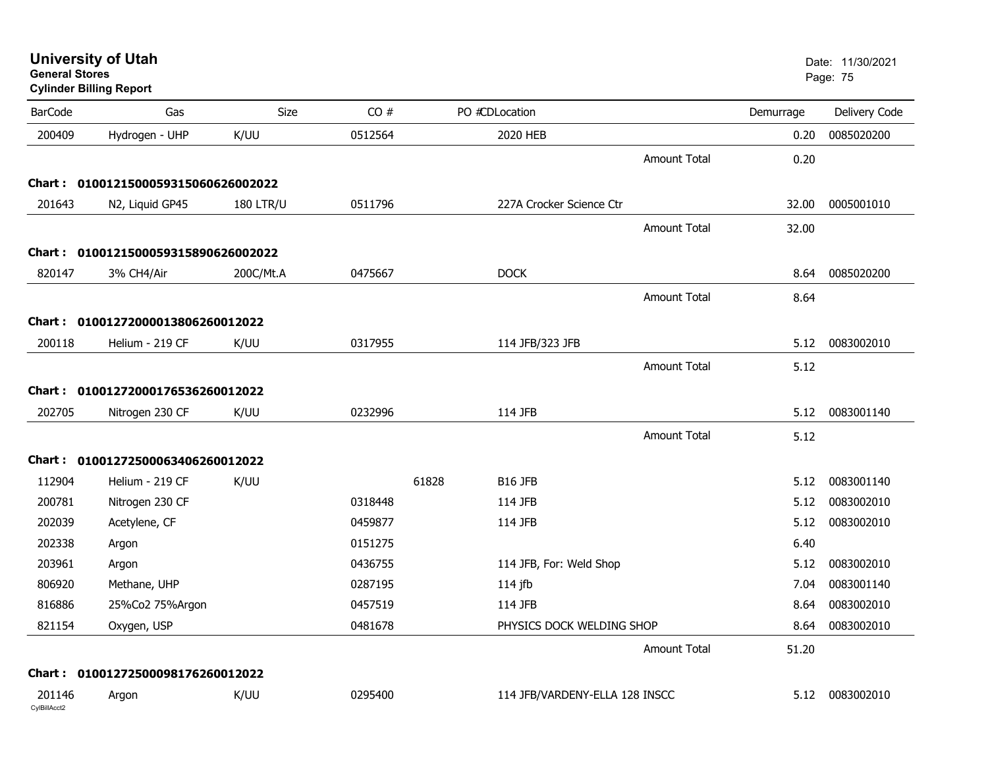| General Stores         | <b>Cylinder Billing Report</b>      |                  |         |                                |           | Page: 75      |
|------------------------|-------------------------------------|------------------|---------|--------------------------------|-----------|---------------|
| <b>BarCode</b>         | Gas                                 | <b>Size</b>      | CO#     | PO #CDLocation                 | Demurrage | Delivery Code |
| 200409                 | Hydrogen - UHP                      | K/UU             | 0512564 | 2020 HEB                       | 0.20      | 0085020200    |
|                        |                                     |                  |         | <b>Amount Total</b>            | 0.20      |               |
|                        | Chart: 0100121500059315060626002022 |                  |         |                                |           |               |
| 201643                 | N2, Liquid GP45                     | <b>180 LTR/U</b> | 0511796 | 227A Crocker Science Ctr       | 32.00     | 0005001010    |
|                        |                                     |                  |         | <b>Amount Total</b>            | 32.00     |               |
|                        | Chart: 0100121500059315890626002022 |                  |         |                                |           |               |
| 820147                 | 3% CH4/Air                          | 200C/Mt.A        | 0475667 | <b>DOCK</b>                    | 8.64      | 0085020200    |
|                        |                                     |                  |         | <b>Amount Total</b>            | 8.64      |               |
|                        | Chart: 01001272000013806260012022   |                  |         |                                |           |               |
| 200118                 | Helium - 219 CF                     | K/UU             | 0317955 | 114 JFB/323 JFB                | 5.12      | 0083002010    |
|                        |                                     |                  |         | <b>Amount Total</b>            | 5.12      |               |
|                        | Chart: 01001272000176536260012022   |                  |         |                                |           |               |
| 202705                 | Nitrogen 230 CF                     | K/UU             | 0232996 | 114 JFB                        | 5.12      | 0083001140    |
|                        |                                     |                  |         | <b>Amount Total</b>            | 5.12      |               |
|                        | Chart: 01001272500063406260012022   |                  |         |                                |           |               |
| 112904                 | Helium - 219 CF                     | K/UU             |         | 61828<br><b>B16 JFB</b>        | 5.12      | 0083001140    |
| 200781                 | Nitrogen 230 CF                     |                  | 0318448 | 114 JFB                        | 5.12      | 0083002010    |
| 202039                 | Acetylene, CF                       |                  | 0459877 | 114 JFB                        | 5.12      | 0083002010    |
| 202338                 | Argon                               |                  | 0151275 |                                | 6.40      |               |
| 203961                 | Argon                               |                  | 0436755 | 114 JFB, For: Weld Shop        | 5.12      | 0083002010    |
| 806920                 | Methane, UHP                        |                  | 0287195 | 114 jfb                        | 7.04      | 0083001140    |
| 816886                 | 25%Co2 75%Argon                     |                  | 0457519 | 114 JFB                        | 8.64      | 0083002010    |
| 821154                 | Oxygen, USP                         |                  | 0481678 | PHYSICS DOCK WELDING SHOP      | 8.64      | 0083002010    |
|                        |                                     |                  |         | <b>Amount Total</b>            | 51.20     |               |
|                        | Chart: 01001272500098176260012022   |                  |         |                                |           |               |
| 201146<br>CylBillAcct2 | Argon                               | K/UU             | 0295400 | 114 JFB/VARDENY-ELLA 128 INSCC | 5.12      | 0083002010    |

**University of Utah** Date: 11/30/2021 **General Stores**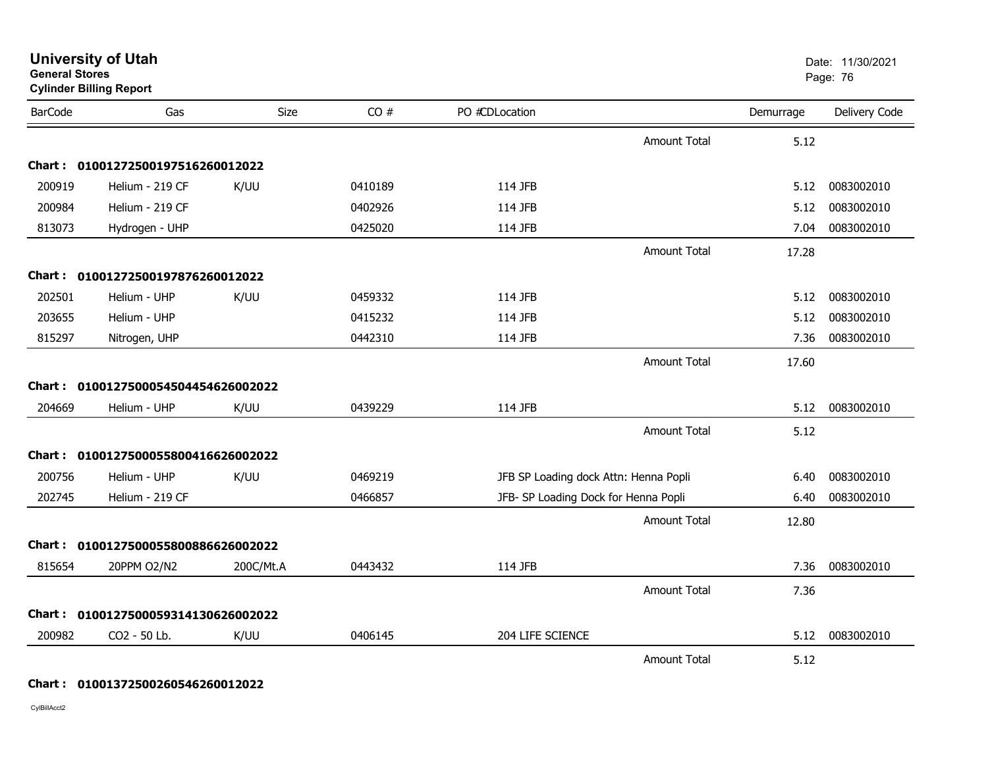| <b>BarCode</b> | Gas                                 | Size      | CO#     | PO #CDLocation   |                                       | Demurrage | Delivery Code |
|----------------|-------------------------------------|-----------|---------|------------------|---------------------------------------|-----------|---------------|
|                |                                     |           |         |                  | <b>Amount Total</b>                   | 5.12      |               |
|                | Chart: 01001272500197516260012022   |           |         |                  |                                       |           |               |
| 200919         | Helium - 219 CF                     | K/UU      | 0410189 | 114 JFB          |                                       | 5.12      | 0083002010    |
| 200984         | Helium - 219 CF                     |           | 0402926 | 114 JFB          |                                       | 5.12      | 0083002010    |
| 813073         | Hydrogen - UHP                      |           | 0425020 | 114 JFB          |                                       | 7.04      | 0083002010    |
|                |                                     |           |         |                  | <b>Amount Total</b>                   | 17.28     |               |
|                | Chart: 01001272500197876260012022   |           |         |                  |                                       |           |               |
| 202501         | Helium - UHP                        | K/UU      | 0459332 | 114 JFB          |                                       | 5.12      | 0083002010    |
| 203655         | Helium - UHP                        |           | 0415232 | 114 JFB          |                                       | 5.12      | 0083002010    |
| 815297         | Nitrogen, UHP                       |           | 0442310 | 114 JFB          |                                       | 7.36      | 0083002010    |
|                |                                     |           |         |                  | <b>Amount Total</b>                   | 17.60     |               |
|                | Chart: 0100127500054504454626002022 |           |         |                  |                                       |           |               |
| 204669         | Helium - UHP                        | K/UU      | 0439229 | 114 JFB          |                                       | 5.12      | 0083002010    |
|                |                                     |           |         |                  | <b>Amount Total</b>                   | 5.12      |               |
|                | Chart: 0100127500055800416626002022 |           |         |                  |                                       |           |               |
| 200756         | Helium - UHP                        | K/UU      | 0469219 |                  | JFB SP Loading dock Attn: Henna Popli | 6.40      | 0083002010    |
| 202745         | Helium - 219 CF                     |           | 0466857 |                  | JFB- SP Loading Dock for Henna Popli  | 6.40      | 0083002010    |
|                |                                     |           |         |                  | <b>Amount Total</b>                   | 12.80     |               |
|                | Chart: 0100127500055800886626002022 |           |         |                  |                                       |           |               |
| 815654         | 20PPM O2/N2                         | 200C/Mt.A | 0443432 | 114 JFB          |                                       | 7.36      | 0083002010    |
|                |                                     |           |         |                  | <b>Amount Total</b>                   | 7.36      |               |
|                | Chart: 0100127500059314130626002022 |           |         |                  |                                       |           |               |
| 200982         | CO2 - 50 Lb.                        | K/UU      | 0406145 | 204 LIFE SCIENCE |                                       | 5.12      | 0083002010    |
|                |                                     |           |         |                  | <b>Amount Total</b>                   | 5.12      |               |

CylBillAcct2

#### **University of Utah** Date: 11/30/2021 **General Stores**end and the state of the state of the state of the state of the state of the state of the Page: 76  $\,$  Page: 76  $\,$ **Cylinder Billing Report**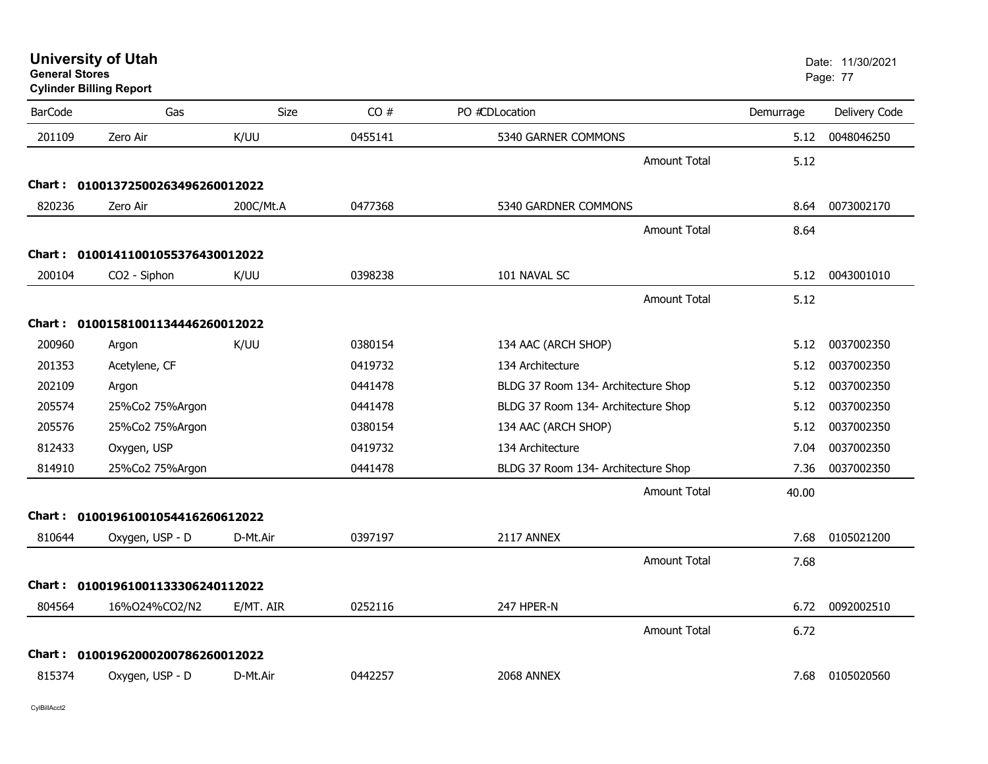| <b>University of Utah</b> |  |
|---------------------------|--|
| <b>General Stores</b>     |  |

**Cylinder Billing Report**

| <b>BarCode</b> | Gas                               | Size      | CO#     | PO #CDLocation                      | Demurrage | Delivery Code |
|----------------|-----------------------------------|-----------|---------|-------------------------------------|-----------|---------------|
| 201109         | Zero Air                          | K/UU      | 0455141 | 5340 GARNER COMMONS                 | 5.12      | 0048046250    |
|                |                                   |           |         | <b>Amount Total</b>                 | 5.12      |               |
|                | Chart: 01001372500263496260012022 |           |         |                                     |           |               |
| 820236         | Zero Air                          | 200C/Mt.A | 0477368 | 5340 GARDNER COMMONS                | 8.64      | 0073002170    |
|                |                                   |           |         | <b>Amount Total</b>                 | 8.64      |               |
|                | Chart: 01001411001055376430012022 |           |         |                                     |           |               |
| 200104         | CO <sub>2</sub> - Siphon          | K/UU      | 0398238 | 101 NAVAL SC                        | 5.12      | 0043001010    |
|                |                                   |           |         | <b>Amount Total</b>                 | 5.12      |               |
|                | Chart: 01001581001134446260012022 |           |         |                                     |           |               |
| 200960         | Argon                             | K/UU      | 0380154 | 134 AAC (ARCH SHOP)                 | 5.12      | 0037002350    |
| 201353         | Acetylene, CF                     |           | 0419732 | 134 Architecture                    | 5.12      | 0037002350    |
| 202109         | Argon                             |           | 0441478 | BLDG 37 Room 134- Architecture Shop | 5.12      | 0037002350    |
| 205574         | 25%Co2 75%Argon                   |           | 0441478 | BLDG 37 Room 134- Architecture Shop | 5.12      | 0037002350    |
| 205576         | 25%Co2 75%Argon                   |           | 0380154 | 134 AAC (ARCH SHOP)                 | 5.12      | 0037002350    |
| 812433         | Oxygen, USP                       |           | 0419732 | 134 Architecture                    | 7.04      | 0037002350    |
| 814910         | 25%Co2 75%Argon                   |           | 0441478 | BLDG 37 Room 134- Architecture Shop | 7.36      | 0037002350    |
|                |                                   |           |         | Amount Total                        | 40.00     |               |
|                | Chart: 01001961001054416260612022 |           |         |                                     |           |               |
| 810644         | Oxygen, USP - D                   | D-Mt.Air  | 0397197 | 2117 ANNEX                          | 7.68      | 0105021200    |
|                |                                   |           |         | Amount Total                        | 7.68      |               |
|                | Chart: 01001961001133306240112022 |           |         |                                     |           |               |
| 804564         | 16%024%CO2/N2                     | E/MT. AIR | 0252116 | 247 HPER-N                          | 6.72      | 0092002510    |
|                |                                   |           |         | <b>Amount Total</b>                 | 6.72      |               |
|                | Chart: 01001962000200786260012022 |           |         |                                     |           |               |
| 815374         | Oxygen, USP - D                   | D-Mt.Air  | 0442257 | 2068 ANNEX                          | 7.68      | 0105020560    |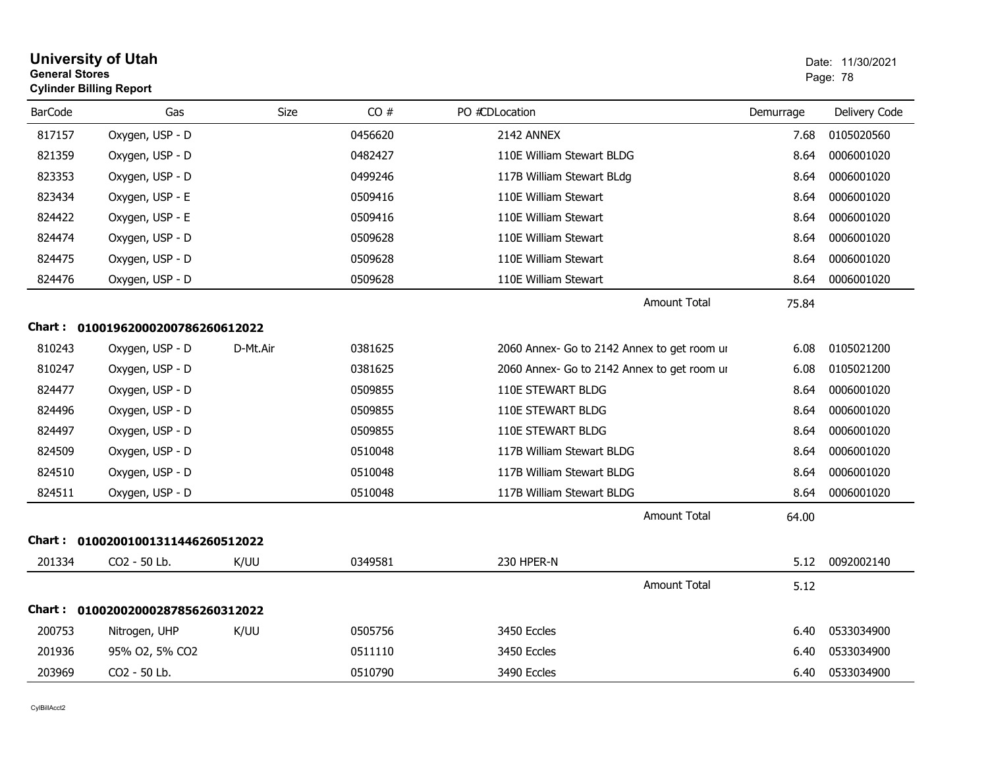|                | <b>University of Utah</b><br><b>General Stores</b><br><b>Cylinder Billing Report</b> |          | Date: 11/30/2021<br>Page: 78 |                                             |           |               |
|----------------|--------------------------------------------------------------------------------------|----------|------------------------------|---------------------------------------------|-----------|---------------|
| <b>BarCode</b> | Gas                                                                                  | Size     | CO#                          | PO #CDLocation                              | Demurrage | Delivery Code |
| 817157         | Oxygen, USP - D                                                                      |          | 0456620                      | 2142 ANNEX                                  | 7.68      | 0105020560    |
| 821359         | Oxygen, USP - D                                                                      |          | 0482427                      | 110E William Stewart BLDG                   | 8.64      | 0006001020    |
| 823353         | Oxygen, USP - D                                                                      |          | 0499246                      | 117B William Stewart BLdg                   | 8.64      | 0006001020    |
| 823434         | Oxygen, USP - E                                                                      |          | 0509416                      | 110E William Stewart                        | 8.64      | 0006001020    |
| 824422         | Oxygen, USP - E                                                                      |          | 0509416                      | 110E William Stewart                        | 8.64      | 0006001020    |
| 824474         | Oxygen, USP - D                                                                      |          | 0509628                      | 110E William Stewart                        | 8.64      | 0006001020    |
| 824475         | Oxygen, USP - D                                                                      |          | 0509628                      | 110E William Stewart                        | 8.64      | 0006001020    |
| 824476         | Oxygen, USP - D                                                                      |          | 0509628                      | 110E William Stewart                        | 8.64      | 0006001020    |
|                |                                                                                      |          |                              | <b>Amount Total</b>                         | 75.84     |               |
|                | Chart: 01001962000200786260612022                                                    |          |                              |                                             |           |               |
| 810243         | Oxygen, USP - D                                                                      | D-Mt.Air | 0381625                      | 2060 Annex- Go to 2142 Annex to get room ur | 6.08      | 0105021200    |
| 810247         | Oxygen, USP - D                                                                      |          | 0381625                      | 2060 Annex- Go to 2142 Annex to get room ur | 6.08      | 0105021200    |
| 824477         | Oxygen, USP - D                                                                      |          | 0509855                      | 110E STEWART BLDG                           | 8.64      | 0006001020    |
| 824496         | Oxygen, USP - D                                                                      |          | 0509855                      | 110E STEWART BLDG                           | 8.64      | 0006001020    |
| 824497         | Oxygen, USP - D                                                                      |          | 0509855                      | 110E STEWART BLDG                           | 8.64      | 0006001020    |
| 824509         | Oxygen, USP - D                                                                      |          | 0510048                      | 117B William Stewart BLDG                   | 8.64      | 0006001020    |
| 824510         | Oxygen, USP - D                                                                      |          | 0510048                      | 117B William Stewart BLDG                   | 8.64      | 0006001020    |
| 824511         | Oxygen, USP - D                                                                      |          | 0510048                      | 117B William Stewart BLDG                   | 8.64      | 0006001020    |
|                |                                                                                      |          |                              | <b>Amount Total</b>                         | 64.00     |               |
|                | Chart: 01002001001311446260512022                                                    |          |                              |                                             |           |               |
| 201334         | CO2 - 50 Lb.                                                                         | K/UU     | 0349581                      | 230 HPER-N                                  | 5.12      | 0092002140    |
|                |                                                                                      |          |                              | <b>Amount Total</b>                         | 5.12      |               |
|                | Chart: 01002002000287856260312022                                                    |          |                              |                                             |           |               |
| 200753         | Nitrogen, UHP                                                                        | K/UU     | 0505756                      | 3450 Eccles                                 | 6.40      | 0533034900    |
| 201936         | 95% O2, 5% CO2                                                                       |          | 0511110                      | 3450 Eccles                                 | 6.40      | 0533034900    |
| 203969         | CO2 - 50 Lb.                                                                         |          | 0510790                      | 3490 Eccles                                 | 6.40      | 0533034900    |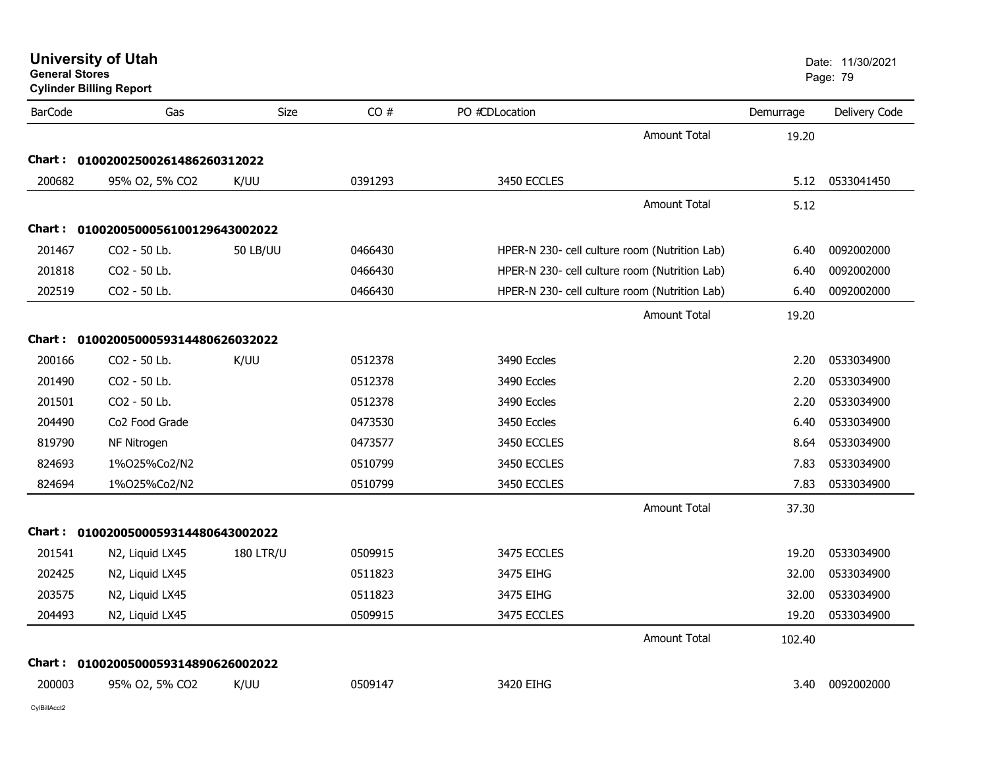| <b>University of Utah</b> |  |
|---------------------------|--|
| <b>General Stores</b>     |  |

| <b>BarCode</b> | Gas                                 | Size             | CO#     | PO #CDLocation                                | Demurrage | Delivery Code |
|----------------|-------------------------------------|------------------|---------|-----------------------------------------------|-----------|---------------|
|                |                                     |                  |         | <b>Amount Total</b>                           | 19.20     |               |
|                | Chart: 01002002500261486260312022   |                  |         |                                               |           |               |
| 200682         | 95% O2, 5% CO2                      | K/UU             | 0391293 | 3450 ECCLES                                   | 5.12      | 0533041450    |
|                |                                     |                  |         | Amount Total                                  | 5.12      |               |
|                | Chart: 0100200500056100129643002022 |                  |         |                                               |           |               |
| 201467         | CO2 - 50 Lb.                        | <b>50 LB/UU</b>  | 0466430 | HPER-N 230- cell culture room (Nutrition Lab) | 6.40      | 0092002000    |
| 201818         | CO2 - 50 Lb.                        |                  | 0466430 | HPER-N 230- cell culture room (Nutrition Lab) | 6.40      | 0092002000    |
| 202519         | CO2 - 50 Lb.                        |                  | 0466430 | HPER-N 230- cell culture room (Nutrition Lab) | 6.40      | 0092002000    |
|                |                                     |                  |         | <b>Amount Total</b>                           | 19.20     |               |
|                | Chart: 0100200500059314480626032022 |                  |         |                                               |           |               |
| 200166         | CO2 - 50 Lb.                        | K/UU             | 0512378 | 3490 Eccles                                   | 2.20      | 0533034900    |
| 201490         | CO2 - 50 Lb.                        |                  | 0512378 | 3490 Eccles                                   | 2.20      | 0533034900    |
| 201501         | CO2 - 50 Lb.                        |                  | 0512378 | 3490 Eccles                                   | 2.20      | 0533034900    |
| 204490         | Co2 Food Grade                      |                  | 0473530 | 3450 Eccles                                   | 6.40      | 0533034900    |
| 819790         | NF Nitrogen                         |                  | 0473577 | 3450 ECCLES                                   | 8.64      | 0533034900    |
| 824693         | 1%025%Co2/N2                        |                  | 0510799 | 3450 ECCLES                                   | 7.83      | 0533034900    |
| 824694         | 1%025%Co2/N2                        |                  | 0510799 | 3450 ECCLES                                   | 7.83      | 0533034900    |
|                |                                     |                  |         | <b>Amount Total</b>                           | 37.30     |               |
|                | Chart: 0100200500059314480643002022 |                  |         |                                               |           |               |
| 201541         | N2, Liquid LX45                     | <b>180 LTR/U</b> | 0509915 | 3475 ECCLES                                   | 19.20     | 0533034900    |
| 202425         | N2, Liquid LX45                     |                  | 0511823 | 3475 EIHG                                     | 32.00     | 0533034900    |
| 203575         | N2, Liquid LX45                     |                  | 0511823 | 3475 EIHG                                     | 32.00     | 0533034900    |
| 204493         | N2, Liquid LX45                     |                  | 0509915 | 3475 ECCLES                                   | 19.20     | 0533034900    |
|                |                                     |                  |         | <b>Amount Total</b>                           | 102.40    |               |
|                | Chart: 0100200500059314890626002022 |                  |         |                                               |           |               |
| 200003         | 95% O2, 5% CO2                      | K/UU             | 0509147 | 3420 EIHG                                     | 3.40      | 0092002000    |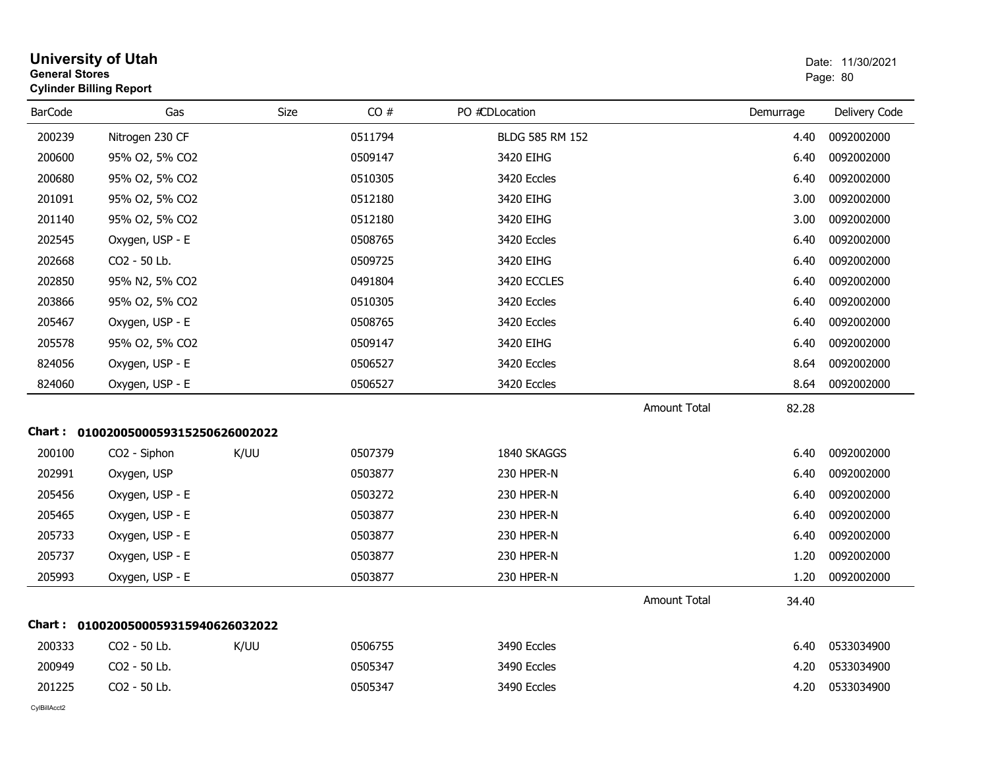|                | <b>University of Utah</b><br><b>General Stores</b><br><b>Cylinder Billing Report</b> |      |         |                 |                     |           | Date: 11/30/2021<br>Page: 80 |  |
|----------------|--------------------------------------------------------------------------------------|------|---------|-----------------|---------------------|-----------|------------------------------|--|
| <b>BarCode</b> | Gas                                                                                  | Size | CO#     | PO #CDLocation  |                     | Demurrage | Delivery Code                |  |
| 200239         | Nitrogen 230 CF                                                                      |      | 0511794 | BLDG 585 RM 152 |                     | 4.40      | 0092002000                   |  |
| 200600         | 95% O2, 5% CO2                                                                       |      | 0509147 | 3420 EIHG       |                     | 6.40      | 0092002000                   |  |
| 200680         | 95% O2, 5% CO2                                                                       |      | 0510305 | 3420 Eccles     |                     | 6.40      | 0092002000                   |  |
| 201091         | 95% O2, 5% CO2                                                                       |      | 0512180 | 3420 EIHG       |                     | 3.00      | 0092002000                   |  |
| 201140         | 95% O2, 5% CO2                                                                       |      | 0512180 | 3420 EIHG       |                     | 3.00      | 0092002000                   |  |
| 202545         | Oxygen, USP - E                                                                      |      | 0508765 | 3420 Eccles     |                     | 6.40      | 0092002000                   |  |
| 202668         | CO2 - 50 Lb.                                                                         |      | 0509725 | 3420 EIHG       |                     | 6.40      | 0092002000                   |  |
| 202850         | 95% N2, 5% CO2                                                                       |      | 0491804 | 3420 ECCLES     |                     | 6.40      | 0092002000                   |  |
| 203866         | 95% O2, 5% CO2                                                                       |      | 0510305 | 3420 Eccles     |                     | 6.40      | 0092002000                   |  |
| 205467         | Oxygen, USP - E                                                                      |      | 0508765 | 3420 Eccles     |                     | 6.40      | 0092002000                   |  |
| 205578         | 95% O2, 5% CO2                                                                       |      | 0509147 | 3420 EIHG       |                     | 6.40      | 0092002000                   |  |
| 824056         | Oxygen, USP - E                                                                      |      | 0506527 | 3420 Eccles     |                     | 8.64      | 0092002000                   |  |
| 824060         | Oxygen, USP - E                                                                      |      | 0506527 | 3420 Eccles     |                     | 8.64      | 0092002000                   |  |
|                |                                                                                      |      |         |                 | <b>Amount Total</b> | 82.28     |                              |  |
|                | Chart: 0100200500059315250626002022                                                  |      |         |                 |                     |           |                              |  |
| 200100         | CO2 - Siphon                                                                         | K/UU | 0507379 | 1840 SKAGGS     |                     | 6.40      | 0092002000                   |  |
| 202991         | Oxygen, USP                                                                          |      | 0503877 | 230 HPER-N      |                     | 6.40      | 0092002000                   |  |
| 205456         | Oxygen, USP - E                                                                      |      | 0503272 | 230 HPER-N      |                     | 6.40      | 0092002000                   |  |
| 205465         | Oxygen, USP - E                                                                      |      | 0503877 | 230 HPER-N      |                     | 6.40      | 0092002000                   |  |
| 205733         | Oxygen, USP - E                                                                      |      | 0503877 | 230 HPER-N      |                     | 6.40      | 0092002000                   |  |
| 205737         | Oxygen, USP - E                                                                      |      | 0503877 | 230 HPER-N      |                     | 1.20      | 0092002000                   |  |
| 205993         | Oxygen, USP - E                                                                      |      | 0503877 | 230 HPER-N      |                     | 1.20      | 0092002000                   |  |
|                |                                                                                      |      |         |                 | <b>Amount Total</b> | 34.40     |                              |  |
|                | Chart: 0100200500059315940626032022                                                  |      |         |                 |                     |           |                              |  |
| 200333         | CO2 - 50 Lb.                                                                         | K/UU | 0506755 | 3490 Eccles     |                     | 6.40      | 0533034900                   |  |
| 200949         | CO2 - 50 Lb.                                                                         |      | 0505347 | 3490 Eccles     |                     | 4.20      | 0533034900                   |  |
| 201225         | CO2 - 50 Lb.                                                                         |      | 0505347 | 3490 Eccles     |                     | 4.20      | 0533034900                   |  |
|                |                                                                                      |      |         |                 |                     |           |                              |  |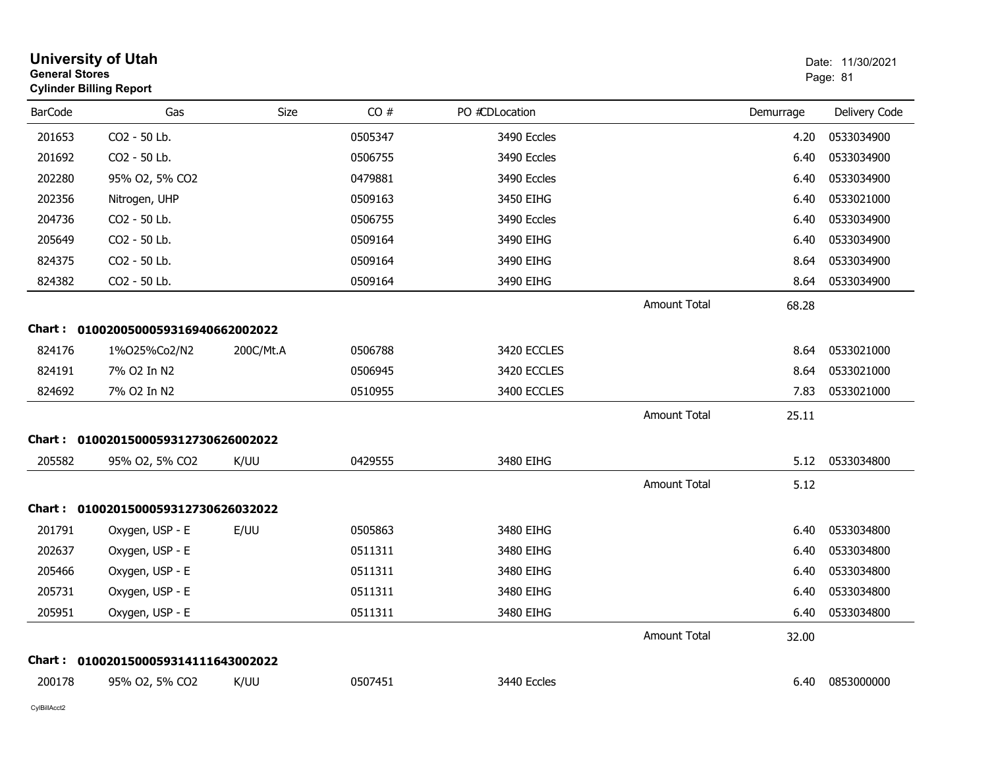|                | <b>University of Utah</b><br><b>General Stores</b><br><b>Cylinder Billing Report</b> |           |         |                |                     | Date: 11/30/2021<br>Page: 81 |               |
|----------------|--------------------------------------------------------------------------------------|-----------|---------|----------------|---------------------|------------------------------|---------------|
| <b>BarCode</b> | Gas                                                                                  | Size      | CO#     | PO #CDLocation |                     | Demurrage                    | Delivery Code |
| 201653         | CO2 - 50 Lb.                                                                         |           | 0505347 | 3490 Eccles    |                     | 4.20                         | 0533034900    |
| 201692         | CO2 - 50 Lb.                                                                         |           | 0506755 | 3490 Eccles    |                     | 6.40                         | 0533034900    |
| 202280         | 95% O2, 5% CO2                                                                       |           | 0479881 | 3490 Eccles    |                     | 6.40                         | 0533034900    |
| 202356         | Nitrogen, UHP                                                                        |           | 0509163 | 3450 EIHG      |                     | 6.40                         | 0533021000    |
| 204736         | CO2 - 50 Lb.                                                                         |           | 0506755 | 3490 Eccles    |                     | 6.40                         | 0533034900    |
| 205649         | CO2 - 50 Lb.                                                                         |           | 0509164 | 3490 EIHG      |                     | 6.40                         | 0533034900    |
| 824375         | CO2 - 50 Lb.                                                                         |           | 0509164 | 3490 EIHG      |                     | 8.64                         | 0533034900    |
| 824382         | CO2 - 50 Lb.                                                                         |           | 0509164 | 3490 EIHG      |                     | 8.64                         | 0533034900    |
|                |                                                                                      |           |         |                | <b>Amount Total</b> | 68.28                        |               |
|                | Chart: 0100200500059316940662002022                                                  |           |         |                |                     |                              |               |
| 824176         | 1%025%Co2/N2                                                                         | 200C/Mt.A | 0506788 | 3420 ECCLES    |                     | 8.64                         | 0533021000    |
| 824191         | 7% O2 In N2                                                                          |           | 0506945 | 3420 ECCLES    |                     | 8.64                         | 0533021000    |
| 824692         | 7% O2 In N2                                                                          |           | 0510955 | 3400 ECCLES    |                     | 7.83                         | 0533021000    |
|                |                                                                                      |           |         |                | <b>Amount Total</b> | 25.11                        |               |
|                | Chart: 0100201500059312730626002022                                                  |           |         |                |                     |                              |               |
| 205582         | 95% O2, 5% CO2                                                                       | K/UU      | 0429555 | 3480 EIHG      |                     | 5.12                         | 0533034800    |
|                |                                                                                      |           |         |                | <b>Amount Total</b> | 5.12                         |               |
|                | Chart: 0100201500059312730626032022                                                  |           |         |                |                     |                              |               |
| 201791         | Oxygen, USP - E                                                                      | E/UU      | 0505863 | 3480 EIHG      |                     | 6.40                         | 0533034800    |
| 202637         | Oxygen, USP - E                                                                      |           | 0511311 | 3480 EIHG      |                     | 6.40                         | 0533034800    |
| 205466         | Oxygen, USP - E                                                                      |           | 0511311 | 3480 EIHG      |                     | 6.40                         | 0533034800    |
| 205731         | Oxygen, USP - E                                                                      |           | 0511311 | 3480 EIHG      |                     | 6.40                         | 0533034800    |
| 205951         | Oxygen, USP - E                                                                      |           | 0511311 | 3480 EIHG      |                     | 6.40                         | 0533034800    |
|                |                                                                                      |           |         |                | Amount Total        | 32.00                        |               |
|                | Chart: 0100201500059314111643002022                                                  |           |         |                |                     |                              |               |
| 200178         | 95% O2, 5% CO2                                                                       | K/UU      | 0507451 | 3440 Eccles    |                     | 6.40                         | 0853000000    |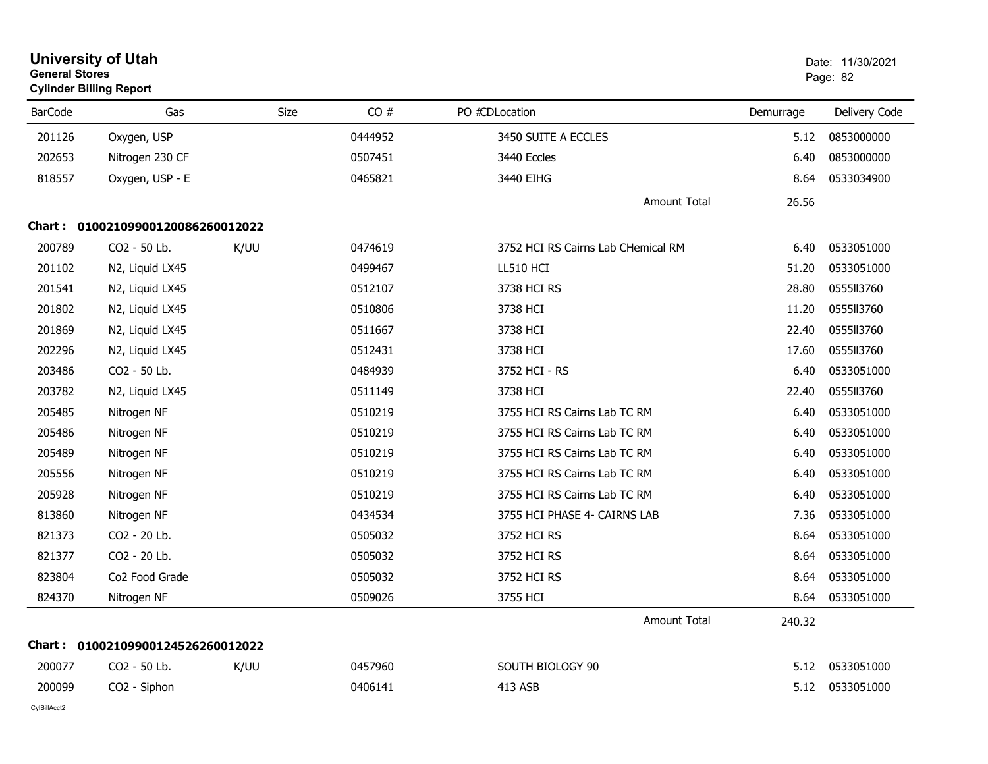|                | <b>University of Utah</b><br><b>General Stores</b><br><b>Cylinder Billing Report</b> |      |         |                                    |           | Date: 11/30/2021<br>Page: 82 |  |
|----------------|--------------------------------------------------------------------------------------|------|---------|------------------------------------|-----------|------------------------------|--|
| <b>BarCode</b> | Gas                                                                                  | Size | CO#     | PO #CDLocation                     | Demurrage | Delivery Code                |  |
| 201126         | Oxygen, USP                                                                          |      | 0444952 | 3450 SUITE A ECCLES                | 5.12      | 0853000000                   |  |
| 202653         | Nitrogen 230 CF                                                                      |      | 0507451 | 3440 Eccles                        | 6.40      | 0853000000                   |  |
| 818557         | Oxygen, USP - E                                                                      |      | 0465821 | 3440 EIHG                          | 8.64      | 0533034900                   |  |
|                |                                                                                      |      |         | <b>Amount Total</b>                | 26.56     |                              |  |
|                | Chart: 01002109900120086260012022                                                    |      |         |                                    |           |                              |  |
| 200789         | CO2 - 50 Lb.                                                                         | K/UU | 0474619 | 3752 HCI RS Cairns Lab CHemical RM | 6.40      | 0533051000                   |  |
| 201102         | N2, Liquid LX45                                                                      |      | 0499467 | <b>LL510 HCI</b>                   | 51.20     | 0533051000                   |  |
| 201541         | N2, Liquid LX45                                                                      |      | 0512107 | 3738 HCI RS                        | 28.80     | 0555113760                   |  |
| 201802         | N2, Liquid LX45                                                                      |      | 0510806 | 3738 HCI                           | 11.20     | 0555113760                   |  |
| 201869         | N2, Liquid LX45                                                                      |      | 0511667 | 3738 HCI                           | 22.40     | 0555II3760                   |  |
| 202296         | N2, Liquid LX45                                                                      |      | 0512431 | 3738 HCI                           | 17.60     | 0555113760                   |  |
| 203486         | CO2 - 50 Lb.                                                                         |      | 0484939 | 3752 HCI - RS                      | 6.40      | 0533051000                   |  |
| 203782         | N2, Liquid LX45                                                                      |      | 0511149 | 3738 HCI                           | 22.40     | 0555113760                   |  |
| 205485         | Nitrogen NF                                                                          |      | 0510219 | 3755 HCI RS Cairns Lab TC RM       | 6.40      | 0533051000                   |  |
| 205486         | Nitrogen NF                                                                          |      | 0510219 | 3755 HCI RS Cairns Lab TC RM       | 6.40      | 0533051000                   |  |
| 205489         | Nitrogen NF                                                                          |      | 0510219 | 3755 HCI RS Cairns Lab TC RM       | 6.40      | 0533051000                   |  |
| 205556         | Nitrogen NF                                                                          |      | 0510219 | 3755 HCI RS Cairns Lab TC RM       | 6.40      | 0533051000                   |  |
| 205928         | Nitrogen NF                                                                          |      | 0510219 | 3755 HCI RS Cairns Lab TC RM       | 6.40      | 0533051000                   |  |
| 813860         | Nitrogen NF                                                                          |      | 0434534 | 3755 HCI PHASE 4- CAIRNS LAB       | 7.36      | 0533051000                   |  |
| 821373         | CO2 - 20 Lb.                                                                         |      | 0505032 | 3752 HCI RS                        | 8.64      | 0533051000                   |  |
| 821377         | CO2 - 20 Lb.                                                                         |      | 0505032 | 3752 HCI RS                        | 8.64      | 0533051000                   |  |
| 823804         | Co <sub>2</sub> Food Grade                                                           |      | 0505032 | 3752 HCI RS                        | 8.64      | 0533051000                   |  |
| 824370         | Nitrogen NF                                                                          |      | 0509026 | 3755 HCI                           | 8.64      | 0533051000                   |  |
|                |                                                                                      |      |         | <b>Amount Total</b>                | 240.32    |                              |  |
|                | Chart: 01002109900124526260012022                                                    |      |         |                                    |           |                              |  |
| 200077         | CO2 - 50 Lb.                                                                         | K/UU | 0457960 | SOUTH BIOLOGY 90                   | 5.12      | 0533051000                   |  |
| 200099         | CO2 - Siphon                                                                         |      | 0406141 | 413 ASB                            | 5.12      | 0533051000                   |  |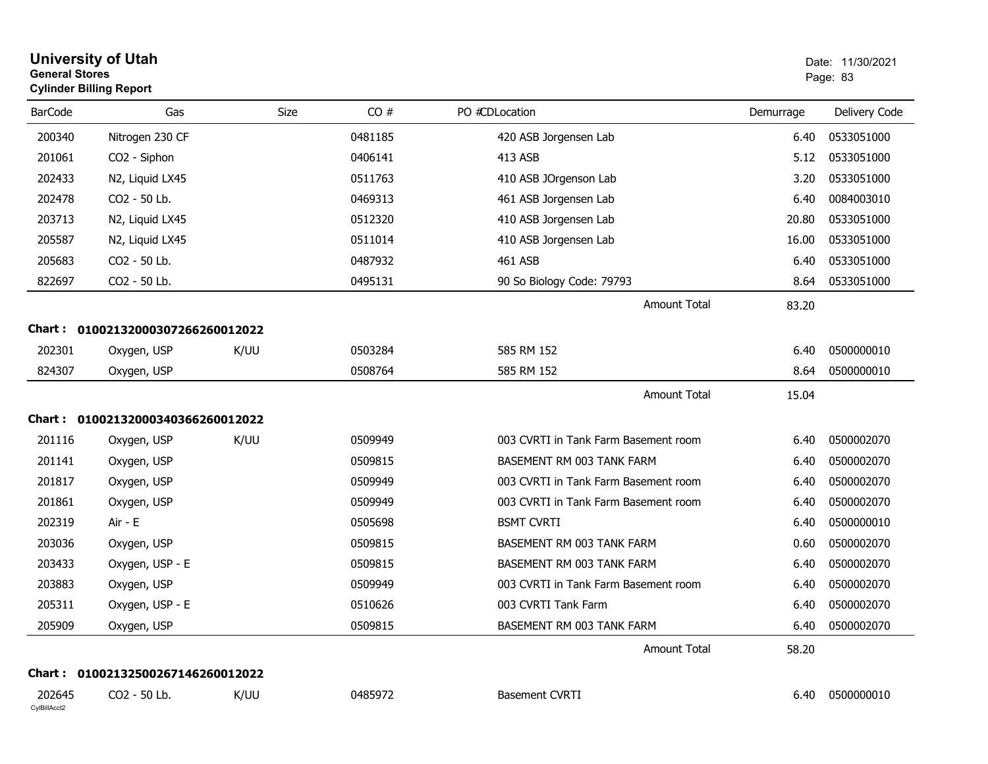| <b>General Stores</b>  | <b>University of Utah</b><br><b>Cylinder Billing Report</b> |             |         |                                      |           | Date: 11/30/2021<br>Page: 83 |
|------------------------|-------------------------------------------------------------|-------------|---------|--------------------------------------|-----------|------------------------------|
| <b>BarCode</b>         | Gas                                                         | <b>Size</b> | CO#     | PO #CDLocation                       | Demurrage | Delivery Code                |
| 200340                 | Nitrogen 230 CF                                             |             | 0481185 | 420 ASB Jorgensen Lab                | 6.40      | 0533051000                   |
| 201061                 | CO2 - Siphon                                                |             | 0406141 | 413 ASB                              | 5.12      | 0533051000                   |
| 202433                 | N2, Liquid LX45                                             |             | 0511763 | 410 ASB JOrgenson Lab                | 3.20      | 0533051000                   |
| 202478                 | CO2 - 50 Lb.                                                |             | 0469313 | 461 ASB Jorgensen Lab                | 6.40      | 0084003010                   |
| 203713                 | N2, Liquid LX45                                             |             | 0512320 | 410 ASB Jorgensen Lab                | 20.80     | 0533051000                   |
| 205587                 | N2, Liquid LX45                                             |             | 0511014 | 410 ASB Jorgensen Lab                | 16.00     | 0533051000                   |
| 205683                 | CO2 - 50 Lb.                                                |             | 0487932 | 461 ASB                              | 6.40      | 0533051000                   |
| 822697                 | CO2 - 50 Lb.                                                |             | 0495131 | 90 So Biology Code: 79793            | 8.64      | 0533051000                   |
|                        |                                                             |             |         | <b>Amount Total</b>                  | 83.20     |                              |
| <b>Chart:</b>          | 01002132000307266260012022                                  |             |         |                                      |           |                              |
| 202301                 | Oxygen, USP                                                 | K/UU        | 0503284 | 585 RM 152                           | 6.40      | 0500000010                   |
| 824307                 | Oxygen, USP                                                 |             | 0508764 | 585 RM 152                           | 8.64      | 0500000010                   |
|                        |                                                             |             |         | <b>Amount Total</b>                  | 15.04     |                              |
|                        | Chart: 01002132000340366260012022                           |             |         |                                      |           |                              |
| 201116                 | Oxygen, USP                                                 | K/UU        | 0509949 | 003 CVRTI in Tank Farm Basement room | 6.40      | 0500002070                   |
| 201141                 | Oxygen, USP                                                 |             | 0509815 | BASEMENT RM 003 TANK FARM            | 6.40      | 0500002070                   |
| 201817                 | Oxygen, USP                                                 |             | 0509949 | 003 CVRTI in Tank Farm Basement room | 6.40      | 0500002070                   |
| 201861                 | Oxygen, USP                                                 |             | 0509949 | 003 CVRTI in Tank Farm Basement room | 6.40      | 0500002070                   |
| 202319                 | Air - E                                                     |             | 0505698 | <b>BSMT CVRTI</b>                    | 6.40      | 0500000010                   |
| 203036                 | Oxygen, USP                                                 |             | 0509815 | BASEMENT RM 003 TANK FARM            | 0.60      | 0500002070                   |
| 203433                 | Oxygen, USP - E                                             |             | 0509815 | BASEMENT RM 003 TANK FARM            | 6.40      | 0500002070                   |
| 203883                 | Oxygen, USP                                                 |             | 0509949 | 003 CVRTI in Tank Farm Basement room | 6.40      | 0500002070                   |
| 205311                 | Oxygen, USP - E                                             |             | 0510626 | 003 CVRTI Tank Farm                  | 6.40      | 0500002070                   |
| 205909                 | Oxygen, USP                                                 |             | 0509815 | BASEMENT RM 003 TANK FARM            | 6.40      | 0500002070                   |
|                        |                                                             |             |         | <b>Amount Total</b>                  | 58.20     |                              |
|                        | Chart: 01002132500267146260012022                           |             |         |                                      |           |                              |
| 202645<br>CylBillAcct2 | CO2 - 50 Lb.                                                | K/UU        | 0485972 | <b>Basement CVRTI</b>                | 6.40      | 0500000010                   |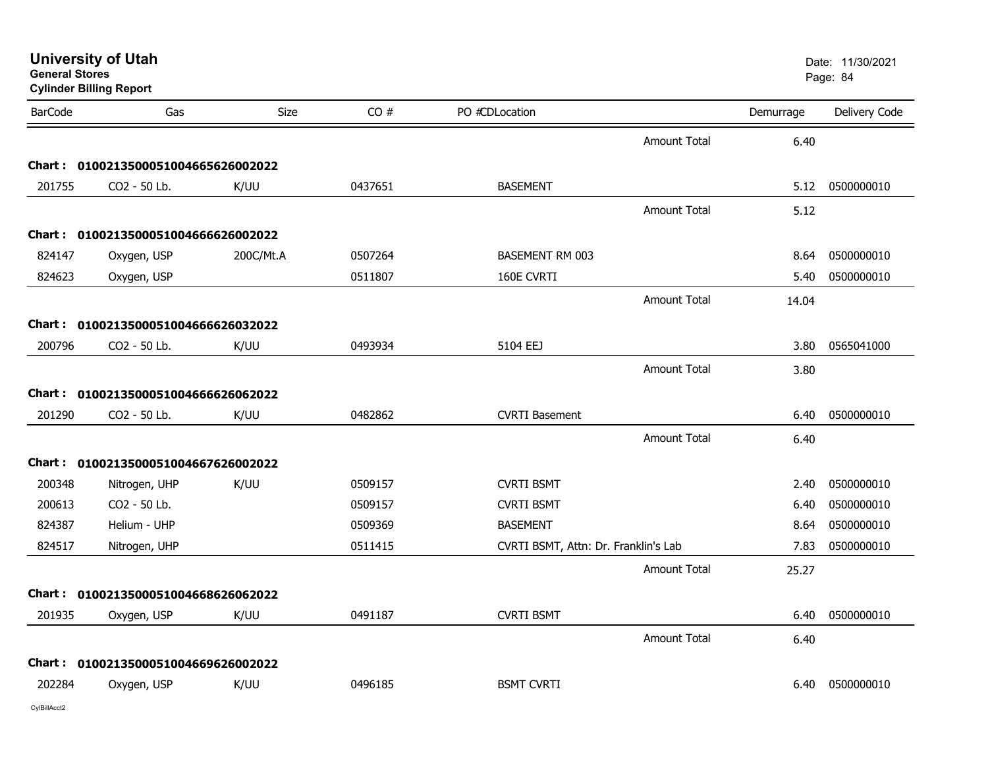|  |  | <b>University of Utah</b> |
|--|--|---------------------------|
|  |  |                           |

| <b>BarCode</b> | Gas                                 | <b>Size</b> | CO#     | PO #CDLocation                       |                     | Demurrage | Delivery Code |
|----------------|-------------------------------------|-------------|---------|--------------------------------------|---------------------|-----------|---------------|
|                |                                     |             |         |                                      | Amount Total        | 6.40      |               |
|                | Chart: 0100213500051004665626002022 |             |         |                                      |                     |           |               |
| 201755         | CO2 - 50 Lb.                        | K/UU        | 0437651 | <b>BASEMENT</b>                      |                     | 5.12      | 0500000010    |
|                |                                     |             |         |                                      | <b>Amount Total</b> | 5.12      |               |
|                | Chart: 0100213500051004666626002022 |             |         |                                      |                     |           |               |
| 824147         | Oxygen, USP                         | 200C/Mt.A   | 0507264 | <b>BASEMENT RM 003</b>               |                     | 8.64      | 0500000010    |
| 824623         | Oxygen, USP                         |             | 0511807 | 160E CVRTI                           |                     | 5.40      | 0500000010    |
|                |                                     |             |         |                                      | Amount Total        | 14.04     |               |
|                | Chart: 0100213500051004666626032022 |             |         |                                      |                     |           |               |
| 200796         | CO2 - 50 Lb.                        | K/UU        | 0493934 | 5104 EEJ                             |                     | 3.80      | 0565041000    |
|                |                                     |             |         |                                      | Amount Total        | 3.80      |               |
|                | Chart: 0100213500051004666626062022 |             |         |                                      |                     |           |               |
| 201290         | CO2 - 50 Lb.                        | K/UU        | 0482862 | <b>CVRTI Basement</b>                |                     | 6.40      | 0500000010    |
|                |                                     |             |         |                                      | <b>Amount Total</b> | 6.40      |               |
|                | Chart: 0100213500051004667626002022 |             |         |                                      |                     |           |               |
| 200348         | Nitrogen, UHP                       | K/UU        | 0509157 | <b>CVRTI BSMT</b>                    |                     | 2.40      | 0500000010    |
| 200613         | CO2 - 50 Lb.                        |             | 0509157 | <b>CVRTI BSMT</b>                    |                     | 6.40      | 0500000010    |
| 824387         | Helium - UHP                        |             | 0509369 | <b>BASEMENT</b>                      |                     | 8.64      | 0500000010    |
| 824517         | Nitrogen, UHP                       |             | 0511415 | CVRTI BSMT, Attn: Dr. Franklin's Lab |                     | 7.83      | 0500000010    |
|                |                                     |             |         |                                      | <b>Amount Total</b> | 25.27     |               |
|                | Chart: 0100213500051004668626062022 |             |         |                                      |                     |           |               |
| 201935         | Oxygen, USP                         | K/UU        | 0491187 | <b>CVRTI BSMT</b>                    |                     | 6.40      | 0500000010    |
|                |                                     |             |         |                                      | Amount Total        | 6.40      |               |
|                | Chart: 0100213500051004669626002022 |             |         |                                      |                     |           |               |
| 202284         | Oxygen, USP                         | K/UU        | 0496185 | <b>BSMT CVRTI</b>                    |                     | 6.40      | 0500000010    |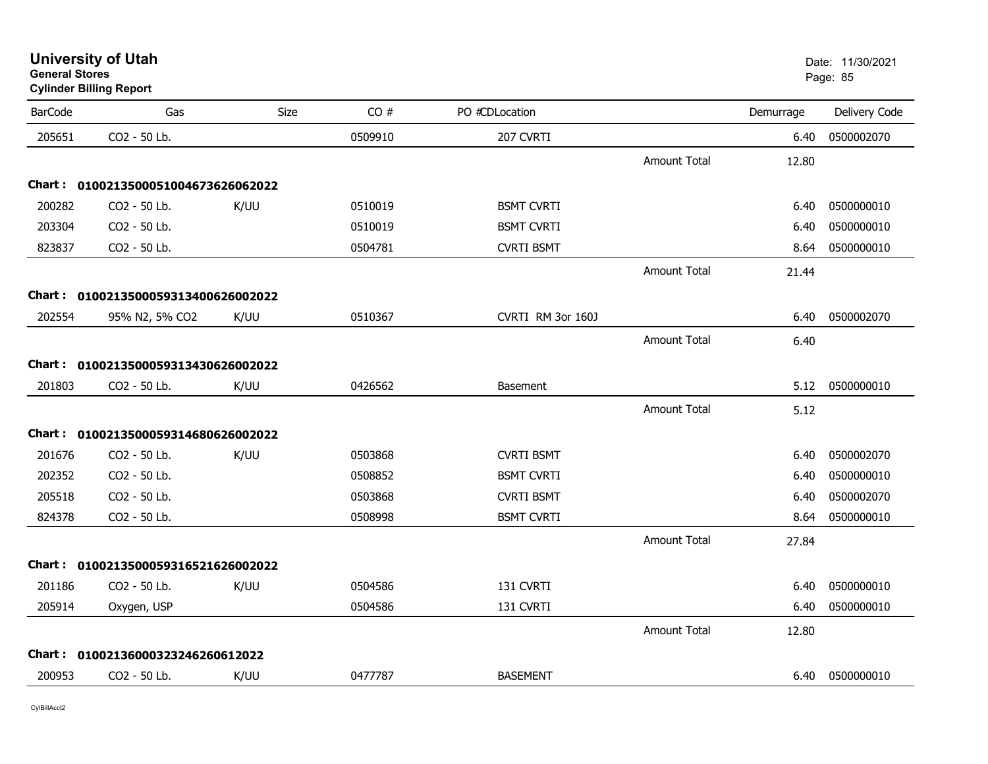| <b>BarCode</b> | Gas                                 | <b>Size</b> | CO#     | PO #CDLocation    |                     | Demurrage | Delivery Code |
|----------------|-------------------------------------|-------------|---------|-------------------|---------------------|-----------|---------------|
| 205651         | CO2 - 50 Lb.                        |             | 0509910 | 207 CVRTI         |                     | 6.40      | 0500002070    |
|                |                                     |             |         |                   | <b>Amount Total</b> | 12.80     |               |
|                | Chart: 0100213500051004673626062022 |             |         |                   |                     |           |               |
| 200282         | CO2 - 50 Lb.                        | K/UU        | 0510019 | <b>BSMT CVRTI</b> |                     | 6.40      | 0500000010    |
| 203304         | CO2 - 50 Lb.                        |             | 0510019 | <b>BSMT CVRTI</b> |                     | 6.40      | 0500000010    |
| 823837         | CO2 - 50 Lb.                        |             | 0504781 | <b>CVRTI BSMT</b> |                     | 8.64      | 0500000010    |
|                |                                     |             |         |                   | <b>Amount Total</b> | 21.44     |               |
|                | Chart: 0100213500059313400626002022 |             |         |                   |                     |           |               |
| 202554         | 95% N2, 5% CO2                      | K/UU        | 0510367 | CVRTI RM 3or 160J |                     | 6.40      | 0500002070    |
|                |                                     |             |         |                   | <b>Amount Total</b> | 6.40      |               |
|                | Chart: 0100213500059313430626002022 |             |         |                   |                     |           |               |
| 201803         | CO2 - 50 Lb.                        | K/UU        | 0426562 | <b>Basement</b>   |                     | 5.12      | 0500000010    |
|                |                                     |             |         |                   | <b>Amount Total</b> | 5.12      |               |
|                | Chart: 0100213500059314680626002022 |             |         |                   |                     |           |               |
| 201676         | CO2 - 50 Lb.                        | K/UU        | 0503868 | <b>CVRTI BSMT</b> |                     | 6.40      | 0500002070    |
| 202352         | CO2 - 50 Lb.                        |             | 0508852 | <b>BSMT CVRTI</b> |                     | 6.40      | 0500000010    |
| 205518         | CO2 - 50 Lb.                        |             | 0503868 | <b>CVRTI BSMT</b> |                     | 6.40      | 0500002070    |
| 824378         | CO2 - 50 Lb.                        |             | 0508998 | <b>BSMT CVRTI</b> |                     | 8.64      | 0500000010    |
|                |                                     |             |         |                   | <b>Amount Total</b> | 27.84     |               |
|                | Chart: 0100213500059316521626002022 |             |         |                   |                     |           |               |
| 201186         | CO2 - 50 Lb.                        | K/UU        | 0504586 | 131 CVRTI         |                     | 6.40      | 0500000010    |
| 205914         | Oxygen, USP                         |             | 0504586 | 131 CVRTI         |                     | 6.40      | 0500000010    |
|                |                                     |             |         |                   | <b>Amount Total</b> | 12.80     |               |
|                | Chart: 01002136000323246260612022   |             |         |                   |                     |           |               |
|                |                                     |             |         |                   |                     |           |               |

COVR2 CO2 - 50 Lb. K/UU 0477787 BASEMENT 6.40 0500000010

# **University of Utah** Date: 11/30/2021 **General Stores**

**Cylinder Billing Report**

200953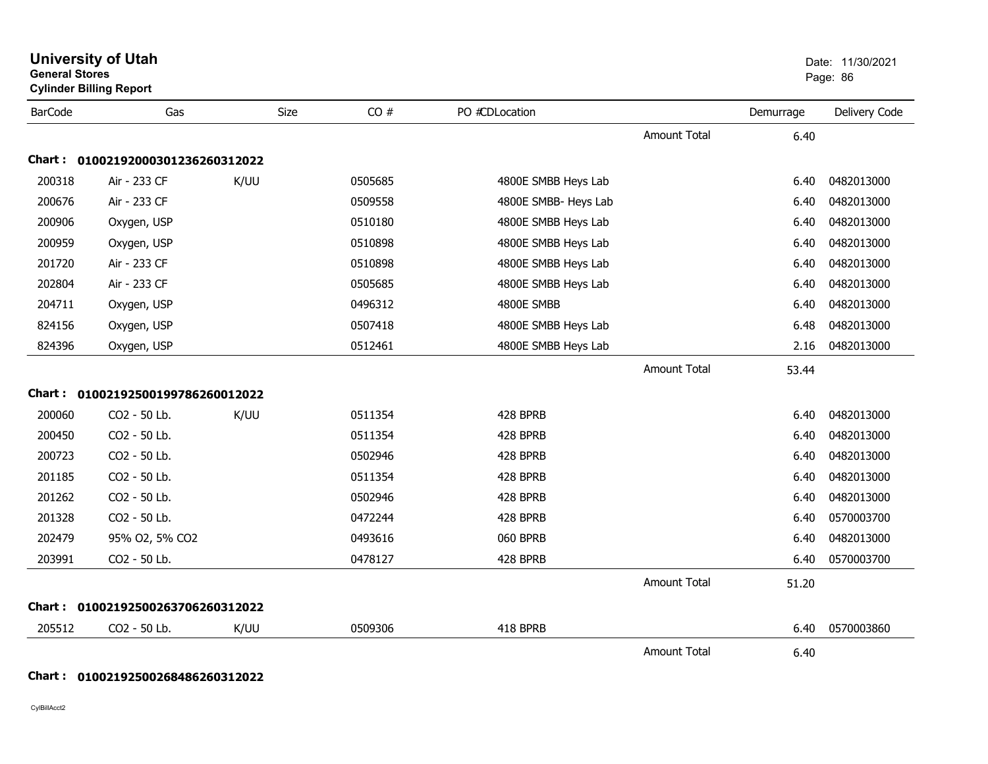| <b>General Stores</b> | <b>Cylinder Billing Report</b>    |      |         |                      |                     |           | Page: 86      |
|-----------------------|-----------------------------------|------|---------|----------------------|---------------------|-----------|---------------|
| <b>BarCode</b>        | Gas                               | Size | CO#     | PO #CDLocation       |                     | Demurrage | Delivery Code |
|                       |                                   |      |         |                      | <b>Amount Total</b> | 6.40      |               |
|                       | Chart: 01002192000301236260312022 |      |         |                      |                     |           |               |
| 200318                | Air - 233 CF                      | K/UU | 0505685 | 4800E SMBB Heys Lab  |                     | 6.40      | 0482013000    |
| 200676                | Air - 233 CF                      |      | 0509558 | 4800E SMBB- Heys Lab |                     | 6.40      | 0482013000    |
| 200906                | Oxygen, USP                       |      | 0510180 | 4800E SMBB Heys Lab  |                     | 6.40      | 0482013000    |
| 200959                | Oxygen, USP                       |      | 0510898 | 4800E SMBB Heys Lab  |                     | 6.40      | 0482013000    |
| 201720                | Air - 233 CF                      |      | 0510898 | 4800E SMBB Heys Lab  |                     | 6.40      | 0482013000    |
| 202804                | Air - 233 CF                      |      | 0505685 | 4800E SMBB Heys Lab  |                     | 6.40      | 0482013000    |
| 204711                | Oxygen, USP                       |      | 0496312 | 4800E SMBB           |                     | 6.40      | 0482013000    |
| 824156                | Oxygen, USP                       |      | 0507418 | 4800E SMBB Heys Lab  |                     | 6.48      | 0482013000    |
| 824396                | Oxygen, USP                       |      | 0512461 | 4800E SMBB Heys Lab  |                     | 2.16      | 0482013000    |
|                       |                                   |      |         |                      | <b>Amount Total</b> | 53.44     |               |
| <b>Chart :</b>        | 01002192500199786260012022        |      |         |                      |                     |           |               |
| 200060                | CO2 - 50 Lb.                      | K/UU | 0511354 | 428 BPRB             |                     | 6.40      | 0482013000    |
| 200450                | CO2 - 50 Lb.                      |      | 0511354 | 428 BPRB             |                     | 6.40      | 0482013000    |
| 200723                | CO2 - 50 Lb.                      |      | 0502946 | 428 BPRB             |                     | 6.40      | 0482013000    |
| 201185                | CO2 - 50 Lb.                      |      | 0511354 | 428 BPRB             |                     | 6.40      | 0482013000    |
| 201262                | CO2 - 50 Lb.                      |      | 0502946 | 428 BPRB             |                     | 6.40      | 0482013000    |
| 201328                | CO2 - 50 Lb.                      |      | 0472244 | 428 BPRB             |                     | 6.40      | 0570003700    |
| 202479                | 95% O2, 5% CO2                    |      | 0493616 | 060 BPRB             |                     | 6.40      | 0482013000    |
| 203991                | CO2 - 50 Lb.                      |      | 0478127 | 428 BPRB             |                     | 6.40      | 0570003700    |
|                       |                                   |      |         |                      | <b>Amount Total</b> | 51.20     |               |
|                       | Chart: 01002192500263706260312022 |      |         |                      |                     |           |               |
| 205512                | CO2 - 50 Lb.                      | K/UU | 0509306 | 418 BPRB             |                     | 6.40      | 0570003860    |
|                       |                                   |      |         |                      | <b>Amount Total</b> | 6.40      |               |

**University of Utah** Date: 11/30/2021

#### **Chart : 01002192500268486260312022**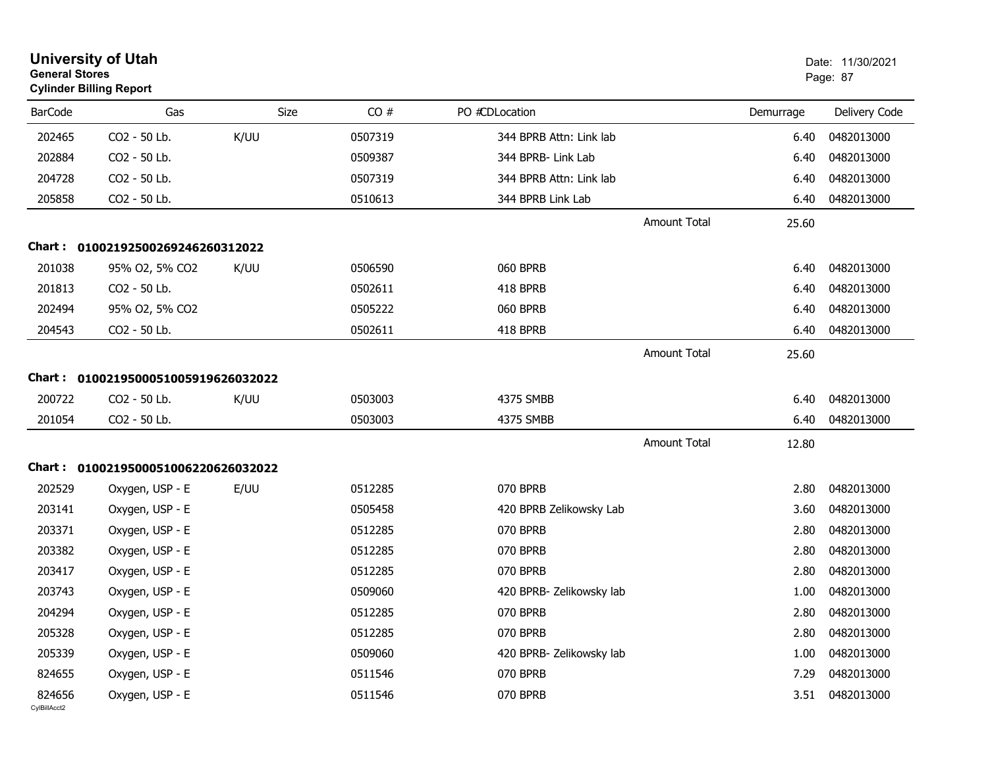| <b>General Stores</b>  | <b>University of Utah</b><br><b>Cylinder Billing Report</b> |      |         |                          |                     |           | Date: 11/30/2021<br>Page: 87 |
|------------------------|-------------------------------------------------------------|------|---------|--------------------------|---------------------|-----------|------------------------------|
| <b>BarCode</b>         | Gas                                                         | Size | CO#     | PO #CDLocation           |                     | Demurrage | Delivery Code                |
| 202465                 | CO2 - 50 Lb.                                                | K/UU | 0507319 | 344 BPRB Attn: Link lab  |                     | 6.40      | 0482013000                   |
| 202884                 | CO2 - 50 Lb.                                                |      | 0509387 | 344 BPRB- Link Lab       |                     | 6.40      | 0482013000                   |
| 204728                 | CO2 - 50 Lb.                                                |      | 0507319 | 344 BPRB Attn: Link lab  |                     | 6.40      | 0482013000                   |
| 205858                 | CO2 - 50 Lb.                                                |      | 0510613 | 344 BPRB Link Lab        |                     | 6.40      | 0482013000                   |
|                        |                                                             |      |         |                          | <b>Amount Total</b> | 25.60     |                              |
| Chart :                | 01002192500269246260312022                                  |      |         |                          |                     |           |                              |
| 201038                 | 95% O2, 5% CO2                                              | K/UU | 0506590 | 060 BPRB                 |                     | 6.40      | 0482013000                   |
| 201813                 | CO2 - 50 Lb.                                                |      | 0502611 | 418 BPRB                 |                     | 6.40      | 0482013000                   |
| 202494                 | 95% O2, 5% CO2                                              |      | 0505222 | 060 BPRB                 |                     | 6.40      | 0482013000                   |
| 204543                 | CO2 - 50 Lb.                                                |      | 0502611 | 418 BPRB                 |                     | 6.40      | 0482013000                   |
|                        |                                                             |      |         |                          | <b>Amount Total</b> | 25.60     |                              |
|                        | Chart: 0100219500051005919626032022                         |      |         |                          |                     |           |                              |
| 200722                 | CO2 - 50 Lb.                                                | K/UU | 0503003 | 4375 SMBB                |                     | 6.40      | 0482013000                   |
| 201054                 | CO2 - 50 Lb.                                                |      | 0503003 | 4375 SMBB                |                     | 6.40      | 0482013000                   |
|                        |                                                             |      |         |                          | <b>Amount Total</b> | 12.80     |                              |
|                        | Chart: 0100219500051006220626032022                         |      |         |                          |                     |           |                              |
| 202529                 | Oxygen, USP - E                                             | E/UU | 0512285 | 070 BPRB                 |                     | 2.80      | 0482013000                   |
| 203141                 | Oxygen, USP - E                                             |      | 0505458 | 420 BPRB Zelikowsky Lab  |                     | 3.60      | 0482013000                   |
| 203371                 | Oxygen, USP - E                                             |      | 0512285 | 070 BPRB                 |                     | 2.80      | 0482013000                   |
| 203382                 | Oxygen, USP - E                                             |      | 0512285 | 070 BPRB                 |                     | 2.80      | 0482013000                   |
| 203417                 | Oxygen, USP - E                                             |      | 0512285 | 070 BPRB                 |                     | 2.80      | 0482013000                   |
| 203743                 | Oxygen, USP - E                                             |      | 0509060 | 420 BPRB- Zelikowsky lab |                     | 1.00      | 0482013000                   |
| 204294                 | Oxygen, USP - E                                             |      | 0512285 | 070 BPRB                 |                     | 2.80      | 0482013000                   |
| 205328                 | Oxygen, USP - E                                             |      | 0512285 | 070 BPRB                 |                     | 2.80      | 0482013000                   |
| 205339                 | Oxygen, USP - E                                             |      | 0509060 | 420 BPRB- Zelikowsky lab |                     | 1.00      | 0482013000                   |
| 824655                 | Oxygen, USP - E                                             |      | 0511546 | 070 BPRB                 |                     | 7.29      | 0482013000                   |
| 824656<br>CylBillAcct2 | Oxygen, USP - E                                             |      | 0511546 | 070 BPRB                 |                     |           | 3.51 0482013000              |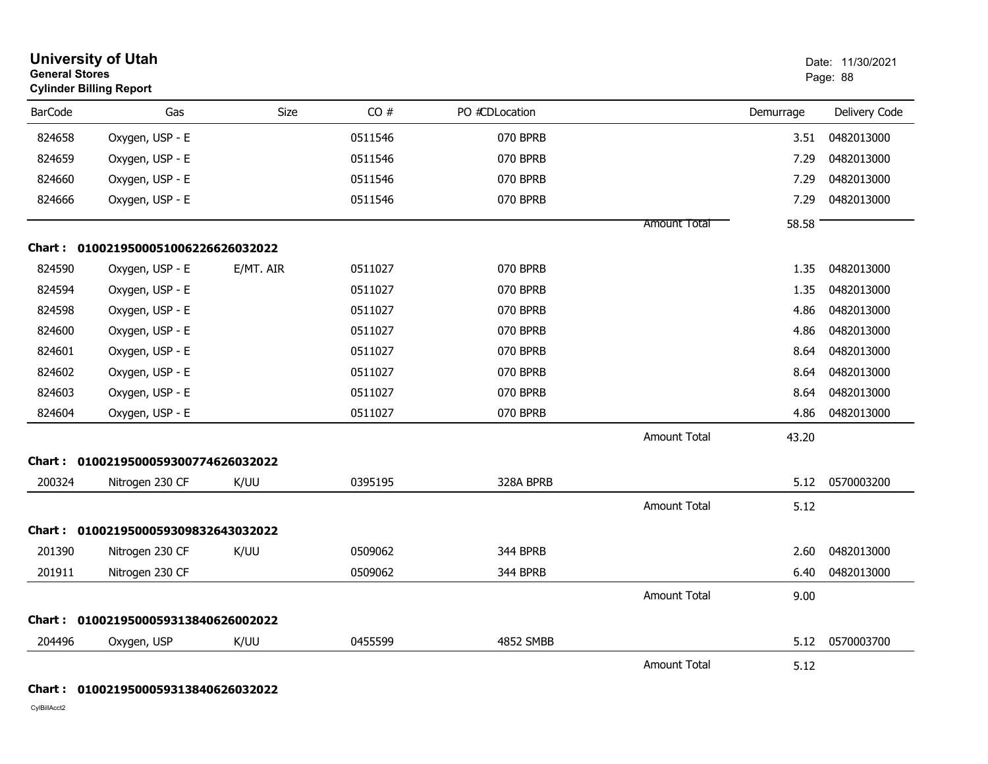| <b>General Stores</b> | <b>University of Utah</b><br><b>Cylinder Billing Report</b> |             |         |                |                     |           | Date: 11/30/2021<br>Page: 88 |
|-----------------------|-------------------------------------------------------------|-------------|---------|----------------|---------------------|-----------|------------------------------|
| <b>BarCode</b>        | Gas                                                         | <b>Size</b> | CO#     | PO #CDLocation |                     | Demurrage | Delivery Code                |
| 824658                | Oxygen, USP - E                                             |             | 0511546 | 070 BPRB       |                     | 3.51      | 0482013000                   |
| 824659                | Oxygen, USP - E                                             |             | 0511546 | 070 BPRB       |                     | 7.29      | 0482013000                   |
| 824660                | Oxygen, USP - E                                             |             | 0511546 | 070 BPRB       |                     | 7.29      | 0482013000                   |
| 824666                | Oxygen, USP - E                                             |             | 0511546 | 070 BPRB       |                     | 7.29      | 0482013000                   |
|                       |                                                             |             |         |                | <b>Amount Total</b> | 58.58     |                              |
|                       | Chart: 0100219500051006226626032022                         |             |         |                |                     |           |                              |
| 824590                | Oxygen, USP - E                                             | E/MT. AIR   | 0511027 | 070 BPRB       |                     | 1.35      | 0482013000                   |
| 824594                | Oxygen, USP - E                                             |             | 0511027 | 070 BPRB       |                     | 1.35      | 0482013000                   |
| 824598                | Oxygen, USP - E                                             |             | 0511027 | 070 BPRB       |                     | 4.86      | 0482013000                   |
| 824600                | Oxygen, USP - E                                             |             | 0511027 | 070 BPRB       |                     | 4.86      | 0482013000                   |
| 824601                | Oxygen, USP - E                                             |             | 0511027 | 070 BPRB       |                     | 8.64      | 0482013000                   |
| 824602                | Oxygen, USP - E                                             |             | 0511027 | 070 BPRB       |                     | 8.64      | 0482013000                   |
| 824603                | Oxygen, USP - E                                             |             | 0511027 | 070 BPRB       |                     | 8.64      | 0482013000                   |
| 824604                | Oxygen, USP - E                                             |             | 0511027 | 070 BPRB       |                     | 4.86      | 0482013000                   |
|                       |                                                             |             |         |                | Amount Total        | 43.20     |                              |
|                       | Chart: 0100219500059300774626032022                         |             |         |                |                     |           |                              |
| 200324                | Nitrogen 230 CF                                             | K/UU        | 0395195 | 328A BPRB      |                     | 5.12      | 0570003200                   |
|                       |                                                             |             |         |                | <b>Amount Total</b> | 5.12      |                              |
|                       | Chart: 0100219500059309832643032022                         |             |         |                |                     |           |                              |
| 201390                | Nitrogen 230 CF                                             | K/UU        | 0509062 | 344 BPRB       |                     | 2.60      | 0482013000                   |
| 201911                | Nitrogen 230 CF                                             |             | 0509062 | 344 BPRB       |                     | 6.40      | 0482013000                   |
|                       |                                                             |             |         |                | <b>Amount Total</b> | 9.00      |                              |
|                       | Chart: 0100219500059313840626002022                         |             |         |                |                     |           |                              |
| 204496                | Oxygen, USP                                                 | K/UU        | 0455599 | 4852 SMBB      |                     | 5.12      | 0570003700                   |
|                       |                                                             |             |         |                | <b>Amount Total</b> | 5.12      |                              |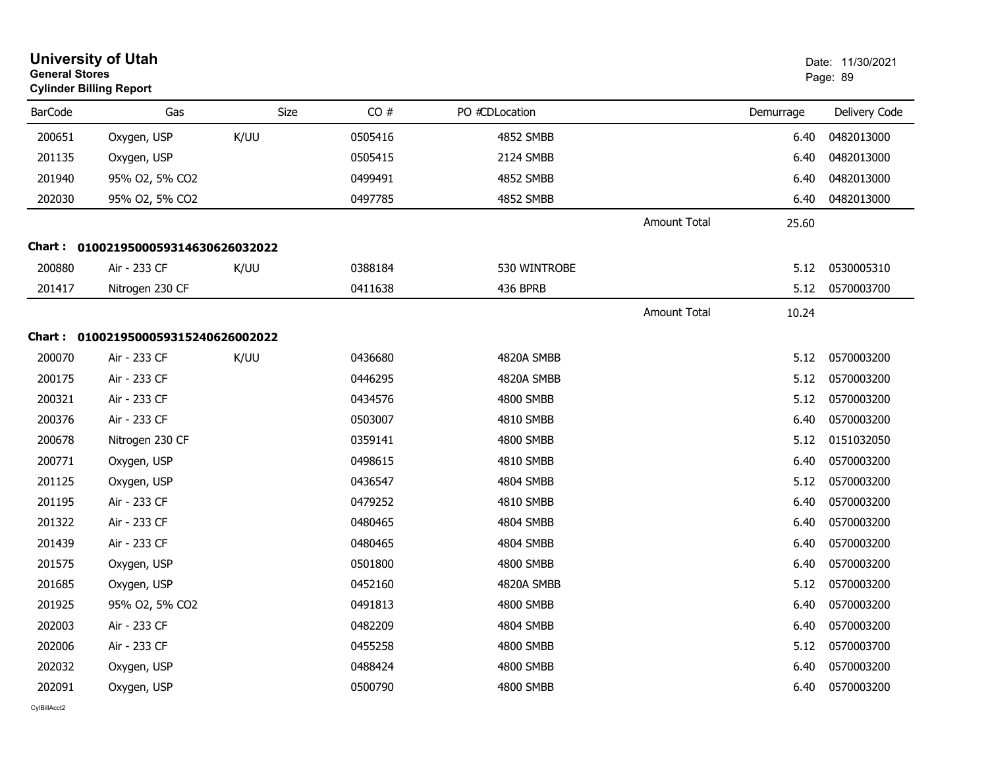| <b>General Stores</b> | <b>University of Utah</b><br><b>Cylinder Billing Report</b> |      |         |                  |                     |           | Date: 11/30/2021<br>Page: 89 |
|-----------------------|-------------------------------------------------------------|------|---------|------------------|---------------------|-----------|------------------------------|
| <b>BarCode</b>        | Gas                                                         | Size | CO#     | PO #CDLocation   |                     | Demurrage | Delivery Code                |
| 200651                | Oxygen, USP                                                 | K/UU | 0505416 | 4852 SMBB        |                     | 6.40      | 0482013000                   |
| 201135                | Oxygen, USP                                                 |      | 0505415 | 2124 SMBB        |                     | 6.40      | 0482013000                   |
| 201940                | 95% O2, 5% CO2                                              |      | 0499491 | 4852 SMBB        |                     | 6.40      | 0482013000                   |
| 202030                | 95% O2, 5% CO2                                              |      | 0497785 | <b>4852 SMBB</b> |                     | 6.40      | 0482013000                   |
|                       |                                                             |      |         |                  | <b>Amount Total</b> | 25.60     |                              |
|                       | Chart: 0100219500059314630626032022                         |      |         |                  |                     |           |                              |
| 200880                | Air - 233 CF                                                | K/UU | 0388184 | 530 WINTROBE     |                     | 5.12      | 0530005310                   |
| 201417                | Nitrogen 230 CF                                             |      | 0411638 | 436 BPRB         |                     | 5.12      | 0570003700                   |
|                       |                                                             |      |         |                  | <b>Amount Total</b> | 10.24     |                              |
|                       | Chart: 0100219500059315240626002022                         |      |         |                  |                     |           |                              |
| 200070                | Air - 233 CF                                                | K/UU | 0436680 | 4820A SMBB       |                     | 5.12      | 0570003200                   |
| 200175                | Air - 233 CF                                                |      | 0446295 | 4820A SMBB       |                     | 5.12      | 0570003200                   |
| 200321                | Air - 233 CF                                                |      | 0434576 | <b>4800 SMBB</b> |                     | 5.12      | 0570003200                   |
| 200376                | Air - 233 CF                                                |      | 0503007 | 4810 SMBB        |                     | 6.40      | 0570003200                   |
| 200678                | Nitrogen 230 CF                                             |      | 0359141 | 4800 SMBB        |                     | 5.12      | 0151032050                   |
| 200771                | Oxygen, USP                                                 |      | 0498615 | 4810 SMBB        |                     | 6.40      | 0570003200                   |
| 201125                | Oxygen, USP                                                 |      | 0436547 | 4804 SMBB        |                     | 5.12      | 0570003200                   |
| 201195                | Air - 233 CF                                                |      | 0479252 | 4810 SMBB        |                     | 6.40      | 0570003200                   |
| 201322                | Air - 233 CF                                                |      | 0480465 | 4804 SMBB        |                     | 6.40      | 0570003200                   |
| 201439                | Air - 233 CF                                                |      | 0480465 | 4804 SMBB        |                     | 6.40      | 0570003200                   |
| 201575                | Oxygen, USP                                                 |      | 0501800 | 4800 SMBB        |                     | 6.40      | 0570003200                   |
| 201685                | Oxygen, USP                                                 |      | 0452160 | 4820A SMBB       |                     | 5.12      | 0570003200                   |
| 201925                | 95% O2, 5% CO2                                              |      | 0491813 | 4800 SMBB        |                     | 6.40      | 0570003200                   |
| 202003                | Air - 233 CF                                                |      | 0482209 | 4804 SMBB        |                     | 6.40      | 0570003200                   |
| 202006                | Air - 233 CF                                                |      | 0455258 | 4800 SMBB        |                     | 5.12      | 0570003700                   |
| 202032                | Oxygen, USP                                                 |      | 0488424 | 4800 SMBB        |                     | 6.40      | 0570003200                   |
| 202091                | Oxygen, USP                                                 |      | 0500790 | 4800 SMBB        |                     | 6.40      | 0570003200                   |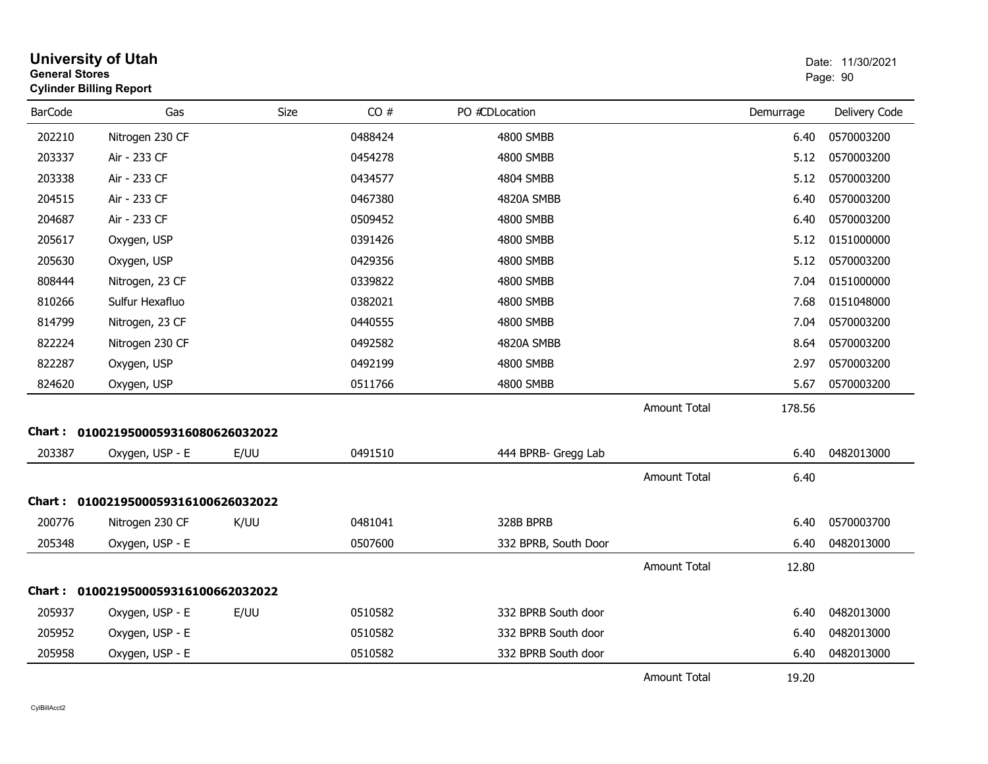| <b>General Stores</b> | <b>University of Utah</b><br><b>Cylinder Billing Report</b> |             |         |                      |                     |           | Date: 11/30/2021<br>Page: 90 |
|-----------------------|-------------------------------------------------------------|-------------|---------|----------------------|---------------------|-----------|------------------------------|
| <b>BarCode</b>        | Gas                                                         | <b>Size</b> | CO#     | PO #CDLocation       |                     | Demurrage | Delivery Code                |
| 202210                | Nitrogen 230 CF                                             |             | 0488424 | 4800 SMBB            |                     | 6.40      | 0570003200                   |
| 203337                | Air - 233 CF                                                |             | 0454278 | <b>4800 SMBB</b>     |                     | 5.12      | 0570003200                   |
| 203338                | Air - 233 CF                                                |             | 0434577 | 4804 SMBB            |                     | 5.12      | 0570003200                   |
| 204515                | Air - 233 CF                                                |             | 0467380 | 4820A SMBB           |                     | 6.40      | 0570003200                   |
| 204687                | Air - 233 CF                                                |             | 0509452 | 4800 SMBB            |                     | 6.40      | 0570003200                   |
| 205617                | Oxygen, USP                                                 |             | 0391426 | 4800 SMBB            |                     | 5.12      | 0151000000                   |
| 205630                | Oxygen, USP                                                 |             | 0429356 | 4800 SMBB            |                     | 5.12      | 0570003200                   |
| 808444                | Nitrogen, 23 CF                                             |             | 0339822 | 4800 SMBB            |                     | 7.04      | 0151000000                   |
| 810266                | Sulfur Hexafluo                                             |             | 0382021 | 4800 SMBB            |                     | 7.68      | 0151048000                   |
| 814799                | Nitrogen, 23 CF                                             |             | 0440555 | 4800 SMBB            |                     | 7.04      | 0570003200                   |
| 822224                | Nitrogen 230 CF                                             |             | 0492582 | 4820A SMBB           |                     | 8.64      | 0570003200                   |
| 822287                | Oxygen, USP                                                 |             | 0492199 | <b>4800 SMBB</b>     |                     | 2.97      | 0570003200                   |
| 824620                | Oxygen, USP                                                 |             | 0511766 | 4800 SMBB            |                     | 5.67      | 0570003200                   |
|                       |                                                             |             |         |                      | <b>Amount Total</b> | 178.56    |                              |
|                       | Chart: 0100219500059316080626032022                         |             |         |                      |                     |           |                              |
| 203387                | Oxygen, USP - E                                             | E/UU        | 0491510 | 444 BPRB- Gregg Lab  |                     | 6.40      | 0482013000                   |
|                       |                                                             |             |         |                      | <b>Amount Total</b> | 6.40      |                              |
|                       | Chart: 0100219500059316100626032022                         |             |         |                      |                     |           |                              |
| 200776                | Nitrogen 230 CF                                             | K/UU        | 0481041 | 328B BPRB            |                     | 6.40      | 0570003700                   |
| 205348                | Oxygen, USP - E                                             |             | 0507600 | 332 BPRB, South Door |                     | 6.40      | 0482013000                   |
|                       |                                                             |             |         |                      | Amount Total        | 12.80     |                              |
| Chart :               | 0100219500059316100662032022                                |             |         |                      |                     |           |                              |
| 205937                | Oxygen, USP - E                                             | E/UU        | 0510582 | 332 BPRB South door  |                     | 6.40      | 0482013000                   |
| 205952                | Oxygen, USP - E                                             |             | 0510582 | 332 BPRB South door  |                     | 6.40      | 0482013000                   |
| 205958                | Oxygen, USP - E                                             |             | 0510582 | 332 BPRB South door  |                     | 6.40      | 0482013000                   |
|                       |                                                             |             |         |                      | <b>Amount Total</b> | 19.20     |                              |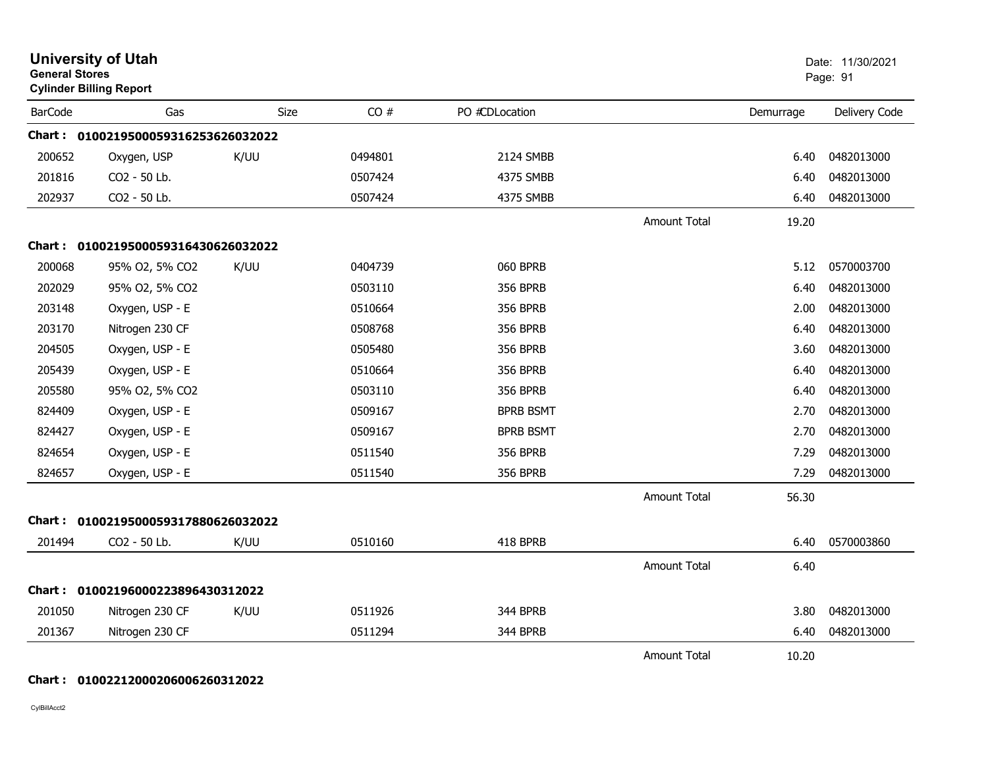| <b>General Stores</b> | <b>University of Utah</b><br><b>Cylinder Billing Report</b> |      |         |                  |                     |           | Date: 11/30/2021<br>Page: 91 |
|-----------------------|-------------------------------------------------------------|------|---------|------------------|---------------------|-----------|------------------------------|
| <b>BarCode</b>        | Gas                                                         | Size | CO#     | PO #CDLocation   |                     | Demurrage | Delivery Code                |
|                       | Chart: 0100219500059316253626032022                         |      |         |                  |                     |           |                              |
| 200652                | Oxygen, USP                                                 | K/UU | 0494801 | 2124 SMBB        |                     | 6.40      | 0482013000                   |
| 201816                | CO2 - 50 Lb.                                                |      | 0507424 | 4375 SMBB        |                     | 6.40      | 0482013000                   |
| 202937                | CO2 - 50 Lb.                                                |      | 0507424 | 4375 SMBB        |                     | 6.40      | 0482013000                   |
|                       |                                                             |      |         |                  | <b>Amount Total</b> | 19.20     |                              |
|                       | Chart: 0100219500059316430626032022                         |      |         |                  |                     |           |                              |
| 200068                | 95% O2, 5% CO2                                              | K/UU | 0404739 | 060 BPRB         |                     | 5.12      | 0570003700                   |
| 202029                | 95% O2, 5% CO2                                              |      | 0503110 | <b>356 BPRB</b>  |                     | 6.40      | 0482013000                   |
| 203148                | Oxygen, USP - E                                             |      | 0510664 | <b>356 BPRB</b>  |                     | 2.00      | 0482013000                   |
| 203170                | Nitrogen 230 CF                                             |      | 0508768 | <b>356 BPRB</b>  |                     | 6.40      | 0482013000                   |
| 204505                | Oxygen, USP - E                                             |      | 0505480 | <b>356 BPRB</b>  |                     | 3.60      | 0482013000                   |
| 205439                | Oxygen, USP - E                                             |      | 0510664 | <b>356 BPRB</b>  |                     | 6.40      | 0482013000                   |
| 205580                | 95% O2, 5% CO2                                              |      | 0503110 | <b>356 BPRB</b>  |                     | 6.40      | 0482013000                   |
| 824409                | Oxygen, USP - E                                             |      | 0509167 | <b>BPRB BSMT</b> |                     | 2.70      | 0482013000                   |
| 824427                | Oxygen, USP - E                                             |      | 0509167 | <b>BPRB BSMT</b> |                     | 2.70      | 0482013000                   |
| 824654                | Oxygen, USP - E                                             |      | 0511540 | <b>356 BPRB</b>  |                     | 7.29      | 0482013000                   |
| 824657                | Oxygen, USP - E                                             |      | 0511540 | <b>356 BPRB</b>  |                     | 7.29      | 0482013000                   |
|                       |                                                             |      |         |                  | Amount Total        | 56.30     |                              |
|                       | Chart: 0100219500059317880626032022                         |      |         |                  |                     |           |                              |
| 201494                | CO2 - 50 Lb.                                                | K/UU | 0510160 | 418 BPRB         |                     | 6.40      | 0570003860                   |
|                       |                                                             |      |         |                  | Amount Total        | 6.40      |                              |
|                       | Chart: 01002196000223896430312022                           |      |         |                  |                     |           |                              |
| 201050                | Nitrogen 230 CF                                             | K/UU | 0511926 | 344 BPRB         |                     | 3.80      | 0482013000                   |
| 201367                | Nitrogen 230 CF                                             |      | 0511294 | 344 BPRB         |                     | 6.40      | 0482013000                   |
|                       |                                                             |      |         |                  | <b>Amount Total</b> | 10.20     |                              |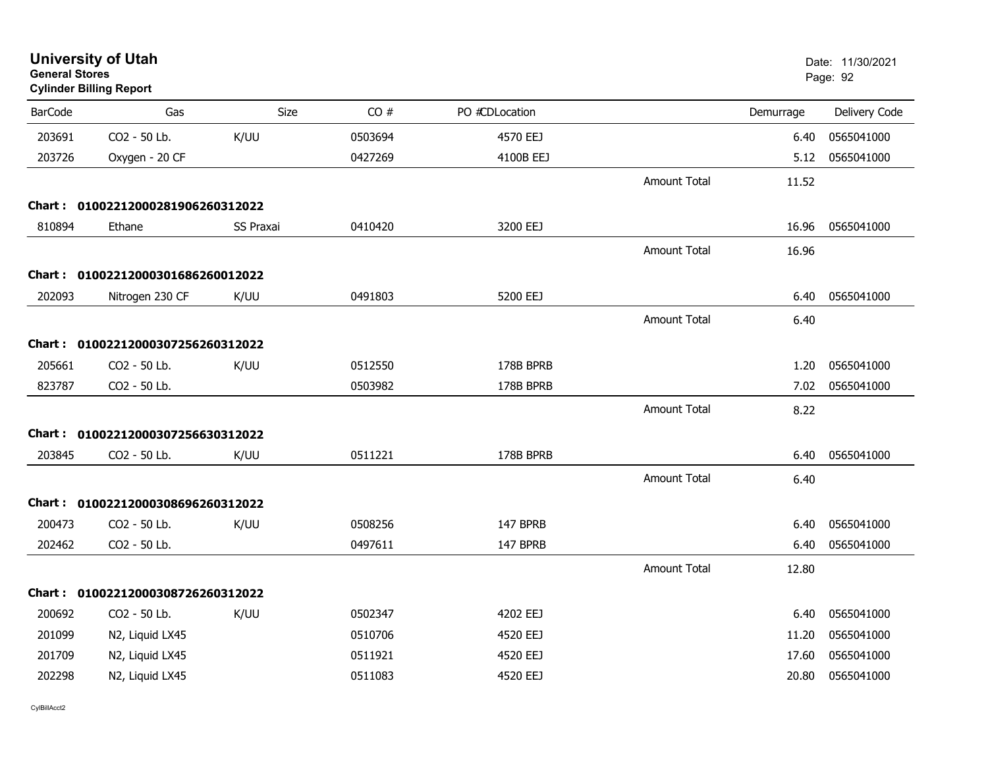| <b>General Stores</b> | <b>University of Utah</b><br><b>Cylinder Billing Report</b> |           |         |                |                     |           | Date: 11/30/2021<br>Page: 92 |
|-----------------------|-------------------------------------------------------------|-----------|---------|----------------|---------------------|-----------|------------------------------|
| <b>BarCode</b>        | Gas                                                         | Size      | CO#     | PO #CDLocation |                     | Demurrage | Delivery Code                |
| 203691                | CO2 - 50 Lb.                                                | K/UU      | 0503694 | 4570 EEJ       |                     | 6.40      | 0565041000                   |
| 203726                | Oxygen - 20 CF                                              |           | 0427269 | 4100B EEJ      |                     | 5.12      | 0565041000                   |
|                       |                                                             |           |         |                | <b>Amount Total</b> | 11.52     |                              |
|                       | Chart: 01002212000281906260312022                           |           |         |                |                     |           |                              |
| 810894                | Ethane                                                      | SS Praxai | 0410420 | 3200 EEJ       |                     | 16.96     | 0565041000                   |
|                       |                                                             |           |         |                | Amount Total        | 16.96     |                              |
|                       | Chart: 01002212000301686260012022                           |           |         |                |                     |           |                              |
| 202093                | Nitrogen 230 CF                                             | K/UU      | 0491803 | 5200 EEJ       |                     | 6.40      | 0565041000                   |
|                       |                                                             |           |         |                | <b>Amount Total</b> | 6.40      |                              |
|                       | Chart: 01002212000307256260312022                           |           |         |                |                     |           |                              |
| 205661                | CO2 - 50 Lb.                                                | K/UU      | 0512550 | 178B BPRB      |                     | 1.20      | 0565041000                   |
| 823787                | CO2 - 50 Lb.                                                |           | 0503982 | 178B BPRB      |                     | 7.02      | 0565041000                   |
|                       |                                                             |           |         |                | <b>Amount Total</b> | 8.22      |                              |
|                       | Chart: 01002212000307256630312022                           |           |         |                |                     |           |                              |
| 203845                | CO2 - 50 Lb.                                                | K/UU      | 0511221 | 178B BPRB      |                     | 6.40      | 0565041000                   |
|                       |                                                             |           |         |                | <b>Amount Total</b> | 6.40      |                              |
|                       | Chart: 01002212000308696260312022                           |           |         |                |                     |           |                              |
| 200473                | CO2 - 50 Lb.                                                | K/UU      | 0508256 | 147 BPRB       |                     | 6.40      | 0565041000                   |
| 202462                | CO2 - 50 Lb.                                                |           | 0497611 | 147 BPRB       |                     | 6.40      | 0565041000                   |
|                       |                                                             |           |         |                | <b>Amount Total</b> | 12.80     |                              |
|                       | Chart: 01002212000308726260312022                           |           |         |                |                     |           |                              |
| 200692                | CO2 - 50 Lb.                                                | K/UU      | 0502347 | 4202 EEJ       |                     | 6.40      | 0565041000                   |
| 201099                | N2, Liquid LX45                                             |           | 0510706 | 4520 EEJ       |                     | 11.20     | 0565041000                   |
| 201709                | N2, Liquid LX45                                             |           | 0511921 | 4520 EEJ       |                     | 17.60     | 0565041000                   |
| 202298                | N2, Liquid LX45                                             |           | 0511083 | 4520 EEJ       |                     | 20.80     | 0565041000                   |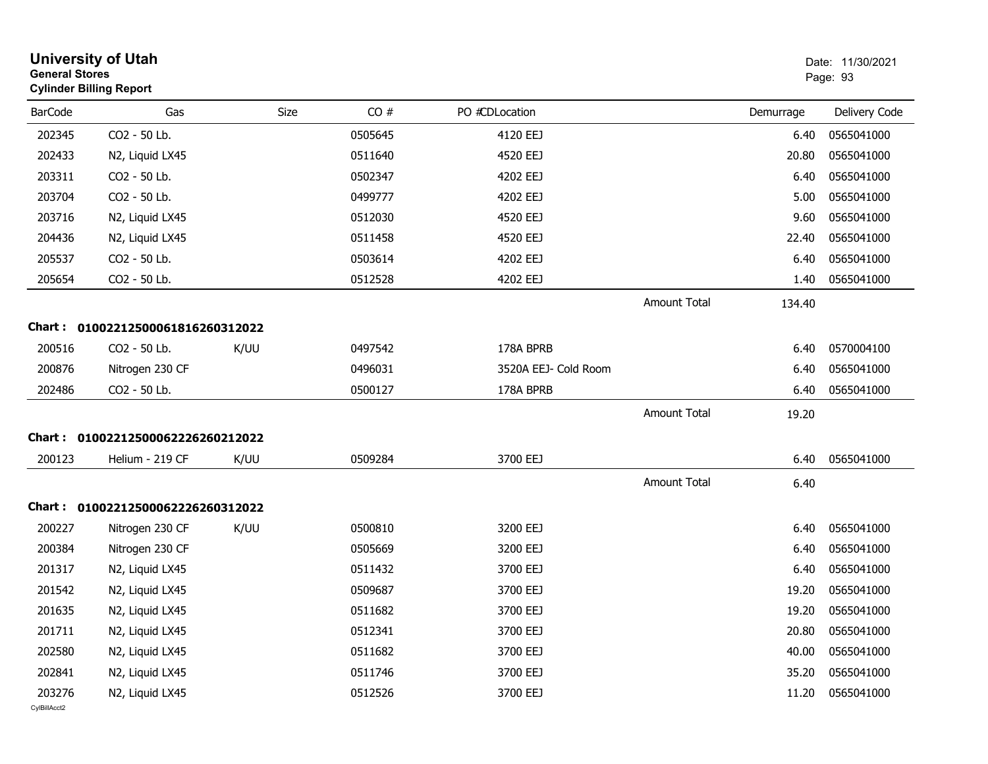| <b>General Stores</b>  | <b>University of Utah</b><br><b>Cylinder Billing Report</b> |      |         |                      |                     |           | Date: 11/30/2021<br>Page: 93 |
|------------------------|-------------------------------------------------------------|------|---------|----------------------|---------------------|-----------|------------------------------|
| <b>BarCode</b>         | Gas                                                         | Size | CO#     | PO #CDLocation       |                     | Demurrage | Delivery Code                |
| 202345                 | CO2 - 50 Lb.                                                |      | 0505645 | 4120 EEJ             |                     | 6.40      | 0565041000                   |
| 202433                 | N2, Liquid LX45                                             |      | 0511640 | 4520 EEJ             |                     | 20.80     | 0565041000                   |
| 203311                 | CO2 - 50 Lb.                                                |      | 0502347 | 4202 EEJ             |                     | 6.40      | 0565041000                   |
| 203704                 | CO2 - 50 Lb.                                                |      | 0499777 | 4202 EEJ             |                     | 5.00      | 0565041000                   |
| 203716                 | N2, Liquid LX45                                             |      | 0512030 | 4520 EEJ             |                     | 9.60      | 0565041000                   |
| 204436                 | N2, Liquid LX45                                             |      | 0511458 | 4520 EEJ             |                     | 22.40     | 0565041000                   |
| 205537                 | CO2 - 50 Lb.                                                |      | 0503614 | 4202 EEJ             |                     | 6.40      | 0565041000                   |
| 205654                 | CO2 - 50 Lb.                                                |      | 0512528 | 4202 EEJ             |                     | 1.40      | 0565041000                   |
|                        |                                                             |      |         |                      | <b>Amount Total</b> | 134.40    |                              |
|                        | Chart: 01002212500061816260312022                           |      |         |                      |                     |           |                              |
| 200516                 | CO2 - 50 Lb.                                                | K/UU | 0497542 | 178A BPRB            |                     | 6.40      | 0570004100                   |
| 200876                 | Nitrogen 230 CF                                             |      | 0496031 | 3520A EEJ- Cold Room |                     | 6.40      | 0565041000                   |
| 202486                 | CO2 - 50 Lb.                                                |      | 0500127 | 178A BPRB            |                     | 6.40      | 0565041000                   |
|                        |                                                             |      |         |                      | <b>Amount Total</b> | 19.20     |                              |
|                        | Chart: 01002212500062226260212022                           |      |         |                      |                     |           |                              |
| 200123                 | Helium - 219 CF                                             | K/UU | 0509284 | 3700 EEJ             |                     | 6.40      | 0565041000                   |
|                        |                                                             |      |         |                      | <b>Amount Total</b> | 6.40      |                              |
|                        | Chart: 01002212500062226260312022                           |      |         |                      |                     |           |                              |
| 200227                 | Nitrogen 230 CF                                             | K/UU | 0500810 | 3200 EEJ             |                     | 6.40      | 0565041000                   |
| 200384                 | Nitrogen 230 CF                                             |      | 0505669 | 3200 EEJ             |                     | 6.40      | 0565041000                   |
| 201317                 | N2, Liquid LX45                                             |      | 0511432 | 3700 EEJ             |                     | 6.40      | 0565041000                   |
| 201542                 | N2, Liquid LX45                                             |      | 0509687 | 3700 EEJ             |                     | 19.20     | 0565041000                   |
| 201635                 | N2, Liquid LX45                                             |      | 0511682 | 3700 EEJ             |                     | 19.20     | 0565041000                   |
| 201711                 | N2, Liquid LX45                                             |      | 0512341 | 3700 EEJ             |                     | 20.80     | 0565041000                   |
| 202580                 | N2, Liquid LX45                                             |      | 0511682 | 3700 EEJ             |                     | 40.00     | 0565041000                   |
| 202841                 | N2, Liquid LX45                                             |      | 0511746 | 3700 EEJ             |                     | 35.20     | 0565041000                   |
| 203276<br>CvIBillAcct2 | N2, Liquid LX45                                             |      | 0512526 | 3700 EEJ             |                     | 11.20     | 0565041000                   |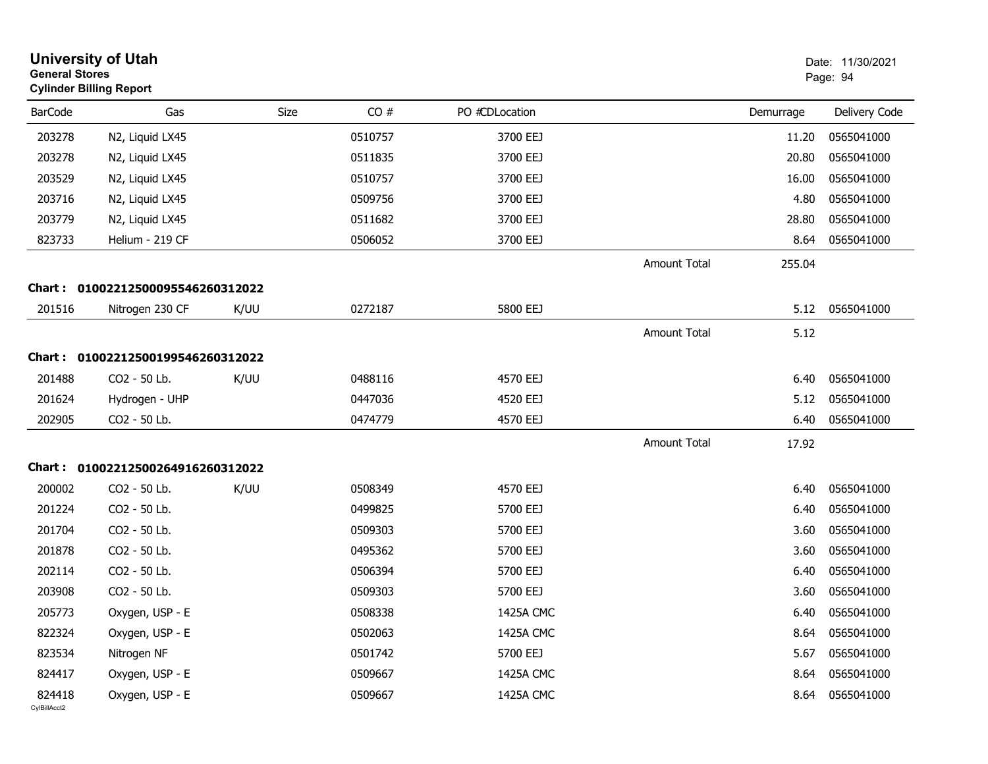|                        | <b>University of Utah</b><br><b>General Stores</b><br><b>Cylinder Billing Report</b> |      |         |                |                     |           | Date: 11/30/2021<br>Page: 94 |
|------------------------|--------------------------------------------------------------------------------------|------|---------|----------------|---------------------|-----------|------------------------------|
| <b>BarCode</b>         | Gas                                                                                  | Size | CO#     | PO #CDLocation |                     | Demurrage | Delivery Code                |
| 203278                 | N2, Liquid LX45                                                                      |      | 0510757 | 3700 EEJ       |                     | 11.20     | 0565041000                   |
| 203278                 | N2, Liquid LX45                                                                      |      | 0511835 | 3700 EEJ       |                     | 20.80     | 0565041000                   |
| 203529                 | N2, Liquid LX45                                                                      |      | 0510757 | 3700 EEJ       |                     | 16.00     | 0565041000                   |
| 203716                 | N2, Liquid LX45                                                                      |      | 0509756 | 3700 EEJ       |                     | 4.80      | 0565041000                   |
| 203779                 | N2, Liquid LX45                                                                      |      | 0511682 | 3700 EEJ       |                     | 28.80     | 0565041000                   |
| 823733                 | Helium - 219 CF                                                                      |      | 0506052 | 3700 EEJ       |                     | 8.64      | 0565041000                   |
|                        |                                                                                      |      |         |                | <b>Amount Total</b> | 255.04    |                              |
| <b>Chart :</b>         | 01002212500095546260312022                                                           |      |         |                |                     |           |                              |
| 201516                 | Nitrogen 230 CF                                                                      | K/UU | 0272187 | 5800 EEJ       |                     | 5.12      | 0565041000                   |
|                        |                                                                                      |      |         |                | <b>Amount Total</b> | 5.12      |                              |
|                        | Chart: 01002212500199546260312022                                                    |      |         |                |                     |           |                              |
| 201488                 | CO2 - 50 Lb.                                                                         | K/UU | 0488116 | 4570 EEJ       |                     | 6.40      | 0565041000                   |
| 201624                 | Hydrogen - UHP                                                                       |      | 0447036 | 4520 EEJ       |                     | 5.12      | 0565041000                   |
| 202905                 | CO2 - 50 Lb.                                                                         |      | 0474779 | 4570 EEJ       |                     | 6.40      | 0565041000                   |
|                        |                                                                                      |      |         |                | <b>Amount Total</b> | 17.92     |                              |
| Chart :                | 01002212500264916260312022                                                           |      |         |                |                     |           |                              |
|                        |                                                                                      |      |         |                |                     |           |                              |
| 200002                 | CO2 - 50 Lb.                                                                         | K/UU | 0508349 | 4570 EEJ       |                     | 6.40      | 0565041000                   |
| 201224                 | CO2 - 50 Lb.                                                                         |      | 0499825 | 5700 EEJ       |                     | 6.40      | 0565041000                   |
| 201704                 | CO2 - 50 Lb.                                                                         |      | 0509303 | 5700 EEJ       |                     | 3.60      | 0565041000                   |
| 201878                 | CO2 - 50 Lb.                                                                         |      | 0495362 | 5700 EEJ       |                     | 3.60      | 0565041000                   |
| 202114                 | CO2 - 50 Lb.                                                                         |      | 0506394 | 5700 EEJ       |                     | 6.40      | 0565041000                   |
| 203908                 | CO2 - 50 Lb.                                                                         |      | 0509303 | 5700 EEJ       |                     | 3.60      | 0565041000                   |
| 205773                 | Oxygen, USP - E                                                                      |      | 0508338 | 1425A CMC      |                     | 6.40      | 0565041000                   |
| 822324                 | Oxygen, USP - E                                                                      |      | 0502063 | 1425A CMC      |                     | 8.64      | 0565041000                   |
| 823534                 | Nitrogen NF                                                                          |      | 0501742 | 5700 EEJ       |                     | 5.67      | 0565041000                   |
| 824417                 | Oxygen, USP - E                                                                      |      | 0509667 | 1425A CMC      |                     | 8.64      | 0565041000                   |
| 824418<br>CvIBillAcct2 | Oxygen, USP - E                                                                      |      | 0509667 | 1425A CMC      |                     | 8.64      | 0565041000                   |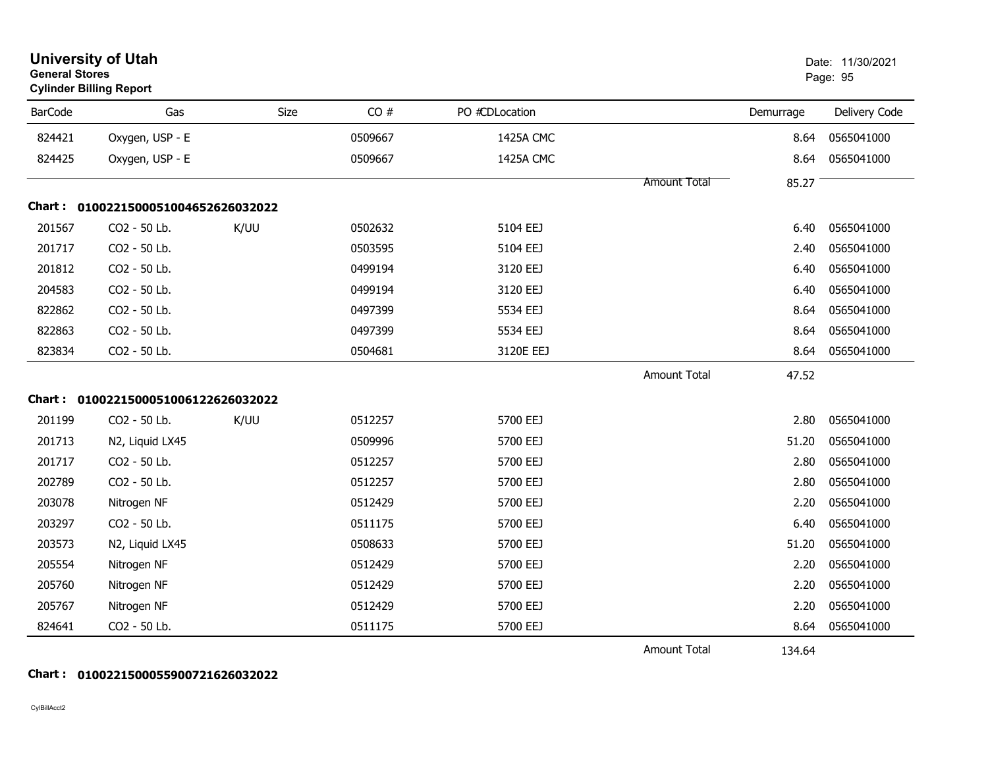|                | <b>University of Utah</b><br><b>General Stores</b><br><b>Cylinder Billing Report</b> |      |         |                |                     |           | Date: 11/30/2021<br>Page: 95 |  |
|----------------|--------------------------------------------------------------------------------------|------|---------|----------------|---------------------|-----------|------------------------------|--|
| <b>BarCode</b> | Gas                                                                                  | Size | CO#     | PO #CDLocation |                     | Demurrage | Delivery Code                |  |
| 824421         | Oxygen, USP - E                                                                      |      | 0509667 | 1425A CMC      |                     | 8.64      | 0565041000                   |  |
| 824425         | Oxygen, USP - E                                                                      |      | 0509667 | 1425A CMC      |                     | 8.64      | 0565041000                   |  |
|                |                                                                                      |      |         |                | <b>Amount Total</b> | 85.27     |                              |  |
|                | Chart: 0100221500051004652626032022                                                  |      |         |                |                     |           |                              |  |
| 201567         | CO2 - 50 Lb.                                                                         | K/UU | 0502632 | 5104 EEJ       |                     | 6.40      | 0565041000                   |  |
| 201717         | CO2 - 50 Lb.                                                                         |      | 0503595 | 5104 EEJ       |                     | 2.40      | 0565041000                   |  |
| 201812         | CO2 - 50 Lb.                                                                         |      | 0499194 | 3120 EEJ       |                     | 6.40      | 0565041000                   |  |
| 204583         | CO2 - 50 Lb.                                                                         |      | 0499194 | 3120 EEJ       |                     | 6.40      | 0565041000                   |  |
| 822862         | CO2 - 50 Lb.                                                                         |      | 0497399 | 5534 EEJ       |                     | 8.64      | 0565041000                   |  |
| 822863         | CO2 - 50 Lb.                                                                         |      | 0497399 | 5534 EEJ       |                     | 8.64      | 0565041000                   |  |
| 823834         | CO2 - 50 Lb.                                                                         |      | 0504681 | 3120E EEJ      |                     | 8.64      | 0565041000                   |  |
|                |                                                                                      |      |         |                | <b>Amount Total</b> | 47.52     |                              |  |
|                | Chart: 0100221500051006122626032022                                                  |      |         |                |                     |           |                              |  |
| 201199         | CO2 - 50 Lb.                                                                         | K/UU | 0512257 | 5700 EEJ       |                     | 2.80      | 0565041000                   |  |
| 201713         | N2, Liquid LX45                                                                      |      | 0509996 | 5700 EEJ       |                     | 51.20     | 0565041000                   |  |
| 201717         | CO2 - 50 Lb.                                                                         |      | 0512257 | 5700 EEJ       |                     | 2.80      | 0565041000                   |  |
| 202789         | CO2 - 50 Lb.                                                                         |      | 0512257 | 5700 EEJ       |                     | 2.80      | 0565041000                   |  |
| 203078         | Nitrogen NF                                                                          |      | 0512429 | 5700 EEJ       |                     | 2.20      | 0565041000                   |  |
| 203297         | CO2 - 50 Lb.                                                                         |      | 0511175 | 5700 EEJ       |                     | 6.40      | 0565041000                   |  |
| 203573         | N2, Liquid LX45                                                                      |      | 0508633 | 5700 EEJ       |                     | 51.20     | 0565041000                   |  |
| 205554         | Nitrogen NF                                                                          |      | 0512429 | 5700 EEJ       |                     | 2.20      | 0565041000                   |  |
| 205760         | Nitrogen NF                                                                          |      | 0512429 | 5700 EEJ       |                     | 2.20      | 0565041000                   |  |
| 205767         | Nitrogen NF                                                                          |      | 0512429 | 5700 EEJ       |                     | 2.20      | 0565041000                   |  |
| 824641         | CO2 - 50 Lb.                                                                         |      | 0511175 | 5700 EEJ       |                     | 8.64      | 0565041000                   |  |
|                |                                                                                      |      |         |                | <b>Amount Total</b> | 134.64    |                              |  |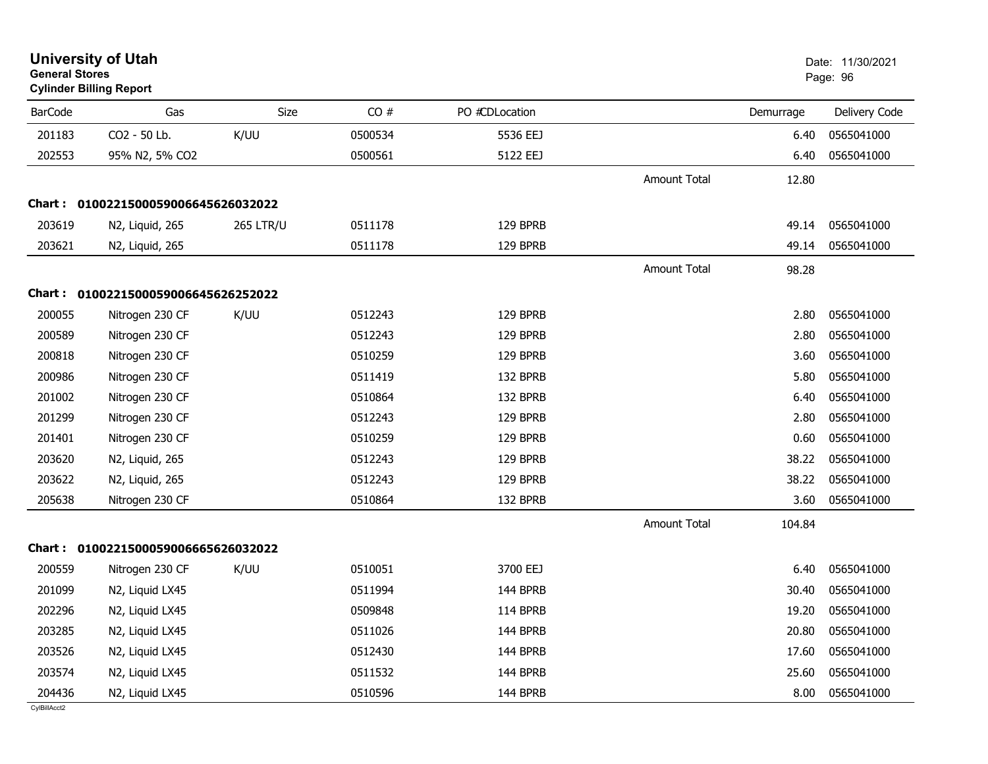| <b>General Stores</b> | <b>University of Utah</b><br><b>Cylinder Billing Report</b> |                  |         |                |                     |           | Date: 11/30/2021<br>Page: 96 |
|-----------------------|-------------------------------------------------------------|------------------|---------|----------------|---------------------|-----------|------------------------------|
| <b>BarCode</b>        | Gas                                                         | Size             | CO#     | PO #CDLocation |                     | Demurrage | Delivery Code                |
| 201183                | CO2 - 50 Lb.                                                | K/UU             | 0500534 | 5536 EEJ       |                     | 6.40      | 0565041000                   |
| 202553                | 95% N2, 5% CO2                                              |                  | 0500561 | 5122 EEJ       |                     | 6.40      | 0565041000                   |
|                       |                                                             |                  |         |                | <b>Amount Total</b> | 12.80     |                              |
|                       | Chart: 0100221500059006645626032022                         |                  |         |                |                     |           |                              |
| 203619                | N2, Liquid, 265                                             | <b>265 LTR/U</b> | 0511178 | 129 BPRB       |                     | 49.14     | 0565041000                   |
| 203621                | N2, Liquid, 265                                             |                  | 0511178 | 129 BPRB       |                     | 49.14     | 0565041000                   |
|                       |                                                             |                  |         |                | Amount Total        | 98.28     |                              |
|                       | Chart: 0100221500059006645626252022                         |                  |         |                |                     |           |                              |
| 200055                | Nitrogen 230 CF                                             | K/UU             | 0512243 | 129 BPRB       |                     | 2.80      | 0565041000                   |
| 200589                | Nitrogen 230 CF                                             |                  | 0512243 | 129 BPRB       |                     | 2.80      | 0565041000                   |
| 200818                | Nitrogen 230 CF                                             |                  | 0510259 | 129 BPRB       |                     | 3.60      | 0565041000                   |
| 200986                | Nitrogen 230 CF                                             |                  | 0511419 | 132 BPRB       |                     | 5.80      | 0565041000                   |
| 201002                | Nitrogen 230 CF                                             |                  | 0510864 | 132 BPRB       |                     | 6.40      | 0565041000                   |
| 201299                | Nitrogen 230 CF                                             |                  | 0512243 | 129 BPRB       |                     | 2.80      | 0565041000                   |
| 201401                | Nitrogen 230 CF                                             |                  | 0510259 | 129 BPRB       |                     | 0.60      | 0565041000                   |
| 203620                | N2, Liquid, 265                                             |                  | 0512243 | 129 BPRB       |                     | 38.22     | 0565041000                   |
| 203622                | N2, Liquid, 265                                             |                  | 0512243 | 129 BPRB       |                     | 38.22     | 0565041000                   |
| 205638                | Nitrogen 230 CF                                             |                  | 0510864 | 132 BPRB       |                     | 3.60      | 0565041000                   |
|                       |                                                             |                  |         |                | <b>Amount Total</b> | 104.84    |                              |
|                       | Chart: 0100221500059006665626032022                         |                  |         |                |                     |           |                              |
| 200559                | Nitrogen 230 CF                                             | K/UU             | 0510051 | 3700 EEJ       |                     | 6.40      | 0565041000                   |
| 201099                | N2, Liquid LX45                                             |                  | 0511994 | 144 BPRB       |                     | 30.40     | 0565041000                   |
| 202296                | N2, Liquid LX45                                             |                  | 0509848 | 114 BPRB       |                     | 19.20     | 0565041000                   |
| 203285                | N2, Liquid LX45                                             |                  | 0511026 | 144 BPRB       |                     | 20.80     | 0565041000                   |
| 203526                | N2, Liquid LX45                                             |                  | 0512430 | 144 BPRB       |                     | 17.60     | 0565041000                   |
| 203574                | N2, Liquid LX45                                             |                  | 0511532 | 144 BPRB       |                     | 25.60     | 0565041000                   |
| 204436                | N2, Liquid LX45                                             |                  | 0510596 | 144 BPRB       |                     | 8.00      | 0565041000                   |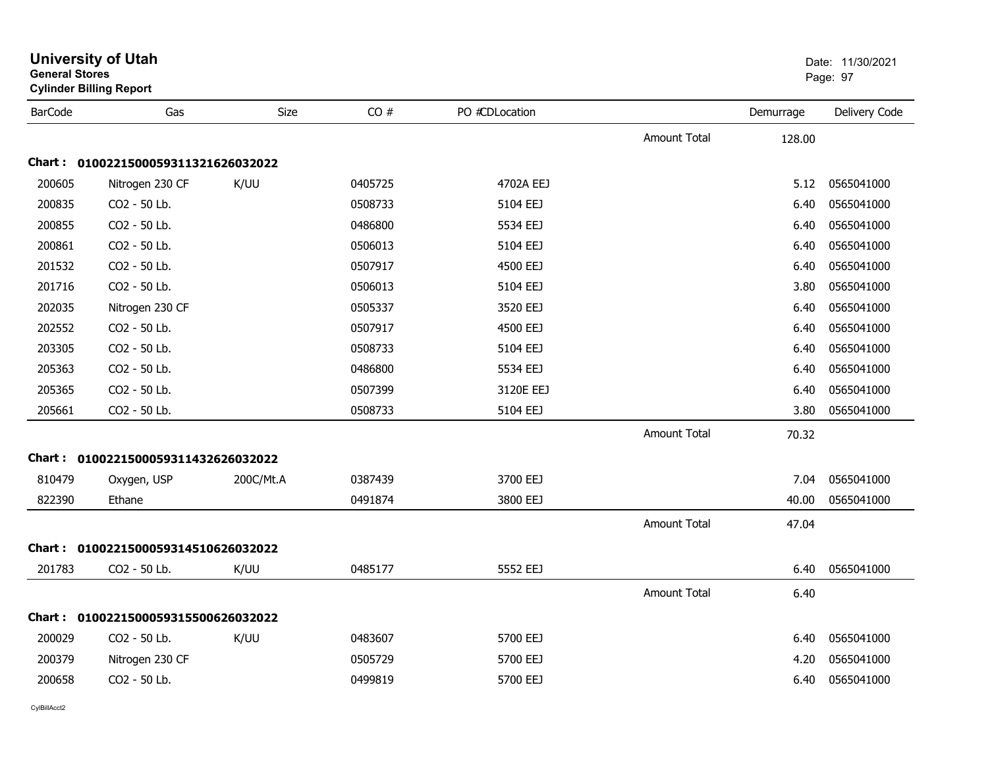| <b>General Stores</b> | <b>University of Utah</b><br><b>Cylinder Billing Report</b> |           |         |                |                     |           | Date: 11/30/2021<br>Page: 97 |
|-----------------------|-------------------------------------------------------------|-----------|---------|----------------|---------------------|-----------|------------------------------|
| <b>BarCode</b>        | Gas                                                         | Size      | CO#     | PO #CDLocation |                     | Demurrage | Delivery Code                |
|                       |                                                             |           |         |                | <b>Amount Total</b> | 128.00    |                              |
|                       | Chart: 0100221500059311321626032022                         |           |         |                |                     |           |                              |
| 200605                | Nitrogen 230 CF                                             | K/UU      | 0405725 | 4702A EEJ      |                     | 5.12      | 0565041000                   |
| 200835                | CO2 - 50 Lb.                                                |           | 0508733 | 5104 EEJ       |                     | 6.40      | 0565041000                   |
| 200855                | CO2 - 50 Lb.                                                |           | 0486800 | 5534 EEJ       |                     | 6.40      | 0565041000                   |
| 200861                | CO2 - 50 Lb.                                                |           | 0506013 | 5104 EEJ       |                     | 6.40      | 0565041000                   |
| 201532                | CO2 - 50 Lb.                                                |           | 0507917 | 4500 EEJ       |                     | 6.40      | 0565041000                   |
| 201716                | CO2 - 50 Lb.                                                |           | 0506013 | 5104 EEJ       |                     | 3.80      | 0565041000                   |
| 202035                | Nitrogen 230 CF                                             |           | 0505337 | 3520 EEJ       |                     | 6.40      | 0565041000                   |
| 202552                | CO2 - 50 Lb.                                                |           | 0507917 | 4500 EEJ       |                     | 6.40      | 0565041000                   |
| 203305                | CO2 - 50 Lb.                                                |           | 0508733 | 5104 EEJ       |                     | 6.40      | 0565041000                   |
| 205363                | CO2 - 50 Lb.                                                |           | 0486800 | 5534 EEJ       |                     | 6.40      | 0565041000                   |
| 205365                | CO <sub>2</sub> - 50 Lb.                                    |           | 0507399 | 3120E EEJ      |                     | 6.40      | 0565041000                   |
| 205661                | CO2 - 50 Lb.                                                |           | 0508733 | 5104 EEJ       |                     | 3.80      | 0565041000                   |
|                       |                                                             |           |         |                | Amount Total        | 70.32     |                              |
|                       | Chart: 0100221500059311432626032022                         |           |         |                |                     |           |                              |
| 810479                | Oxygen, USP                                                 | 200C/Mt.A | 0387439 | 3700 EEJ       |                     | 7.04      | 0565041000                   |
| 822390                | Ethane                                                      |           | 0491874 | 3800 EEJ       |                     | 40.00     | 0565041000                   |
|                       |                                                             |           |         |                | <b>Amount Total</b> | 47.04     |                              |
|                       | Chart: 0100221500059314510626032022                         |           |         |                |                     |           |                              |
| 201783                | CO2 - 50 Lb.                                                | K/UU      | 0485177 | 5552 EEJ       |                     | 6.40      | 0565041000                   |
|                       |                                                             |           |         |                | <b>Amount Total</b> | 6.40      |                              |
|                       | Chart: 0100221500059315500626032022                         |           |         |                |                     |           |                              |
| 200029                | CO2 - 50 Lb.                                                | K/UU      | 0483607 | 5700 EEJ       |                     | 6.40      | 0565041000                   |
| 200379                | Nitrogen 230 CF                                             |           | 0505729 | 5700 EEJ       |                     | 4.20      | 0565041000                   |
| 200658                | CO2 - 50 Lb.                                                |           | 0499819 | 5700 EEJ       |                     | 6.40      | 0565041000                   |
|                       |                                                             |           |         |                |                     |           |                              |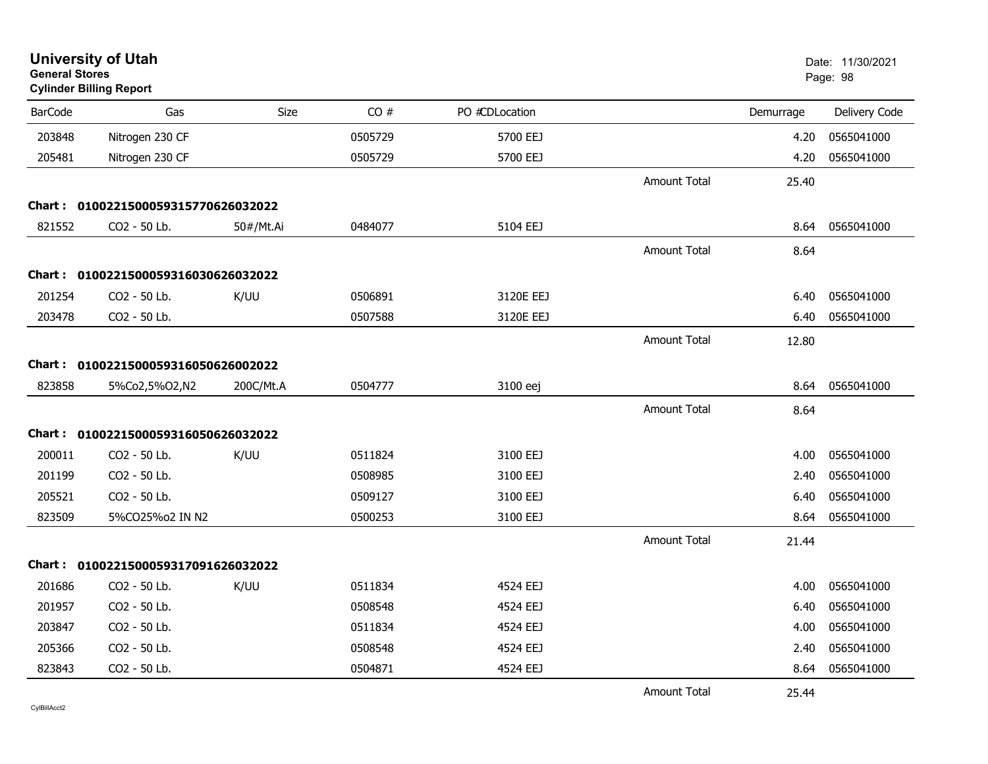| <b>General Stores</b> | <b>University of Utah</b><br><b>Cylinder Billing Report</b> |             |         |                |                     |           | Date: 11/30/2021<br>Page: 98 |
|-----------------------|-------------------------------------------------------------|-------------|---------|----------------|---------------------|-----------|------------------------------|
| <b>BarCode</b>        | Gas                                                         | <b>Size</b> | CO#     | PO #CDLocation |                     | Demurrage | Delivery Code                |
| 203848                | Nitrogen 230 CF                                             |             | 0505729 | 5700 EEJ       |                     | 4.20      | 0565041000                   |
| 205481                | Nitrogen 230 CF                                             |             | 0505729 | 5700 EEJ       |                     | 4.20      | 0565041000                   |
|                       |                                                             |             |         |                | <b>Amount Total</b> | 25.40     |                              |
|                       | Chart: 0100221500059315770626032022                         |             |         |                |                     |           |                              |
| 821552                | CO <sub>2</sub> - 50 Lb.                                    | 50#/Mt.Ai   | 0484077 | 5104 EEJ       |                     | 8.64      | 0565041000                   |
|                       |                                                             |             |         |                | <b>Amount Total</b> | 8.64      |                              |
|                       | Chart: 0100221500059316030626032022                         |             |         |                |                     |           |                              |
| 201254                | CO <sub>2</sub> - 50 Lb.                                    | K/UU        | 0506891 | 3120E EEJ      |                     | 6.40      | 0565041000                   |
| 203478                | CO2 - 50 Lb.                                                |             | 0507588 | 3120E EEJ      |                     | 6.40      | 0565041000                   |
|                       |                                                             |             |         |                | <b>Amount Total</b> | 12.80     |                              |
|                       | Chart: 0100221500059316050626002022                         |             |         |                |                     |           |                              |
| 823858                | 5%Co2,5%O2,N2                                               | 200C/Mt.A   | 0504777 | 3100 eej       |                     | 8.64      | 0565041000                   |
|                       |                                                             |             |         |                | <b>Amount Total</b> | 8.64      |                              |
|                       | Chart: 0100221500059316050626032022                         |             |         |                |                     |           |                              |
| 200011                | CO2 - 50 Lb.                                                | K/UU        | 0511824 | 3100 EEJ       |                     | 4.00      | 0565041000                   |
| 201199                | CO2 - 50 Lb.                                                |             | 0508985 | 3100 EEJ       |                     | 2.40      | 0565041000                   |
| 205521                | CO2 - 50 Lb.                                                |             | 0509127 | 3100 EEJ       |                     | 6.40      | 0565041000                   |
| 823509                | 5%CO25%o2 IN N2                                             |             | 0500253 | 3100 EEJ       |                     | 8.64      | 0565041000                   |
|                       |                                                             |             |         |                | <b>Amount Total</b> | 21.44     |                              |
|                       | Chart: 0100221500059317091626032022                         |             |         |                |                     |           |                              |
| 201686                | CO2 - 50 Lb.                                                | K/UU        | 0511834 | 4524 EEJ       |                     | 4.00      | 0565041000                   |
| 201957                | CO2 - 50 Lb.                                                |             | 0508548 | 4524 EEJ       |                     | 6.40      | 0565041000                   |
| 203847                | CO2 - 50 Lb.                                                |             | 0511834 | 4524 EEJ       |                     | 4.00      | 0565041000                   |
| 205366                | CO2 - 50 Lb.                                                |             | 0508548 | 4524 EEJ       |                     | 2.40      | 0565041000                   |
| 823843                | CO2 - 50 Lb.                                                |             | 0504871 | 4524 EEJ       |                     | 8.64      | 0565041000                   |
|                       |                                                             |             |         |                | <b>Amount Total</b> | 25.44     |                              |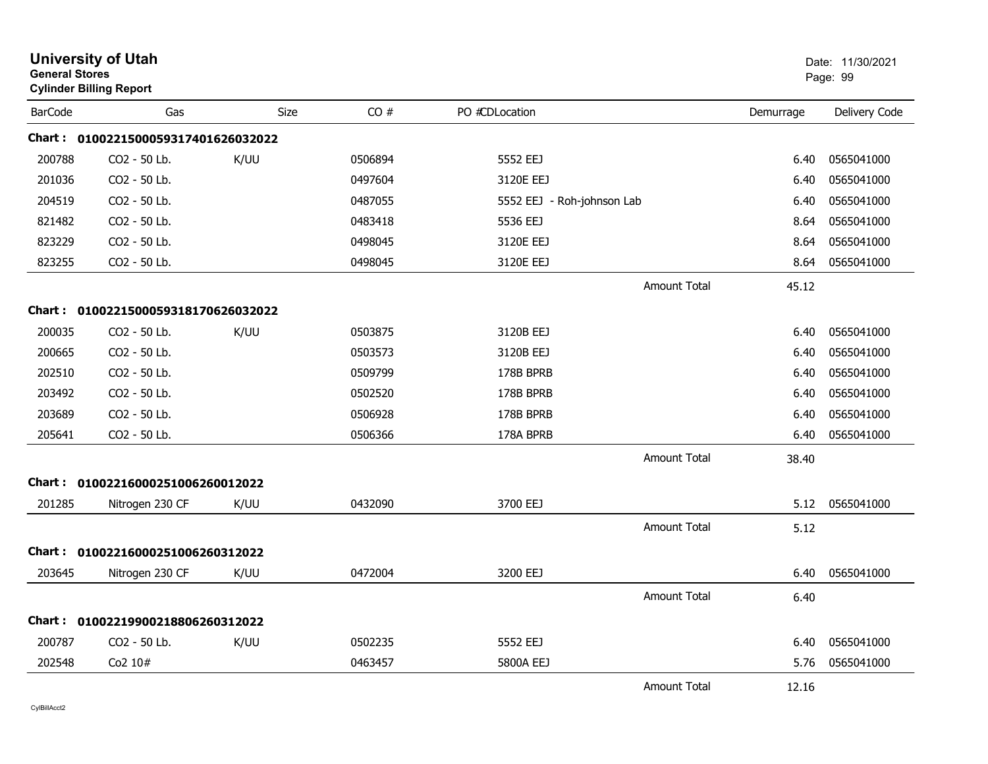| <b>General Stores</b> | <b>University of Utah</b><br><b>Cylinder Billing Report</b> |      |         |                            |                     |           | Date: 11/30/2021<br>Page: 99 |
|-----------------------|-------------------------------------------------------------|------|---------|----------------------------|---------------------|-----------|------------------------------|
| <b>BarCode</b>        | Gas                                                         | Size | CO#     | PO #CDLocation             |                     | Demurrage | Delivery Code                |
|                       | Chart: 0100221500059317401626032022                         |      |         |                            |                     |           |                              |
| 200788                | CO2 - 50 Lb.                                                | K/UU | 0506894 | 5552 EEJ                   |                     | 6.40      | 0565041000                   |
| 201036                | CO2 - 50 Lb.                                                |      | 0497604 | 3120E EEJ                  |                     | 6.40      | 0565041000                   |
| 204519                | CO <sub>2</sub> - 50 Lb.                                    |      | 0487055 | 5552 EEJ - Roh-johnson Lab |                     | 6.40      | 0565041000                   |
| 821482                | CO2 - 50 Lb.                                                |      | 0483418 | 5536 EEJ                   |                     | 8.64      | 0565041000                   |
| 823229                | CO2 - 50 Lb.                                                |      | 0498045 | 3120E EEJ                  |                     | 8.64      | 0565041000                   |
| 823255                | CO2 - 50 Lb.                                                |      | 0498045 | 3120E EEJ                  |                     | 8.64      | 0565041000                   |
|                       |                                                             |      |         |                            | <b>Amount Total</b> | 45.12     |                              |
|                       | Chart: 0100221500059318170626032022                         |      |         |                            |                     |           |                              |
| 200035                | CO2 - 50 Lb.                                                | K/UU | 0503875 | 3120B EEJ                  |                     | 6.40      | 0565041000                   |
| 200665                | CO2 - 50 Lb.                                                |      | 0503573 | 3120B EEJ                  |                     | 6.40      | 0565041000                   |
| 202510                | CO2 - 50 Lb.                                                |      | 0509799 | 178B BPRB                  |                     | 6.40      | 0565041000                   |
| 203492                | CO <sub>2</sub> - 50 Lb.                                    |      | 0502520 | 178B BPRB                  |                     | 6.40      | 0565041000                   |
| 203689                | CO2 - 50 Lb.                                                |      | 0506928 | 178B BPRB                  |                     | 6.40      | 0565041000                   |
| 205641                | CO2 - 50 Lb.                                                |      | 0506366 | 178A BPRB                  |                     | 6.40      | 0565041000                   |
|                       |                                                             |      |         |                            | <b>Amount Total</b> | 38.40     |                              |
|                       | Chart: 01002216000251006260012022                           |      |         |                            |                     |           |                              |
| 201285                | Nitrogen 230 CF                                             | K/UU | 0432090 | 3700 EEJ                   |                     | 5.12      | 0565041000                   |
|                       |                                                             |      |         |                            | <b>Amount Total</b> | 5.12      |                              |
|                       | Chart: 01002216000251006260312022                           |      |         |                            |                     |           |                              |
| 203645                | Nitrogen 230 CF                                             | K/UU | 0472004 | 3200 EEJ                   |                     | 6.40      | 0565041000                   |
|                       |                                                             |      |         |                            | <b>Amount Total</b> | 6.40      |                              |
|                       | Chart: 01002219900218806260312022                           |      |         |                            |                     |           |                              |
| 200787                | CO2 - 50 Lb.                                                | K/UU | 0502235 | 5552 EEJ                   |                     | 6.40      | 0565041000                   |
| 202548                | Co2 10#                                                     |      | 0463457 | 5800A EEJ                  |                     | 5.76      | 0565041000                   |
|                       |                                                             |      |         |                            | <b>Amount Total</b> | 12.16     |                              |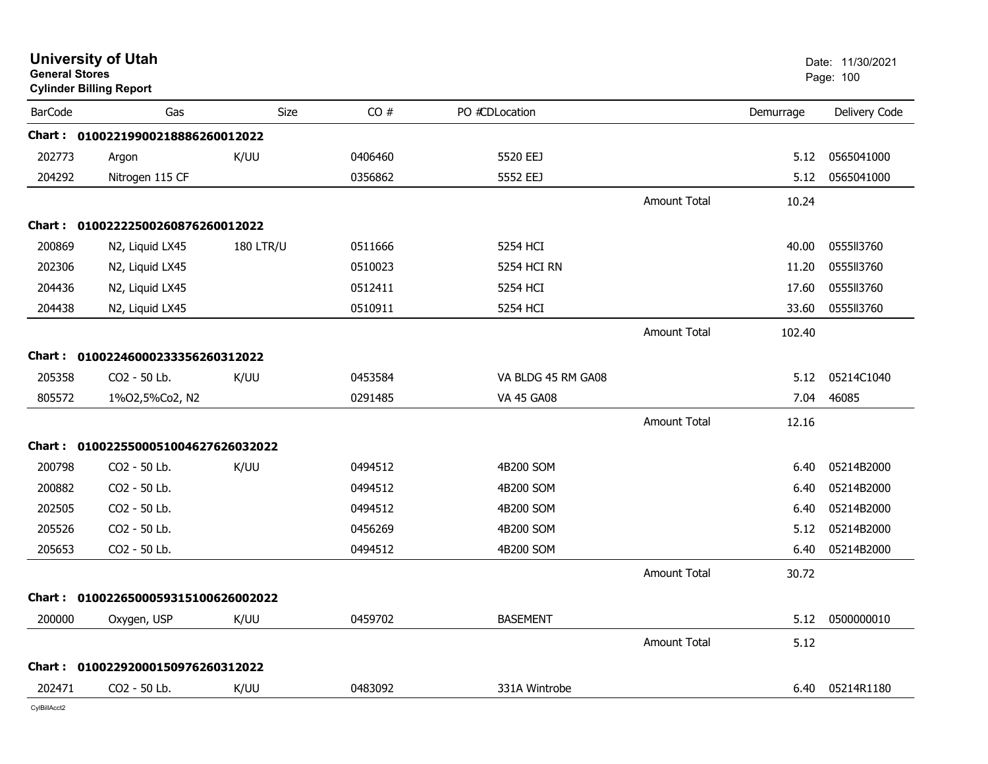| CO#<br>PO #CDLocation<br><b>BarCode</b><br>Gas<br><b>Size</b><br>Demurrage<br>Chart: 01002219900218886260012022<br>202773<br>K/UU<br>5520 EEJ<br>0565041000<br>0406460<br>5.12<br>Argon<br>204292<br>Nitrogen 115 CF<br>0356862<br>5552 EEJ<br>0565041000<br>5.12<br><b>Amount Total</b><br>10.24<br>Chart: 01002222500260876260012022<br>200869<br>0555113760<br>N2, Liquid LX45<br><b>180 LTR/U</b><br>0511666<br>5254 HCI<br>40.00<br>202306<br>0555113760<br>0510023<br>5254 HCI RN<br>N2, Liquid LX45<br>11.20<br>204436<br>0555113760<br>N2, Liquid LX45<br>0512411<br>5254 HCI<br>17.60<br>0555113760<br>204438<br>0510911<br>5254 HCI<br>N2, Liquid LX45<br>33.60<br>Amount Total<br>102.40<br>Chart: 01002246000233356260312022<br>205358<br>05214C1040<br>CO <sub>2</sub> - 50 Lb.<br>K/UU<br>0453584<br>VA BLDG 45 RM GA08<br>5.12<br>805572<br>0291485<br><b>VA 45 GA08</b><br>7.04<br>46085<br>1%02,5%Co2, N2<br><b>Amount Total</b><br>12.16<br>Chart: 0100225500051004627626032022<br>200798<br>CO2 - 50 Lb.<br>K/UU<br>4B200 SOM<br>05214B2000<br>0494512<br>6.40<br>200882<br>CO <sub>2</sub> - 50 Lb.<br>0494512<br>05214B2000<br>4B200 SOM<br>6.40<br>202505<br>CO2 - 50 Lb.<br>05214B2000<br>0494512<br>4B200 SOM<br>6.40<br>205526<br>CO2 - 50 Lb.<br>0456269<br>4B200 SOM<br>05214B2000<br>5.12<br>205653<br>CO2 - 50 Lb.<br>0494512<br>05214B2000<br>4B200 SOM<br>6.40<br><b>Amount Total</b><br>30.72<br>Chart: 0100226500059315100626002022<br>200000<br>K/UU<br>0459702<br><b>BASEMENT</b><br>0500000010<br>Oxygen, USP<br>5.12<br><b>Amount Total</b><br>5.12<br>Chart: 01002292000150976260312022<br>202471<br>CO2 - 50 Lb.<br>K/UU<br>0483092<br>331A Wintrobe<br>05214R1180<br>6.40 | <b>General Stores</b> | <b>University of Utah</b><br><b>Cylinder Billing Report</b> |  |  | Date: 11/30/2021<br>Page: 100 |
|-------------------------------------------------------------------------------------------------------------------------------------------------------------------------------------------------------------------------------------------------------------------------------------------------------------------------------------------------------------------------------------------------------------------------------------------------------------------------------------------------------------------------------------------------------------------------------------------------------------------------------------------------------------------------------------------------------------------------------------------------------------------------------------------------------------------------------------------------------------------------------------------------------------------------------------------------------------------------------------------------------------------------------------------------------------------------------------------------------------------------------------------------------------------------------------------------------------------------------------------------------------------------------------------------------------------------------------------------------------------------------------------------------------------------------------------------------------------------------------------------------------------------------------------------------------------------------------------------------------------------------------------------------------------------------------------------------------------|-----------------------|-------------------------------------------------------------|--|--|-------------------------------|
|                                                                                                                                                                                                                                                                                                                                                                                                                                                                                                                                                                                                                                                                                                                                                                                                                                                                                                                                                                                                                                                                                                                                                                                                                                                                                                                                                                                                                                                                                                                                                                                                                                                                                                                   |                       |                                                             |  |  | Delivery Code                 |
|                                                                                                                                                                                                                                                                                                                                                                                                                                                                                                                                                                                                                                                                                                                                                                                                                                                                                                                                                                                                                                                                                                                                                                                                                                                                                                                                                                                                                                                                                                                                                                                                                                                                                                                   |                       |                                                             |  |  |                               |
|                                                                                                                                                                                                                                                                                                                                                                                                                                                                                                                                                                                                                                                                                                                                                                                                                                                                                                                                                                                                                                                                                                                                                                                                                                                                                                                                                                                                                                                                                                                                                                                                                                                                                                                   |                       |                                                             |  |  |                               |
|                                                                                                                                                                                                                                                                                                                                                                                                                                                                                                                                                                                                                                                                                                                                                                                                                                                                                                                                                                                                                                                                                                                                                                                                                                                                                                                                                                                                                                                                                                                                                                                                                                                                                                                   |                       |                                                             |  |  |                               |
|                                                                                                                                                                                                                                                                                                                                                                                                                                                                                                                                                                                                                                                                                                                                                                                                                                                                                                                                                                                                                                                                                                                                                                                                                                                                                                                                                                                                                                                                                                                                                                                                                                                                                                                   |                       |                                                             |  |  |                               |
|                                                                                                                                                                                                                                                                                                                                                                                                                                                                                                                                                                                                                                                                                                                                                                                                                                                                                                                                                                                                                                                                                                                                                                                                                                                                                                                                                                                                                                                                                                                                                                                                                                                                                                                   |                       |                                                             |  |  |                               |
|                                                                                                                                                                                                                                                                                                                                                                                                                                                                                                                                                                                                                                                                                                                                                                                                                                                                                                                                                                                                                                                                                                                                                                                                                                                                                                                                                                                                                                                                                                                                                                                                                                                                                                                   |                       |                                                             |  |  |                               |
|                                                                                                                                                                                                                                                                                                                                                                                                                                                                                                                                                                                                                                                                                                                                                                                                                                                                                                                                                                                                                                                                                                                                                                                                                                                                                                                                                                                                                                                                                                                                                                                                                                                                                                                   |                       |                                                             |  |  |                               |
|                                                                                                                                                                                                                                                                                                                                                                                                                                                                                                                                                                                                                                                                                                                                                                                                                                                                                                                                                                                                                                                                                                                                                                                                                                                                                                                                                                                                                                                                                                                                                                                                                                                                                                                   |                       |                                                             |  |  |                               |
|                                                                                                                                                                                                                                                                                                                                                                                                                                                                                                                                                                                                                                                                                                                                                                                                                                                                                                                                                                                                                                                                                                                                                                                                                                                                                                                                                                                                                                                                                                                                                                                                                                                                                                                   |                       |                                                             |  |  |                               |
|                                                                                                                                                                                                                                                                                                                                                                                                                                                                                                                                                                                                                                                                                                                                                                                                                                                                                                                                                                                                                                                                                                                                                                                                                                                                                                                                                                                                                                                                                                                                                                                                                                                                                                                   |                       |                                                             |  |  |                               |
|                                                                                                                                                                                                                                                                                                                                                                                                                                                                                                                                                                                                                                                                                                                                                                                                                                                                                                                                                                                                                                                                                                                                                                                                                                                                                                                                                                                                                                                                                                                                                                                                                                                                                                                   |                       |                                                             |  |  |                               |
|                                                                                                                                                                                                                                                                                                                                                                                                                                                                                                                                                                                                                                                                                                                                                                                                                                                                                                                                                                                                                                                                                                                                                                                                                                                                                                                                                                                                                                                                                                                                                                                                                                                                                                                   |                       |                                                             |  |  |                               |
|                                                                                                                                                                                                                                                                                                                                                                                                                                                                                                                                                                                                                                                                                                                                                                                                                                                                                                                                                                                                                                                                                                                                                                                                                                                                                                                                                                                                                                                                                                                                                                                                                                                                                                                   |                       |                                                             |  |  |                               |
|                                                                                                                                                                                                                                                                                                                                                                                                                                                                                                                                                                                                                                                                                                                                                                                                                                                                                                                                                                                                                                                                                                                                                                                                                                                                                                                                                                                                                                                                                                                                                                                                                                                                                                                   |                       |                                                             |  |  |                               |
|                                                                                                                                                                                                                                                                                                                                                                                                                                                                                                                                                                                                                                                                                                                                                                                                                                                                                                                                                                                                                                                                                                                                                                                                                                                                                                                                                                                                                                                                                                                                                                                                                                                                                                                   |                       |                                                             |  |  |                               |
|                                                                                                                                                                                                                                                                                                                                                                                                                                                                                                                                                                                                                                                                                                                                                                                                                                                                                                                                                                                                                                                                                                                                                                                                                                                                                                                                                                                                                                                                                                                                                                                                                                                                                                                   |                       |                                                             |  |  |                               |
|                                                                                                                                                                                                                                                                                                                                                                                                                                                                                                                                                                                                                                                                                                                                                                                                                                                                                                                                                                                                                                                                                                                                                                                                                                                                                                                                                                                                                                                                                                                                                                                                                                                                                                                   |                       |                                                             |  |  |                               |
|                                                                                                                                                                                                                                                                                                                                                                                                                                                                                                                                                                                                                                                                                                                                                                                                                                                                                                                                                                                                                                                                                                                                                                                                                                                                                                                                                                                                                                                                                                                                                                                                                                                                                                                   |                       |                                                             |  |  |                               |
|                                                                                                                                                                                                                                                                                                                                                                                                                                                                                                                                                                                                                                                                                                                                                                                                                                                                                                                                                                                                                                                                                                                                                                                                                                                                                                                                                                                                                                                                                                                                                                                                                                                                                                                   |                       |                                                             |  |  |                               |
|                                                                                                                                                                                                                                                                                                                                                                                                                                                                                                                                                                                                                                                                                                                                                                                                                                                                                                                                                                                                                                                                                                                                                                                                                                                                                                                                                                                                                                                                                                                                                                                                                                                                                                                   |                       |                                                             |  |  |                               |
|                                                                                                                                                                                                                                                                                                                                                                                                                                                                                                                                                                                                                                                                                                                                                                                                                                                                                                                                                                                                                                                                                                                                                                                                                                                                                                                                                                                                                                                                                                                                                                                                                                                                                                                   |                       |                                                             |  |  |                               |
|                                                                                                                                                                                                                                                                                                                                                                                                                                                                                                                                                                                                                                                                                                                                                                                                                                                                                                                                                                                                                                                                                                                                                                                                                                                                                                                                                                                                                                                                                                                                                                                                                                                                                                                   |                       |                                                             |  |  |                               |
|                                                                                                                                                                                                                                                                                                                                                                                                                                                                                                                                                                                                                                                                                                                                                                                                                                                                                                                                                                                                                                                                                                                                                                                                                                                                                                                                                                                                                                                                                                                                                                                                                                                                                                                   |                       |                                                             |  |  |                               |
|                                                                                                                                                                                                                                                                                                                                                                                                                                                                                                                                                                                                                                                                                                                                                                                                                                                                                                                                                                                                                                                                                                                                                                                                                                                                                                                                                                                                                                                                                                                                                                                                                                                                                                                   |                       |                                                             |  |  |                               |
|                                                                                                                                                                                                                                                                                                                                                                                                                                                                                                                                                                                                                                                                                                                                                                                                                                                                                                                                                                                                                                                                                                                                                                                                                                                                                                                                                                                                                                                                                                                                                                                                                                                                                                                   |                       |                                                             |  |  |                               |
|                                                                                                                                                                                                                                                                                                                                                                                                                                                                                                                                                                                                                                                                                                                                                                                                                                                                                                                                                                                                                                                                                                                                                                                                                                                                                                                                                                                                                                                                                                                                                                                                                                                                                                                   |                       |                                                             |  |  |                               |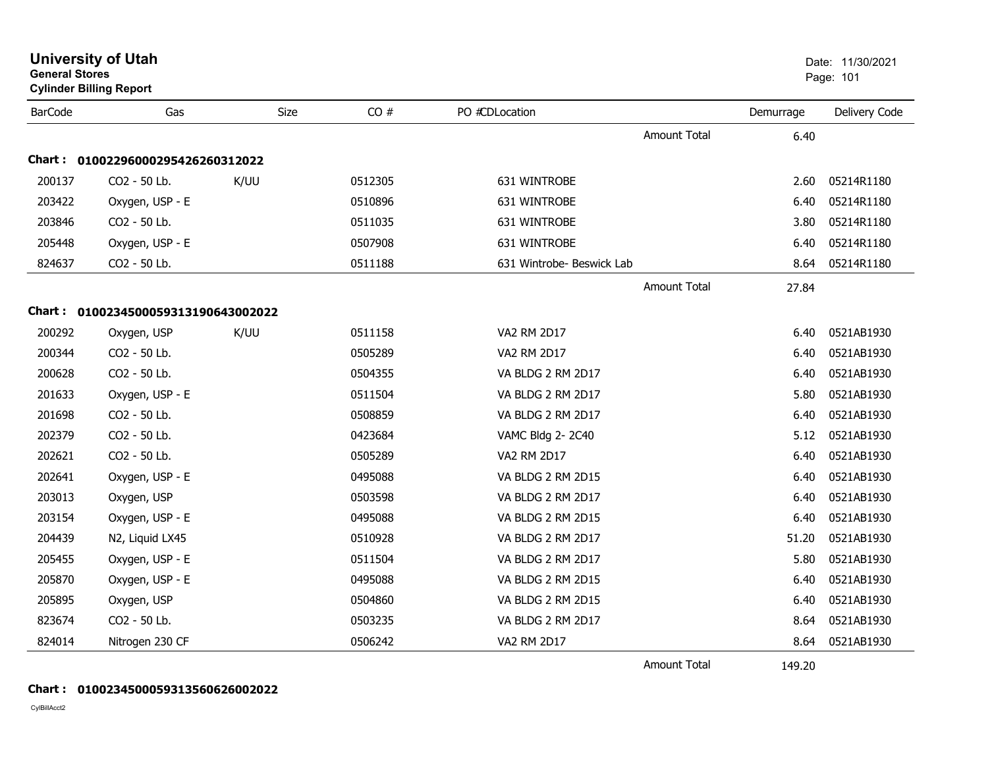|                | <b>University of Utah</b><br><b>General Stores</b><br><b>Cylinder Billing Report</b> |      |         |                           |                     |           |               |
|----------------|--------------------------------------------------------------------------------------|------|---------|---------------------------|---------------------|-----------|---------------|
| <b>BarCode</b> | Gas                                                                                  | Size | CO#     | PO #CDLocation            |                     | Demurrage | Delivery Code |
|                |                                                                                      |      |         |                           | <b>Amount Total</b> | 6.40      |               |
|                | Chart: 01002296000295426260312022                                                    |      |         |                           |                     |           |               |
| 200137         | CO2 - 50 Lb.                                                                         | K/UU | 0512305 | 631 WINTROBE              |                     | 2.60      | 05214R1180    |
| 203422         | Oxygen, USP - E                                                                      |      | 0510896 | 631 WINTROBE              |                     | 6.40      | 05214R1180    |
| 203846         | CO2 - 50 Lb.                                                                         |      | 0511035 | 631 WINTROBE              |                     | 3.80      | 05214R1180    |
| 205448         | Oxygen, USP - E                                                                      |      | 0507908 | 631 WINTROBE              |                     | 6.40      | 05214R1180    |
| 824637         | CO2 - 50 Lb.                                                                         |      | 0511188 | 631 Wintrobe- Beswick Lab |                     | 8.64      | 05214R1180    |
|                |                                                                                      |      |         |                           | <b>Amount Total</b> | 27.84     |               |
|                | Chart: 0100234500059313190643002022                                                  |      |         |                           |                     |           |               |
| 200292         | Oxygen, USP                                                                          | K/UU | 0511158 | VA2 RM 2D17               |                     | 6.40      | 0521AB1930    |
| 200344         | CO2 - 50 Lb.                                                                         |      | 0505289 | <b>VA2 RM 2D17</b>        |                     | 6.40      | 0521AB1930    |
| 200628         | CO2 - 50 Lb.                                                                         |      | 0504355 | VA BLDG 2 RM 2D17         |                     | 6.40      | 0521AB1930    |
| 201633         | Oxygen, USP - E                                                                      |      | 0511504 | VA BLDG 2 RM 2D17         |                     | 5.80      | 0521AB1930    |
| 201698         | CO2 - 50 Lb.                                                                         |      | 0508859 | VA BLDG 2 RM 2D17         |                     | 6.40      | 0521AB1930    |
| 202379         | CO2 - 50 Lb.                                                                         |      | 0423684 | VAMC Bldg 2-2C40          |                     | 5.12      | 0521AB1930    |
| 202621         | CO2 - 50 Lb.                                                                         |      | 0505289 | VA2 RM 2D17               |                     | 6.40      | 0521AB1930    |
| 202641         | Oxygen, USP - E                                                                      |      | 0495088 | VA BLDG 2 RM 2D15         |                     | 6.40      | 0521AB1930    |
| 203013         | Oxygen, USP                                                                          |      | 0503598 | VA BLDG 2 RM 2D17         |                     | 6.40      | 0521AB1930    |
| 203154         | Oxygen, USP - E                                                                      |      | 0495088 | VA BLDG 2 RM 2D15         |                     | 6.40      | 0521AB1930    |
| 204439         | N2, Liquid LX45                                                                      |      | 0510928 | VA BLDG 2 RM 2D17         |                     | 51.20     | 0521AB1930    |
| 205455         | Oxygen, USP - E                                                                      |      | 0511504 | VA BLDG 2 RM 2D17         |                     | 5.80      | 0521AB1930    |
| 205870         | Oxygen, USP - E                                                                      |      | 0495088 | VA BLDG 2 RM 2D15         |                     | 6.40      | 0521AB1930    |
| 205895         | Oxygen, USP                                                                          |      | 0504860 | VA BLDG 2 RM 2D15         |                     | 6.40      | 0521AB1930    |
| 823674         | CO2 - 50 Lb.                                                                         |      | 0503235 | VA BLDG 2 RM 2D17         |                     | 8.64      | 0521AB1930    |
| 824014         | Nitrogen 230 CF                                                                      |      | 0506242 | VA2 RM 2D17               |                     | 8.64      | 0521AB1930    |
|                |                                                                                      |      |         |                           | <b>Amount Total</b> | 149.20    |               |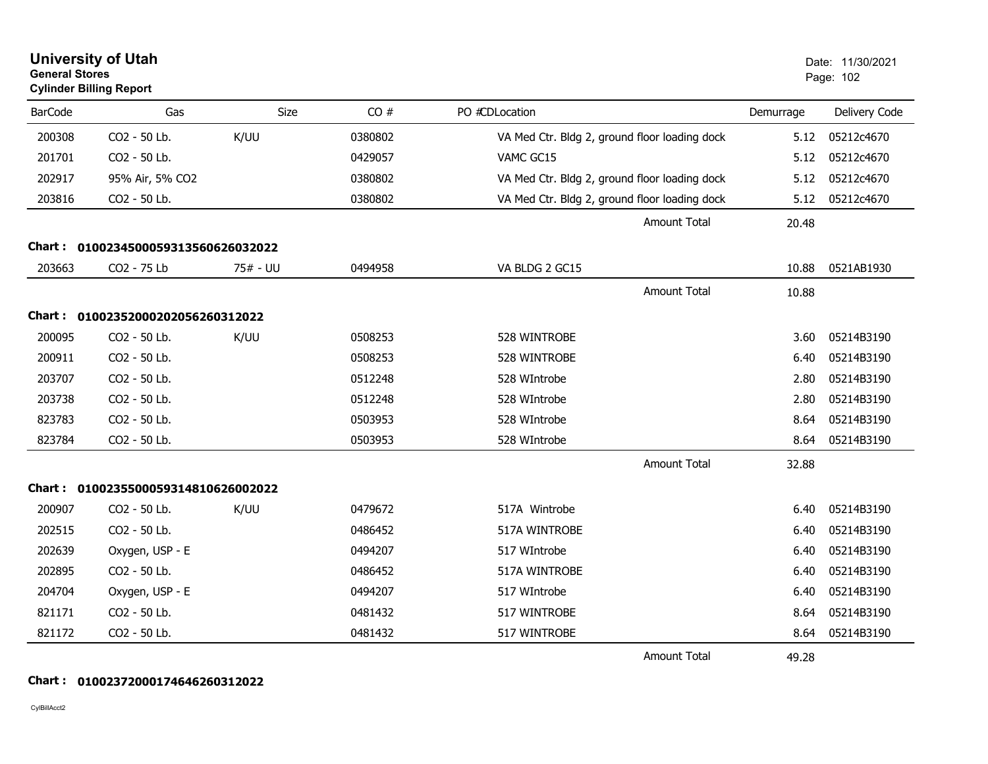| <b>General Stores</b> | <b>University of Utah</b><br><b>Cylinder Billing Report</b> |             |         |                                               |           | Date: 11/30/2021<br>Page: 102 |
|-----------------------|-------------------------------------------------------------|-------------|---------|-----------------------------------------------|-----------|-------------------------------|
| <b>BarCode</b>        | Gas                                                         | <b>Size</b> | CO#     | PO #CDLocation                                | Demurrage | Delivery Code                 |
| 200308                | CO2 - 50 Lb.                                                | K/UU        | 0380802 | VA Med Ctr. Bldg 2, ground floor loading dock | 5.12      | 05212c4670                    |
| 201701                | CO2 - 50 Lb.                                                |             | 0429057 | VAMC GC15                                     | 5.12      | 05212c4670                    |
| 202917                | 95% Air, 5% CO2                                             |             | 0380802 | VA Med Ctr. Bldg 2, ground floor loading dock | 5.12      | 05212c4670                    |
| 203816                | CO2 - 50 Lb.                                                |             | 0380802 | VA Med Ctr. Bldg 2, ground floor loading dock | 5.12      | 05212c4670                    |
|                       |                                                             |             |         | <b>Amount Total</b>                           | 20.48     |                               |
|                       | Chart: 0100234500059313560626032022                         |             |         |                                               |           |                               |
| 203663                | CO2 - 75 Lb                                                 | 75# - UU    | 0494958 | VA BLDG 2 GC15                                | 10.88     | 0521AB1930                    |
|                       |                                                             |             |         | <b>Amount Total</b>                           | 10.88     |                               |
|                       | Chart: 01002352000202056260312022                           |             |         |                                               |           |                               |
| 200095                | CO2 - 50 Lb.                                                | K/UU        | 0508253 | 528 WINTROBE                                  | 3.60      | 05214B3190                    |
| 200911                | CO2 - 50 Lb.                                                |             | 0508253 | 528 WINTROBE                                  | 6.40      | 05214B3190                    |
| 203707                | CO2 - 50 Lb.                                                |             | 0512248 | 528 WIntrobe                                  | 2.80      | 05214B3190                    |
| 203738                | CO2 - 50 Lb.                                                |             | 0512248 | 528 WIntrobe                                  | 2.80      | 05214B3190                    |
| 823783                | CO2 - 50 Lb.                                                |             | 0503953 | 528 WIntrobe                                  | 8.64      | 05214B3190                    |
| 823784                | CO2 - 50 Lb.                                                |             | 0503953 | 528 WIntrobe                                  | 8.64      | 05214B3190                    |
|                       |                                                             |             |         | <b>Amount Total</b>                           | 32.88     |                               |
|                       | Chart: 0100235500059314810626002022                         |             |         |                                               |           |                               |
| 200907                | CO2 - 50 Lb.                                                | K/UU        | 0479672 | 517A Wintrobe                                 | 6.40      | 05214B3190                    |
| 202515                | CO2 - 50 Lb.                                                |             | 0486452 | 517A WINTROBE                                 | 6.40      | 05214B3190                    |
| 202639                | Oxygen, USP - E                                             |             | 0494207 | 517 WIntrobe                                  | 6.40      | 05214B3190                    |
| 202895                | CO2 - 50 Lb.                                                |             | 0486452 | 517A WINTROBE                                 | 6.40      | 05214B3190                    |
| 204704                | Oxygen, USP - E                                             |             | 0494207 | 517 WIntrobe                                  | 6.40      | 05214B3190                    |
| 821171                | CO2 - 50 Lb.                                                |             | 0481432 | 517 WINTROBE                                  | 8.64      | 05214B3190                    |
| 821172                | CO2 - 50 Lb.                                                |             | 0481432 | 517 WINTROBE                                  | 8.64      | 05214B3190                    |
|                       |                                                             |             |         | <b>Amount Total</b>                           | 49.28     |                               |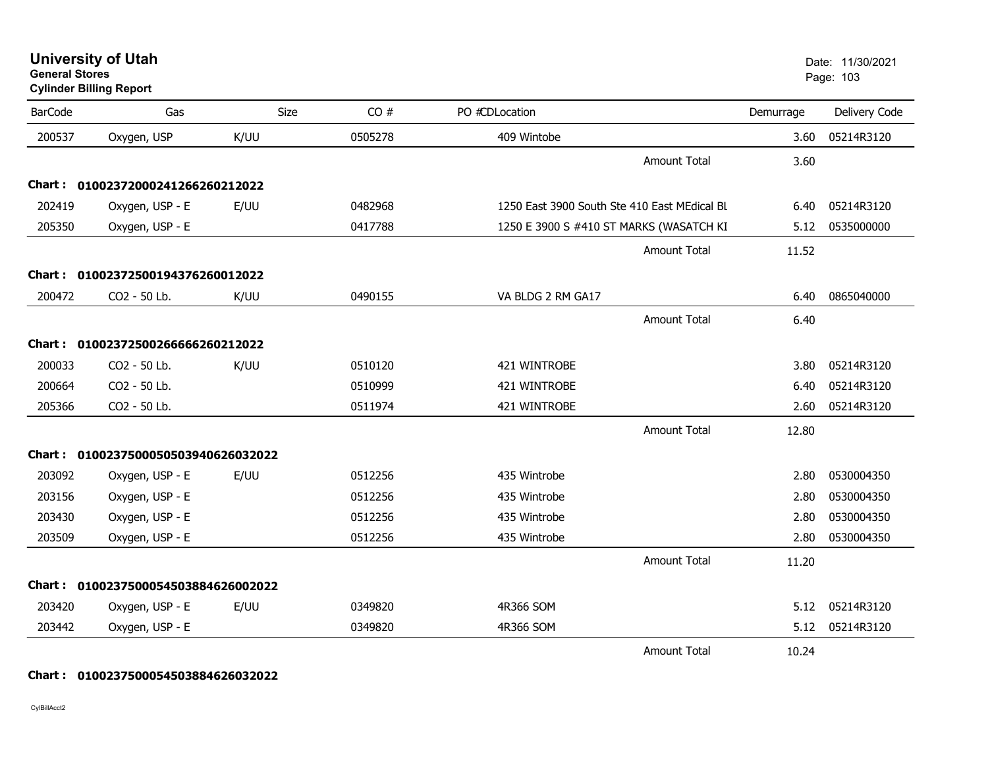|                | <b>Cylinder Billing Report</b>      |             |         |                                              |           | 1 ayu. 100    |
|----------------|-------------------------------------|-------------|---------|----------------------------------------------|-----------|---------------|
| <b>BarCode</b> | Gas                                 | <b>Size</b> | CO#     | PO #CDLocation                               | Demurrage | Delivery Code |
| 200537         | Oxygen, USP                         | K/UU        | 0505278 | 409 Wintobe                                  | 3.60      | 05214R3120    |
|                |                                     |             |         | <b>Amount Total</b>                          | 3.60      |               |
|                | Chart: 01002372000241266260212022   |             |         |                                              |           |               |
| 202419         | Oxygen, USP - E                     | E/UU        | 0482968 | 1250 East 3900 South Ste 410 East MEdical BL | 6.40      | 05214R3120    |
| 205350         | Oxygen, USP - E                     |             | 0417788 | 1250 E 3900 S #410 ST MARKS (WASATCH KI      | 5.12      | 0535000000    |
|                |                                     |             |         | <b>Amount Total</b>                          | 11.52     |               |
|                | Chart: 01002372500194376260012022   |             |         |                                              |           |               |
| 200472         | CO2 - 50 Lb.                        | K/UU        | 0490155 | VA BLDG 2 RM GA17                            | 6.40      | 0865040000    |
|                |                                     |             |         | <b>Amount Total</b>                          | 6.40      |               |
| Chart :        | 01002372500266666260212022          |             |         |                                              |           |               |
| 200033         | CO2 - 50 Lb.                        | K/UU        | 0510120 | 421 WINTROBE                                 | 3.80      | 05214R3120    |
| 200664         | CO2 - 50 Lb.                        |             | 0510999 | 421 WINTROBE                                 | 6.40      | 05214R3120    |
| 205366         | CO2 - 50 Lb.                        |             | 0511974 | 421 WINTROBE                                 | 2.60      | 05214R3120    |
|                |                                     |             |         | <b>Amount Total</b>                          | 12.80     |               |
| Chart :        | 0100237500050503940626032022        |             |         |                                              |           |               |
| 203092         | Oxygen, USP - E                     | E/UU        | 0512256 | 435 Wintrobe                                 | 2.80      | 0530004350    |
| 203156         | Oxygen, USP - E                     |             | 0512256 | 435 Wintrobe                                 | 2.80      | 0530004350    |
| 203430         | Oxygen, USP - E                     |             | 0512256 | 435 Wintrobe                                 | 2.80      | 0530004350    |
| 203509         | Oxygen, USP - E                     |             | 0512256 | 435 Wintrobe                                 | 2.80      | 0530004350    |
|                |                                     |             |         | <b>Amount Total</b>                          | 11.20     |               |
|                | Chart: 0100237500054503884626002022 |             |         |                                              |           |               |
| 203420         | Oxygen, USP - E                     | E/UU        | 0349820 | 4R366 SOM                                    | 5.12      | 05214R3120    |
| 203442         | Oxygen, USP - E                     |             | 0349820 | 4R366 SOM                                    | 5.12      | 05214R3120    |
|                |                                     |             |         | Amount Total                                 | 10.24     |               |

**University of Utah** Date: 11/30/2021

s and the contract of the contract of the contract of the contract of the contract of the contract of the contract of the contract of the contract of the contract of the contract of the contract of the contract of the cont

#### **Chart : 0100237500054503884626032022**

CylBillAcct2

**General Stores**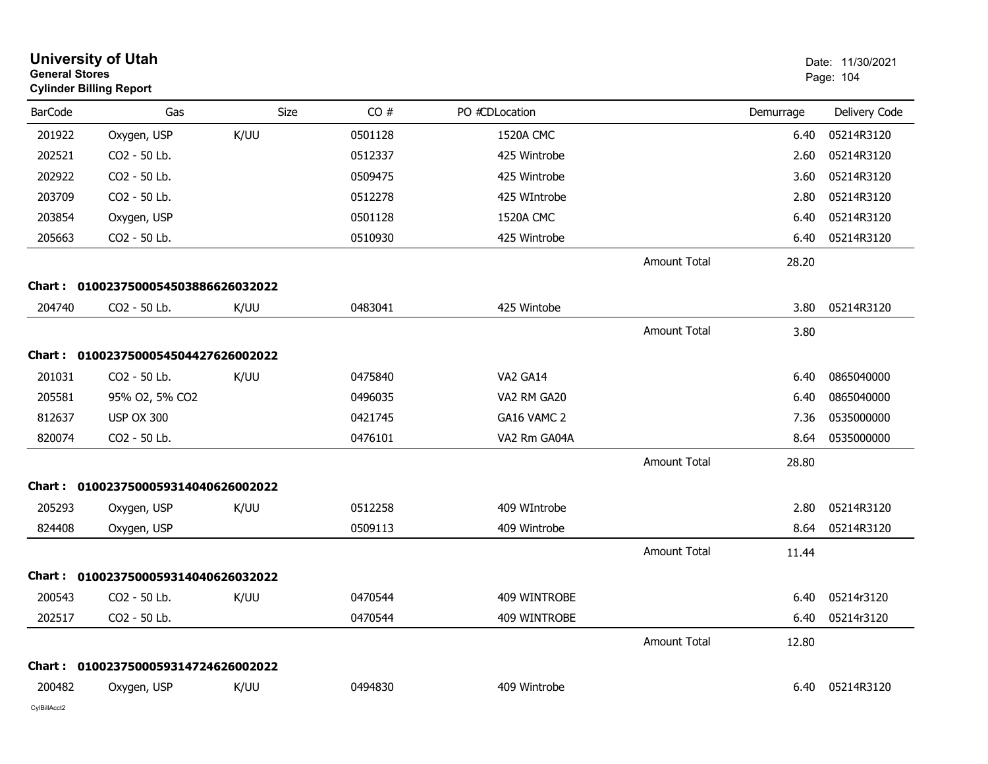| <b>General Stores</b> | <b>University of Utah</b><br><b>Cylinder Billing Report</b> |      |         |                  |                     |           | Date: 11/30/2021<br>Page: 104 |
|-----------------------|-------------------------------------------------------------|------|---------|------------------|---------------------|-----------|-------------------------------|
| <b>BarCode</b>        | Gas                                                         | Size | CO#     | PO #CDLocation   |                     | Demurrage | Delivery Code                 |
| 201922                | Oxygen, USP                                                 | K/UU | 0501128 | <b>1520A CMC</b> |                     | 6.40      | 05214R3120                    |
| 202521                | CO2 - 50 Lb.                                                |      | 0512337 | 425 Wintrobe     |                     | 2.60      | 05214R3120                    |
| 202922                | CO2 - 50 Lb.                                                |      | 0509475 | 425 Wintrobe     |                     | 3.60      | 05214R3120                    |
| 203709                | CO2 - 50 Lb.                                                |      | 0512278 | 425 WIntrobe     |                     | 2.80      | 05214R3120                    |
| 203854                | Oxygen, USP                                                 |      | 0501128 | 1520A CMC        |                     | 6.40      | 05214R3120                    |
| 205663                | CO2 - 50 Lb.                                                |      | 0510930 | 425 Wintrobe     |                     | 6.40      | 05214R3120                    |
|                       |                                                             |      |         |                  | Amount Total        | 28.20     |                               |
| Chart :               | 0100237500054503886626032022                                |      |         |                  |                     |           |                               |
| 204740                | CO2 - 50 Lb.                                                | K/UU | 0483041 | 425 Wintobe      |                     | 3.80      | 05214R3120                    |
|                       |                                                             |      |         |                  | <b>Amount Total</b> | 3.80      |                               |
|                       | Chart: 0100237500054504427626002022                         |      |         |                  |                     |           |                               |
| 201031                | CO2 - 50 Lb.                                                | K/UU | 0475840 | VA2 GA14         |                     | 6.40      | 0865040000                    |
| 205581                | 95% O2, 5% CO2                                              |      | 0496035 | VA2 RM GA20      |                     | 6.40      | 0865040000                    |
| 812637                | <b>USP OX 300</b>                                           |      | 0421745 | GA16 VAMC 2      |                     | 7.36      | 0535000000                    |
| 820074                | CO2 - 50 Lb.                                                |      | 0476101 | VA2 Rm GA04A     |                     | 8.64      | 0535000000                    |
|                       |                                                             |      |         |                  | <b>Amount Total</b> | 28.80     |                               |
|                       | Chart: 0100237500059314040626002022                         |      |         |                  |                     |           |                               |
| 205293                | Oxygen, USP                                                 | K/UU | 0512258 | 409 WIntrobe     |                     | 2.80      | 05214R3120                    |
| 824408                | Oxygen, USP                                                 |      | 0509113 | 409 Wintrobe     |                     | 8.64      | 05214R3120                    |
|                       |                                                             |      |         |                  | <b>Amount Total</b> | 11.44     |                               |
| Chart :               | 0100237500059314040626032022                                |      |         |                  |                     |           |                               |
| 200543                | CO2 - 50 Lb.                                                | K/UU | 0470544 | 409 WINTROBE     |                     | 6.40      | 05214r3120                    |
| 202517                | CO2 - 50 Lb.                                                |      | 0470544 | 409 WINTROBE     |                     | 6.40      | 05214r3120                    |
|                       |                                                             |      |         |                  | Amount Total        | 12.80     |                               |
|                       | Chart: 0100237500059314724626002022                         |      |         |                  |                     |           |                               |
| 200482                | Oxygen, USP                                                 | K/UU | 0494830 | 409 Wintrobe     |                     | 6.40      | 05214R3120                    |
| CylBillAcct2          |                                                             |      |         |                  |                     |           |                               |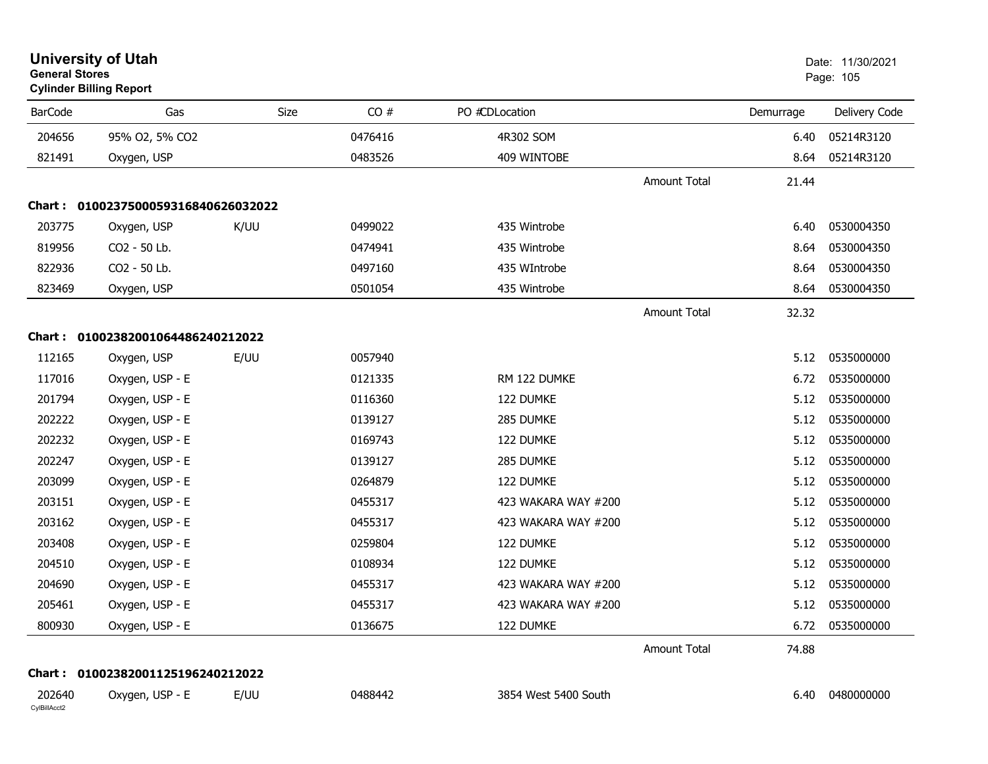| <b>General Stores</b>  | <b>University of Utah</b><br><b>Cylinder Billing Report</b> |      |         |                      |                     |           | Date: 11/30/2021<br>Page: 105 |
|------------------------|-------------------------------------------------------------|------|---------|----------------------|---------------------|-----------|-------------------------------|
| <b>BarCode</b>         | Gas                                                         | Size | CO#     | PO #CDLocation       |                     | Demurrage | Delivery Code                 |
| 204656                 | 95% O2, 5% CO2                                              |      | 0476416 | 4R302 SOM            |                     | 6.40      | 05214R3120                    |
| 821491                 | Oxygen, USP                                                 |      | 0483526 | 409 WINTOBE          |                     | 8.64      | 05214R3120                    |
|                        |                                                             |      |         |                      | <b>Amount Total</b> | 21.44     |                               |
|                        | Chart: 0100237500059316840626032022                         |      |         |                      |                     |           |                               |
| 203775                 | Oxygen, USP                                                 | K/UU | 0499022 | 435 Wintrobe         |                     | 6.40      | 0530004350                    |
| 819956                 | CO2 - 50 Lb.                                                |      | 0474941 | 435 Wintrobe         |                     | 8.64      | 0530004350                    |
| 822936                 | CO2 - 50 Lb.                                                |      | 0497160 | 435 WIntrobe         |                     | 8.64      | 0530004350                    |
| 823469                 | Oxygen, USP                                                 |      | 0501054 | 435 Wintrobe         |                     | 8.64      | 0530004350                    |
|                        |                                                             |      |         |                      | <b>Amount Total</b> | 32.32     |                               |
|                        | Chart: 01002382001064486240212022                           |      |         |                      |                     |           |                               |
| 112165                 | Oxygen, USP                                                 | E/UU | 0057940 |                      |                     | 5.12      | 0535000000                    |
| 117016                 | Oxygen, USP - E                                             |      | 0121335 | RM 122 DUMKE         |                     | 6.72      | 0535000000                    |
| 201794                 | Oxygen, USP - E                                             |      | 0116360 | 122 DUMKE            |                     | 5.12      | 0535000000                    |
| 202222                 | Oxygen, USP - E                                             |      | 0139127 | 285 DUMKE            |                     | 5.12      | 0535000000                    |
| 202232                 | Oxygen, USP - E                                             |      | 0169743 | 122 DUMKE            |                     | 5.12      | 0535000000                    |
| 202247                 | Oxygen, USP - E                                             |      | 0139127 | 285 DUMKE            |                     | 5.12      | 0535000000                    |
| 203099                 | Oxygen, USP - E                                             |      | 0264879 | 122 DUMKE            |                     | 5.12      | 0535000000                    |
| 203151                 | Oxygen, USP - E                                             |      | 0455317 | 423 WAKARA WAY #200  |                     | 5.12      | 0535000000                    |
| 203162                 | Oxygen, USP - E                                             |      | 0455317 | 423 WAKARA WAY #200  |                     | 5.12      | 0535000000                    |
| 203408                 | Oxygen, USP - E                                             |      | 0259804 | 122 DUMKE            |                     | 5.12      | 0535000000                    |
| 204510                 | Oxygen, USP - E                                             |      | 0108934 | 122 DUMKE            |                     | 5.12      | 0535000000                    |
| 204690                 | Oxygen, USP - E                                             |      | 0455317 | 423 WAKARA WAY #200  |                     | 5.12      | 0535000000                    |
| 205461                 | Oxygen, USP - E                                             |      | 0455317 | 423 WAKARA WAY #200  |                     | 5.12      | 0535000000                    |
| 800930                 | Oxygen, USP - E                                             |      | 0136675 | 122 DUMKE            |                     |           | 6.72 0535000000               |
|                        |                                                             |      |         |                      | Amount Total        | 74.88     |                               |
|                        | Chart: 01002382001125196240212022                           |      |         |                      |                     |           |                               |
| 202640<br>CylBillAcct2 | Oxygen, USP - E                                             | E/UU | 0488442 | 3854 West 5400 South |                     | 6.40      | 0480000000                    |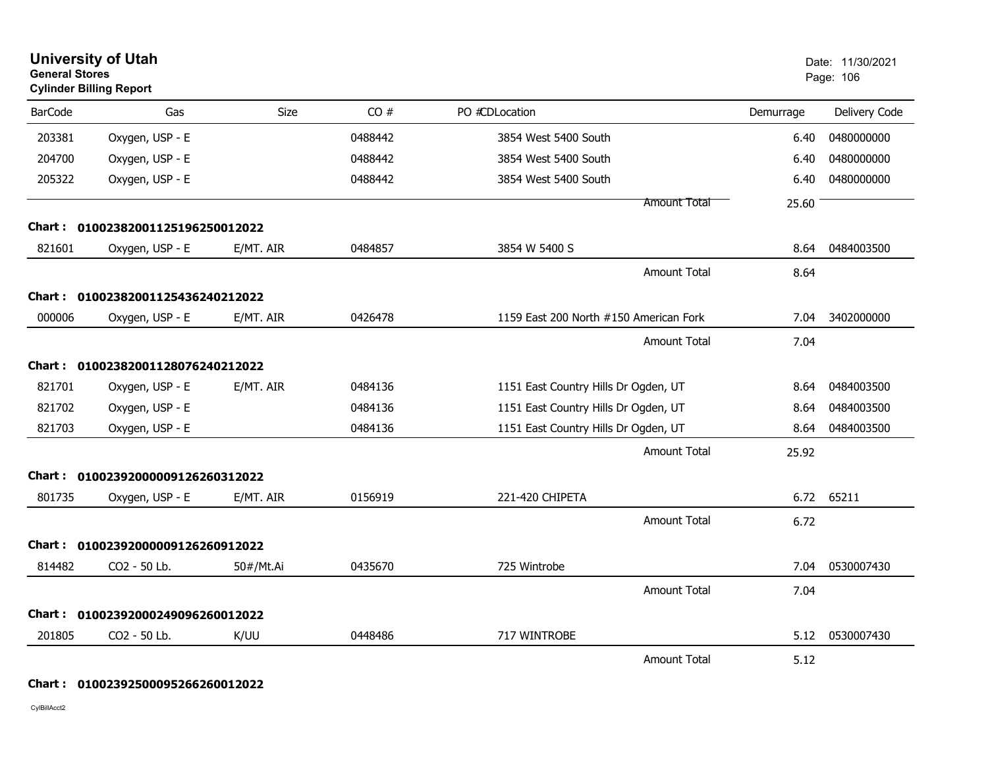| <b>University of Utah</b><br><b>General Stores</b><br><b>Cylinder Billing Report</b> |                                   |           |         |                                        | Date: 11/30/2021<br>Page: 106 |               |
|--------------------------------------------------------------------------------------|-----------------------------------|-----------|---------|----------------------------------------|-------------------------------|---------------|
| <b>BarCode</b>                                                                       | Gas                               | Size      | CO#     | PO #CDLocation                         | Demurrage                     | Delivery Code |
| 203381                                                                               | Oxygen, USP - E                   |           | 0488442 | 3854 West 5400 South                   | 6.40                          | 0480000000    |
| 204700                                                                               | Oxygen, USP - E                   |           | 0488442 | 3854 West 5400 South                   | 6.40                          | 0480000000    |
| 205322                                                                               | Oxygen, USP - E                   |           | 0488442 | 3854 West 5400 South                   | 6.40                          | 0480000000    |
|                                                                                      |                                   |           |         | <b>Amount Total</b>                    | 25.60                         |               |
|                                                                                      | Chart: 01002382001125196250012022 |           |         |                                        |                               |               |
| 821601                                                                               | Oxygen, USP - E                   | E/MT. AIR | 0484857 | 3854 W 5400 S                          | 8.64                          | 0484003500    |
|                                                                                      |                                   |           |         | Amount Total                           | 8.64                          |               |
|                                                                                      | Chart: 01002382001125436240212022 |           |         |                                        |                               |               |
| 000006                                                                               | Oxygen, USP - E                   | E/MT. AIR | 0426478 | 1159 East 200 North #150 American Fork | 7.04                          | 3402000000    |
|                                                                                      |                                   |           |         | Amount Total                           | 7.04                          |               |
|                                                                                      | Chart: 01002382001128076240212022 |           |         |                                        |                               |               |
| 821701                                                                               | Oxygen, USP - E                   | E/MT. AIR | 0484136 | 1151 East Country Hills Dr Ogden, UT   | 8.64                          | 0484003500    |
| 821702                                                                               | Oxygen, USP - E                   |           | 0484136 | 1151 East Country Hills Dr Ogden, UT   | 8.64                          | 0484003500    |
| 821703                                                                               | Oxygen, USP - E                   |           | 0484136 | 1151 East Country Hills Dr Ogden, UT   | 8.64                          | 0484003500    |
|                                                                                      |                                   |           |         | Amount Total                           | 25.92                         |               |
|                                                                                      | Chart: 01002392000009126260312022 |           |         |                                        |                               |               |
| 801735                                                                               | Oxygen, USP - E                   | E/MT. AIR | 0156919 | 221-420 CHIPETA                        | 6.72                          | 65211         |
|                                                                                      |                                   |           |         | <b>Amount Total</b>                    | 6.72                          |               |
|                                                                                      | Chart: 01002392000009126260912022 |           |         |                                        |                               |               |
| 814482                                                                               | CO2 - 50 Lb.                      | 50#/Mt.Ai | 0435670 | 725 Wintrobe                           | 7.04                          | 0530007430    |
|                                                                                      |                                   |           |         | <b>Amount Total</b>                    | 7.04                          |               |
| Chart :                                                                              | 01002392000249096260012022        |           |         |                                        |                               |               |
| 201805                                                                               | CO2 - 50 Lb.                      | K/UU      | 0448486 | 717 WINTROBE                           | 5.12                          | 0530007430    |
|                                                                                      |                                   |           |         | <b>Amount Total</b>                    | 5.12                          |               |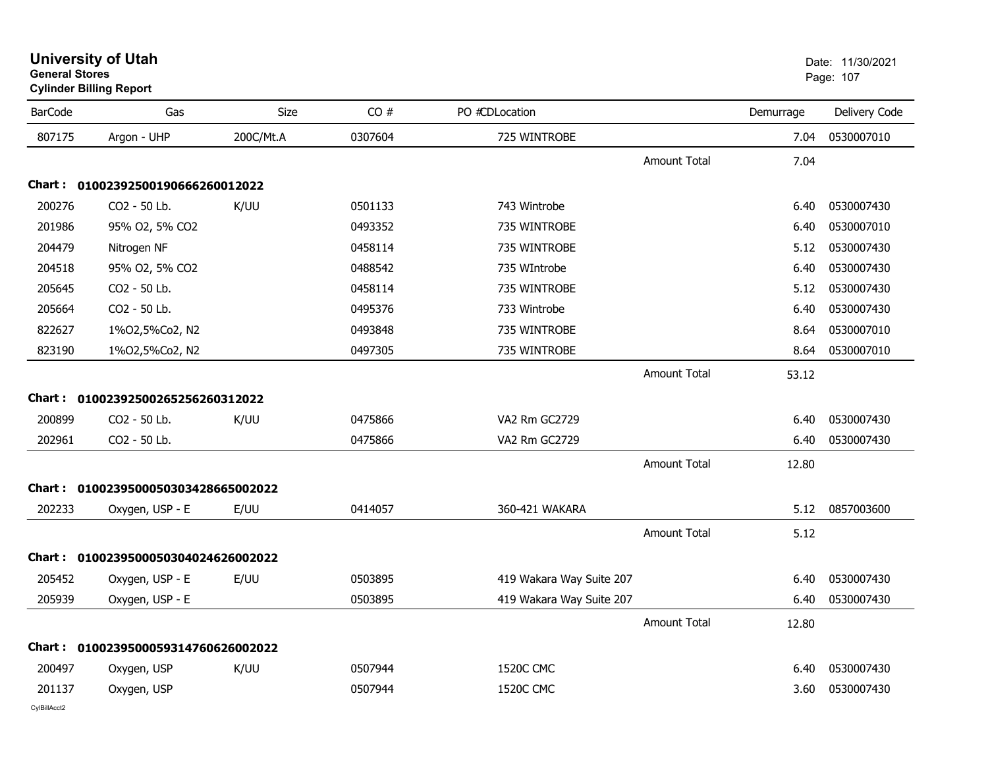| <b>BarCode</b> | Gas                                 | <b>Size</b> | CO#     | PO #CDLocation           |                     | Demurrage | Delivery Code   |
|----------------|-------------------------------------|-------------|---------|--------------------------|---------------------|-----------|-----------------|
| 807175         | Argon - UHP                         | 200C/Mt.A   | 0307604 | 725 WINTROBE             |                     | 7.04      | 0530007010      |
|                |                                     |             |         |                          | <b>Amount Total</b> | 7.04      |                 |
|                | Chart: 01002392500190666260012022   |             |         |                          |                     |           |                 |
| 200276         | CO2 - 50 Lb.                        | K/UU        | 0501133 | 743 Wintrobe             |                     | 6.40      | 0530007430      |
| 201986         | 95% O2, 5% CO2                      |             | 0493352 | 735 WINTROBE             |                     | 6.40      | 0530007010      |
| 204479         | Nitrogen NF                         |             | 0458114 | 735 WINTROBE             |                     | 5.12      | 0530007430      |
| 204518         | 95% O2, 5% CO2                      |             | 0488542 | 735 WIntrobe             |                     | 6.40      | 0530007430      |
| 205645         | CO2 - 50 Lb.                        |             | 0458114 | 735 WINTROBE             |                     | 5.12      | 0530007430      |
| 205664         | CO2 - 50 Lb.                        |             | 0495376 | 733 Wintrobe             |                     | 6.40      | 0530007430      |
| 822627         | 1%02,5%Co2, N2                      |             | 0493848 | 735 WINTROBE             |                     | 8.64      | 0530007010      |
| 823190         | 1%02,5%Co2, N2                      |             | 0497305 | 735 WINTROBE             |                     | 8.64      | 0530007010      |
|                |                                     |             |         |                          | Amount Total        | 53.12     |                 |
|                | Chart: 01002392500265256260312022   |             |         |                          |                     |           |                 |
| 200899         | CO2 - 50 Lb.                        | K/UU        | 0475866 | VA2 Rm GC2729            |                     | 6.40      | 0530007430      |
| 202961         | CO2 - 50 Lb.                        |             | 0475866 | VA2 Rm GC2729            |                     | 6.40      | 0530007430      |
|                |                                     |             |         |                          | <b>Amount Total</b> | 12.80     |                 |
|                | Chart: 0100239500050303428665002022 |             |         |                          |                     |           |                 |
| 202233         | Oxygen, USP - E                     | E/UU        | 0414057 | 360-421 WAKARA           |                     |           | 5.12 0857003600 |
|                |                                     |             |         |                          | <b>Amount Total</b> | 5.12      |                 |
|                | Chart: 0100239500050304024626002022 |             |         |                          |                     |           |                 |
| 205452         | Oxygen, USP - E                     | E/UU        | 0503895 | 419 Wakara Way Suite 207 |                     | 6.40      | 0530007430      |
| 205939         | Oxygen, USP - E                     |             | 0503895 | 419 Wakara Way Suite 207 |                     | 6.40      | 0530007430      |
|                |                                     |             |         |                          | <b>Amount Total</b> | 12.80     |                 |
|                | Chart: 0100239500059314760626002022 |             |         |                          |                     |           |                 |
| 200497         | Oxygen, USP                         | K/UU        | 0507944 | 1520C CMC                |                     | 6.40      | 0530007430      |
| 201137         | Oxygen, USP                         |             | 0507944 | <b>1520C CMC</b>         |                     | 3.60      | 0530007430      |

## **General Stores**s and the contract of the contract of the contract of the contract of the contract of the contract of the contract of the contract of the contract of the contract of the contract of the contract of the contract of the cont **Cylinder Billing Report**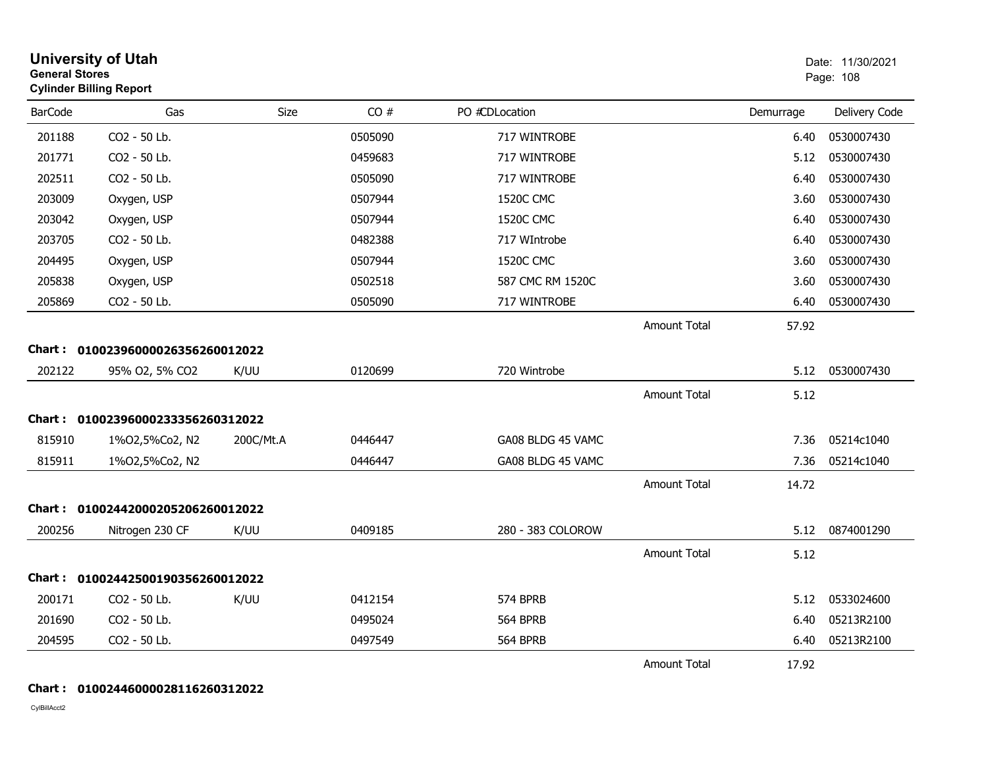| <b>University of Utah</b><br><b>General Stores</b><br><b>Cylinder Billing Report</b> |                                   |           |         |                   |                     | Date: 11/30/2021<br>Page: 108 |               |
|--------------------------------------------------------------------------------------|-----------------------------------|-----------|---------|-------------------|---------------------|-------------------------------|---------------|
| <b>BarCode</b>                                                                       | Gas                               | Size      | CO#     | PO #CDLocation    |                     | Demurrage                     | Delivery Code |
| 201188                                                                               | CO2 - 50 Lb.                      |           | 0505090 | 717 WINTROBE      |                     | 6.40                          | 0530007430    |
| 201771                                                                               | CO2 - 50 Lb.                      |           | 0459683 | 717 WINTROBE      |                     | 5.12                          | 0530007430    |
| 202511                                                                               | CO2 - 50 Lb.                      |           | 0505090 | 717 WINTROBE      |                     | 6.40                          | 0530007430    |
| 203009                                                                               | Oxygen, USP                       |           | 0507944 | 1520C CMC         |                     | 3.60                          | 0530007430    |
| 203042                                                                               | Oxygen, USP                       |           | 0507944 | <b>1520C CMC</b>  |                     | 6.40                          | 0530007430    |
| 203705                                                                               | CO2 - 50 Lb.                      |           | 0482388 | 717 WIntrobe      |                     | 6.40                          | 0530007430    |
| 204495                                                                               | Oxygen, USP                       |           | 0507944 | <b>1520C CMC</b>  |                     | 3.60                          | 0530007430    |
| 205838                                                                               | Oxygen, USP                       |           | 0502518 | 587 CMC RM 1520C  |                     | 3.60                          | 0530007430    |
| 205869                                                                               | CO2 - 50 Lb.                      |           | 0505090 | 717 WINTROBE      |                     | 6.40                          | 0530007430    |
|                                                                                      |                                   |           |         |                   | <b>Amount Total</b> | 57.92                         |               |
|                                                                                      | Chart: 01002396000026356260012022 |           |         |                   |                     |                               |               |
| 202122                                                                               | 95% O2, 5% CO2                    | K/UU      | 0120699 | 720 Wintrobe      |                     | 5.12                          | 0530007430    |
|                                                                                      |                                   |           |         |                   | <b>Amount Total</b> | 5.12                          |               |
|                                                                                      | Chart: 01002396000233356260312022 |           |         |                   |                     |                               |               |
| 815910                                                                               | 1%02,5%Co2, N2                    | 200C/Mt.A | 0446447 | GA08 BLDG 45 VAMC |                     | 7.36                          | 05214c1040    |
| 815911                                                                               | 1%02,5%Co2, N2                    |           | 0446447 | GA08 BLDG 45 VAMC |                     | 7.36                          | 05214c1040    |
|                                                                                      |                                   |           |         |                   | <b>Amount Total</b> | 14.72                         |               |
|                                                                                      | Chart: 01002442000205206260012022 |           |         |                   |                     |                               |               |
| 200256                                                                               | Nitrogen 230 CF                   | K/UU      | 0409185 | 280 - 383 COLOROW |                     | 5.12                          | 0874001290    |
|                                                                                      |                                   |           |         |                   | <b>Amount Total</b> | 5.12                          |               |
|                                                                                      | Chart: 01002442500190356260012022 |           |         |                   |                     |                               |               |
| 200171                                                                               | CO2 - 50 Lb.                      | K/UU      | 0412154 | 574 BPRB          |                     | 5.12                          | 0533024600    |
| 201690                                                                               | CO2 - 50 Lb.                      |           | 0495024 | 564 BPRB          |                     | 6.40                          | 05213R2100    |
| 204595                                                                               | CO2 - 50 Lb.                      |           | 0497549 | <b>564 BPRB</b>   |                     | 6.40                          | 05213R2100    |
|                                                                                      |                                   |           |         |                   | <b>Amount Total</b> | 17.92                         |               |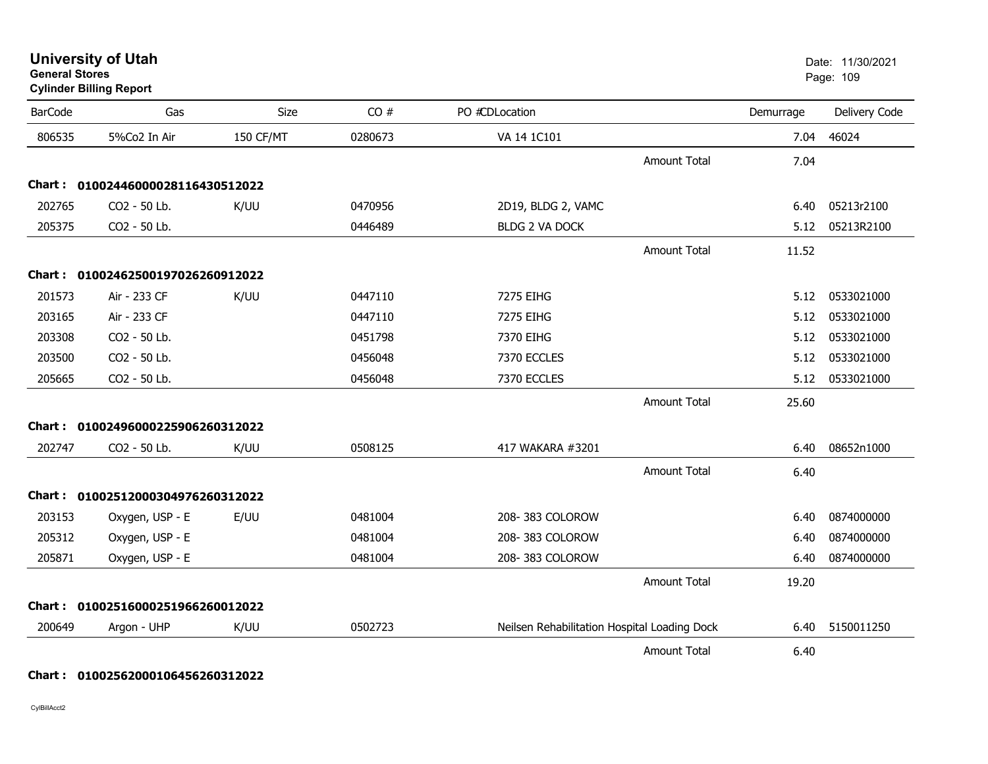| <b>University of Utah</b> |  |
|---------------------------|--|
| <b>General Stores</b>     |  |

### **Cylinder Billing Report**

| <b>BarCode</b> | Gas                               | <b>Size</b> | CO#     | PO #CDLocation                               |                     | Demurrage | Delivery Code   |
|----------------|-----------------------------------|-------------|---------|----------------------------------------------|---------------------|-----------|-----------------|
| 806535         | 5%Co2 In Air                      | 150 CF/MT   | 0280673 | VA 14 1C101                                  |                     | 7.04      | 46024           |
|                |                                   |             |         |                                              | Amount Total        | 7.04      |                 |
|                | Chart: 01002446000028116430512022 |             |         |                                              |                     |           |                 |
| 202765         | CO2 - 50 Lb.                      | K/UU        | 0470956 | 2D19, BLDG 2, VAMC                           |                     | 6.40      | 05213r2100      |
| 205375         | CO2 - 50 Lb.                      |             | 0446489 | <b>BLDG 2 VA DOCK</b>                        |                     | 5.12      | 05213R2100      |
|                |                                   |             |         |                                              | <b>Amount Total</b> | 11.52     |                 |
|                | Chart: 01002462500197026260912022 |             |         |                                              |                     |           |                 |
| 201573         | Air - 233 CF                      | K/UU        | 0447110 | 7275 EIHG                                    |                     | 5.12      | 0533021000      |
| 203165         | Air - 233 CF                      |             | 0447110 | 7275 EIHG                                    |                     | 5.12      | 0533021000      |
| 203308         | CO2 - 50 Lb.                      |             | 0451798 | 7370 EIHG                                    |                     | 5.12      | 0533021000      |
| 203500         | CO2 - 50 Lb.                      |             | 0456048 | 7370 ECCLES                                  |                     | 5.12      | 0533021000      |
| 205665         | CO2 - 50 Lb.                      |             | 0456048 | 7370 ECCLES                                  |                     | 5.12      | 0533021000      |
|                |                                   |             |         |                                              | <b>Amount Total</b> | 25.60     |                 |
|                | Chart: 01002496000225906260312022 |             |         |                                              |                     |           |                 |
| 202747         | CO2 - 50 Lb.                      | K/UU        | 0508125 | 417 WAKARA #3201                             |                     | 6.40      | 08652n1000      |
|                |                                   |             |         |                                              | <b>Amount Total</b> | 6.40      |                 |
|                | Chart: 01002512000304976260312022 |             |         |                                              |                     |           |                 |
| 203153         | Oxygen, USP - E                   | E/UU        | 0481004 | 208-383 COLOROW                              |                     | 6.40      | 0874000000      |
| 205312         | Oxygen, USP - E                   |             | 0481004 | 208-383 COLOROW                              |                     | 6.40      | 0874000000      |
| 205871         | Oxygen, USP - E                   |             | 0481004 | 208-383 COLOROW                              |                     | 6.40      | 0874000000      |
|                |                                   |             |         |                                              | Amount Total        | 19.20     |                 |
|                | Chart: 01002516000251966260012022 |             |         |                                              |                     |           |                 |
| 200649         | Argon - UHP                       | K/UU        | 0502723 | Neilsen Rehabilitation Hospital Loading Dock |                     |           | 6.40 5150011250 |
|                |                                   |             |         |                                              | <b>Amount Total</b> | 6.40      |                 |

#### **Chart : 01002562000106456260312022**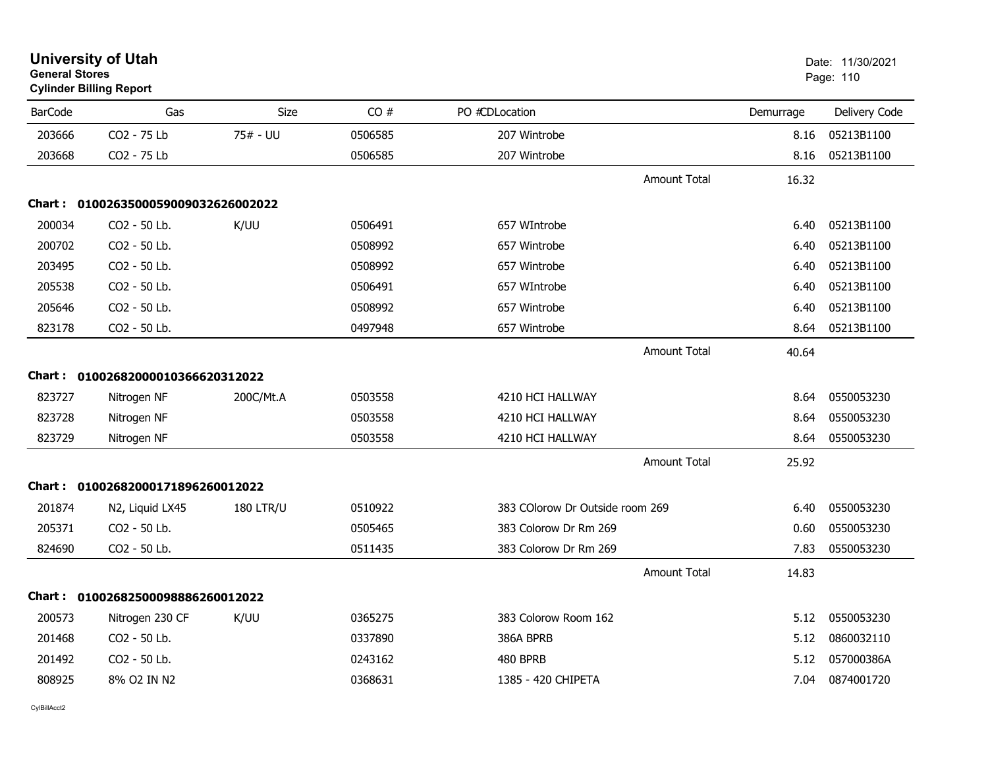| <b>General Stores</b> | <b>University of Utah</b><br><b>Cylinder Billing Report</b> |                  |         |                                 |                     |           | Date: 11/30/2021<br>Page: 110 |
|-----------------------|-------------------------------------------------------------|------------------|---------|---------------------------------|---------------------|-----------|-------------------------------|
| <b>BarCode</b>        | Gas                                                         | Size             | CO#     | PO #CDLocation                  |                     | Demurrage | Delivery Code                 |
| 203666                | CO2 - 75 Lb                                                 | 75# - UU         | 0506585 | 207 Wintrobe                    |                     | 8.16      | 05213B1100                    |
| 203668                | CO2 - 75 Lb                                                 |                  | 0506585 | 207 Wintrobe                    |                     | 8.16      | 05213B1100                    |
|                       |                                                             |                  |         |                                 | <b>Amount Total</b> | 16.32     |                               |
|                       | Chart: 0100263500059009032626002022                         |                  |         |                                 |                     |           |                               |
| 200034                | CO2 - 50 Lb.                                                | K/UU             | 0506491 | 657 WIntrobe                    |                     | 6.40      | 05213B1100                    |
| 200702                | CO2 - 50 Lb.                                                |                  | 0508992 | 657 Wintrobe                    |                     | 6.40      | 05213B1100                    |
| 203495                | CO2 - 50 Lb.                                                |                  | 0508992 | 657 Wintrobe                    |                     | 6.40      | 05213B1100                    |
| 205538                | CO <sub>2</sub> - 50 Lb.                                    |                  | 0506491 | 657 WIntrobe                    |                     | 6.40      | 05213B1100                    |
| 205646                | CO2 - 50 Lb.                                                |                  | 0508992 | 657 Wintrobe                    |                     | 6.40      | 05213B1100                    |
| 823178                | CO2 - 50 Lb.                                                |                  | 0497948 | 657 Wintrobe                    |                     | 8.64      | 05213B1100                    |
|                       |                                                             |                  |         |                                 | <b>Amount Total</b> | 40.64     |                               |
|                       | Chart: 01002682000010366620312022                           |                  |         |                                 |                     |           |                               |
| 823727                | Nitrogen NF                                                 | 200C/Mt.A        | 0503558 | 4210 HCI HALLWAY                |                     | 8.64      | 0550053230                    |
| 823728                | Nitrogen NF                                                 |                  | 0503558 | 4210 HCI HALLWAY                |                     | 8.64      | 0550053230                    |
| 823729                | Nitrogen NF                                                 |                  | 0503558 | 4210 HCI HALLWAY                |                     | 8.64      | 0550053230                    |
|                       |                                                             |                  |         |                                 | <b>Amount Total</b> | 25.92     |                               |
|                       | Chart: 01002682000171896260012022                           |                  |         |                                 |                     |           |                               |
| 201874                | N2, Liquid LX45                                             | <b>180 LTR/U</b> | 0510922 | 383 COlorow Dr Outside room 269 |                     | 6.40      | 0550053230                    |
| 205371                | CO2 - 50 Lb.                                                |                  | 0505465 | 383 Colorow Dr Rm 269           |                     | 0.60      | 0550053230                    |
| 824690                | CO2 - 50 Lb.                                                |                  | 0511435 | 383 Colorow Dr Rm 269           |                     | 7.83      | 0550053230                    |
|                       |                                                             |                  |         |                                 | <b>Amount Total</b> | 14.83     |                               |
|                       | Chart: 01002682500098886260012022                           |                  |         |                                 |                     |           |                               |
| 200573                | Nitrogen 230 CF                                             | K/UU             | 0365275 | 383 Colorow Room 162            |                     | 5.12      | 0550053230                    |
| 201468                | CO2 - 50 Lb.                                                |                  | 0337890 | 386A BPRB                       |                     | 5.12      | 0860032110                    |
| 201492                | CO2 - 50 Lb.                                                |                  | 0243162 | 480 BPRB                        |                     | 5.12      | 057000386A                    |
| 808925                | 8% O2 IN N2                                                 |                  | 0368631 | 1385 - 420 CHIPETA              |                     | 7.04      | 0874001720                    |
|                       |                                                             |                  |         |                                 |                     |           |                               |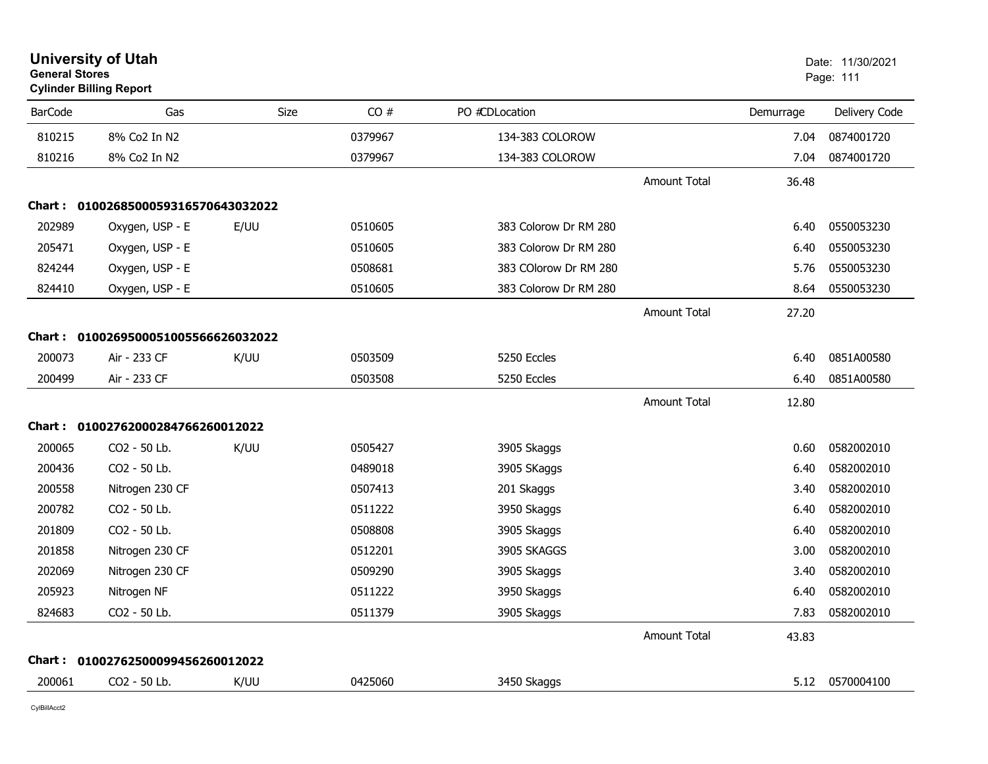| <b>General Stores</b><br><b>Cylinder Billing Report</b> |                                     |      | Page: 111 |                       |                     |           |               |
|---------------------------------------------------------|-------------------------------------|------|-----------|-----------------------|---------------------|-----------|---------------|
| <b>BarCode</b>                                          | Gas                                 | Size | CO#       | PO #CDLocation        |                     | Demurrage | Delivery Code |
| 810215                                                  | 8% Co2 In N2                        |      | 0379967   | 134-383 COLOROW       |                     | 7.04      | 0874001720    |
| 810216                                                  | 8% Co2 In N2                        |      | 0379967   | 134-383 COLOROW       |                     | 7.04      | 0874001720    |
|                                                         |                                     |      |           |                       | <b>Amount Total</b> | 36.48     |               |
|                                                         | Chart: 0100268500059316570643032022 |      |           |                       |                     |           |               |
| 202989                                                  | Oxygen, USP - E                     | E/UU | 0510605   | 383 Colorow Dr RM 280 |                     | 6.40      | 0550053230    |
| 205471                                                  | Oxygen, USP - E                     |      | 0510605   | 383 Colorow Dr RM 280 |                     | 6.40      | 0550053230    |
| 824244                                                  | Oxygen, USP - E                     |      | 0508681   | 383 COlorow Dr RM 280 |                     | 5.76      | 0550053230    |
| 824410                                                  | Oxygen, USP - E                     |      | 0510605   | 383 Colorow Dr RM 280 |                     | 8.64      | 0550053230    |
|                                                         |                                     |      |           |                       | <b>Amount Total</b> | 27.20     |               |
|                                                         | Chart: 0100269500051005566626032022 |      |           |                       |                     |           |               |
| 200073                                                  | Air - 233 CF                        | K/UU | 0503509   | 5250 Eccles           |                     | 6.40      | 0851A00580    |
| 200499                                                  | Air - 233 CF                        |      | 0503508   | 5250 Eccles           |                     | 6.40      | 0851A00580    |
|                                                         |                                     |      |           |                       | <b>Amount Total</b> | 12.80     |               |
|                                                         | Chart: 01002762000284766260012022   |      |           |                       |                     |           |               |
| 200065                                                  | CO2 - 50 Lb.                        | K/UU | 0505427   | 3905 Skaggs           |                     | 0.60      | 0582002010    |
| 200436                                                  | CO2 - 50 Lb.                        |      | 0489018   | 3905 SKaggs           |                     | 6.40      | 0582002010    |
| 200558                                                  | Nitrogen 230 CF                     |      | 0507413   | 201 Skaggs            |                     | 3.40      | 0582002010    |
| 200782                                                  | CO2 - 50 Lb.                        |      | 0511222   | 3950 Skaggs           |                     | 6.40      | 0582002010    |
| 201809                                                  | CO2 - 50 Lb.                        |      | 0508808   | 3905 Skaggs           |                     | 6.40      | 0582002010    |
| 201858                                                  | Nitrogen 230 CF                     |      | 0512201   | 3905 SKAGGS           |                     | 3.00      | 0582002010    |
| 202069                                                  | Nitrogen 230 CF                     |      | 0509290   | 3905 Skaggs           |                     | 3.40      | 0582002010    |
| 205923                                                  | Nitrogen NF                         |      | 0511222   | 3950 Skaggs           |                     | 6.40      | 0582002010    |
| 824683                                                  | CO2 - 50 Lb.                        |      | 0511379   | 3905 Skaggs           |                     | 7.83      | 0582002010    |
|                                                         |                                     |      |           |                       | <b>Amount Total</b> | 43.83     |               |
|                                                         | Chart: 01002762500099456260012022   |      |           |                       |                     |           |               |
| 200061                                                  | CO2 - 50 Lb.                        | K/UU | 0425060   | 3450 Skaggs           |                     | 5.12      | 0570004100    |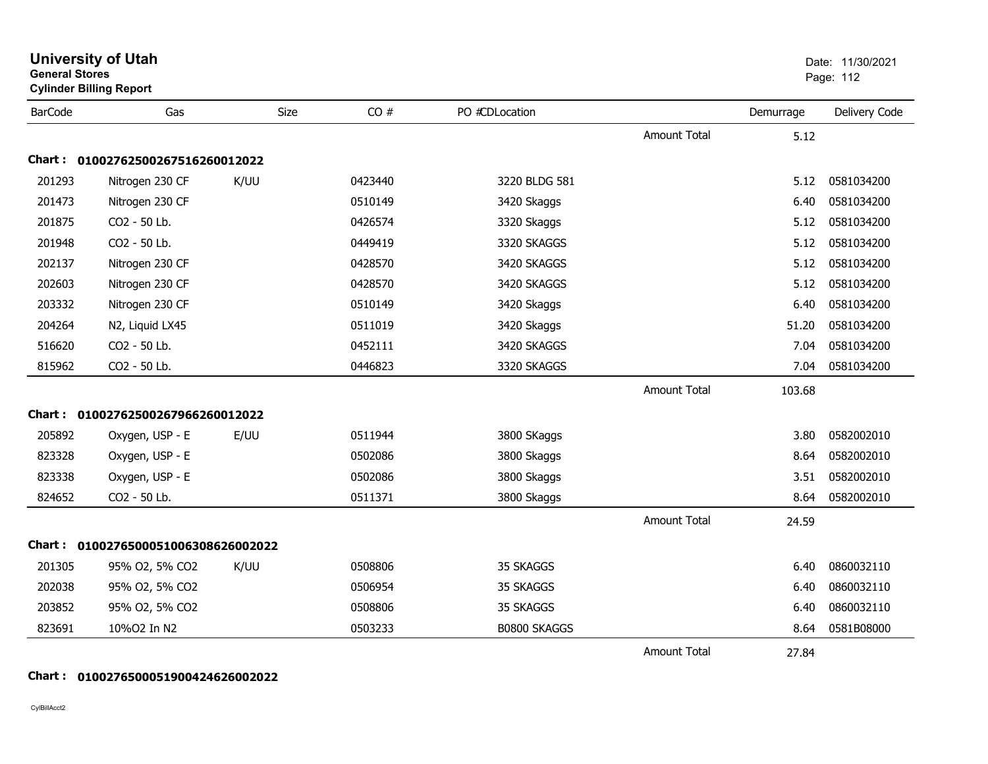| <b>General Stores</b><br><b>Cylinder Billing Report</b> |                                   |      |         |                     |                     |           | Page: 112     |
|---------------------------------------------------------|-----------------------------------|------|---------|---------------------|---------------------|-----------|---------------|
| <b>BarCode</b>                                          | Gas                               | Size | CO#     | PO #CDLocation      |                     | Demurrage | Delivery Code |
|                                                         |                                   |      |         |                     | <b>Amount Total</b> | 5.12      |               |
|                                                         | Chart: 01002762500267516260012022 |      |         |                     |                     |           |               |
| 201293                                                  | Nitrogen 230 CF                   | K/UU | 0423440 | 3220 BLDG 581       |                     | 5.12      | 0581034200    |
| 201473                                                  | Nitrogen 230 CF                   |      | 0510149 | 3420 Skaggs         |                     | 6.40      | 0581034200    |
| 201875                                                  | CO2 - 50 Lb.                      |      | 0426574 | 3320 Skaggs         |                     | 5.12      | 0581034200    |
| 201948                                                  | CO2 - 50 Lb.                      |      | 0449419 | 3320 SKAGGS         |                     | 5.12      | 0581034200    |
| 202137                                                  | Nitrogen 230 CF                   |      | 0428570 | 3420 SKAGGS         |                     | 5.12      | 0581034200    |
| 202603                                                  | Nitrogen 230 CF                   |      | 0428570 | 3420 SKAGGS         |                     | 5.12      | 0581034200    |
| 203332                                                  | Nitrogen 230 CF                   |      | 0510149 | 3420 Skaggs         |                     | 6.40      | 0581034200    |
| 204264                                                  | N2, Liquid LX45                   |      | 0511019 | 3420 Skaggs         |                     | 51.20     | 0581034200    |
| 516620                                                  | CO2 - 50 Lb.                      |      | 0452111 | 3420 SKAGGS         |                     | 7.04      | 0581034200    |
| 815962                                                  | CO2 - 50 Lb.                      |      | 0446823 | 3320 SKAGGS         |                     | 7.04      | 0581034200    |
|                                                         |                                   |      |         |                     | <b>Amount Total</b> | 103.68    |               |
|                                                         | Chart: 01002762500267966260012022 |      |         |                     |                     |           |               |
| 205892                                                  | Oxygen, USP - E                   | E/UU | 0511944 | 3800 SKaggs         |                     | 3.80      | 0582002010    |
| 823328                                                  | Oxygen, USP - E                   |      | 0502086 | 3800 Skaggs         |                     | 8.64      | 0582002010    |
| 823338                                                  | Oxygen, USP - E                   |      | 0502086 | 3800 Skaggs         |                     | 3.51      | 0582002010    |
| 824652                                                  | CO2 - 50 Lb.                      |      | 0511371 | 3800 Skaggs         |                     | 8.64      | 0582002010    |
|                                                         |                                   |      |         |                     | <b>Amount Total</b> | 24.59     |               |
| <b>Chart :</b>                                          | 0100276500051006308626002022      |      |         |                     |                     |           |               |
| 201305                                                  | 95% O2, 5% CO2                    | K/UU | 0508806 | 35 SKAGGS           |                     | 6.40      | 0860032110    |
| 202038                                                  | 95% O2, 5% CO2                    |      | 0506954 | 35 SKAGGS           |                     | 6.40      | 0860032110    |
| 203852                                                  | 95% O2, 5% CO2                    |      | 0508806 | 35 SKAGGS           |                     | 6.40      | 0860032110    |
| 823691                                                  | 10%O2 In N2                       |      | 0503233 | <b>B0800 SKAGGS</b> |                     | 8.64      | 0581B08000    |
|                                                         |                                   |      |         |                     | Amount Total        | 27.84     |               |

#### **Chart : 0100276500051900424626002022**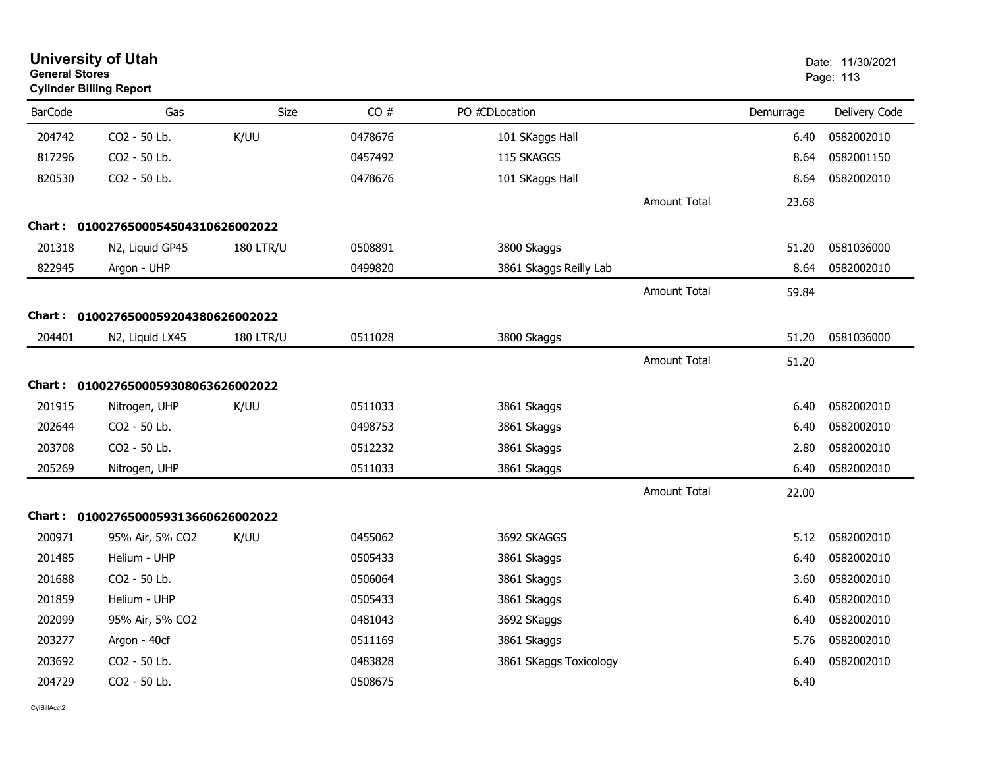|                | <b>University of Utah</b><br><b>General Stores</b><br><b>Cylinder Billing Report</b> |                  |         | Date: 11/30/2021<br>Page: 113 |                     |           |               |
|----------------|--------------------------------------------------------------------------------------|------------------|---------|-------------------------------|---------------------|-----------|---------------|
| <b>BarCode</b> | Gas                                                                                  | Size             | CO#     | PO #CDLocation                |                     | Demurrage | Delivery Code |
| 204742         | CO2 - 50 Lb.                                                                         | K/UU             | 0478676 | 101 SKaggs Hall               |                     | 6.40      | 0582002010    |
| 817296         | CO2 - 50 Lb.                                                                         |                  | 0457492 | 115 SKAGGS                    |                     | 8.64      | 0582001150    |
| 820530         | CO2 - 50 Lb.                                                                         |                  | 0478676 | 101 SKaggs Hall               |                     | 8.64      | 0582002010    |
|                |                                                                                      |                  |         |                               | <b>Amount Total</b> | 23.68     |               |
| <b>Chart:</b>  | 0100276500054504310626002022                                                         |                  |         |                               |                     |           |               |
| 201318         | N2, Liquid GP45                                                                      | <b>180 LTR/U</b> | 0508891 | 3800 Skaggs                   |                     | 51.20     | 0581036000    |
| 822945         | Argon - UHP                                                                          |                  | 0499820 | 3861 Skaggs Reilly Lab        |                     | 8.64      | 0582002010    |
|                |                                                                                      |                  |         |                               | Amount Total        | 59.84     |               |
|                | Chart: 0100276500059204380626002022                                                  |                  |         |                               |                     |           |               |
| 204401         | N2, Liquid LX45                                                                      | <b>180 LTR/U</b> | 0511028 | 3800 Skaggs                   |                     | 51.20     | 0581036000    |
|                |                                                                                      |                  |         |                               | <b>Amount Total</b> | 51.20     |               |
|                | Chart: 0100276500059308063626002022                                                  |                  |         |                               |                     |           |               |
| 201915         | Nitrogen, UHP                                                                        | K/UU             | 0511033 | 3861 Skaggs                   |                     | 6.40      | 0582002010    |
| 202644         | CO <sub>2</sub> - 50 Lb.                                                             |                  | 0498753 | 3861 Skaggs                   |                     | 6.40      | 0582002010    |
| 203708         | CO2 - 50 Lb.                                                                         |                  | 0512232 | 3861 Skaggs                   |                     | 2.80      | 0582002010    |
| 205269         | Nitrogen, UHP                                                                        |                  | 0511033 | 3861 Skaggs                   |                     | 6.40      | 0582002010    |
|                |                                                                                      |                  |         |                               | Amount Total        | 22.00     |               |
|                | Chart: 0100276500059313660626002022                                                  |                  |         |                               |                     |           |               |
| 200971         | 95% Air, 5% CO2                                                                      | K/UU             | 0455062 | 3692 SKAGGS                   |                     | 5.12      | 0582002010    |
| 201485         | Helium - UHP                                                                         |                  | 0505433 | 3861 Skaggs                   |                     | 6.40      | 0582002010    |
| 201688         | CO2 - 50 Lb.                                                                         |                  | 0506064 | 3861 Skaggs                   |                     | 3.60      | 0582002010    |
| 201859         | Helium - UHP                                                                         |                  | 0505433 | 3861 Skaggs                   |                     | 6.40      | 0582002010    |
| 202099         | 95% Air, 5% CO2                                                                      |                  | 0481043 | 3692 SKaggs                   |                     | 6.40      | 0582002010    |
| 203277         | Argon - 40cf                                                                         |                  | 0511169 | 3861 Skaggs                   |                     | 5.76      | 0582002010    |
| 203692         | CO2 - 50 Lb.                                                                         |                  | 0483828 | 3861 SKaggs Toxicology        |                     | 6.40      | 0582002010    |
| 204729         | CO2 - 50 Lb.                                                                         |                  | 0508675 |                               |                     | 6.40      |               |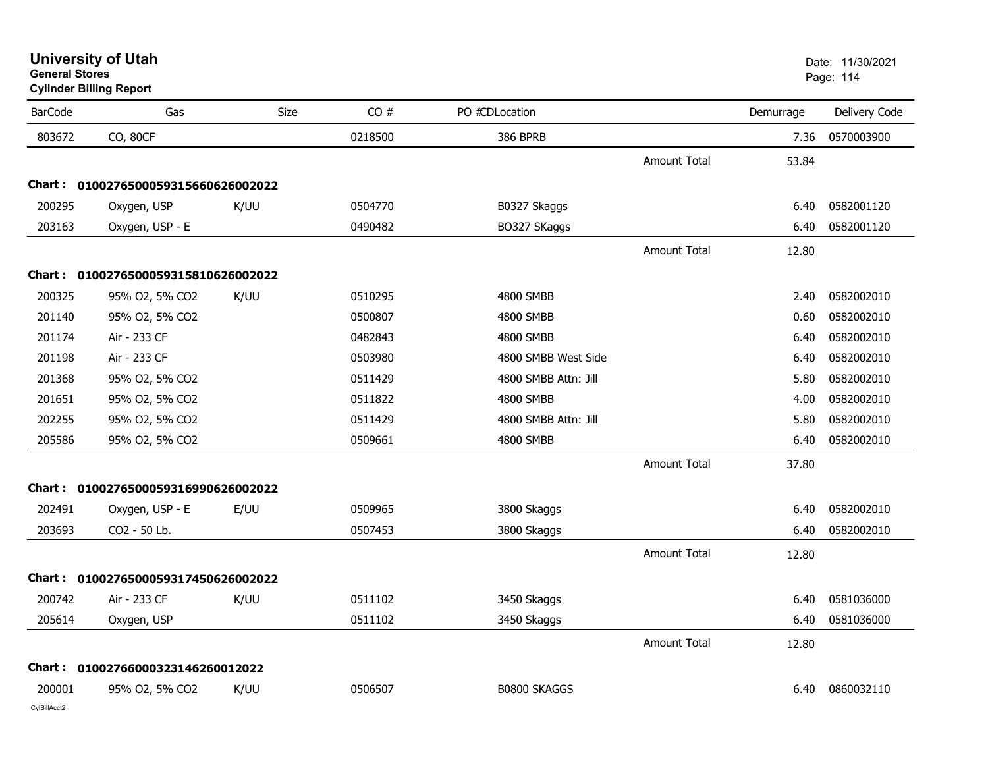| <b>University of Utah</b> |  |
|---------------------------|--|
| <b>General Stores</b>     |  |

**Cylinder Billing Report**

| <b>BarCode</b> | Gas                                 | <b>Size</b> | CO#     | PO #CDLocation       |                     | Demurrage | Delivery Code |
|----------------|-------------------------------------|-------------|---------|----------------------|---------------------|-----------|---------------|
| 803672         | CO, 80CF                            |             | 0218500 | <b>386 BPRB</b>      |                     | 7.36      | 0570003900    |
|                |                                     |             |         |                      | <b>Amount Total</b> | 53.84     |               |
|                | Chart: 0100276500059315660626002022 |             |         |                      |                     |           |               |
| 200295         | Oxygen, USP                         | K/UU        | 0504770 | B0327 Skaggs         |                     | 6.40      | 0582001120    |
| 203163         | Oxygen, USP - E                     |             | 0490482 | BO327 SKaggs         |                     | 6.40      | 0582001120    |
|                |                                     |             |         |                      | <b>Amount Total</b> | 12.80     |               |
|                | Chart: 0100276500059315810626002022 |             |         |                      |                     |           |               |
| 200325         | 95% O2, 5% CO2                      | K/UU        | 0510295 | 4800 SMBB            |                     | 2.40      | 0582002010    |
| 201140         | 95% O2, 5% CO2                      |             | 0500807 | 4800 SMBB            |                     | 0.60      | 0582002010    |
| 201174         | Air - 233 CF                        |             | 0482843 | 4800 SMBB            |                     | 6.40      | 0582002010    |
| 201198         | Air - 233 CF                        |             | 0503980 | 4800 SMBB West Side  |                     | 6.40      | 0582002010    |
| 201368         | 95% O2, 5% CO2                      |             | 0511429 | 4800 SMBB Attn: Jill |                     | 5.80      | 0582002010    |
| 201651         | 95% O2, 5% CO2                      |             | 0511822 | 4800 SMBB            |                     | 4.00      | 0582002010    |
| 202255         | 95% O2, 5% CO2                      |             | 0511429 | 4800 SMBB Attn: Jill |                     | 5.80      | 0582002010    |
| 205586         | 95% O2, 5% CO2                      |             | 0509661 | 4800 SMBB            |                     | 6.40      | 0582002010    |
|                |                                     |             |         |                      | <b>Amount Total</b> | 37.80     |               |
|                | Chart: 0100276500059316990626002022 |             |         |                      |                     |           |               |
| 202491         | Oxygen, USP - E                     | E/UU        | 0509965 | 3800 Skaggs          |                     | 6.40      | 0582002010    |
| 203693         | CO2 - 50 Lb.                        |             | 0507453 | 3800 Skaggs          |                     | 6.40      | 0582002010    |
|                |                                     |             |         |                      | <b>Amount Total</b> | 12.80     |               |
|                | Chart: 0100276500059317450626002022 |             |         |                      |                     |           |               |
| 200742         | Air - 233 CF                        | K/UU        | 0511102 | 3450 Skaggs          |                     | 6.40      | 0581036000    |
| 205614         | Oxygen, USP                         |             | 0511102 | 3450 Skaggs          |                     | 6.40      | 0581036000    |
|                |                                     |             |         |                      | <b>Amount Total</b> | 12.80     |               |
|                | Chart: 01002766000323146260012022   |             |         |                      |                     |           |               |
| 200001         | 95% O2, 5% CO2                      | K/UU        | 0506507 | <b>B0800 SKAGGS</b>  |                     | 6.40      | 0860032110    |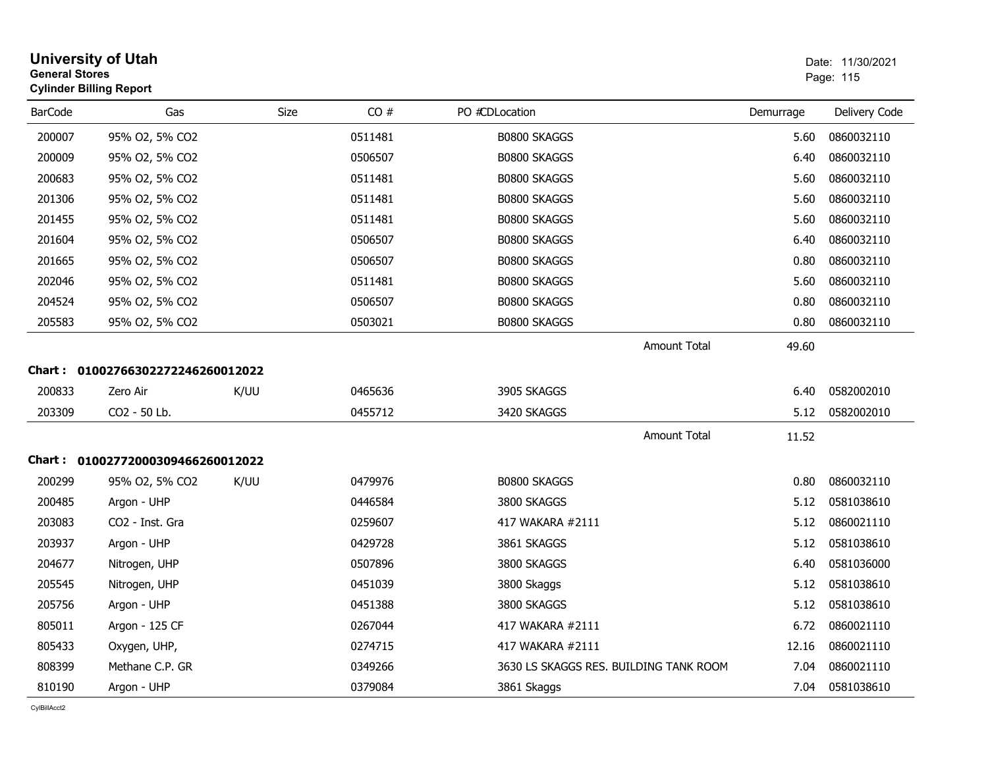| <b>General Stores</b> | <b>University of Utah</b><br><b>Cylinder Billing Report</b> |             |                    |                                                            |               | Date: 11/30/2021<br>Page: 115 |
|-----------------------|-------------------------------------------------------------|-------------|--------------------|------------------------------------------------------------|---------------|-------------------------------|
| <b>BarCode</b>        | Gas                                                         | <b>Size</b> | CO#                | PO #CDLocation                                             | Demurrage     | Delivery Code                 |
| 200007                | 95% O2, 5% CO2                                              |             | 0511481            | <b>B0800 SKAGGS</b>                                        | 5.60          | 0860032110                    |
| 200009                | 95% O2, 5% CO2                                              |             | 0506507            | <b>B0800 SKAGGS</b>                                        | 6.40          | 0860032110                    |
| 200683                | 95% O2, 5% CO2                                              |             | 0511481            | <b>B0800 SKAGGS</b>                                        | 5.60          | 0860032110                    |
| 201306                | 95% O2, 5% CO2                                              |             | 0511481            | <b>B0800 SKAGGS</b>                                        | 5.60          | 0860032110                    |
| 201455                | 95% O2, 5% CO2                                              |             | 0511481            | B0800 SKAGGS                                               | 5.60          | 0860032110                    |
| 201604                | 95% O2, 5% CO2                                              |             | 0506507            | B0800 SKAGGS                                               | 6.40          | 0860032110                    |
| 201665                | 95% O2, 5% CO2                                              |             | 0506507            | B0800 SKAGGS                                               | 0.80          | 0860032110                    |
| 202046                | 95% O2, 5% CO2                                              |             | 0511481            | B0800 SKAGGS                                               | 5.60          | 0860032110                    |
| 204524                | 95% O2, 5% CO2                                              |             | 0506507            | B0800 SKAGGS                                               | 0.80          | 0860032110                    |
| 205583                | 95% O2, 5% CO2                                              |             | 0503021            | <b>B0800 SKAGGS</b>                                        | 0.80          | 0860032110                    |
| 200833                | Chart: 01002766302272246260012022<br>Zero Air               | K/UU        | 0465636            | <b>Amount Total</b><br>3905 SKAGGS                         | 49.60<br>6.40 | 0582002010                    |
| 203309                | CO2 - 50 Lb.                                                |             | 0455712            | 3420 SKAGGS                                                | 5.12          | 0582002010                    |
|                       |                                                             |             |                    | <b>Amount Total</b>                                        | 11.52         |                               |
|                       | Chart: 01002772000309466260012022                           |             |                    |                                                            |               |                               |
| 200299                | 95% O2, 5% CO2                                              | K/UU        | 0479976            | B0800 SKAGGS                                               | 0.80          | 0860032110                    |
| 200485<br>203083      | Argon - UHP                                                 |             | 0446584            | 3800 SKAGGS                                                | 5.12          | 0581038610                    |
|                       | CO <sub>2</sub> - Inst. Gra                                 |             | 0259607            | 417 WAKARA #2111                                           | 5.12          | 0860021110                    |
| 203937<br>204677      | Argon - UHP                                                 |             | 0429728            | 3861 SKAGGS<br>3800 SKAGGS                                 | 5.12          | 0581038610                    |
| 205545                | Nitrogen, UHP                                               |             | 0507896            | 3800 Skaggs                                                | 6.40          | 0581036000<br>0581038610      |
|                       | Nitrogen, UHP                                               |             | 0451039            |                                                            | 5.12<br>5.12  |                               |
| 205756                | Argon - UHP                                                 |             | 0451388            | 3800 SKAGGS                                                |               | 0581038610                    |
| 805011                | Argon - 125 CF                                              |             | 0267044            | 417 WAKARA #2111                                           | 6.72          | 0860021110                    |
| 805433<br>808399      | Oxygen, UHP,<br>Methane C.P. GR                             |             | 0274715<br>0349266 | 417 WAKARA #2111<br>3630 LS SKAGGS RES. BUILDING TANK ROOM | 12.16<br>7.04 | 0860021110<br>0860021110      |
| 810190                | Argon - UHP                                                 |             | 0379084            | 3861 Skaggs                                                | 7.04          | 0581038610                    |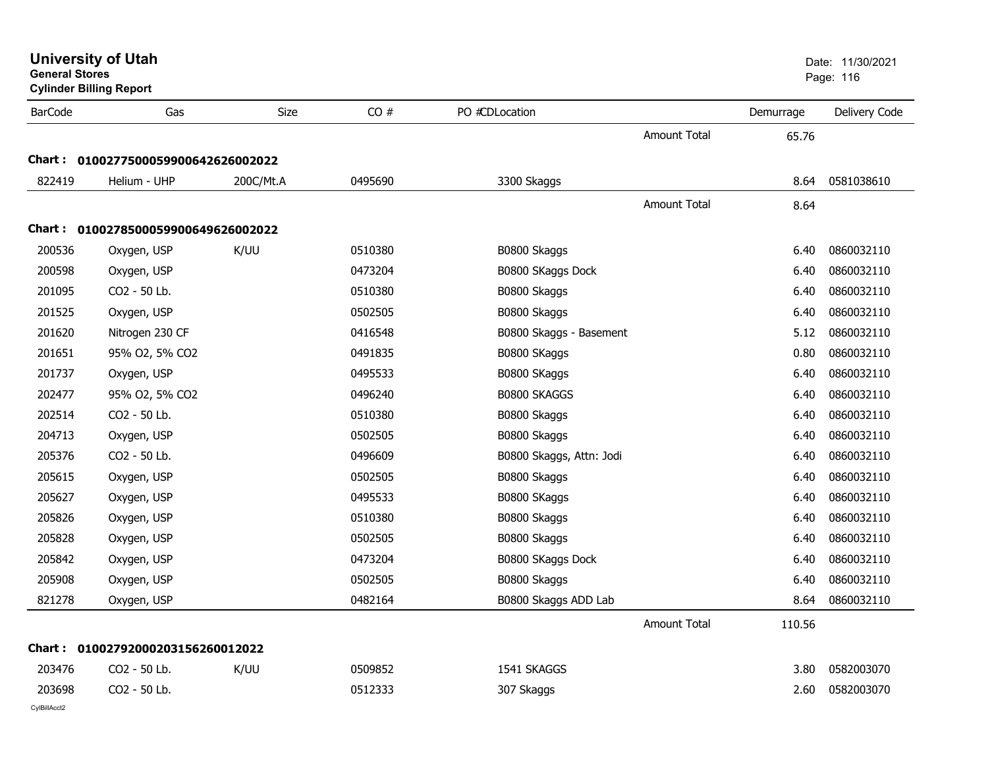| <b>General Stores</b> | <b>University of Utah</b><br><b>Cylinder Billing Report</b> |           |         |                          |                     |           | Date: 11/30/2021<br>Page: 116 |
|-----------------------|-------------------------------------------------------------|-----------|---------|--------------------------|---------------------|-----------|-------------------------------|
| <b>BarCode</b>        | Gas                                                         | Size      | CO#     | PO #CDLocation           |                     | Demurrage | Delivery Code                 |
|                       |                                                             |           |         |                          | <b>Amount Total</b> | 65.76     |                               |
|                       | Chart: 0100277500059900642626002022                         |           |         |                          |                     |           |                               |
| 822419                | Helium - UHP                                                | 200C/Mt.A | 0495690 | 3300 Skaggs              |                     | 8.64      | 0581038610                    |
|                       |                                                             |           |         |                          | <b>Amount Total</b> | 8.64      |                               |
|                       | Chart: 0100278500059900649626002022                         |           |         |                          |                     |           |                               |
| 200536                | Oxygen, USP                                                 | K/UU      | 0510380 | B0800 Skaggs             |                     | 6.40      | 0860032110                    |
| 200598                | Oxygen, USP                                                 |           | 0473204 | B0800 SKaggs Dock        |                     | 6.40      | 0860032110                    |
| 201095                | CO2 - 50 Lb.                                                |           | 0510380 | B0800 Skaggs             |                     | 6.40      | 0860032110                    |
| 201525                | Oxygen, USP                                                 |           | 0502505 | B0800 Skaggs             |                     | 6.40      | 0860032110                    |
| 201620                | Nitrogen 230 CF                                             |           | 0416548 | B0800 Skaggs - Basement  |                     | 5.12      | 0860032110                    |
| 201651                | 95% O2, 5% CO2                                              |           | 0491835 | B0800 SKaggs             |                     | 0.80      | 0860032110                    |
| 201737                | Oxygen, USP                                                 |           | 0495533 | B0800 SKaggs             |                     | 6.40      | 0860032110                    |
| 202477                | 95% O2, 5% CO2                                              |           | 0496240 | <b>B0800 SKAGGS</b>      |                     | 6.40      | 0860032110                    |
| 202514                | CO2 - 50 Lb.                                                |           | 0510380 | B0800 Skaggs             |                     | 6.40      | 0860032110                    |
| 204713                | Oxygen, USP                                                 |           | 0502505 | B0800 Skaggs             |                     | 6.40      | 0860032110                    |
| 205376                | CO2 - 50 Lb.                                                |           | 0496609 | B0800 Skaggs, Attn: Jodi |                     | 6.40      | 0860032110                    |
| 205615                | Oxygen, USP                                                 |           | 0502505 | B0800 Skaggs             |                     | 6.40      | 0860032110                    |
| 205627                | Oxygen, USP                                                 |           | 0495533 | B0800 SKaggs             |                     | 6.40      | 0860032110                    |
| 205826                | Oxygen, USP                                                 |           | 0510380 | B0800 Skaggs             |                     | 6.40      | 0860032110                    |
| 205828                | Oxygen, USP                                                 |           | 0502505 | B0800 Skaggs             |                     | 6.40      | 0860032110                    |
| 205842                | Oxygen, USP                                                 |           | 0473204 | B0800 SKaggs Dock        |                     | 6.40      | 0860032110                    |
| 205908                | Oxygen, USP                                                 |           | 0502505 | B0800 Skaggs             |                     | 6.40      | 0860032110                    |
| 821278                | Oxygen, USP                                                 |           | 0482164 | B0800 Skaggs ADD Lab     |                     | 8.64      | 0860032110                    |
|                       |                                                             |           |         |                          | <b>Amount Total</b> | 110.56    |                               |
|                       | Chart: 01002792000203156260012022                           |           |         |                          |                     |           |                               |
| 203476                | CO2 - 50 Lb.                                                | K/UU      | 0509852 | 1541 SKAGGS              |                     | 3.80      | 0582003070                    |
| 203698                | CO2 - 50 Lb.                                                |           | 0512333 | 307 Skaggs               |                     | 2.60      | 0582003070                    |
| CylBillAcct2          |                                                             |           |         |                          |                     |           |                               |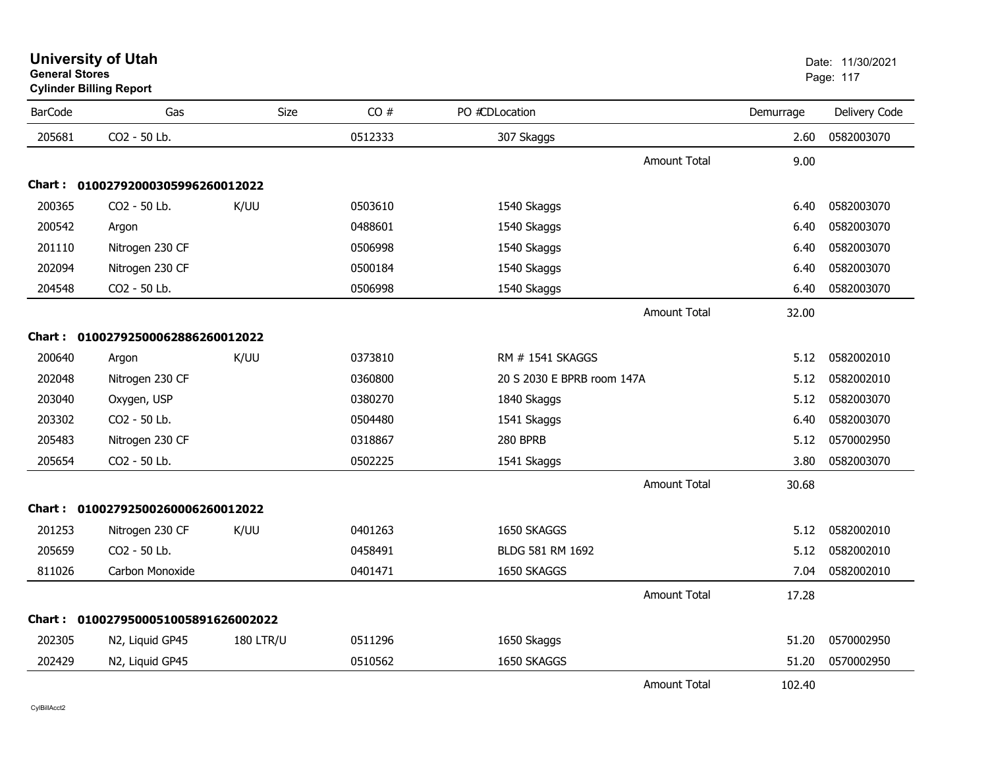| <b>University of Utah</b>                               | Date: 11/30/2021 |
|---------------------------------------------------------|------------------|
| <b>General Stores</b><br><b>Cylinder Billing Report</b> | Page: 117        |
|                                                         |                  |

| <b>BarCode</b> | Gas                                 | Size             | CO#     | PO #CDLocation             |                     | Demurrage | Delivery Code |
|----------------|-------------------------------------|------------------|---------|----------------------------|---------------------|-----------|---------------|
| 205681         | CO2 - 50 Lb.                        |                  | 0512333 | 307 Skaggs                 |                     | 2.60      | 0582003070    |
|                |                                     |                  |         |                            | <b>Amount Total</b> | 9.00      |               |
|                | Chart: 01002792000305996260012022   |                  |         |                            |                     |           |               |
| 200365         | CO2 - 50 Lb.                        | K/UU             | 0503610 | 1540 Skaggs                |                     | 6.40      | 0582003070    |
| 200542         | Argon                               |                  | 0488601 | 1540 Skaggs                |                     | 6.40      | 0582003070    |
| 201110         | Nitrogen 230 CF                     |                  | 0506998 | 1540 Skaggs                |                     | 6.40      | 0582003070    |
| 202094         | Nitrogen 230 CF                     |                  | 0500184 | 1540 Skaggs                |                     | 6.40      | 0582003070    |
| 204548         | CO2 - 50 Lb.                        |                  | 0506998 | 1540 Skaggs                |                     | 6.40      | 0582003070    |
|                |                                     |                  |         |                            | <b>Amount Total</b> | 32.00     |               |
|                | Chart: 01002792500062886260012022   |                  |         |                            |                     |           |               |
| 200640         | Argon                               | K/UU             | 0373810 | RM # 1541 SKAGGS           |                     | 5.12      | 0582002010    |
| 202048         | Nitrogen 230 CF                     |                  | 0360800 | 20 S 2030 E BPRB room 147A |                     | 5.12      | 0582002010    |
| 203040         | Oxygen, USP                         |                  | 0380270 | 1840 Skaggs                |                     | 5.12      | 0582003070    |
| 203302         | CO2 - 50 Lb.                        |                  | 0504480 | 1541 Skaggs                |                     | 6.40      | 0582003070    |
| 205483         | Nitrogen 230 CF                     |                  | 0318867 | 280 BPRB                   |                     | 5.12      | 0570002950    |
| 205654         | CO2 - 50 Lb.                        |                  | 0502225 | 1541 Skaggs                |                     | 3.80      | 0582003070    |
|                |                                     |                  |         |                            | <b>Amount Total</b> | 30.68     |               |
|                | Chart: 01002792500260006260012022   |                  |         |                            |                     |           |               |
| 201253         | Nitrogen 230 CF                     | K/UU             | 0401263 | 1650 SKAGGS                |                     | 5.12      | 0582002010    |
| 205659         | CO2 - 50 Lb.                        |                  | 0458491 | BLDG 581 RM 1692           |                     | 5.12      | 0582002010    |
| 811026         | Carbon Monoxide                     |                  | 0401471 | 1650 SKAGGS                |                     | 7.04      | 0582002010    |
|                |                                     |                  |         |                            | <b>Amount Total</b> | 17.28     |               |
|                | Chart: 0100279500051005891626002022 |                  |         |                            |                     |           |               |
| 202305         | N2, Liquid GP45                     | <b>180 LTR/U</b> | 0511296 | 1650 Skaggs                |                     | 51.20     | 0570002950    |
| 202429         | N2, Liquid GP45                     |                  | 0510562 | 1650 SKAGGS                |                     | 51.20     | 0570002950    |
|                |                                     |                  |         |                            | <b>Amount Total</b> | 102.40    |               |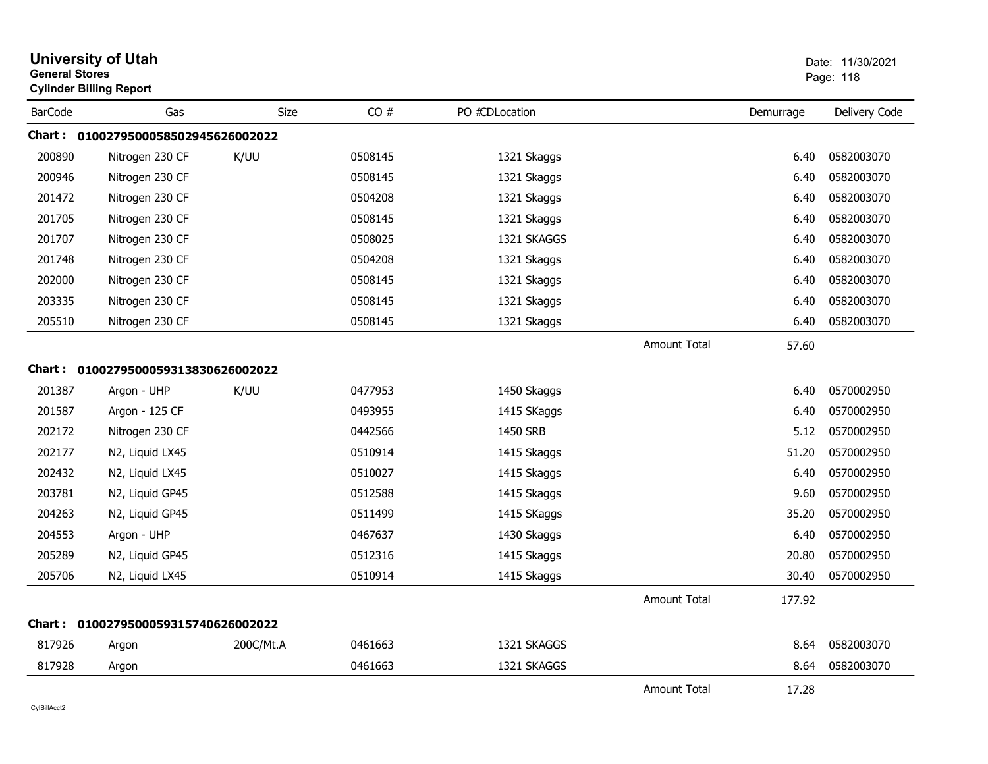| <b>General Stores</b> | <b>University of Utah</b><br><b>Cylinder Billing Report</b> |           |         |                |                     |           | Date: 11/30/2021<br>Page: 118 |
|-----------------------|-------------------------------------------------------------|-----------|---------|----------------|---------------------|-----------|-------------------------------|
| <b>BarCode</b>        | Gas                                                         | Size      | CO#     | PO #CDLocation |                     | Demurrage | Delivery Code                 |
|                       | Chart: 0100279500058502945626002022                         |           |         |                |                     |           |                               |
| 200890                | Nitrogen 230 CF                                             | K/UU      | 0508145 | 1321 Skaggs    |                     | 6.40      | 0582003070                    |
| 200946                | Nitrogen 230 CF                                             |           | 0508145 | 1321 Skaggs    |                     | 6.40      | 0582003070                    |
| 201472                | Nitrogen 230 CF                                             |           | 0504208 | 1321 Skaggs    |                     | 6.40      | 0582003070                    |
| 201705                | Nitrogen 230 CF                                             |           | 0508145 | 1321 Skaggs    |                     | 6.40      | 0582003070                    |
| 201707                | Nitrogen 230 CF                                             |           | 0508025 | 1321 SKAGGS    |                     | 6.40      | 0582003070                    |
| 201748                | Nitrogen 230 CF                                             |           | 0504208 | 1321 Skaggs    |                     | 6.40      | 0582003070                    |
| 202000                | Nitrogen 230 CF                                             |           | 0508145 | 1321 Skaggs    |                     | 6.40      | 0582003070                    |
| 203335                | Nitrogen 230 CF                                             |           | 0508145 | 1321 Skaggs    |                     | 6.40      | 0582003070                    |
| 205510                | Nitrogen 230 CF                                             |           | 0508145 | 1321 Skaggs    |                     | 6.40      | 0582003070                    |
|                       |                                                             |           |         |                | <b>Amount Total</b> | 57.60     |                               |
|                       | Chart: 0100279500059313830626002022                         |           |         |                |                     |           |                               |
| 201387                | Argon - UHP                                                 | K/UU      | 0477953 | 1450 Skaggs    |                     | 6.40      | 0570002950                    |
| 201587                | Argon - 125 CF                                              |           | 0493955 | 1415 SKaggs    |                     | 6.40      | 0570002950                    |
| 202172                | Nitrogen 230 CF                                             |           | 0442566 | 1450 SRB       |                     | 5.12      | 0570002950                    |
| 202177                | N2, Liquid LX45                                             |           | 0510914 | 1415 Skaggs    |                     | 51.20     | 0570002950                    |
| 202432                | N2, Liquid LX45                                             |           | 0510027 | 1415 Skaggs    |                     | 6.40      | 0570002950                    |
| 203781                | N2, Liquid GP45                                             |           | 0512588 | 1415 Skaggs    |                     | 9.60      | 0570002950                    |
| 204263                | N2, Liquid GP45                                             |           | 0511499 | 1415 SKaggs    |                     | 35.20     | 0570002950                    |
| 204553                | Argon - UHP                                                 |           | 0467637 | 1430 Skaggs    |                     | 6.40      | 0570002950                    |
| 205289                | N2, Liquid GP45                                             |           | 0512316 | 1415 Skaggs    |                     | 20.80     | 0570002950                    |
| 205706                | N2, Liquid LX45                                             |           | 0510914 | 1415 Skaggs    |                     | 30.40     | 0570002950                    |
|                       |                                                             |           |         |                | <b>Amount Total</b> | 177.92    |                               |
|                       | Chart: 0100279500059315740626002022                         |           |         |                |                     |           |                               |
| 817926                | Argon                                                       | 200C/Mt.A | 0461663 | 1321 SKAGGS    |                     | 8.64      | 0582003070                    |
| 817928                | Argon                                                       |           | 0461663 | 1321 SKAGGS    |                     | 8.64      | 0582003070                    |
|                       |                                                             |           |         |                | <b>Amount Total</b> | 17.28     |                               |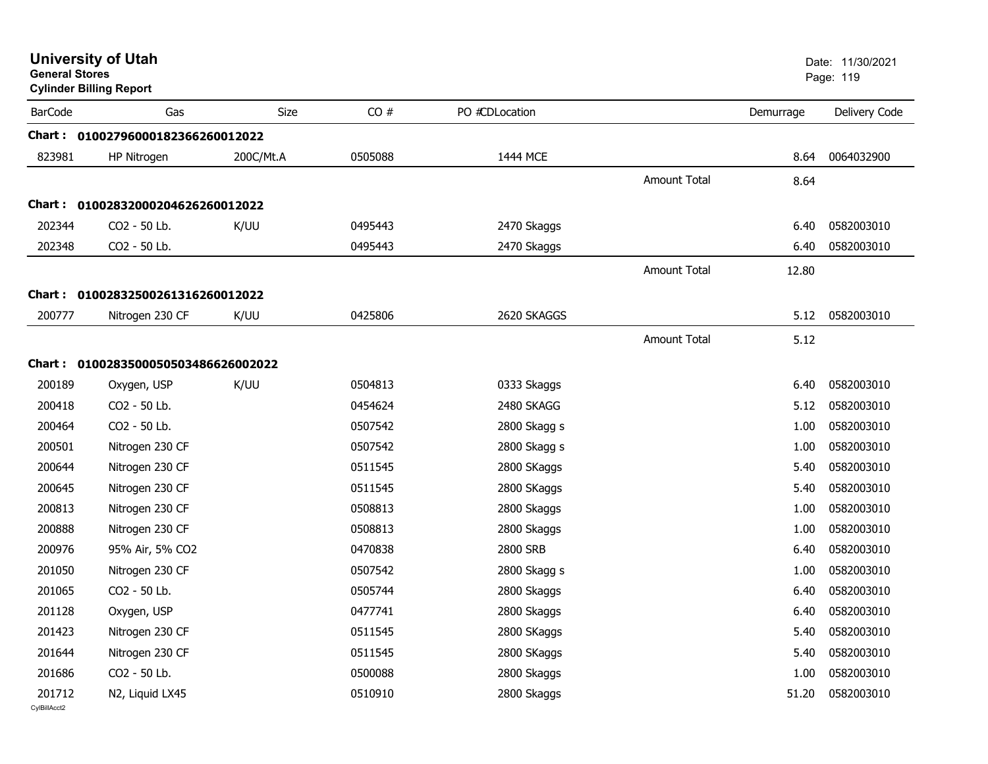| <b>General Stores</b>  | <b>University of Utah</b><br><b>Cylinder Billing Report</b> |             |         |                |                     |           | Date: 11/30/2021<br>Page: 119 |
|------------------------|-------------------------------------------------------------|-------------|---------|----------------|---------------------|-----------|-------------------------------|
| <b>BarCode</b>         | Gas                                                         | <b>Size</b> | CO#     | PO #CDLocation |                     | Demurrage | Delivery Code                 |
|                        | Chart: 01002796000182366260012022                           |             |         |                |                     |           |                               |
| 823981                 | HP Nitrogen                                                 | 200C/Mt.A   | 0505088 | 1444 MCE       |                     | 8.64      | 0064032900                    |
|                        |                                                             |             |         |                | <b>Amount Total</b> | 8.64      |                               |
|                        | Chart: 01002832000204626260012022                           |             |         |                |                     |           |                               |
| 202344                 | CO2 - 50 Lb.                                                | K/UU        | 0495443 | 2470 Skaggs    |                     | 6.40      | 0582003010                    |
| 202348                 | CO2 - 50 Lb.                                                |             | 0495443 | 2470 Skaggs    |                     | 6.40      | 0582003010                    |
|                        |                                                             |             |         |                | <b>Amount Total</b> | 12.80     |                               |
|                        | Chart: 01002832500261316260012022                           |             |         |                |                     |           |                               |
| 200777                 | Nitrogen 230 CF                                             | K/UU        | 0425806 | 2620 SKAGGS    |                     | 5.12      | 0582003010                    |
|                        |                                                             |             |         |                | <b>Amount Total</b> | 5.12      |                               |
|                        | Chart: 0100283500050503486626002022                         |             |         |                |                     |           |                               |
| 200189                 | Oxygen, USP                                                 | K/UU        | 0504813 | 0333 Skaggs    |                     | 6.40      | 0582003010                    |
| 200418                 | CO2 - 50 Lb.                                                |             | 0454624 | 2480 SKAGG     |                     | 5.12      | 0582003010                    |
| 200464                 | CO2 - 50 Lb.                                                |             | 0507542 | 2800 Skagg s   |                     | 1.00      | 0582003010                    |
| 200501                 | Nitrogen 230 CF                                             |             | 0507542 | 2800 Skagg s   |                     | 1.00      | 0582003010                    |
| 200644                 | Nitrogen 230 CF                                             |             | 0511545 | 2800 SKaggs    |                     | 5.40      | 0582003010                    |
| 200645                 | Nitrogen 230 CF                                             |             | 0511545 | 2800 SKaggs    |                     | 5.40      | 0582003010                    |
| 200813                 | Nitrogen 230 CF                                             |             | 0508813 | 2800 Skaggs    |                     | 1.00      | 0582003010                    |
| 200888                 | Nitrogen 230 CF                                             |             | 0508813 | 2800 Skaggs    |                     | 1.00      | 0582003010                    |
| 200976                 | 95% Air, 5% CO2                                             |             | 0470838 | 2800 SRB       |                     | 6.40      | 0582003010                    |
| 201050                 | Nitrogen 230 CF                                             |             | 0507542 | 2800 Skagg s   |                     | 1.00      | 0582003010                    |
| 201065                 | CO2 - 50 Lb.                                                |             | 0505744 | 2800 Skaggs    |                     | 6.40      | 0582003010                    |
| 201128                 | Oxygen, USP                                                 |             | 0477741 | 2800 Skaggs    |                     | 6.40      | 0582003010                    |
| 201423                 | Nitrogen 230 CF                                             |             | 0511545 | 2800 SKaggs    |                     | 5.40      | 0582003010                    |
| 201644                 | Nitrogen 230 CF                                             |             | 0511545 | 2800 SKaggs    |                     | 5.40      | 0582003010                    |
| 201686                 | CO2 - 50 Lb.                                                |             | 0500088 | 2800 Skaggs    |                     | 1.00      | 0582003010                    |
| 201712<br>CvIBillAcct2 | N2, Liquid LX45                                             |             | 0510910 | 2800 Skaggs    |                     | 51.20     | 0582003010                    |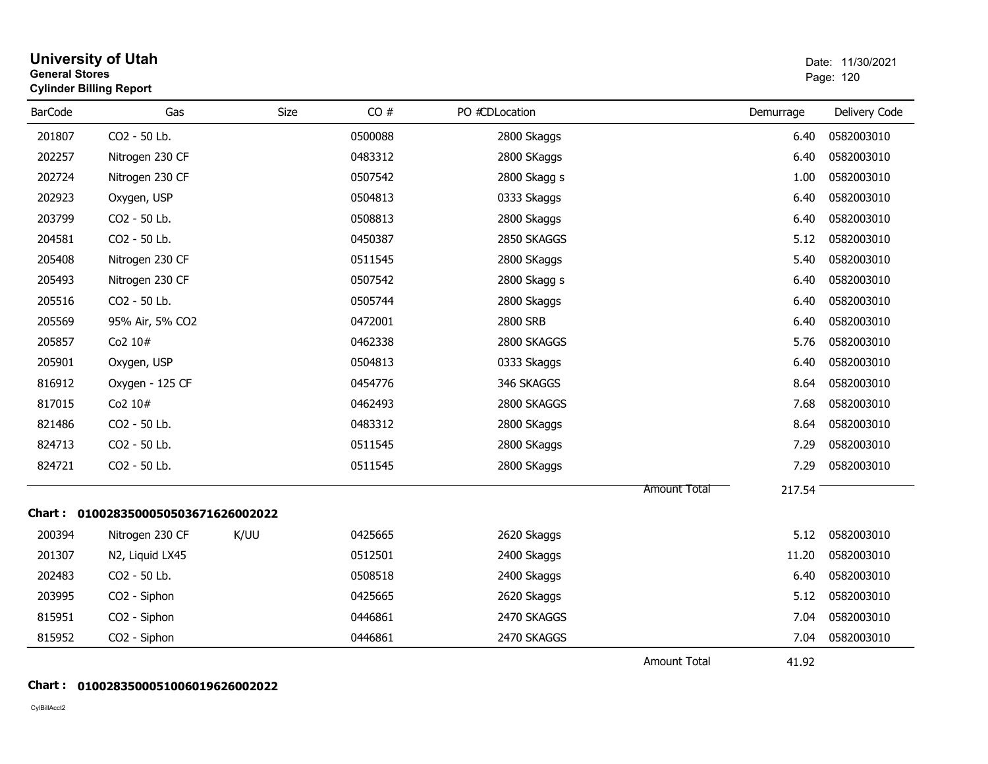| <b>General Stores</b> | <b>University of Utah</b><br><b>Cylinder Billing Report</b> |      |         |                |                     |           | Date: 11/30/2021<br>Page: 120 |
|-----------------------|-------------------------------------------------------------|------|---------|----------------|---------------------|-----------|-------------------------------|
| <b>BarCode</b>        | Gas                                                         | Size | CO#     | PO #CDLocation |                     | Demurrage | Delivery Code                 |
| 201807                | CO2 - 50 Lb.                                                |      | 0500088 | 2800 Skaggs    |                     | 6.40      | 0582003010                    |
| 202257                | Nitrogen 230 CF                                             |      | 0483312 | 2800 SKaggs    |                     | 6.40      | 0582003010                    |
| 202724                | Nitrogen 230 CF                                             |      | 0507542 | 2800 Skagg s   |                     | 1.00      | 0582003010                    |
| 202923                | Oxygen, USP                                                 |      | 0504813 | 0333 Skaggs    |                     | 6.40      | 0582003010                    |
| 203799                | CO2 - 50 Lb.                                                |      | 0508813 | 2800 Skaggs    |                     | 6.40      | 0582003010                    |
| 204581                | CO2 - 50 Lb.                                                |      | 0450387 | 2850 SKAGGS    |                     | 5.12      | 0582003010                    |
| 205408                | Nitrogen 230 CF                                             |      | 0511545 | 2800 SKaggs    |                     | 5.40      | 0582003010                    |
| 205493                | Nitrogen 230 CF                                             |      | 0507542 | 2800 Skagg s   |                     | 6.40      | 0582003010                    |
| 205516                | CO2 - 50 Lb.                                                |      | 0505744 | 2800 Skaggs    |                     | 6.40      | 0582003010                    |
| 205569                | 95% Air, 5% CO2                                             |      | 0472001 | 2800 SRB       |                     | 6.40      | 0582003010                    |
| 205857                | Co2 10#                                                     |      | 0462338 | 2800 SKAGGS    |                     | 5.76      | 0582003010                    |
| 205901                | Oxygen, USP                                                 |      | 0504813 | 0333 Skaggs    |                     | 6.40      | 0582003010                    |
| 816912                | Oxygen - 125 CF                                             |      | 0454776 | 346 SKAGGS     |                     | 8.64      | 0582003010                    |
| 817015                | Co2 10#                                                     |      | 0462493 | 2800 SKAGGS    |                     | 7.68      | 0582003010                    |
| 821486                | CO2 - 50 Lb.                                                |      | 0483312 | 2800 SKaggs    |                     | 8.64      | 0582003010                    |
| 824713                | CO2 - 50 Lb.                                                |      | 0511545 | 2800 SKaggs    |                     | 7.29      | 0582003010                    |
| 824721                | CO2 - 50 Lb.                                                |      | 0511545 | 2800 SKaggs    |                     | 7.29      | 0582003010                    |
|                       |                                                             |      |         |                | Amount Total        | 217.54    |                               |
|                       | Chart: 0100283500050503671626002022                         |      |         |                |                     |           |                               |
| 200394                | Nitrogen 230 CF                                             | K/UU | 0425665 | 2620 Skaggs    |                     | 5.12      | 0582003010                    |
| 201307                | N2, Liquid LX45                                             |      | 0512501 | 2400 Skaggs    |                     | 11.20     | 0582003010                    |
| 202483                | CO2 - 50 Lb.                                                |      | 0508518 | 2400 Skaggs    |                     | 6.40      | 0582003010                    |
| 203995                | CO2 - Siphon                                                |      | 0425665 | 2620 Skaggs    |                     | 5.12      | 0582003010                    |
| 815951                | CO2 - Siphon                                                |      | 0446861 | 2470 SKAGGS    |                     | 7.04      | 0582003010                    |
| 815952                | CO2 - Siphon                                                |      | 0446861 | 2470 SKAGGS    |                     | 7.04      | 0582003010                    |
|                       |                                                             |      |         |                | <b>Amount Total</b> | 41.92     |                               |

#### **Chart : 0100283500051006019626002022**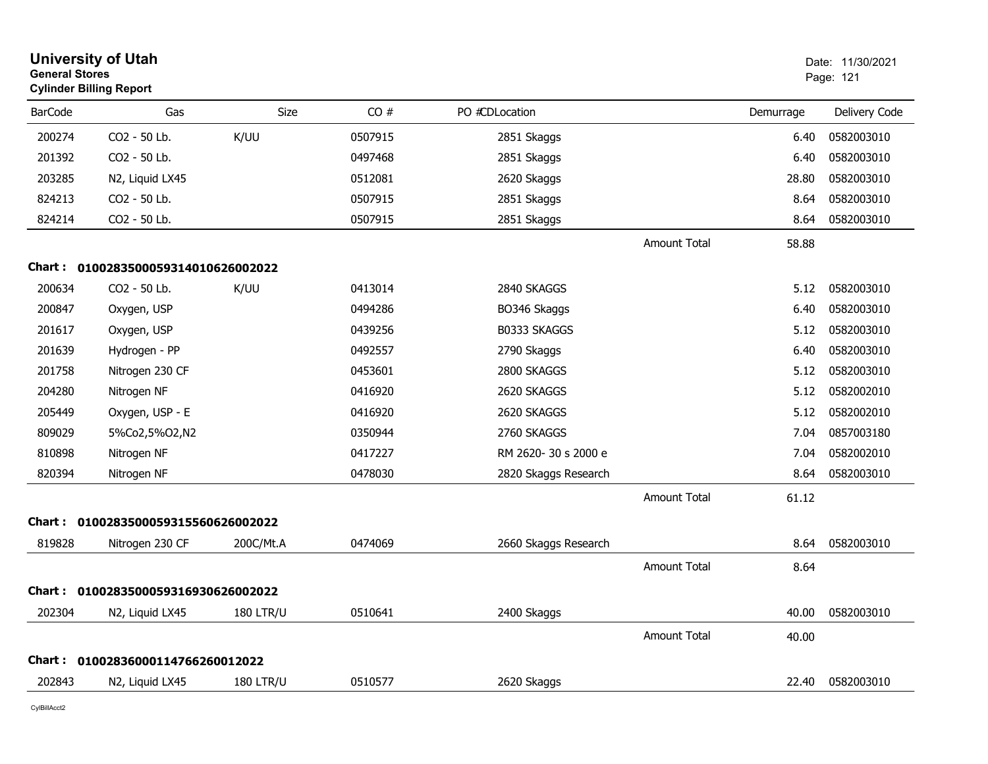| <b>General Stores</b> | <b>University of Utah</b><br><b>Cylinder Billing Report</b> |                  |         |                      |                     |           | Date: 11/30/2021<br>Page: 121 |
|-----------------------|-------------------------------------------------------------|------------------|---------|----------------------|---------------------|-----------|-------------------------------|
| <b>BarCode</b>        | Gas                                                         | Size             | CO#     | PO #CDLocation       |                     | Demurrage | Delivery Code                 |
| 200274                | CO2 - 50 Lb.                                                | K/UU             | 0507915 | 2851 Skaggs          |                     | 6.40      | 0582003010                    |
| 201392                | CO2 - 50 Lb.                                                |                  | 0497468 | 2851 Skaggs          |                     | 6.40      | 0582003010                    |
| 203285                | N2, Liquid LX45                                             |                  | 0512081 | 2620 Skaggs          |                     | 28.80     | 0582003010                    |
| 824213                | CO2 - 50 Lb.                                                |                  | 0507915 | 2851 Skaggs          |                     | 8.64      | 0582003010                    |
| 824214                | CO2 - 50 Lb.                                                |                  | 0507915 | 2851 Skaggs          |                     | 8.64      | 0582003010                    |
|                       |                                                             |                  |         |                      | <b>Amount Total</b> | 58.88     |                               |
|                       | Chart: 0100283500059314010626002022                         |                  |         |                      |                     |           |                               |
| 200634                | CO <sub>2</sub> - 50 Lb.                                    | K/UU             | 0413014 | 2840 SKAGGS          |                     | 5.12      | 0582003010                    |
| 200847                | Oxygen, USP                                                 |                  | 0494286 | BO346 Skaggs         |                     | 6.40      | 0582003010                    |
| 201617                | Oxygen, USP                                                 |                  | 0439256 | B0333 SKAGGS         |                     | 5.12      | 0582003010                    |
| 201639                | Hydrogen - PP                                               |                  | 0492557 | 2790 Skaggs          |                     | 6.40      | 0582003010                    |
| 201758                | Nitrogen 230 CF                                             |                  | 0453601 | 2800 SKAGGS          |                     | 5.12      | 0582003010                    |
| 204280                | Nitrogen NF                                                 |                  | 0416920 | 2620 SKAGGS          |                     | 5.12      | 0582002010                    |
| 205449                | Oxygen, USP - E                                             |                  | 0416920 | 2620 SKAGGS          |                     | 5.12      | 0582002010                    |
| 809029                | 5%Co2,5%O2,N2                                               |                  | 0350944 | 2760 SKAGGS          |                     | 7.04      | 0857003180                    |
| 810898                | Nitrogen NF                                                 |                  | 0417227 | RM 2620-30 s 2000 e  |                     | 7.04      | 0582002010                    |
| 820394                | Nitrogen NF                                                 |                  | 0478030 | 2820 Skaggs Research |                     | 8.64      | 0582003010                    |
|                       |                                                             |                  |         |                      | Amount Total        | 61.12     |                               |
| Chart :               | 0100283500059315560626002022                                |                  |         |                      |                     |           |                               |
| 819828                | Nitrogen 230 CF                                             | 200C/Mt.A        | 0474069 | 2660 Skaggs Research |                     | 8.64      | 0582003010                    |
|                       |                                                             |                  |         |                      | Amount Total        | 8.64      |                               |
| Chart :               | 0100283500059316930626002022                                |                  |         |                      |                     |           |                               |
| 202304                | N2, Liquid LX45                                             | <b>180 LTR/U</b> | 0510641 | 2400 Skaggs          |                     | 40.00     | 0582003010                    |
|                       |                                                             |                  |         |                      | Amount Total        | 40.00     |                               |
| <b>Chart :</b>        | 01002836000114766260012022                                  |                  |         |                      |                     |           |                               |
| 202843                | N2, Liquid LX45                                             | <b>180 LTR/U</b> | 0510577 | 2620 Skaggs          |                     | 22.40     | 0582003010                    |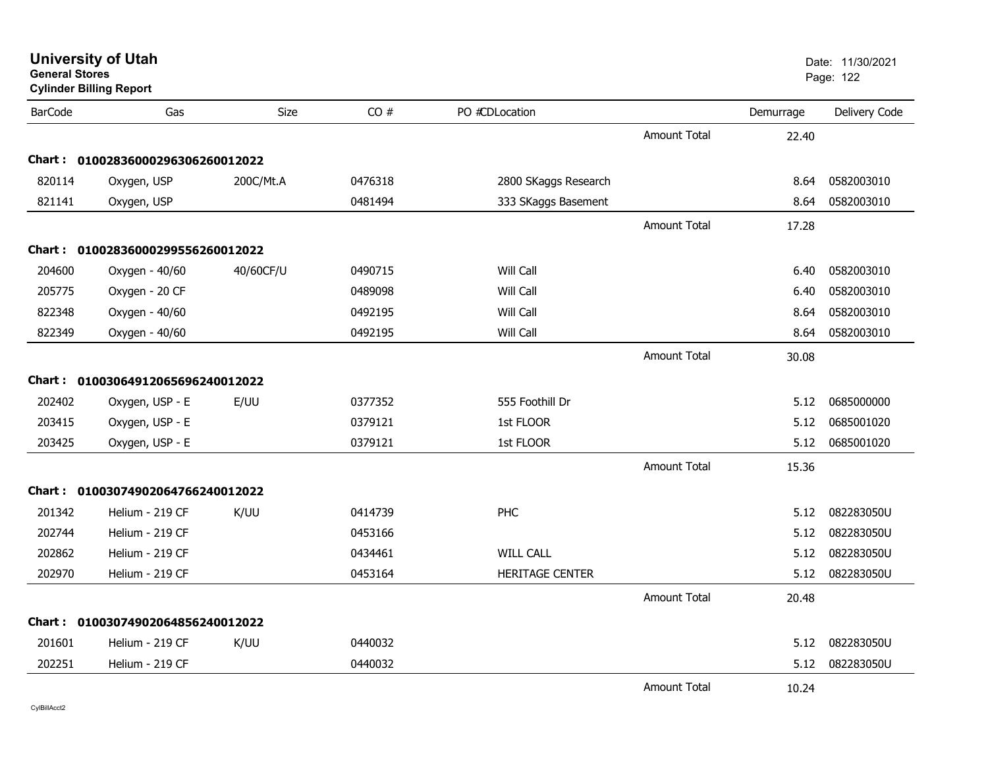| General Stores | <b>Cylinder Billing Report</b>    |             |         |                        |                     |           | Page: 122     |
|----------------|-----------------------------------|-------------|---------|------------------------|---------------------|-----------|---------------|
| <b>BarCode</b> | Gas                               | <b>Size</b> | CO#     | PO #CDLocation         |                     | Demurrage | Delivery Code |
|                |                                   |             |         |                        | <b>Amount Total</b> | 22.40     |               |
| Chart :        | 01002836000296306260012022        |             |         |                        |                     |           |               |
| 820114         | Oxygen, USP                       | 200C/Mt.A   | 0476318 | 2800 SKaggs Research   |                     | 8.64      | 0582003010    |
| 821141         | Oxygen, USP                       |             | 0481494 | 333 SKaggs Basement    |                     | 8.64      | 0582003010    |
|                |                                   |             |         |                        | <b>Amount Total</b> | 17.28     |               |
| Chart :        | 01002836000299556260012022        |             |         |                        |                     |           |               |
| 204600         | Oxygen - 40/60                    | 40/60CF/U   | 0490715 | Will Call              |                     | 6.40      | 0582003010    |
| 205775         | Oxygen - 20 CF                    |             | 0489098 | Will Call              |                     | 6.40      | 0582003010    |
| 822348         | Oxygen - 40/60                    |             | 0492195 | Will Call              |                     | 8.64      | 0582003010    |
| 822349         | Oxygen - 40/60                    |             | 0492195 | Will Call              |                     | 8.64      | 0582003010    |
|                |                                   |             |         |                        | Amount Total        | 30.08     |               |
|                | Chart: 01003064912065696240012022 |             |         |                        |                     |           |               |
| 202402         | Oxygen, USP - E                   | E/UU        | 0377352 | 555 Foothill Dr        |                     | 5.12      | 0685000000    |
| 203415         | Oxygen, USP - E                   |             | 0379121 | 1st FLOOR              |                     | 5.12      | 0685001020    |
| 203425         | Oxygen, USP - E                   |             | 0379121 | 1st FLOOR              |                     | 5.12      | 0685001020    |
|                |                                   |             |         |                        | Amount Total        | 15.36     |               |
| Chart :        | 01003074902064766240012022        |             |         |                        |                     |           |               |
| 201342         | Helium - 219 CF                   | K/UU        | 0414739 | PHC                    |                     | 5.12      | 082283050U    |
| 202744         | Helium - 219 CF                   |             | 0453166 |                        |                     | 5.12      | 082283050U    |
| 202862         | Helium - 219 CF                   |             | 0434461 | <b>WILL CALL</b>       |                     | 5.12      | 082283050U    |
| 202970         | Helium - 219 CF                   |             | 0453164 | <b>HERITAGE CENTER</b> |                     | 5.12      | 082283050U    |
|                |                                   |             |         |                        | Amount Total        | 20.48     |               |
| Chart :        | 01003074902064856240012022        |             |         |                        |                     |           |               |
| 201601         | Helium - 219 CF                   | K/UU        | 0440032 |                        |                     | 5.12      | 082283050U    |
| 202251         | Helium - 219 CF                   |             | 0440032 |                        |                     | 5.12      | 082283050U    |
|                |                                   |             |         |                        | <b>Amount Total</b> | 10.24     |               |

#### **University of Utah** Date: 11/30/2021 **General Stores**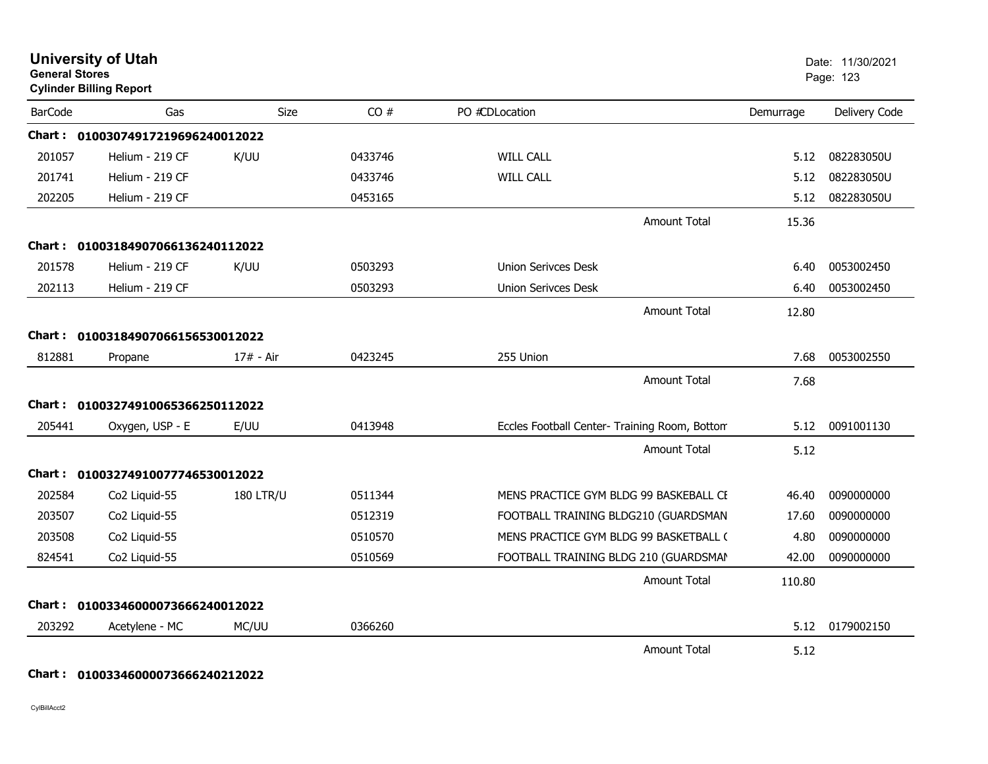| <b>General Stores</b> | <b>University of Utah</b><br><b>Cylinder Billing Report</b> |                  |         |                                               |           | Date: 11/30/2021<br>Page: 123 |
|-----------------------|-------------------------------------------------------------|------------------|---------|-----------------------------------------------|-----------|-------------------------------|
| <b>BarCode</b>        | Gas                                                         | Size             | CO#     | PO #CDLocation                                | Demurrage | Delivery Code                 |
|                       | Chart: 01003074917219696240012022                           |                  |         |                                               |           |                               |
| 201057                | Helium - 219 CF                                             | K/UU             | 0433746 | <b>WILL CALL</b>                              | 5.12      | 082283050U                    |
| 201741                | Helium - 219 CF                                             |                  | 0433746 | <b>WILL CALL</b>                              | 5.12      | 082283050U                    |
| 202205                | Helium - 219 CF                                             |                  | 0453165 |                                               | 5.12      | 082283050U                    |
|                       |                                                             |                  |         | <b>Amount Total</b>                           | 15.36     |                               |
|                       | Chart: 01003184907066136240112022                           |                  |         |                                               |           |                               |
| 201578                | Helium - 219 CF                                             | K/UU             | 0503293 | <b>Union Serivces Desk</b>                    | 6.40      | 0053002450                    |
| 202113                | Helium - 219 CF                                             |                  | 0503293 | <b>Union Serivces Desk</b>                    | 6.40      | 0053002450                    |
|                       |                                                             |                  |         | <b>Amount Total</b>                           | 12.80     |                               |
|                       | Chart: 01003184907066156530012022                           |                  |         |                                               |           |                               |
| 812881                | Propane                                                     | 17# - Air        | 0423245 | 255 Union                                     | 7.68      | 0053002550                    |
|                       |                                                             |                  |         | <b>Amount Total</b>                           | 7.68      |                               |
|                       | Chart: 01003274910065366250112022                           |                  |         |                                               |           |                               |
| 205441                | Oxygen, USP - E                                             | E/UU             | 0413948 | Eccles Football Center- Training Room, Bottom | 5.12      | 0091001130                    |
|                       |                                                             |                  |         | Amount Total                                  | 5.12      |                               |
|                       | Chart: 01003274910077746530012022                           |                  |         |                                               |           |                               |
| 202584                | Co2 Liquid-55                                               | <b>180 LTR/U</b> | 0511344 | MENS PRACTICE GYM BLDG 99 BASKEBALL CE        | 46.40     | 0090000000                    |
| 203507                | Co2 Liquid-55                                               |                  | 0512319 | FOOTBALL TRAINING BLDG210 (GUARDSMAN          | 17.60     | 0090000000                    |
| 203508                | Co2 Liquid-55                                               |                  | 0510570 | MENS PRACTICE GYM BLDG 99 BASKETBALL (        | 4.80      | 0090000000                    |
| 824541                | Co2 Liquid-55                                               |                  | 0510569 | FOOTBALL TRAINING BLDG 210 (GUARDSMAN         | 42.00     | 0090000000                    |
|                       |                                                             |                  |         | <b>Amount Total</b>                           | 110.80    |                               |
| <b>Chart :</b>        | 01003346000073666240012022                                  |                  |         |                                               |           |                               |
| 203292                | Acetylene - MC                                              | MC/UU            | 0366260 |                                               | 5.12      | 0179002150                    |
|                       |                                                             |                  |         | <b>Amount Total</b>                           | 5.12      |                               |

**Chart : 01003346000073666240212022**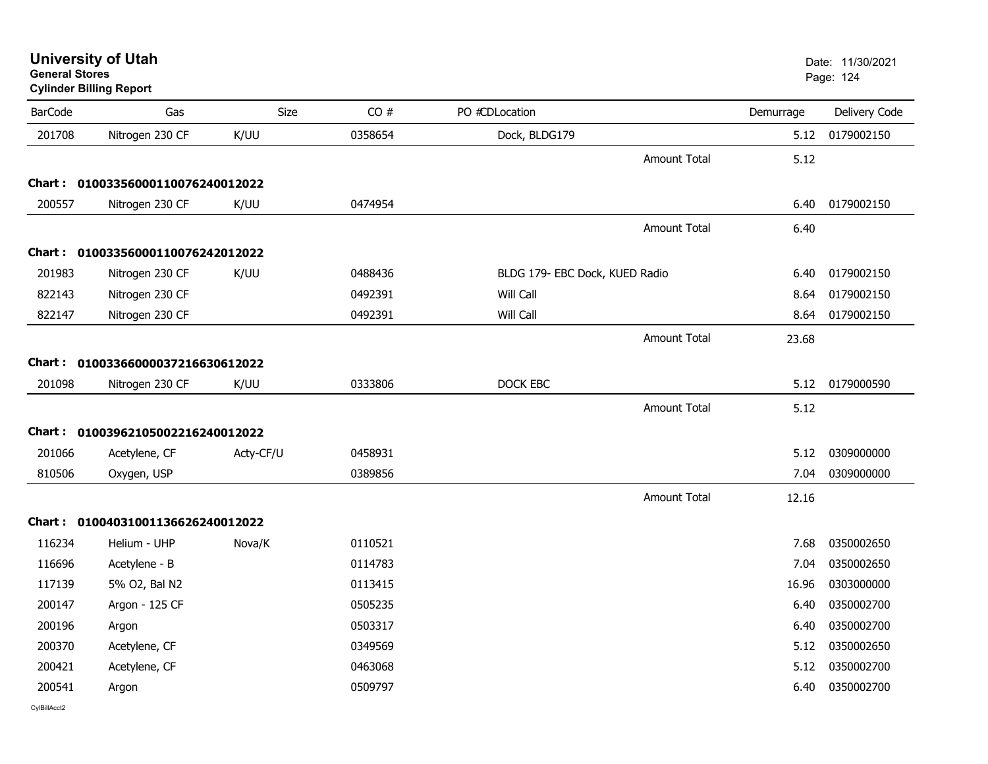| <b>General Stores</b> | <b>Cylinder Billing Report</b>    |           |         |                                |                     |           | Page: 124     |
|-----------------------|-----------------------------------|-----------|---------|--------------------------------|---------------------|-----------|---------------|
| <b>BarCode</b>        | Gas                               | Size      | CO#     | PO #CDLocation                 |                     | Demurrage | Delivery Code |
| 201708                | Nitrogen 230 CF                   | K/UU      | 0358654 | Dock, BLDG179                  |                     | 5.12      | 0179002150    |
|                       |                                   |           |         |                                | <b>Amount Total</b> | 5.12      |               |
|                       | Chart: 01003356000110076240012022 |           |         |                                |                     |           |               |
| 200557                | Nitrogen 230 CF                   | K/UU      | 0474954 |                                |                     | 6.40      | 0179002150    |
|                       |                                   |           |         |                                | <b>Amount Total</b> | 6.40      |               |
|                       | Chart: 01003356000110076242012022 |           |         |                                |                     |           |               |
| 201983                | Nitrogen 230 CF                   | K/UU      | 0488436 | BLDG 179- EBC Dock, KUED Radio |                     | 6.40      | 0179002150    |
| 822143                | Nitrogen 230 CF                   |           | 0492391 | Will Call                      |                     | 8.64      | 0179002150    |
| 822147                | Nitrogen 230 CF                   |           | 0492391 | Will Call                      |                     | 8.64      | 0179002150    |
|                       |                                   |           |         |                                | <b>Amount Total</b> | 23.68     |               |
|                       | Chart: 01003366000037216630612022 |           |         |                                |                     |           |               |
| 201098                | Nitrogen 230 CF                   | K/UU      | 0333806 | DOCK EBC                       |                     | 5.12      | 0179000590    |
|                       |                                   |           |         |                                | <b>Amount Total</b> | 5.12      |               |
|                       | Chart: 01003962105002216240012022 |           |         |                                |                     |           |               |
| 201066                | Acetylene, CF                     | Acty-CF/U | 0458931 |                                |                     | 5.12      | 0309000000    |
| 810506                | Oxygen, USP                       |           | 0389856 |                                |                     | 7.04      | 0309000000    |
|                       |                                   |           |         |                                | <b>Amount Total</b> | 12.16     |               |
|                       | Chart: 01004031001136626240012022 |           |         |                                |                     |           |               |
| 116234                | Helium - UHP                      | Nova/K    | 0110521 |                                |                     | 7.68      | 0350002650    |
| 116696                | Acetylene - B                     |           | 0114783 |                                |                     | 7.04      | 0350002650    |
| 117139                | 5% O2, Bal N2                     |           | 0113415 |                                |                     | 16.96     | 0303000000    |
| 200147                | Argon - 125 CF                    |           | 0505235 |                                |                     | 6.40      | 0350002700    |
| 200196                | Argon                             |           | 0503317 |                                |                     | 6.40      | 0350002700    |
| 200370                | Acetylene, CF                     |           | 0349569 |                                |                     | 5.12      | 0350002650    |
| 200421                | Acetylene, CF                     |           | 0463068 |                                |                     | 5.12      | 0350002700    |
| 200541                | Argon                             |           | 0509797 |                                |                     | 6.40      | 0350002700    |
|                       |                                   |           |         |                                |                     |           |               |

#### **University of Utah** Date: 11/30/2021 **General Stores**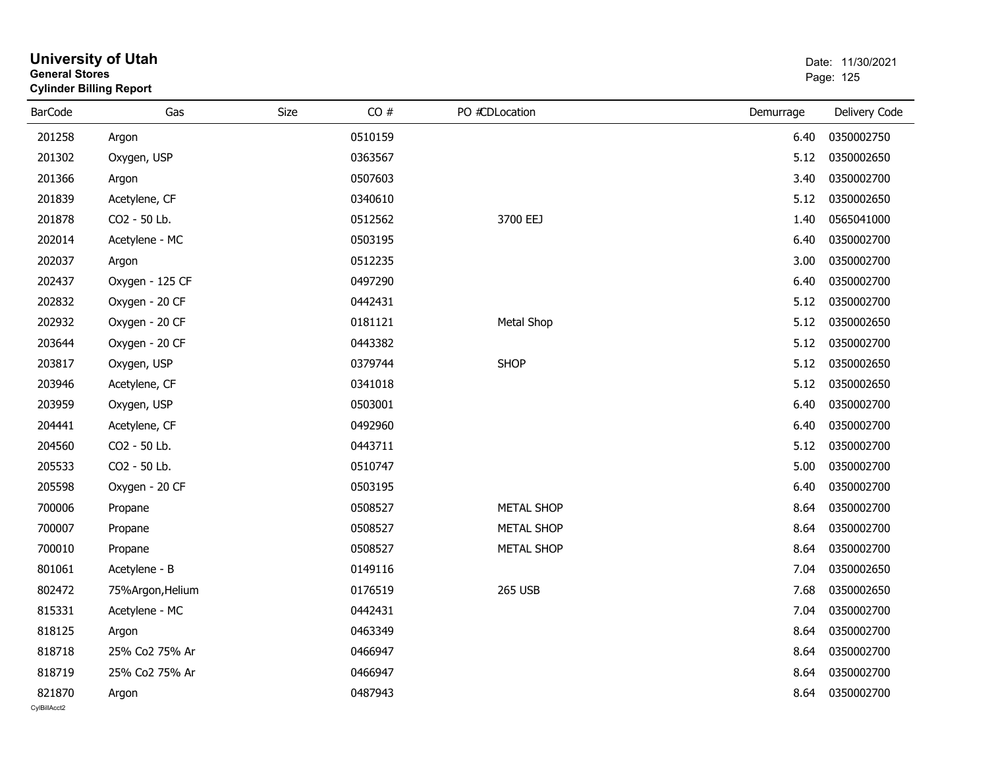| General Stores<br><b>Cylinder Billing Report</b> |                  |      | Page: 125 |                   |           |               |
|--------------------------------------------------|------------------|------|-----------|-------------------|-----------|---------------|
| <b>BarCode</b>                                   | Gas              | Size | CO#       | PO #CDLocation    | Demurrage | Delivery Code |
| 201258                                           | Argon            |      | 0510159   |                   | 6.40      | 0350002750    |
| 201302                                           | Oxygen, USP      |      | 0363567   |                   | 5.12      | 0350002650    |
| 201366                                           | Argon            |      | 0507603   |                   | 3.40      | 0350002700    |
| 201839                                           | Acetylene, CF    |      | 0340610   |                   | 5.12      | 0350002650    |
| 201878                                           | CO2 - 50 Lb.     |      | 0512562   | 3700 EEJ          | 1.40      | 0565041000    |
| 202014                                           | Acetylene - MC   |      | 0503195   |                   | 6.40      | 0350002700    |
| 202037                                           | Argon            |      | 0512235   |                   | 3.00      | 0350002700    |
| 202437                                           | Oxygen - 125 CF  |      | 0497290   |                   | 6.40      | 0350002700    |
| 202832                                           | Oxygen - 20 CF   |      | 0442431   |                   | 5.12      | 0350002700    |
| 202932                                           | Oxygen - 20 CF   |      | 0181121   | Metal Shop        | 5.12      | 0350002650    |
| 203644                                           | Oxygen - 20 CF   |      | 0443382   |                   | 5.12      | 0350002700    |
| 203817                                           | Oxygen, USP      |      | 0379744   | <b>SHOP</b>       | 5.12      | 0350002650    |
| 203946                                           | Acetylene, CF    |      | 0341018   |                   | 5.12      | 0350002650    |
| 203959                                           | Oxygen, USP      |      | 0503001   |                   | 6.40      | 0350002700    |
| 204441                                           | Acetylene, CF    |      | 0492960   |                   | 6.40      | 0350002700    |
| 204560                                           | CO2 - 50 Lb.     |      | 0443711   |                   | 5.12      | 0350002700    |
| 205533                                           | CO2 - 50 Lb.     |      | 0510747   |                   | 5.00      | 0350002700    |
| 205598                                           | Oxygen - 20 CF   |      | 0503195   |                   | 6.40      | 0350002700    |
| 700006                                           | Propane          |      | 0508527   | <b>METAL SHOP</b> | 8.64      | 0350002700    |
| 700007                                           | Propane          |      | 0508527   | <b>METAL SHOP</b> | 8.64      | 0350002700    |
| 700010                                           | Propane          |      | 0508527   | <b>METAL SHOP</b> | 8.64      | 0350002700    |
| 801061                                           | Acetylene - B    |      | 0149116   |                   | 7.04      | 0350002650    |
| 802472                                           | 75%Argon, Helium |      | 0176519   | <b>265 USB</b>    | 7.68      | 0350002650    |
| 815331                                           | Acetylene - MC   |      | 0442431   |                   | 7.04      | 0350002700    |
| 818125                                           | Argon            |      | 0463349   |                   | 8.64      | 0350002700    |
| 818718                                           | 25% Co2 75% Ar   |      | 0466947   |                   | 8.64      | 0350002700    |
| 818719                                           | 25% Co2 75% Ar   |      | 0466947   |                   | 8.64      | 0350002700    |
| 821870                                           | Argon            |      | 0487943   |                   | 8.64      | 0350002700    |

### **University of Utah** Date: 11/30/2021 **General Stores**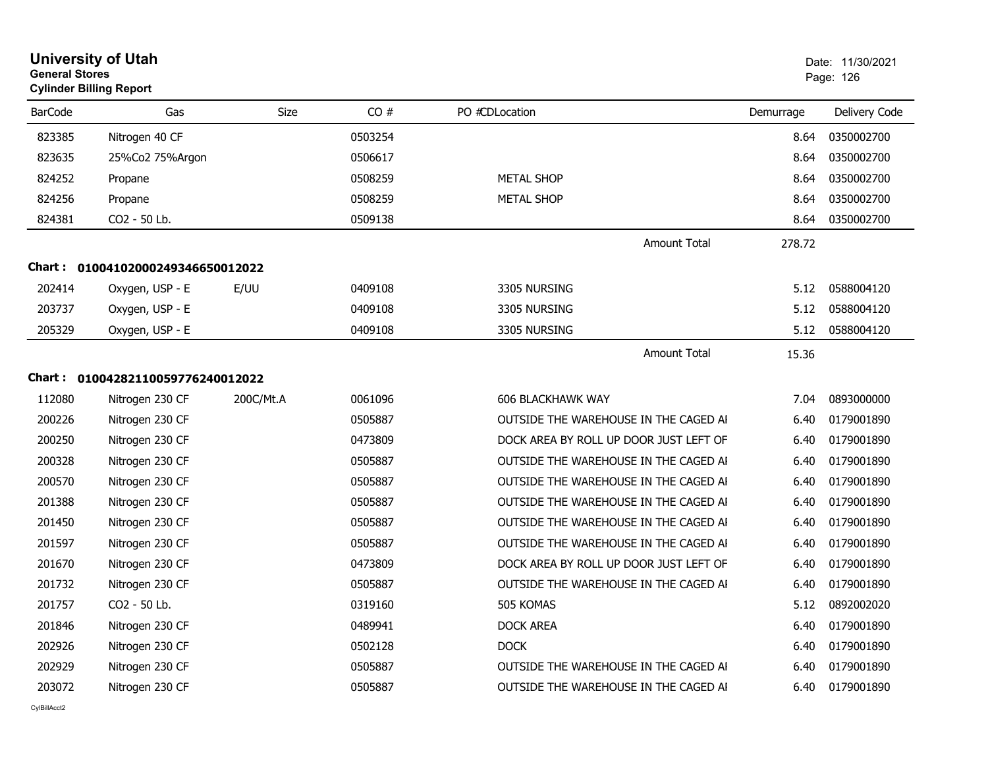| <b>General Stores</b> | <b>University of Utah</b><br><b>Cylinder Billing Report</b> |           |         |                                        |           | Date: 11/30/2021<br>Page: 126 |
|-----------------------|-------------------------------------------------------------|-----------|---------|----------------------------------------|-----------|-------------------------------|
| <b>BarCode</b>        | Gas                                                         | Size      | CO#     | PO #CDLocation                         | Demurrage | Delivery Code                 |
| 823385                | Nitrogen 40 CF                                              |           | 0503254 |                                        | 8.64      | 0350002700                    |
| 823635                | 25%Co2 75%Argon                                             |           | 0506617 |                                        | 8.64      | 0350002700                    |
| 824252                | Propane                                                     |           | 0508259 | <b>METAL SHOP</b>                      | 8.64      | 0350002700                    |
| 824256                | Propane                                                     |           | 0508259 | <b>METAL SHOP</b>                      | 8.64      | 0350002700                    |
| 824381                | CO2 - 50 Lb.                                                |           | 0509138 |                                        | 8.64      | 0350002700                    |
|                       |                                                             |           |         | <b>Amount Total</b>                    | 278.72    |                               |
|                       | Chart: 01004102000249346650012022                           |           |         |                                        |           |                               |
| 202414                | Oxygen, USP - E                                             | E/UU      | 0409108 | 3305 NURSING                           | 5.12      | 0588004120                    |
| 203737                | Oxygen, USP - E                                             |           | 0409108 | 3305 NURSING                           | 5.12      | 0588004120                    |
| 205329                | Oxygen, USP - E                                             |           | 0409108 | 3305 NURSING                           | 5.12      | 0588004120                    |
|                       |                                                             |           |         | Amount Total                           | 15.36     |                               |
| Chart :               | 01004282110059776240012022                                  |           |         |                                        |           |                               |
| 112080                | Nitrogen 230 CF                                             | 200C/Mt.A | 0061096 | 606 BLACKHAWK WAY                      | 7.04      | 0893000000                    |
| 200226                | Nitrogen 230 CF                                             |           | 0505887 | OUTSIDE THE WAREHOUSE IN THE CAGED AI  | 6.40      | 0179001890                    |
| 200250                | Nitrogen 230 CF                                             |           | 0473809 | DOCK AREA BY ROLL UP DOOR JUST LEFT OF | 6.40      | 0179001890                    |
| 200328                | Nitrogen 230 CF                                             |           | 0505887 | OUTSIDE THE WAREHOUSE IN THE CAGED AI  | 6.40      | 0179001890                    |
| 200570                | Nitrogen 230 CF                                             |           | 0505887 | OUTSIDE THE WAREHOUSE IN THE CAGED AI  | 6.40      | 0179001890                    |
| 201388                | Nitrogen 230 CF                                             |           | 0505887 | OUTSIDE THE WAREHOUSE IN THE CAGED AI  | 6.40      | 0179001890                    |
| 201450                | Nitrogen 230 CF                                             |           | 0505887 | OUTSIDE THE WAREHOUSE IN THE CAGED AI  | 6.40      | 0179001890                    |
| 201597                | Nitrogen 230 CF                                             |           | 0505887 | OUTSIDE THE WAREHOUSE IN THE CAGED AI  | 6.40      | 0179001890                    |
| 201670                | Nitrogen 230 CF                                             |           | 0473809 | DOCK AREA BY ROLL UP DOOR JUST LEFT OF | 6.40      | 0179001890                    |
| 201732                | Nitrogen 230 CF                                             |           | 0505887 | OUTSIDE THE WAREHOUSE IN THE CAGED AI  | 6.40      | 0179001890                    |
| 201757                | CO2 - 50 Lb.                                                |           | 0319160 | 505 KOMAS                              | 5.12      | 0892002020                    |
| 201846                | Nitrogen 230 CF                                             |           | 0489941 | <b>DOCK AREA</b>                       | 6.40      | 0179001890                    |
| 202926                | Nitrogen 230 CF                                             |           | 0502128 | <b>DOCK</b>                            | 6.40      | 0179001890                    |
| 202929                | Nitrogen 230 CF                                             |           | 0505887 | OUTSIDE THE WAREHOUSE IN THE CAGED AI  | 6.40      | 0179001890                    |
| 203072                | Nitrogen 230 CF                                             |           | 0505887 | OUTSIDE THE WAREHOUSE IN THE CAGED AI  | 6.40      | 0179001890                    |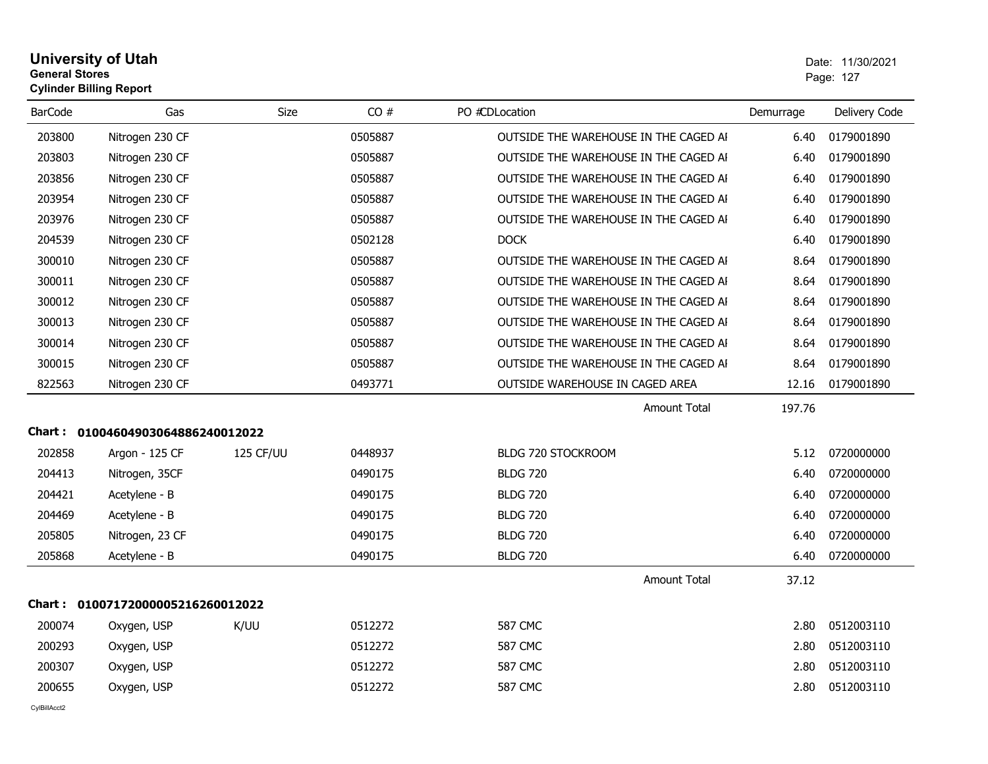#### **University of Utah** Date: 11/30/2021 **General Stores**er and the state of the state of the state of the state of the state of the state of the state of the state of the state of the state of the state of the state of the state of the state of the state of the state of the sta **Cylinder Billing Report**

| <b>BarCode</b> | Gas                               | <b>Size</b> | CO#     | PO #CDLocation                        | Demurrage | Delivery Code |
|----------------|-----------------------------------|-------------|---------|---------------------------------------|-----------|---------------|
| 203800         | Nitrogen 230 CF                   |             | 0505887 | OUTSIDE THE WAREHOUSE IN THE CAGED AI | 6.40      | 0179001890    |
| 203803         | Nitrogen 230 CF                   |             | 0505887 | OUTSIDE THE WAREHOUSE IN THE CAGED AI | 6.40      | 0179001890    |
| 203856         | Nitrogen 230 CF                   |             | 0505887 | OUTSIDE THE WAREHOUSE IN THE CAGED AI | 6.40      | 0179001890    |
| 203954         | Nitrogen 230 CF                   |             | 0505887 | OUTSIDE THE WAREHOUSE IN THE CAGED AI | 6.40      | 0179001890    |
| 203976         | Nitrogen 230 CF                   |             | 0505887 | OUTSIDE THE WAREHOUSE IN THE CAGED AI | 6.40      | 0179001890    |
| 204539         | Nitrogen 230 CF                   |             | 0502128 | <b>DOCK</b>                           | 6.40      | 0179001890    |
| 300010         | Nitrogen 230 CF                   |             | 0505887 | OUTSIDE THE WAREHOUSE IN THE CAGED AI | 8.64      | 0179001890    |
| 300011         | Nitrogen 230 CF                   |             | 0505887 | OUTSIDE THE WAREHOUSE IN THE CAGED AI | 8.64      | 0179001890    |
| 300012         | Nitrogen 230 CF                   |             | 0505887 | OUTSIDE THE WAREHOUSE IN THE CAGED AI | 8.64      | 0179001890    |
| 300013         | Nitrogen 230 CF                   |             | 0505887 | OUTSIDE THE WAREHOUSE IN THE CAGED AI | 8.64      | 0179001890    |
| 300014         | Nitrogen 230 CF                   |             | 0505887 | OUTSIDE THE WAREHOUSE IN THE CAGED AI | 8.64      | 0179001890    |
| 300015         | Nitrogen 230 CF                   |             | 0505887 | OUTSIDE THE WAREHOUSE IN THE CAGED AI | 8.64      | 0179001890    |
| 822563         | Nitrogen 230 CF                   |             | 0493771 | OUTSIDE WAREHOUSE IN CAGED AREA       | 12.16     | 0179001890    |
|                |                                   |             |         | <b>Amount Total</b>                   | 197.76    |               |
|                | Chart: 01004604903064886240012022 |             |         |                                       |           |               |
| 202858         | Argon - 125 CF                    | 125 CF/UU   | 0448937 | BLDG 720 STOCKROOM                    | 5.12      | 0720000000    |
| 204413         | Nitrogen, 35CF                    |             | 0490175 | <b>BLDG 720</b>                       | 6.40      | 0720000000    |
| 204421         | Acetylene - B                     |             | 0490175 | <b>BLDG 720</b>                       | 6.40      | 0720000000    |
| 204469         | Acetylene - B                     |             | 0490175 | <b>BLDG 720</b>                       | 6.40      | 0720000000    |
| 205805         | Nitrogen, 23 CF                   |             | 0490175 | <b>BLDG 720</b>                       | 6.40      | 0720000000    |
| 205868         | Acetylene - B                     |             | 0490175 | <b>BLDG 720</b>                       | 6.40      | 0720000000    |
|                |                                   |             |         | <b>Amount Total</b>                   | 37.12     |               |
|                | Chart: 01007172000005216260012022 |             |         |                                       |           |               |
| 200074         | Oxygen, USP                       | K/UU        | 0512272 | <b>587 CMC</b>                        | 2.80      | 0512003110    |
| 200293         | Oxygen, USP                       |             | 0512272 | <b>587 CMC</b>                        | 2.80      | 0512003110    |
| 200307         | Oxygen, USP                       |             | 0512272 | <b>587 CMC</b>                        | 2.80      | 0512003110    |
| 200655         | Oxygen, USP                       |             | 0512272 | <b>587 CMC</b>                        | 2.80      | 0512003110    |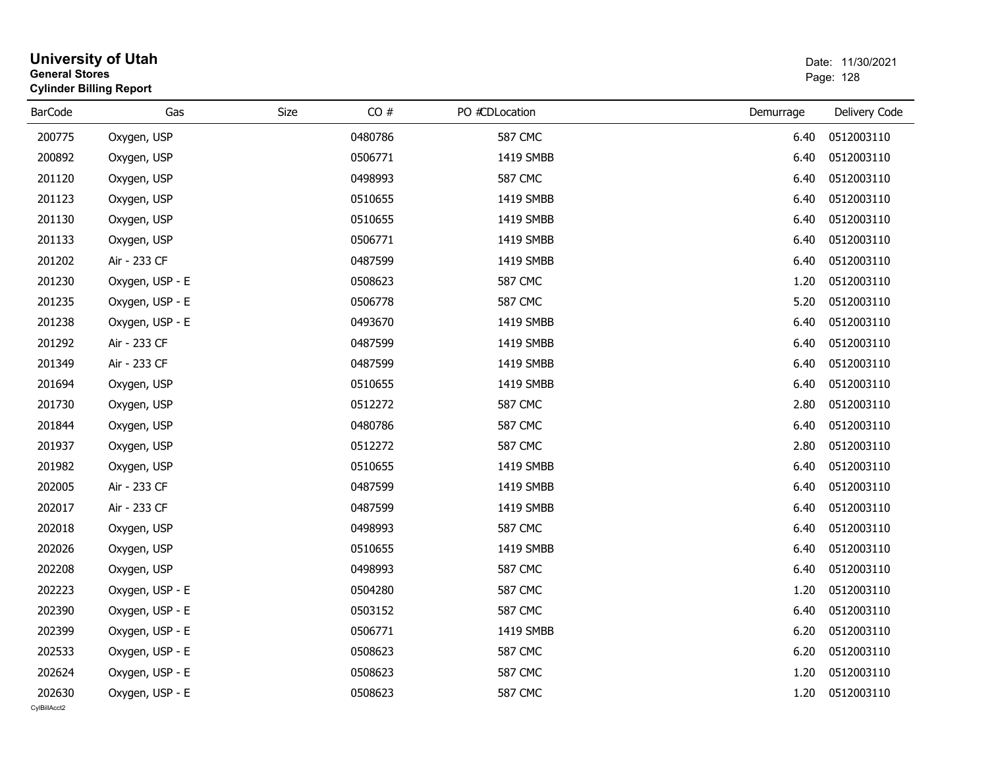| <b>General Stores</b>  | <b>University of Utah</b><br><b>Cylinder Billing Report</b> |             |         |                |           | Date: 11/30/2021<br>Page: 128 |
|------------------------|-------------------------------------------------------------|-------------|---------|----------------|-----------|-------------------------------|
| <b>BarCode</b>         | Gas                                                         | <b>Size</b> | CO#     | PO #CDLocation | Demurrage | Delivery Code                 |
| 200775                 | Oxygen, USP                                                 |             | 0480786 | <b>587 CMC</b> | 6.40      | 0512003110                    |
| 200892                 | Oxygen, USP                                                 |             | 0506771 | 1419 SMBB      | 6.40      | 0512003110                    |
| 201120                 | Oxygen, USP                                                 |             | 0498993 | <b>587 CMC</b> | 6.40      | 0512003110                    |
| 201123                 | Oxygen, USP                                                 |             | 0510655 | 1419 SMBB      | 6.40      | 0512003110                    |
| 201130                 | Oxygen, USP                                                 |             | 0510655 | 1419 SMBB      | 6.40      | 0512003110                    |
| 201133                 | Oxygen, USP                                                 |             | 0506771 | 1419 SMBB      | 6.40      | 0512003110                    |
| 201202                 | Air - 233 CF                                                |             | 0487599 | 1419 SMBB      | 6.40      | 0512003110                    |
| 201230                 | Oxygen, USP - E                                             |             | 0508623 | <b>587 CMC</b> | 1.20      | 0512003110                    |
| 201235                 | Oxygen, USP - E                                             |             | 0506778 | <b>587 CMC</b> | 5.20      | 0512003110                    |
| 201238                 | Oxygen, USP - E                                             |             | 0493670 | 1419 SMBB      | 6.40      | 0512003110                    |
| 201292                 | Air - 233 CF                                                |             | 0487599 | 1419 SMBB      | 6.40      | 0512003110                    |
| 201349                 | Air - 233 CF                                                |             | 0487599 | 1419 SMBB      | 6.40      | 0512003110                    |
| 201694                 | Oxygen, USP                                                 |             | 0510655 | 1419 SMBB      | 6.40      | 0512003110                    |
| 201730                 | Oxygen, USP                                                 |             | 0512272 | <b>587 CMC</b> | 2.80      | 0512003110                    |
| 201844                 | Oxygen, USP                                                 |             | 0480786 | <b>587 CMC</b> | 6.40      | 0512003110                    |
| 201937                 | Oxygen, USP                                                 |             | 0512272 | <b>587 CMC</b> | 2.80      | 0512003110                    |
| 201982                 | Oxygen, USP                                                 |             | 0510655 | 1419 SMBB      | 6.40      | 0512003110                    |
| 202005                 | Air - 233 CF                                                |             | 0487599 | 1419 SMBB      | 6.40      | 0512003110                    |
| 202017                 | Air - 233 CF                                                |             | 0487599 | 1419 SMBB      | 6.40      | 0512003110                    |
| 202018                 | Oxygen, USP                                                 |             | 0498993 | <b>587 CMC</b> | 6.40      | 0512003110                    |
| 202026                 | Oxygen, USP                                                 |             | 0510655 | 1419 SMBB      | 6.40      | 0512003110                    |
| 202208                 | Oxygen, USP                                                 |             | 0498993 | <b>587 CMC</b> | 6.40      | 0512003110                    |
| 202223                 | Oxygen, USP - E                                             |             | 0504280 | <b>587 CMC</b> | 1.20      | 0512003110                    |
| 202390                 | Oxygen, USP - E                                             |             | 0503152 | <b>587 CMC</b> | 6.40      | 0512003110                    |
| 202399                 | Oxygen, USP - E                                             |             | 0506771 | 1419 SMBB      | 6.20      | 0512003110                    |
| 202533                 | Oxygen, USP - E                                             |             | 0508623 | <b>587 CMC</b> | 6.20      | 0512003110                    |
| 202624                 | Oxygen, USP - E                                             |             | 0508623 | <b>587 CMC</b> | 1.20      | 0512003110                    |
| 202630<br>CvIBillAcct2 | Oxygen, USP - E                                             |             | 0508623 | <b>587 CMC</b> | 1.20      | 0512003110                    |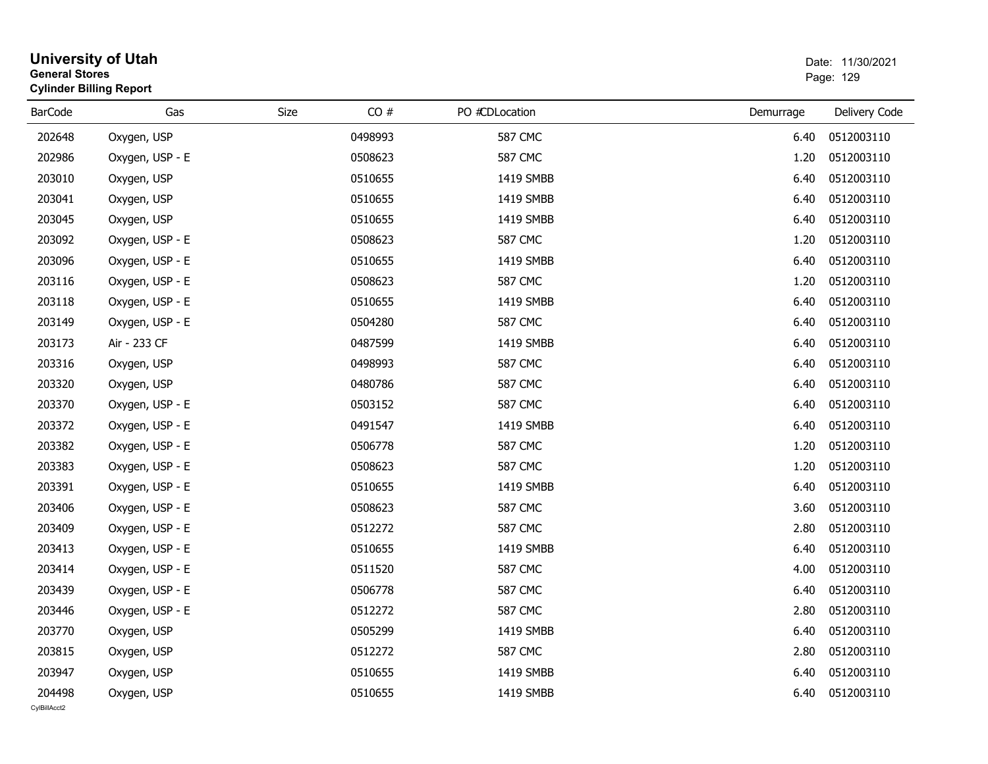| <b>General Stores</b>  | <b>University of Utah</b><br><b>Cylinder Billing Report</b> |      |         |                |           | Date: 11/30/2021<br>Page: 129 |
|------------------------|-------------------------------------------------------------|------|---------|----------------|-----------|-------------------------------|
| <b>BarCode</b>         | Gas                                                         | Size | CO#     | PO #CDLocation | Demurrage | Delivery Code                 |
| 202648                 | Oxygen, USP                                                 |      | 0498993 | <b>587 CMC</b> | 6.40      | 0512003110                    |
| 202986                 | Oxygen, USP - E                                             |      | 0508623 | <b>587 CMC</b> | 1.20      | 0512003110                    |
| 203010                 | Oxygen, USP                                                 |      | 0510655 | 1419 SMBB      | 6.40      | 0512003110                    |
| 203041                 | Oxygen, USP                                                 |      | 0510655 | 1419 SMBB      | 6.40      | 0512003110                    |
| 203045                 | Oxygen, USP                                                 |      | 0510655 | 1419 SMBB      | 6.40      | 0512003110                    |
| 203092                 | Oxygen, USP - E                                             |      | 0508623 | <b>587 CMC</b> | 1.20      | 0512003110                    |
| 203096                 | Oxygen, USP - E                                             |      | 0510655 | 1419 SMBB      | 6.40      | 0512003110                    |
| 203116                 | Oxygen, USP - E                                             |      | 0508623 | <b>587 CMC</b> | 1.20      | 0512003110                    |
| 203118                 | Oxygen, USP - E                                             |      | 0510655 | 1419 SMBB      | 6.40      | 0512003110                    |
| 203149                 | Oxygen, USP - E                                             |      | 0504280 | <b>587 CMC</b> | 6.40      | 0512003110                    |
| 203173                 | Air - 233 CF                                                |      | 0487599 | 1419 SMBB      | 6.40      | 0512003110                    |
| 203316                 | Oxygen, USP                                                 |      | 0498993 | <b>587 CMC</b> | 6.40      | 0512003110                    |
| 203320                 | Oxygen, USP                                                 |      | 0480786 | <b>587 CMC</b> | 6.40      | 0512003110                    |
| 203370                 | Oxygen, USP - E                                             |      | 0503152 | <b>587 CMC</b> | 6.40      | 0512003110                    |
| 203372                 | Oxygen, USP - E                                             |      | 0491547 | 1419 SMBB      | 6.40      | 0512003110                    |
| 203382                 | Oxygen, USP - E                                             |      | 0506778 | <b>587 CMC</b> | 1.20      | 0512003110                    |
| 203383                 | Oxygen, USP - E                                             |      | 0508623 | <b>587 CMC</b> | 1.20      | 0512003110                    |
| 203391                 | Oxygen, USP - E                                             |      | 0510655 | 1419 SMBB      | 6.40      | 0512003110                    |
| 203406                 | Oxygen, USP - E                                             |      | 0508623 | <b>587 CMC</b> | 3.60      | 0512003110                    |
| 203409                 | Oxygen, USP - E                                             |      | 0512272 | <b>587 CMC</b> | 2.80      | 0512003110                    |
| 203413                 | Oxygen, USP - E                                             |      | 0510655 | 1419 SMBB      | 6.40      | 0512003110                    |
| 203414                 | Oxygen, USP - E                                             |      | 0511520 | <b>587 CMC</b> | 4.00      | 0512003110                    |
| 203439                 | Oxygen, USP - E                                             |      | 0506778 | <b>587 CMC</b> | 6.40      | 0512003110                    |
| 203446                 | Oxygen, USP - E                                             |      | 0512272 | <b>587 CMC</b> | 2.80      | 0512003110                    |
| 203770                 | Oxygen, USP                                                 |      | 0505299 | 1419 SMBB      | 6.40      | 0512003110                    |
| 203815                 | Oxygen, USP                                                 |      | 0512272 | <b>587 CMC</b> | 2.80      | 0512003110                    |
| 203947                 | Oxygen, USP                                                 |      | 0510655 | 1419 SMBB      | 6.40      | 0512003110                    |
| 204498<br>CylBillAcct2 | Oxygen, USP                                                 |      | 0510655 | 1419 SMBB      | 6.40      | 0512003110                    |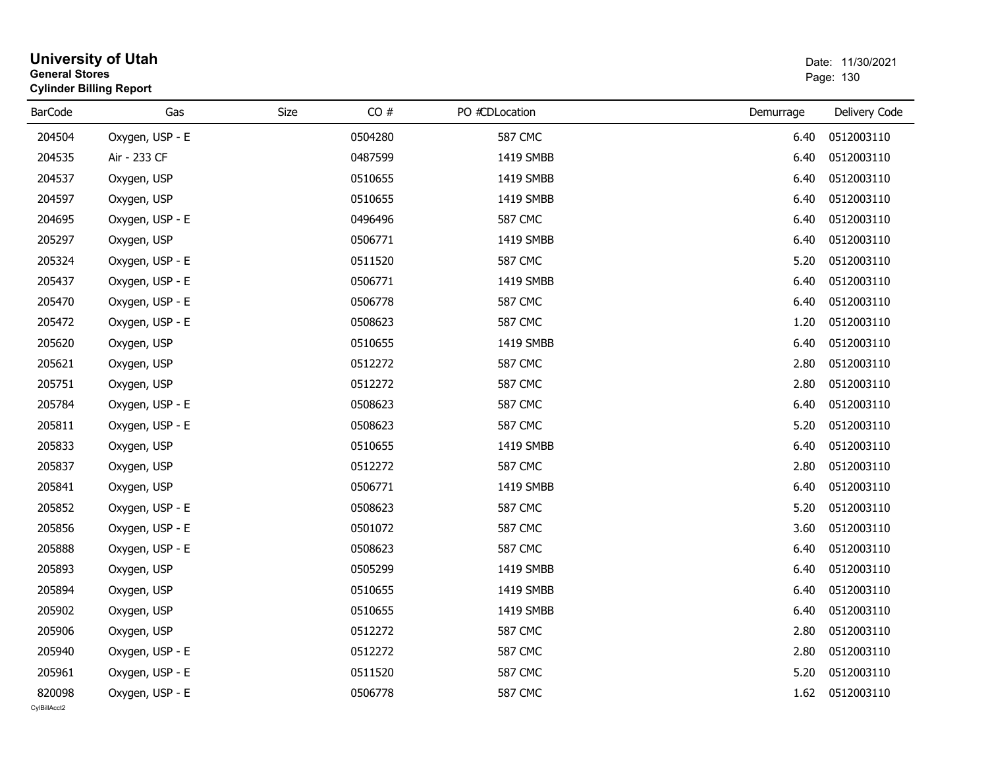| <b>General Stores</b>  | <b>University of Utah</b><br><b>Cylinder Billing Report</b> |      |         |                |           | Date: 11/30/2021<br>Page: 130 |
|------------------------|-------------------------------------------------------------|------|---------|----------------|-----------|-------------------------------|
| <b>BarCode</b>         | Gas                                                         | Size | CO#     | PO #CDLocation | Demurrage | Delivery Code                 |
| 204504                 | Oxygen, USP - E                                             |      | 0504280 | <b>587 CMC</b> | 6.40      | 0512003110                    |
| 204535                 | Air - 233 CF                                                |      | 0487599 | 1419 SMBB      | 6.40      | 0512003110                    |
| 204537                 | Oxygen, USP                                                 |      | 0510655 | 1419 SMBB      | 6.40      | 0512003110                    |
| 204597                 | Oxygen, USP                                                 |      | 0510655 | 1419 SMBB      | 6.40      | 0512003110                    |
| 204695                 | Oxygen, USP - E                                             |      | 0496496 | <b>587 CMC</b> | 6.40      | 0512003110                    |
| 205297                 | Oxygen, USP                                                 |      | 0506771 | 1419 SMBB      | 6.40      | 0512003110                    |
| 205324                 | Oxygen, USP - E                                             |      | 0511520 | <b>587 CMC</b> | 5.20      | 0512003110                    |
| 205437                 | Oxygen, USP - E                                             |      | 0506771 | 1419 SMBB      | 6.40      | 0512003110                    |
| 205470                 | Oxygen, USP - E                                             |      | 0506778 | <b>587 CMC</b> | 6.40      | 0512003110                    |
| 205472                 | Oxygen, USP - E                                             |      | 0508623 | <b>587 CMC</b> | 1.20      | 0512003110                    |
| 205620                 | Oxygen, USP                                                 |      | 0510655 | 1419 SMBB      | 6.40      | 0512003110                    |
| 205621                 | Oxygen, USP                                                 |      | 0512272 | <b>587 CMC</b> | 2.80      | 0512003110                    |
| 205751                 | Oxygen, USP                                                 |      | 0512272 | <b>587 CMC</b> | 2.80      | 0512003110                    |
| 205784                 | Oxygen, USP - E                                             |      | 0508623 | <b>587 CMC</b> | 6.40      | 0512003110                    |
| 205811                 | Oxygen, USP - E                                             |      | 0508623 | <b>587 CMC</b> | 5.20      | 0512003110                    |
| 205833                 | Oxygen, USP                                                 |      | 0510655 | 1419 SMBB      | 6.40      | 0512003110                    |
| 205837                 | Oxygen, USP                                                 |      | 0512272 | <b>587 CMC</b> | 2.80      | 0512003110                    |
| 205841                 | Oxygen, USP                                                 |      | 0506771 | 1419 SMBB      | 6.40      | 0512003110                    |
| 205852                 | Oxygen, USP - E                                             |      | 0508623 | <b>587 CMC</b> | 5.20      | 0512003110                    |
| 205856                 | Oxygen, USP - E                                             |      | 0501072 | <b>587 CMC</b> | 3.60      | 0512003110                    |
| 205888                 | Oxygen, USP - E                                             |      | 0508623 | <b>587 CMC</b> | 6.40      | 0512003110                    |
| 205893                 | Oxygen, USP                                                 |      | 0505299 | 1419 SMBB      | 6.40      | 0512003110                    |
| 205894                 | Oxygen, USP                                                 |      | 0510655 | 1419 SMBB      | 6.40      | 0512003110                    |
| 205902                 | Oxygen, USP                                                 |      | 0510655 | 1419 SMBB      | 6.40      | 0512003110                    |
| 205906                 | Oxygen, USP                                                 |      | 0512272 | <b>587 CMC</b> | 2.80      | 0512003110                    |
| 205940                 | Oxygen, USP - E                                             |      | 0512272 | <b>587 CMC</b> | 2.80      | 0512003110                    |
| 205961                 | Oxygen, USP - E                                             |      | 0511520 | <b>587 CMC</b> | 5.20      | 0512003110                    |
| 820098<br>CvIBillAcct2 | Oxygen, USP - E                                             |      | 0506778 | 587 CMC        | 1.62      | 0512003110                    |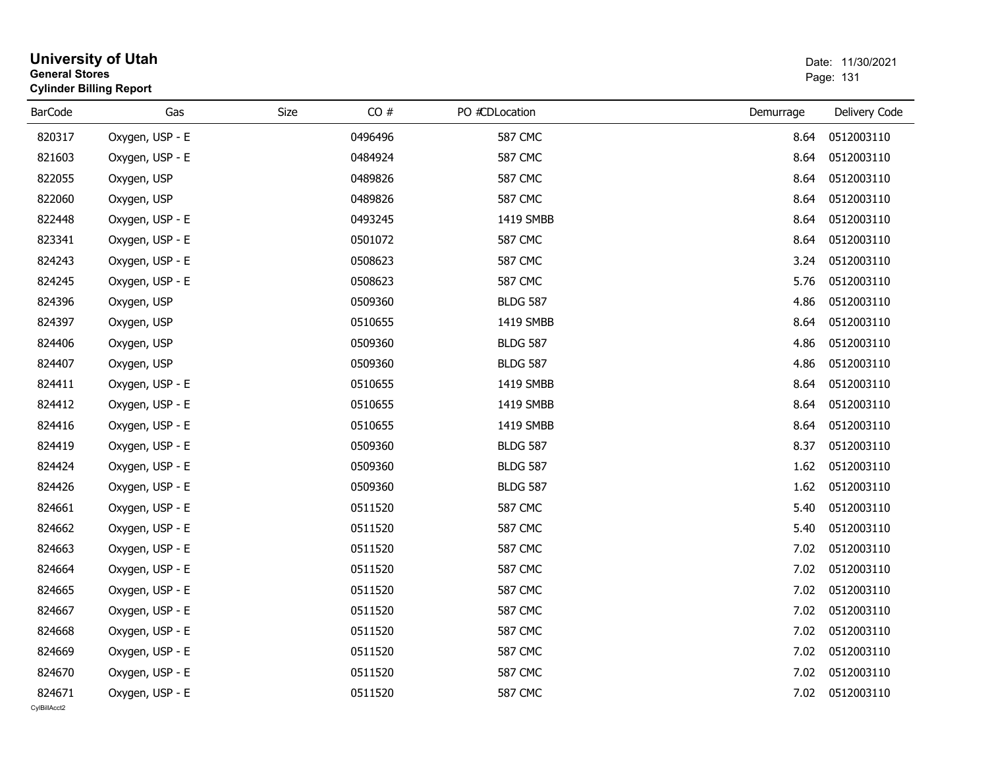| <b>General Stores</b>  | <b>University of Utah</b><br><b>Cylinder Billing Report</b> | Date: 11/30/2021<br>Page: 131 |         |                 |           |               |
|------------------------|-------------------------------------------------------------|-------------------------------|---------|-----------------|-----------|---------------|
| <b>BarCode</b>         | Gas                                                         | Size                          | CO#     | PO #CDLocation  | Demurrage | Delivery Code |
| 820317                 | Oxygen, USP - E                                             |                               | 0496496 | <b>587 CMC</b>  | 8.64      | 0512003110    |
| 821603                 | Oxygen, USP - E                                             |                               | 0484924 | <b>587 CMC</b>  | 8.64      | 0512003110    |
| 822055                 | Oxygen, USP                                                 |                               | 0489826 | <b>587 CMC</b>  | 8.64      | 0512003110    |
| 822060                 | Oxygen, USP                                                 |                               | 0489826 | <b>587 CMC</b>  | 8.64      | 0512003110    |
| 822448                 | Oxygen, USP - E                                             |                               | 0493245 | 1419 SMBB       | 8.64      | 0512003110    |
| 823341                 | Oxygen, USP - E                                             |                               | 0501072 | <b>587 CMC</b>  | 8.64      | 0512003110    |
| 824243                 | Oxygen, USP - E                                             |                               | 0508623 | <b>587 CMC</b>  | 3.24      | 0512003110    |
| 824245                 | Oxygen, USP - E                                             |                               | 0508623 | <b>587 CMC</b>  | 5.76      | 0512003110    |
| 824396                 | Oxygen, USP                                                 |                               | 0509360 | <b>BLDG 587</b> | 4.86      | 0512003110    |
| 824397                 | Oxygen, USP                                                 |                               | 0510655 | 1419 SMBB       | 8.64      | 0512003110    |
| 824406                 | Oxygen, USP                                                 |                               | 0509360 | <b>BLDG 587</b> | 4.86      | 0512003110    |
| 824407                 | Oxygen, USP                                                 |                               | 0509360 | <b>BLDG 587</b> | 4.86      | 0512003110    |
| 824411                 | Oxygen, USP - E                                             |                               | 0510655 | 1419 SMBB       | 8.64      | 0512003110    |
| 824412                 | Oxygen, USP - E                                             |                               | 0510655 | 1419 SMBB       | 8.64      | 0512003110    |
| 824416                 | Oxygen, USP - E                                             |                               | 0510655 | 1419 SMBB       | 8.64      | 0512003110    |
| 824419                 | Oxygen, USP - E                                             |                               | 0509360 | <b>BLDG 587</b> | 8.37      | 0512003110    |
| 824424                 | Oxygen, USP - E                                             |                               | 0509360 | <b>BLDG 587</b> | 1.62      | 0512003110    |
| 824426                 | Oxygen, USP - E                                             |                               | 0509360 | <b>BLDG 587</b> | 1.62      | 0512003110    |
| 824661                 | Oxygen, USP - E                                             |                               | 0511520 | <b>587 CMC</b>  | 5.40      | 0512003110    |
| 824662                 | Oxygen, USP - E                                             |                               | 0511520 | <b>587 CMC</b>  | 5.40      | 0512003110    |
| 824663                 | Oxygen, USP - E                                             |                               | 0511520 | <b>587 CMC</b>  | 7.02      | 0512003110    |
| 824664                 | Oxygen, USP - E                                             |                               | 0511520 | <b>587 CMC</b>  | 7.02      | 0512003110    |
| 824665                 | Oxygen, USP - E                                             |                               | 0511520 | <b>587 CMC</b>  | 7.02      | 0512003110    |
| 824667                 | Oxygen, USP - E                                             |                               | 0511520 | <b>587 CMC</b>  | 7.02      | 0512003110    |
| 824668                 | Oxygen, USP - E                                             |                               | 0511520 | 587 CMC         | 7.02      | 0512003110    |
| 824669                 | Oxygen, USP - E                                             |                               | 0511520 | <b>587 CMC</b>  | 7.02      | 0512003110    |
| 824670                 | Oxygen, USP - E                                             |                               | 0511520 | <b>587 CMC</b>  | 7.02      | 0512003110    |
| 824671<br>CylBillAcct2 | Oxygen, USP - E                                             |                               | 0511520 | <b>587 CMC</b>  | 7.02      | 0512003110    |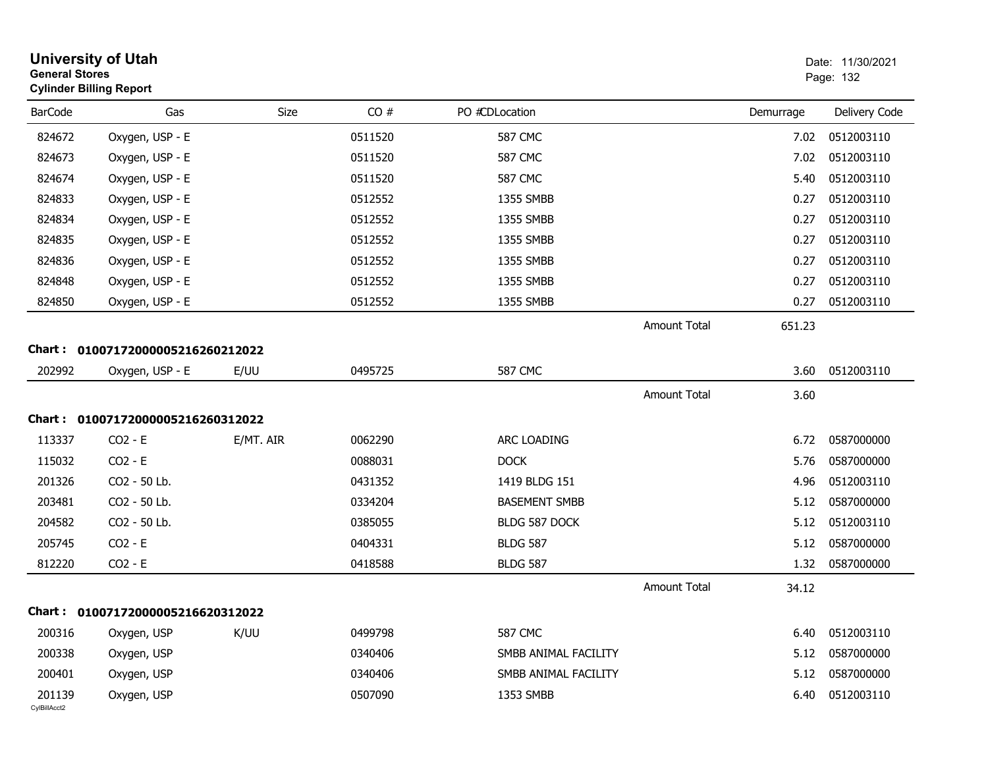| <b>General Stores</b>  | <b>University of Utah</b><br><b>Cylinder Billing Report</b> |           |         |                      |                     |           | Date: 11/30/2021<br>Page: 132 |
|------------------------|-------------------------------------------------------------|-----------|---------|----------------------|---------------------|-----------|-------------------------------|
| <b>BarCode</b>         | Gas                                                         | Size      | CO#     | PO #CDLocation       |                     | Demurrage | Delivery Code                 |
| 824672                 | Oxygen, USP - E                                             |           | 0511520 | <b>587 CMC</b>       |                     | 7.02      | 0512003110                    |
| 824673                 | Oxygen, USP - E                                             |           | 0511520 | <b>587 CMC</b>       |                     | 7.02      | 0512003110                    |
| 824674                 | Oxygen, USP - E                                             |           | 0511520 | <b>587 CMC</b>       |                     | 5.40      | 0512003110                    |
| 824833                 | Oxygen, USP - E                                             |           | 0512552 | 1355 SMBB            |                     | 0.27      | 0512003110                    |
| 824834                 | Oxygen, USP - E                                             |           | 0512552 | 1355 SMBB            |                     | 0.27      | 0512003110                    |
| 824835                 | Oxygen, USP - E                                             |           | 0512552 | 1355 SMBB            |                     | 0.27      | 0512003110                    |
| 824836                 | Oxygen, USP - E                                             |           | 0512552 | 1355 SMBB            |                     | 0.27      | 0512003110                    |
| 824848                 | Oxygen, USP - E                                             |           | 0512552 | 1355 SMBB            |                     | 0.27      | 0512003110                    |
| 824850                 | Oxygen, USP - E                                             |           | 0512552 | 1355 SMBB            |                     | 0.27      | 0512003110                    |
|                        |                                                             |           |         |                      | <b>Amount Total</b> | 651.23    |                               |
| <b>Chart :</b>         | 01007172000005216260212022                                  |           |         |                      |                     |           |                               |
| 202992                 | Oxygen, USP - E                                             | E/UU      | 0495725 | <b>587 CMC</b>       |                     | 3.60      | 0512003110                    |
|                        |                                                             |           |         |                      | Amount Total        | 3.60      |                               |
|                        | Chart: 01007172000005216260312022                           |           |         |                      |                     |           |                               |
| 113337                 | $CO2 - E$                                                   | E/MT. AIR | 0062290 | ARC LOADING          |                     | 6.72      | 0587000000                    |
| 115032                 | $CO2 - E$                                                   |           | 0088031 | <b>DOCK</b>          |                     | 5.76      | 0587000000                    |
| 201326                 | CO2 - 50 Lb.                                                |           | 0431352 | 1419 BLDG 151        |                     | 4.96      | 0512003110                    |
| 203481                 | CO2 - 50 Lb.                                                |           | 0334204 | <b>BASEMENT SMBB</b> |                     | 5.12      | 0587000000                    |
| 204582                 | CO2 - 50 Lb.                                                |           | 0385055 | BLDG 587 DOCK        |                     | 5.12      | 0512003110                    |
| 205745                 | $CO2 - E$                                                   |           | 0404331 | <b>BLDG 587</b>      |                     | 5.12      | 0587000000                    |
| 812220                 | $CO2 - E$                                                   |           | 0418588 | <b>BLDG 587</b>      |                     | 1.32      | 0587000000                    |
|                        |                                                             |           |         |                      | <b>Amount Total</b> | 34.12     |                               |
|                        | Chart: 01007172000005216620312022                           |           |         |                      |                     |           |                               |
| 200316                 | Oxygen, USP                                                 | K/UU      | 0499798 | <b>587 CMC</b>       |                     | 6.40      | 0512003110                    |
| 200338                 | Oxygen, USP                                                 |           | 0340406 | SMBB ANIMAL FACILITY |                     | 5.12      | 0587000000                    |
| 200401                 | Oxygen, USP                                                 |           | 0340406 | SMBB ANIMAL FACILITY |                     | 5.12      | 0587000000                    |
| 201139<br>CylBillAcct2 | Oxygen, USP                                                 |           | 0507090 | 1353 SMBB            |                     | 6.40      | 0512003110                    |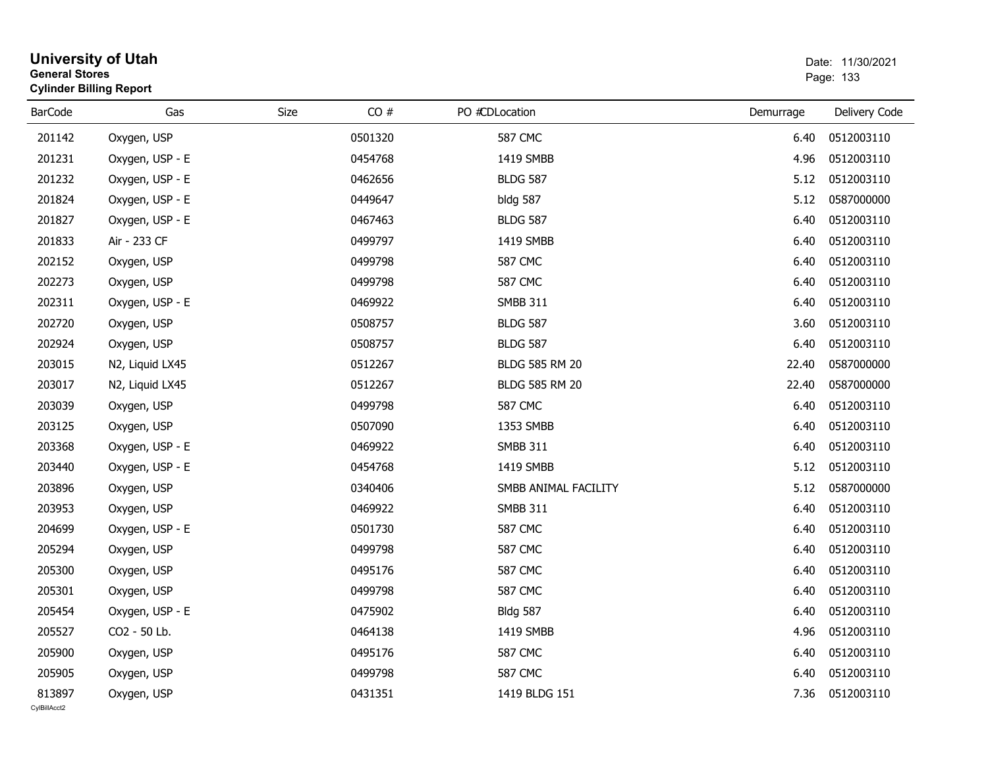| <b>University of Utah</b><br><b>General Stores</b><br><b>Cylinder Billing Report</b> |                 |      |         |                       | Date: 11/30/2021<br>Page: 133 |               |  |
|--------------------------------------------------------------------------------------|-----------------|------|---------|-----------------------|-------------------------------|---------------|--|
| <b>BarCode</b>                                                                       | Gas             | Size | CO#     | PO #CDLocation        | Demurrage                     | Delivery Code |  |
| 201142                                                                               | Oxygen, USP     |      | 0501320 | <b>587 CMC</b>        | 6.40                          | 0512003110    |  |
| 201231                                                                               | Oxygen, USP - E |      | 0454768 | 1419 SMBB             | 4.96                          | 0512003110    |  |
| 201232                                                                               | Oxygen, USP - E |      | 0462656 | <b>BLDG 587</b>       | 5.12                          | 0512003110    |  |
| 201824                                                                               | Oxygen, USP - E |      | 0449647 | bldg 587              | 5.12                          | 0587000000    |  |
| 201827                                                                               | Oxygen, USP - E |      | 0467463 | <b>BLDG 587</b>       | 6.40                          | 0512003110    |  |
| 201833                                                                               | Air - 233 CF    |      | 0499797 | 1419 SMBB             | 6.40                          | 0512003110    |  |
| 202152                                                                               | Oxygen, USP     |      | 0499798 | <b>587 CMC</b>        | 6.40                          | 0512003110    |  |
| 202273                                                                               | Oxygen, USP     |      | 0499798 | <b>587 CMC</b>        | 6.40                          | 0512003110    |  |
| 202311                                                                               | Oxygen, USP - E |      | 0469922 | <b>SMBB 311</b>       | 6.40                          | 0512003110    |  |
| 202720                                                                               | Oxygen, USP     |      | 0508757 | <b>BLDG 587</b>       | 3.60                          | 0512003110    |  |
| 202924                                                                               | Oxygen, USP     |      | 0508757 | <b>BLDG 587</b>       | 6.40                          | 0512003110    |  |
| 203015                                                                               | N2, Liquid LX45 |      | 0512267 | <b>BLDG 585 RM 20</b> | 22.40                         | 0587000000    |  |
| 203017                                                                               | N2, Liquid LX45 |      | 0512267 | <b>BLDG 585 RM 20</b> | 22.40                         | 0587000000    |  |
| 203039                                                                               | Oxygen, USP     |      | 0499798 | <b>587 CMC</b>        | 6.40                          | 0512003110    |  |
| 203125                                                                               | Oxygen, USP     |      | 0507090 | 1353 SMBB             | 6.40                          | 0512003110    |  |
| 203368                                                                               | Oxygen, USP - E |      | 0469922 | <b>SMBB 311</b>       | 6.40                          | 0512003110    |  |
| 203440                                                                               | Oxygen, USP - E |      | 0454768 | 1419 SMBB             | 5.12                          | 0512003110    |  |
| 203896                                                                               | Oxygen, USP     |      | 0340406 | SMBB ANIMAL FACILITY  | 5.12                          | 0587000000    |  |
| 203953                                                                               | Oxygen, USP     |      | 0469922 | <b>SMBB 311</b>       | 6.40                          | 0512003110    |  |
| 204699                                                                               | Oxygen, USP - E |      | 0501730 | <b>587 CMC</b>        | 6.40                          | 0512003110    |  |
| 205294                                                                               | Oxygen, USP     |      | 0499798 | <b>587 CMC</b>        | 6.40                          | 0512003110    |  |
| 205300                                                                               | Oxygen, USP     |      | 0495176 | <b>587 CMC</b>        | 6.40                          | 0512003110    |  |
| 205301                                                                               | Oxygen, USP     |      | 0499798 | <b>587 CMC</b>        | 6.40                          | 0512003110    |  |
| 205454                                                                               | Oxygen, USP - E |      | 0475902 | <b>Bldg 587</b>       | 6.40                          | 0512003110    |  |
| 205527                                                                               | CO2 - 50 Lb.    |      | 0464138 | 1419 SMBB             | 4.96                          | 0512003110    |  |
| 205900                                                                               | Oxygen, USP     |      | 0495176 | <b>587 CMC</b>        | 6.40                          | 0512003110    |  |
| 205905                                                                               | Oxygen, USP     |      | 0499798 | <b>587 CMC</b>        | 6.40                          | 0512003110    |  |
| 813897<br>CylBillAcct2                                                               | Oxygen, USP     |      | 0431351 | 1419 BLDG 151         | 7.36                          | 0512003110    |  |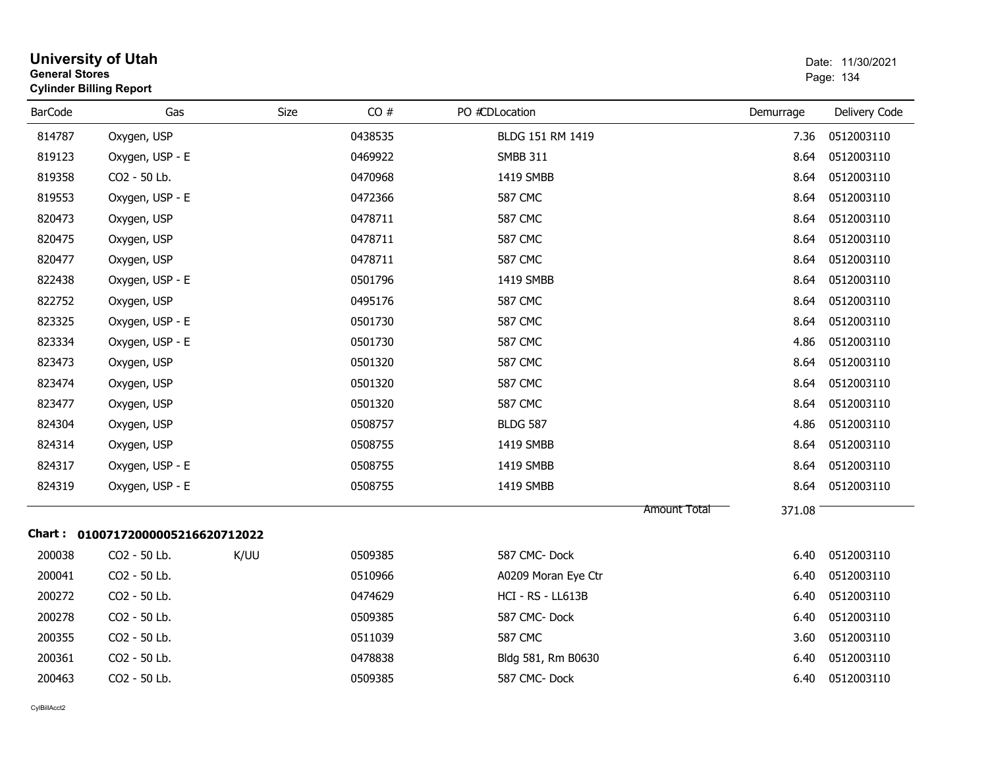| <b>General Stores</b> | <b>University of Utah</b><br><b>Cylinder Billing Report</b> |      |         |                     |                        | Date: 11/30/2021<br>Page: 134 |
|-----------------------|-------------------------------------------------------------|------|---------|---------------------|------------------------|-------------------------------|
| <b>BarCode</b>        | Gas                                                         | Size | CO#     | PO #CDLocation      | Demurrage              | Delivery Code                 |
| 814787                | Oxygen, USP                                                 |      | 0438535 | BLDG 151 RM 1419    | 7.36                   | 0512003110                    |
| 819123                | Oxygen, USP - E                                             |      | 0469922 | <b>SMBB 311</b>     | 8.64                   | 0512003110                    |
| 819358                | CO2 - 50 Lb.                                                |      | 0470968 | 1419 SMBB           | 8.64                   | 0512003110                    |
| 819553                | Oxygen, USP - E                                             |      | 0472366 | <b>587 CMC</b>      | 8.64                   | 0512003110                    |
| 820473                | Oxygen, USP                                                 |      | 0478711 | <b>587 CMC</b>      | 8.64                   | 0512003110                    |
| 820475                | Oxygen, USP                                                 |      | 0478711 | <b>587 CMC</b>      | 8.64                   | 0512003110                    |
| 820477                | Oxygen, USP                                                 |      | 0478711 | <b>587 CMC</b>      | 8.64                   | 0512003110                    |
| 822438                | Oxygen, USP - E                                             |      | 0501796 | 1419 SMBB           | 8.64                   | 0512003110                    |
| 822752                | Oxygen, USP                                                 |      | 0495176 | 587 CMC             | 8.64                   | 0512003110                    |
| 823325                | Oxygen, USP - E                                             |      | 0501730 | <b>587 CMC</b>      | 8.64                   | 0512003110                    |
| 823334                | Oxygen, USP - E                                             |      | 0501730 | <b>587 CMC</b>      | 4.86                   | 0512003110                    |
| 823473                | Oxygen, USP                                                 |      | 0501320 | <b>587 CMC</b>      | 8.64                   | 0512003110                    |
| 823474                | Oxygen, USP                                                 |      | 0501320 | 587 CMC             | 8.64                   | 0512003110                    |
| 823477                | Oxygen, USP                                                 |      | 0501320 | <b>587 CMC</b>      | 8.64                   | 0512003110                    |
| 824304                | Oxygen, USP                                                 |      | 0508757 | <b>BLDG 587</b>     | 4.86                   | 0512003110                    |
| 824314                | Oxygen, USP                                                 |      | 0508755 | 1419 SMBB           | 8.64                   | 0512003110                    |
| 824317                | Oxygen, USP - E                                             |      | 0508755 | 1419 SMBB           | 8.64                   | 0512003110                    |
| 824319                | Oxygen, USP - E                                             |      | 0508755 | 1419 SMBB           | 8.64                   | 0512003110                    |
|                       | Chart: 01007172000005216620712022                           |      |         |                     | 371.08<br>Amount Total |                               |
| 200038                | CO2 - 50 Lb.                                                | K/UU | 0509385 | 587 CMC-Dock        | 6.40                   | 0512003110                    |
| 200041                | CO2 - 50 Lb.                                                |      | 0510966 | A0209 Moran Eye Ctr | 6.40                   | 0512003110                    |
| 200272                | CO2 - 50 Lb.                                                |      | 0474629 | HCI - RS - LL613B   | 6.40                   | 0512003110                    |
| 200278                | CO2 - 50 Lb.                                                |      | 0509385 | 587 CMC-Dock        | 6.40                   | 0512003110                    |
| 200355                | CO2 - 50 Lb.                                                |      | 0511039 | <b>587 CMC</b>      | 3.60                   | 0512003110                    |
| 200361                | CO2 - 50 Lb.                                                |      | 0478838 | Bldg 581, Rm B0630  | 6.40                   | 0512003110                    |
| 200463                | CO2 - 50 Lb.                                                |      | 0509385 | 587 CMC-Dock        | 6.40                   | 0512003110                    |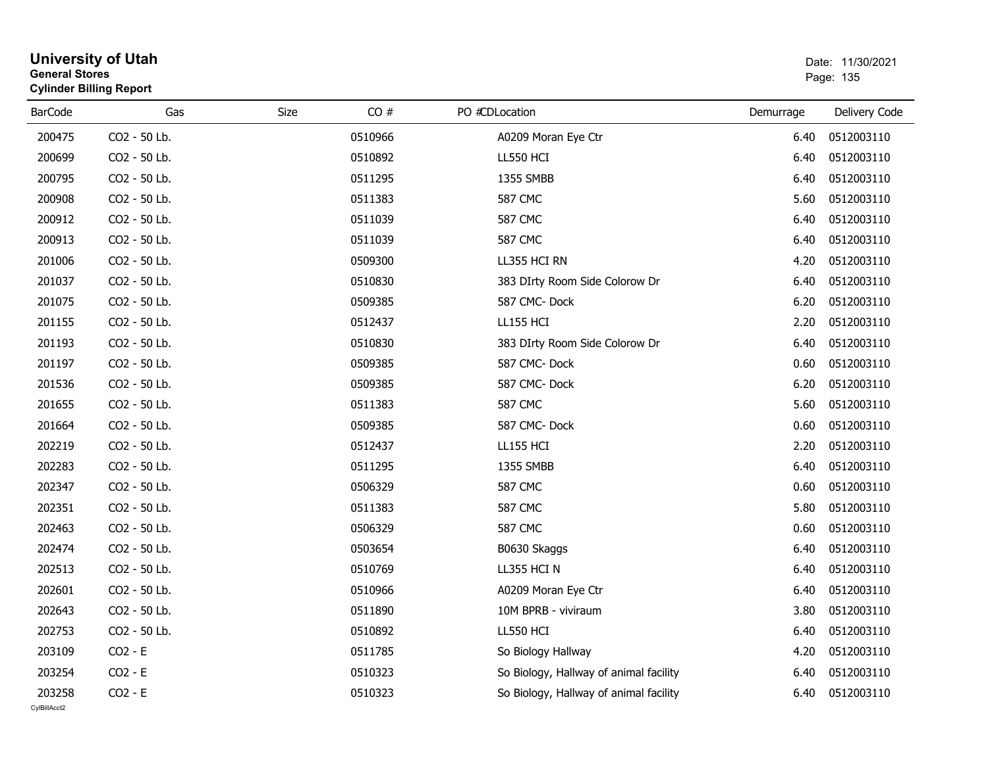|                | <b>General Stores</b><br><b>Cylinder Billing Report</b> |      |         |                                        | Page: 135 |               |  |
|----------------|---------------------------------------------------------|------|---------|----------------------------------------|-----------|---------------|--|
| <b>BarCode</b> | Gas                                                     | Size | CO#     | PO #CDLocation                         | Demurrage | Delivery Code |  |
| 200475         | CO2 - 50 Lb.                                            |      | 0510966 | A0209 Moran Eye Ctr                    | 6.40      | 0512003110    |  |
| 200699         | CO2 - 50 Lb.                                            |      | 0510892 | <b>LL550 HCI</b>                       | 6.40      | 0512003110    |  |
| 200795         | CO2 - 50 Lb.                                            |      | 0511295 | 1355 SMBB                              | 6.40      | 0512003110    |  |
| 200908         | CO2 - 50 Lb.                                            |      | 0511383 | <b>587 CMC</b>                         | 5.60      | 0512003110    |  |
| 200912         | CO2 - 50 Lb.                                            |      | 0511039 | <b>587 CMC</b>                         | 6.40      | 0512003110    |  |
| 200913         | CO2 - 50 Lb.                                            |      | 0511039 | <b>587 CMC</b>                         | 6.40      | 0512003110    |  |
| 201006         | CO2 - 50 Lb.                                            |      | 0509300 | LL355 HCI RN                           | 4.20      | 0512003110    |  |
| 201037         | CO2 - 50 Lb.                                            |      | 0510830 | 383 DIrty Room Side Colorow Dr         | 6.40      | 0512003110    |  |
| 201075         | CO2 - 50 Lb.                                            |      | 0509385 | 587 CMC-Dock                           | 6.20      | 0512003110    |  |
| 201155         | CO2 - 50 Lb.                                            |      | 0512437 | <b>LL155 HCI</b>                       | 2.20      | 0512003110    |  |
| 201193         | CO2 - 50 Lb.                                            |      | 0510830 | 383 DIrty Room Side Colorow Dr         | 6.40      | 0512003110    |  |
| 201197         | CO2 - 50 Lb.                                            |      | 0509385 | 587 CMC-Dock                           | 0.60      | 0512003110    |  |
| 201536         | CO2 - 50 Lb.                                            |      | 0509385 | 587 CMC-Dock                           | 6.20      | 0512003110    |  |
| 201655         | CO2 - 50 Lb.                                            |      | 0511383 | <b>587 CMC</b>                         | 5.60      | 0512003110    |  |
| 201664         | CO2 - 50 Lb.                                            |      | 0509385 | 587 CMC-Dock                           | 0.60      | 0512003110    |  |
| 202219         | CO2 - 50 Lb.                                            |      | 0512437 | <b>LL155 HCI</b>                       | 2.20      | 0512003110    |  |
| 202283         | CO2 - 50 Lb.                                            |      | 0511295 | 1355 SMBB                              | 6.40      | 0512003110    |  |
| 202347         | CO2 - 50 Lb.                                            |      | 0506329 | <b>587 CMC</b>                         | 0.60      | 0512003110    |  |
| 202351         | CO2 - 50 Lb.                                            |      | 0511383 | 587 CMC                                | 5.80      | 0512003110    |  |
| 202463         | CO2 - 50 Lb.                                            |      | 0506329 | <b>587 CMC</b>                         | 0.60      | 0512003110    |  |
| 202474         | CO2 - 50 Lb.                                            |      | 0503654 | B0630 Skaggs                           | 6.40      | 0512003110    |  |
| 202513         | CO2 - 50 Lb.                                            |      | 0510769 | LL355 HCI N                            | 6.40      | 0512003110    |  |
| 202601         | CO2 - 50 Lb.                                            |      | 0510966 | A0209 Moran Eye Ctr                    | 6.40      | 0512003110    |  |
| 202643         | CO2 - 50 Lb.                                            |      | 0511890 | 10M BPRB - viviraum                    | 3.80      | 0512003110    |  |
| 202753         | CO2 - 50 Lb.                                            |      | 0510892 | <b>LL550 HCI</b>                       | 6.40      | 0512003110    |  |
| 203109         | $CO2 - E$                                               |      | 0511785 | So Biology Hallway                     | 4.20      | 0512003110    |  |
| 203254         | $CO2 - E$                                               |      | 0510323 | So Biology, Hallway of animal facility | 6.40      | 0512003110    |  |
| 203258         | $CO2 - E$                                               |      | 0510323 | So Biology, Hallway of animal facility | 6.40      | 0512003110    |  |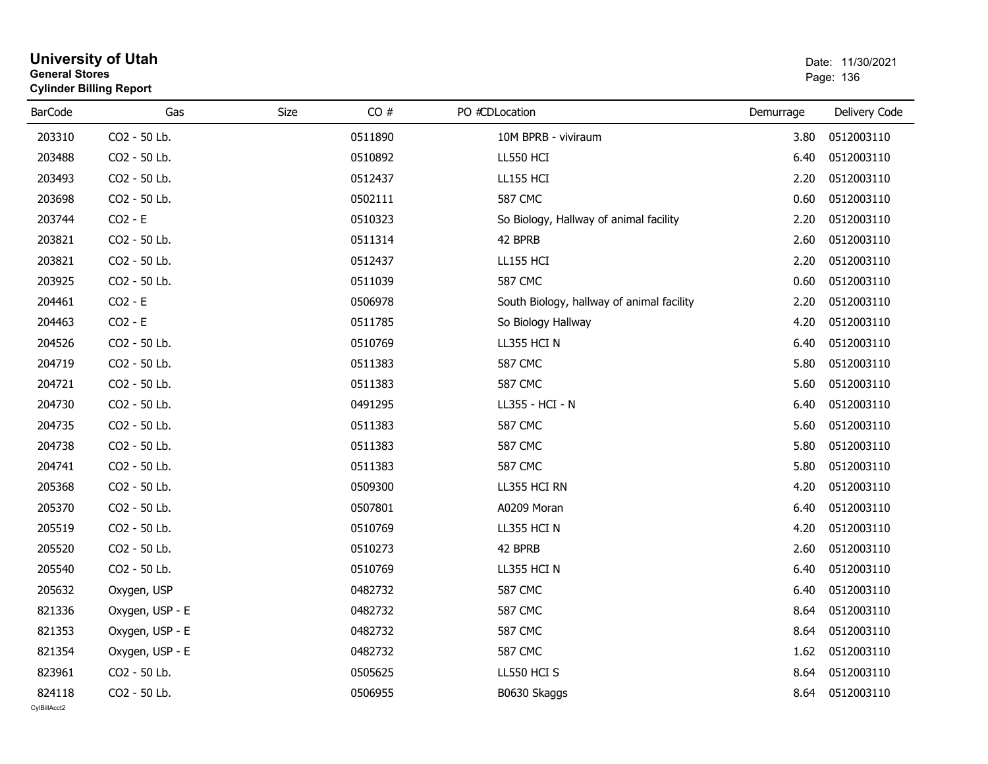|                | <b>General Stores</b><br><b>Cylinder Billing Report</b> |      |         |                                           | Page: 136 |               |  |
|----------------|---------------------------------------------------------|------|---------|-------------------------------------------|-----------|---------------|--|
| <b>BarCode</b> | Gas                                                     | Size | CO#     | PO #CDLocation                            | Demurrage | Delivery Code |  |
| 203310         | CO2 - 50 Lb.                                            |      | 0511890 | 10M BPRB - viviraum                       | 3.80      | 0512003110    |  |
| 203488         | CO2 - 50 Lb.                                            |      | 0510892 | <b>LL550 HCI</b>                          | 6.40      | 0512003110    |  |
| 203493         | CO2 - 50 Lb.                                            |      | 0512437 | <b>LL155 HCI</b>                          | 2.20      | 0512003110    |  |
| 203698         | CO2 - 50 Lb.                                            |      | 0502111 | <b>587 CMC</b>                            | 0.60      | 0512003110    |  |
| 203744         | $CO2 - E$                                               |      | 0510323 | So Biology, Hallway of animal facility    | 2.20      | 0512003110    |  |
| 203821         | CO2 - 50 Lb.                                            |      | 0511314 | 42 BPRB                                   | 2.60      | 0512003110    |  |
| 203821         | CO2 - 50 Lb.                                            |      | 0512437 | LL155 HCI                                 | 2.20      | 0512003110    |  |
| 203925         | CO2 - 50 Lb.                                            |      | 0511039 | <b>587 CMC</b>                            | 0.60      | 0512003110    |  |
| 204461         | $CO2 - E$                                               |      | 0506978 | South Biology, hallway of animal facility | 2.20      | 0512003110    |  |
| 204463         | $CO2 - E$                                               |      | 0511785 | So Biology Hallway                        | 4.20      | 0512003110    |  |
| 204526         | CO2 - 50 Lb.                                            |      | 0510769 | LL355 HCI N                               | 6.40      | 0512003110    |  |
| 204719         | CO2 - 50 Lb.                                            |      | 0511383 | <b>587 CMC</b>                            | 5.80      | 0512003110    |  |
| 204721         | CO2 - 50 Lb.                                            |      | 0511383 | <b>587 CMC</b>                            | 5.60      | 0512003110    |  |
| 204730         | CO2 - 50 Lb.                                            |      | 0491295 | LL355 - HCI - N                           | 6.40      | 0512003110    |  |
| 204735         | CO2 - 50 Lb.                                            |      | 0511383 | <b>587 CMC</b>                            | 5.60      | 0512003110    |  |
| 204738         | CO2 - 50 Lb.                                            |      | 0511383 | <b>587 CMC</b>                            | 5.80      | 0512003110    |  |
| 204741         | CO2 - 50 Lb.                                            |      | 0511383 | <b>587 CMC</b>                            | 5.80      | 0512003110    |  |
| 205368         | CO2 - 50 Lb.                                            |      | 0509300 | LL355 HCI RN                              | 4.20      | 0512003110    |  |
| 205370         | CO2 - 50 Lb.                                            |      | 0507801 | A0209 Moran                               | 6.40      | 0512003110    |  |
| 205519         | CO2 - 50 Lb.                                            |      | 0510769 | LL355 HCI N                               | 4.20      | 0512003110    |  |
| 205520         | CO2 - 50 Lb.                                            |      | 0510273 | 42 BPRB                                   | 2.60      | 0512003110    |  |
| 205540         | CO2 - 50 Lb.                                            |      | 0510769 | LL355 HCI N                               | 6.40      | 0512003110    |  |
| 205632         | Oxygen, USP                                             |      | 0482732 | <b>587 CMC</b>                            | 6.40      | 0512003110    |  |
| 821336         | Oxygen, USP - E                                         |      | 0482732 | <b>587 CMC</b>                            | 8.64      | 0512003110    |  |
| 821353         | Oxygen, USP - E                                         |      | 0482732 | <b>587 CMC</b>                            | 8.64      | 0512003110    |  |
| 821354         | Oxygen, USP - E                                         |      | 0482732 | <b>587 CMC</b>                            | 1.62      | 0512003110    |  |
| 823961         | CO2 - 50 Lb.                                            |      | 0505625 | LL550 HCI S                               | 8.64      | 0512003110    |  |
| 824118         | CO2 - 50 Lb.                                            |      | 0506955 | B0630 Skaggs                              | 8.64      | 0512003110    |  |
| CvIBillAcct2   |                                                         |      |         |                                           |           |               |  |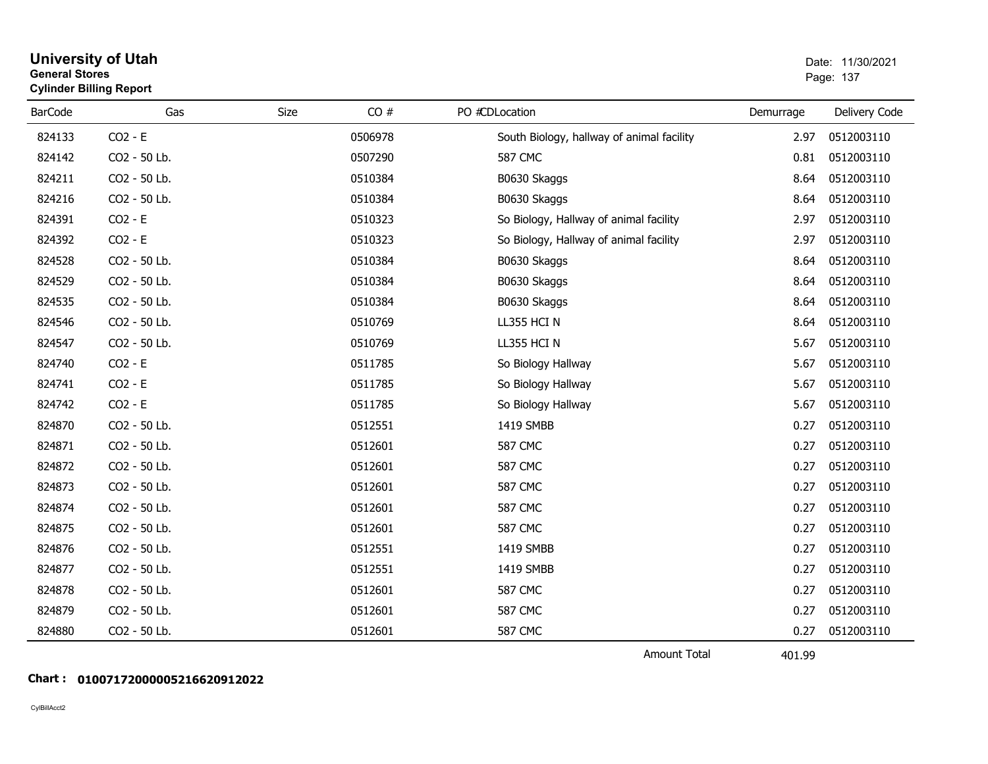|                | <b>Cylinder Billing Report</b> |      |         |                                           |           |               |
|----------------|--------------------------------|------|---------|-------------------------------------------|-----------|---------------|
| <b>BarCode</b> | Gas                            | Size | CO#     | PO #CDLocation                            | Demurrage | Delivery Code |
| 824133         | $CO2 - E$                      |      | 0506978 | South Biology, hallway of animal facility | 2.97      | 0512003110    |
| 824142         | CO2 - 50 Lb.                   |      | 0507290 | <b>587 CMC</b>                            | 0.81      | 0512003110    |
| 824211         | CO2 - 50 Lb.                   |      | 0510384 | B0630 Skaggs                              | 8.64      | 0512003110    |
| 824216         | CO2 - 50 Lb.                   |      | 0510384 | B0630 Skaggs                              | 8.64      | 0512003110    |
| 824391         | $CO2 - E$                      |      | 0510323 | So Biology, Hallway of animal facility    | 2.97      | 0512003110    |
| 824392         | $CO2 - E$                      |      | 0510323 | So Biology, Hallway of animal facility    | 2.97      | 0512003110    |
| 824528         | CO2 - 50 Lb.                   |      | 0510384 | B0630 Skaggs                              | 8.64      | 0512003110    |
| 824529         | CO2 - 50 Lb.                   |      | 0510384 | B0630 Skaggs                              | 8.64      | 0512003110    |
| 824535         | CO2 - 50 Lb.                   |      | 0510384 | B0630 Skaggs                              | 8.64      | 0512003110    |
| 824546         | CO2 - 50 Lb.                   |      | 0510769 | LL355 HCI N                               | 8.64      | 0512003110    |
| 824547         | CO2 - 50 Lb.                   |      | 0510769 | LL355 HCI N                               | 5.67      | 0512003110    |
| 824740         | $CO2 - E$                      |      | 0511785 | So Biology Hallway                        | 5.67      | 0512003110    |
| 824741         | $CO2 - E$                      |      | 0511785 | So Biology Hallway                        | 5.67      | 0512003110    |
| 824742         | $CO2 - E$                      |      | 0511785 | So Biology Hallway                        | 5.67      | 0512003110    |
| 824870         | CO2 - 50 Lb.                   |      | 0512551 | 1419 SMBB                                 | 0.27      | 0512003110    |
| 824871         | CO2 - 50 Lb.                   |      | 0512601 | <b>587 CMC</b>                            | 0.27      | 0512003110    |
| 824872         | CO2 - 50 Lb.                   |      | 0512601 | <b>587 CMC</b>                            | 0.27      | 0512003110    |
| 824873         | CO2 - 50 Lb.                   |      | 0512601 | <b>587 CMC</b>                            | 0.27      | 0512003110    |
| 824874         | CO2 - 50 Lb.                   |      | 0512601 | <b>587 CMC</b>                            | 0.27      | 0512003110    |
| 824875         | CO2 - 50 Lb.                   |      | 0512601 | <b>587 CMC</b>                            | 0.27      | 0512003110    |
| 824876         | CO2 - 50 Lb.                   |      | 0512551 | 1419 SMBB                                 | 0.27      | 0512003110    |
| 824877         | CO2 - 50 Lb.                   |      | 0512551 | 1419 SMBB                                 | 0.27      | 0512003110    |
| 824878         | CO2 - 50 Lb.                   |      | 0512601 | <b>587 CMC</b>                            | 0.27      | 0512003110    |
| 824879         | CO2 - 50 Lb.                   |      | 0512601 | <b>587 CMC</b>                            | 0.27      | 0512003110    |
| 824880         | CO2 - 50 Lb.                   |      | 0512601 | <b>587 CMC</b>                            | 0.27      | 0512003110    |

Amount Total

401.99

#### **Chart : 01007172000005216620912022**

#### **University of Utah** Date: 11/30/2021 **General Stores**s and the contract of the contract of the contract of the contract of the contract of the contract of the contract of the contract of the contract of the contract of the contract of the contract of the contract of the cont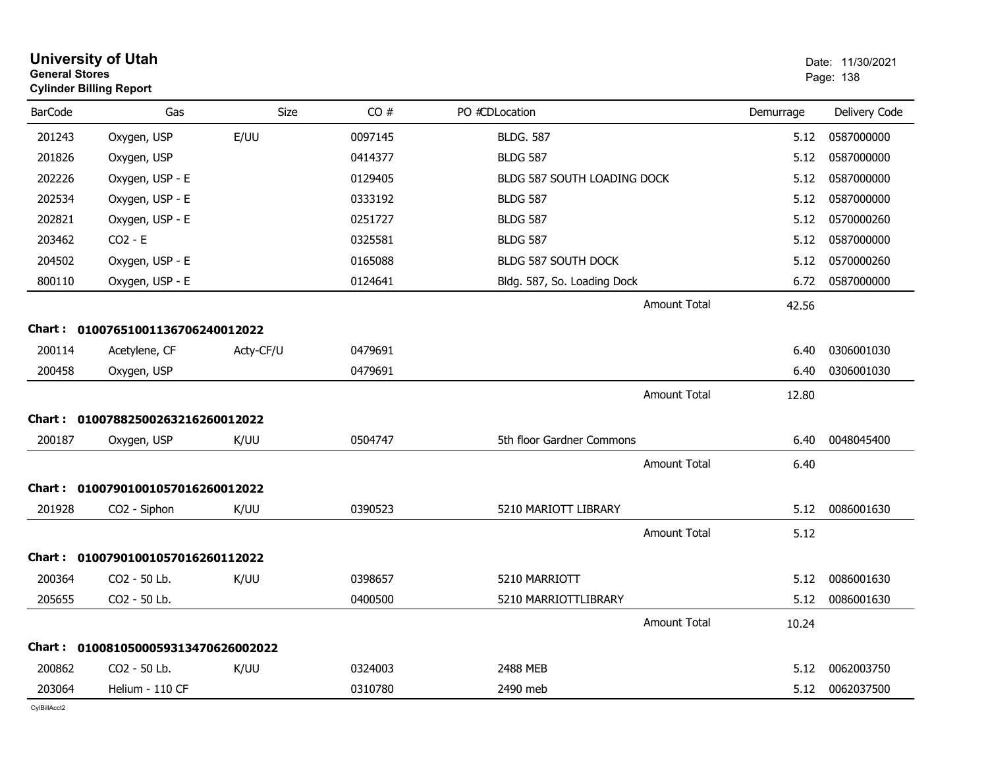| <b>General Stores</b> | <b>University of Utah</b><br><b>Cylinder Billing Report</b> |           |         |                             |           | Date: 11/30/2021<br>Page: 138 |
|-----------------------|-------------------------------------------------------------|-----------|---------|-----------------------------|-----------|-------------------------------|
| <b>BarCode</b>        | Gas                                                         | Size      | CO#     | PO #CDLocation              | Demurrage | Delivery Code                 |
| 201243                | Oxygen, USP                                                 | E/UU      | 0097145 | <b>BLDG, 587</b>            | 5.12      | 0587000000                    |
| 201826                | Oxygen, USP                                                 |           | 0414377 | <b>BLDG 587</b>             | 5.12      | 0587000000                    |
| 202226                | Oxygen, USP - E                                             |           | 0129405 | BLDG 587 SOUTH LOADING DOCK | 5.12      | 0587000000                    |
| 202534                | Oxygen, USP - E                                             |           | 0333192 | <b>BLDG 587</b>             | 5.12      | 0587000000                    |
| 202821                | Oxygen, USP - E                                             |           | 0251727 | <b>BLDG 587</b>             | 5.12      | 0570000260                    |
| 203462                | $CO2 - E$                                                   |           | 0325581 | <b>BLDG 587</b>             | 5.12      | 0587000000                    |
| 204502                | Oxygen, USP - E                                             |           | 0165088 | BLDG 587 SOUTH DOCK         | 5.12      | 0570000260                    |
| 800110                | Oxygen, USP - E                                             |           | 0124641 | Bldg. 587, So. Loading Dock | 6.72      | 0587000000                    |
|                       |                                                             |           |         | Amount Total                | 42.56     |                               |
|                       | Chart: 01007651001136706240012022                           |           |         |                             |           |                               |
| 200114                | Acetylene, CF                                               | Acty-CF/U | 0479691 |                             | 6.40      | 0306001030                    |
| 200458                | Oxygen, USP                                                 |           | 0479691 |                             | 6.40      | 0306001030                    |
|                       |                                                             |           |         | Amount Total                | 12.80     |                               |
|                       | Chart: 01007882500263216260012022                           |           |         |                             |           |                               |
| 200187                | Oxygen, USP                                                 | K/UU      | 0504747 | 5th floor Gardner Commons   | 6.40      | 0048045400                    |
|                       |                                                             |           |         | Amount Total                | 6.40      |                               |
|                       | Chart: 01007901001057016260012022                           |           |         |                             |           |                               |
| 201928                | CO2 - Siphon                                                | K/UU      | 0390523 | 5210 MARIOTT LIBRARY        | 5.12      | 0086001630                    |
|                       |                                                             |           |         | Amount Total                | 5.12      |                               |
|                       | Chart: 01007901001057016260112022                           |           |         |                             |           |                               |
| 200364                | CO2 - 50 Lb.                                                | K/UU      | 0398657 | 5210 MARRIOTT               | 5.12      | 0086001630                    |
| 205655                | CO2 - 50 Lb.                                                |           | 0400500 | 5210 MARRIOTTLIBRARY        | 5.12      | 0086001630                    |
|                       |                                                             |           |         | Amount Total                | 10.24     |                               |
|                       | Chart: 0100810500059313470626002022                         |           |         |                             |           |                               |
| 200862                | CO <sub>2</sub> - 50 Lb.                                    | K/UU      | 0324003 | 2488 MEB                    | 5.12      | 0062003750                    |
| 203064                | Helium - 110 CF                                             |           | 0310780 | 2490 meb                    | 5.12      | 0062037500                    |
|                       |                                                             |           |         |                             |           |                               |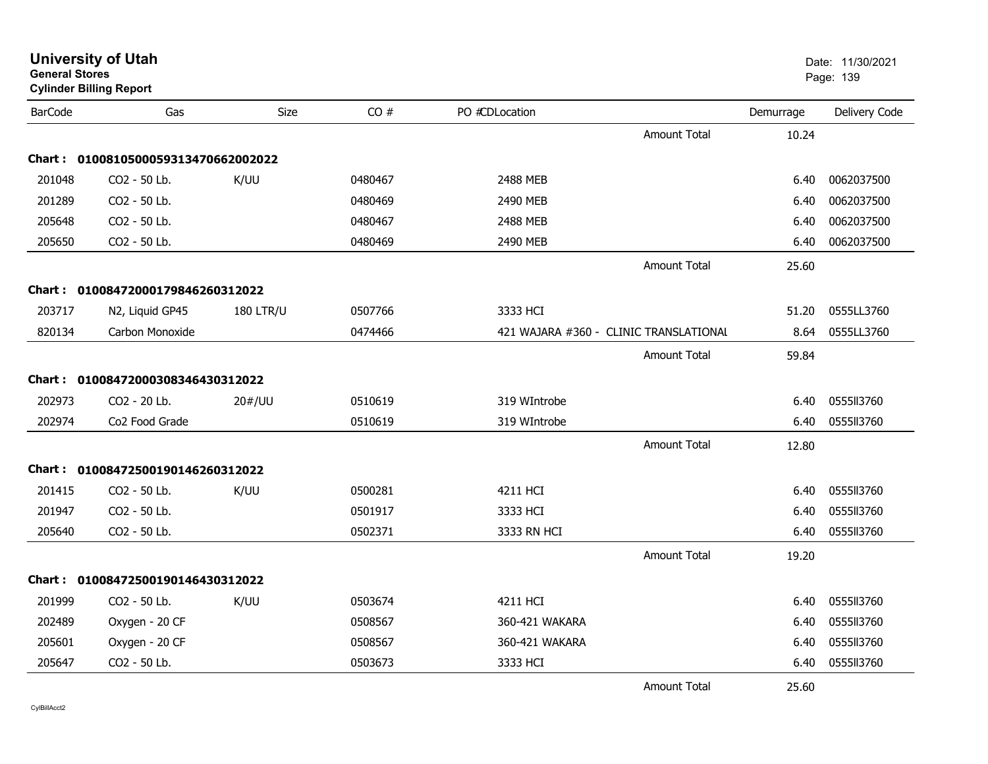| <b>General Stores</b> | <b>Cylinder Billing Report</b>      |                  |         |                |                                        |           | Page: 139     |
|-----------------------|-------------------------------------|------------------|---------|----------------|----------------------------------------|-----------|---------------|
| <b>BarCode</b>        | Gas                                 | Size             | CO#     | PO #CDLocation |                                        | Demurrage | Delivery Code |
|                       |                                     |                  |         |                | <b>Amount Total</b>                    | 10.24     |               |
|                       | Chart: 0100810500059313470662002022 |                  |         |                |                                        |           |               |
| 201048                | CO <sub>2</sub> - 50 Lb.            | K/UU             | 0480467 | 2488 MEB       |                                        | 6.40      | 0062037500    |
| 201289                | CO2 - 50 Lb.                        |                  | 0480469 | 2490 MEB       |                                        | 6.40      | 0062037500    |
| 205648                | CO <sub>2</sub> - 50 Lb.            |                  | 0480467 | 2488 MEB       |                                        | 6.40      | 0062037500    |
| 205650                | CO2 - 50 Lb.                        |                  | 0480469 | 2490 MEB       |                                        | 6.40      | 0062037500    |
|                       |                                     |                  |         |                | <b>Amount Total</b>                    | 25.60     |               |
|                       | Chart: 01008472000179846260312022   |                  |         |                |                                        |           |               |
| 203717                | N2, Liquid GP45                     | <b>180 LTR/U</b> | 0507766 | 3333 HCI       |                                        | 51.20     | 0555LL3760    |
| 820134                | Carbon Monoxide                     |                  | 0474466 |                | 421 WAJARA #360 - CLINIC TRANSLATIONAL | 8.64      | 0555LL3760    |
|                       |                                     |                  |         |                | <b>Amount Total</b>                    | 59.84     |               |
|                       | Chart: 01008472000308346430312022   |                  |         |                |                                        |           |               |
| 202973                | CO <sub>2</sub> - 20 Lb.            | 20#/UU           | 0510619 | 319 WIntrobe   |                                        | 6.40      | 055513760     |
| 202974                | Co <sub>2</sub> Food Grade          |                  | 0510619 | 319 WIntrobe   |                                        | 6.40      | 0555113760    |
|                       |                                     |                  |         |                | <b>Amount Total</b>                    | 12.80     |               |
|                       | Chart: 01008472500190146260312022   |                  |         |                |                                        |           |               |
| 201415                | CO2 - 50 Lb.                        | K/UU             | 0500281 | 4211 HCI       |                                        | 6.40      | 055513760     |
| 201947                | CO2 - 50 Lb.                        |                  | 0501917 | 3333 HCI       |                                        | 6.40      | 0555113760    |
| 205640                | CO2 - 50 Lb.                        |                  | 0502371 | 3333 RN HCI    |                                        | 6.40      | 0555113760    |
|                       |                                     |                  |         |                | <b>Amount Total</b>                    | 19.20     |               |
|                       | Chart: 01008472500190146430312022   |                  |         |                |                                        |           |               |
| 201999                | CO2 - 50 Lb.                        | K/UU             | 0503674 | 4211 HCI       |                                        | 6.40      | 0555113760    |
| 202489                | Oxygen - 20 CF                      |                  | 0508567 | 360-421 WAKARA |                                        | 6.40      | 0555113760    |
| 205601                | Oxygen - 20 CF                      |                  | 0508567 | 360-421 WAKARA |                                        | 6.40      | 0555113760    |
| 205647                | CO2 - 50 Lb.                        |                  | 0503673 | 3333 HCI       |                                        | 6.40      | 0555113760    |
|                       |                                     |                  |         |                | <b>Amount Total</b>                    | 25.60     |               |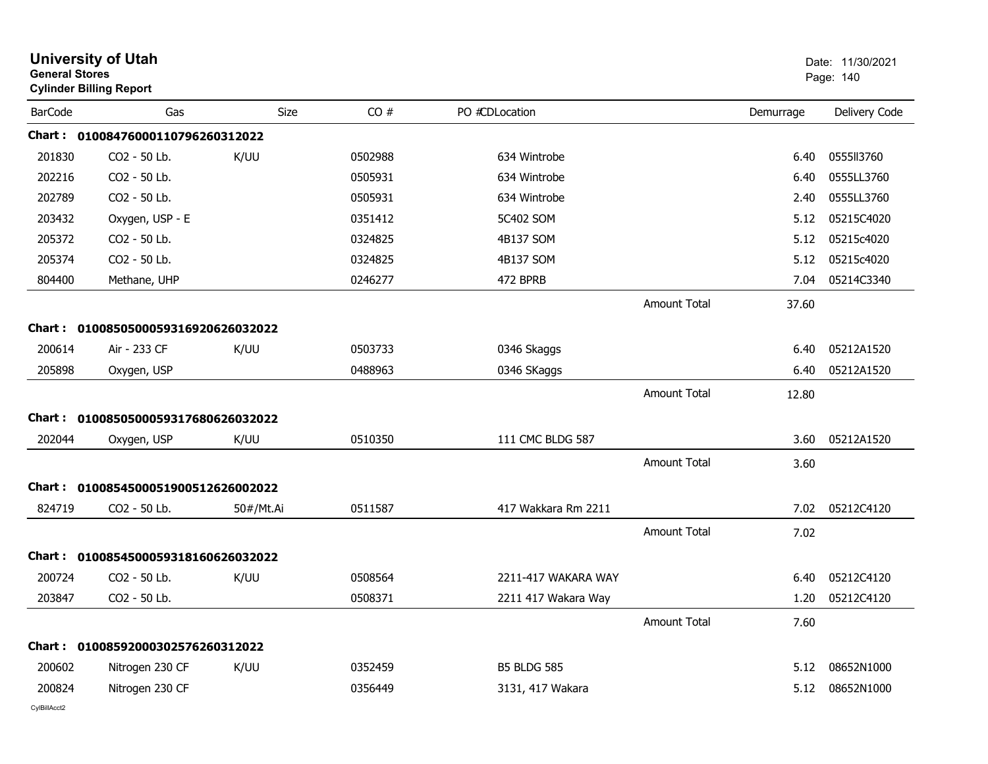| <b>General Stores</b> | <b>University of Utah</b><br><b>Cylinder Billing Report</b> |           |         |                     |                     |           | Date: 11/30/2021<br>Page: 140 |
|-----------------------|-------------------------------------------------------------|-----------|---------|---------------------|---------------------|-----------|-------------------------------|
| <b>BarCode</b>        | Gas                                                         | Size      | CO#     | PO #CDLocation      |                     | Demurrage | Delivery Code                 |
|                       | Chart: 01008476000110796260312022                           |           |         |                     |                     |           |                               |
| 201830                | CO2 - 50 Lb.                                                | K/UU      | 0502988 | 634 Wintrobe        |                     | 6.40      | 0555II3760                    |
| 202216                | CO2 - 50 Lb.                                                |           | 0505931 | 634 Wintrobe        |                     | 6.40      | 0555LL3760                    |
| 202789                | CO2 - 50 Lb.                                                |           | 0505931 | 634 Wintrobe        |                     | 2.40      | 0555LL3760                    |
| 203432                | Oxygen, USP - E                                             |           | 0351412 | 5C402 SOM           |                     | 5.12      | 05215C4020                    |
| 205372                | CO2 - 50 Lb.                                                |           | 0324825 | 4B137 SOM           |                     | 5.12      | 05215c4020                    |
| 205374                | CO2 - 50 Lb.                                                |           | 0324825 | 4B137 SOM           |                     | 5.12      | 05215c4020                    |
| 804400                | Methane, UHP                                                |           | 0246277 | 472 BPRB            |                     | 7.04      | 05214C3340                    |
|                       |                                                             |           |         |                     | <b>Amount Total</b> | 37.60     |                               |
|                       | Chart: 0100850500059316920626032022                         |           |         |                     |                     |           |                               |
| 200614                | Air - 233 CF                                                | K/UU      | 0503733 | 0346 Skaggs         |                     | 6.40      | 05212A1520                    |
| 205898                | Oxygen, USP                                                 |           | 0488963 | 0346 SKaggs         |                     | 6.40      | 05212A1520                    |
|                       |                                                             |           |         |                     | <b>Amount Total</b> | 12.80     |                               |
|                       | Chart: 0100850500059317680626032022                         |           |         |                     |                     |           |                               |
| 202044                | Oxygen, USP                                                 | K/UU      | 0510350 | 111 CMC BLDG 587    |                     | 3.60      | 05212A1520                    |
|                       |                                                             |           |         |                     | <b>Amount Total</b> | 3.60      |                               |
|                       | Chart: 0100854500051900512626002022                         |           |         |                     |                     |           |                               |
| 824719                | CO2 - 50 Lb.                                                | 50#/Mt.Ai | 0511587 | 417 Wakkara Rm 2211 |                     | 7.02      | 05212C4120                    |
|                       |                                                             |           |         |                     | <b>Amount Total</b> | 7.02      |                               |
| Chart :               | 0100854500059318160626032022                                |           |         |                     |                     |           |                               |
| 200724                | CO2 - 50 Lb.                                                | K/UU      | 0508564 | 2211-417 WAKARA WAY |                     | 6.40      | 05212C4120                    |
| 203847                | CO2 - 50 Lb.                                                |           | 0508371 | 2211 417 Wakara Way |                     | 1.20      | 05212C4120                    |
|                       |                                                             |           |         |                     | <b>Amount Total</b> | 7.60      |                               |
|                       | Chart: 01008592000302576260312022                           |           |         |                     |                     |           |                               |
| 200602                | Nitrogen 230 CF                                             | K/UU      | 0352459 | <b>B5 BLDG 585</b>  |                     | 5.12      | 08652N1000                    |
| 200824                | Nitrogen 230 CF                                             |           | 0356449 | 3131, 417 Wakara    |                     | 5.12      | 08652N1000                    |
|                       |                                                             |           |         |                     |                     |           |                               |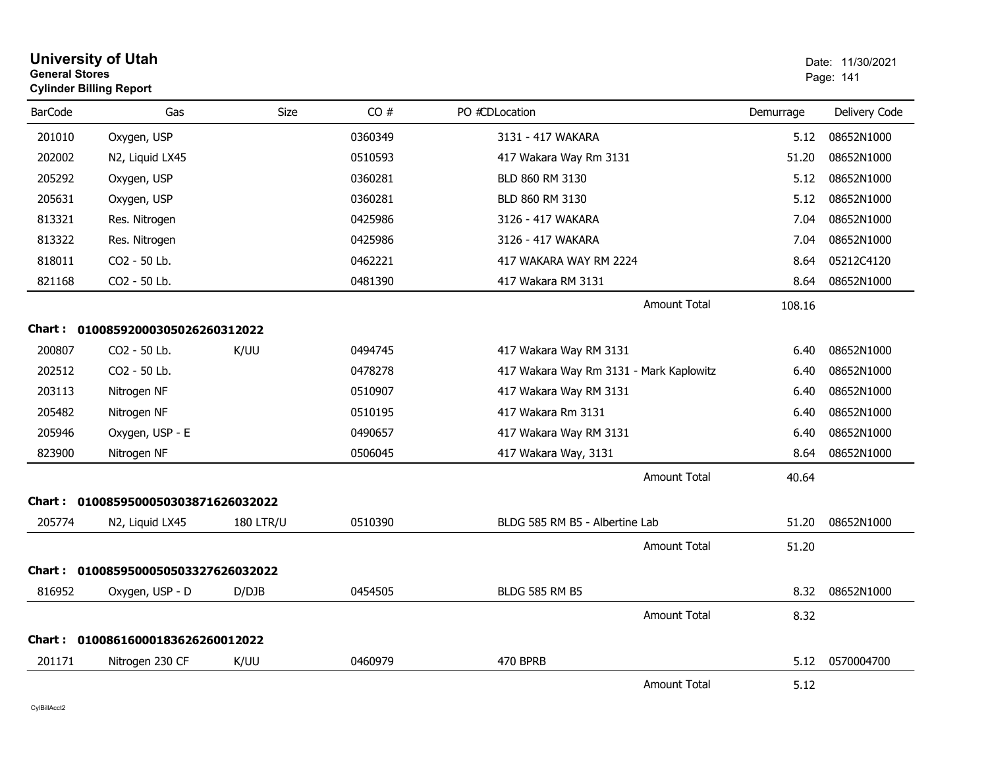| <b>General Stores</b> | <b>University of Utah</b><br><b>Cylinder Billing Report</b> |                  |         |                                         |           | Date: 11/30/2021<br>Page: 141 |
|-----------------------|-------------------------------------------------------------|------------------|---------|-----------------------------------------|-----------|-------------------------------|
| <b>BarCode</b>        | Gas                                                         | <b>Size</b>      | CO#     | PO #CDLocation                          | Demurrage | Delivery Code                 |
| 201010                | Oxygen, USP                                                 |                  | 0360349 | 3131 - 417 WAKARA                       | 5.12      | 08652N1000                    |
| 202002                | N2, Liquid LX45                                             |                  | 0510593 | 417 Wakara Way Rm 3131                  | 51.20     | 08652N1000                    |
| 205292                | Oxygen, USP                                                 |                  | 0360281 | BLD 860 RM 3130                         | 5.12      | 08652N1000                    |
| 205631                | Oxygen, USP                                                 |                  | 0360281 | BLD 860 RM 3130                         | 5.12      | 08652N1000                    |
| 813321                | Res. Nitrogen                                               |                  | 0425986 | 3126 - 417 WAKARA                       | 7.04      | 08652N1000                    |
| 813322                | Res. Nitrogen                                               |                  | 0425986 | 3126 - 417 WAKARA                       | 7.04      | 08652N1000                    |
| 818011                | CO2 - 50 Lb.                                                |                  | 0462221 | 417 WAKARA WAY RM 2224                  | 8.64      | 05212C4120                    |
| 821168                | CO2 - 50 Lb.                                                |                  | 0481390 | 417 Wakara RM 3131                      | 8.64      | 08652N1000                    |
|                       |                                                             |                  |         | Amount Total                            | 108.16    |                               |
| Chart :               | 01008592000305026260312022                                  |                  |         |                                         |           |                               |
| 200807                | CO2 - 50 Lb.                                                | K/UU             | 0494745 | 417 Wakara Way RM 3131                  | 6.40      | 08652N1000                    |
| 202512                | CO2 - 50 Lb.                                                |                  | 0478278 | 417 Wakara Way Rm 3131 - Mark Kaplowitz | 6.40      | 08652N1000                    |
| 203113                | Nitrogen NF                                                 |                  | 0510907 | 417 Wakara Way RM 3131                  | 6.40      | 08652N1000                    |
| 205482                | Nitrogen NF                                                 |                  | 0510195 | 417 Wakara Rm 3131                      | 6.40      | 08652N1000                    |
| 205946                | Oxygen, USP - E                                             |                  | 0490657 | 417 Wakara Way RM 3131                  | 6.40      | 08652N1000                    |
| 823900                | Nitrogen NF                                                 |                  | 0506045 | 417 Wakara Way, 3131                    | 8.64      | 08652N1000                    |
|                       |                                                             |                  |         | Amount Total                            | 40.64     |                               |
| Chart :               | 0100859500050303871626032022                                |                  |         |                                         |           |                               |
| 205774                | N <sub>2</sub> , Liquid LX <sub>45</sub>                    | <b>180 LTR/U</b> | 0510390 | BLDG 585 RM B5 - Albertine Lab          | 51.20     | 08652N1000                    |
|                       |                                                             |                  |         | <b>Amount Total</b>                     | 51.20     |                               |
|                       | Chart: 0100859500050503327626032022                         |                  |         |                                         |           |                               |
| 816952                | Oxygen, USP - D                                             | D/DJB            | 0454505 | <b>BLDG 585 RM B5</b>                   | 8.32      | 08652N1000                    |
|                       |                                                             |                  |         | <b>Amount Total</b>                     | 8.32      |                               |
|                       | Chart: 01008616000183626260012022                           |                  |         |                                         |           |                               |
| 201171                | Nitrogen 230 CF                                             | K/UU             | 0460979 | 470 BPRB                                | 5.12      | 0570004700                    |
|                       |                                                             |                  |         | <b>Amount Total</b>                     | 5.12      |                               |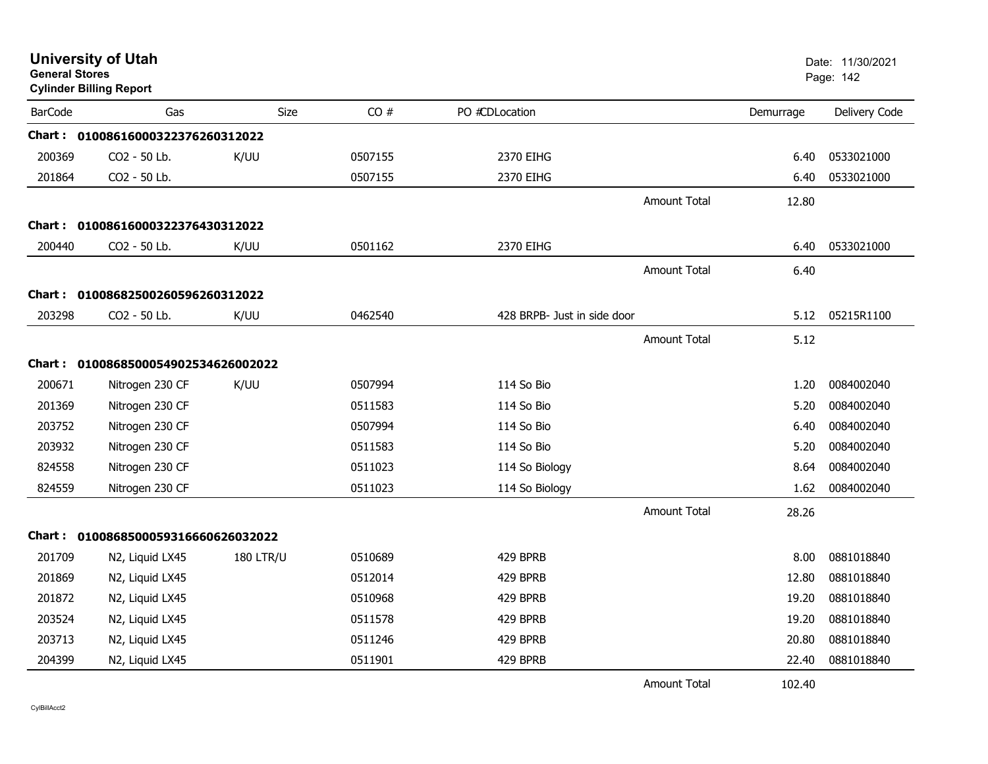| <b>University of Utah</b><br><b>General Stores</b><br><b>Cylinder Billing Report</b> |                                     |                  |         |                             |                     |           | Date: 11/30/2021<br>Page: 142 |
|--------------------------------------------------------------------------------------|-------------------------------------|------------------|---------|-----------------------------|---------------------|-----------|-------------------------------|
| <b>BarCode</b>                                                                       | Gas                                 | Size             | CO#     | PO #CDLocation              |                     | Demurrage | Delivery Code                 |
|                                                                                      | Chart: 01008616000322376260312022   |                  |         |                             |                     |           |                               |
| 200369                                                                               | CO2 - 50 Lb.                        | K/UU             | 0507155 | 2370 EIHG                   |                     | 6.40      | 0533021000                    |
| 201864                                                                               | CO2 - 50 Lb.                        |                  | 0507155 | 2370 EIHG                   |                     | 6.40      | 0533021000                    |
|                                                                                      |                                     |                  |         |                             | Amount Total        | 12.80     |                               |
| <b>Chart :</b>                                                                       | 01008616000322376430312022          |                  |         |                             |                     |           |                               |
| 200440                                                                               | CO <sub>2</sub> - 50 Lb.            | K/UU             | 0501162 | 2370 EIHG                   |                     | 6.40      | 0533021000                    |
|                                                                                      |                                     |                  |         |                             | <b>Amount Total</b> | 6.40      |                               |
| <b>Chart :</b>                                                                       | 01008682500260596260312022          |                  |         |                             |                     |           |                               |
| 203298                                                                               | CO2 - 50 Lb.                        | K/UU             | 0462540 | 428 BRPB- Just in side door |                     | 5.12      | 05215R1100                    |
|                                                                                      |                                     |                  |         |                             | <b>Amount Total</b> | 5.12      |                               |
|                                                                                      | Chart: 0100868500054902534626002022 |                  |         |                             |                     |           |                               |
| 200671                                                                               | Nitrogen 230 CF                     | K/UU             | 0507994 | 114 So Bio                  |                     | 1.20      | 0084002040                    |
| 201369                                                                               | Nitrogen 230 CF                     |                  | 0511583 | 114 So Bio                  |                     | 5.20      | 0084002040                    |
| 203752                                                                               | Nitrogen 230 CF                     |                  | 0507994 | 114 So Bio                  |                     | 6.40      | 0084002040                    |
| 203932                                                                               | Nitrogen 230 CF                     |                  | 0511583 | 114 So Bio                  |                     | 5.20      | 0084002040                    |
| 824558                                                                               | Nitrogen 230 CF                     |                  | 0511023 | 114 So Biology              |                     | 8.64      | 0084002040                    |
| 824559                                                                               | Nitrogen 230 CF                     |                  | 0511023 | 114 So Biology              |                     | 1.62      | 0084002040                    |
|                                                                                      |                                     |                  |         |                             | <b>Amount Total</b> | 28.26     |                               |
|                                                                                      | Chart: 0100868500059316660626032022 |                  |         |                             |                     |           |                               |
| 201709                                                                               | N2, Liquid LX45                     | <b>180 LTR/U</b> | 0510689 | 429 BPRB                    |                     | 8.00      | 0881018840                    |
| 201869                                                                               | N2, Liquid LX45                     |                  | 0512014 | 429 BPRB                    |                     | 12.80     | 0881018840                    |
| 201872                                                                               | N2, Liquid LX45                     |                  | 0510968 | 429 BPRB                    |                     | 19.20     | 0881018840                    |
| 203524                                                                               | N2, Liquid LX45                     |                  | 0511578 | 429 BPRB                    |                     | 19.20     | 0881018840                    |
| 203713                                                                               | N2, Liquid LX45                     |                  | 0511246 | 429 BPRB                    |                     | 20.80     | 0881018840                    |
| 204399                                                                               | N2, Liquid LX45                     |                  | 0511901 | 429 BPRB                    |                     | 22.40     | 0881018840                    |
|                                                                                      |                                     |                  |         |                             | <b>Amount Total</b> | 102.40    |                               |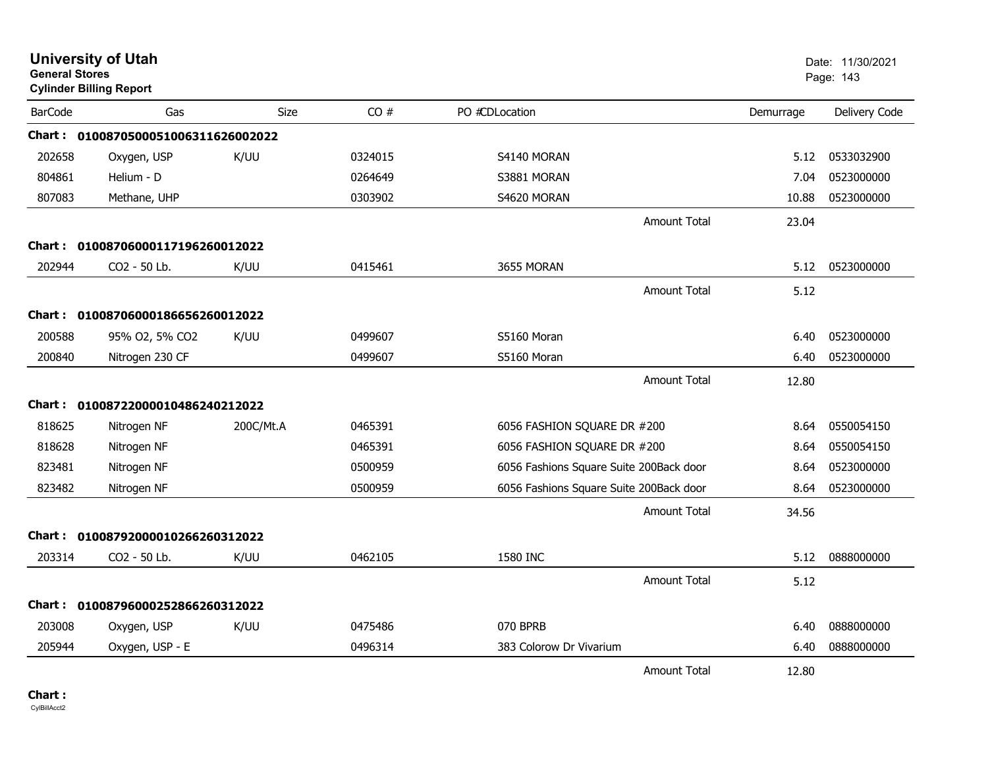| <b>University of Utah</b><br><b>General Stores</b><br><b>Cylinder Billing Report</b> |                                     |           |         |                                         |                     |           | Date: 11/30/2021<br>Page: 143 |
|--------------------------------------------------------------------------------------|-------------------------------------|-----------|---------|-----------------------------------------|---------------------|-----------|-------------------------------|
| <b>BarCode</b>                                                                       | Gas                                 | Size      | CO#     | PO #CDLocation                          |                     | Demurrage | Delivery Code                 |
|                                                                                      | Chart: 0100870500051006311626002022 |           |         |                                         |                     |           |                               |
| 202658                                                                               | Oxygen, USP                         | K/UU      | 0324015 | S4140 MORAN                             |                     | 5.12      | 0533032900                    |
| 804861                                                                               | Helium - D                          |           | 0264649 | S3881 MORAN                             |                     | 7.04      | 0523000000                    |
| 807083                                                                               | Methane, UHP                        |           | 0303902 | S4620 MORAN                             |                     | 10.88     | 0523000000                    |
|                                                                                      |                                     |           |         |                                         | <b>Amount Total</b> | 23.04     |                               |
|                                                                                      | Chart: 01008706000117196260012022   |           |         |                                         |                     |           |                               |
| 202944                                                                               | CO2 - 50 Lb.                        | K/UU      | 0415461 | 3655 MORAN                              |                     | 5.12      | 0523000000                    |
|                                                                                      |                                     |           |         |                                         | <b>Amount Total</b> | 5.12      |                               |
|                                                                                      | Chart: 01008706000186656260012022   |           |         |                                         |                     |           |                               |
| 200588                                                                               | 95% O2, 5% CO2                      | K/UU      | 0499607 | S5160 Moran                             |                     | 6.40      | 0523000000                    |
| 200840                                                                               | Nitrogen 230 CF                     |           | 0499607 | S5160 Moran                             |                     | 6.40      | 0523000000                    |
|                                                                                      |                                     |           |         |                                         | <b>Amount Total</b> | 12.80     |                               |
| Chart :                                                                              | 01008722000010486240212022          |           |         |                                         |                     |           |                               |
| 818625                                                                               | Nitrogen NF                         | 200C/Mt.A | 0465391 | 6056 FASHION SQUARE DR #200             |                     | 8.64      | 0550054150                    |
| 818628                                                                               | Nitrogen NF                         |           | 0465391 | 6056 FASHION SQUARE DR #200             |                     | 8.64      | 0550054150                    |
| 823481                                                                               | Nitrogen NF                         |           | 0500959 | 6056 Fashions Square Suite 200Back door |                     | 8.64      | 0523000000                    |
| 823482                                                                               | Nitrogen NF                         |           | 0500959 | 6056 Fashions Square Suite 200Back door |                     | 8.64      | 0523000000                    |
|                                                                                      |                                     |           |         |                                         | <b>Amount Total</b> | 34.56     |                               |
| Chart :                                                                              | 01008792000010266260312022          |           |         |                                         |                     |           |                               |
| 203314                                                                               | CO2 - 50 Lb.                        | K/UU      | 0462105 | 1580 INC                                |                     | 5.12      | 0888000000                    |
|                                                                                      |                                     |           |         |                                         | <b>Amount Total</b> | 5.12      |                               |
| Chart :                                                                              | 01008796000252866260312022          |           |         |                                         |                     |           |                               |
| 203008                                                                               | Oxygen, USP                         | K/UU      | 0475486 | 070 BPRB                                |                     | 6.40      | 0888000000                    |
| 205944                                                                               | Oxygen, USP - E                     |           | 0496314 | 383 Colorow Dr Vivarium                 |                     | 6.40      | 0888000000                    |
|                                                                                      |                                     |           |         |                                         | <b>Amount Total</b> | 12.80     |                               |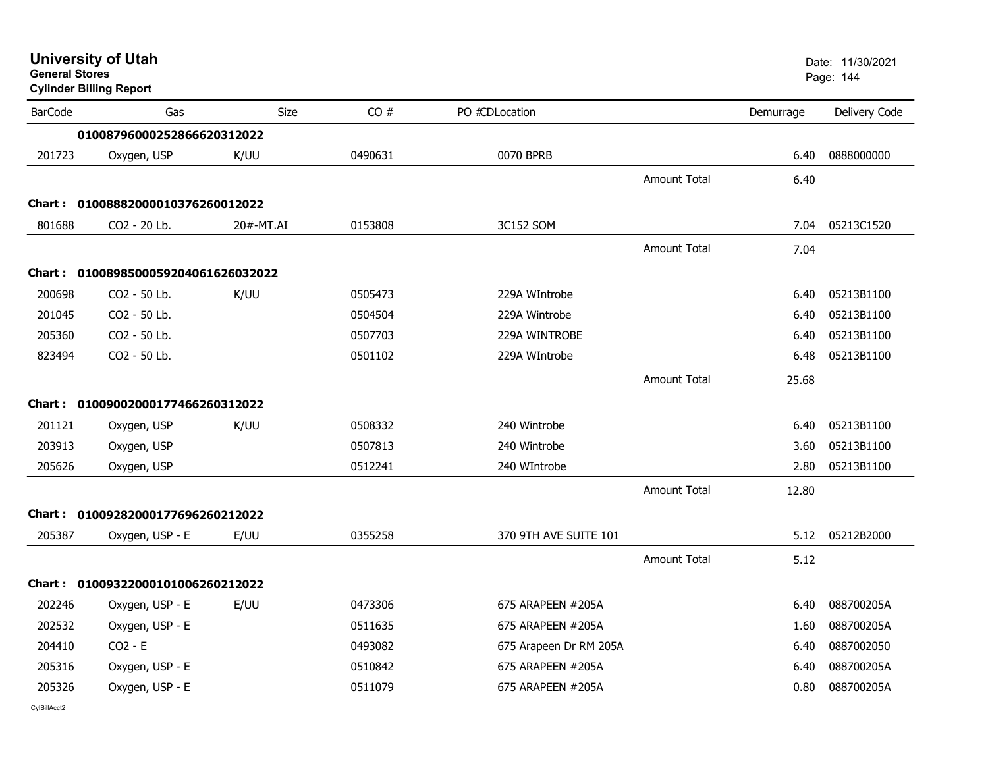|                | <b>University of Utah</b><br><b>General Stores</b><br><b>Cylinder Billing Report</b> |           |         | Date: 11/30/2021<br>Page: 144 |                     |           |               |
|----------------|--------------------------------------------------------------------------------------|-----------|---------|-------------------------------|---------------------|-----------|---------------|
| <b>BarCode</b> | Gas                                                                                  | Size      | CO#     | PO #CDLocation                |                     | Demurrage | Delivery Code |
|                | 01008796000252866620312022                                                           |           |         |                               |                     |           |               |
| 201723         | Oxygen, USP                                                                          | K/UU      | 0490631 | 0070 BPRB                     |                     | 6.40      | 0888000000    |
|                |                                                                                      |           |         |                               | Amount Total        | 6.40      |               |
|                | Chart: 01008882000010376260012022                                                    |           |         |                               |                     |           |               |
| 801688         | CO <sub>2</sub> - 20 Lb.                                                             | 20#-MT.AI | 0153808 | 3C152 SOM                     |                     | 7.04      | 05213C1520    |
|                |                                                                                      |           |         |                               | <b>Amount Total</b> | 7.04      |               |
|                | Chart: 0100898500059204061626032022                                                  |           |         |                               |                     |           |               |
| 200698         | CO2 - 50 Lb.                                                                         | K/UU      | 0505473 | 229A WIntrobe                 |                     | 6.40      | 05213B1100    |
| 201045         | CO2 - 50 Lb.                                                                         |           | 0504504 | 229A Wintrobe                 |                     | 6.40      | 05213B1100    |
| 205360         | CO2 - 50 Lb.                                                                         |           | 0507703 | 229A WINTROBE                 |                     | 6.40      | 05213B1100    |
| 823494         | CO2 - 50 Lb.                                                                         |           | 0501102 | 229A WIntrobe                 |                     | 6.48      | 05213B1100    |
|                |                                                                                      |           |         |                               | Amount Total        | 25.68     |               |
|                | Chart: 01009002000177466260312022                                                    |           |         |                               |                     |           |               |
| 201121         | Oxygen, USP                                                                          | K/UU      | 0508332 | 240 Wintrobe                  |                     | 6.40      | 05213B1100    |
| 203913         | Oxygen, USP                                                                          |           | 0507813 | 240 Wintrobe                  |                     | 3.60      | 05213B1100    |
| 205626         | Oxygen, USP                                                                          |           | 0512241 | 240 WIntrobe                  |                     | 2.80      | 05213B1100    |
|                |                                                                                      |           |         |                               | <b>Amount Total</b> | 12.80     |               |
|                | Chart: 01009282000177696260212022                                                    |           |         |                               |                     |           |               |
| 205387         | Oxygen, USP - E                                                                      | E/UU      | 0355258 | 370 9TH AVE SUITE 101         |                     | 5.12      | 05212B2000    |
|                |                                                                                      |           |         |                               | <b>Amount Total</b> | 5.12      |               |
|                | Chart: 01009322000101006260212022                                                    |           |         |                               |                     |           |               |
| 202246         | Oxygen, USP - E                                                                      | E/UU      | 0473306 | 675 ARAPEEN #205A             |                     | 6.40      | 088700205A    |
| 202532         | Oxygen, USP - E                                                                      |           | 0511635 | 675 ARAPEEN #205A             |                     | 1.60      | 088700205A    |
| 204410         | $CO2 - E$                                                                            |           | 0493082 | 675 Arapeen Dr RM 205A        |                     | 6.40      | 0887002050    |
| 205316         | Oxygen, USP - E                                                                      |           | 0510842 | 675 ARAPEEN #205A             |                     | 6.40      | 088700205A    |
| 205326         | Oxygen, USP - E                                                                      |           | 0511079 | 675 ARAPEEN #205A             |                     | 0.80      | 088700205A    |
|                |                                                                                      |           |         |                               |                     |           |               |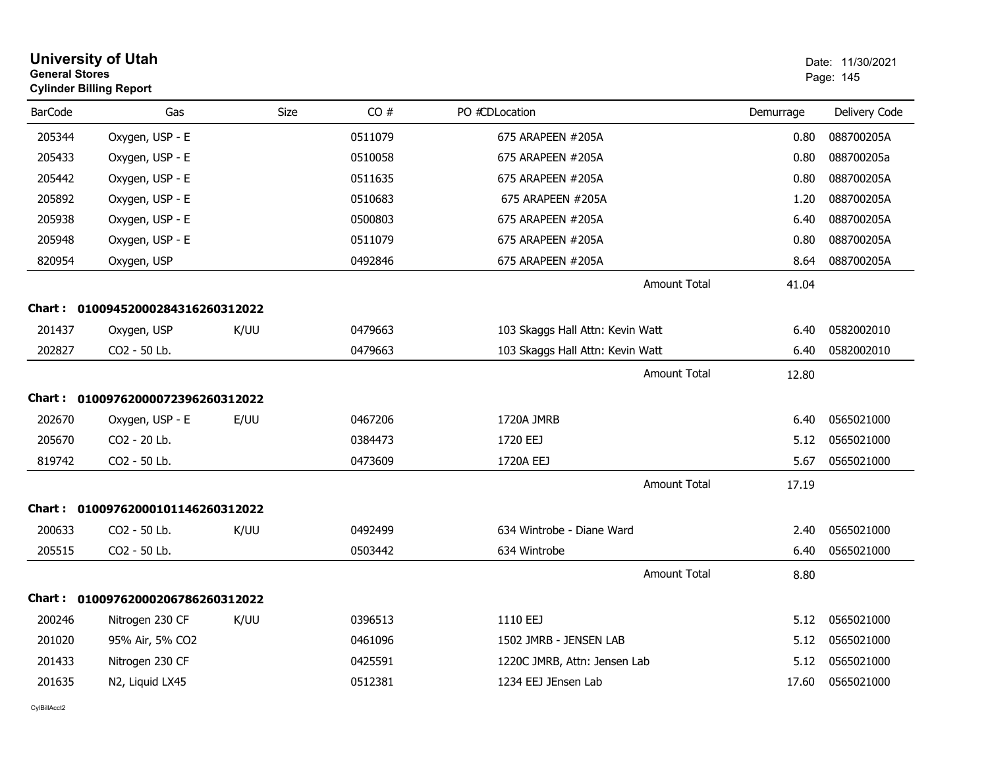| <b>General Stores</b> | <b>University of Utah</b><br><b>Cylinder Billing Report</b> |      |         |                                  |           | Date: 11/30/2021<br>Page: 145 |
|-----------------------|-------------------------------------------------------------|------|---------|----------------------------------|-----------|-------------------------------|
| <b>BarCode</b>        | Gas                                                         | Size | CO#     | PO #CDLocation                   | Demurrage | Delivery Code                 |
| 205344                | Oxygen, USP - E                                             |      | 0511079 | 675 ARAPEEN #205A                | 0.80      | 088700205A                    |
| 205433                | Oxygen, USP - E                                             |      | 0510058 | 675 ARAPEEN #205A                | 0.80      | 088700205a                    |
| 205442                | Oxygen, USP - E                                             |      | 0511635 | 675 ARAPEEN #205A                | 0.80      | 088700205A                    |
| 205892                | Oxygen, USP - E                                             |      | 0510683 | 675 ARAPEEN #205A                | 1.20      | 088700205A                    |
| 205938                | Oxygen, USP - E                                             |      | 0500803 | 675 ARAPEEN #205A                | 6.40      | 088700205A                    |
| 205948                | Oxygen, USP - E                                             |      | 0511079 | 675 ARAPEEN #205A                | 0.80      | 088700205A                    |
| 820954                | Oxygen, USP                                                 |      | 0492846 | 675 ARAPEEN #205A                | 8.64      | 088700205A                    |
|                       |                                                             |      |         | Amount Total                     | 41.04     |                               |
|                       | Chart: 01009452000284316260312022                           |      |         |                                  |           |                               |
| 201437                | Oxygen, USP                                                 | K/UU | 0479663 | 103 Skaggs Hall Attn: Kevin Watt | 6.40      | 0582002010                    |
| 202827                | CO2 - 50 Lb.                                                |      | 0479663 | 103 Skaggs Hall Attn: Kevin Watt | 6.40      | 0582002010                    |
|                       |                                                             |      |         | Amount Total                     | 12.80     |                               |
|                       | Chart: 01009762000072396260312022                           |      |         |                                  |           |                               |
| 202670                | Oxygen, USP - E                                             | E/UU | 0467206 | 1720A JMRB                       | 6.40      | 0565021000                    |
| 205670                | CO2 - 20 Lb.                                                |      | 0384473 | 1720 EEJ                         | 5.12      | 0565021000                    |
| 819742                | CO2 - 50 Lb.                                                |      | 0473609 | 1720A EEJ                        | 5.67      | 0565021000                    |
|                       |                                                             |      |         | <b>Amount Total</b>              | 17.19     |                               |
|                       | Chart: 01009762000101146260312022                           |      |         |                                  |           |                               |
| 200633                | CO2 - 50 Lb.                                                | K/UU | 0492499 | 634 Wintrobe - Diane Ward        | 2.40      | 0565021000                    |
| 205515                | CO2 - 50 Lb.                                                |      | 0503442 | 634 Wintrobe                     | 6.40      | 0565021000                    |
|                       |                                                             |      |         | <b>Amount Total</b>              | 8.80      |                               |
|                       | Chart: 01009762000206786260312022                           |      |         |                                  |           |                               |
| 200246                | Nitrogen 230 CF                                             | K/UU | 0396513 | 1110 EEJ                         | 5.12      | 0565021000                    |
| 201020                | 95% Air, 5% CO2                                             |      | 0461096 | 1502 JMRB - JENSEN LAB           | 5.12      | 0565021000                    |
| 201433                | Nitrogen 230 CF                                             |      | 0425591 | 1220C JMRB, Attn: Jensen Lab     | 5.12      | 0565021000                    |
| 201635                | N2, Liquid LX45                                             |      | 0512381 | 1234 EEJ JEnsen Lab              | 17.60     | 0565021000                    |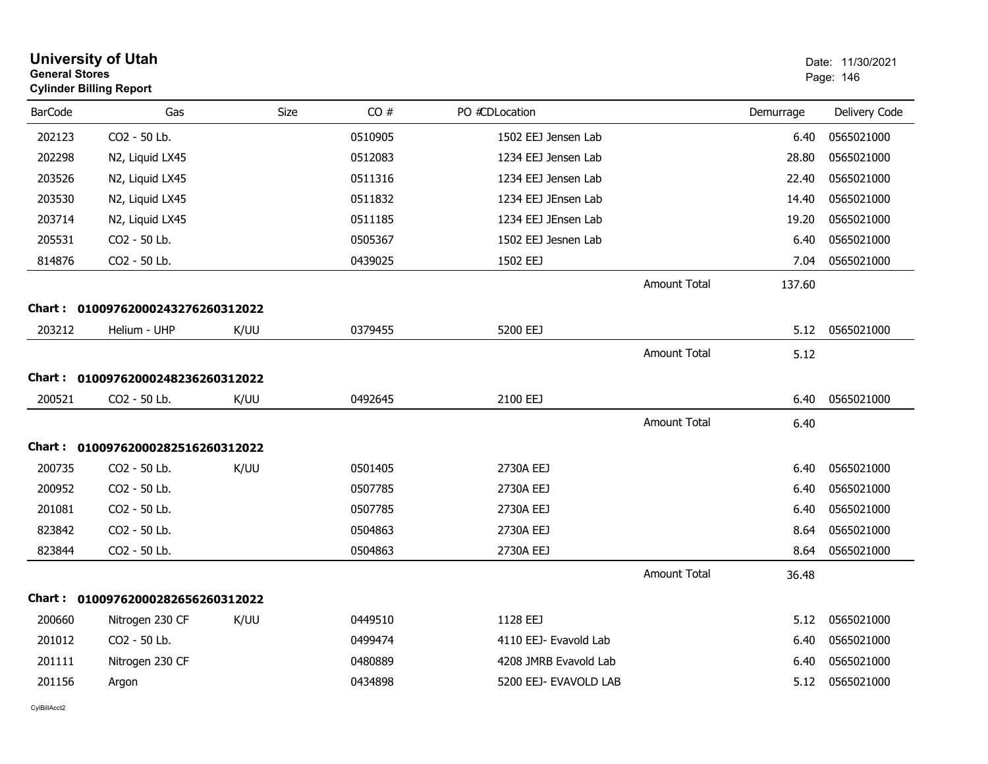| <b>University of Utah</b><br><b>General Stores</b><br><b>Cylinder Billing Report</b> |                                   |      |         |                       |                     |           | Date: 11/30/2021<br>Page: 146 |  |
|--------------------------------------------------------------------------------------|-----------------------------------|------|---------|-----------------------|---------------------|-----------|-------------------------------|--|
| <b>BarCode</b>                                                                       | Gas                               | Size | CO#     | PO #CDLocation        |                     | Demurrage | Delivery Code                 |  |
| 202123                                                                               | CO2 - 50 Lb.                      |      | 0510905 | 1502 EEJ Jensen Lab   |                     | 6.40      | 0565021000                    |  |
| 202298                                                                               | N2, Liquid LX45                   |      | 0512083 | 1234 EEJ Jensen Lab   |                     | 28.80     | 0565021000                    |  |
| 203526                                                                               | N2, Liquid LX45                   |      | 0511316 | 1234 EEJ Jensen Lab   |                     | 22.40     | 0565021000                    |  |
| 203530                                                                               | N2, Liquid LX45                   |      | 0511832 | 1234 EEJ JEnsen Lab   |                     | 14.40     | 0565021000                    |  |
| 203714                                                                               | N2, Liquid LX45                   |      | 0511185 | 1234 EEJ JEnsen Lab   |                     | 19.20     | 0565021000                    |  |
| 205531                                                                               | CO2 - 50 Lb.                      |      | 0505367 | 1502 EEJ Jesnen Lab   |                     | 6.40      | 0565021000                    |  |
| 814876                                                                               | CO2 - 50 Lb.                      |      | 0439025 | 1502 EEJ              |                     | 7.04      | 0565021000                    |  |
|                                                                                      |                                   |      |         |                       | <b>Amount Total</b> | 137.60    |                               |  |
|                                                                                      | Chart: 01009762000243276260312022 |      |         |                       |                     |           |                               |  |
| 203212                                                                               | Helium - UHP                      | K/UU | 0379455 | 5200 EEJ              |                     | 5.12      | 0565021000                    |  |
|                                                                                      |                                   |      |         |                       | <b>Amount Total</b> | 5.12      |                               |  |
| <b>Chart:</b>                                                                        | 01009762000248236260312022        |      |         |                       |                     |           |                               |  |
| 200521                                                                               | CO2 - 50 Lb.                      | K/UU | 0492645 | 2100 EEJ              |                     | 6.40      | 0565021000                    |  |
|                                                                                      |                                   |      |         |                       |                     |           |                               |  |
|                                                                                      |                                   |      |         |                       | <b>Amount Total</b> | 6.40      |                               |  |
| Chart :                                                                              | 01009762000282516260312022        |      |         |                       |                     |           |                               |  |
| 200735                                                                               | CO2 - 50 Lb.                      | K/UU | 0501405 | 2730A EEJ             |                     | 6.40      | 0565021000                    |  |
| 200952                                                                               | CO2 - 50 Lb.                      |      | 0507785 | 2730A EEJ             |                     | 6.40      | 0565021000                    |  |
| 201081                                                                               | CO2 - 50 Lb.                      |      | 0507785 | 2730A EEJ             |                     | 6.40      | 0565021000                    |  |
| 823842                                                                               | CO2 - 50 Lb.                      |      | 0504863 | 2730A EEJ             |                     | 8.64      | 0565021000                    |  |
| 823844                                                                               | CO2 - 50 Lb.                      |      | 0504863 | 2730A EEJ             |                     | 8.64      | 0565021000                    |  |
|                                                                                      |                                   |      |         |                       | <b>Amount Total</b> | 36.48     |                               |  |
|                                                                                      | Chart: 01009762000282656260312022 |      |         |                       |                     |           |                               |  |
| 200660                                                                               | Nitrogen 230 CF                   | K/UU | 0449510 | 1128 EEJ              |                     | 5.12      | 0565021000                    |  |
| 201012                                                                               | CO2 - 50 Lb.                      |      | 0499474 | 4110 EEJ- Evavold Lab |                     | 6.40      | 0565021000                    |  |
| 201111                                                                               | Nitrogen 230 CF                   |      | 0480889 | 4208 JMRB Evavold Lab |                     | 6.40      | 0565021000                    |  |
| 201156                                                                               | Argon                             |      | 0434898 | 5200 EEJ- EVAVOLD LAB |                     | 5.12      | 0565021000                    |  |
|                                                                                      |                                   |      |         |                       |                     |           |                               |  |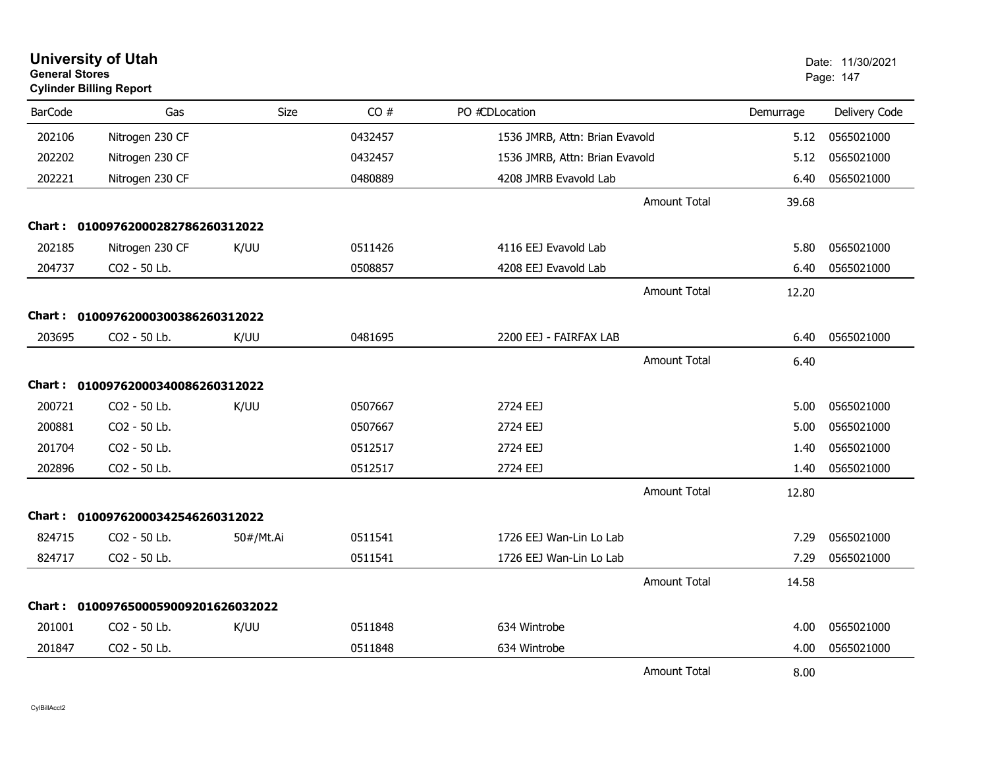| <b>General Stores</b> | <b>University of Utah</b><br><b>Cylinder Billing Report</b> |           |         |                                |                     |           | Date: 11/30/2021<br>Page: 147 |
|-----------------------|-------------------------------------------------------------|-----------|---------|--------------------------------|---------------------|-----------|-------------------------------|
| <b>BarCode</b>        | Gas                                                         | Size      | CO#     | PO #CDLocation                 |                     | Demurrage | Delivery Code                 |
| 202106                | Nitrogen 230 CF                                             |           | 0432457 | 1536 JMRB, Attn: Brian Evavold |                     | 5.12      | 0565021000                    |
| 202202                | Nitrogen 230 CF                                             |           | 0432457 | 1536 JMRB, Attn: Brian Evavold |                     | 5.12      | 0565021000                    |
| 202221                | Nitrogen 230 CF                                             |           | 0480889 | 4208 JMRB Evavold Lab          |                     | 6.40      | 0565021000                    |
|                       |                                                             |           |         |                                | <b>Amount Total</b> | 39.68     |                               |
|                       | Chart: 01009762000282786260312022                           |           |         |                                |                     |           |                               |
| 202185                | Nitrogen 230 CF                                             | K/UU      | 0511426 | 4116 EEJ Evavold Lab           |                     | 5.80      | 0565021000                    |
| 204737                | CO2 - 50 Lb.                                                |           | 0508857 | 4208 EEJ Evavold Lab           |                     | 6.40      | 0565021000                    |
|                       |                                                             |           |         |                                | <b>Amount Total</b> | 12.20     |                               |
|                       | Chart: 01009762000300386260312022                           |           |         |                                |                     |           |                               |
| 203695                | CO2 - 50 Lb.                                                | K/UU      | 0481695 | 2200 EEJ - FAIRFAX LAB         |                     | 6.40      | 0565021000                    |
|                       |                                                             |           |         |                                | <b>Amount Total</b> | 6.40      |                               |
|                       | Chart: 01009762000340086260312022                           |           |         |                                |                     |           |                               |
| 200721                | CO2 - 50 Lb.                                                | K/UU      | 0507667 | 2724 EEJ                       |                     | 5.00      | 0565021000                    |
| 200881                | CO2 - 50 Lb.                                                |           | 0507667 | 2724 EEJ                       |                     | 5.00      | 0565021000                    |
| 201704                | CO2 - 50 Lb.                                                |           | 0512517 | 2724 EEJ                       |                     | 1.40      | 0565021000                    |
| 202896                | CO2 - 50 Lb.                                                |           | 0512517 | 2724 EEJ                       |                     | 1.40      | 0565021000                    |
|                       |                                                             |           |         |                                | <b>Amount Total</b> | 12.80     |                               |
|                       | Chart: 01009762000342546260312022                           |           |         |                                |                     |           |                               |
| 824715                | CO2 - 50 Lb.                                                | 50#/Mt.Ai | 0511541 | 1726 EEJ Wan-Lin Lo Lab        |                     | 7.29      | 0565021000                    |
| 824717                | CO2 - 50 Lb.                                                |           | 0511541 | 1726 EEJ Wan-Lin Lo Lab        |                     | 7.29      | 0565021000                    |
|                       |                                                             |           |         |                                | <b>Amount Total</b> | 14.58     |                               |
| Chart :               | 0100976500059009201626032022                                |           |         |                                |                     |           |                               |
| 201001                | CO2 - 50 Lb.                                                | K/UU      | 0511848 | 634 Wintrobe                   |                     | 4.00      | 0565021000                    |
| 201847                | CO2 - 50 Lb.                                                |           | 0511848 | 634 Wintrobe                   |                     | 4.00      | 0565021000                    |
|                       |                                                             |           |         |                                | <b>Amount Total</b> | 8.00      |                               |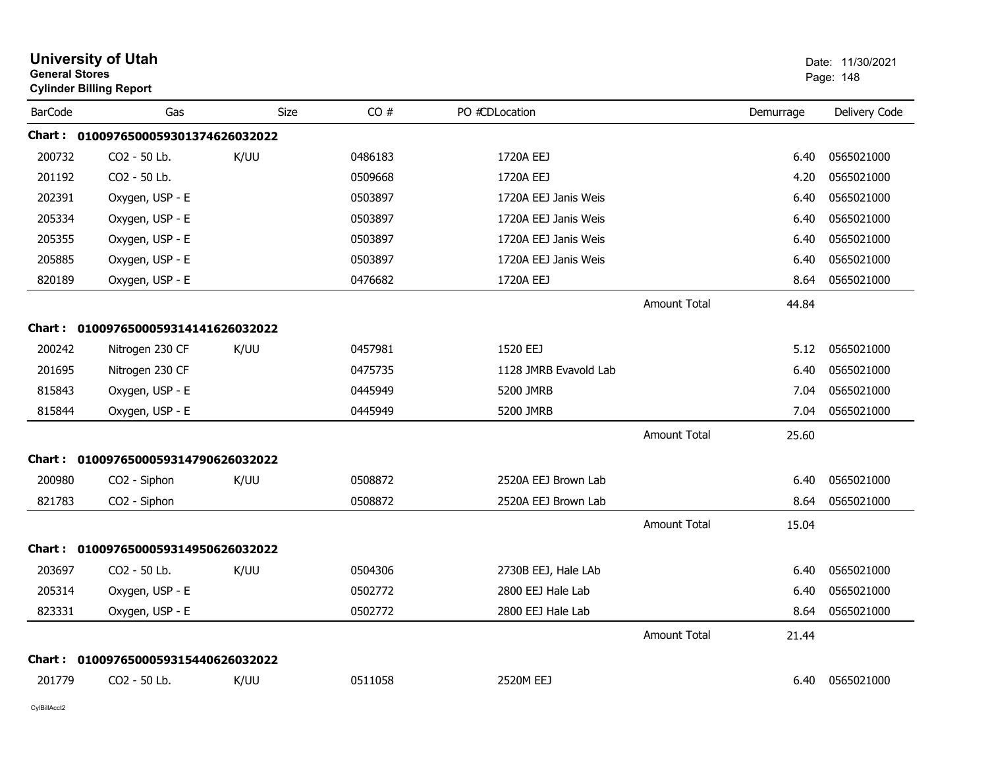| <b>General Stores</b> | <b>University of Utah</b><br><b>Cylinder Billing Report</b> |      |         |                       |                     |           | Date: 11/30/2021<br>Page: 148 |
|-----------------------|-------------------------------------------------------------|------|---------|-----------------------|---------------------|-----------|-------------------------------|
| <b>BarCode</b>        | Gas                                                         | Size | CO#     | PO #CDLocation        |                     | Demurrage | Delivery Code                 |
|                       | Chart: 0100976500059301374626032022                         |      |         |                       |                     |           |                               |
| 200732                | CO <sub>2</sub> - 50 Lb.                                    | K/UU | 0486183 | 1720A EEJ             |                     | 6.40      | 0565021000                    |
| 201192                | CO2 - 50 Lb.                                                |      | 0509668 | 1720A EEJ             |                     | 4.20      | 0565021000                    |
| 202391                | Oxygen, USP - E                                             |      | 0503897 | 1720A EEJ Janis Weis  |                     | 6.40      | 0565021000                    |
| 205334                | Oxygen, USP - E                                             |      | 0503897 | 1720A EEJ Janis Weis  |                     | 6.40      | 0565021000                    |
| 205355                | Oxygen, USP - E                                             |      | 0503897 | 1720A EEJ Janis Weis  |                     | 6.40      | 0565021000                    |
| 205885                | Oxygen, USP - E                                             |      | 0503897 | 1720A EEJ Janis Weis  |                     | 6.40      | 0565021000                    |
| 820189                | Oxygen, USP - E                                             |      | 0476682 | 1720A EEJ             |                     | 8.64      | 0565021000                    |
|                       |                                                             |      |         |                       | Amount Total        | 44.84     |                               |
|                       | Chart: 0100976500059314141626032022                         |      |         |                       |                     |           |                               |
| 200242                | Nitrogen 230 CF                                             | K/UU | 0457981 | 1520 EEJ              |                     | 5.12      | 0565021000                    |
| 201695                | Nitrogen 230 CF                                             |      | 0475735 | 1128 JMRB Evavold Lab |                     | 6.40      | 0565021000                    |
| 815843                | Oxygen, USP - E                                             |      | 0445949 | 5200 JMRB             |                     | 7.04      | 0565021000                    |
| 815844                | Oxygen, USP - E                                             |      | 0445949 | 5200 JMRB             |                     | 7.04      | 0565021000                    |
|                       |                                                             |      |         |                       | <b>Amount Total</b> | 25.60     |                               |
|                       | Chart: 0100976500059314790626032022                         |      |         |                       |                     |           |                               |
| 200980                | CO2 - Siphon                                                | K/UU | 0508872 | 2520A EEJ Brown Lab   |                     | 6.40      | 0565021000                    |
| 821783                | CO2 - Siphon                                                |      | 0508872 | 2520A EEJ Brown Lab   |                     | 8.64      | 0565021000                    |
|                       |                                                             |      |         |                       | <b>Amount Total</b> | 15.04     |                               |
|                       | Chart: 0100976500059314950626032022                         |      |         |                       |                     |           |                               |
| 203697                | CO2 - 50 Lb.                                                | K/UU | 0504306 | 2730B EEJ, Hale LAb   |                     | 6.40      | 0565021000                    |
| 205314                | Oxygen, USP - E                                             |      | 0502772 | 2800 EEJ Hale Lab     |                     | 6.40      | 0565021000                    |
| 823331                | Oxygen, USP - E                                             |      | 0502772 | 2800 EEJ Hale Lab     |                     | 8.64      | 0565021000                    |
|                       |                                                             |      |         |                       | <b>Amount Total</b> | 21.44     |                               |
|                       | Chart: 0100976500059315440626032022                         |      |         |                       |                     |           |                               |
| 201779                | CO <sub>2</sub> - 50 Lb.                                    | K/UU | 0511058 | 2520M EEJ             |                     | 6.40      | 0565021000                    |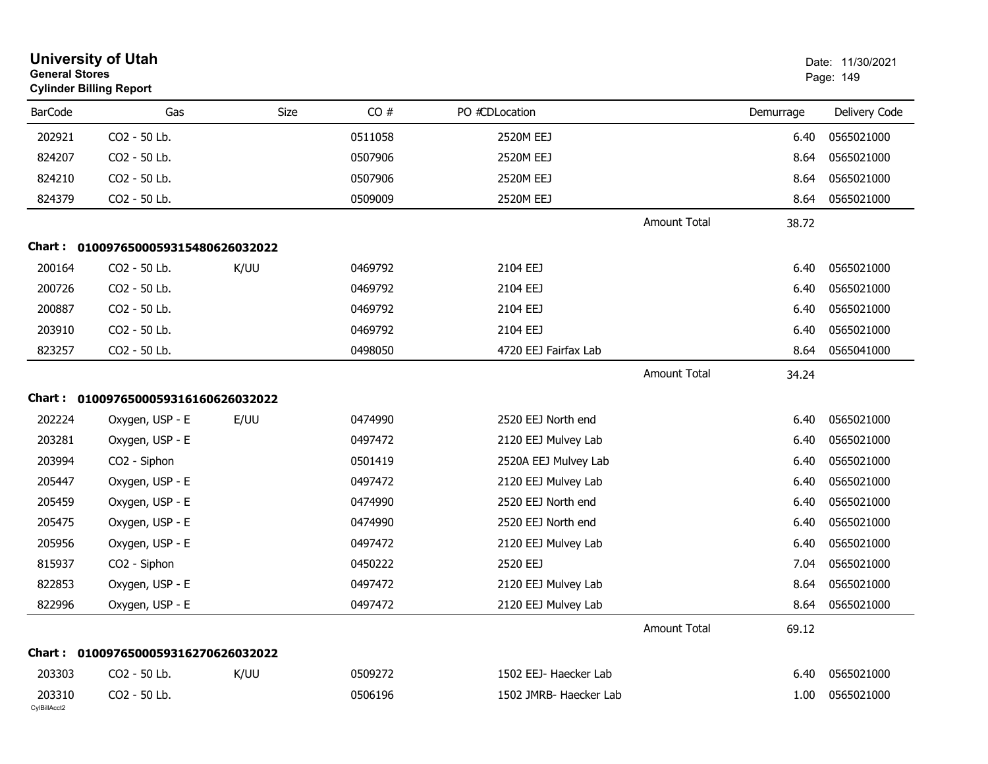| <b>General Stores</b>  | <b>University of Utah</b><br><b>Cylinder Billing Report</b> |      |         |                        |                     |           | Date: 11/30/2021<br>Page: 149 |
|------------------------|-------------------------------------------------------------|------|---------|------------------------|---------------------|-----------|-------------------------------|
| <b>BarCode</b>         | Gas                                                         | Size | CO#     | PO #CDLocation         |                     | Demurrage | Delivery Code                 |
| 202921                 | CO2 - 50 Lb.                                                |      | 0511058 | 2520M EEJ              |                     | 6.40      | 0565021000                    |
| 824207                 | CO2 - 50 Lb.                                                |      | 0507906 | 2520M EEJ              |                     | 8.64      | 0565021000                    |
| 824210                 | CO2 - 50 Lb.                                                |      | 0507906 | 2520M EEJ              |                     | 8.64      | 0565021000                    |
| 824379                 | CO2 - 50 Lb.                                                |      | 0509009 | 2520M EEJ              |                     | 8.64      | 0565021000                    |
|                        |                                                             |      |         |                        | <b>Amount Total</b> | 38.72     |                               |
| Chart :                | 0100976500059315480626032022                                |      |         |                        |                     |           |                               |
| 200164                 | CO2 - 50 Lb.                                                | K/UU | 0469792 | 2104 EEJ               |                     | 6.40      | 0565021000                    |
| 200726                 | CO2 - 50 Lb.                                                |      | 0469792 | 2104 EEJ               |                     | 6.40      | 0565021000                    |
| 200887                 | CO2 - 50 Lb.                                                |      | 0469792 | 2104 EEJ               |                     | 6.40      | 0565021000                    |
| 203910                 | CO2 - 50 Lb.                                                |      | 0469792 | 2104 EEJ               |                     | 6.40      | 0565021000                    |
| 823257                 | CO2 - 50 Lb.                                                |      | 0498050 | 4720 EEJ Fairfax Lab   |                     | 8.64      | 0565041000                    |
|                        |                                                             |      |         |                        | <b>Amount Total</b> | 34.24     |                               |
|                        | Chart: 0100976500059316160626032022                         |      |         |                        |                     |           |                               |
| 202224                 | Oxygen, USP - E                                             | E/UU | 0474990 | 2520 EEJ North end     |                     | 6.40      | 0565021000                    |
| 203281                 | Oxygen, USP - E                                             |      | 0497472 | 2120 EEJ Mulvey Lab    |                     | 6.40      | 0565021000                    |
| 203994                 | CO2 - Siphon                                                |      | 0501419 | 2520A EEJ Mulvey Lab   |                     | 6.40      | 0565021000                    |
| 205447                 | Oxygen, USP - E                                             |      | 0497472 | 2120 EEJ Mulvey Lab    |                     | 6.40      | 0565021000                    |
| 205459                 | Oxygen, USP - E                                             |      | 0474990 | 2520 EEJ North end     |                     | 6.40      | 0565021000                    |
| 205475                 | Oxygen, USP - E                                             |      | 0474990 | 2520 EEJ North end     |                     | 6.40      | 0565021000                    |
| 205956                 | Oxygen, USP - E                                             |      | 0497472 | 2120 EEJ Mulvey Lab    |                     | 6.40      | 0565021000                    |
| 815937                 | CO2 - Siphon                                                |      | 0450222 | 2520 EEJ               |                     | 7.04      | 0565021000                    |
| 822853                 | Oxygen, USP - E                                             |      | 0497472 | 2120 EEJ Mulvey Lab    |                     | 8.64      | 0565021000                    |
| 822996                 | Oxygen, USP - E                                             |      | 0497472 | 2120 EEJ Mulvey Lab    |                     | 8.64      | 0565021000                    |
|                        |                                                             |      |         |                        | <b>Amount Total</b> | 69.12     |                               |
|                        | Chart: 0100976500059316270626032022                         |      |         |                        |                     |           |                               |
| 203303                 | CO2 - 50 Lb.                                                | K/UU | 0509272 | 1502 EEJ- Haecker Lab  |                     | 6.40      | 0565021000                    |
| 203310<br>CylBillAcct2 | CO2 - 50 Lb.                                                |      | 0506196 | 1502 JMRB- Haecker Lab |                     | 1.00      | 0565021000                    |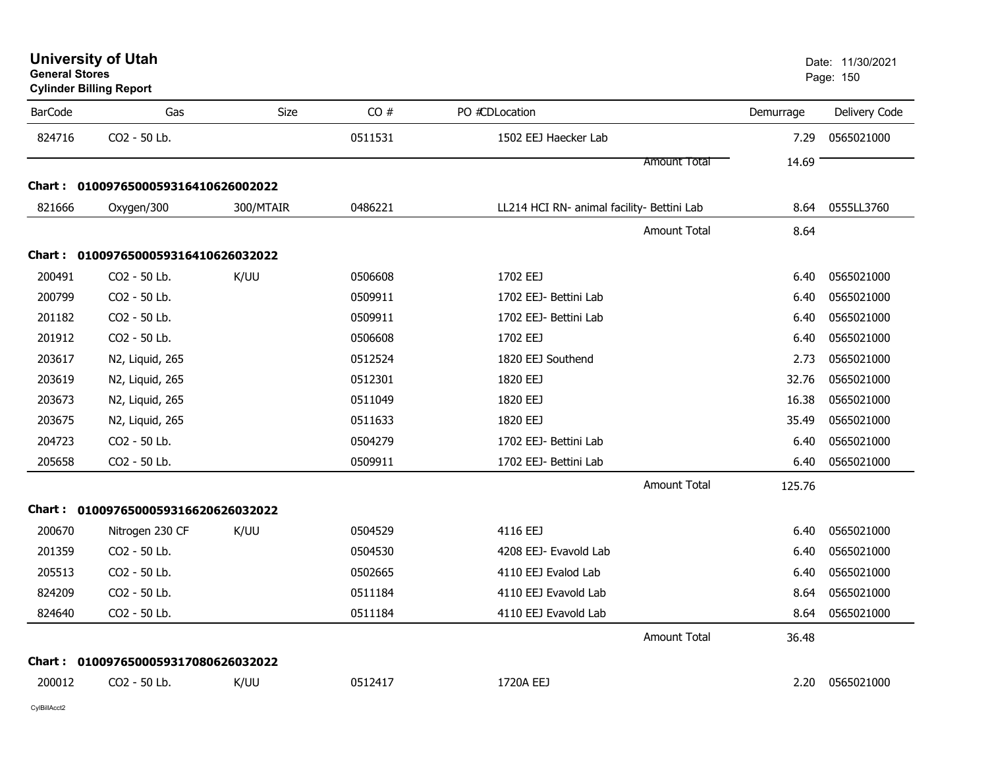| <b>University of Utah</b> |  |
|---------------------------|--|
| <b>General Stores</b>     |  |

**Cylinder Billing Report**

| <b>BarCode</b> | Gas                                 | Size      | CO#     | PO #CDLocation                             | Demurrage | Delivery Code |
|----------------|-------------------------------------|-----------|---------|--------------------------------------------|-----------|---------------|
| 824716         | CO2 - 50 Lb.                        |           | 0511531 | 1502 EEJ Haecker Lab                       | 7.29      | 0565021000    |
|                |                                     |           |         | <b>Amount Total</b>                        | 14.69     |               |
|                | Chart: 0100976500059316410626002022 |           |         |                                            |           |               |
| 821666         | Oxygen/300                          | 300/MTAIR | 0486221 | LL214 HCI RN- animal facility- Bettini Lab | 8.64      | 0555LL3760    |
|                |                                     |           |         | <b>Amount Total</b>                        | 8.64      |               |
|                | Chart: 0100976500059316410626032022 |           |         |                                            |           |               |
| 200491         | CO2 - 50 Lb.                        | K/UU      | 0506608 | 1702 EEJ                                   | 6.40      | 0565021000    |
| 200799         | CO2 - 50 Lb.                        |           | 0509911 | 1702 EEJ- Bettini Lab                      | 6.40      | 0565021000    |
| 201182         | CO2 - 50 Lb.                        |           | 0509911 | 1702 EEJ- Bettini Lab                      | 6.40      | 0565021000    |
| 201912         | CO2 - 50 Lb.                        |           | 0506608 | 1702 EEJ                                   | 6.40      | 0565021000    |
| 203617         | N2, Liquid, 265                     |           | 0512524 | 1820 EEJ Southend                          | 2.73      | 0565021000    |
| 203619         | N2, Liquid, 265                     |           | 0512301 | 1820 EEJ                                   | 32.76     | 0565021000    |
| 203673         | N2, Liquid, 265                     |           | 0511049 | 1820 EEJ                                   | 16.38     | 0565021000    |
| 203675         | N2, Liquid, 265                     |           | 0511633 | 1820 EEJ                                   | 35.49     | 0565021000    |
| 204723         | CO2 - 50 Lb.                        |           | 0504279 | 1702 EEJ- Bettini Lab                      | 6.40      | 0565021000    |
| 205658         | CO2 - 50 Lb.                        |           | 0509911 | 1702 EEJ- Bettini Lab                      | 6.40      | 0565021000    |
|                |                                     |           |         | <b>Amount Total</b>                        | 125.76    |               |
|                | Chart: 0100976500059316620626032022 |           |         |                                            |           |               |
| 200670         | Nitrogen 230 CF                     | K/UU      | 0504529 | 4116 EEJ                                   | 6.40      | 0565021000    |
| 201359         | CO2 - 50 Lb.                        |           | 0504530 | 4208 EEJ- Evavold Lab                      | 6.40      | 0565021000    |
| 205513         | CO2 - 50 Lb.                        |           | 0502665 | 4110 EEJ Evalod Lab                        | 6.40      | 0565021000    |
| 824209         | CO2 - 50 Lb.                        |           | 0511184 | 4110 EEJ Evavold Lab                       | 8.64      | 0565021000    |
| 824640         | CO2 - 50 Lb.                        |           | 0511184 | 4110 EEJ Evavold Lab                       | 8.64      | 0565021000    |
|                |                                     |           |         | <b>Amount Total</b>                        | 36.48     |               |
|                | Chart: 0100976500059317080626032022 |           |         |                                            |           |               |
| 200012         | CO2 - 50 Lb.                        | K/UU      | 0512417 | 1720A EEJ                                  | 2.20      | 0565021000    |
|                |                                     |           |         |                                            |           |               |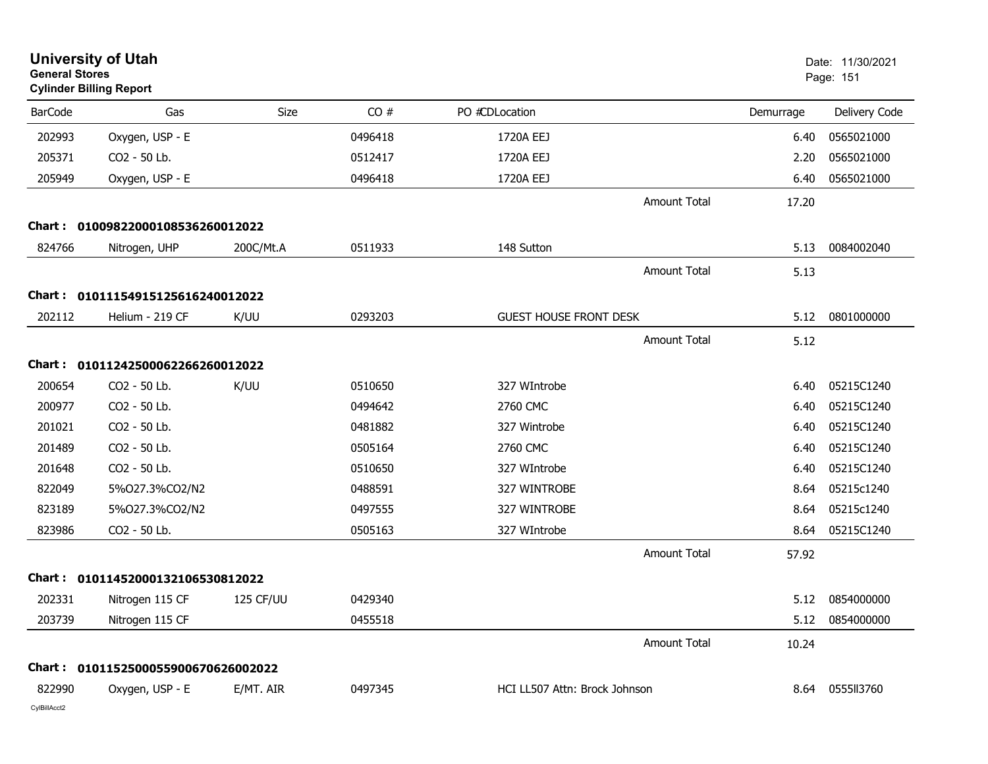| <b>General Stores</b> | <b>University of Utah</b><br><b>Cylinder Billing Report</b> |           |         |                               |                     |           | Date: 11/30/2021<br>Page: 151 |
|-----------------------|-------------------------------------------------------------|-----------|---------|-------------------------------|---------------------|-----------|-------------------------------|
| <b>BarCode</b>        | Gas                                                         | Size      | CO#     | PO #CDLocation                |                     | Demurrage | Delivery Code                 |
| 202993                | Oxygen, USP - E                                             |           | 0496418 | 1720A EEJ                     |                     | 6.40      | 0565021000                    |
| 205371                | CO2 - 50 Lb.                                                |           | 0512417 | 1720A EEJ                     |                     | 2.20      | 0565021000                    |
| 205949                | Oxygen, USP - E                                             |           | 0496418 | 1720A EEJ                     |                     | 6.40      | 0565021000                    |
|                       |                                                             |           |         |                               | <b>Amount Total</b> | 17.20     |                               |
|                       | Chart: 01009822000108536260012022                           |           |         |                               |                     |           |                               |
| 824766                | Nitrogen, UHP                                               | 200C/Mt.A | 0511933 | 148 Sutton                    |                     | 5.13      | 0084002040                    |
|                       |                                                             |           |         |                               | <b>Amount Total</b> | 5.13      |                               |
|                       | Chart: 01011154915125616240012022                           |           |         |                               |                     |           |                               |
| 202112                | Helium - 219 CF                                             | K/UU      | 0293203 | <b>GUEST HOUSE FRONT DESK</b> |                     | 5.12      | 0801000000                    |
|                       |                                                             |           |         |                               | Amount Total        | 5.12      |                               |
| Chart :               | 01011242500062266260012022                                  |           |         |                               |                     |           |                               |
| 200654                | CO2 - 50 Lb.                                                | K/UU      | 0510650 | 327 WIntrobe                  |                     | 6.40      | 05215C1240                    |
| 200977                | CO2 - 50 Lb.                                                |           | 0494642 | 2760 CMC                      |                     | 6.40      | 05215C1240                    |
| 201021                | CO2 - 50 Lb.                                                |           | 0481882 | 327 Wintrobe                  |                     | 6.40      | 05215C1240                    |
| 201489                | CO2 - 50 Lb.                                                |           | 0505164 | 2760 CMC                      |                     | 6.40      | 05215C1240                    |
| 201648                | CO2 - 50 Lb.                                                |           | 0510650 | 327 WIntrobe                  |                     | 6.40      | 05215C1240                    |
| 822049                | 5%027.3%CO2/N2                                              |           | 0488591 | 327 WINTROBE                  |                     | 8.64      | 05215c1240                    |
| 823189                | 5%O27.3%CO2/N2                                              |           | 0497555 | 327 WINTROBE                  |                     | 8.64      | 05215c1240                    |
| 823986                | CO2 - 50 Lb.                                                |           | 0505163 | 327 WIntrobe                  |                     | 8.64      | 05215C1240                    |
|                       |                                                             |           |         |                               | <b>Amount Total</b> | 57.92     |                               |
|                       | Chart: 01011452000132106530812022                           |           |         |                               |                     |           |                               |
| 202331                | Nitrogen 115 CF                                             | 125 CF/UU | 0429340 |                               |                     | 5.12      | 0854000000                    |
| 203739                | Nitrogen 115 CF                                             |           | 0455518 |                               |                     |           | 5.12 0854000000               |
|                       |                                                             |           |         |                               | <b>Amount Total</b> | 10.24     |                               |
|                       | Chart: 0101152500055900670626002022                         |           |         |                               |                     |           |                               |
| 822990                | Oxygen, USP - E                                             | E/MT. AIR | 0497345 | HCI LL507 Attn: Brock Johnson |                     | 8.64      | 0555113760                    |
| CylBillAcct2          |                                                             |           |         |                               |                     |           |                               |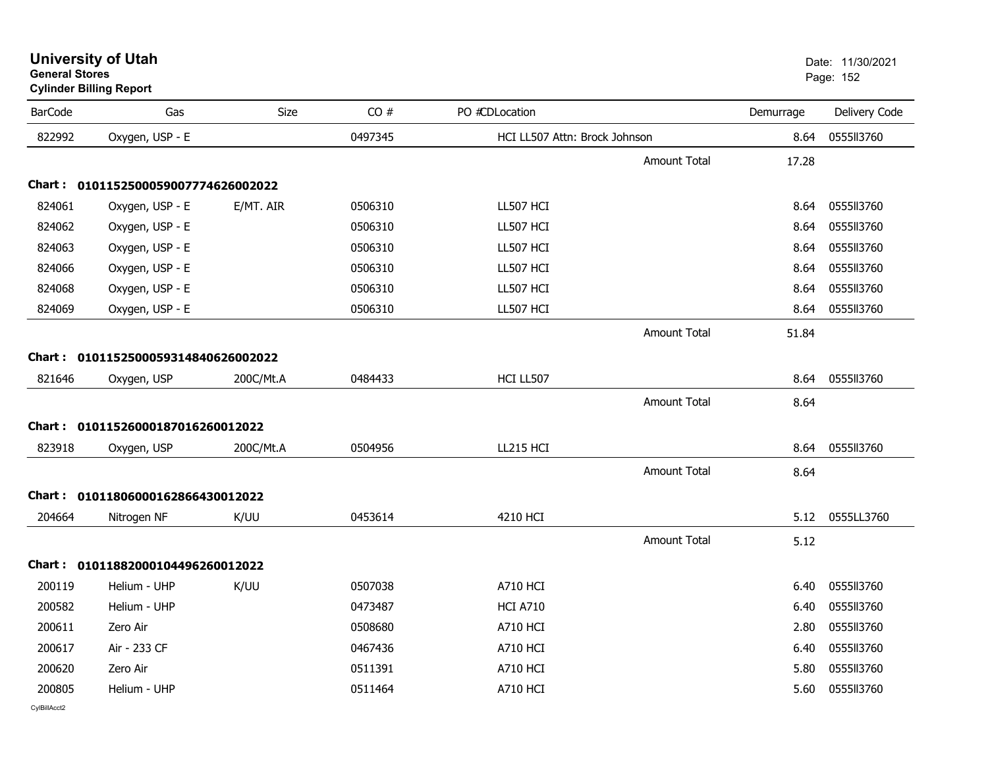|                | <b>Cylinder Billing Report</b>      |             |         |                               |                     |           |               |
|----------------|-------------------------------------|-------------|---------|-------------------------------|---------------------|-----------|---------------|
| <b>BarCode</b> | Gas                                 | <b>Size</b> | CO#     | PO #CDLocation                |                     | Demurrage | Delivery Code |
| 822992         | Oxygen, USP - E                     |             | 0497345 | HCI LL507 Attn: Brock Johnson |                     | 8.64      | 0555113760    |
|                |                                     |             |         |                               | <b>Amount Total</b> | 17.28     |               |
|                | Chart: 0101152500059007774626002022 |             |         |                               |                     |           |               |
| 824061         | Oxygen, USP - E                     | E/MT. AIR   | 0506310 | LL507 HCI                     |                     | 8.64      | 0555113760    |
| 824062         | Oxygen, USP - E                     |             | 0506310 | LL507 HCI                     |                     | 8.64      | 055513760     |
| 824063         | Oxygen, USP - E                     |             | 0506310 | LL507 HCI                     |                     | 8.64      | 0555113760    |
| 824066         | Oxygen, USP - E                     |             | 0506310 | LL507 HCI                     |                     | 8.64      | 0555113760    |
| 824068         | Oxygen, USP - E                     |             | 0506310 | LL507 HCI                     |                     | 8.64      | 0555113760    |
| 824069         | Oxygen, USP - E                     |             | 0506310 | LL507 HCI                     |                     | 8.64      | 0555113760    |
|                |                                     |             |         |                               | <b>Amount Total</b> | 51.84     |               |
|                | Chart: 0101152500059314840626002022 |             |         |                               |                     |           |               |
| 821646         | Oxygen, USP                         | 200C/Mt.A   | 0484433 | HCI LL507                     |                     | 8.64      | 0555113760    |
|                |                                     |             |         |                               | <b>Amount Total</b> | 8.64      |               |
|                | Chart: 01011526000187016260012022   |             |         |                               |                     |           |               |
| 823918         | Oxygen, USP                         | 200C/Mt.A   | 0504956 | <b>LL215 HCI</b>              |                     | 8.64      | 0555113760    |
|                |                                     |             |         |                               | <b>Amount Total</b> | 8.64      |               |
|                | Chart: 01011806000162866430012022   |             |         |                               |                     |           |               |
| 204664         | Nitrogen NF                         | K/UU        | 0453614 | 4210 HCI                      |                     | 5.12      | 0555LL3760    |
|                |                                     |             |         |                               | <b>Amount Total</b> | 5.12      |               |
|                | Chart: 01011882000104496260012022   |             |         |                               |                     |           |               |
| 200119         | Helium - UHP                        | K/UU        | 0507038 | <b>A710 HCI</b>               |                     | 6.40      | 0555113760    |
| 200582         | Helium - UHP                        |             | 0473487 | <b>HCI A710</b>               |                     | 6.40      | 0555113760    |
| 200611         | Zero Air                            |             | 0508680 | A710 HCI                      |                     | 2.80      | 0555113760    |
| 200617         | Air - 233 CF                        |             | 0467436 | A710 HCI                      |                     | 6.40      | 0555113760    |
| 200620         | Zero Air                            |             | 0511391 | A710 HCI                      |                     | 5.80      | 0555113760    |
| 200805         | Helium - UHP                        |             | 0511464 | <b>A710 HCI</b>               |                     | 5.60      | 0555113760    |

## **University of Utah** Date: 11/30/2021 **General Stores**er and the state of the state of the state of the state of the state of the state of the state of the state of the state of the state of the state of the state of the state of the state of the state of the state of the sta

CylBillAcct2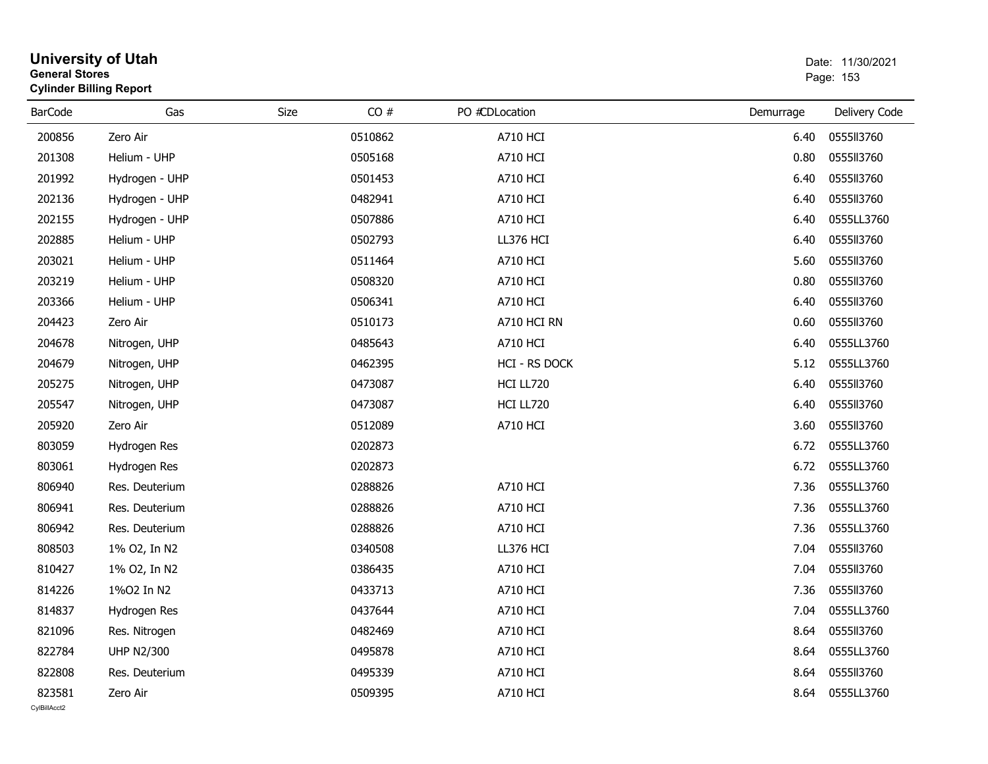| <b>General Stores</b>  | <b>Cylinder Billing Report</b> |      |         |                 |           | Dalt. I IIJUIZUZ I<br>Page: 153 |
|------------------------|--------------------------------|------|---------|-----------------|-----------|---------------------------------|
| <b>BarCode</b>         | Gas                            | Size | CO#     | PO #CDLocation  | Demurrage | Delivery Code                   |
| 200856                 | Zero Air                       |      | 0510862 | <b>A710 HCI</b> | 6.40      | 0555113760                      |
| 201308                 | Helium - UHP                   |      | 0505168 | <b>A710 HCI</b> | 0.80      | 0555113760                      |
| 201992                 | Hydrogen - UHP                 |      | 0501453 | <b>A710 HCI</b> | 6.40      | 0555113760                      |
| 202136                 | Hydrogen - UHP                 |      | 0482941 | <b>A710 HCI</b> | 6.40      | 0555113760                      |
| 202155                 | Hydrogen - UHP                 |      | 0507886 | <b>A710 HCI</b> | 6.40      | 0555LL3760                      |
| 202885                 | Helium - UHP                   |      | 0502793 | LL376 HCI       | 6.40      | 0555113760                      |
| 203021                 | Helium - UHP                   |      | 0511464 | <b>A710 HCI</b> | 5.60      | 0555113760                      |
| 203219                 | Helium - UHP                   |      | 0508320 | <b>A710 HCI</b> | 0.80      | 0555113760                      |
| 203366                 | Helium - UHP                   |      | 0506341 | <b>A710 HCI</b> | 6.40      | 0555113760                      |
| 204423                 | Zero Air                       |      | 0510173 | A710 HCI RN     | 0.60      | 0555113760                      |
| 204678                 | Nitrogen, UHP                  |      | 0485643 | <b>A710 HCI</b> | 6.40      | 0555LL3760                      |
| 204679                 | Nitrogen, UHP                  |      | 0462395 | HCI - RS DOCK   | 5.12      | 0555LL3760                      |
| 205275                 | Nitrogen, UHP                  |      | 0473087 | HCI LL720       | 6.40      | 0555113760                      |
| 205547                 | Nitrogen, UHP                  |      | 0473087 | HCI LL720       | 6.40      | 0555113760                      |
| 205920                 | Zero Air                       |      | 0512089 | <b>A710 HCI</b> | 3.60      | 0555113760                      |
| 803059                 | Hydrogen Res                   |      | 0202873 |                 | 6.72      | 0555LL3760                      |
| 803061                 | Hydrogen Res                   |      | 0202873 |                 | 6.72      | 0555LL3760                      |
| 806940                 | Res. Deuterium                 |      | 0288826 | <b>A710 HCI</b> | 7.36      | 0555LL3760                      |
| 806941                 | Res. Deuterium                 |      | 0288826 | <b>A710 HCI</b> | 7.36      | 0555LL3760                      |
| 806942                 | Res. Deuterium                 |      | 0288826 | <b>A710 HCI</b> | 7.36      | 0555LL3760                      |
| 808503                 | 1% O2, In N2                   |      | 0340508 | LL376 HCI       | 7.04      | 0555113760                      |
| 810427                 | 1% O2, In N2                   |      | 0386435 | <b>A710 HCI</b> | 7.04      | 0555113760                      |
| 814226                 | 1%02 In N2                     |      | 0433713 | <b>A710 HCI</b> | 7.36      | 0555113760                      |
| 814837                 | Hydrogen Res                   |      | 0437644 | <b>A710 HCI</b> | 7.04      | 0555LL3760                      |
| 821096                 | Res. Nitrogen                  |      | 0482469 | A710 HCI        | 8.64      | 0555113760                      |
| 822784                 | <b>UHP N2/300</b>              |      | 0495878 | <b>A710 HCI</b> | 8.64      | 0555LL3760                      |
| 822808                 | Res. Deuterium                 |      | 0495339 | <b>A710 HCI</b> | 8.64      | 0555113760                      |
| 823581<br>CylBillAcct2 | Zero Air                       |      | 0509395 | <b>A710 HCI</b> | 8.64      | 0555LL3760                      |

## **University of Utah** Date: 11/30/2021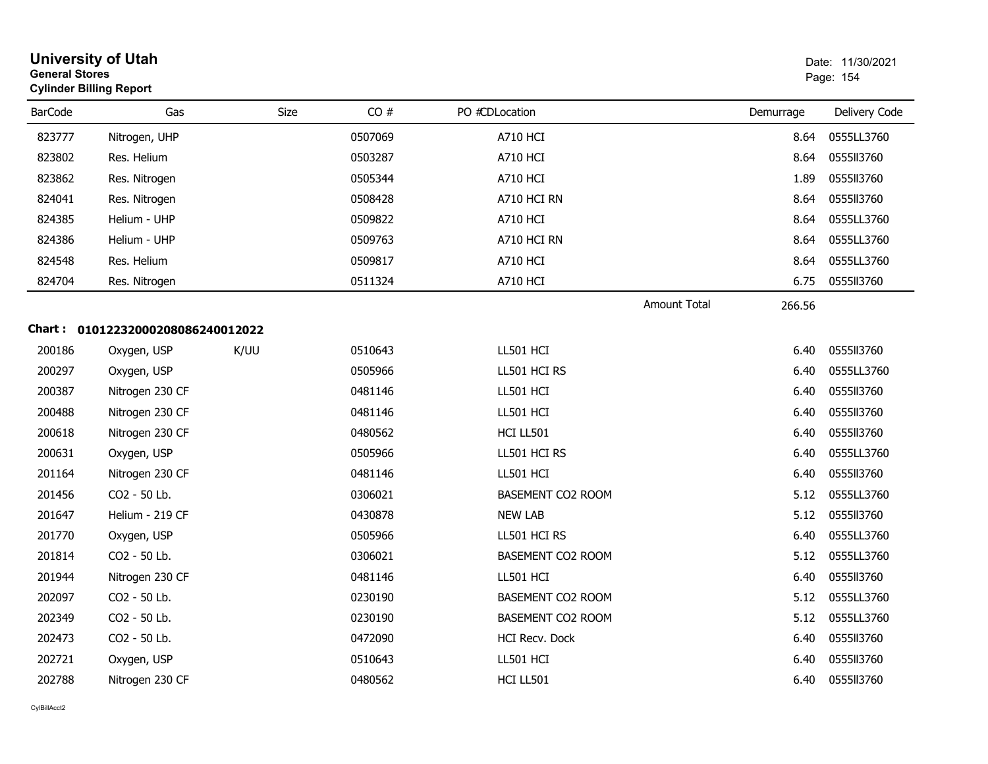| <b>General Stores</b> | <b>University of Utah</b><br><b>Cylinder Billing Report</b> |      |         |                          |                     |           | Date: 11/30/2021<br>Page: 154 |
|-----------------------|-------------------------------------------------------------|------|---------|--------------------------|---------------------|-----------|-------------------------------|
| <b>BarCode</b>        | Gas                                                         | Size | CO#     | PO #CDLocation           |                     | Demurrage | Delivery Code                 |
| 823777                | Nitrogen, UHP                                               |      | 0507069 | <b>A710 HCI</b>          |                     | 8.64      | 0555LL3760                    |
| 823802                | Res. Helium                                                 |      | 0503287 | A710 HCI                 |                     | 8.64      | 0555113760                    |
| 823862                | Res. Nitrogen                                               |      | 0505344 | <b>A710 HCI</b>          |                     | 1.89      | 0555113760                    |
| 824041                | Res. Nitrogen                                               |      | 0508428 | A710 HCI RN              |                     | 8.64      | 0555113760                    |
| 824385                | Helium - UHP                                                |      | 0509822 | A710 HCI                 |                     | 8.64      | 0555LL3760                    |
| 824386                | Helium - UHP                                                |      | 0509763 | A710 HCI RN              |                     | 8.64      | 0555LL3760                    |
| 824548                | Res. Helium                                                 |      | 0509817 | <b>A710 HCI</b>          |                     | 8.64      | 0555LL3760                    |
| 824704                | Res. Nitrogen                                               |      | 0511324 | <b>A710 HCI</b>          |                     | 6.75      | 0555113760                    |
|                       |                                                             |      |         |                          | <b>Amount Total</b> | 266.56    |                               |
|                       | Chart: 01012232000208086240012022                           |      |         |                          |                     |           |                               |
| 200186                | Oxygen, USP                                                 | K/UU | 0510643 | LL501 HCI                |                     | 6.40      | 0555113760                    |
| 200297                | Oxygen, USP                                                 |      | 0505966 | LL501 HCI RS             |                     | 6.40      | 0555LL3760                    |
| 200387                | Nitrogen 230 CF                                             |      | 0481146 | LL501 HCI                |                     | 6.40      | 0555113760                    |
| 200488                | Nitrogen 230 CF                                             |      | 0481146 | LL501 HCI                |                     | 6.40      | 0555113760                    |
| 200618                | Nitrogen 230 CF                                             |      | 0480562 | HCI LL501                |                     | 6.40      | 0555113760                    |
| 200631                | Oxygen, USP                                                 |      | 0505966 | LL501 HCI RS             |                     | 6.40      | 0555LL3760                    |
| 201164                | Nitrogen 230 CF                                             |      | 0481146 | LL501 HCI                |                     | 6.40      | 0555113760                    |
| 201456                | CO2 - 50 Lb.                                                |      | 0306021 | BASEMENT CO2 ROOM        |                     | 5.12      | 0555LL3760                    |
| 201647                | Helium - 219 CF                                             |      | 0430878 | <b>NEW LAB</b>           |                     | 5.12      | 0555113760                    |
| 201770                | Oxygen, USP                                                 |      | 0505966 | LL501 HCI RS             |                     | 6.40      | 0555LL3760                    |
| 201814                | CO2 - 50 Lb.                                                |      | 0306021 | BASEMENT CO2 ROOM        |                     | 5.12      | 0555LL3760                    |
| 201944                | Nitrogen 230 CF                                             |      | 0481146 | LL501 HCI                |                     | 6.40      | 0555113760                    |
| 202097                | CO2 - 50 Lb.                                                |      | 0230190 | BASEMENT CO2 ROOM        |                     | 5.12      | 0555LL3760                    |
| 202349                | CO2 - 50 Lb.                                                |      | 0230190 | <b>BASEMENT CO2 ROOM</b> |                     | 5.12      | 0555LL3760                    |
| 202473                | CO2 - 50 Lb.                                                |      | 0472090 | HCI Recv. Dock           |                     | 6.40      | 0555113760                    |
| 202721                | Oxygen, USP                                                 |      | 0510643 | LL501 HCI                |                     | 6.40      | 0555113760                    |
| 202788                | Nitrogen 230 CF                                             |      | 0480562 | HCI LL501                |                     | 6.40      | 0555113760                    |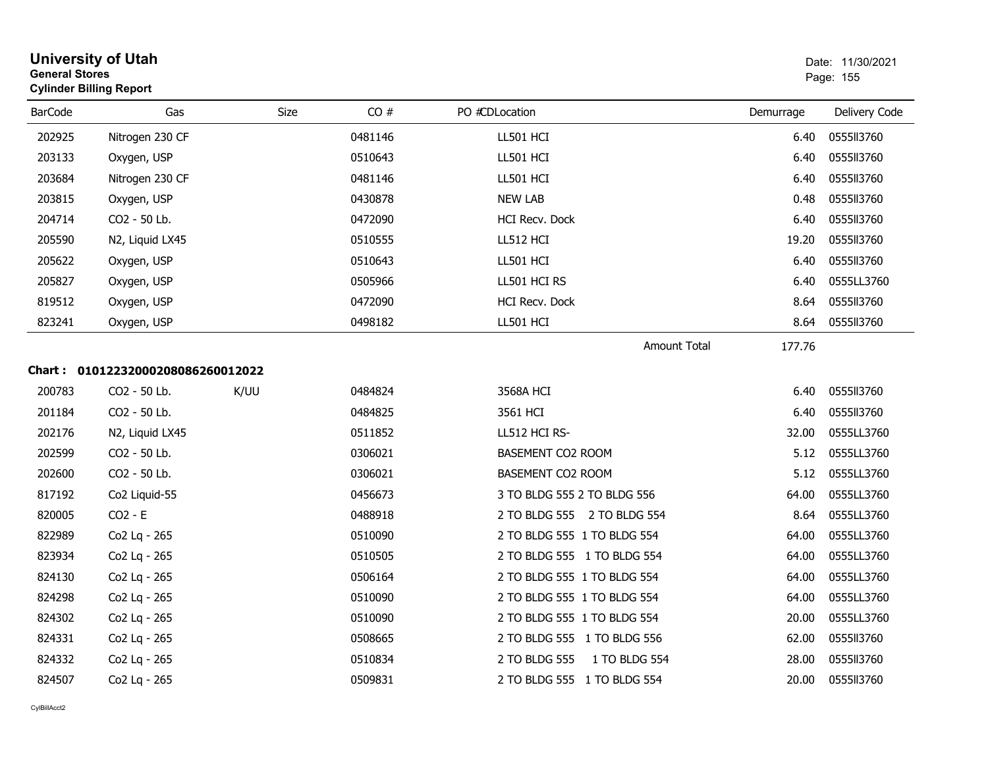| <b>General Stores</b> | <b>Cylinder Billing Report</b>    |      |         |                                |           | Page: 155     |
|-----------------------|-----------------------------------|------|---------|--------------------------------|-----------|---------------|
| <b>BarCode</b>        | Gas                               | Size | CO#     | PO #CDLocation                 | Demurrage | Delivery Code |
| 202925                | Nitrogen 230 CF                   |      | 0481146 | LL501 HCI                      | 6.40      | 055513760     |
| 203133                | Oxygen, USP                       |      | 0510643 | LL501 HCI                      | 6.40      | 0555113760    |
| 203684                | Nitrogen 230 CF                   |      | 0481146 | LL501 HCI                      | 6.40      | 0555113760    |
| 203815                | Oxygen, USP                       |      | 0430878 | <b>NEW LAB</b>                 | 0.48      | 0555113760    |
| 204714                | CO2 - 50 Lb.                      |      | 0472090 | HCI Recv. Dock                 | 6.40      | 0555113760    |
| 205590                | N2, Liquid LX45                   |      | 0510555 | LL512 HCI                      | 19.20     | 0555113760    |
| 205622                | Oxygen, USP                       |      | 0510643 | LL501 HCI                      | 6.40      | 0555113760    |
| 205827                | Oxygen, USP                       |      | 0505966 | LL501 HCI RS                   | 6.40      | 0555LL3760    |
| 819512                | Oxygen, USP                       |      | 0472090 | HCI Recv. Dock                 | 8.64      | 0555113760    |
| 823241                | Oxygen, USP                       |      | 0498182 | LL501 HCI                      | 8.64      | 0555113760    |
|                       |                                   |      |         | <b>Amount Total</b>            | 177.76    |               |
|                       | Chart: 01012232000208086260012022 |      |         |                                |           |               |
| 200783                | CO <sub>2</sub> - 50 Lb.          | K/UU | 0484824 | 3568A HCI                      | 6.40      | 0555113760    |
| 201184                | CO2 - 50 Lb.                      |      | 0484825 | 3561 HCI                       | 6.40      | 0555113760    |
| 202176                | N2, Liquid LX45                   |      | 0511852 | LL512 HCI RS-                  | 32.00     | 0555LL3760    |
| 202599                | CO2 - 50 Lb.                      |      | 0306021 | BASEMENT CO2 ROOM              | 5.12      | 0555LL3760    |
| 202600                | CO2 - 50 Lb.                      |      | 0306021 | BASEMENT CO2 ROOM              | 5.12      | 0555LL3760    |
| 817192                | Co2 Liquid-55                     |      | 0456673 | 3 TO BLDG 555 2 TO BLDG 556    | 64.00     | 0555LL3760    |
| 820005                | $CO2 - E$                         |      | 0488918 | 2 TO BLDG 555 2 TO BLDG 554    | 8.64      | 0555LL3760    |
| 822989                | Co2 Lg - 265                      |      | 0510090 | 2 TO BLDG 555 1 TO BLDG 554    | 64.00     | 0555LL3760    |
| 823934                | Co2 Lg - 265                      |      | 0510505 | 2 TO BLDG 555 1 TO BLDG 554    | 64.00     | 0555LL3760    |
| 824130                | Co2 Lg - 265                      |      | 0506164 | 2 TO BLDG 555 1 TO BLDG 554    | 64.00     | 0555LL3760    |
| 824298                | Co2 Lg - 265                      |      | 0510090 | 2 TO BLDG 555 1 TO BLDG 554    | 64.00     | 0555LL3760    |
| 824302                | Co2 Lg - 265                      |      | 0510090 | 2 TO BLDG 555 1 TO BLDG 554    | 20.00     | 0555LL3760    |
| 824331                | Co2 Lq - 265                      |      | 0508665 | 2 TO BLDG 555 1 TO BLDG 556    | 62.00     | 0555113760    |
| 824332                | Co2 Lq - 265                      |      | 0510834 | 2 TO BLDG 555<br>1 TO BLDG 554 | 28.00     | 0555113760    |
| 824507                | Co <sub>2</sub> Lg - 265          |      | 0509831 | 2 TO BLDG 555 1 TO BLDG 554    | 20.00     | 0555113760    |

# **University of Utah** Date: 11/30/2021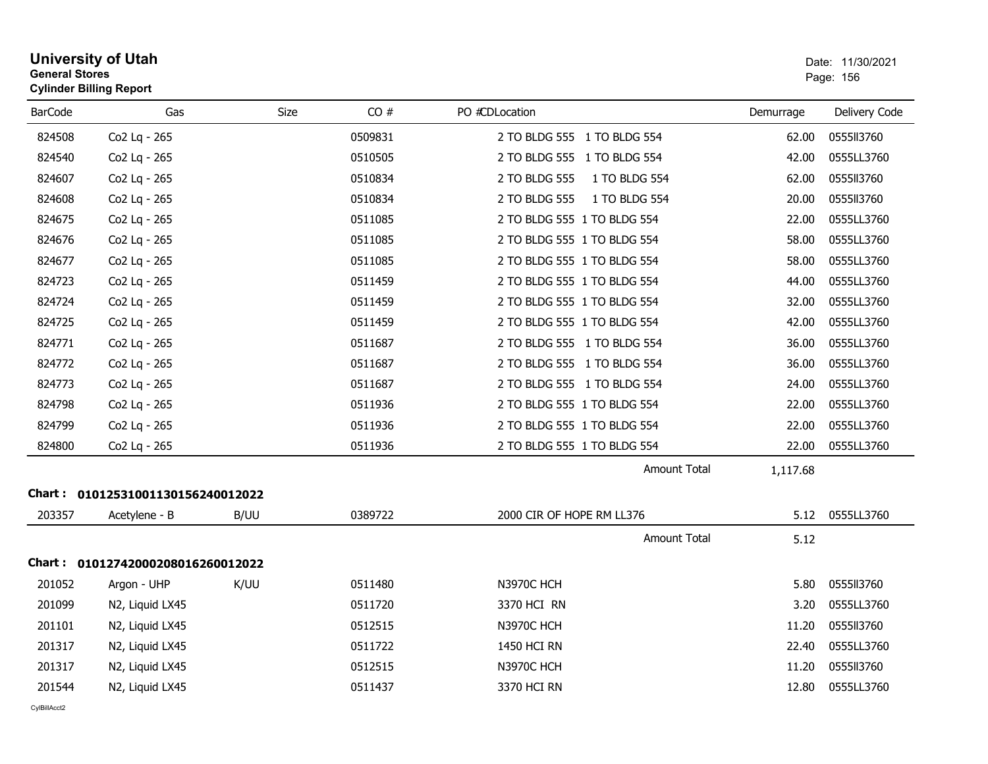| <b>General Stores</b> | University of Utah<br><b>Cylinder Billing Report</b> |             |         |                                |           | Date: 11/30/2021<br>Page: 156 |
|-----------------------|------------------------------------------------------|-------------|---------|--------------------------------|-----------|-------------------------------|
| <b>BarCode</b>        | Gas                                                  | <b>Size</b> | CO#     | PO #CDLocation                 | Demurrage | Delivery Code                 |
| 824508                | Co2 Lq - 265                                         |             | 0509831 | 2 TO BLDG 555 1 TO BLDG 554    | 62.00     | 0555113760                    |
| 824540                | Co2 Lg - 265                                         |             | 0510505 | 2 TO BLDG 555 1 TO BLDG 554    | 42.00     | 0555LL3760                    |
| 824607                | Co2 Lg - 265                                         |             | 0510834 | 2 TO BLDG 555<br>1 TO BLDG 554 | 62.00     | 0555113760                    |
| 824608                | Co2 Lg - 265                                         |             | 0510834 | 2 TO BLDG 555<br>1 TO BLDG 554 | 20.00     | 0555113760                    |
| 824675                | Co2 Lg - 265                                         |             | 0511085 | 2 TO BLDG 555 1 TO BLDG 554    | 22.00     | 0555LL3760                    |
| 824676                | Co2 Lq - 265                                         |             | 0511085 | 2 TO BLDG 555 1 TO BLDG 554    | 58.00     | 0555LL3760                    |
| 824677                | Co2 Lg - 265                                         |             | 0511085 | 2 TO BLDG 555 1 TO BLDG 554    | 58.00     | 0555LL3760                    |
| 824723                | Co2 Lg - 265                                         |             | 0511459 | 2 TO BLDG 555 1 TO BLDG 554    | 44.00     | 0555LL3760                    |
| 824724                | Co2 Lg - 265                                         |             | 0511459 | 2 TO BLDG 555 1 TO BLDG 554    | 32.00     | 0555LL3760                    |
| 824725                | Co2 Lq - 265                                         |             | 0511459 | 2 TO BLDG 555 1 TO BLDG 554    | 42.00     | 0555LL3760                    |
| 824771                | Co2 Lg - 265                                         |             | 0511687 | 2 TO BLDG 555 1 TO BLDG 554    | 36.00     | 0555LL3760                    |
| 824772                | Co2 Lg - 265                                         |             | 0511687 | 2 TO BLDG 555 1 TO BLDG 554    | 36.00     | 0555LL3760                    |
| 824773                | Co2 Lg - 265                                         |             | 0511687 | 2 TO BLDG 555 1 TO BLDG 554    | 24.00     | 0555LL3760                    |
| 824798                | Co2 Lq - 265                                         |             | 0511936 | 2 TO BLDG 555 1 TO BLDG 554    | 22.00     | 0555LL3760                    |
| 824799                | Co2 Lg - 265                                         |             | 0511936 | 2 TO BLDG 555 1 TO BLDG 554    | 22.00     | 0555LL3760                    |
| 824800                | Co2 Lq - 265                                         |             | 0511936 | 2 TO BLDG 555 1 TO BLDG 554    | 22.00     | 0555LL3760                    |
|                       |                                                      |             |         | <b>Amount Total</b>            | 1,117.68  |                               |
| 203357                | Chart: 01012531001130156240012022<br>Acetylene - B   | B/UU        | 0389722 | 2000 CIR OF HOPE RM LL376      |           | 5.12 0555LL3760               |
|                       |                                                      |             |         | <b>Amount Total</b>            | 5.12      |                               |
|                       | Chart: 01012742000208016260012022                    |             |         |                                |           |                               |
| 201052                | Argon - UHP                                          | K/UU        | 0511480 | <b>N3970C HCH</b>              | 5.80      | 0555113760                    |
| 201099                | N2, Liquid LX45                                      |             | 0511720 | 3370 HCI RN                    | 3.20      | 0555LL3760                    |
| 201101                | N2, Liquid LX45                                      |             | 0512515 | <b>N3970C HCH</b>              | 11.20     | 0555113760                    |
| 201317                | N2, Liquid LX45                                      |             | 0511722 | 1450 HCI RN                    | 22.40     | 0555LL3760                    |
| 201317                | N2, Liquid LX45                                      |             | 0512515 | <b>N3970C HCH</b>              | 11.20     | 0555113760                    |
| 201544                | N2, Liquid LX45                                      |             | 0511437 | 3370 HCI RN                    | 12.80     | 0555LL3760                    |
| CvIBillAcct2          |                                                      |             |         |                                |           |                               |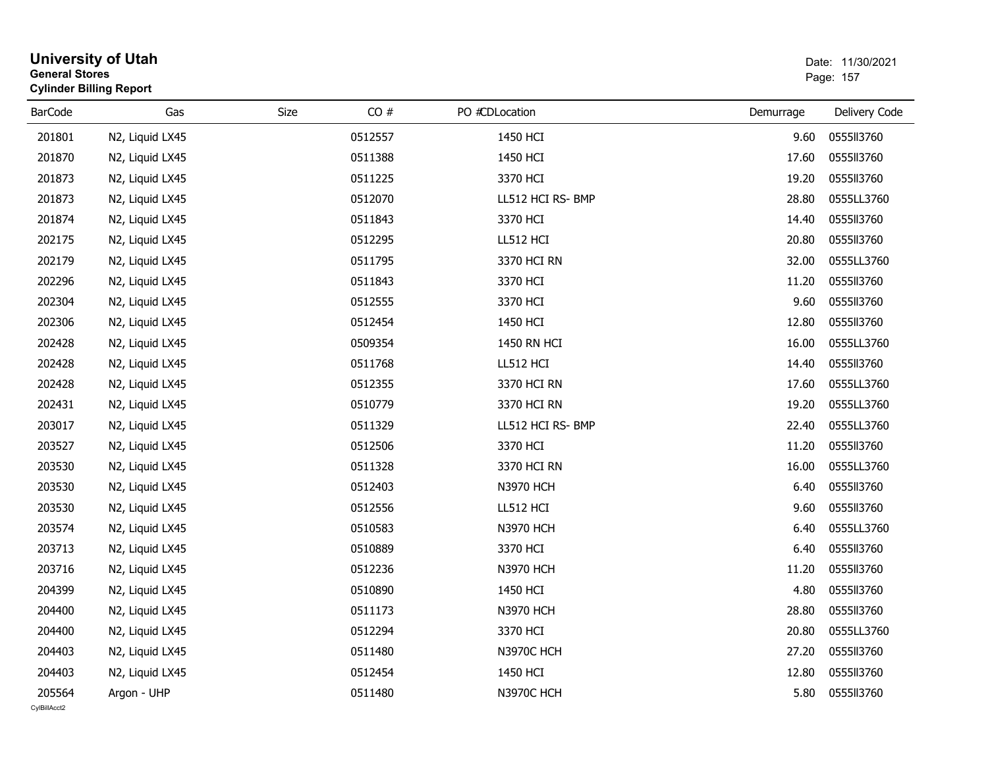| <b>General Stores</b>  | <b>University of Utah</b><br><b>Cylinder Billing Report</b> |             |         |                   |           | Date: 11/30/2021<br>Page: 157 |
|------------------------|-------------------------------------------------------------|-------------|---------|-------------------|-----------|-------------------------------|
| <b>BarCode</b>         | Gas                                                         | <b>Size</b> | CO#     | PO #CDLocation    | Demurrage | Delivery Code                 |
| 201801                 | N2, Liquid LX45                                             |             | 0512557 | 1450 HCI          | 9.60      | 0555113760                    |
| 201870                 | N2, Liquid LX45                                             |             | 0511388 | 1450 HCI          | 17.60     | 0555113760                    |
| 201873                 | N2, Liquid LX45                                             |             | 0511225 | 3370 HCI          | 19.20     | 0555113760                    |
| 201873                 | N2, Liquid LX45                                             |             | 0512070 | LL512 HCI RS- BMP | 28.80     | 0555LL3760                    |
| 201874                 | N2, Liquid LX45                                             |             | 0511843 | 3370 HCI          | 14.40     | 0555113760                    |
| 202175                 | N2, Liquid LX45                                             |             | 0512295 | LL512 HCI         | 20.80     | 0555113760                    |
| 202179                 | N2, Liquid LX45                                             |             | 0511795 | 3370 HCI RN       | 32.00     | 0555LL3760                    |
| 202296                 | N2, Liquid LX45                                             |             | 0511843 | 3370 HCI          | 11.20     | 0555113760                    |
| 202304                 | N2, Liquid LX45                                             |             | 0512555 | 3370 HCI          | 9.60      | 0555113760                    |
| 202306                 | N2, Liquid LX45                                             |             | 0512454 | 1450 HCI          | 12.80     | 0555113760                    |
| 202428                 | N2, Liquid LX45                                             |             | 0509354 | 1450 RN HCI       | 16.00     | 0555LL3760                    |
| 202428                 | N2, Liquid LX45                                             |             | 0511768 | LL512 HCI         | 14.40     | 0555113760                    |
| 202428                 | N2, Liquid LX45                                             |             | 0512355 | 3370 HCI RN       | 17.60     | 0555LL3760                    |
| 202431                 | N2, Liquid LX45                                             |             | 0510779 | 3370 HCI RN       | 19.20     | 0555LL3760                    |
| 203017                 | N2, Liquid LX45                                             |             | 0511329 | LL512 HCI RS- BMP | 22.40     | 0555LL3760                    |
| 203527                 | N2, Liquid LX45                                             |             | 0512506 | 3370 HCI          | 11.20     | 0555113760                    |
| 203530                 | N2, Liquid LX45                                             |             | 0511328 | 3370 HCI RN       | 16.00     | 0555LL3760                    |
| 203530                 | N2, Liquid LX45                                             |             | 0512403 | <b>N3970 HCH</b>  | 6.40      | 0555113760                    |
| 203530                 | N2, Liquid LX45                                             |             | 0512556 | LL512 HCI         | 9.60      | 0555113760                    |
| 203574                 | N2, Liquid LX45                                             |             | 0510583 | <b>N3970 HCH</b>  | 6.40      | 0555LL3760                    |
| 203713                 | N2, Liquid LX45                                             |             | 0510889 | 3370 HCI          | 6.40      | 0555113760                    |
| 203716                 | N2, Liquid LX45                                             |             | 0512236 | <b>N3970 HCH</b>  | 11.20     | 0555113760                    |
| 204399                 | N2, Liquid LX45                                             |             | 0510890 | 1450 HCI          | 4.80      | 0555113760                    |
| 204400                 | N2, Liquid LX45                                             |             | 0511173 | <b>N3970 HCH</b>  | 28.80     | 0555113760                    |
| 204400                 | N2, Liquid LX45                                             |             | 0512294 | 3370 HCI          | 20.80     | 0555LL3760                    |
| 204403                 | N2, Liquid LX45                                             |             | 0511480 | <b>N3970C HCH</b> | 27.20     | 0555113760                    |
| 204403                 | N2, Liquid LX45                                             |             | 0512454 | 1450 HCI          | 12.80     | 0555113760                    |
| 205564<br>CvIBillAcct2 | Argon - UHP                                                 |             | 0511480 | <b>N3970C HCH</b> | 5.80      | 0555113760                    |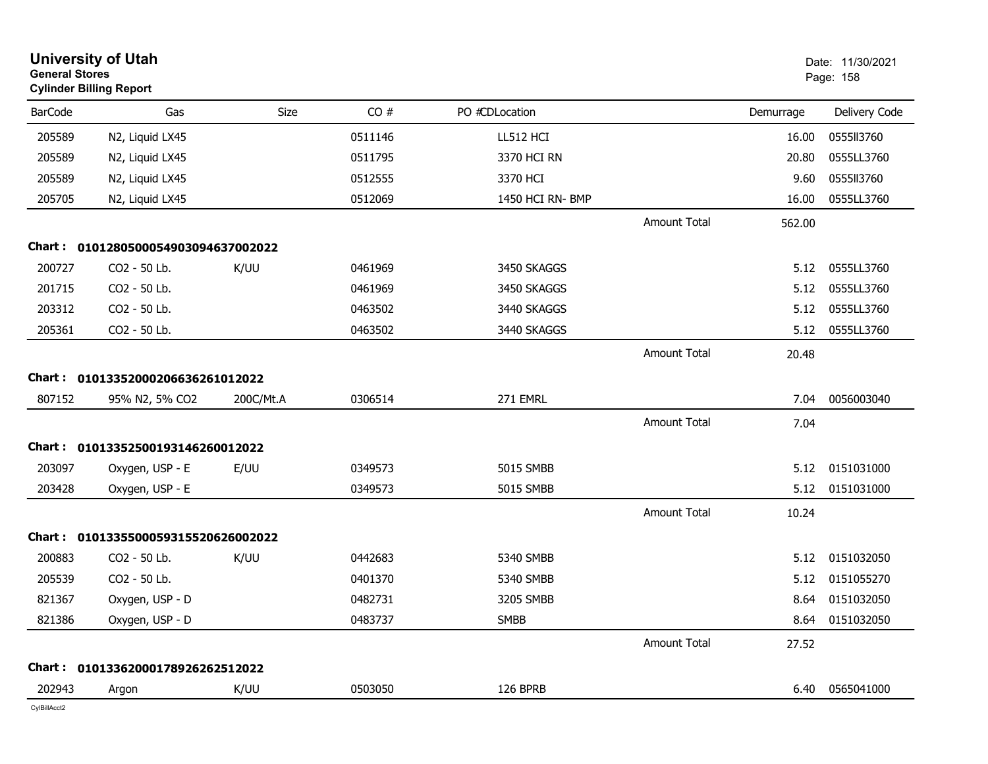| <b>General Stores</b> | <b>University of Utah</b><br><b>Cylinder Billing Report</b> |           |         |                  |                     |           | Date: 11/30/2021<br>Page: 158 |
|-----------------------|-------------------------------------------------------------|-----------|---------|------------------|---------------------|-----------|-------------------------------|
| <b>BarCode</b>        | Gas                                                         | Size      | CO#     | PO #CDLocation   |                     | Demurrage | Delivery Code                 |
| 205589                | N2, Liquid LX45                                             |           | 0511146 | LL512 HCI        |                     | 16.00     | 0555113760                    |
| 205589                | N2, Liquid LX45                                             |           | 0511795 | 3370 HCI RN      |                     | 20.80     | 0555LL3760                    |
| 205589                | N2, Liquid LX45                                             |           | 0512555 | 3370 HCI         |                     | 9.60      | 0555113760                    |
| 205705                | N2, Liquid LX45                                             |           | 0512069 | 1450 HCI RN- BMP |                     | 16.00     | 0555LL3760                    |
|                       |                                                             |           |         |                  | <b>Amount Total</b> | 562.00    |                               |
| Chart :               | 0101280500054903094637002022                                |           |         |                  |                     |           |                               |
| 200727                | CO2 - 50 Lb.                                                | K/UU      | 0461969 | 3450 SKAGGS      |                     | 5.12      | 0555LL3760                    |
| 201715                | CO2 - 50 Lb.                                                |           | 0461969 | 3450 SKAGGS      |                     | 5.12      | 0555LL3760                    |
| 203312                | CO2 - 50 Lb.                                                |           | 0463502 | 3440 SKAGGS      |                     | 5.12      | 0555LL3760                    |
| 205361                | CO2 - 50 Lb.                                                |           | 0463502 | 3440 SKAGGS      |                     | 5.12      | 0555LL3760                    |
|                       |                                                             |           |         |                  | <b>Amount Total</b> | 20.48     |                               |
|                       | Chart: 01013352000206636261012022                           |           |         |                  |                     |           |                               |
| 807152                | 95% N2, 5% CO2                                              | 200C/Mt.A | 0306514 | 271 EMRL         |                     | 7.04      | 0056003040                    |
|                       |                                                             |           |         |                  | <b>Amount Total</b> | 7.04      |                               |
|                       | Chart: 01013352500193146260012022                           |           |         |                  |                     |           |                               |
| 203097                | Oxygen, USP - E                                             | E/UU      | 0349573 | 5015 SMBB        |                     |           | 5.12 0151031000               |
| 203428                | Oxygen, USP - E                                             |           | 0349573 | 5015 SMBB        |                     | 5.12      | 0151031000                    |
|                       |                                                             |           |         |                  | <b>Amount Total</b> | 10.24     |                               |
|                       | Chart: 0101335500059315520626002022                         |           |         |                  |                     |           |                               |
| 200883                | CO2 - 50 Lb.                                                | K/UU      | 0442683 | 5340 SMBB        |                     | 5.12      | 0151032050                    |
| 205539                | CO2 - 50 Lb.                                                |           | 0401370 | 5340 SMBB        |                     | 5.12      | 0151055270                    |
| 821367                | Oxygen, USP - D                                             |           | 0482731 | 3205 SMBB        |                     | 8.64      | 0151032050                    |
| 821386                | Oxygen, USP - D                                             |           | 0483737 | <b>SMBB</b>      |                     | 8.64      | 0151032050                    |
|                       |                                                             |           |         |                  | Amount Total        | 27.52     |                               |
|                       | Chart: 01013362000178926262512022                           |           |         |                  |                     |           |                               |
| 202943                | Argon                                                       | K/UU      | 0503050 | 126 BPRB         |                     | 6.40      | 0565041000                    |
| CylBillAcct2          |                                                             |           |         |                  |                     |           |                               |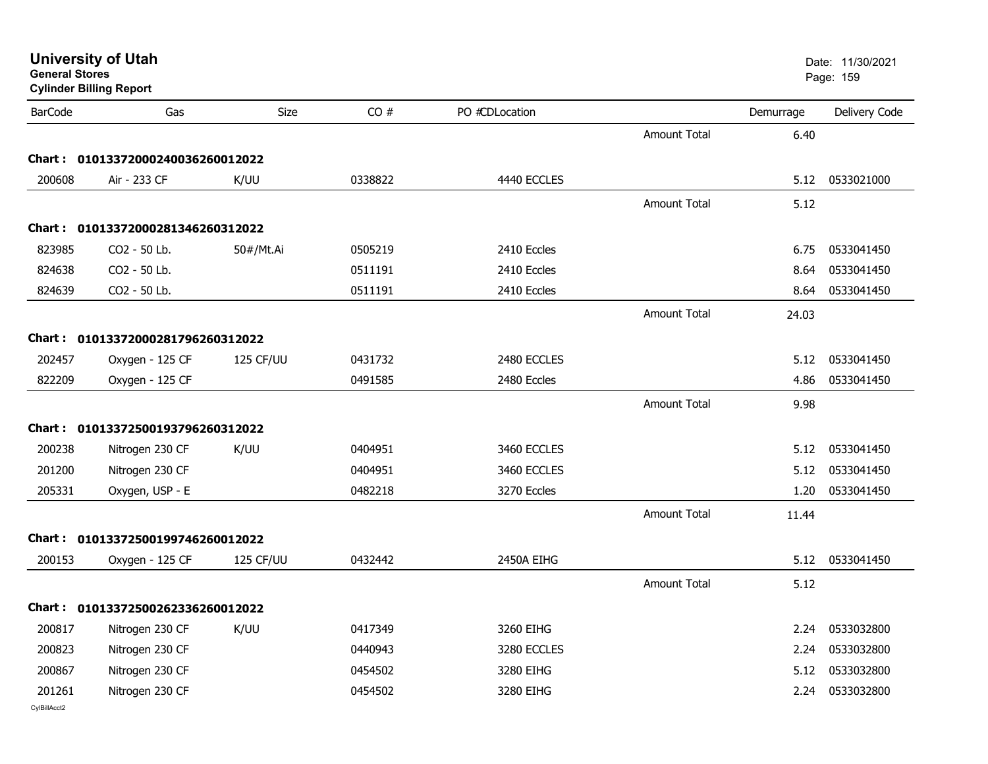| General Stores | <b>Cylinder Billing Report</b>    |           |         |                |                     |           | Page: 159     |
|----------------|-----------------------------------|-----------|---------|----------------|---------------------|-----------|---------------|
| <b>BarCode</b> | Gas                               | Size      | CO#     | PO #CDLocation |                     | Demurrage | Delivery Code |
|                |                                   |           |         |                | <b>Amount Total</b> | 6.40      |               |
|                | Chart: 01013372000240036260012022 |           |         |                |                     |           |               |
| 200608         | Air - 233 CF                      | K/UU      | 0338822 | 4440 ECCLES    |                     | 5.12      | 0533021000    |
|                |                                   |           |         |                | Amount Total        | 5.12      |               |
|                | Chart: 01013372000281346260312022 |           |         |                |                     |           |               |
| 823985         | CO2 - 50 Lb.                      | 50#/Mt.Ai | 0505219 | 2410 Eccles    |                     | 6.75      | 0533041450    |
| 824638         | CO2 - 50 Lb.                      |           | 0511191 | 2410 Eccles    |                     | 8.64      | 0533041450    |
| 824639         | CO2 - 50 Lb.                      |           | 0511191 | 2410 Eccles    |                     | 8.64      | 0533041450    |
|                |                                   |           |         |                | <b>Amount Total</b> | 24.03     |               |
|                | Chart: 01013372000281796260312022 |           |         |                |                     |           |               |
| 202457         | Oxygen - 125 CF                   | 125 CF/UU | 0431732 | 2480 ECCLES    |                     | 5.12      | 0533041450    |
| 822209         | Oxygen - 125 CF                   |           | 0491585 | 2480 Eccles    |                     | 4.86      | 0533041450    |
|                |                                   |           |         |                | Amount Total        | 9.98      |               |
|                | Chart: 01013372500193796260312022 |           |         |                |                     |           |               |
| 200238         | Nitrogen 230 CF                   | K/UU      | 0404951 | 3460 ECCLES    |                     | 5.12      | 0533041450    |
| 201200         | Nitrogen 230 CF                   |           | 0404951 | 3460 ECCLES    |                     | 5.12      | 0533041450    |
| 205331         | Oxygen, USP - E                   |           | 0482218 | 3270 Eccles    |                     | 1.20      | 0533041450    |
|                |                                   |           |         |                | Amount Total        | 11.44     |               |
|                | Chart: 01013372500199746260012022 |           |         |                |                     |           |               |
| 200153         | Oxygen - 125 CF                   | 125 CF/UU | 0432442 | 2450A EIHG     |                     | 5.12      | 0533041450    |
|                |                                   |           |         |                | <b>Amount Total</b> | 5.12      |               |
|                | Chart: 01013372500262336260012022 |           |         |                |                     |           |               |
| 200817         | Nitrogen 230 CF                   | K/UU      | 0417349 | 3260 EIHG      |                     | 2.24      | 0533032800    |
| 200823         | Nitrogen 230 CF                   |           | 0440943 | 3280 ECCLES    |                     | 2.24      | 0533032800    |
| 200867         | Nitrogen 230 CF                   |           | 0454502 | 3280 EIHG      |                     | 5.12      | 0533032800    |
| 201261         | Nitrogen 230 CF                   |           | 0454502 | 3280 EIHG      |                     | 2.24      | 0533032800    |
| CvIBillAcct2   |                                   |           |         |                |                     |           |               |

**University of Utah** Date: 11/30/2021 **General Stores**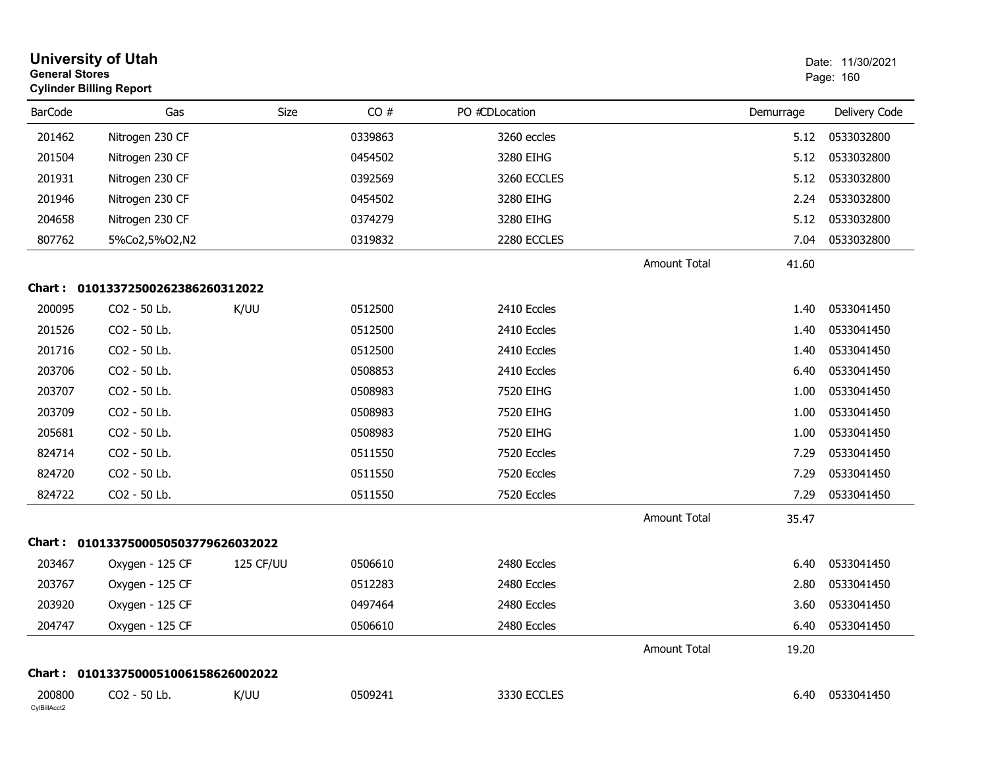| <b>General Stores</b>  | <b>University of Utah</b><br><b>Cylinder Billing Report</b> |           |         |                |                     |           | Date: 11/30/2021<br>Page: 160 |
|------------------------|-------------------------------------------------------------|-----------|---------|----------------|---------------------|-----------|-------------------------------|
| <b>BarCode</b>         | Gas                                                         | Size      | CO#     | PO #CDLocation |                     | Demurrage | Delivery Code                 |
| 201462                 | Nitrogen 230 CF                                             |           | 0339863 | 3260 eccles    |                     | 5.12      | 0533032800                    |
| 201504                 | Nitrogen 230 CF                                             |           | 0454502 | 3280 EIHG      |                     | 5.12      | 0533032800                    |
| 201931                 | Nitrogen 230 CF                                             |           | 0392569 | 3260 ECCLES    |                     | 5.12      | 0533032800                    |
| 201946                 | Nitrogen 230 CF                                             |           | 0454502 | 3280 EIHG      |                     | 2.24      | 0533032800                    |
| 204658                 | Nitrogen 230 CF                                             |           | 0374279 | 3280 EIHG      |                     | 5.12      | 0533032800                    |
| 807762                 | 5%Co2,5%O2,N2                                               |           | 0319832 | 2280 ECCLES    |                     | 7.04      | 0533032800                    |
|                        |                                                             |           |         |                | <b>Amount Total</b> | 41.60     |                               |
| Chart :                | 01013372500262386260312022                                  |           |         |                |                     |           |                               |
| 200095                 | CO2 - 50 Lb.                                                | K/UU      | 0512500 | 2410 Eccles    |                     | 1.40      | 0533041450                    |
| 201526                 | CO2 - 50 Lb.                                                |           | 0512500 | 2410 Eccles    |                     | 1.40      | 0533041450                    |
| 201716                 | CO2 - 50 Lb.                                                |           | 0512500 | 2410 Eccles    |                     | 1.40      | 0533041450                    |
| 203706                 | CO2 - 50 Lb.                                                |           | 0508853 | 2410 Eccles    |                     | 6.40      | 0533041450                    |
| 203707                 | CO2 - 50 Lb.                                                |           | 0508983 | 7520 EIHG      |                     | 1.00      | 0533041450                    |
| 203709                 | CO2 - 50 Lb.                                                |           | 0508983 | 7520 EIHG      |                     | 1.00      | 0533041450                    |
| 205681                 | CO2 - 50 Lb.                                                |           | 0508983 | 7520 EIHG      |                     | 1.00      | 0533041450                    |
| 824714                 | CO2 - 50 Lb.                                                |           | 0511550 | 7520 Eccles    |                     | 7.29      | 0533041450                    |
| 824720                 | CO2 - 50 Lb.                                                |           | 0511550 | 7520 Eccles    |                     | 7.29      | 0533041450                    |
| 824722                 | CO2 - 50 Lb.                                                |           | 0511550 | 7520 Eccles    |                     | 7.29      | 0533041450                    |
|                        |                                                             |           |         |                | <b>Amount Total</b> | 35.47     |                               |
|                        | Chart: 0101337500050503779626032022                         |           |         |                |                     |           |                               |
| 203467                 | Oxygen - 125 CF                                             | 125 CF/UU | 0506610 | 2480 Eccles    |                     | 6.40      | 0533041450                    |
| 203767                 | Oxygen - 125 CF                                             |           | 0512283 | 2480 Eccles    |                     | 2.80      | 0533041450                    |
| 203920                 | Oxygen - 125 CF                                             |           | 0497464 | 2480 Eccles    |                     |           | 3.60 0533041450               |
| 204747                 | Oxygen - 125 CF                                             |           | 0506610 | 2480 Eccles    |                     | 6.40      | 0533041450                    |
|                        |                                                             |           |         |                | Amount Total        | 19.20     |                               |
|                        | Chart: 0101337500051006158626002022                         |           |         |                |                     |           |                               |
| 200800<br>CylBillAcct2 | CO2 - 50 Lb.                                                | K/UU      | 0509241 | 3330 ECCLES    |                     |           | 6.40 0533041450               |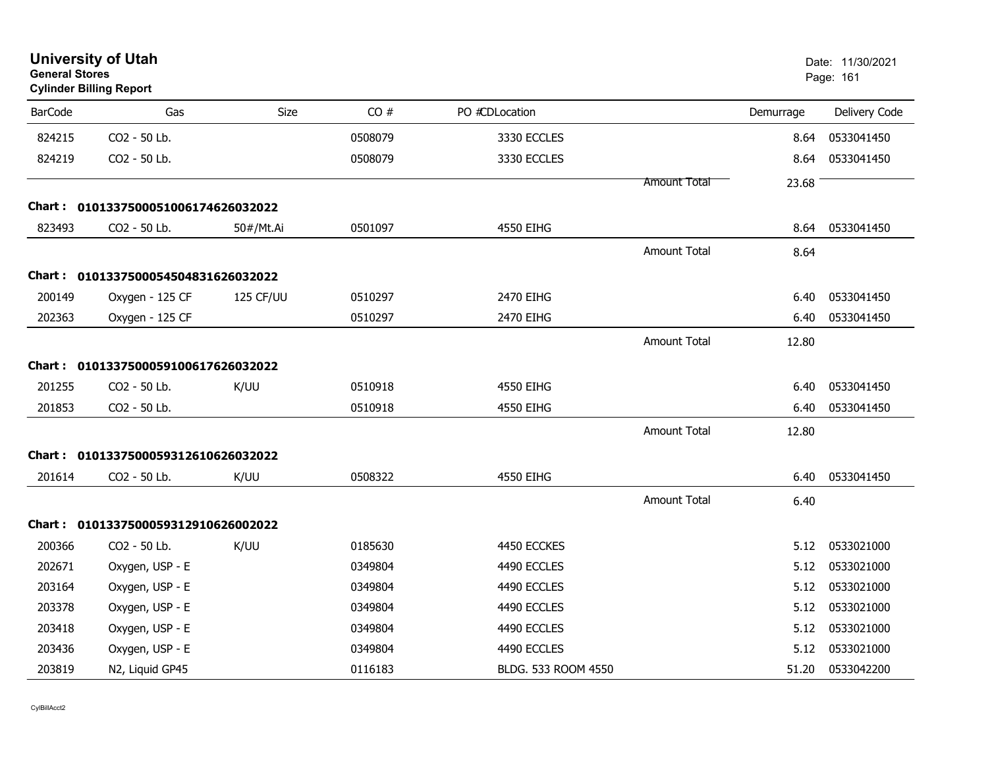| <b>General Stores</b> | <b>University of Utah</b><br><b>Cylinder Billing Report</b> |             |         |                     |                     |           | Date: 11/30/2021<br>Page: 161 |
|-----------------------|-------------------------------------------------------------|-------------|---------|---------------------|---------------------|-----------|-------------------------------|
| <b>BarCode</b>        | Gas                                                         | <b>Size</b> | CO#     | PO #CDLocation      |                     | Demurrage | Delivery Code                 |
| 824215                | CO2 - 50 Lb.                                                |             | 0508079 | 3330 ECCLES         |                     | 8.64      | 0533041450                    |
| 824219                | CO2 - 50 Lb.                                                |             | 0508079 | 3330 ECCLES         |                     | 8.64      | 0533041450                    |
|                       |                                                             |             |         |                     | <b>Amount Total</b> | 23.68     |                               |
|                       | Chart: 0101337500051006174626032022                         |             |         |                     |                     |           |                               |
| 823493                | CO2 - 50 Lb.                                                | 50#/Mt.Ai   | 0501097 | 4550 EIHG           |                     | 8.64      | 0533041450                    |
|                       |                                                             |             |         |                     | <b>Amount Total</b> | 8.64      |                               |
|                       | Chart: 0101337500054504831626032022                         |             |         |                     |                     |           |                               |
| 200149                | Oxygen - 125 CF                                             | 125 CF/UU   | 0510297 | 2470 EIHG           |                     | 6.40      | 0533041450                    |
| 202363                | Oxygen - 125 CF                                             |             | 0510297 | 2470 EIHG           |                     | 6.40      | 0533041450                    |
|                       |                                                             |             |         |                     | <b>Amount Total</b> | 12.80     |                               |
|                       | Chart: 0101337500059100617626032022                         |             |         |                     |                     |           |                               |
| 201255                | CO2 - 50 Lb.                                                | K/UU        | 0510918 | 4550 EIHG           |                     | 6.40      | 0533041450                    |
| 201853                | CO2 - 50 Lb.                                                |             | 0510918 | 4550 EIHG           |                     | 6.40      | 0533041450                    |
|                       |                                                             |             |         |                     | <b>Amount Total</b> | 12.80     |                               |
| Chart :               | 0101337500059312610626032022                                |             |         |                     |                     |           |                               |
| 201614                | CO2 - 50 Lb.                                                | K/UU        | 0508322 | 4550 EIHG           |                     | 6.40      | 0533041450                    |
|                       |                                                             |             |         |                     | <b>Amount Total</b> | 6.40      |                               |
|                       | Chart: 0101337500059312910626002022                         |             |         |                     |                     |           |                               |
| 200366                | CO2 - 50 Lb.                                                | K/UU        | 0185630 | 4450 ECCKES         |                     | 5.12      | 0533021000                    |
| 202671                | Oxygen, USP - E                                             |             | 0349804 | 4490 ECCLES         |                     | 5.12      | 0533021000                    |
| 203164                | Oxygen, USP - E                                             |             | 0349804 | 4490 ECCLES         |                     | 5.12      | 0533021000                    |
| 203378                | Oxygen, USP - E                                             |             | 0349804 | 4490 ECCLES         |                     | 5.12      | 0533021000                    |
| 203418                | Oxygen, USP - E                                             |             | 0349804 | 4490 ECCLES         |                     | 5.12      | 0533021000                    |
| 203436                | Oxygen, USP - E                                             |             | 0349804 | 4490 ECCLES         |                     | 5.12      | 0533021000                    |
| 203819                | N2, Liquid GP45                                             |             | 0116183 | BLDG, 533 ROOM 4550 |                     | 51.20     | 0533042200                    |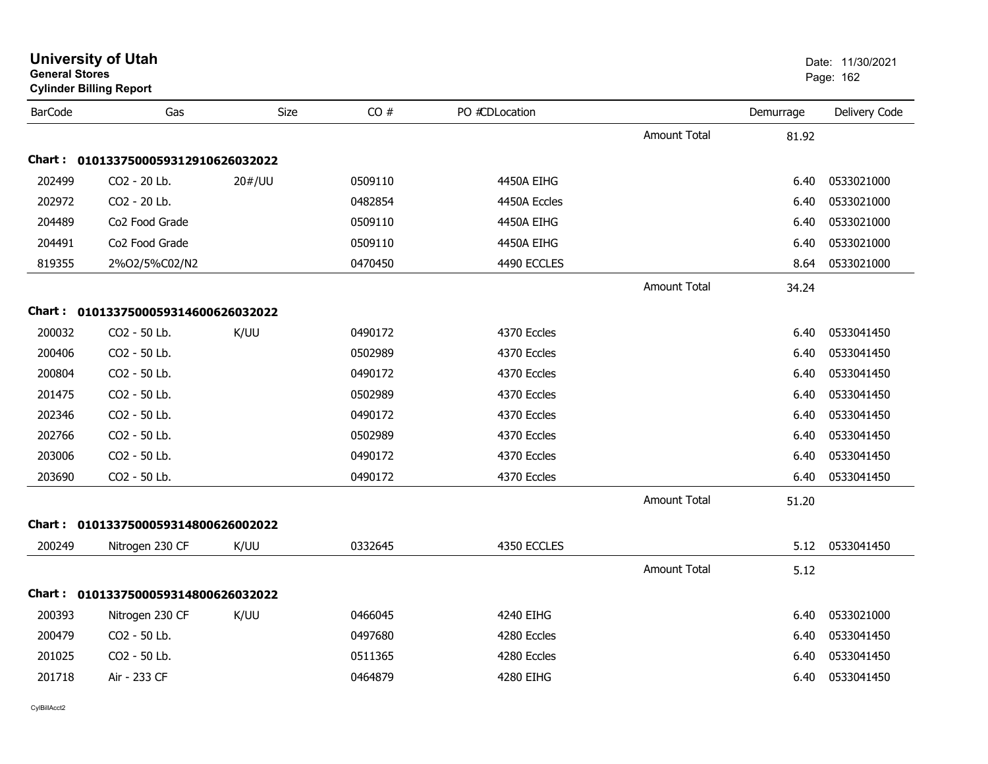| <b>General Stores</b> | <b>Cylinder Billing Report</b>      |             |         |                |                     |           | Page: 162     |
|-----------------------|-------------------------------------|-------------|---------|----------------|---------------------|-----------|---------------|
| <b>BarCode</b>        | Gas                                 | <b>Size</b> | CO#     | PO #CDLocation |                     | Demurrage | Delivery Code |
|                       |                                     |             |         |                | <b>Amount Total</b> | 81.92     |               |
| Chart :               | 0101337500059312910626032022        |             |         |                |                     |           |               |
| 202499                | CO2 - 20 Lb.                        | 20#/UU      | 0509110 | 4450A EIHG     |                     | 6.40      | 0533021000    |
| 202972                | CO2 - 20 Lb.                        |             | 0482854 | 4450A Eccles   |                     | 6.40      | 0533021000    |
| 204489                | Co <sub>2</sub> Food Grade          |             | 0509110 | 4450A EIHG     |                     | 6.40      | 0533021000    |
| 204491                | Co <sub>2</sub> Food Grade          |             | 0509110 | 4450A EIHG     |                     | 6.40      | 0533021000    |
| 819355                | 2%O2/5%C02/N2                       |             | 0470450 | 4490 ECCLES    |                     | 8.64      | 0533021000    |
|                       |                                     |             |         |                | <b>Amount Total</b> | 34.24     |               |
|                       | Chart: 0101337500059314600626032022 |             |         |                |                     |           |               |
| 200032                | CO <sub>2</sub> - 50 Lb.            | K/UU        | 0490172 | 4370 Eccles    |                     | 6.40      | 0533041450    |
| 200406                | CO2 - 50 Lb.                        |             | 0502989 | 4370 Eccles    |                     | 6.40      | 0533041450    |
| 200804                | CO2 - 50 Lb.                        |             | 0490172 | 4370 Eccles    |                     | 6.40      | 0533041450    |
| 201475                | CO2 - 50 Lb.                        |             | 0502989 | 4370 Eccles    |                     | 6.40      | 0533041450    |
| 202346                | CO2 - 50 Lb.                        |             | 0490172 | 4370 Eccles    |                     | 6.40      | 0533041450    |
| 202766                | CO2 - 50 Lb.                        |             | 0502989 | 4370 Eccles    |                     | 6.40      | 0533041450    |
| 203006                | CO2 - 50 Lb.                        |             | 0490172 | 4370 Eccles    |                     | 6.40      | 0533041450    |
| 203690                | CO2 - 50 Lb.                        |             | 0490172 | 4370 Eccles    |                     | 6.40      | 0533041450    |
|                       |                                     |             |         |                | <b>Amount Total</b> | 51.20     |               |
|                       | Chart: 0101337500059314800626002022 |             |         |                |                     |           |               |
| 200249                | Nitrogen 230 CF                     | K/UU        | 0332645 | 4350 ECCLES    |                     | 5.12      | 0533041450    |
|                       |                                     |             |         |                | <b>Amount Total</b> | 5.12      |               |
|                       | Chart: 0101337500059314800626032022 |             |         |                |                     |           |               |
| 200393                | Nitrogen 230 CF                     | K/UU        | 0466045 | 4240 EIHG      |                     | 6.40      | 0533021000    |
| 200479                | CO2 - 50 Lb.                        |             | 0497680 | 4280 Eccles    |                     | 6.40      | 0533041450    |
| 201025                | CO2 - 50 Lb.                        |             | 0511365 | 4280 Eccles    |                     | 6.40      | 0533041450    |
| 201718                | Air - 233 CF                        |             | 0464879 | 4280 EIHG      |                     | 6.40      | 0533041450    |

**University of Utah** Date: 11/30/2021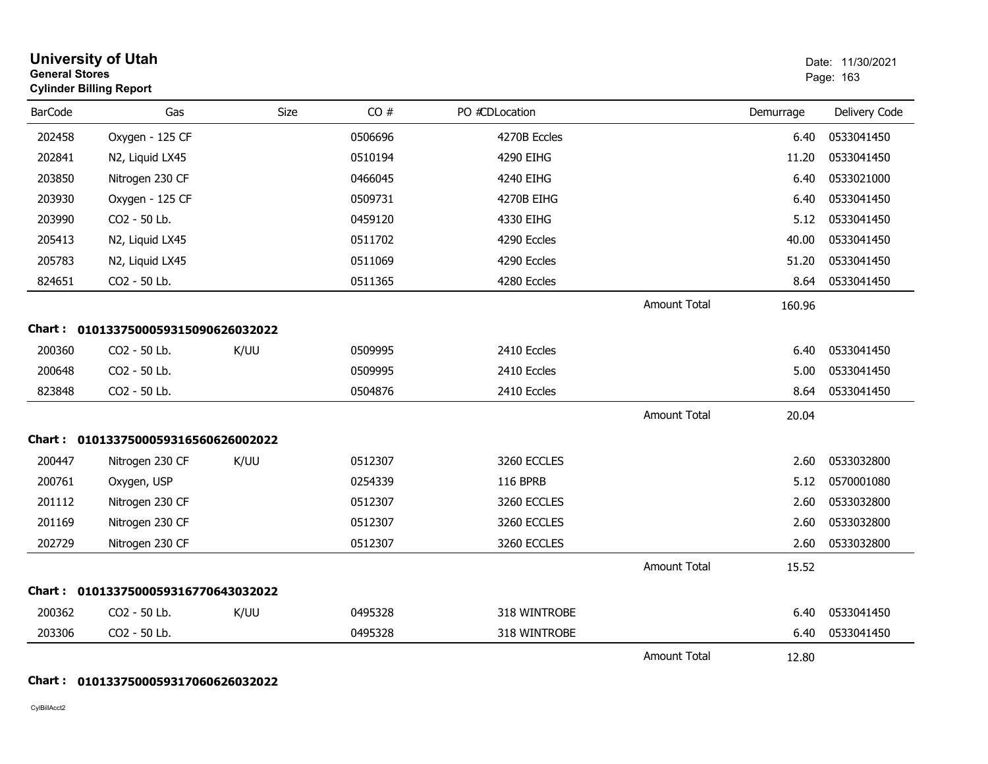| <b>General Stores</b> | <b>University of Utah</b><br><b>Cylinder Billing Report</b> |      |         |                 |                     |           | Date: 11/30/2021<br>Page: 163 |
|-----------------------|-------------------------------------------------------------|------|---------|-----------------|---------------------|-----------|-------------------------------|
| <b>BarCode</b>        | Gas                                                         | Size | CO#     | PO #CDLocation  |                     | Demurrage | Delivery Code                 |
| 202458                | Oxygen - 125 CF                                             |      | 0506696 | 4270B Eccles    |                     | 6.40      | 0533041450                    |
| 202841                | N2, Liquid LX45                                             |      | 0510194 | 4290 EIHG       |                     | 11.20     | 0533041450                    |
| 203850                | Nitrogen 230 CF                                             |      | 0466045 | 4240 EIHG       |                     | 6.40      | 0533021000                    |
| 203930                | Oxygen - 125 CF                                             |      | 0509731 | 4270B EIHG      |                     | 6.40      | 0533041450                    |
| 203990                | CO2 - 50 Lb.                                                |      | 0459120 | 4330 EIHG       |                     | 5.12      | 0533041450                    |
| 205413                | N2, Liquid LX45                                             |      | 0511702 | 4290 Eccles     |                     | 40.00     | 0533041450                    |
| 205783                | N2, Liquid LX45                                             |      | 0511069 | 4290 Eccles     |                     | 51.20     | 0533041450                    |
| 824651                | CO2 - 50 Lb.                                                |      | 0511365 | 4280 Eccles     |                     | 8.64      | 0533041450                    |
|                       |                                                             |      |         |                 | <b>Amount Total</b> | 160.96    |                               |
|                       | Chart: 0101337500059315090626032022                         |      |         |                 |                     |           |                               |
| 200360                | CO2 - 50 Lb.                                                | K/UU | 0509995 | 2410 Eccles     |                     | 6.40      | 0533041450                    |
| 200648                | CO2 - 50 Lb.                                                |      | 0509995 | 2410 Eccles     |                     | 5.00      | 0533041450                    |
| 823848                | CO2 - 50 Lb.                                                |      | 0504876 | 2410 Eccles     |                     | 8.64      | 0533041450                    |
|                       |                                                             |      |         |                 | <b>Amount Total</b> | 20.04     |                               |
|                       | Chart: 0101337500059316560626002022                         |      |         |                 |                     |           |                               |
| 200447                | Nitrogen 230 CF                                             | K/UU | 0512307 | 3260 ECCLES     |                     | 2.60      | 0533032800                    |
| 200761                | Oxygen, USP                                                 |      | 0254339 | <b>116 BPRB</b> |                     | 5.12      | 0570001080                    |
| 201112                | Nitrogen 230 CF                                             |      | 0512307 | 3260 ECCLES     |                     | 2.60      | 0533032800                    |
| 201169                | Nitrogen 230 CF                                             |      | 0512307 | 3260 ECCLES     |                     | 2.60      | 0533032800                    |
| 202729                | Nitrogen 230 CF                                             |      | 0512307 | 3260 ECCLES     |                     | 2.60      | 0533032800                    |
|                       |                                                             |      |         |                 | <b>Amount Total</b> | 15.52     |                               |
|                       | Chart: 0101337500059316770643032022                         |      |         |                 |                     |           |                               |
| 200362                | CO2 - 50 Lb.                                                | K/UU | 0495328 | 318 WINTROBE    |                     | 6.40      | 0533041450                    |
| 203306                | CO2 - 50 Lb.                                                |      | 0495328 | 318 WINTROBE    |                     | 6.40      | 0533041450                    |
|                       |                                                             |      |         |                 | <b>Amount Total</b> | 12.80     |                               |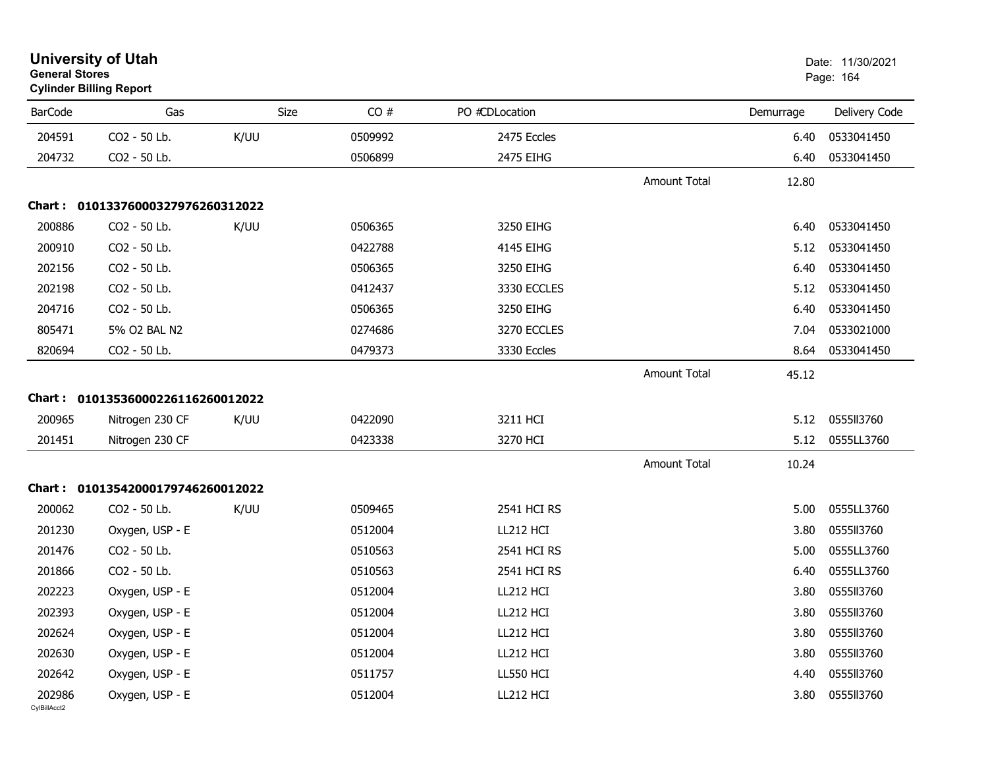| <b>General Stores</b>  | <b>University of Utah</b><br><b>Cylinder Billing Report</b> |      |             |                  |                     |           | Date: 11/30/2021<br>Page: 164 |
|------------------------|-------------------------------------------------------------|------|-------------|------------------|---------------------|-----------|-------------------------------|
| <b>BarCode</b>         | Gas                                                         |      | Size<br>CO# | PO #CDLocation   |                     | Demurrage | Delivery Code                 |
| 204591                 | CO2 - 50 Lb.                                                | K/UU | 0509992     | 2475 Eccles      |                     | 6.40      | 0533041450                    |
| 204732                 | CO2 - 50 Lb.                                                |      | 0506899     | 2475 EIHG        |                     | 6.40      | 0533041450                    |
|                        |                                                             |      |             |                  | <b>Amount Total</b> | 12.80     |                               |
|                        | Chart: 01013376000327976260312022                           |      |             |                  |                     |           |                               |
| 200886                 | CO2 - 50 Lb.                                                | K/UU | 0506365     | 3250 EIHG        |                     | 6.40      | 0533041450                    |
| 200910                 | CO2 - 50 Lb.                                                |      | 0422788     | 4145 EIHG        |                     | 5.12      | 0533041450                    |
| 202156                 | CO2 - 50 Lb.                                                |      | 0506365     | 3250 EIHG        |                     | 6.40      | 0533041450                    |
| 202198                 | CO2 - 50 Lb.                                                |      | 0412437     | 3330 ECCLES      |                     | 5.12      | 0533041450                    |
| 204716                 | CO2 - 50 Lb.                                                |      | 0506365     | 3250 EIHG        |                     | 6.40      | 0533041450                    |
| 805471                 | 5% O2 BAL N2                                                |      | 0274686     | 3270 ECCLES      |                     | 7.04      | 0533021000                    |
| 820694                 | CO2 - 50 Lb.                                                |      | 0479373     | 3330 Eccles      |                     | 8.64      | 0533041450                    |
|                        |                                                             |      |             |                  | <b>Amount Total</b> | 45.12     |                               |
|                        | Chart: 01013536000226116260012022                           |      |             |                  |                     |           |                               |
| 200965                 | Nitrogen 230 CF                                             | K/UU | 0422090     | 3211 HCI         |                     | 5.12      | 0555113760                    |
| 201451                 | Nitrogen 230 CF                                             |      | 0423338     | 3270 HCI         |                     | 5.12      | 0555LL3760                    |
|                        |                                                             |      |             |                  | <b>Amount Total</b> | 10.24     |                               |
|                        | Chart: 01013542000179746260012022                           |      |             |                  |                     |           |                               |
| 200062                 | CO2 - 50 Lb.                                                | K/UU | 0509465     | 2541 HCI RS      |                     | 5.00      | 0555LL3760                    |
| 201230                 | Oxygen, USP - E                                             |      | 0512004     | LL212 HCI        |                     | 3.80      | 0555113760                    |
| 201476                 | CO2 - 50 Lb.                                                |      | 0510563     | 2541 HCI RS      |                     | 5.00      | 0555LL3760                    |
| 201866                 | CO2 - 50 Lb.                                                |      | 0510563     | 2541 HCI RS      |                     | 6.40      | 0555LL3760                    |
| 202223                 | Oxygen, USP - E                                             |      | 0512004     | LL212 HCI        |                     | 3.80      | 0555113760                    |
| 202393                 | Oxygen, USP - E                                             |      | 0512004     | LL212 HCI        |                     | 3.80      | 0555113760                    |
| 202624                 | Oxygen, USP - E                                             |      | 0512004     | LL212 HCI        |                     | 3.80      | 0555113760                    |
| 202630                 | Oxygen, USP - E                                             |      | 0512004     | LL212 HCI        |                     | 3.80      | 0555113760                    |
| 202642                 | Oxygen, USP - E                                             |      | 0511757     | <b>LL550 HCI</b> |                     | 4.40      | 0555113760                    |
| 202986<br>CvIBillAcct2 | Oxygen, USP - E                                             |      | 0512004     | LL212 HCI        |                     | 3.80      | 0555113760                    |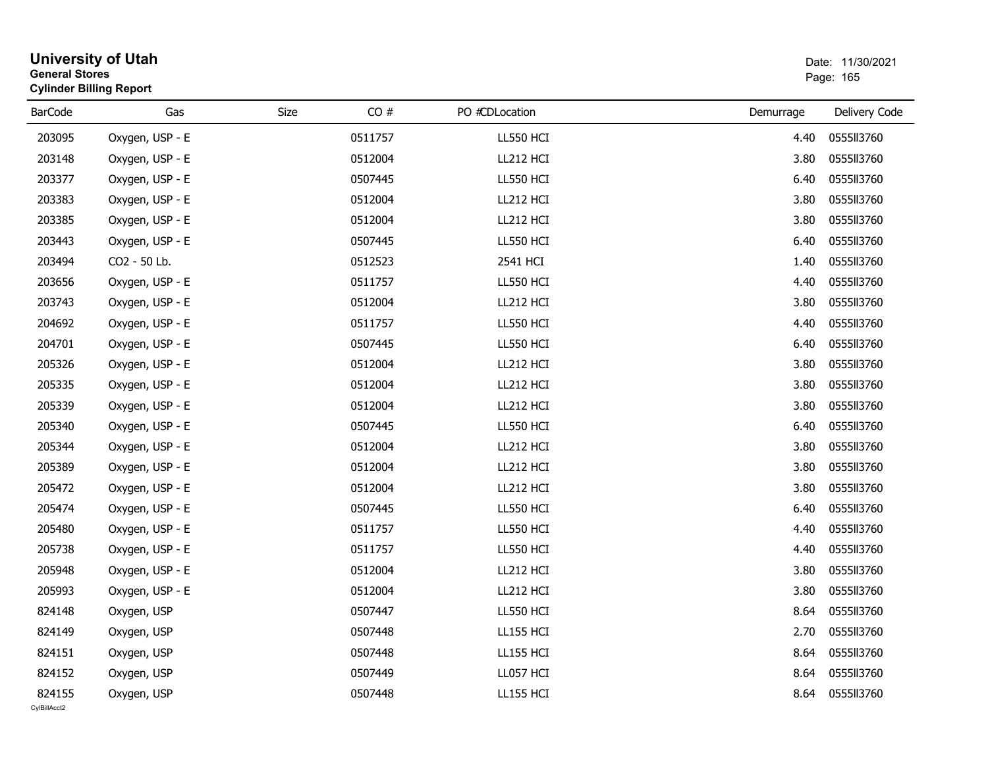| <b>General Stores</b>  | <b>University of Utah</b><br><b>Cylinder Billing Report</b> |      |         |                  |           | Date: 11/30/2021<br>Page: 165 |
|------------------------|-------------------------------------------------------------|------|---------|------------------|-----------|-------------------------------|
| <b>BarCode</b>         | Gas                                                         | Size | CO#     | PO #CDLocation   | Demurrage | Delivery Code                 |
| 203095                 | Oxygen, USP - E                                             |      | 0511757 | LL550 HCI        | 4.40      | 0555113760                    |
| 203148                 | Oxygen, USP - E                                             |      | 0512004 | LL212 HCI        | 3.80      | 0555113760                    |
| 203377                 | Oxygen, USP - E                                             |      | 0507445 | LL550 HCI        | 6.40      | 0555113760                    |
| 203383                 | Oxygen, USP - E                                             |      | 0512004 | LL212 HCI        | 3.80      | 0555113760                    |
| 203385                 | Oxygen, USP - E                                             |      | 0512004 | LL212 HCI        | 3.80      | 0555113760                    |
| 203443                 | Oxygen, USP - E                                             |      | 0507445 | LL550 HCI        | 6.40      | 0555113760                    |
| 203494                 | CO2 - 50 Lb.                                                |      | 0512523 | 2541 HCI         | 1.40      | 0555113760                    |
| 203656                 | Oxygen, USP - E                                             |      | 0511757 | LL550 HCI        | 4.40      | 0555113760                    |
| 203743                 | Oxygen, USP - E                                             |      | 0512004 | LL212 HCI        | 3.80      | 0555113760                    |
| 204692                 | Oxygen, USP - E                                             |      | 0511757 | LL550 HCI        | 4.40      | 0555113760                    |
| 204701                 | Oxygen, USP - E                                             |      | 0507445 | LL550 HCI        | 6.40      | 0555113760                    |
| 205326                 | Oxygen, USP - E                                             |      | 0512004 | LL212 HCI        | 3.80      | 0555113760                    |
| 205335                 | Oxygen, USP - E                                             |      | 0512004 | LL212 HCI        | 3.80      | 0555113760                    |
| 205339                 | Oxygen, USP - E                                             |      | 0512004 | LL212 HCI        | 3.80      | 0555113760                    |
| 205340                 | Oxygen, USP - E                                             |      | 0507445 | LL550 HCI        | 6.40      | 0555113760                    |
| 205344                 | Oxygen, USP - E                                             |      | 0512004 | LL212 HCI        | 3.80      | 0555113760                    |
| 205389                 | Oxygen, USP - E                                             |      | 0512004 | LL212 HCI        | 3.80      | 0555113760                    |
| 205472                 | Oxygen, USP - E                                             |      | 0512004 | LL212 HCI        | 3.80      | 0555113760                    |
| 205474                 | Oxygen, USP - E                                             |      | 0507445 | LL550 HCI        | 6.40      | 0555113760                    |
| 205480                 | Oxygen, USP - E                                             |      | 0511757 | LL550 HCI        | 4.40      | 0555113760                    |
| 205738                 | Oxygen, USP - E                                             |      | 0511757 | LL550 HCI        | 4.40      | 0555113760                    |
| 205948                 | Oxygen, USP - E                                             |      | 0512004 | LL212 HCI        | 3.80      | 0555113760                    |
| 205993                 | Oxygen, USP - E                                             |      | 0512004 | LL212 HCI        | 3.80      | 0555113760                    |
| 824148                 | Oxygen, USP                                                 |      | 0507447 | LL550 HCI        |           | 8.64 0555ll3760               |
| 824149                 | Oxygen, USP                                                 |      | 0507448 | <b>LL155 HCI</b> | 2.70      | 0555113760                    |
| 824151                 | Oxygen, USP                                                 |      | 0507448 | <b>LL155 HCI</b> | 8.64      | 0555113760                    |
| 824152                 | Oxygen, USP                                                 |      | 0507449 | LL057 HCI        | 8.64      | 0555113760                    |
| 824155<br>CylBillAcct2 | Oxygen, USP                                                 |      | 0507448 | <b>LL155 HCI</b> |           | 8.64 0555ll3760               |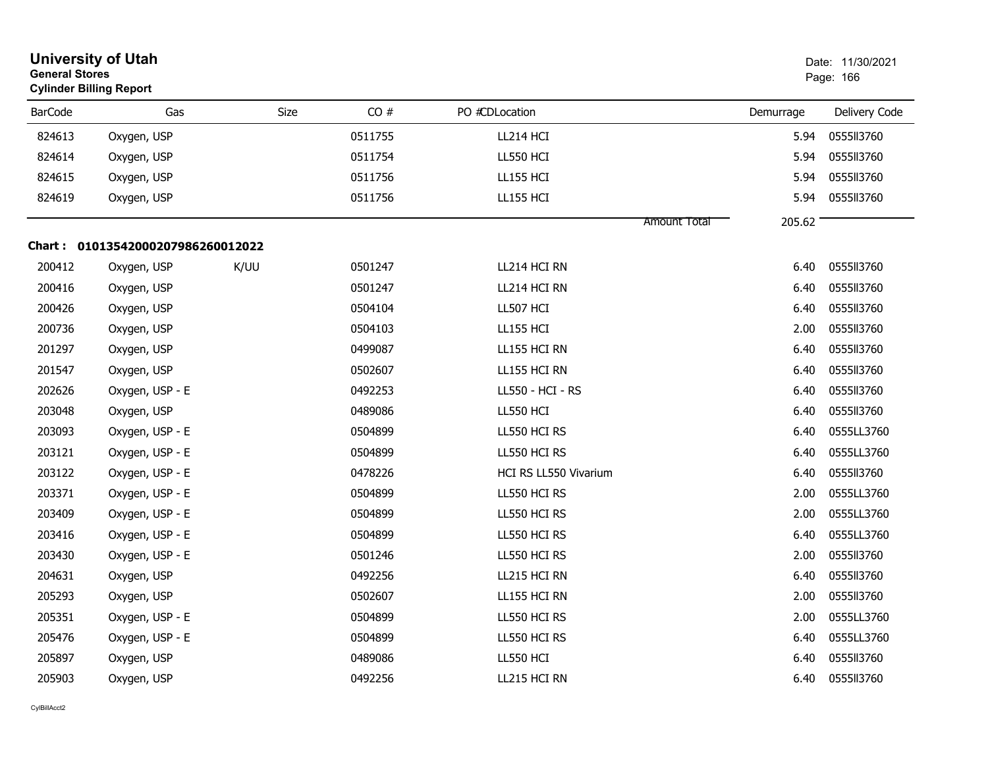| <b>General Stores</b> | <b>University of Utah</b><br><b>Cylinder Billing Report</b> |      |         |                       |              |           | Date: 11/30/2021<br>Page: 166 |
|-----------------------|-------------------------------------------------------------|------|---------|-----------------------|--------------|-----------|-------------------------------|
| <b>BarCode</b>        | Gas                                                         | Size | CO#     | PO #CDLocation        |              | Demurrage | Delivery Code                 |
| 824613                | Oxygen, USP                                                 |      | 0511755 | LL214 HCI             |              | 5.94      | 0555II3760                    |
| 824614                | Oxygen, USP                                                 |      | 0511754 | <b>LL550 HCI</b>      |              | 5.94      | 0555113760                    |
| 824615                | Oxygen, USP                                                 |      | 0511756 | <b>LL155 HCI</b>      |              | 5.94      | 0555113760                    |
| 824619                | Oxygen, USP                                                 |      | 0511756 | <b>LL155 HCI</b>      |              | 5.94      | 0555113760                    |
|                       |                                                             |      |         |                       | Amount Total | 205.62    |                               |
|                       | Chart: 01013542000207986260012022                           |      |         |                       |              |           |                               |
| 200412                | Oxygen, USP                                                 | K/UU | 0501247 | LL214 HCI RN          |              | 6.40      | 0555113760                    |
| 200416                | Oxygen, USP                                                 |      | 0501247 | LL214 HCI RN          |              | 6.40      | 0555113760                    |
| 200426                | Oxygen, USP                                                 |      | 0504104 | LL507 HCI             |              | 6.40      | 0555113760                    |
| 200736                | Oxygen, USP                                                 |      | 0504103 | <b>LL155 HCI</b>      |              | 2.00      | 0555113760                    |
| 201297                | Oxygen, USP                                                 |      | 0499087 | LL155 HCI RN          |              | 6.40      | 0555113760                    |
| 201547                | Oxygen, USP                                                 |      | 0502607 | LL155 HCI RN          |              | 6.40      | 0555113760                    |
| 202626                | Oxygen, USP - E                                             |      | 0492253 | LL550 - HCI - RS      |              | 6.40      | 0555113760                    |
| 203048                | Oxygen, USP                                                 |      | 0489086 | <b>LL550 HCI</b>      |              | 6.40      | 0555113760                    |
| 203093                | Oxygen, USP - E                                             |      | 0504899 | LL550 HCI RS          |              | 6.40      | 0555LL3760                    |
| 203121                | Oxygen, USP - E                                             |      | 0504899 | LL550 HCI RS          |              | 6.40      | 0555LL3760                    |
| 203122                | Oxygen, USP - E                                             |      | 0478226 | HCI RS LL550 Vivarium |              | 6.40      | 0555113760                    |
| 203371                | Oxygen, USP - E                                             |      | 0504899 | LL550 HCI RS          |              | 2.00      | 0555LL3760                    |
| 203409                | Oxygen, USP - E                                             |      | 0504899 | LL550 HCI RS          |              | 2.00      | 0555LL3760                    |
| 203416                | Oxygen, USP - E                                             |      | 0504899 | LL550 HCI RS          |              | 6.40      | 0555LL3760                    |
| 203430                | Oxygen, USP - E                                             |      | 0501246 | LL550 HCI RS          |              | 2.00      | 0555113760                    |
| 204631                | Oxygen, USP                                                 |      | 0492256 | LL215 HCI RN          |              | 6.40      | 0555113760                    |
| 205293                | Oxygen, USP                                                 |      | 0502607 | LL155 HCI RN          |              | 2.00      | 0555113760                    |
| 205351                | Oxygen, USP - E                                             |      | 0504899 | LL550 HCI RS          |              | 2.00      | 0555LL3760                    |
| 205476                | Oxygen, USP - E                                             |      | 0504899 | LL550 HCI RS          |              | 6.40      | 0555LL3760                    |
| 205897                | Oxygen, USP                                                 |      | 0489086 | <b>LL550 HCI</b>      |              | 6.40      | 0555113760                    |
| 205903                | Oxygen, USP                                                 |      | 0492256 | LL215 HCI RN          |              | 6.40      | 0555113760                    |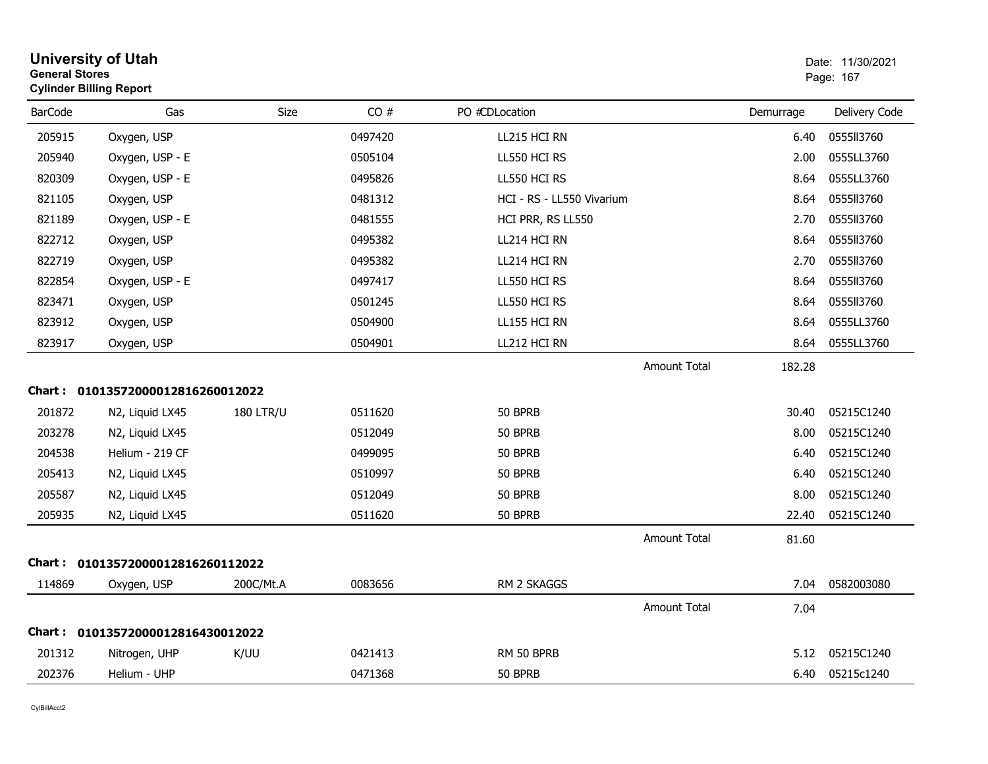| <b>General Stores</b> | <b>University of Utah</b><br><b>Cylinder Billing Report</b> |                  |         |                           |                     |           | Date: 11/30/2021<br>Page: 167 |
|-----------------------|-------------------------------------------------------------|------------------|---------|---------------------------|---------------------|-----------|-------------------------------|
| <b>BarCode</b>        | Gas                                                         | Size             | CO#     | PO #CDLocation            |                     | Demurrage | Delivery Code                 |
| 205915                | Oxygen, USP                                                 |                  | 0497420 | LL215 HCI RN              |                     | 6.40      | 0555113760                    |
| 205940                | Oxygen, USP - E                                             |                  | 0505104 | LL550 HCI RS              |                     | 2.00      | 0555LL3760                    |
| 820309                | Oxygen, USP - E                                             |                  | 0495826 | LL550 HCI RS              |                     | 8.64      | 0555LL3760                    |
| 821105                | Oxygen, USP                                                 |                  | 0481312 | HCI - RS - LL550 Vivarium |                     | 8.64      | 0555113760                    |
| 821189                | Oxygen, USP - E                                             |                  | 0481555 | HCI PRR, RS LL550         |                     | 2.70      | 0555113760                    |
| 822712                | Oxygen, USP                                                 |                  | 0495382 | LL214 HCI RN              |                     | 8.64      | 0555113760                    |
| 822719                | Oxygen, USP                                                 |                  | 0495382 | LL214 HCI RN              |                     | 2.70      | 0555ll3760                    |
| 822854                | Oxygen, USP - E                                             |                  | 0497417 | LL550 HCI RS              |                     | 8.64      | 0555113760                    |
| 823471                | Oxygen, USP                                                 |                  | 0501245 | LL550 HCI RS              |                     | 8.64      | 0555113760                    |
| 823912                | Oxygen, USP                                                 |                  | 0504900 | LL155 HCI RN              |                     | 8.64      | 0555LL3760                    |
| 823917                | Oxygen, USP                                                 |                  | 0504901 | LL212 HCI RN              |                     | 8.64      | 0555LL3760                    |
|                       |                                                             |                  |         |                           | <b>Amount Total</b> | 182.28    |                               |
|                       | Chart: 01013572000012816260012022                           |                  |         |                           |                     |           |                               |
| 201872                | N2, Liquid LX45                                             | <b>180 LTR/U</b> | 0511620 | 50 BPRB                   |                     | 30.40     | 05215C1240                    |
| 203278                | N2, Liquid LX45                                             |                  | 0512049 | 50 BPRB                   |                     | 8.00      | 05215C1240                    |
| 204538                | Helium - 219 CF                                             |                  | 0499095 | 50 BPRB                   |                     | 6.40      | 05215C1240                    |
| 205413                | N2, Liquid LX45                                             |                  | 0510997 | 50 BPRB                   |                     | 6.40      | 05215C1240                    |
| 205587                | N2, Liquid LX45                                             |                  | 0512049 | 50 BPRB                   |                     | 8.00      | 05215C1240                    |
| 205935                | N2, Liquid LX45                                             |                  | 0511620 | 50 BPRB                   |                     | 22.40     | 05215C1240                    |
|                       |                                                             |                  |         |                           | <b>Amount Total</b> | 81.60     |                               |
|                       | Chart: 01013572000012816260112022                           |                  |         |                           |                     |           |                               |
| 114869                | Oxygen, USP                                                 | 200C/Mt.A        | 0083656 | RM 2 SKAGGS               |                     | 7.04      | 0582003080                    |
|                       |                                                             |                  |         |                           | Amount Total        | 7.04      |                               |
|                       | Chart: 01013572000012816430012022                           |                  |         |                           |                     |           |                               |
| 201312                | Nitrogen, UHP                                               | K/UU             | 0421413 | RM 50 BPRB                |                     | 5.12      | 05215C1240                    |
| 202376                | Helium - UHP                                                |                  | 0471368 | 50 BPRB                   |                     | 6.40      | 05215c1240                    |
|                       |                                                             |                  |         |                           |                     |           |                               |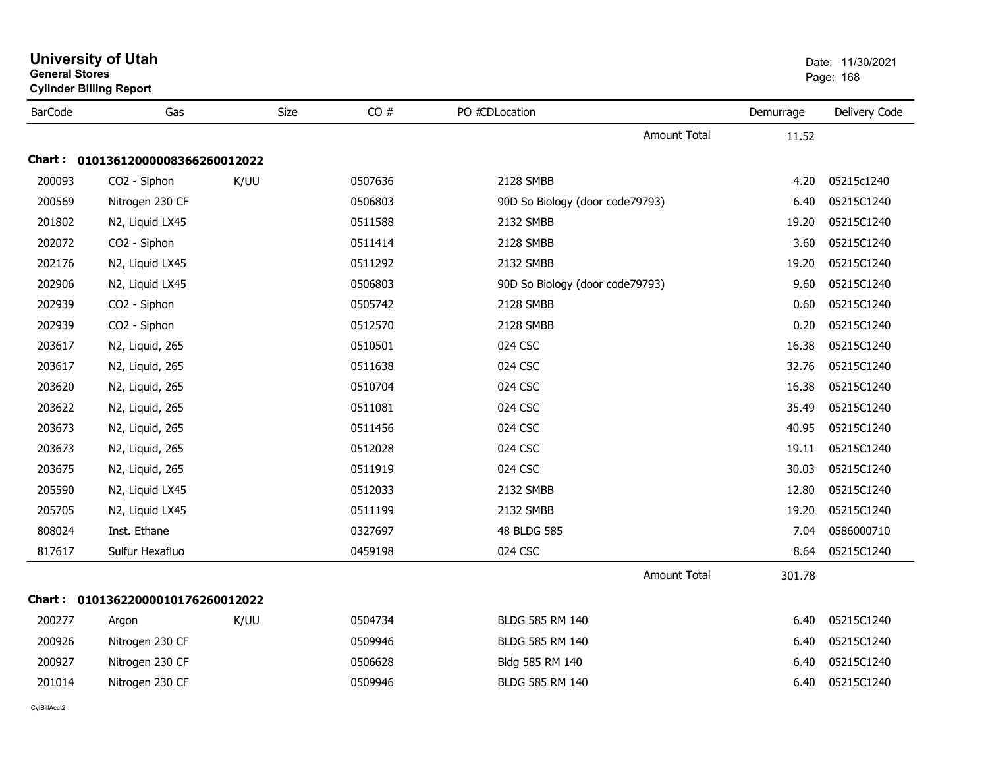|                | <b>University of Utah</b><br><b>General Stores</b><br><b>Cylinder Billing Report</b> |      |         |                                 |           | Date: 11/30/2021<br>Page: 168 |  |
|----------------|--------------------------------------------------------------------------------------|------|---------|---------------------------------|-----------|-------------------------------|--|
| <b>BarCode</b> | Gas                                                                                  | Size | CO#     | PO #CDLocation                  | Demurrage | Delivery Code                 |  |
|                |                                                                                      |      |         | Amount Total                    | 11.52     |                               |  |
|                | Chart: 01013612000008366260012022                                                    |      |         |                                 |           |                               |  |
| 200093         | CO2 - Siphon                                                                         | K/UU | 0507636 | 2128 SMBB                       | 4.20      | 05215c1240                    |  |
| 200569         | Nitrogen 230 CF                                                                      |      | 0506803 | 90D So Biology (door code79793) | 6.40      | 05215C1240                    |  |
| 201802         | N2, Liquid LX45                                                                      |      | 0511588 | 2132 SMBB                       | 19.20     | 05215C1240                    |  |
| 202072         | CO2 - Siphon                                                                         |      | 0511414 | 2128 SMBB                       | 3.60      | 05215C1240                    |  |
| 202176         | N2, Liquid LX45                                                                      |      | 0511292 | 2132 SMBB                       | 19.20     | 05215C1240                    |  |
| 202906         | N2, Liquid LX45                                                                      |      | 0506803 | 90D So Biology (door code79793) | 9.60      | 05215C1240                    |  |
| 202939         | CO2 - Siphon                                                                         |      | 0505742 | 2128 SMBB                       | 0.60      | 05215C1240                    |  |
| 202939         | CO2 - Siphon                                                                         |      | 0512570 | 2128 SMBB                       | 0.20      | 05215C1240                    |  |
| 203617         | N2, Liquid, 265                                                                      |      | 0510501 | 024 CSC                         | 16.38     | 05215C1240                    |  |
| 203617         | N2, Liquid, 265                                                                      |      | 0511638 | 024 CSC                         | 32.76     | 05215C1240                    |  |
| 203620         | N2, Liquid, 265                                                                      |      | 0510704 | 024 CSC                         | 16.38     | 05215C1240                    |  |
| 203622         | N2, Liquid, 265                                                                      |      | 0511081 | 024 CSC                         | 35.49     | 05215C1240                    |  |
| 203673         | N2, Liquid, 265                                                                      |      | 0511456 | 024 CSC                         | 40.95     | 05215C1240                    |  |
| 203673         | N2, Liquid, 265                                                                      |      | 0512028 | 024 CSC                         | 19.11     | 05215C1240                    |  |
| 203675         | N2, Liquid, 265                                                                      |      | 0511919 | 024 CSC                         | 30.03     | 05215C1240                    |  |
| 205590         | N2, Liquid LX45                                                                      |      | 0512033 | 2132 SMBB                       | 12.80     | 05215C1240                    |  |
| 205705         | N2, Liquid LX45                                                                      |      | 0511199 | 2132 SMBB                       | 19.20     | 05215C1240                    |  |
| 808024         | Inst. Ethane                                                                         |      | 0327697 | 48 BLDG 585                     | 7.04      | 0586000710                    |  |
| 817617         | Sulfur Hexafluo                                                                      |      | 0459198 | 024 CSC                         | 8.64      | 05215C1240                    |  |
|                |                                                                                      |      |         | Amount Total                    | 301.78    |                               |  |
|                | Chart: 01013622000010176260012022                                                    |      |         |                                 |           |                               |  |
| 200277         | Argon                                                                                | K/UU | 0504734 | BLDG 585 RM 140                 | 6.40      | 05215C1240                    |  |
| 200926         | Nitrogen 230 CF                                                                      |      | 0509946 | BLDG 585 RM 140                 | 6.40      | 05215C1240                    |  |
| 200927         | Nitrogen 230 CF                                                                      |      | 0506628 | Bldg 585 RM 140                 | 6.40      | 05215C1240                    |  |
| 201014         | Nitrogen 230 CF                                                                      |      | 0509946 | BLDG 585 RM 140                 | 6.40      | 05215C1240                    |  |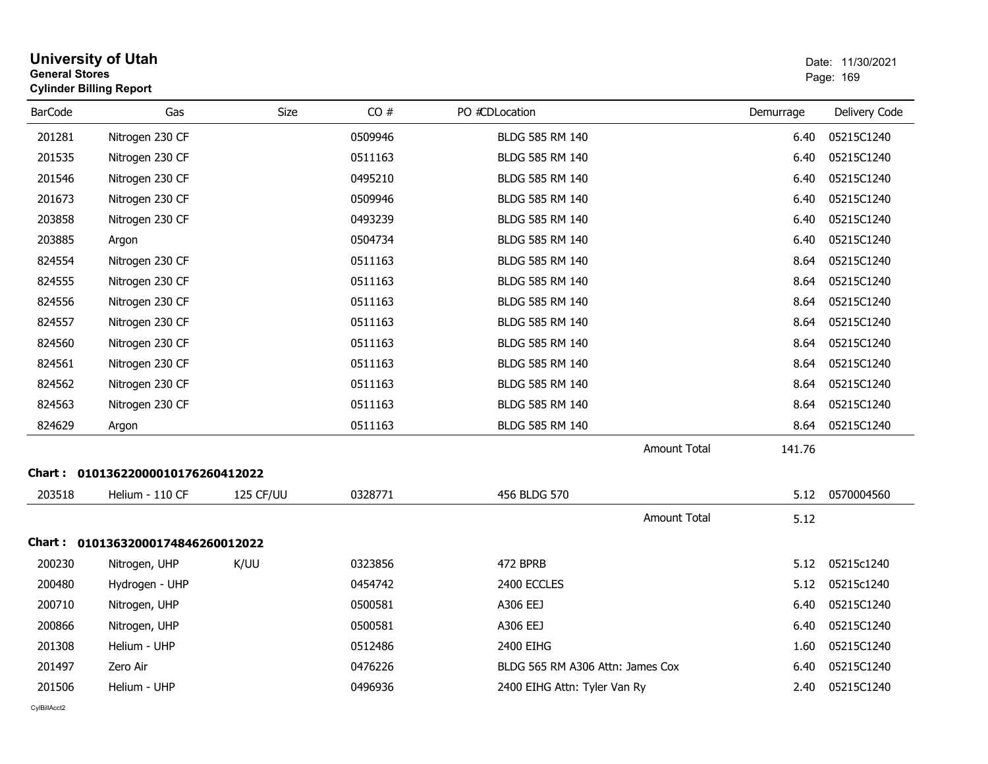|                | <b>University of Utah</b><br><b>General Stores</b><br><b>Cylinder Billing Report</b> |             |         |                                  |           | Date: 11/30/2021<br>Page: 169 |  |
|----------------|--------------------------------------------------------------------------------------|-------------|---------|----------------------------------|-----------|-------------------------------|--|
| <b>BarCode</b> | Gas                                                                                  | <b>Size</b> | CO#     | PO #CDLocation                   | Demurrage | Delivery Code                 |  |
| 201281         | Nitrogen 230 CF                                                                      |             | 0509946 | BLDG 585 RM 140                  | 6.40      | 05215C1240                    |  |
| 201535         | Nitrogen 230 CF                                                                      |             | 0511163 | BLDG 585 RM 140                  | 6.40      | 05215C1240                    |  |
| 201546         | Nitrogen 230 CF                                                                      |             | 0495210 | BLDG 585 RM 140                  | 6.40      | 05215C1240                    |  |
| 201673         | Nitrogen 230 CF                                                                      |             | 0509946 | BLDG 585 RM 140                  | 6.40      | 05215C1240                    |  |
| 203858         | Nitrogen 230 CF                                                                      |             | 0493239 | BLDG 585 RM 140                  | 6.40      | 05215C1240                    |  |
| 203885         | Argon                                                                                |             | 0504734 | BLDG 585 RM 140                  | 6.40      | 05215C1240                    |  |
| 824554         | Nitrogen 230 CF                                                                      |             | 0511163 | BLDG 585 RM 140                  | 8.64      | 05215C1240                    |  |
| 824555         | Nitrogen 230 CF                                                                      |             | 0511163 | BLDG 585 RM 140                  | 8.64      | 05215C1240                    |  |
| 824556         | Nitrogen 230 CF                                                                      |             | 0511163 | BLDG 585 RM 140                  | 8.64      | 05215C1240                    |  |
| 824557         | Nitrogen 230 CF                                                                      |             | 0511163 | BLDG 585 RM 140                  | 8.64      | 05215C1240                    |  |
| 824560         | Nitrogen 230 CF                                                                      |             | 0511163 | BLDG 585 RM 140                  | 8.64      | 05215C1240                    |  |
| 824561         | Nitrogen 230 CF                                                                      |             | 0511163 | BLDG 585 RM 140                  | 8.64      | 05215C1240                    |  |
| 824562         | Nitrogen 230 CF                                                                      |             | 0511163 | BLDG 585 RM 140                  | 8.64      | 05215C1240                    |  |
| 824563         | Nitrogen 230 CF                                                                      |             | 0511163 | BLDG 585 RM 140                  | 8.64      | 05215C1240                    |  |
| 824629         | Argon                                                                                |             | 0511163 | <b>BLDG 585 RM 140</b>           | 8.64      | 05215C1240                    |  |
|                |                                                                                      |             |         | <b>Amount Total</b>              | 141.76    |                               |  |
|                | Chart: 01013622000010176260412022                                                    |             |         |                                  |           |                               |  |
| 203518         | Helium - 110 CF                                                                      | 125 CF/UU   | 0328771 | 456 BLDG 570                     | 5.12      | 0570004560                    |  |
|                |                                                                                      |             |         | <b>Amount Total</b>              | 5.12      |                               |  |
|                | Chart: 01013632000174846260012022                                                    |             |         |                                  |           |                               |  |
| 200230         | Nitrogen, UHP                                                                        | K/UU        | 0323856 | 472 BPRB                         | 5.12      | 05215c1240                    |  |
| 200480         | Hydrogen - UHP                                                                       |             | 0454742 | 2400 ECCLES                      | 5.12      | 05215c1240                    |  |
| 200710         | Nitrogen, UHP                                                                        |             | 0500581 | A306 EEJ                         | 6.40      | 05215C1240                    |  |
| 200866         | Nitrogen, UHP                                                                        |             | 0500581 | A306 EEJ                         | 6.40      | 05215C1240                    |  |
| 201308         | Helium - UHP                                                                         |             | 0512486 | 2400 EIHG                        | 1.60      | 05215C1240                    |  |
| 201497         | Zero Air                                                                             |             | 0476226 | BLDG 565 RM A306 Attn: James Cox | 6.40      | 05215C1240                    |  |
| 201506         | Helium - UHP                                                                         |             | 0496936 | 2400 EIHG Attn: Tyler Van Ry     | 2.40      | 05215C1240                    |  |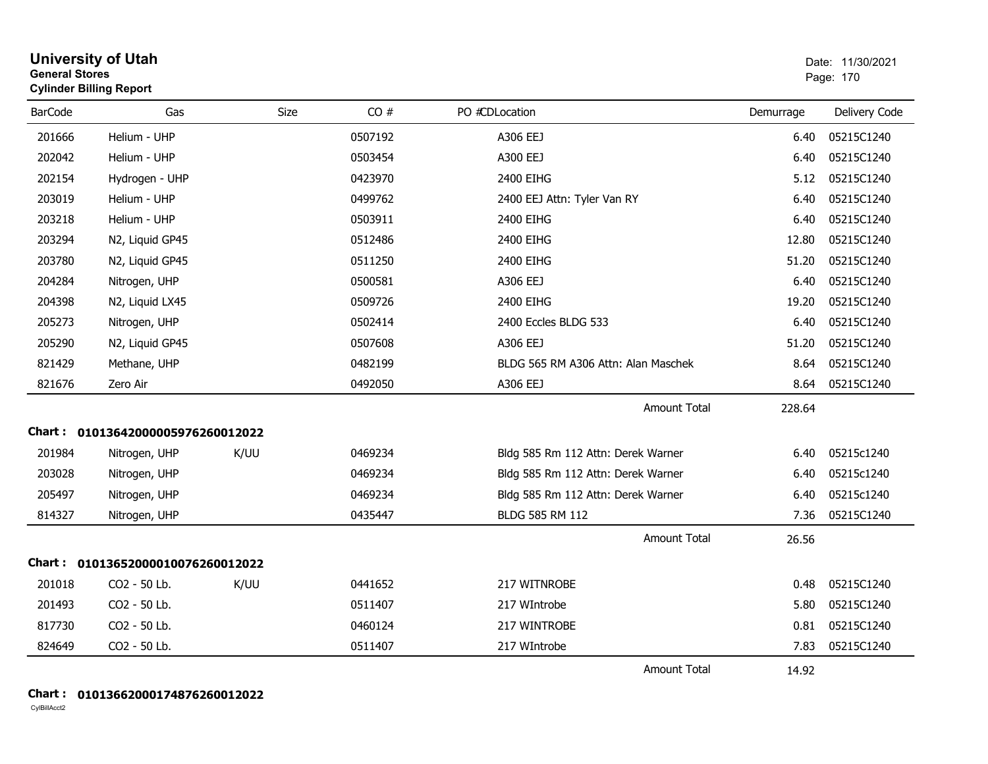|                | <b>University of Utah</b><br><b>General Stores</b><br><b>Cylinder Billing Report</b> |      |         |                                     |           | Date: 11/30/2021<br>Page: 170 |
|----------------|--------------------------------------------------------------------------------------|------|---------|-------------------------------------|-----------|-------------------------------|
| <b>BarCode</b> | Gas                                                                                  | Size | CO#     | PO #CDLocation                      | Demurrage | Delivery Code                 |
| 201666         | Helium - UHP                                                                         |      | 0507192 | A306 EEJ                            | 6.40      | 05215C1240                    |
| 202042         | Helium - UHP                                                                         |      | 0503454 | A300 EEJ                            | 6.40      | 05215C1240                    |
| 202154         | Hydrogen - UHP                                                                       |      | 0423970 | 2400 EIHG                           | 5.12      | 05215C1240                    |
| 203019         | Helium - UHP                                                                         |      | 0499762 | 2400 EEJ Attn: Tyler Van RY         | 6.40      | 05215C1240                    |
| 203218         | Helium - UHP                                                                         |      | 0503911 | 2400 EIHG                           | 6.40      | 05215C1240                    |
| 203294         | N2, Liquid GP45                                                                      |      | 0512486 | 2400 EIHG                           | 12.80     | 05215C1240                    |
| 203780         | N2, Liquid GP45                                                                      |      | 0511250 | 2400 EIHG                           | 51.20     | 05215C1240                    |
| 204284         | Nitrogen, UHP                                                                        |      | 0500581 | A306 EEJ                            | 6.40      | 05215C1240                    |
| 204398         | N2, Liquid LX45                                                                      |      | 0509726 | 2400 EIHG                           | 19.20     | 05215C1240                    |
| 205273         | Nitrogen, UHP                                                                        |      | 0502414 | 2400 Eccles BLDG 533                | 6.40      | 05215C1240                    |
| 205290         | N2, Liquid GP45                                                                      |      | 0507608 | A306 EEJ                            | 51.20     | 05215C1240                    |
| 821429         | Methane, UHP                                                                         |      | 0482199 | BLDG 565 RM A306 Attn: Alan Maschek | 8.64      | 05215C1240                    |
| 821676         | Zero Air                                                                             |      | 0492050 | A306 EEJ                            | 8.64      | 05215C1240                    |
|                |                                                                                      |      |         | <b>Amount Total</b>                 | 228.64    |                               |
|                | Chart: 01013642000005976260012022                                                    |      |         |                                     |           |                               |
| 201984         | Nitrogen, UHP                                                                        | K/UU | 0469234 | Bldg 585 Rm 112 Attn: Derek Warner  | 6.40      | 05215c1240                    |
| 203028         | Nitrogen, UHP                                                                        |      | 0469234 | Bldg 585 Rm 112 Attn: Derek Warner  | 6.40      | 05215c1240                    |
| 205497         | Nitrogen, UHP                                                                        |      | 0469234 | Bldg 585 Rm 112 Attn: Derek Warner  | 6.40      | 05215c1240                    |
| 814327         | Nitrogen, UHP                                                                        |      | 0435447 | BLDG 585 RM 112                     | 7.36      | 05215C1240                    |
|                |                                                                                      |      |         | <b>Amount Total</b>                 | 26.56     |                               |
|                | Chart: 01013652000010076260012022                                                    |      |         |                                     |           |                               |
| 201018         | CO2 - 50 Lb.                                                                         | K/UU | 0441652 | 217 WITNROBE                        | 0.48      | 05215C1240                    |
| 201493         | CO2 - 50 Lb.                                                                         |      | 0511407 | 217 WIntrobe                        | 5.80      | 05215C1240                    |
| 817730         | CO2 - 50 Lb.                                                                         |      | 0460124 | 217 WINTROBE                        | 0.81      | 05215C1240                    |
| 824649         | CO2 - 50 Lb.                                                                         |      | 0511407 | 217 WIntrobe                        | 7.83      | 05215C1240                    |
|                |                                                                                      |      |         | <b>Amount Total</b>                 | 14.92     |                               |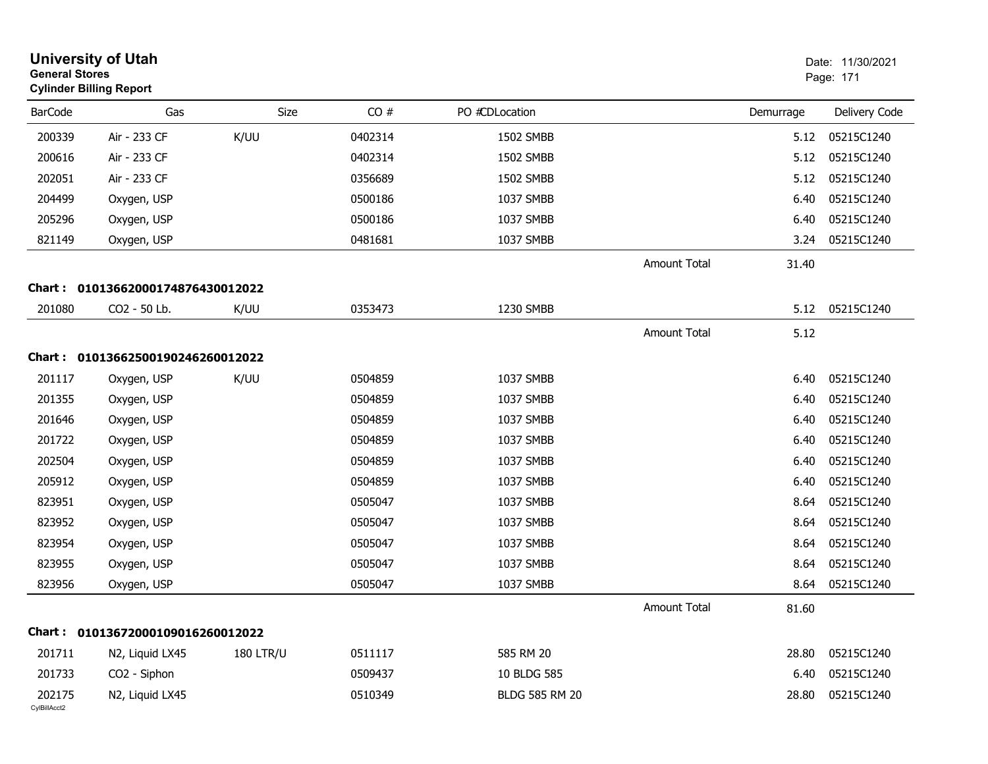|                        | <b>University of Utah</b><br><b>General Stores</b><br><b>Cylinder Billing Report</b> |                  |         |                       | Date: 11/30/2021<br>Page: 171 |           |               |
|------------------------|--------------------------------------------------------------------------------------|------------------|---------|-----------------------|-------------------------------|-----------|---------------|
| <b>BarCode</b>         | Gas                                                                                  | Size             | CO#     | PO #CDLocation        |                               | Demurrage | Delivery Code |
| 200339                 | Air - 233 CF                                                                         | K/UU             | 0402314 | 1502 SMBB             |                               | 5.12      | 05215C1240    |
| 200616                 | Air - 233 CF                                                                         |                  | 0402314 | 1502 SMBB             |                               | 5.12      | 05215C1240    |
| 202051                 | Air - 233 CF                                                                         |                  | 0356689 | 1502 SMBB             |                               | 5.12      | 05215C1240    |
| 204499                 | Oxygen, USP                                                                          |                  | 0500186 | 1037 SMBB             |                               | 6.40      | 05215C1240    |
| 205296                 | Oxygen, USP                                                                          |                  | 0500186 | 1037 SMBB             |                               | 6.40      | 05215C1240    |
| 821149                 | Oxygen, USP                                                                          |                  | 0481681 | 1037 SMBB             |                               | 3.24      | 05215C1240    |
|                        |                                                                                      |                  |         |                       | <b>Amount Total</b>           | 31.40     |               |
| Chart :                | 01013662000174876430012022                                                           |                  |         |                       |                               |           |               |
| 201080                 | CO2 - 50 Lb.                                                                         | K/UU             | 0353473 | 1230 SMBB             |                               | 5.12      | 05215C1240    |
|                        |                                                                                      |                  |         |                       | <b>Amount Total</b>           | 5.12      |               |
|                        | Chart: 01013662500190246260012022                                                    |                  |         |                       |                               |           |               |
| 201117                 | Oxygen, USP                                                                          | K/UU             | 0504859 | 1037 SMBB             |                               | 6.40      | 05215C1240    |
| 201355                 | Oxygen, USP                                                                          |                  | 0504859 | 1037 SMBB             |                               | 6.40      | 05215C1240    |
| 201646                 | Oxygen, USP                                                                          |                  | 0504859 | 1037 SMBB             |                               | 6.40      | 05215C1240    |
| 201722                 | Oxygen, USP                                                                          |                  | 0504859 | 1037 SMBB             |                               | 6.40      | 05215C1240    |
| 202504                 | Oxygen, USP                                                                          |                  | 0504859 | 1037 SMBB             |                               | 6.40      | 05215C1240    |
| 205912                 | Oxygen, USP                                                                          |                  | 0504859 | 1037 SMBB             |                               | 6.40      | 05215C1240    |
| 823951                 | Oxygen, USP                                                                          |                  | 0505047 | 1037 SMBB             |                               | 8.64      | 05215C1240    |
| 823952                 | Oxygen, USP                                                                          |                  | 0505047 | 1037 SMBB             |                               | 8.64      | 05215C1240    |
| 823954                 | Oxygen, USP                                                                          |                  | 0505047 | 1037 SMBB             |                               | 8.64      | 05215C1240    |
| 823955                 | Oxygen, USP                                                                          |                  | 0505047 | 1037 SMBB             |                               | 8.64      | 05215C1240    |
| 823956                 | Oxygen, USP                                                                          |                  | 0505047 | 1037 SMBB             |                               | 8.64      | 05215C1240    |
|                        |                                                                                      |                  |         |                       | Amount Total                  | 81.60     |               |
|                        | Chart: 01013672000109016260012022                                                    |                  |         |                       |                               |           |               |
| 201711                 | N2, Liquid LX45                                                                      | <b>180 LTR/U</b> | 0511117 | 585 RM 20             |                               | 28.80     | 05215C1240    |
| 201733                 | CO2 - Siphon                                                                         |                  | 0509437 | 10 BLDG 585           |                               | 6.40      | 05215C1240    |
| 202175<br>CylBillAcct2 | N2, Liquid LX45                                                                      |                  | 0510349 | <b>BLDG 585 RM 20</b> |                               | 28.80     | 05215C1240    |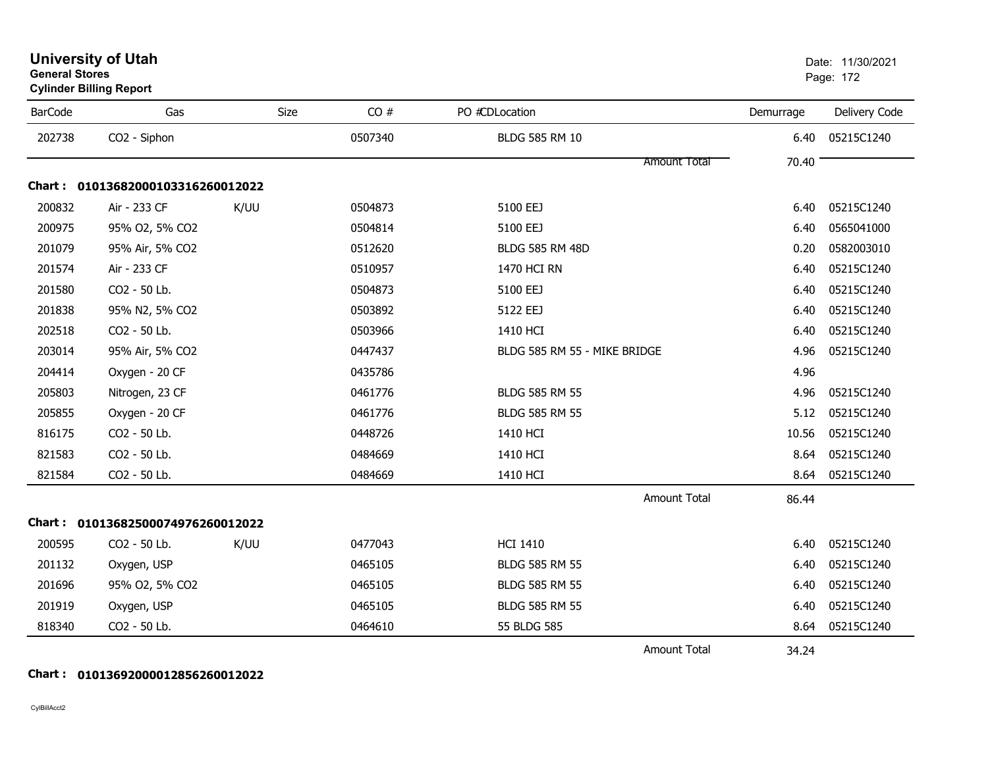|                | <b>Cylinder Dilling Report</b>    |             |         |                              |           |               |
|----------------|-----------------------------------|-------------|---------|------------------------------|-----------|---------------|
| <b>BarCode</b> | Gas                               | <b>Size</b> | CO#     | PO #CDLocation               | Demurrage | Delivery Code |
| 202738         | CO2 - Siphon                      |             | 0507340 | BLDG 585 RM 10               | 6.40      | 05215C1240    |
|                |                                   |             |         | <b>Amount Total</b>          | 70.40     |               |
|                | Chart: 01013682000103316260012022 |             |         |                              |           |               |
| 200832         | Air - 233 CF                      | K/UU        | 0504873 | 5100 EEJ                     | 6.40      | 05215C1240    |
| 200975         | 95% O2, 5% CO2                    |             | 0504814 | 5100 EEJ                     | 6.40      | 0565041000    |
| 201079         | 95% Air, 5% CO2                   |             | 0512620 | <b>BLDG 585 RM 48D</b>       | 0.20      | 0582003010    |
| 201574         | Air - 233 CF                      |             | 0510957 | 1470 HCI RN                  | 6.40      | 05215C1240    |
| 201580         | CO2 - 50 Lb.                      |             | 0504873 | 5100 EEJ                     | 6.40      | 05215C1240    |
| 201838         | 95% N2, 5% CO2                    |             | 0503892 | 5122 EEJ                     | 6.40      | 05215C1240    |
| 202518         | CO2 - 50 Lb.                      |             | 0503966 | 1410 HCI                     | 6.40      | 05215C1240    |
| 203014         | 95% Air, 5% CO2                   |             | 0447437 | BLDG 585 RM 55 - MIKE BRIDGE | 4.96      | 05215C1240    |
| 204414         | Oxygen - 20 CF                    |             | 0435786 |                              | 4.96      |               |
| 205803         | Nitrogen, 23 CF                   |             | 0461776 | <b>BLDG 585 RM 55</b>        | 4.96      | 05215C1240    |
| 205855         | Oxygen - 20 CF                    |             | 0461776 | <b>BLDG 585 RM 55</b>        | 5.12      | 05215C1240    |
| 816175         | CO2 - 50 Lb.                      |             | 0448726 | 1410 HCI                     | 10.56     | 05215C1240    |
| 821583         | CO2 - 50 Lb.                      |             | 0484669 | 1410 HCI                     | 8.64      | 05215C1240    |
| 821584         | CO2 - 50 Lb.                      |             | 0484669 | 1410 HCI                     | 8.64      | 05215C1240    |
|                |                                   |             |         | <b>Amount Total</b>          | 86.44     |               |
|                | Chart: 01013682500074976260012022 |             |         |                              |           |               |
| 200595         | CO2 - 50 Lb.                      | K/UU        | 0477043 | <b>HCI 1410</b>              | 6.40      | 05215C1240    |
| 201132         | Oxygen, USP                       |             | 0465105 | <b>BLDG 585 RM 55</b>        | 6.40      | 05215C1240    |
| 201696         | 95% O2, 5% CO2                    |             | 0465105 | <b>BLDG 585 RM 55</b>        | 6.40      | 05215C1240    |
| 201919         | Oxygen, USP                       |             | 0465105 | <b>BLDG 585 RM 55</b>        | 6.40      | 05215C1240    |
| 818340         | CO2 - 50 Lb.                      |             | 0464610 | 55 BLDG 585                  | 8.64      | 05215C1240    |
|                |                                   |             |         | <b>Amount Total</b>          | 34.24     |               |

### **General Stores**es and the contract of the contract of the contract of the contract of the contract of the contract of the contract of the contract of the contract of the contract of the contract of the contract of the contract of the con **Cylinder Billing Report**

CylBillAcct2

**Chart : 01013692000012856260012022**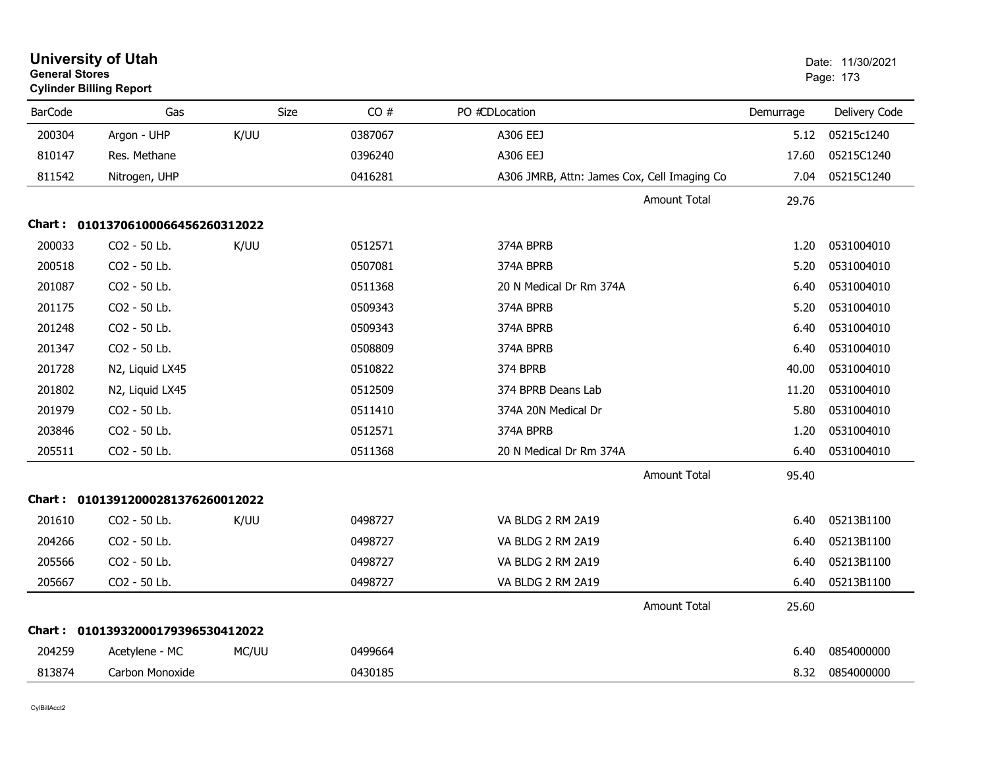| <b>University of Utah</b><br><b>General Stores</b><br><b>Cylinder Billing Report</b> |                                   |             |         |                                             |           | Date: 11/30/2021<br>Page: 173 |  |
|--------------------------------------------------------------------------------------|-----------------------------------|-------------|---------|---------------------------------------------|-----------|-------------------------------|--|
| <b>BarCode</b>                                                                       | Gas                               | <b>Size</b> | CO#     | PO #CDLocation                              | Demurrage | Delivery Code                 |  |
| 200304                                                                               | Argon - UHP                       | K/UU        | 0387067 | A306 EEJ                                    | 5.12      | 05215c1240                    |  |
| 810147                                                                               | Res. Methane                      |             | 0396240 | A306 EEJ                                    | 17.60     | 05215C1240                    |  |
| 811542                                                                               | Nitrogen, UHP                     |             | 0416281 | A306 JMRB, Attn: James Cox, Cell Imaging Co | 7.04      | 05215C1240                    |  |
|                                                                                      |                                   |             |         | Amount Total                                | 29.76     |                               |  |
|                                                                                      | Chart: 01013706100066456260312022 |             |         |                                             |           |                               |  |
| 200033                                                                               | CO <sub>2</sub> - 50 Lb.          | K/UU        | 0512571 | 374A BPRB                                   | 1.20      | 0531004010                    |  |
| 200518                                                                               | CO2 - 50 Lb.                      |             | 0507081 | 374A BPRB                                   | 5.20      | 0531004010                    |  |
| 201087                                                                               | CO2 - 50 Lb.                      |             | 0511368 | 20 N Medical Dr Rm 374A                     | 6.40      | 0531004010                    |  |
| 201175                                                                               | CO2 - 50 Lb.                      |             | 0509343 | 374A BPRB                                   | 5.20      | 0531004010                    |  |
| 201248                                                                               | CO2 - 50 Lb.                      |             | 0509343 | 374A BPRB                                   | 6.40      | 0531004010                    |  |
| 201347                                                                               | CO2 - 50 Lb.                      |             | 0508809 | 374A BPRB                                   | 6.40      | 0531004010                    |  |
| 201728                                                                               | N2, Liquid LX45                   |             | 0510822 | 374 BPRB                                    | 40.00     | 0531004010                    |  |
| 201802                                                                               | N2, Liquid LX45                   |             | 0512509 | 374 BPRB Deans Lab                          | 11.20     | 0531004010                    |  |
| 201979                                                                               | CO2 - 50 Lb.                      |             | 0511410 | 374A 20N Medical Dr                         | 5.80      | 0531004010                    |  |
| 203846                                                                               | CO2 - 50 Lb.                      |             | 0512571 | 374A BPRB                                   | 1.20      | 0531004010                    |  |
| 205511                                                                               | CO2 - 50 Lb.                      |             | 0511368 | 20 N Medical Dr Rm 374A                     | 6.40      | 0531004010                    |  |
|                                                                                      |                                   |             |         | <b>Amount Total</b>                         | 95.40     |                               |  |
|                                                                                      | Chart: 01013912000281376260012022 |             |         |                                             |           |                               |  |
| 201610                                                                               | CO2 - 50 Lb.                      | K/UU        | 0498727 | VA BLDG 2 RM 2A19                           | 6.40      | 05213B1100                    |  |
| 204266                                                                               | CO2 - 50 Lb.                      |             | 0498727 | VA BLDG 2 RM 2A19                           | 6.40      | 05213B1100                    |  |
| 205566                                                                               | CO2 - 50 Lb.                      |             | 0498727 | VA BLDG 2 RM 2A19                           | 6.40      | 05213B1100                    |  |
| 205667                                                                               | CO2 - 50 Lb.                      |             | 0498727 | VA BLDG 2 RM 2A19                           | 6.40      | 05213B1100                    |  |
|                                                                                      |                                   |             |         | <b>Amount Total</b>                         | 25.60     |                               |  |
|                                                                                      | Chart: 01013932000179396530412022 |             |         |                                             |           |                               |  |
| 204259                                                                               | Acetylene - MC                    | MC/UU       | 0499664 |                                             | 6.40      | 0854000000                    |  |
| 813874                                                                               | Carbon Monoxide                   |             | 0430185 |                                             | 8.32      | 0854000000                    |  |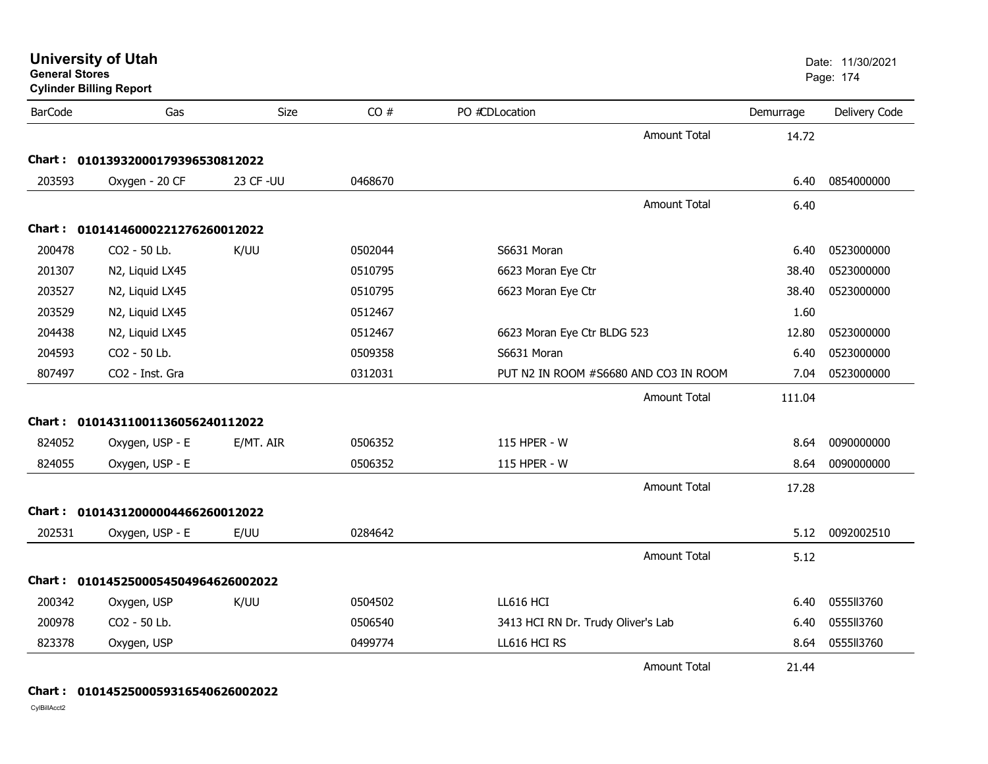| <b>General Stores</b> | <b>University of Utah</b><br><b>Cylinder Billing Report</b> |            |         |                                    |                                       |           | Date: 11/30/2021<br>Page: 174 |
|-----------------------|-------------------------------------------------------------|------------|---------|------------------------------------|---------------------------------------|-----------|-------------------------------|
| <b>BarCode</b>        | Gas                                                         | Size       | CO#     | PO #CDLocation                     |                                       | Demurrage | Delivery Code                 |
|                       |                                                             |            |         |                                    | <b>Amount Total</b>                   | 14.72     |                               |
|                       | Chart: 01013932000179396530812022                           |            |         |                                    |                                       |           |                               |
| 203593                | Oxygen - 20 CF                                              | 23 CF - UU | 0468670 |                                    |                                       | 6.40      | 0854000000                    |
|                       |                                                             |            |         |                                    | <b>Amount Total</b>                   | 6.40      |                               |
|                       | Chart: 01014146000221276260012022                           |            |         |                                    |                                       |           |                               |
| 200478                | CO2 - 50 Lb.                                                | K/UU       | 0502044 | S6631 Moran                        |                                       | 6.40      | 0523000000                    |
| 201307                | N2, Liquid LX45                                             |            | 0510795 | 6623 Moran Eye Ctr                 |                                       | 38.40     | 0523000000                    |
| 203527                | N2, Liquid LX45                                             |            | 0510795 | 6623 Moran Eye Ctr                 |                                       | 38.40     | 0523000000                    |
| 203529                | N2, Liquid LX45                                             |            | 0512467 |                                    |                                       | 1.60      |                               |
| 204438                | N2, Liquid LX45                                             |            | 0512467 | 6623 Moran Eye Ctr BLDG 523        |                                       | 12.80     | 0523000000                    |
| 204593                | CO2 - 50 Lb.                                                |            | 0509358 | S6631 Moran                        |                                       | 6.40      | 0523000000                    |
| 807497                | CO2 - Inst. Gra                                             |            | 0312031 |                                    | PUT N2 IN ROOM #S6680 AND CO3 IN ROOM | 7.04      | 0523000000                    |
|                       |                                                             |            |         |                                    | <b>Amount Total</b>                   | 111.04    |                               |
|                       | Chart: 01014311001136056240112022                           |            |         |                                    |                                       |           |                               |
| 824052                | Oxygen, USP - E                                             | E/MT. AIR  | 0506352 | 115 HPER - W                       |                                       | 8.64      | 0090000000                    |
| 824055                | Oxygen, USP - E                                             |            | 0506352 | 115 HPER - W                       |                                       | 8.64      | 0090000000                    |
|                       |                                                             |            |         |                                    | <b>Amount Total</b>                   | 17.28     |                               |
|                       | Chart: 01014312000004466260012022                           |            |         |                                    |                                       |           |                               |
| 202531                | Oxygen, USP - E                                             | E/UU       | 0284642 |                                    |                                       | 5.12      | 0092002510                    |
|                       |                                                             |            |         |                                    | <b>Amount Total</b>                   | 5.12      |                               |
|                       | Chart: 0101452500054504964626002022                         |            |         |                                    |                                       |           |                               |
| 200342                | Oxygen, USP                                                 | K/UU       | 0504502 | LL616 HCI                          |                                       | 6.40      | 0555113760                    |
| 200978                | CO2 - 50 Lb.                                                |            | 0506540 | 3413 HCI RN Dr. Trudy Oliver's Lab |                                       | 6.40      | 0555113760                    |
| 823378                | Oxygen, USP                                                 |            | 0499774 | LL616 HCI RS                       |                                       | 8.64      | 0555113760                    |
|                       |                                                             |            |         |                                    | <b>Amount Total</b>                   | 21.44     |                               |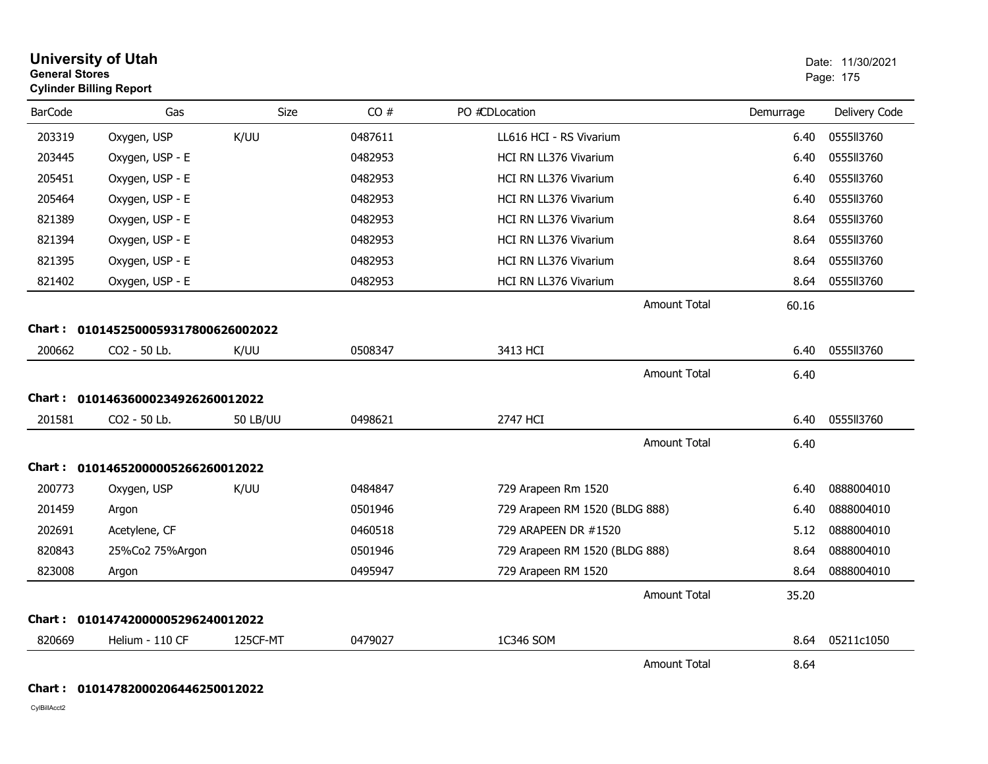|                | <b>University of Utah</b><br><b>General Stores</b><br><b>Cylinder Billing Report</b> |                 |         |                                |                             | Date: 11/30/2021<br>Page: 175 |  |
|----------------|--------------------------------------------------------------------------------------|-----------------|---------|--------------------------------|-----------------------------|-------------------------------|--|
| <b>BarCode</b> | Gas                                                                                  | Size            | CO#     | PO #CDLocation                 | Demurrage                   | Delivery Code                 |  |
| 203319         | Oxygen, USP                                                                          | K/UU            | 0487611 | LL616 HCI - RS Vivarium        | 6.40                        | 0555113760                    |  |
| 203445         | Oxygen, USP - E                                                                      |                 | 0482953 | HCI RN LL376 Vivarium          | 6.40                        | 0555113760                    |  |
| 205451         | Oxygen, USP - E                                                                      |                 | 0482953 | <b>HCI RN LL376 Vivarium</b>   | 6.40                        | 055513760                     |  |
| 205464         | Oxygen, USP - E                                                                      |                 | 0482953 | <b>HCI RN LL376 Vivarium</b>   | 6.40                        | 0555113760                    |  |
| 821389         | Oxygen, USP - E                                                                      |                 | 0482953 | HCI RN LL376 Vivarium          | 8.64                        | 0555113760                    |  |
| 821394         | Oxygen, USP - E                                                                      |                 | 0482953 | HCI RN LL376 Vivarium          | 8.64                        | 0555113760                    |  |
| 821395         | Oxygen, USP - E                                                                      |                 | 0482953 | <b>HCI RN LL376 Vivarium</b>   | 8.64                        | 0555113760                    |  |
| 821402         | Oxygen, USP - E                                                                      |                 | 0482953 | HCI RN LL376 Vivarium          | 8.64                        | 0555113760                    |  |
|                |                                                                                      |                 |         | <b>Amount Total</b>            | 60.16                       |                               |  |
|                | Chart: 0101452500059317800626002022                                                  |                 |         |                                |                             |                               |  |
| 200662         | CO2 - 50 Lb.                                                                         | K/UU            | 0508347 | 3413 HCI                       | 6.40                        | 0555113760                    |  |
|                |                                                                                      |                 |         | <b>Amount Total</b>            | 6.40                        |                               |  |
|                | Chart: 01014636000234926260012022                                                    |                 |         |                                |                             |                               |  |
| 201581         | CO2 - 50 Lb.                                                                         | <b>50 LB/UU</b> | 0498621 | 2747 HCI                       | 6.40                        | 0555113760                    |  |
|                |                                                                                      |                 |         |                                | <b>Amount Total</b><br>6.40 |                               |  |
|                | Chart: 01014652000005266260012022                                                    |                 |         |                                |                             |                               |  |
| 200773         | Oxygen, USP                                                                          | K/UU            | 0484847 | 729 Arapeen Rm 1520            | 6.40                        | 0888004010                    |  |
| 201459         | Argon                                                                                |                 | 0501946 | 729 Arapeen RM 1520 (BLDG 888) | 6.40                        | 0888004010                    |  |
| 202691         | Acetylene, CF                                                                        |                 | 0460518 | 729 ARAPEEN DR #1520           | 5.12                        | 0888004010                    |  |
| 820843         | 25%Co2 75%Argon                                                                      |                 | 0501946 | 729 Arapeen RM 1520 (BLDG 888) | 8.64                        | 0888004010                    |  |
| 823008         | Argon                                                                                |                 | 0495947 | 729 Arapeen RM 1520            | 8.64                        | 0888004010                    |  |
|                |                                                                                      |                 |         | <b>Amount Total</b>            | 35.20                       |                               |  |
| Chart :        | 01014742000005296240012022                                                           |                 |         |                                |                             |                               |  |
| 820669         | Helium - 110 CF                                                                      | 125CF-MT        | 0479027 | 1C346 SOM                      | 8.64                        | 05211c1050                    |  |
|                |                                                                                      |                 |         | <b>Amount Total</b>            | 8.64                        |                               |  |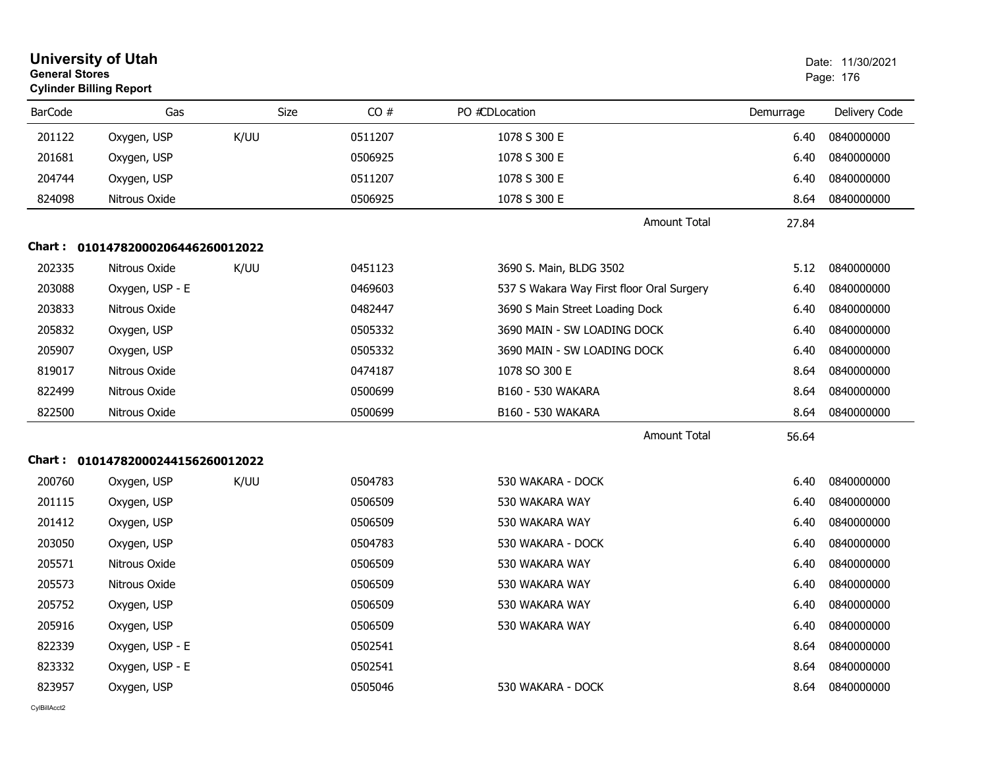| <b>General Stores</b> | <b>University of Utah</b><br><b>Cylinder Billing Report</b> |      |             |                                           |           | Date: 11/30/2021<br>Page: 176 |
|-----------------------|-------------------------------------------------------------|------|-------------|-------------------------------------------|-----------|-------------------------------|
| <b>BarCode</b>        | Gas                                                         |      | Size<br>CO# | PO #CDLocation                            | Demurrage | Delivery Code                 |
| 201122                | Oxygen, USP                                                 | K/UU | 0511207     | 1078 S 300 E                              | 6.40      | 0840000000                    |
| 201681                | Oxygen, USP                                                 |      | 0506925     | 1078 S 300 E                              | 6.40      | 0840000000                    |
| 204744                | Oxygen, USP                                                 |      | 0511207     | 1078 S 300 E                              | 6.40      | 0840000000                    |
| 824098                | Nitrous Oxide                                               |      | 0506925     | 1078 S 300 E                              | 8.64      | 0840000000                    |
|                       |                                                             |      |             | <b>Amount Total</b>                       | 27.84     |                               |
|                       | Chart: 01014782000206446260012022                           |      |             |                                           |           |                               |
| 202335                | Nitrous Oxide                                               | K/UU | 0451123     | 3690 S. Main, BLDG 3502                   | 5.12      | 0840000000                    |
| 203088                | Oxygen, USP - E                                             |      | 0469603     | 537 S Wakara Way First floor Oral Surgery | 6.40      | 0840000000                    |
| 203833                | Nitrous Oxide                                               |      | 0482447     | 3690 S Main Street Loading Dock           | 6.40      | 0840000000                    |
| 205832                | Oxygen, USP                                                 |      | 0505332     | 3690 MAIN - SW LOADING DOCK               | 6.40      | 0840000000                    |
| 205907                | Oxygen, USP                                                 |      | 0505332     | 3690 MAIN - SW LOADING DOCK               | 6.40      | 0840000000                    |
| 819017                | Nitrous Oxide                                               |      | 0474187     | 1078 SO 300 E                             | 8.64      | 0840000000                    |
| 822499                | Nitrous Oxide                                               |      | 0500699     | B160 - 530 WAKARA                         | 8.64      | 0840000000                    |
| 822500                | Nitrous Oxide                                               |      | 0500699     | B160 - 530 WAKARA                         | 8.64      | 0840000000                    |
|                       |                                                             |      |             | <b>Amount Total</b>                       | 56.64     |                               |
|                       | Chart: 01014782000244156260012022                           |      |             |                                           |           |                               |
| 200760                | Oxygen, USP                                                 | K/UU | 0504783     | 530 WAKARA - DOCK                         | 6.40      | 0840000000                    |
| 201115                | Oxygen, USP                                                 |      | 0506509     | 530 WAKARA WAY                            | 6.40      | 0840000000                    |
| 201412                | Oxygen, USP                                                 |      | 0506509     | 530 WAKARA WAY                            | 6.40      | 0840000000                    |
| 203050                | Oxygen, USP                                                 |      | 0504783     | 530 WAKARA - DOCK                         | 6.40      | 0840000000                    |
| 205571                | Nitrous Oxide                                               |      | 0506509     | 530 WAKARA WAY                            | 6.40      | 0840000000                    |
| 205573                | Nitrous Oxide                                               |      | 0506509     | 530 WAKARA WAY                            | 6.40      | 0840000000                    |
| 205752                | Oxygen, USP                                                 |      | 0506509     | 530 WAKARA WAY                            | 6.40      | 0840000000                    |
| 205916                | Oxygen, USP                                                 |      | 0506509     | 530 WAKARA WAY                            | 6.40      | 0840000000                    |
| 822339                | Oxygen, USP - E                                             |      | 0502541     |                                           | 8.64      | 0840000000                    |
| 823332                | Oxygen, USP - E                                             |      | 0502541     |                                           | 8.64      | 0840000000                    |
| 823957                | Oxygen, USP                                                 |      | 0505046     | 530 WAKARA - DOCK                         | 8.64      | 0840000000                    |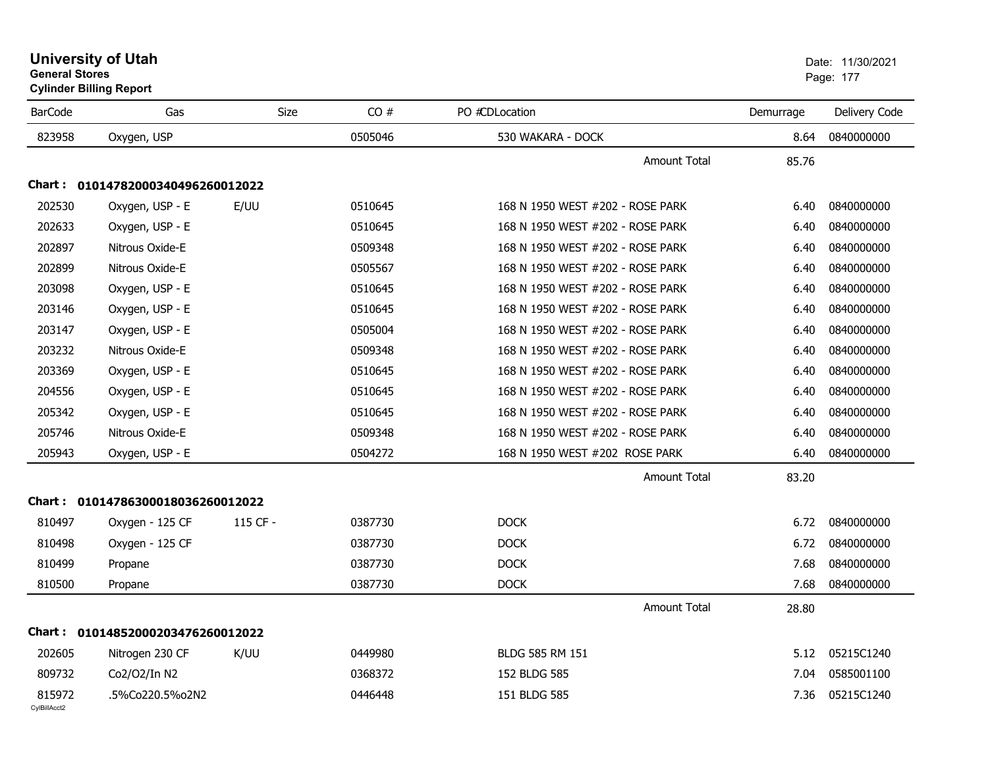|                        | <b>Cylinder Billing Report</b>    |             |         |                                  |           |               |
|------------------------|-----------------------------------|-------------|---------|----------------------------------|-----------|---------------|
| <b>BarCode</b>         | Gas                               | <b>Size</b> | CO#     | PO #CDLocation                   | Demurrage | Delivery Code |
| 823958                 | Oxygen, USP                       |             | 0505046 | 530 WAKARA - DOCK                | 8.64      | 0840000000    |
|                        |                                   |             |         | <b>Amount Total</b>              | 85.76     |               |
|                        | Chart: 01014782000340496260012022 |             |         |                                  |           |               |
| 202530                 | Oxygen, USP - E                   | E/UU        | 0510645 | 168 N 1950 WEST #202 - ROSE PARK | 6.40      | 0840000000    |
| 202633                 | Oxygen, USP - E                   |             | 0510645 | 168 N 1950 WEST #202 - ROSE PARK | 6.40      | 0840000000    |
| 202897                 | Nitrous Oxide-E                   |             | 0509348 | 168 N 1950 WEST #202 - ROSE PARK | 6.40      | 0840000000    |
| 202899                 | Nitrous Oxide-E                   |             | 0505567 | 168 N 1950 WEST #202 - ROSE PARK | 6.40      | 0840000000    |
| 203098                 | Oxygen, USP - E                   |             | 0510645 | 168 N 1950 WEST #202 - ROSE PARK | 6.40      | 0840000000    |
| 203146                 | Oxygen, USP - E                   |             | 0510645 | 168 N 1950 WEST #202 - ROSE PARK | 6.40      | 0840000000    |
| 203147                 | Oxygen, USP - E                   |             | 0505004 | 168 N 1950 WEST #202 - ROSE PARK | 6.40      | 0840000000    |
| 203232                 | Nitrous Oxide-E                   |             | 0509348 | 168 N 1950 WEST #202 - ROSE PARK | 6.40      | 0840000000    |
| 203369                 | Oxygen, USP - E                   |             | 0510645 | 168 N 1950 WEST #202 - ROSE PARK | 6.40      | 0840000000    |
| 204556                 | Oxygen, USP - E                   |             | 0510645 | 168 N 1950 WEST #202 - ROSE PARK | 6.40      | 0840000000    |
| 205342                 | Oxygen, USP - E                   |             | 0510645 | 168 N 1950 WEST #202 - ROSE PARK | 6.40      | 0840000000    |
| 205746                 | Nitrous Oxide-E                   |             | 0509348 | 168 N 1950 WEST #202 - ROSE PARK | 6.40      | 0840000000    |
| 205943                 | Oxygen, USP - E                   |             | 0504272 | 168 N 1950 WEST #202 ROSE PARK   | 6.40      | 0840000000    |
|                        |                                   |             |         | <b>Amount Total</b>              | 83.20     |               |
| Chart :                | 01014786300018036260012022        |             |         |                                  |           |               |
| 810497                 | Oxygen - 125 CF                   | 115 CF -    | 0387730 | <b>DOCK</b>                      | 6.72      | 0840000000    |
| 810498                 | Oxygen - 125 CF                   |             | 0387730 | <b>DOCK</b>                      | 6.72      | 0840000000    |
| 810499                 | Propane                           |             | 0387730 | <b>DOCK</b>                      | 7.68      | 0840000000    |
| 810500                 | Propane                           |             | 0387730 | <b>DOCK</b>                      | 7.68      | 0840000000    |
|                        |                                   |             |         | <b>Amount Total</b>              | 28.80     |               |
|                        | Chart: 01014852000203476260012022 |             |         |                                  |           |               |
| 202605                 | Nitrogen 230 CF                   | K/UU        | 0449980 | BLDG 585 RM 151                  | 5.12      | 05215C1240    |
| 809732                 | Co2/O2/In N2                      |             | 0368372 | 152 BLDG 585                     | 7.04      | 0585001100    |
| 815972<br>CvIBillAcct2 | .5%Co220.5%o2N2                   |             | 0446448 | 151 BLDG 585                     | 7.36      | 05215C1240    |

## **University of Utah** Date: 11/30/2021 **General Stores**end and the state of the state of the state of the state of the state of the state of the state of the state of the state of the state of the state of the state of the state of the state of the state of the state of the st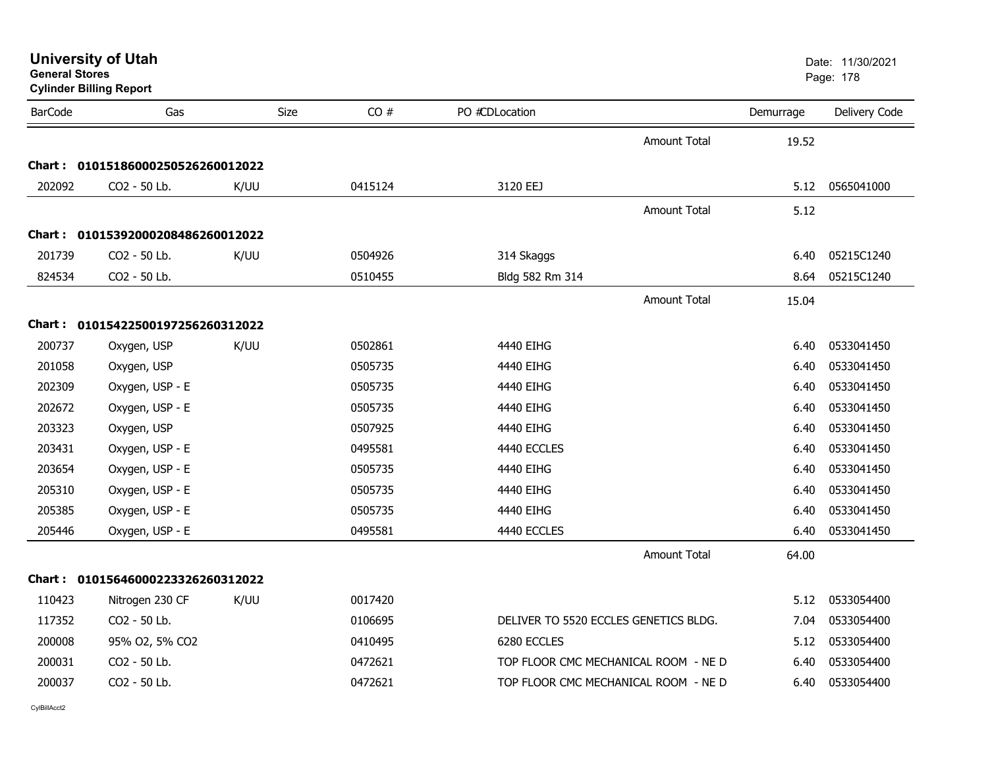| <b>University of Utah</b> |  |
|---------------------------|--|
| <b>General Stores</b>     |  |

**Cylinder Billing Report**

| <b>BarCode</b> | Gas                               | <b>Size</b> | CO#     | PO #CDLocation                        |                     | Demurrage | Delivery Code |
|----------------|-----------------------------------|-------------|---------|---------------------------------------|---------------------|-----------|---------------|
|                |                                   |             |         |                                       | <b>Amount Total</b> | 19.52     |               |
| <b>Chart :</b> | 01015186000250526260012022        |             |         |                                       |                     |           |               |
| 202092         | CO2 - 50 Lb.                      | K/UU        | 0415124 | 3120 EEJ                              |                     | 5.12      | 0565041000    |
|                |                                   |             |         |                                       | <b>Amount Total</b> | 5.12      |               |
|                | Chart: 01015392000208486260012022 |             |         |                                       |                     |           |               |
| 201739         | CO2 - 50 Lb.                      | K/UU        | 0504926 | 314 Skaggs                            |                     | 6.40      | 05215C1240    |
| 824534         | CO2 - 50 Lb.                      |             | 0510455 | Bldg 582 Rm 314                       |                     | 8.64      | 05215C1240    |
|                |                                   |             |         |                                       | <b>Amount Total</b> | 15.04     |               |
| Chart :        | 01015422500197256260312022        |             |         |                                       |                     |           |               |
| 200737         | Oxygen, USP                       | K/UU        | 0502861 | 4440 EIHG                             |                     | 6.40      | 0533041450    |
| 201058         | Oxygen, USP                       |             | 0505735 | 4440 EIHG                             |                     | 6.40      | 0533041450    |
| 202309         | Oxygen, USP - E                   |             | 0505735 | 4440 EIHG                             |                     | 6.40      | 0533041450    |
| 202672         | Oxygen, USP - E                   |             | 0505735 | 4440 EIHG                             |                     | 6.40      | 0533041450    |
| 203323         | Oxygen, USP                       |             | 0507925 | 4440 EIHG                             |                     | 6.40      | 0533041450    |
| 203431         | Oxygen, USP - E                   |             | 0495581 | 4440 ECCLES                           |                     | 6.40      | 0533041450    |
| 203654         | Oxygen, USP - E                   |             | 0505735 | 4440 EIHG                             |                     | 6.40      | 0533041450    |
| 205310         | Oxygen, USP - E                   |             | 0505735 | 4440 EIHG                             |                     | 6.40      | 0533041450    |
| 205385         | Oxygen, USP - E                   |             | 0505735 | 4440 EIHG                             |                     | 6.40      | 0533041450    |
| 205446         | Oxygen, USP - E                   |             | 0495581 | 4440 ECCLES                           |                     | 6.40      | 0533041450    |
|                |                                   |             |         |                                       | <b>Amount Total</b> | 64.00     |               |
| Chart :        | 01015646000223326260312022        |             |         |                                       |                     |           |               |
| 110423         | Nitrogen 230 CF                   | K/UU        | 0017420 |                                       |                     | 5.12      | 0533054400    |
| 117352         | CO2 - 50 Lb.                      |             | 0106695 | DELIVER TO 5520 ECCLES GENETICS BLDG. |                     | 7.04      | 0533054400    |
| 200008         | 95% O2, 5% CO2                    |             | 0410495 | 6280 ECCLES                           |                     | 5.12      | 0533054400    |
| 200031         | CO2 - 50 Lb.                      |             | 0472621 | TOP FLOOR CMC MECHANICAL ROOM - NE D  |                     | 6.40      | 0533054400    |
| 200037         | CO2 - 50 Lb.                      |             | 0472621 | TOP FLOOR CMC MECHANICAL ROOM - NE D  |                     | 6.40      | 0533054400    |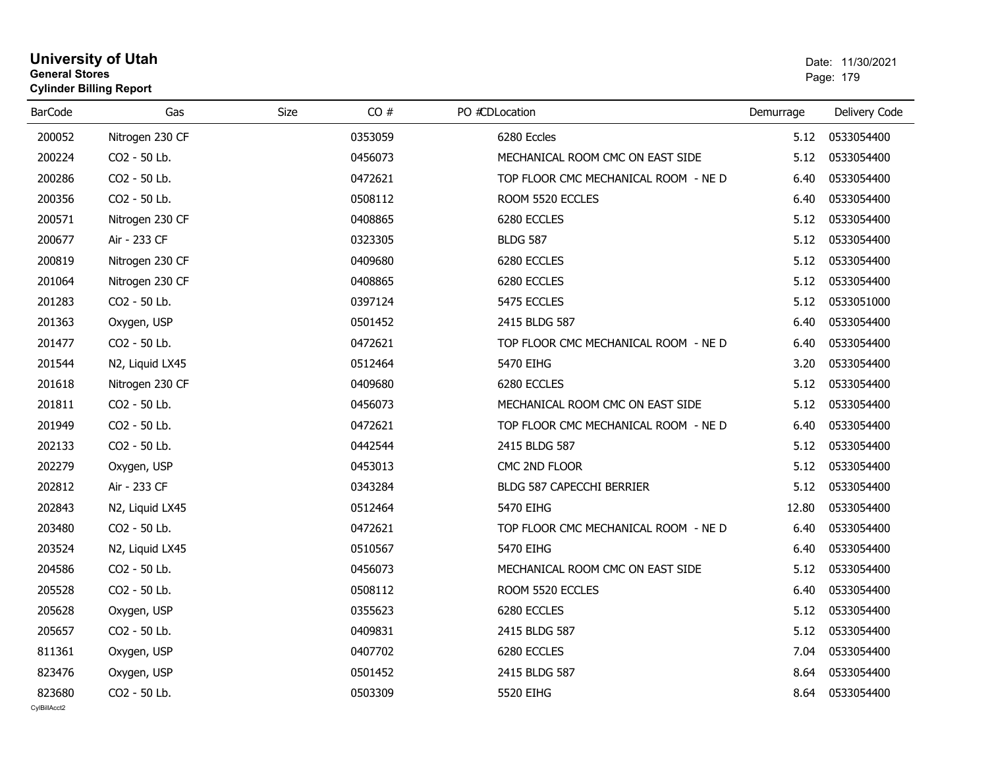## **University of Utah** Date: 11/30/2021 **General Stores**end and the state of the state of the state of the state of the state of the state of the state of the state of the state of the state of the state of the state of the state of the state of the state of the state of the st **Cylinder Billing Report**

| <b>BarCode</b>         | Gas             | <b>Size</b><br>CO# | PO #CDLocation                       | Demurrage | Delivery Code |
|------------------------|-----------------|--------------------|--------------------------------------|-----------|---------------|
| 200052                 | Nitrogen 230 CF | 0353059            | 6280 Eccles                          | 5.12      | 0533054400    |
| 200224                 | CO2 - 50 Lb.    | 0456073            | MECHANICAL ROOM CMC ON EAST SIDE     | 5.12      | 0533054400    |
| 200286                 | CO2 - 50 Lb.    | 0472621            | TOP FLOOR CMC MECHANICAL ROOM - NE D | 6.40      | 0533054400    |
| 200356                 | CO2 - 50 Lb.    | 0508112            | ROOM 5520 ECCLES                     | 6.40      | 0533054400    |
| 200571                 | Nitrogen 230 CF | 0408865            | 6280 ECCLES                          | 5.12      | 0533054400    |
| 200677                 | Air - 233 CF    | 0323305            | <b>BLDG 587</b>                      | 5.12      | 0533054400    |
| 200819                 | Nitrogen 230 CF | 0409680            | 6280 ECCLES                          | 5.12      | 0533054400    |
| 201064                 | Nitrogen 230 CF | 0408865            | 6280 ECCLES                          | 5.12      | 0533054400    |
| 201283                 | CO2 - 50 Lb.    | 0397124            | 5475 ECCLES                          | 5.12      | 0533051000    |
| 201363                 | Oxygen, USP     | 0501452            | 2415 BLDG 587                        | 6.40      | 0533054400    |
| 201477                 | CO2 - 50 Lb.    | 0472621            | TOP FLOOR CMC MECHANICAL ROOM - NE D | 6.40      | 0533054400    |
| 201544                 | N2, Liquid LX45 | 0512464            | 5470 EIHG                            | 3.20      | 0533054400    |
| 201618                 | Nitrogen 230 CF | 0409680            | 6280 ECCLES                          | 5.12      | 0533054400    |
| 201811                 | CO2 - 50 Lb.    | 0456073            | MECHANICAL ROOM CMC ON EAST SIDE     | 5.12      | 0533054400    |
| 201949                 | CO2 - 50 Lb.    | 0472621            | TOP FLOOR CMC MECHANICAL ROOM - NE D | 6.40      | 0533054400    |
| 202133                 | CO2 - 50 Lb.    | 0442544            | 2415 BLDG 587                        | 5.12      | 0533054400    |
| 202279                 | Oxygen, USP     | 0453013            | CMC 2ND FLOOR                        | 5.12      | 0533054400    |
| 202812                 | Air - 233 CF    | 0343284            | BLDG 587 CAPECCHI BERRIER            | 5.12      | 0533054400    |
| 202843                 | N2, Liquid LX45 | 0512464            | 5470 EIHG                            | 12.80     | 0533054400    |
| 203480                 | CO2 - 50 Lb.    | 0472621            | TOP FLOOR CMC MECHANICAL ROOM - NE D | 6.40      | 0533054400    |
| 203524                 | N2, Liquid LX45 | 0510567            | 5470 EIHG                            | 6.40      | 0533054400    |
| 204586                 | CO2 - 50 Lb.    | 0456073            | MECHANICAL ROOM CMC ON EAST SIDE     | 5.12      | 0533054400    |
| 205528                 | CO2 - 50 Lb.    | 0508112            | ROOM 5520 ECCLES                     | 6.40      | 0533054400    |
| 205628                 | Oxygen, USP     | 0355623            | 6280 ECCLES                          | 5.12      | 0533054400    |
| 205657                 | CO2 - 50 Lb.    | 0409831            | 2415 BLDG 587                        | 5.12      | 0533054400    |
| 811361                 | Oxygen, USP     | 0407702            | 6280 ECCLES                          | 7.04      | 0533054400    |
| 823476                 | Oxygen, USP     | 0501452            | 2415 BLDG 587                        | 8.64      | 0533054400    |
| 823680<br>CvIBillAcct2 | CO2 - 50 Lb.    | 0503309            | 5520 EIHG                            | 8.64      | 0533054400    |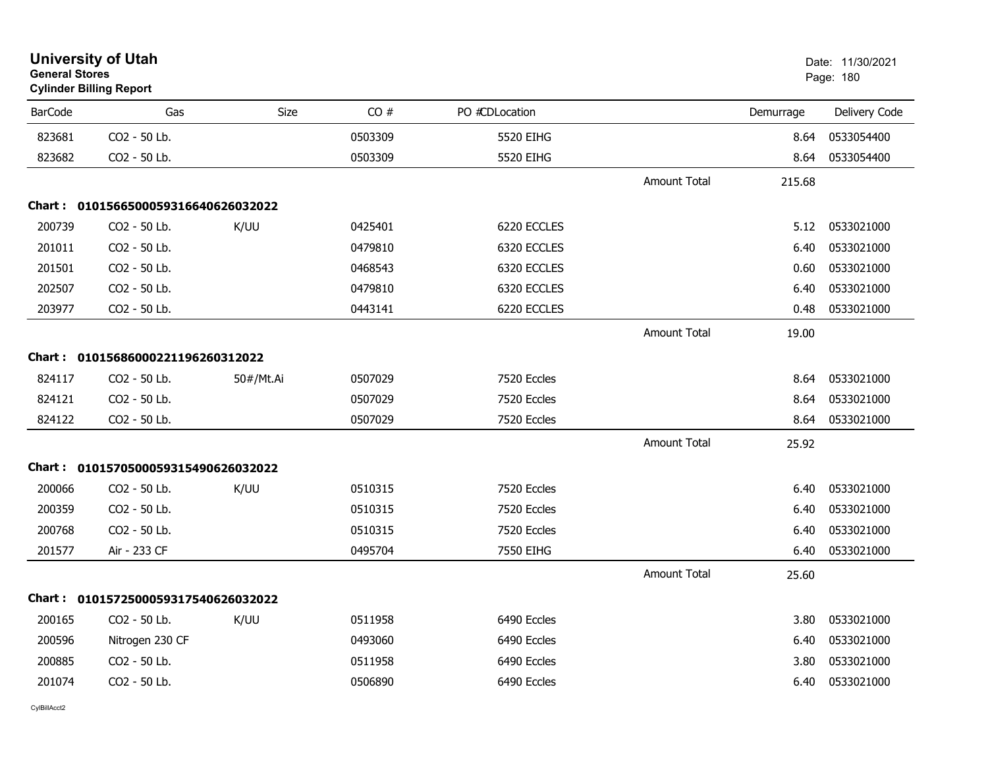| <b>General Stores</b> | <b>University of Utah</b><br><b>Cylinder Billing Report</b> |             |         |                |                     |           | Date: 11/30/2021<br>Page: 180 |
|-----------------------|-------------------------------------------------------------|-------------|---------|----------------|---------------------|-----------|-------------------------------|
| <b>BarCode</b>        | Gas                                                         | <b>Size</b> | CO#     | PO #CDLocation |                     | Demurrage | Delivery Code                 |
| 823681                | CO2 - 50 Lb.                                                |             | 0503309 | 5520 EIHG      |                     | 8.64      | 0533054400                    |
| 823682                | CO <sub>2</sub> - 50 Lb.                                    |             | 0503309 | 5520 EIHG      |                     | 8.64      | 0533054400                    |
|                       |                                                             |             |         |                | <b>Amount Total</b> | 215.68    |                               |
|                       | Chart: 0101566500059316640626032022                         |             |         |                |                     |           |                               |
| 200739                | CO <sub>2</sub> - 50 Lb.                                    | K/UU        | 0425401 | 6220 ECCLES    |                     | 5.12      | 0533021000                    |
| 201011                | CO2 - 50 Lb.                                                |             | 0479810 | 6320 ECCLES    |                     | 6.40      | 0533021000                    |
| 201501                | CO2 - 50 Lb.                                                |             | 0468543 | 6320 ECCLES    |                     | 0.60      | 0533021000                    |
| 202507                | CO2 - 50 Lb.                                                |             | 0479810 | 6320 ECCLES    |                     | 6.40      | 0533021000                    |
| 203977                | CO2 - 50 Lb.                                                |             | 0443141 | 6220 ECCLES    |                     | 0.48      | 0533021000                    |
|                       |                                                             |             |         |                | Amount Total        | 19.00     |                               |
|                       | Chart: 01015686000221196260312022                           |             |         |                |                     |           |                               |
| 824117                | CO2 - 50 Lb.                                                | 50#/Mt.Ai   | 0507029 | 7520 Eccles    |                     | 8.64      | 0533021000                    |
| 824121                | CO2 - 50 Lb.                                                |             | 0507029 | 7520 Eccles    |                     | 8.64      | 0533021000                    |
| 824122                | CO2 - 50 Lb.                                                |             | 0507029 | 7520 Eccles    |                     | 8.64      | 0533021000                    |
|                       |                                                             |             |         |                | Amount Total        | 25.92     |                               |
|                       | Chart: 0101570500059315490626032022                         |             |         |                |                     |           |                               |
| 200066                | CO <sub>2</sub> - 50 Lb.                                    | K/UU        | 0510315 | 7520 Eccles    |                     | 6.40      | 0533021000                    |
| 200359                | CO2 - 50 Lb.                                                |             | 0510315 | 7520 Eccles    |                     | 6.40      | 0533021000                    |
| 200768                | CO2 - 50 Lb.                                                |             | 0510315 | 7520 Eccles    |                     | 6.40      | 0533021000                    |
| 201577                | Air - 233 CF                                                |             | 0495704 | 7550 EIHG      |                     | 6.40      | 0533021000                    |
|                       |                                                             |             |         |                | <b>Amount Total</b> | 25.60     |                               |
|                       | Chart: 0101572500059317540626032022                         |             |         |                |                     |           |                               |
| 200165                | CO2 - 50 Lb.                                                | K/UU        | 0511958 | 6490 Eccles    |                     | 3.80      | 0533021000                    |
| 200596                | Nitrogen 230 CF                                             |             | 0493060 | 6490 Eccles    |                     | 6.40      | 0533021000                    |
| 200885                | CO2 - 50 Lb.                                                |             | 0511958 | 6490 Eccles    |                     | 3.80      | 0533021000                    |
| 201074                | CO2 - 50 Lb.                                                |             | 0506890 | 6490 Eccles    |                     | 6.40      | 0533021000                    |
|                       |                                                             |             |         |                |                     |           |                               |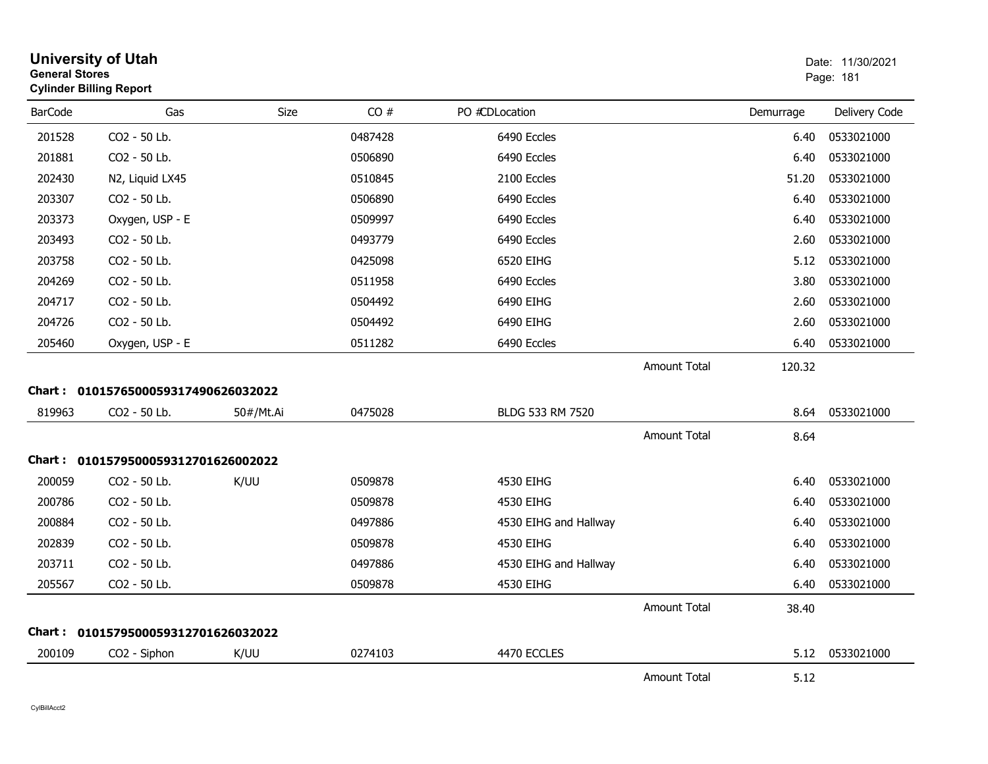| <b>General Stores</b> | <b>University of Utah</b><br><b>Cylinder Billing Report</b> |           |         |                       |                     |           | Date: 11/30/2021<br>Page: 181 |
|-----------------------|-------------------------------------------------------------|-----------|---------|-----------------------|---------------------|-----------|-------------------------------|
| <b>BarCode</b>        | Gas                                                         | Size      | CO#     | PO #CDLocation        |                     | Demurrage | Delivery Code                 |
| 201528                | CO2 - 50 Lb.                                                |           | 0487428 | 6490 Eccles           |                     | 6.40      | 0533021000                    |
| 201881                | CO2 - 50 Lb.                                                |           | 0506890 | 6490 Eccles           |                     | 6.40      | 0533021000                    |
| 202430                | N2, Liquid LX45                                             |           | 0510845 | 2100 Eccles           |                     | 51.20     | 0533021000                    |
| 203307                | CO2 - 50 Lb.                                                |           | 0506890 | 6490 Eccles           |                     | 6.40      | 0533021000                    |
| 203373                | Oxygen, USP - E                                             |           | 0509997 | 6490 Eccles           |                     | 6.40      | 0533021000                    |
| 203493                | CO2 - 50 Lb.                                                |           | 0493779 | 6490 Eccles           |                     | 2.60      | 0533021000                    |
| 203758                | CO2 - 50 Lb.                                                |           | 0425098 | 6520 EIHG             |                     | 5.12      | 0533021000                    |
| 204269                | CO2 - 50 Lb.                                                |           | 0511958 | 6490 Eccles           |                     | 3.80      | 0533021000                    |
| 204717                | CO2 - 50 Lb.                                                |           | 0504492 | 6490 EIHG             |                     | 2.60      | 0533021000                    |
| 204726                | CO2 - 50 Lb.                                                |           | 0504492 | 6490 EIHG             |                     | 2.60      | 0533021000                    |
| 205460                | Oxygen, USP - E                                             |           | 0511282 | 6490 Eccles           |                     | 6.40      | 0533021000                    |
|                       |                                                             |           |         |                       | <b>Amount Total</b> | 120.32    |                               |
|                       | Chart: 0101576500059317490626032022                         |           |         |                       |                     |           |                               |
| 819963                | CO2 - 50 Lb.                                                | 50#/Mt.Ai | 0475028 | BLDG 533 RM 7520      |                     | 8.64      | 0533021000                    |
|                       |                                                             |           |         |                       | <b>Amount Total</b> | 8.64      |                               |
|                       | Chart: 0101579500059312701626002022                         |           |         |                       |                     |           |                               |
| 200059                | CO2 - 50 Lb.                                                | K/UU      | 0509878 | 4530 EIHG             |                     | 6.40      | 0533021000                    |
| 200786                | CO2 - 50 Lb.                                                |           | 0509878 | 4530 EIHG             |                     | 6.40      | 0533021000                    |
| 200884                | CO2 - 50 Lb.                                                |           | 0497886 | 4530 EIHG and Hallway |                     | 6.40      | 0533021000                    |
| 202839                | CO2 - 50 Lb.                                                |           | 0509878 | 4530 EIHG             |                     | 6.40      | 0533021000                    |
| 203711                | CO2 - 50 Lb.                                                |           | 0497886 | 4530 EIHG and Hallway |                     | 6.40      | 0533021000                    |
| 205567                | CO2 - 50 Lb.                                                |           | 0509878 | 4530 EIHG             |                     | 6.40      | 0533021000                    |
|                       |                                                             |           |         |                       | <b>Amount Total</b> | 38.40     |                               |
|                       | Chart: 0101579500059312701626032022                         |           |         |                       |                     |           |                               |
| 200109                | CO2 - Siphon                                                | K/UU      | 0274103 | 4470 ECCLES           |                     | 5.12      | 0533021000                    |
|                       |                                                             |           |         |                       | <b>Amount Total</b> | 5.12      |                               |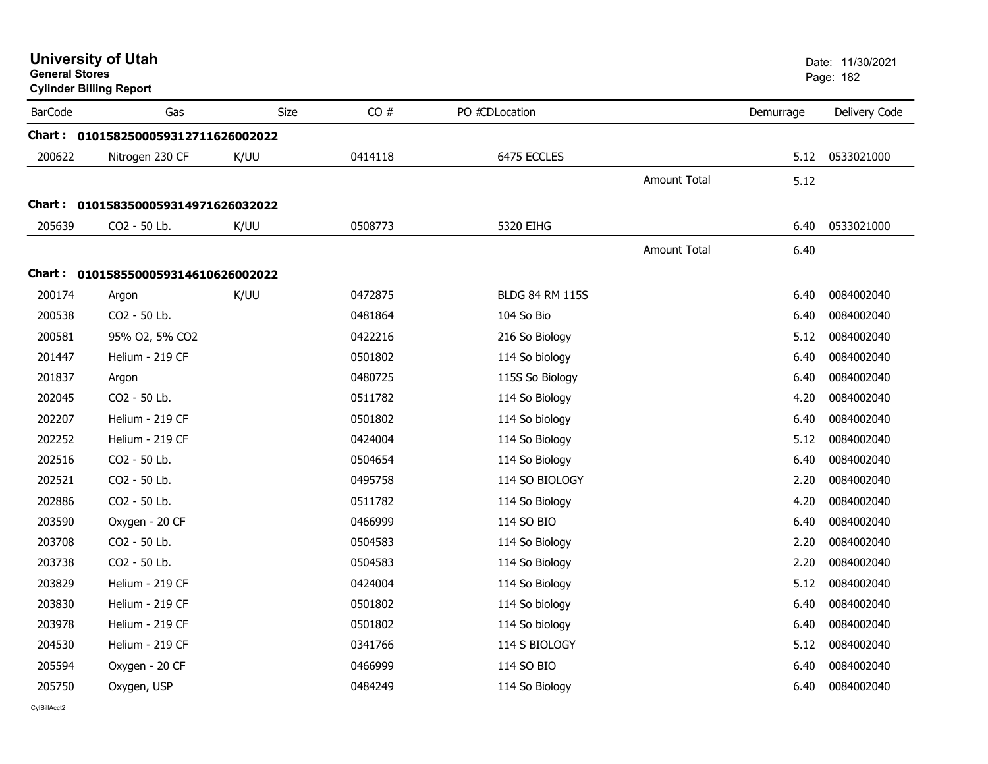| <b>General Stores</b> | <b>University of Utah</b><br><b>Cylinder Billing Report</b> |             |         |                        |                     |           | Date: 11/30/2021<br>Page: 182 |
|-----------------------|-------------------------------------------------------------|-------------|---------|------------------------|---------------------|-----------|-------------------------------|
| <b>BarCode</b>        | Gas                                                         | <b>Size</b> | CO#     | PO #CDLocation         |                     | Demurrage | Delivery Code                 |
|                       | Chart: 0101582500059312711626002022                         |             |         |                        |                     |           |                               |
| 200622                | Nitrogen 230 CF                                             | K/UU        | 0414118 | 6475 ECCLES            |                     | 5.12      | 0533021000                    |
|                       |                                                             |             |         |                        | Amount Total        | 5.12      |                               |
|                       | Chart: 0101583500059314971626032022                         |             |         |                        |                     |           |                               |
| 205639                | CO2 - 50 Lb.                                                | K/UU        | 0508773 | 5320 EIHG              |                     | 6.40      | 0533021000                    |
|                       |                                                             |             |         |                        | <b>Amount Total</b> | 6.40      |                               |
|                       | Chart: 0101585500059314610626002022                         |             |         |                        |                     |           |                               |
| 200174                | Argon                                                       | K/UU        | 0472875 | <b>BLDG 84 RM 115S</b> |                     | 6.40      | 0084002040                    |
| 200538                | CO2 - 50 Lb.                                                |             | 0481864 | 104 So Bio             |                     | 6.40      | 0084002040                    |
| 200581                | 95% O2, 5% CO2                                              |             | 0422216 | 216 So Biology         |                     | 5.12      | 0084002040                    |
| 201447                | Helium - 219 CF                                             |             | 0501802 | 114 So biology         |                     | 6.40      | 0084002040                    |
| 201837                | Argon                                                       |             | 0480725 | 115S So Biology        |                     | 6.40      | 0084002040                    |
| 202045                | CO2 - 50 Lb.                                                |             | 0511782 | 114 So Biology         |                     | 4.20      | 0084002040                    |
| 202207                | Helium - 219 CF                                             |             | 0501802 | 114 So biology         |                     | 6.40      | 0084002040                    |
| 202252                | Helium - 219 CF                                             |             | 0424004 | 114 So Biology         |                     | 5.12      | 0084002040                    |
| 202516                | CO2 - 50 Lb.                                                |             | 0504654 | 114 So Biology         |                     | 6.40      | 0084002040                    |
| 202521                | CO2 - 50 Lb.                                                |             | 0495758 | 114 SO BIOLOGY         |                     | 2.20      | 0084002040                    |
| 202886                | CO2 - 50 Lb.                                                |             | 0511782 | 114 So Biology         |                     | 4.20      | 0084002040                    |
| 203590                | Oxygen - 20 CF                                              |             | 0466999 | 114 SO BIO             |                     | 6.40      | 0084002040                    |
| 203708                | CO2 - 50 Lb.                                                |             | 0504583 | 114 So Biology         |                     | 2.20      | 0084002040                    |
| 203738                | CO <sub>2</sub> - 50 Lb.                                    |             | 0504583 | 114 So Biology         |                     | 2.20      | 0084002040                    |
| 203829                | Helium - 219 CF                                             |             | 0424004 | 114 So Biology         |                     | 5.12      | 0084002040                    |
| 203830                | Helium - 219 CF                                             |             | 0501802 | 114 So biology         |                     | 6.40      | 0084002040                    |
| 203978                | Helium - 219 CF                                             |             | 0501802 | 114 So biology         |                     | 6.40      | 0084002040                    |
| 204530                | Helium - 219 CF                                             |             | 0341766 | 114 S BIOLOGY          |                     | 5.12      | 0084002040                    |
| 205594                | Oxygen - 20 CF                                              |             | 0466999 | 114 SO BIO             |                     | 6.40      | 0084002040                    |
| 205750                | Oxygen, USP                                                 |             | 0484249 | 114 So Biology         |                     | 6.40      | 0084002040                    |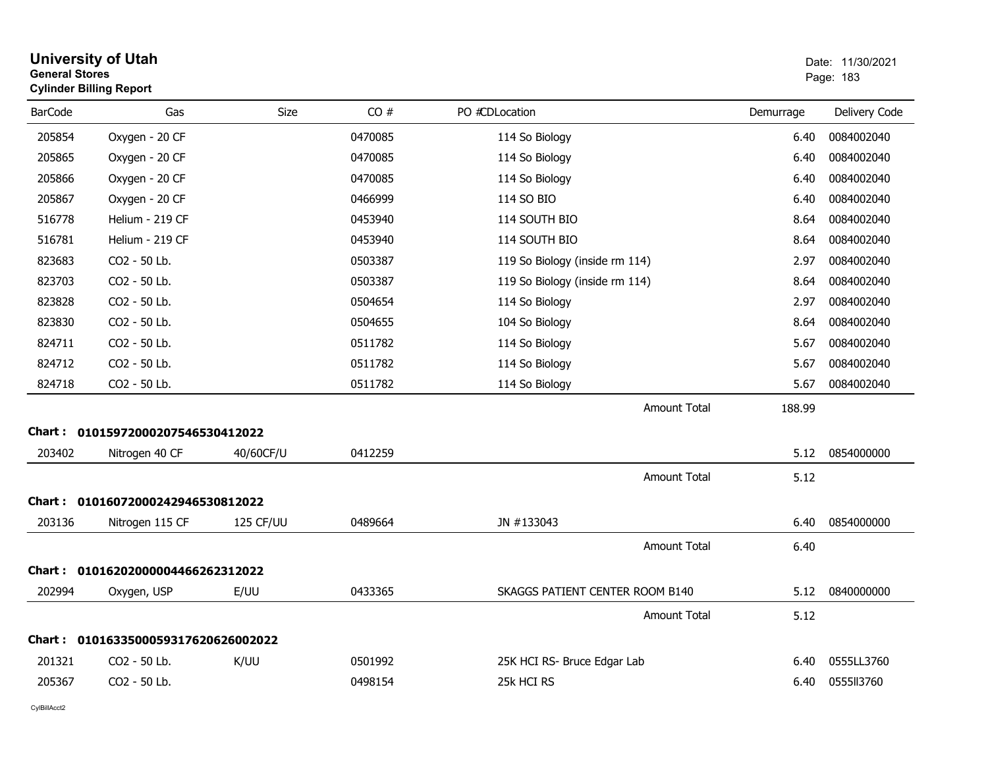| <b>General Stores</b> | <b>University of Utah</b><br><b>Cylinder Billing Report</b> |           |         |                                 |           | Date: 11/30/2021<br>Page: 183 |
|-----------------------|-------------------------------------------------------------|-----------|---------|---------------------------------|-----------|-------------------------------|
| <b>BarCode</b>        | Gas                                                         | Size      | CO#     | PO #CDLocation                  | Demurrage | Delivery Code                 |
| 205854                | Oxygen - 20 CF                                              |           | 0470085 | 114 So Biology                  | 6.40      | 0084002040                    |
| 205865                | Oxygen - 20 CF                                              |           | 0470085 | 114 So Biology                  | 6.40      | 0084002040                    |
| 205866                | Oxygen - 20 CF                                              |           | 0470085 | 114 So Biology                  | 6.40      | 0084002040                    |
| 205867                | Oxygen - 20 CF                                              |           | 0466999 | 114 SO BIO                      | 6.40      | 0084002040                    |
| 516778                | Helium - 219 CF                                             |           | 0453940 | 114 SOUTH BIO                   | 8.64      | 0084002040                    |
| 516781                | Helium - 219 CF                                             |           | 0453940 | 114 SOUTH BIO                   | 8.64      | 0084002040                    |
| 823683                | CO2 - 50 Lb.                                                |           | 0503387 | 119 So Biology (inside rm 114)  | 2.97      | 0084002040                    |
| 823703                | CO2 - 50 Lb.                                                |           | 0503387 | 119 So Biology (inside rm 114)  | 8.64      | 0084002040                    |
| 823828                | CO2 - 50 Lb.                                                |           | 0504654 | 114 So Biology                  | 2.97      | 0084002040                    |
| 823830                | CO2 - 50 Lb.                                                |           | 0504655 | 104 So Biology                  | 8.64      | 0084002040                    |
| 824711                | CO2 - 50 Lb.                                                |           | 0511782 | 114 So Biology                  | 5.67      | 0084002040                    |
| 824712                | CO2 - 50 Lb.                                                |           | 0511782 | 114 So Biology                  | 5.67      | 0084002040                    |
| 824718                | CO2 - 50 Lb.                                                |           | 0511782 | 114 So Biology                  | 5.67      | 0084002040                    |
|                       |                                                             |           |         | Amount Total                    | 188.99    |                               |
|                       | Chart: 01015972000207546530412022                           |           |         |                                 |           |                               |
| 203402                | Nitrogen 40 CF                                              | 40/60CF/U | 0412259 |                                 | 5.12      | 0854000000                    |
|                       |                                                             |           |         | <b>Amount Total</b>             | 5.12      |                               |
|                       | Chart: 01016072000242946530812022                           |           |         |                                 |           |                               |
| 203136                | Nitrogen 115 CF                                             | 125 CF/UU | 0489664 | JN #133043                      | 6.40      | 0854000000                    |
|                       |                                                             |           |         | <b>Amount Total</b>             | 6.40      |                               |
| Chart :               | 01016202000004466262312022                                  |           |         |                                 |           |                               |
| 202994                | Oxygen, USP                                                 | E/UU      | 0433365 | SKAGGS PATIENT CENTER ROOM B140 | 5.12      | 0840000000                    |
|                       |                                                             |           |         | <b>Amount Total</b>             | 5.12      |                               |
|                       | Chart: 0101633500059317620626002022                         |           |         |                                 |           |                               |
| 201321                | CO <sub>2</sub> - 50 Lb.                                    | K/UU      | 0501992 | 25K HCI RS- Bruce Edgar Lab     | 6.40      | 0555LL3760                    |
| 205367                | CO <sub>2</sub> - 50 Lb.                                    |           | 0498154 | 25k HCI RS                      | 6.40      | 0555113760                    |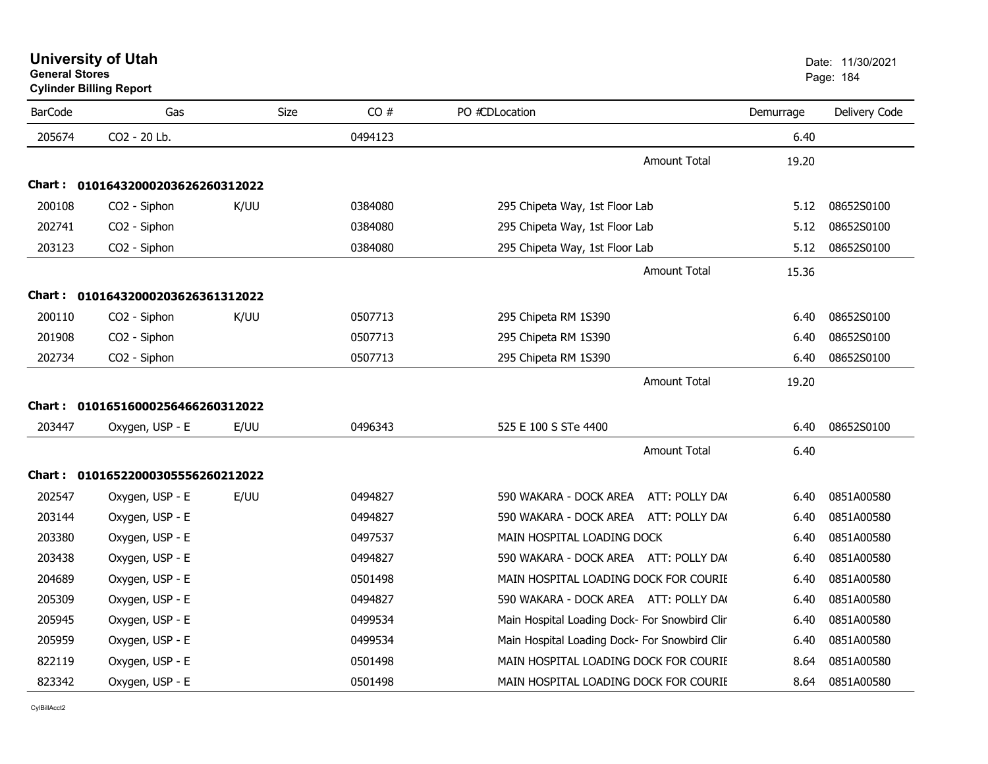|                | <b>Cylinder Billing Report</b>    |      |         |                                               |           |               |
|----------------|-----------------------------------|------|---------|-----------------------------------------------|-----------|---------------|
| <b>BarCode</b> | Gas                               | Size | CO#     | PO #CDLocation                                | Demurrage | Delivery Code |
| 205674         | CO2 - 20 Lb.                      |      | 0494123 |                                               | 6.40      |               |
|                |                                   |      |         | <b>Amount Total</b>                           | 19.20     |               |
|                | Chart: 01016432000203626260312022 |      |         |                                               |           |               |
| 200108         | CO <sub>2</sub> - Siphon          | K/UU | 0384080 | 295 Chipeta Way, 1st Floor Lab                | 5.12      | 08652S0100    |
| 202741         | CO2 - Siphon                      |      | 0384080 | 295 Chipeta Way, 1st Floor Lab                | 5.12      | 08652S0100    |
| 203123         | CO2 - Siphon                      |      | 0384080 | 295 Chipeta Way, 1st Floor Lab                | 5.12      | 08652S0100    |
|                |                                   |      |         | <b>Amount Total</b>                           | 15.36     |               |
|                | Chart: 01016432000203626361312022 |      |         |                                               |           |               |
| 200110         | CO <sub>2</sub> - Siphon          | K/UU | 0507713 | 295 Chipeta RM 1S390                          | 6.40      | 08652S0100    |
| 201908         | CO <sub>2</sub> - Siphon          |      | 0507713 | 295 Chipeta RM 1S390                          | 6.40      | 08652S0100    |
| 202734         | CO2 - Siphon                      |      | 0507713 | 295 Chipeta RM 1S390                          | 6.40      | 08652S0100    |
|                |                                   |      |         | <b>Amount Total</b>                           | 19.20     |               |
|                | Chart: 01016516000256466260312022 |      |         |                                               |           |               |
| 203447         | Oxygen, USP - E                   | E/UU | 0496343 | 525 E 100 S STe 4400                          | 6.40      | 08652S0100    |
|                |                                   |      |         | <b>Amount Total</b>                           | 6.40      |               |
|                | Chart: 01016522000305556260212022 |      |         |                                               |           |               |
| 202547         | Oxygen, USP - E                   | E/UU | 0494827 | 590 WAKARA - DOCK AREA ATT: POLLY DA(         | 6.40      | 0851A00580    |
| 203144         | Oxygen, USP - E                   |      | 0494827 | 590 WAKARA - DOCK AREA ATT: POLLY DA(         | 6.40      | 0851A00580    |
| 203380         | Oxygen, USP - E                   |      | 0497537 | MAIN HOSPITAL LOADING DOCK                    | 6.40      | 0851A00580    |
| 203438         | Oxygen, USP - E                   |      | 0494827 | 590 WAKARA - DOCK AREA ATT: POLLY DA(         | 6.40      | 0851A00580    |
| 204689         | Oxygen, USP - E                   |      | 0501498 | MAIN HOSPITAL LOADING DOCK FOR COURIE         | 6.40      | 0851A00580    |
| 205309         | Oxygen, USP - E                   |      | 0494827 | 590 WAKARA - DOCK AREA ATT: POLLY DA(         | 6.40      | 0851A00580    |
| 205945         | Oxygen, USP - E                   |      | 0499534 | Main Hospital Loading Dock- For Snowbird Clin | 6.40      | 0851A00580    |
| 205959         | Oxygen, USP - E                   |      | 0499534 | Main Hospital Loading Dock- For Snowbird Clin | 6.40      | 0851A00580    |
| 822119         | Oxygen, USP - E                   |      | 0501498 | MAIN HOSPITAL LOADING DOCK FOR COURIE         | 8.64      | 0851A00580    |
| 823342         | Oxygen, USP - E                   |      | 0501498 | MAIN HOSPITAL LOADING DOCK FOR COURIE         | 8.64      | 0851A00580    |

**University of Utah** Date: 11/30/2021 **General Stores**

## **Cylinder Billing Report**

er ble det andere ble de former ble de former ble de former ble de former ble de former ble de former ble de f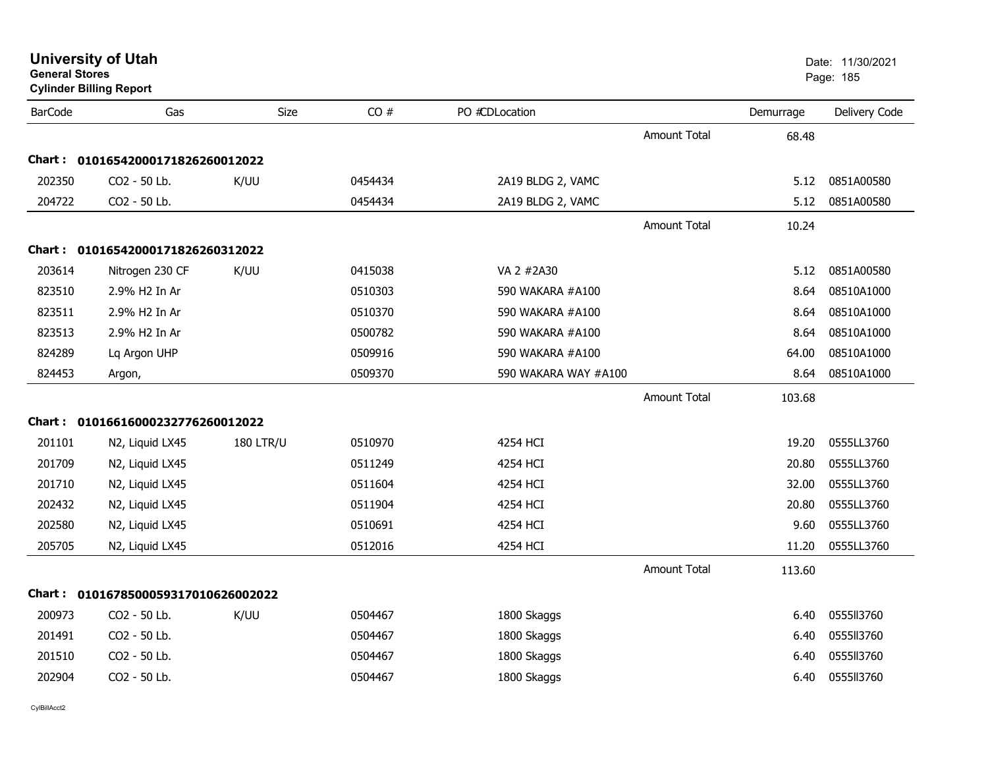| BarCode | Gas                               | <b>Size</b> | CO#     | PO #CDLocation    |                     | Demurrage | Delivery Code |
|---------|-----------------------------------|-------------|---------|-------------------|---------------------|-----------|---------------|
|         |                                   |             |         |                   | <b>Amount Total</b> | 68.48     |               |
|         |                                   |             |         |                   |                     |           |               |
|         | Chart: 01016542000171826260012022 |             |         |                   |                     |           |               |
| 202350  | $CO2 - 50$ Lb.                    | K/UU        | 0454434 | 2A19 BLDG 2, VAMC |                     | 5.12      | 0851A00580    |
| 204722  | $CO2 - 50$ Lb.                    |             | 0454434 | 2A19 BLDG 2, VAMC |                     | 5.12      | 0851A00580    |

| <b>BarCode</b> | Gas                                 | Size             | CO#     | PO #CDLocation       |                     | Demurrage | Delivery Code |
|----------------|-------------------------------------|------------------|---------|----------------------|---------------------|-----------|---------------|
|                |                                     |                  |         |                      | <b>Amount Total</b> | 68.48     |               |
|                | Chart: 01016542000171826260012022   |                  |         |                      |                     |           |               |
| 202350         | CO2 - 50 Lb.                        | K/UU             | 0454434 | 2A19 BLDG 2, VAMC    |                     | 5.12      | 0851A00580    |
| 204722         | CO2 - 50 Lb.                        |                  | 0454434 | 2A19 BLDG 2, VAMC    |                     | 5.12      | 0851A00580    |
|                |                                     |                  |         |                      | <b>Amount Total</b> | 10.24     |               |
|                | Chart: 01016542000171826260312022   |                  |         |                      |                     |           |               |
| 203614         | Nitrogen 230 CF                     | K/UU             | 0415038 | VA 2 #2A30           |                     | 5.12      | 0851A00580    |
| 823510         | 2.9% H2 In Ar                       |                  | 0510303 | 590 WAKARA #A100     |                     | 8.64      | 08510A1000    |
| 823511         | 2.9% H2 In Ar                       |                  | 0510370 | 590 WAKARA #A100     |                     | 8.64      | 08510A1000    |
| 823513         | 2.9% H2 In Ar                       |                  | 0500782 | 590 WAKARA #A100     |                     | 8.64      | 08510A1000    |
| 824289         | Lq Argon UHP                        |                  | 0509916 | 590 WAKARA #A100     |                     | 64.00     | 08510A1000    |
| 824453         | Argon,                              |                  | 0509370 | 590 WAKARA WAY #A100 |                     | 8.64      | 08510A1000    |
|                |                                     |                  |         |                      | <b>Amount Total</b> | 103.68    |               |
|                | Chart: 01016616000232776260012022   |                  |         |                      |                     |           |               |
| 201101         | N2, Liquid LX45                     | <b>180 LTR/U</b> | 0510970 | 4254 HCI             |                     | 19.20     | 0555LL3760    |
| 201709         | N2, Liquid LX45                     |                  | 0511249 | 4254 HCI             |                     | 20.80     | 0555LL3760    |
| 201710         | N2, Liquid LX45                     |                  | 0511604 | 4254 HCI             |                     | 32.00     | 0555LL3760    |
| 202432         | N2, Liquid LX45                     |                  | 0511904 | 4254 HCI             |                     | 20.80     | 0555LL3760    |
| 202580         | N2, Liquid LX45                     |                  | 0510691 | 4254 HCI             |                     | 9.60      | 0555LL3760    |
| 205705         | N2, Liquid LX45                     |                  | 0512016 | 4254 HCI             |                     | 11.20     | 0555LL3760    |
|                |                                     |                  |         |                      | <b>Amount Total</b> | 113.60    |               |
|                | Chart: 0101678500059317010626002022 |                  |         |                      |                     |           |               |
| 200973         | CO2 - 50 Lb.                        | K/UU             | 0504467 | 1800 Skaggs          |                     | 6.40      | 0555113760    |
| 201491         | CO2 - 50 Lb.                        |                  | 0504467 | 1800 Skaggs          |                     | 6.40      | 0555113760    |
| 201510         | CO2 - 50 Lb.                        |                  | 0504467 | 1800 Skaggs          |                     | 6.40      | 0555II3760    |
| 202904         | CO2 - 50 Lb.                        |                  | 0504467 | 1800 Skaggs          |                     | 6.40      | 0555II3760    |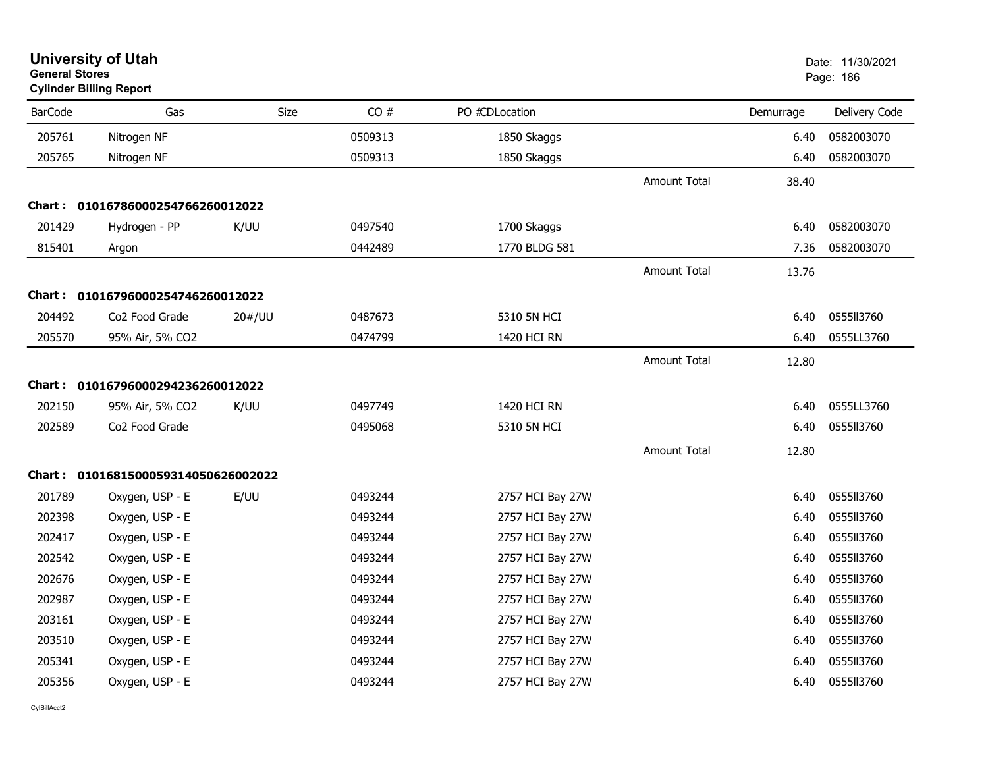| <b>General Stores</b> | <b>University of Utah</b><br><b>Cylinder Billing Report</b> |             |         |                  |                     |           | Date: 11/30/2021<br>Page: 186 |
|-----------------------|-------------------------------------------------------------|-------------|---------|------------------|---------------------|-----------|-------------------------------|
| <b>BarCode</b>        | Gas                                                         | <b>Size</b> | CO#     | PO #CDLocation   |                     | Demurrage | Delivery Code                 |
| 205761                | Nitrogen NF                                                 |             | 0509313 | 1850 Skaggs      |                     | 6.40      | 0582003070                    |
| 205765                | Nitrogen NF                                                 |             | 0509313 | 1850 Skaggs      |                     | 6.40      | 0582003070                    |
|                       |                                                             |             |         |                  | <b>Amount Total</b> | 38.40     |                               |
|                       | Chart: 01016786000254766260012022                           |             |         |                  |                     |           |                               |
| 201429                | Hydrogen - PP                                               | K/UU        | 0497540 | 1700 Skaggs      |                     | 6.40      | 0582003070                    |
| 815401                | Argon                                                       |             | 0442489 | 1770 BLDG 581    |                     | 7.36      | 0582003070                    |
|                       |                                                             |             |         |                  | <b>Amount Total</b> | 13.76     |                               |
|                       | Chart: 01016796000254746260012022                           |             |         |                  |                     |           |                               |
| 204492                | Co2 Food Grade                                              | 20#/UU      | 0487673 | 5310 5N HCI      |                     | 6.40      | 0555113760                    |
| 205570                | 95% Air, 5% CO2                                             |             | 0474799 | 1420 HCI RN      |                     | 6.40      | 0555LL3760                    |
|                       |                                                             |             |         |                  | <b>Amount Total</b> | 12.80     |                               |
|                       | Chart: 01016796000294236260012022                           |             |         |                  |                     |           |                               |
| 202150                | 95% Air, 5% CO2                                             | K/UU        | 0497749 | 1420 HCI RN      |                     | 6.40      | 0555LL3760                    |
| 202589                | Co2 Food Grade                                              |             | 0495068 | 5310 5N HCI      |                     | 6.40      | 0555113760                    |
|                       |                                                             |             |         |                  | <b>Amount Total</b> | 12.80     |                               |
|                       | Chart: 0101681500059314050626002022                         |             |         |                  |                     |           |                               |
| 201789                | Oxygen, USP - E                                             | E/UU        | 0493244 | 2757 HCI Bay 27W |                     | 6.40      | 0555113760                    |
| 202398                | Oxygen, USP - E                                             |             | 0493244 | 2757 HCI Bay 27W |                     | 6.40      | 0555113760                    |
| 202417                | Oxygen, USP - E                                             |             | 0493244 | 2757 HCI Bay 27W |                     | 6.40      | 0555113760                    |
| 202542                | Oxygen, USP - E                                             |             | 0493244 | 2757 HCI Bay 27W |                     | 6.40      | 0555113760                    |
| 202676                | Oxygen, USP - E                                             |             | 0493244 | 2757 HCI Bay 27W |                     | 6.40      | 0555113760                    |
| 202987                | Oxygen, USP - E                                             |             | 0493244 | 2757 HCI Bay 27W |                     | 6.40      | 0555113760                    |
| 203161                | Oxygen, USP - E                                             |             | 0493244 | 2757 HCI Bay 27W |                     | 6.40      | 0555113760                    |
| 203510                | Oxygen, USP - E                                             |             | 0493244 | 2757 HCI Bay 27W |                     | 6.40      | 0555113760                    |
| 205341                | Oxygen, USP - E                                             |             | 0493244 | 2757 HCI Bay 27W |                     | 6.40      | 0555113760                    |
| 205356                | Oxygen, USP - E                                             |             | 0493244 | 2757 HCI Bay 27W |                     | 6.40      | 0555113760                    |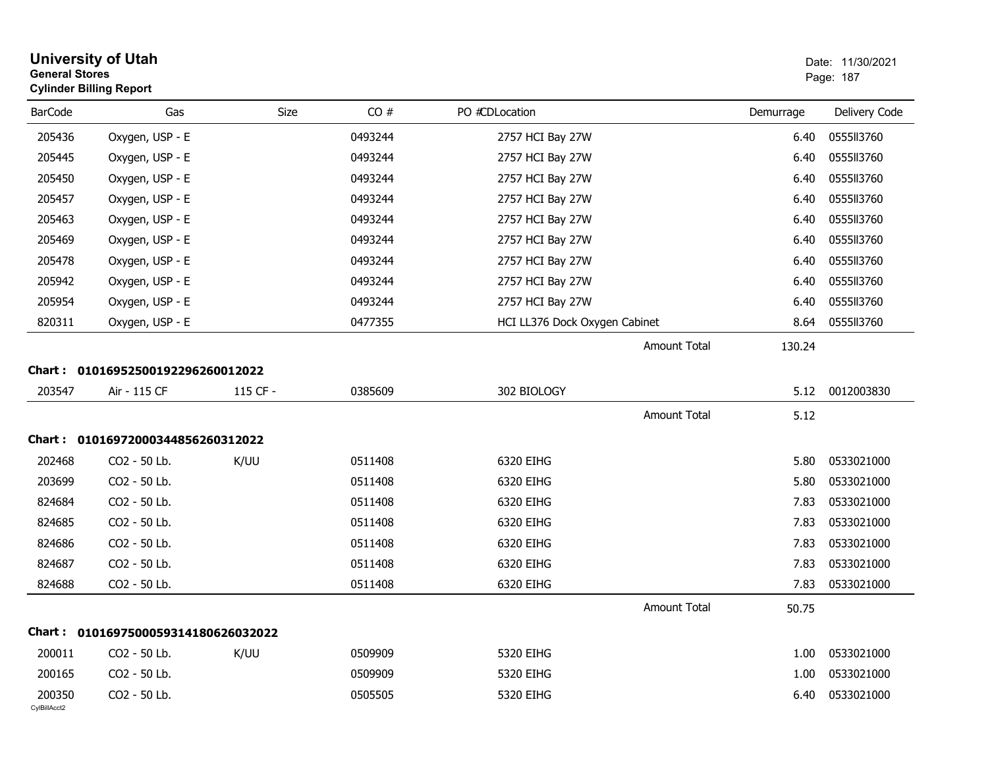| <b>General Stores</b>  | <b>University of Utah</b><br><b>Cylinder Billing Report</b> |          |         |                               |                     |           | Date: 11/30/2021<br>Page: 187 |
|------------------------|-------------------------------------------------------------|----------|---------|-------------------------------|---------------------|-----------|-------------------------------|
| <b>BarCode</b>         | Gas                                                         | Size     | CO#     | PO #CDLocation                |                     | Demurrage | Delivery Code                 |
| 205436                 | Oxygen, USP - E                                             |          | 0493244 | 2757 HCI Bay 27W              |                     | 6.40      | 0555113760                    |
| 205445                 | Oxygen, USP - E                                             |          | 0493244 | 2757 HCI Bay 27W              |                     | 6.40      | 0555113760                    |
| 205450                 | Oxygen, USP - E                                             |          | 0493244 | 2757 HCI Bay 27W              |                     | 6.40      | 0555113760                    |
| 205457                 | Oxygen, USP - E                                             |          | 0493244 | 2757 HCI Bay 27W              |                     | 6.40      | 0555113760                    |
| 205463                 | Oxygen, USP - E                                             |          | 0493244 | 2757 HCI Bay 27W              |                     | 6.40      | 0555113760                    |
| 205469                 | Oxygen, USP - E                                             |          | 0493244 | 2757 HCI Bay 27W              |                     | 6.40      | 0555113760                    |
| 205478                 | Oxygen, USP - E                                             |          | 0493244 | 2757 HCI Bay 27W              |                     | 6.40      | 0555113760                    |
| 205942                 | Oxygen, USP - E                                             |          | 0493244 | 2757 HCI Bay 27W              |                     | 6.40      | 0555113760                    |
| 205954                 | Oxygen, USP - E                                             |          | 0493244 | 2757 HCI Bay 27W              |                     | 6.40      | 0555113760                    |
| 820311                 | Oxygen, USP - E                                             |          | 0477355 | HCI LL376 Dock Oxygen Cabinet |                     | 8.64      | 0555113760                    |
|                        |                                                             |          |         |                               | Amount Total        | 130.24    |                               |
|                        | Chart: 01016952500192296260012022                           |          |         |                               |                     |           |                               |
| 203547                 | Air - 115 CF                                                | 115 CF - | 0385609 | 302 BIOLOGY                   |                     | 5.12      | 0012003830                    |
|                        |                                                             |          |         |                               | Amount Total        | 5.12      |                               |
|                        | Chart: 01016972000344856260312022                           |          |         |                               |                     |           |                               |
| 202468                 | CO2 - 50 Lb.                                                | K/UU     | 0511408 | 6320 EIHG                     |                     | 5.80      | 0533021000                    |
| 203699                 | CO2 - 50 Lb.                                                |          | 0511408 | 6320 EIHG                     |                     | 5.80      | 0533021000                    |
| 824684                 | CO2 - 50 Lb.                                                |          | 0511408 | 6320 EIHG                     |                     | 7.83      | 0533021000                    |
| 824685                 | CO2 - 50 Lb.                                                |          | 0511408 | 6320 EIHG                     |                     | 7.83      | 0533021000                    |
| 824686                 | CO2 - 50 Lb.                                                |          | 0511408 | 6320 EIHG                     |                     | 7.83      | 0533021000                    |
| 824687                 | CO2 - 50 Lb.                                                |          | 0511408 | 6320 EIHG                     |                     | 7.83      | 0533021000                    |
| 824688                 | CO2 - 50 Lb.                                                |          | 0511408 | 6320 EIHG                     |                     | 7.83      | 0533021000                    |
|                        |                                                             |          |         |                               | <b>Amount Total</b> | 50.75     |                               |
|                        | Chart: 0101697500059314180626032022                         |          |         |                               |                     |           |                               |
| 200011                 | CO2 - 50 Lb.                                                | K/UU     | 0509909 | 5320 EIHG                     |                     | 1.00      | 0533021000                    |
| 200165                 | CO2 - 50 Lb.                                                |          | 0509909 | 5320 EIHG                     |                     | 1.00      | 0533021000                    |
| 200350<br>CylBillAcct2 | CO2 - 50 Lb.                                                |          | 0505505 | 5320 EIHG                     |                     | 6.40      | 0533021000                    |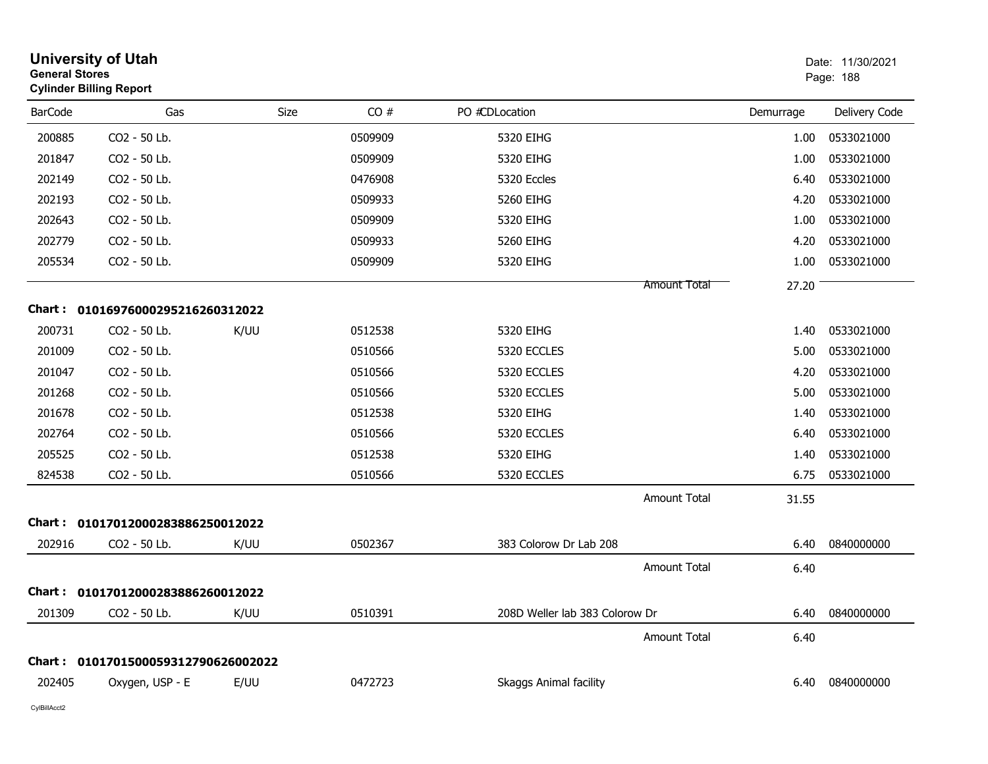| <b>General Stores</b> | <b>University of Utah</b><br><b>Cylinder Billing Report</b> |             |         |                                |                     |           | Date: 11/30/2021<br>Page: 188 |
|-----------------------|-------------------------------------------------------------|-------------|---------|--------------------------------|---------------------|-----------|-------------------------------|
| <b>BarCode</b>        | Gas                                                         | <b>Size</b> | CO#     | PO #CDLocation                 |                     | Demurrage | Delivery Code                 |
| 200885                | CO2 - 50 Lb.                                                |             | 0509909 | 5320 EIHG                      |                     | 1.00      | 0533021000                    |
| 201847                | CO2 - 50 Lb.                                                |             | 0509909 | 5320 EIHG                      |                     | 1.00      | 0533021000                    |
| 202149                | CO2 - 50 Lb.                                                |             | 0476908 | 5320 Eccles                    |                     | 6.40      | 0533021000                    |
| 202193                | CO2 - 50 Lb.                                                |             | 0509933 | 5260 EIHG                      |                     | 4.20      | 0533021000                    |
| 202643                | CO2 - 50 Lb.                                                |             | 0509909 | 5320 EIHG                      |                     | 1.00      | 0533021000                    |
| 202779                | CO2 - 50 Lb.                                                |             | 0509933 | 5260 EIHG                      |                     | 4.20      | 0533021000                    |
| 205534                | CO2 - 50 Lb.                                                |             | 0509909 | 5320 EIHG                      |                     | 1.00      | 0533021000                    |
|                       |                                                             |             |         |                                | Amount Total        | 27.20     |                               |
|                       | Chart: 01016976000295216260312022                           |             |         |                                |                     |           |                               |
| 200731                | CO <sub>2</sub> - 50 Lb.                                    | K/UU        | 0512538 | 5320 EIHG                      |                     | 1.40      | 0533021000                    |
| 201009                | CO2 - 50 Lb.                                                |             | 0510566 | 5320 ECCLES                    |                     | 5.00      | 0533021000                    |
| 201047                | CO2 - 50 Lb.                                                |             | 0510566 | 5320 ECCLES                    |                     | 4.20      | 0533021000                    |
| 201268                | CO2 - 50 Lb.                                                |             | 0510566 | 5320 ECCLES                    |                     | 5.00      | 0533021000                    |
| 201678                | CO2 - 50 Lb.                                                |             | 0512538 | 5320 EIHG                      |                     | 1.40      | 0533021000                    |
| 202764                | CO <sub>2</sub> - 50 Lb.                                    |             | 0510566 | 5320 ECCLES                    |                     | 6.40      | 0533021000                    |
| 205525                | CO2 - 50 Lb.                                                |             | 0512538 | 5320 EIHG                      |                     | 1.40      | 0533021000                    |
| 824538                | CO2 - 50 Lb.                                                |             | 0510566 | 5320 ECCLES                    |                     | 6.75      | 0533021000                    |
|                       |                                                             |             |         |                                | <b>Amount Total</b> | 31.55     |                               |
|                       | Chart: 01017012000283886250012022                           |             |         |                                |                     |           |                               |
| 202916                | CO2 - 50 Lb.                                                | K/UU        | 0502367 | 383 Colorow Dr Lab 208         |                     | 6.40      | 0840000000                    |
|                       |                                                             |             |         |                                | <b>Amount Total</b> | 6.40      |                               |
|                       | Chart: 01017012000283886260012022                           |             |         |                                |                     |           |                               |
| 201309                | CO2 - 50 Lb.                                                | K/UU        | 0510391 | 208D Weller lab 383 Colorow Dr |                     | 6.40      | 0840000000                    |
|                       |                                                             |             |         |                                | <b>Amount Total</b> | 6.40      |                               |
| Chart :               | 0101701500059312790626002022                                |             |         |                                |                     |           |                               |
| 202405                | Oxygen, USP - E                                             | E/UU        | 0472723 | <b>Skaggs Animal facility</b>  |                     | 6.40      | 0840000000                    |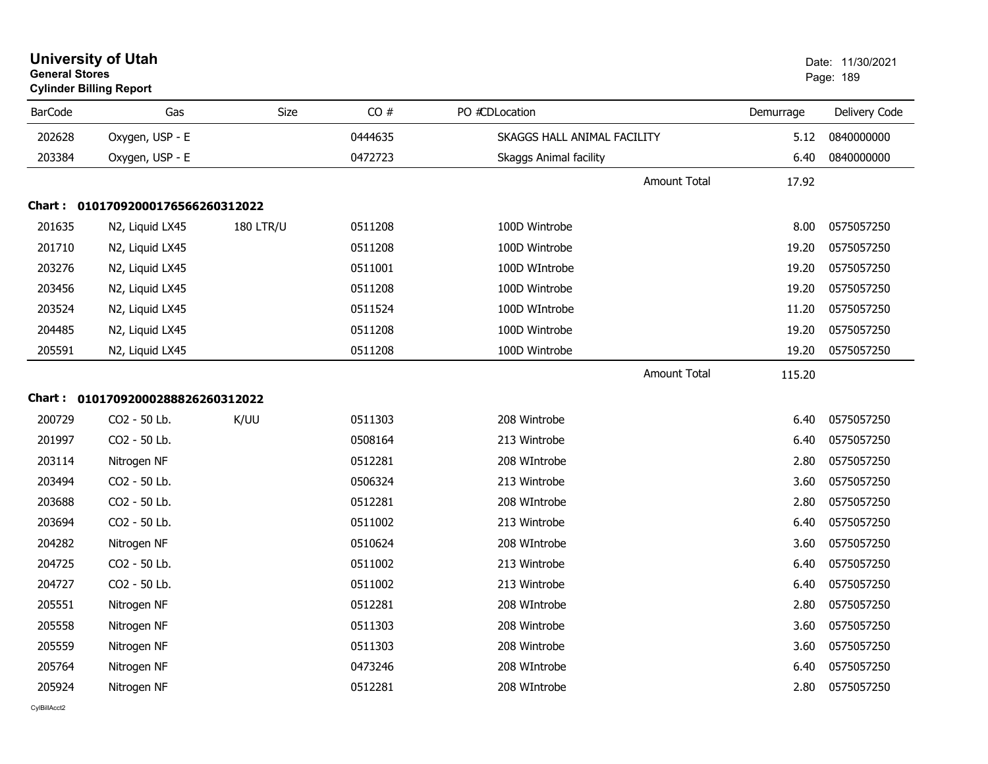|                | <b>Cylinder Billing Report</b>    |                  |         |                               |           |               |
|----------------|-----------------------------------|------------------|---------|-------------------------------|-----------|---------------|
| <b>BarCode</b> | Gas                               | Size             | CO#     | PO #CDLocation                | Demurrage | Delivery Code |
| 202628         | Oxygen, USP - E                   |                  | 0444635 | SKAGGS HALL ANIMAL FACILITY   | 5.12      | 0840000000    |
| 203384         | Oxygen, USP - E                   |                  | 0472723 | <b>Skaggs Animal facility</b> | 6.40      | 0840000000    |
|                |                                   |                  |         | <b>Amount Total</b>           | 17.92     |               |
|                | Chart: 01017092000176566260312022 |                  |         |                               |           |               |
| 201635         | N2, Liquid LX45                   | <b>180 LTR/U</b> | 0511208 | 100D Wintrobe                 | 8.00      | 0575057250    |
| 201710         | N2, Liquid LX45                   |                  | 0511208 | 100D Wintrobe                 | 19.20     | 0575057250    |
| 203276         | N2, Liquid LX45                   |                  | 0511001 | 100D WIntrobe                 | 19.20     | 0575057250    |
| 203456         | N2, Liquid LX45                   |                  | 0511208 | 100D Wintrobe                 | 19.20     | 0575057250    |
| 203524         | N2, Liquid LX45                   |                  | 0511524 | 100D WIntrobe                 | 11.20     | 0575057250    |
| 204485         | N2, Liquid LX45                   |                  | 0511208 | 100D Wintrobe                 | 19.20     | 0575057250    |
| 205591         | N2, Liquid LX45                   |                  | 0511208 | 100D Wintrobe                 | 19.20     | 0575057250    |
|                |                                   |                  |         | <b>Amount Total</b>           | 115.20    |               |
|                | Chart: 01017092000288826260312022 |                  |         |                               |           |               |
| 200729         | CO2 - 50 Lb.                      | K/UU             | 0511303 | 208 Wintrobe                  | 6.40      | 0575057250    |
| 201997         | CO2 - 50 Lb.                      |                  | 0508164 | 213 Wintrobe                  | 6.40      | 0575057250    |
| 203114         | Nitrogen NF                       |                  | 0512281 | 208 WIntrobe                  | 2.80      | 0575057250    |
| 203494         | CO2 - 50 Lb.                      |                  | 0506324 | 213 Wintrobe                  | 3.60      | 0575057250    |
| 203688         | CO2 - 50 Lb.                      |                  | 0512281 | 208 WIntrobe                  | 2.80      | 0575057250    |
| 203694         | CO2 - 50 Lb.                      |                  | 0511002 | 213 Wintrobe                  | 6.40      | 0575057250    |
| 204282         | Nitrogen NF                       |                  | 0510624 | 208 WIntrobe                  | 3.60      | 0575057250    |
| 204725         | CO2 - 50 Lb.                      |                  | 0511002 | 213 Wintrobe                  | 6.40      | 0575057250    |
| 204727         | CO2 - 50 Lb.                      |                  | 0511002 | 213 Wintrobe                  | 6.40      | 0575057250    |
| 205551         | Nitrogen NF                       |                  | 0512281 | 208 WIntrobe                  | 2.80      | 0575057250    |
| 205558         | Nitrogen NF                       |                  | 0511303 | 208 Wintrobe                  | 3.60      | 0575057250    |
| 205559         | Nitrogen NF                       |                  | 0511303 | 208 Wintrobe                  | 3.60      | 0575057250    |
| 205764         | Nitrogen NF                       |                  | 0473246 | 208 WIntrobe                  | 6.40      | 0575057250    |
| 205924         | Nitrogen NF                       |                  | 0512281 | 208 WIntrobe                  | 2.80      | 0575057250    |

### **University of Utah** Date: 11/30/2021 **General Stores**end and the state of the state of the state of the state of the state of the state of the state of the state of the state of the state of the state of the state of the state of the state of the state of the state of the st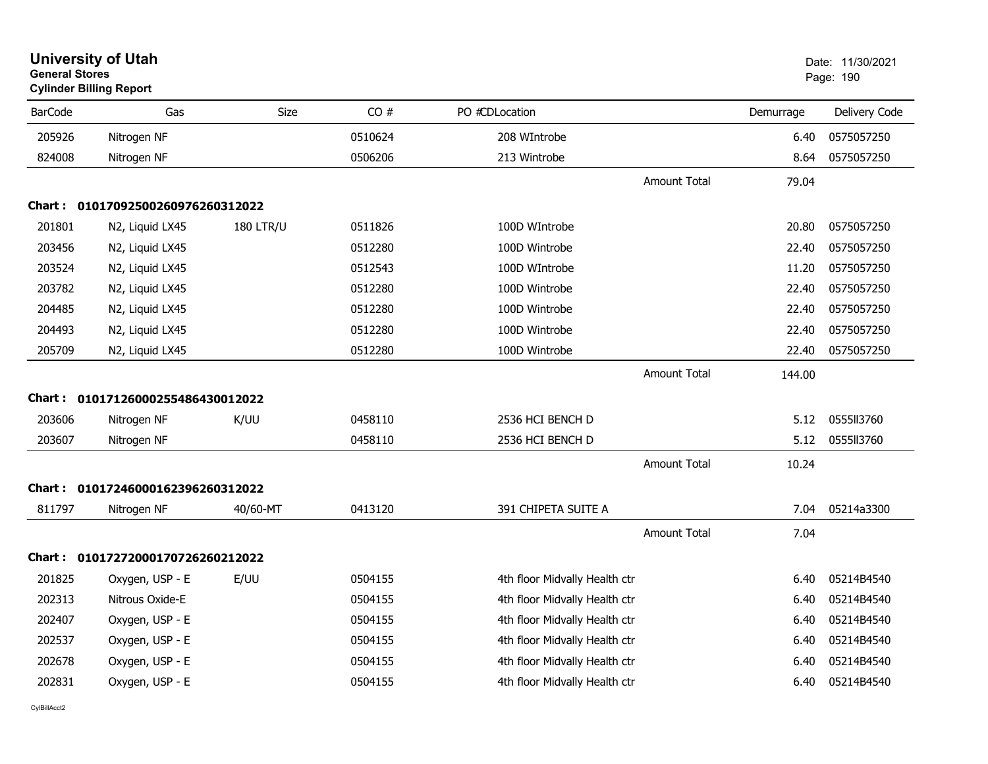| <b>General Stores</b> | <b>Cylinder Billing Report</b>    |                  |         |                               |                     |           | Page: 190     |
|-----------------------|-----------------------------------|------------------|---------|-------------------------------|---------------------|-----------|---------------|
| <b>BarCode</b>        | Gas                               | Size             | CO#     | PO #CDLocation                |                     | Demurrage | Delivery Code |
| 205926                | Nitrogen NF                       |                  | 0510624 | 208 WIntrobe                  |                     | 6.40      | 0575057250    |
| 824008                | Nitrogen NF                       |                  | 0506206 | 213 Wintrobe                  |                     | 8.64      | 0575057250    |
|                       |                                   |                  |         |                               | <b>Amount Total</b> | 79.04     |               |
|                       | Chart: 01017092500260976260312022 |                  |         |                               |                     |           |               |
| 201801                | N2, Liquid LX45                   | <b>180 LTR/U</b> | 0511826 | 100D WIntrobe                 |                     | 20.80     | 0575057250    |
| 203456                | N2, Liquid LX45                   |                  | 0512280 | 100D Wintrobe                 |                     | 22.40     | 0575057250    |
| 203524                | N2, Liquid LX45                   |                  | 0512543 | 100D WIntrobe                 |                     | 11.20     | 0575057250    |
| 203782                | N2, Liquid LX45                   |                  | 0512280 | 100D Wintrobe                 |                     | 22.40     | 0575057250    |
| 204485                | N2, Liquid LX45                   |                  | 0512280 | 100D Wintrobe                 |                     | 22.40     | 0575057250    |
| 204493                | N2, Liquid LX45                   |                  | 0512280 | 100D Wintrobe                 |                     | 22.40     | 0575057250    |
| 205709                | N2, Liquid LX45                   |                  | 0512280 | 100D Wintrobe                 |                     | 22.40     | 0575057250    |
|                       |                                   |                  |         |                               | <b>Amount Total</b> | 144.00    |               |
|                       | Chart: 01017126000255486430012022 |                  |         |                               |                     |           |               |
| 203606                | Nitrogen NF                       | K/UU             | 0458110 | 2536 HCI BENCH D              |                     | 5.12      | 0555113760    |
| 203607                | Nitrogen NF                       |                  | 0458110 | 2536 HCI BENCH D              |                     | 5.12      | 0555113760    |
|                       |                                   |                  |         |                               | Amount Total        | 10.24     |               |
| Chart :               | 01017246000162396260312022        |                  |         |                               |                     |           |               |
| 811797                | Nitrogen NF                       | 40/60-MT         | 0413120 | 391 CHIPETA SUITE A           |                     | 7.04      | 05214a3300    |
|                       |                                   |                  |         |                               | <b>Amount Total</b> | 7.04      |               |
|                       | Chart: 01017272000170726260212022 |                  |         |                               |                     |           |               |
| 201825                | Oxygen, USP - E                   | E/UU             | 0504155 | 4th floor Midvally Health ctr |                     | 6.40      | 05214B4540    |
| 202313                | Nitrous Oxide-E                   |                  | 0504155 | 4th floor Midvally Health ctr |                     | 6.40      | 05214B4540    |
| 202407                | Oxygen, USP - E                   |                  | 0504155 | 4th floor Midvally Health ctr |                     | 6.40      | 05214B4540    |
| 202537                | Oxygen, USP - E                   |                  | 0504155 | 4th floor Midvally Health ctr |                     | 6.40      | 05214B4540    |
| 202678                | Oxygen, USP - E                   |                  | 0504155 | 4th floor Midvally Health ctr |                     | 6.40      | 05214B4540    |
| 202831                | Oxygen, USP - E                   |                  | 0504155 | 4th floor Midvally Health ctr |                     | 6.40      | 05214B4540    |

**University of Utah**  Date: 11/30/2021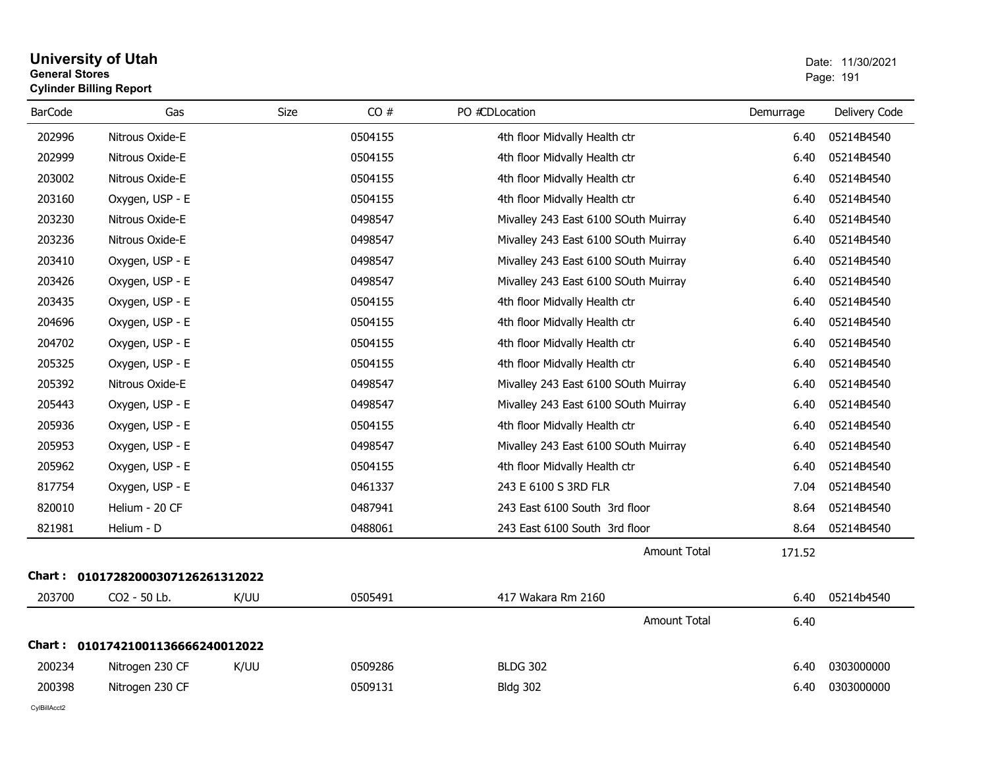#### **University of Utah** Date: 11/30/2021 **General Stores**er van die 1912 van die 1914 van die 1914 van die 1914 van die 1914 van die 1914 van die 1914 van die 1914 van die 1914 van die 1914 van die 1914 van die 1914 van die 1914 van die 1914 van die 1914 van die 1914 van die 191 **Cylinder Billing Report**

| <b>BarCode</b> | Gas                        | <b>Size</b> | CO#     | PO #CDLocation                       | Demurrage | Delivery Code |
|----------------|----------------------------|-------------|---------|--------------------------------------|-----------|---------------|
| 202996         | Nitrous Oxide-E            |             | 0504155 | 4th floor Midvally Health ctr        | 6.40      | 05214B4540    |
| 202999         | Nitrous Oxide-E            |             | 0504155 | 4th floor Midvally Health ctr        | 6.40      | 05214B4540    |
| 203002         | Nitrous Oxide-E            |             | 0504155 | 4th floor Midvally Health ctr        | 6.40      | 05214B4540    |
| 203160         | Oxygen, USP - E            |             | 0504155 | 4th floor Midvally Health ctr        | 6.40      | 05214B4540    |
| 203230         | Nitrous Oxide-E            |             | 0498547 | Mivalley 243 East 6100 SOuth Muirray | 6.40      | 05214B4540    |
| 203236         | Nitrous Oxide-E            |             | 0498547 | Mivalley 243 East 6100 SOuth Muirray | 6.40      | 05214B4540    |
| 203410         | Oxygen, USP - E            |             | 0498547 | Mivalley 243 East 6100 SOuth Muirray | 6.40      | 05214B4540    |
| 203426         | Oxygen, USP - E            |             | 0498547 | Mivalley 243 East 6100 SOuth Muirray | 6.40      | 05214B4540    |
| 203435         | Oxygen, USP - E            |             | 0504155 | 4th floor Midvally Health ctr        | 6.40      | 05214B4540    |
| 204696         | Oxygen, USP - E            |             | 0504155 | 4th floor Midvally Health ctr        | 6.40      | 05214B4540    |
| 204702         | Oxygen, USP - E            |             | 0504155 | 4th floor Midvally Health ctr        | 6.40      | 05214B4540    |
| 205325         | Oxygen, USP - E            |             | 0504155 | 4th floor Midvally Health ctr        | 6.40      | 05214B4540    |
| 205392         | Nitrous Oxide-E            |             | 0498547 | Mivalley 243 East 6100 SOuth Muirray | 6.40      | 05214B4540    |
| 205443         | Oxygen, USP - E            |             | 0498547 | Mivalley 243 East 6100 SOuth Muirray | 6.40      | 05214B4540    |
| 205936         | Oxygen, USP - E            |             | 0504155 | 4th floor Midvally Health ctr        | 6.40      | 05214B4540    |
| 205953         | Oxygen, USP - E            |             | 0498547 | Mivalley 243 East 6100 SOuth Muirray | 6.40      | 05214B4540    |
| 205962         | Oxygen, USP - E            |             | 0504155 | 4th floor Midvally Health ctr        | 6.40      | 05214B4540    |
| 817754         | Oxygen, USP - E            |             | 0461337 | 243 E 6100 S 3RD FLR                 | 7.04      | 05214B4540    |
| 820010         | Helium - 20 CF             |             | 0487941 | 243 East 6100 South 3rd floor        | 8.64      | 05214B4540    |
| 821981         | Helium - D                 |             | 0488061 | 243 East 6100 South 3rd floor        | 8.64      | 05214B4540    |
|                |                            |             |         | <b>Amount Total</b>                  | 171.52    |               |
| Chart : _      | 01017282000307126261312022 |             |         |                                      |           |               |
| 203700         | CO2 - 50 Lb.               | K/UU        | 0505491 | 417 Wakara Rm 2160                   | 6.40      | 05214b4540    |
|                |                            |             |         | <b>Amount Total</b>                  | 6.40      |               |
| Chart :        | 01017421001136666240012022 |             |         |                                      |           |               |
| 200234         | Nitrogen 230 CF            | K/UU        | 0509286 | <b>BLDG 302</b>                      | 6.40      | 0303000000    |
| 200398         | Nitrogen 230 CF            |             | 0509131 | <b>Bldg 302</b>                      | 6.40      | 0303000000    |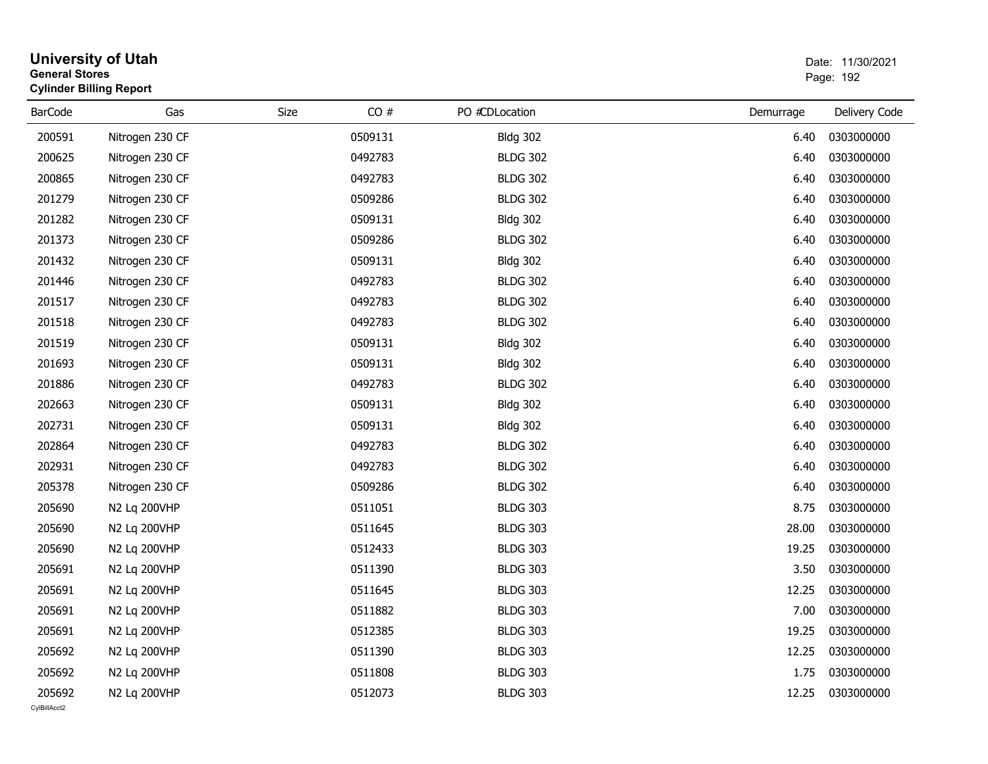| <b>General Stores</b>  | <b>University of Utah</b><br><b>Cylinder Billing Report</b> |      |         |                 |           | Date: 11/30/2021<br>Page: 192 |
|------------------------|-------------------------------------------------------------|------|---------|-----------------|-----------|-------------------------------|
| <b>BarCode</b>         | Gas                                                         | Size | CO#     | PO #CDLocation  | Demurrage | Delivery Code                 |
| 200591                 | Nitrogen 230 CF                                             |      | 0509131 | <b>Bldg 302</b> | 6.40      | 0303000000                    |
| 200625                 | Nitrogen 230 CF                                             |      | 0492783 | <b>BLDG 302</b> | 6.40      | 0303000000                    |
| 200865                 | Nitrogen 230 CF                                             |      | 0492783 | <b>BLDG 302</b> | 6.40      | 0303000000                    |
| 201279                 | Nitrogen 230 CF                                             |      | 0509286 | <b>BLDG 302</b> | 6.40      | 0303000000                    |
| 201282                 | Nitrogen 230 CF                                             |      | 0509131 | <b>Bldg 302</b> | 6.40      | 0303000000                    |
| 201373                 | Nitrogen 230 CF                                             |      | 0509286 | <b>BLDG 302</b> | 6.40      | 0303000000                    |
| 201432                 | Nitrogen 230 CF                                             |      | 0509131 | <b>Bldg 302</b> | 6.40      | 0303000000                    |
| 201446                 | Nitrogen 230 CF                                             |      | 0492783 | <b>BLDG 302</b> | 6.40      | 0303000000                    |
| 201517                 | Nitrogen 230 CF                                             |      | 0492783 | <b>BLDG 302</b> | 6.40      | 0303000000                    |
| 201518                 | Nitrogen 230 CF                                             |      | 0492783 | <b>BLDG 302</b> | 6.40      | 0303000000                    |
| 201519                 | Nitrogen 230 CF                                             |      | 0509131 | <b>Bldg 302</b> | 6.40      | 0303000000                    |
| 201693                 | Nitrogen 230 CF                                             |      | 0509131 | <b>Bldg 302</b> | 6.40      | 0303000000                    |
| 201886                 | Nitrogen 230 CF                                             |      | 0492783 | <b>BLDG 302</b> | 6.40      | 0303000000                    |
| 202663                 | Nitrogen 230 CF                                             |      | 0509131 | <b>Bldg 302</b> | 6.40      | 0303000000                    |
| 202731                 | Nitrogen 230 CF                                             |      | 0509131 | <b>Bldg 302</b> | 6.40      | 0303000000                    |
| 202864                 | Nitrogen 230 CF                                             |      | 0492783 | <b>BLDG 302</b> | 6.40      | 0303000000                    |
| 202931                 | Nitrogen 230 CF                                             |      | 0492783 | <b>BLDG 302</b> | 6.40      | 0303000000                    |
| 205378                 | Nitrogen 230 CF                                             |      | 0509286 | <b>BLDG 302</b> | 6.40      | 0303000000                    |
| 205690                 | N2 Lq 200VHP                                                |      | 0511051 | <b>BLDG 303</b> | 8.75      | 0303000000                    |
| 205690                 | N2 Lq 200VHP                                                |      | 0511645 | <b>BLDG 303</b> | 28.00     | 0303000000                    |
| 205690                 | N2 Lq 200VHP                                                |      | 0512433 | <b>BLDG 303</b> | 19.25     | 0303000000                    |
| 205691                 | N2 Lq 200VHP                                                |      | 0511390 | <b>BLDG 303</b> | 3.50      | 0303000000                    |
| 205691                 | N2 Lq 200VHP                                                |      | 0511645 | <b>BLDG 303</b> | 12.25     | 0303000000                    |
| 205691                 | N2 Lq 200VHP                                                |      | 0511882 | <b>BLDG 303</b> | 7.00      | 0303000000                    |
| 205691                 | N2 Lq 200VHP                                                |      | 0512385 | <b>BLDG 303</b> | 19.25     | 0303000000                    |
| 205692                 | N2 Lq 200VHP                                                |      | 0511390 | <b>BLDG 303</b> | 12.25     | 0303000000                    |
| 205692                 | N2 Lq 200VHP                                                |      | 0511808 | <b>BLDG 303</b> | 1.75      | 0303000000                    |
| 205692<br>CvIBillAcct2 | N2 Lq 200VHP                                                |      | 0512073 | <b>BLDG 303</b> | 12.25     | 0303000000                    |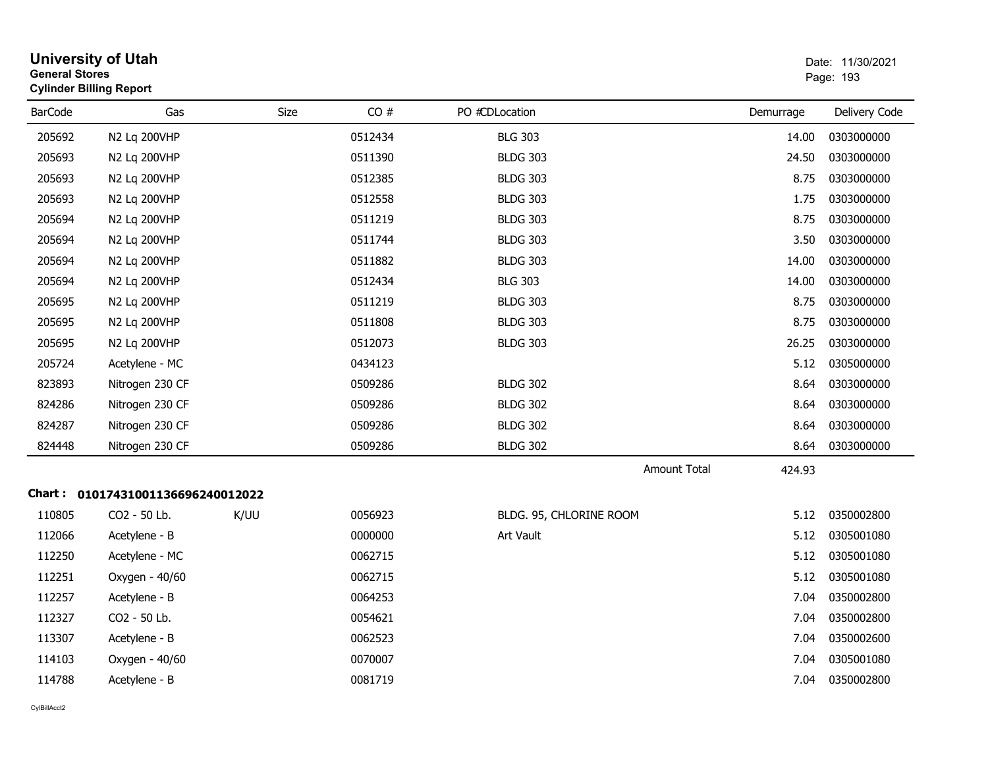|                | <b>University of Utah</b><br>Date: 11/30/2021<br><b>General Stores</b><br>Page: 193<br><b>Cylinder Billing Report</b> |      |         |                         |           |               |
|----------------|-----------------------------------------------------------------------------------------------------------------------|------|---------|-------------------------|-----------|---------------|
| <b>BarCode</b> | Gas                                                                                                                   | Size | CO#     | PO #CDLocation          | Demurrage | Delivery Code |
| 205692         | N2 Lq 200VHP                                                                                                          |      | 0512434 | <b>BLG 303</b>          | 14.00     | 0303000000    |
| 205693         | N2 Lq 200VHP                                                                                                          |      | 0511390 | <b>BLDG 303</b>         | 24.50     | 0303000000    |
| 205693         | N2 Lq 200VHP                                                                                                          |      | 0512385 | <b>BLDG 303</b>         | 8.75      | 0303000000    |
| 205693         | N2 Lq 200VHP                                                                                                          |      | 0512558 | <b>BLDG 303</b>         | 1.75      | 0303000000    |
| 205694         | N2 Lq 200VHP                                                                                                          |      | 0511219 | <b>BLDG 303</b>         | 8.75      | 0303000000    |
| 205694         | N2 Lq 200VHP                                                                                                          |      | 0511744 | <b>BLDG 303</b>         | 3.50      | 0303000000    |
| 205694         | N2 Lq 200VHP                                                                                                          |      | 0511882 | <b>BLDG 303</b>         | 14.00     | 0303000000    |
| 205694         | N2 Lq 200VHP                                                                                                          |      | 0512434 | <b>BLG 303</b>          | 14.00     | 0303000000    |
| 205695         | N2 Lq 200VHP                                                                                                          |      | 0511219 | <b>BLDG 303</b>         | 8.75      | 0303000000    |
| 205695         | N2 Lq 200VHP                                                                                                          |      | 0511808 | <b>BLDG 303</b>         | 8.75      | 0303000000    |
| 205695         | N2 Lq 200VHP                                                                                                          |      | 0512073 | <b>BLDG 303</b>         | 26.25     | 0303000000    |
| 205724         | Acetylene - MC                                                                                                        |      | 0434123 |                         | 5.12      | 0305000000    |
| 823893         | Nitrogen 230 CF                                                                                                       |      | 0509286 | <b>BLDG 302</b>         | 8.64      | 0303000000    |
| 824286         | Nitrogen 230 CF                                                                                                       |      | 0509286 | <b>BLDG 302</b>         | 8.64      | 0303000000    |
| 824287         | Nitrogen 230 CF                                                                                                       |      | 0509286 | <b>BLDG 302</b>         | 8.64      | 0303000000    |
| 824448         | Nitrogen 230 CF                                                                                                       |      | 0509286 | <b>BLDG 302</b>         | 8.64      | 0303000000    |
|                |                                                                                                                       |      |         | <b>Amount Total</b>     | 424.93    |               |
|                | Chart: 01017431001136696240012022                                                                                     |      |         |                         |           |               |
| 110805         | CO2 - 50 Lb.                                                                                                          | K/UU | 0056923 | BLDG. 95, CHLORINE ROOM | 5.12      | 0350002800    |
| 112066         | Acetylene - B                                                                                                         |      | 0000000 | Art Vault               | 5.12      | 0305001080    |
| 112250         | Acetylene - MC                                                                                                        |      | 0062715 |                         | 5.12      | 0305001080    |
| 112251         | Oxygen - 40/60                                                                                                        |      | 0062715 |                         | 5.12      | 0305001080    |
| 112257         | Acetylene - B                                                                                                         |      | 0064253 |                         | 7.04      | 0350002800    |
| 112327         | CO2 - 50 Lb.                                                                                                          |      | 0054621 |                         | 7.04      | 0350002800    |
| 113307         | Acetylene - B                                                                                                         |      | 0062523 |                         | 7.04      | 0350002600    |
| 114103         | Oxygen - 40/60                                                                                                        |      | 0070007 |                         | 7.04      | 0305001080    |
| 114788         | Acetylene - B                                                                                                         |      | 0081719 |                         | 7.04      | 0350002800    |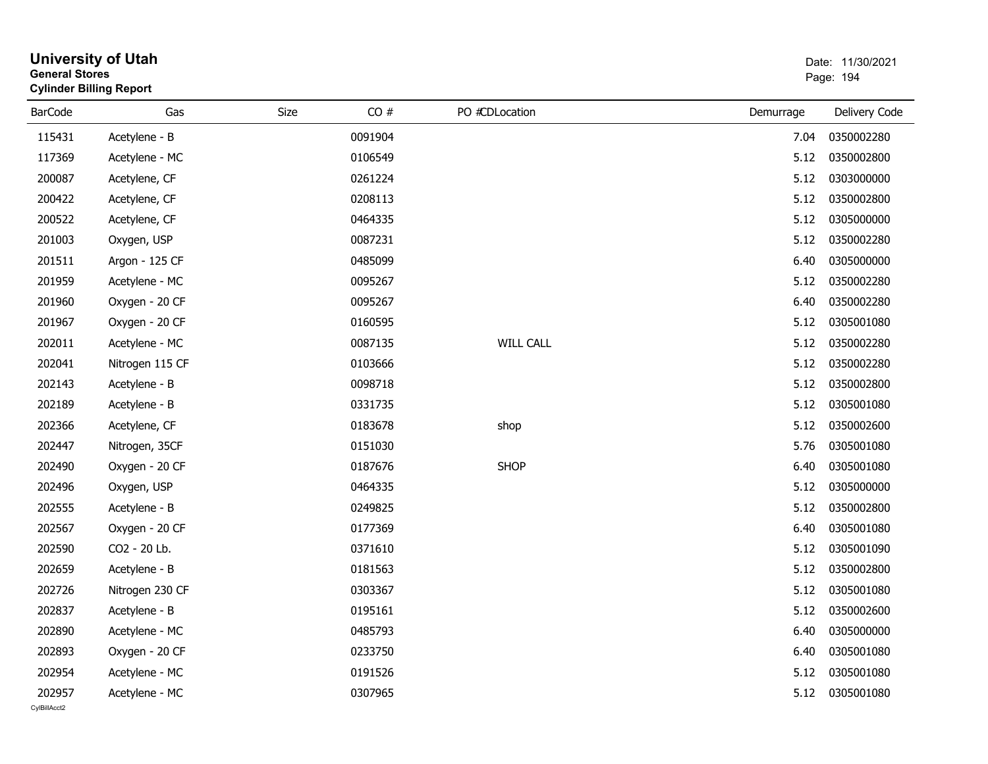| <b>General Stores</b>  | <b>University of Utah</b><br><b>Cylinder Billing Report</b> |      |         |                  |           | Date: 11/30/2021<br>Page: 194 |
|------------------------|-------------------------------------------------------------|------|---------|------------------|-----------|-------------------------------|
| <b>BarCode</b>         | Gas                                                         | Size | CO#     | PO #CDLocation   | Demurrage | Delivery Code                 |
| 115431                 | Acetylene - B                                               |      | 0091904 |                  | 7.04      | 0350002280                    |
| 117369                 | Acetylene - MC                                              |      | 0106549 |                  | 5.12      | 0350002800                    |
| 200087                 | Acetylene, CF                                               |      | 0261224 |                  | 5.12      | 0303000000                    |
| 200422                 | Acetylene, CF                                               |      | 0208113 |                  | 5.12      | 0350002800                    |
| 200522                 | Acetylene, CF                                               |      | 0464335 |                  | 5.12      | 0305000000                    |
| 201003                 | Oxygen, USP                                                 |      | 0087231 |                  | 5.12      | 0350002280                    |
| 201511                 | Argon - 125 CF                                              |      | 0485099 |                  | 6.40      | 0305000000                    |
| 201959                 | Acetylene - MC                                              |      | 0095267 |                  | 5.12      | 0350002280                    |
| 201960                 | Oxygen - 20 CF                                              |      | 0095267 |                  | 6.40      | 0350002280                    |
| 201967                 | Oxygen - 20 CF                                              |      | 0160595 |                  | 5.12      | 0305001080                    |
| 202011                 | Acetylene - MC                                              |      | 0087135 | <b>WILL CALL</b> | 5.12      | 0350002280                    |
| 202041                 | Nitrogen 115 CF                                             |      | 0103666 |                  | 5.12      | 0350002280                    |
| 202143                 | Acetylene - B                                               |      | 0098718 |                  | 5.12      | 0350002800                    |
| 202189                 | Acetylene - B                                               |      | 0331735 |                  | 5.12      | 0305001080                    |
| 202366                 | Acetylene, CF                                               |      | 0183678 | shop             | 5.12      | 0350002600                    |
| 202447                 | Nitrogen, 35CF                                              |      | 0151030 |                  | 5.76      | 0305001080                    |
| 202490                 | Oxygen - 20 CF                                              |      | 0187676 | <b>SHOP</b>      | 6.40      | 0305001080                    |
| 202496                 | Oxygen, USP                                                 |      | 0464335 |                  | 5.12      | 0305000000                    |
| 202555                 | Acetylene - B                                               |      | 0249825 |                  | 5.12      | 0350002800                    |
| 202567                 | Oxygen - 20 CF                                              |      | 0177369 |                  | 6.40      | 0305001080                    |
| 202590                 | CO2 - 20 Lb.                                                |      | 0371610 |                  | 5.12      | 0305001090                    |
| 202659                 | Acetylene - B                                               |      | 0181563 |                  | 5.12      | 0350002800                    |
| 202726                 | Nitrogen 230 CF                                             |      | 0303367 |                  | 5.12      | 0305001080                    |
| 202837                 | Acetylene - B                                               |      | 0195161 |                  | 5.12      | 0350002600                    |
| 202890                 | Acetylene - MC                                              |      | 0485793 |                  | 6.40      | 0305000000                    |
| 202893                 | Oxygen - 20 CF                                              |      | 0233750 |                  | 6.40      | 0305001080                    |
| 202954                 | Acetylene - MC                                              |      | 0191526 |                  | 5.12      | 0305001080                    |
| 202957<br>CvIBillAcct2 | Acetylene - MC                                              |      | 0307965 |                  | 5.12      | 0305001080                    |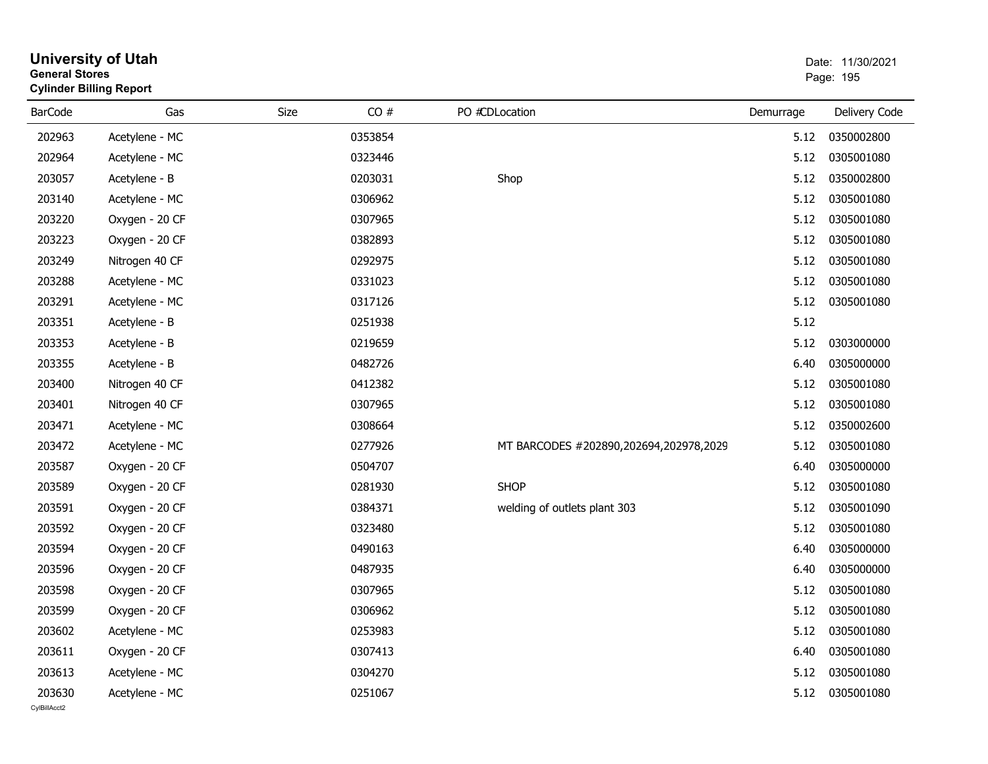| <b>General Stores</b>  | <b>Cylinder Billing Report</b> |      |         |                                        |           | Page: 195     |
|------------------------|--------------------------------|------|---------|----------------------------------------|-----------|---------------|
| <b>BarCode</b>         | Gas                            | Size | CO#     | PO #CDLocation                         | Demurrage | Delivery Code |
| 202963                 | Acetylene - MC                 |      | 0353854 |                                        | 5.12      | 0350002800    |
| 202964                 | Acetylene - MC                 |      | 0323446 |                                        | 5.12      | 0305001080    |
| 203057                 | Acetylene - B                  |      | 0203031 | Shop                                   | 5.12      | 0350002800    |
| 203140                 | Acetylene - MC                 |      | 0306962 |                                        | 5.12      | 0305001080    |
| 203220                 | Oxygen - 20 CF                 |      | 0307965 |                                        | 5.12      | 0305001080    |
| 203223                 | Oxygen - 20 CF                 |      | 0382893 |                                        | 5.12      | 0305001080    |
| 203249                 | Nitrogen 40 CF                 |      | 0292975 |                                        | 5.12      | 0305001080    |
| 203288                 | Acetylene - MC                 |      | 0331023 |                                        | 5.12      | 0305001080    |
| 203291                 | Acetylene - MC                 |      | 0317126 |                                        | 5.12      | 0305001080    |
| 203351                 | Acetylene - B                  |      | 0251938 |                                        | 5.12      |               |
| 203353                 | Acetylene - B                  |      | 0219659 |                                        | 5.12      | 0303000000    |
| 203355                 | Acetylene - B                  |      | 0482726 |                                        | 6.40      | 0305000000    |
| 203400                 | Nitrogen 40 CF                 |      | 0412382 |                                        | 5.12      | 0305001080    |
| 203401                 | Nitrogen 40 CF                 |      | 0307965 |                                        | 5.12      | 0305001080    |
| 203471                 | Acetylene - MC                 |      | 0308664 |                                        | 5.12      | 0350002600    |
| 203472                 | Acetylene - MC                 |      | 0277926 | MT BARCODES #202890,202694,202978,2029 | 5.12      | 0305001080    |
| 203587                 | Oxygen - 20 CF                 |      | 0504707 |                                        | 6.40      | 0305000000    |
| 203589                 | Oxygen - 20 CF                 |      | 0281930 | <b>SHOP</b>                            | 5.12      | 0305001080    |
| 203591                 | Oxygen - 20 CF                 |      | 0384371 | welding of outlets plant 303           | 5.12      | 0305001090    |
| 203592                 | Oxygen - 20 CF                 |      | 0323480 |                                        | 5.12      | 0305001080    |
| 203594                 | Oxygen - 20 CF                 |      | 0490163 |                                        | 6.40      | 0305000000    |
| 203596                 | Oxygen - 20 CF                 |      | 0487935 |                                        | 6.40      | 0305000000    |
| 203598                 | Oxygen - 20 CF                 |      | 0307965 |                                        | 5.12      | 0305001080    |
| 203599                 | Oxygen - 20 CF                 |      | 0306962 |                                        | 5.12      | 0305001080    |
| 203602                 | Acetylene - MC                 |      | 0253983 |                                        | 5.12      | 0305001080    |
| 203611                 | Oxygen - 20 CF                 |      | 0307413 |                                        | 6.40      | 0305001080    |
| 203613                 | Acetylene - MC                 |      | 0304270 |                                        | 5.12      | 0305001080    |
| 203630<br>CvIBillAcct2 | Acetylene - MC                 |      | 0251067 |                                        | 5.12      | 0305001080    |

**University of Utah** Date: 11/30/2021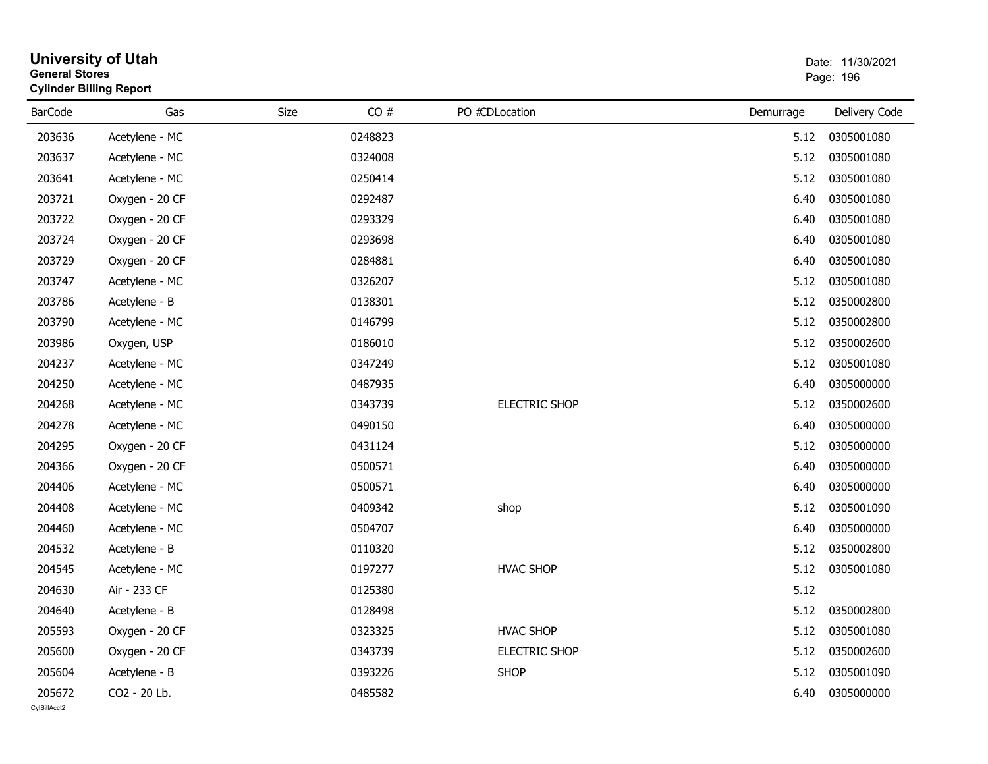|                | <b>University of Utah</b><br><b>General Stores</b><br><b>Cylinder Billing Report</b> |      |         |                  | Date: 11/30/2021<br>Page: 196 |               |  |
|----------------|--------------------------------------------------------------------------------------|------|---------|------------------|-------------------------------|---------------|--|
| <b>BarCode</b> | Gas                                                                                  | Size | CO#     | PO #CDLocation   | Demurrage                     | Delivery Code |  |
| 203636         | Acetylene - MC                                                                       |      | 0248823 |                  | 5.12                          | 0305001080    |  |
| 203637         | Acetylene - MC                                                                       |      | 0324008 |                  | 5.12                          | 0305001080    |  |
| 203641         | Acetylene - MC                                                                       |      | 0250414 |                  | 5.12                          | 0305001080    |  |
| 203721         | Oxygen - 20 CF                                                                       |      | 0292487 |                  | 6.40                          | 0305001080    |  |
| 203722         | Oxygen - 20 CF                                                                       |      | 0293329 |                  | 6.40                          | 0305001080    |  |
| 203724         | Oxygen - 20 CF                                                                       |      | 0293698 |                  | 6.40                          | 0305001080    |  |
| 203729         | Oxygen - 20 CF                                                                       |      | 0284881 |                  | 6.40                          | 0305001080    |  |
| 203747         | Acetylene - MC                                                                       |      | 0326207 |                  | 5.12                          | 0305001080    |  |
| 203786         | Acetylene - B                                                                        |      | 0138301 |                  | 5.12                          | 0350002800    |  |
| 203790         | Acetylene - MC                                                                       |      | 0146799 |                  | 5.12                          | 0350002800    |  |
| 203986         | Oxygen, USP                                                                          |      | 0186010 |                  | 5.12                          | 0350002600    |  |
| 204237         | Acetylene - MC                                                                       |      | 0347249 |                  | 5.12                          | 0305001080    |  |
| 204250         | Acetylene - MC                                                                       |      | 0487935 |                  | 6.40                          | 0305000000    |  |
| 204268         | Acetylene - MC                                                                       |      | 0343739 | ELECTRIC SHOP    | 5.12                          | 0350002600    |  |
| 204278         | Acetylene - MC                                                                       |      | 0490150 |                  | 6.40                          | 0305000000    |  |
| 204295         | Oxygen - 20 CF                                                                       |      | 0431124 |                  | 5.12                          | 0305000000    |  |
| 204366         | Oxygen - 20 CF                                                                       |      | 0500571 |                  | 6.40                          | 0305000000    |  |
| 204406         | Acetylene - MC                                                                       |      | 0500571 |                  | 6.40                          | 0305000000    |  |
| 204408         | Acetylene - MC                                                                       |      | 0409342 | shop             | 5.12                          | 0305001090    |  |
| 204460         | Acetylene - MC                                                                       |      | 0504707 |                  | 6.40                          | 0305000000    |  |
| 204532         | Acetylene - B                                                                        |      | 0110320 |                  | 5.12                          | 0350002800    |  |
| 204545         | Acetylene - MC                                                                       |      | 0197277 | <b>HVAC SHOP</b> | 5.12                          | 0305001080    |  |
| 204630         | Air - 233 CF                                                                         |      | 0125380 |                  | 5.12                          |               |  |
| 204640         | Acetylene - B                                                                        |      | 0128498 |                  | 5.12                          | 0350002800    |  |
| 205593         | Oxygen - 20 CF                                                                       |      | 0323325 | <b>HVAC SHOP</b> | 5.12                          | 0305001080    |  |
| 205600         | Oxygen - 20 CF                                                                       |      | 0343739 | ELECTRIC SHOP    | 5.12                          | 0350002600    |  |
| 205604         | Acetylene - B                                                                        |      | 0393226 | <b>SHOP</b>      | 5.12                          | 0305001090    |  |
| 205672         | CO2 - 20 Lb.                                                                         |      | 0485582 |                  | 6.40                          | 0305000000    |  |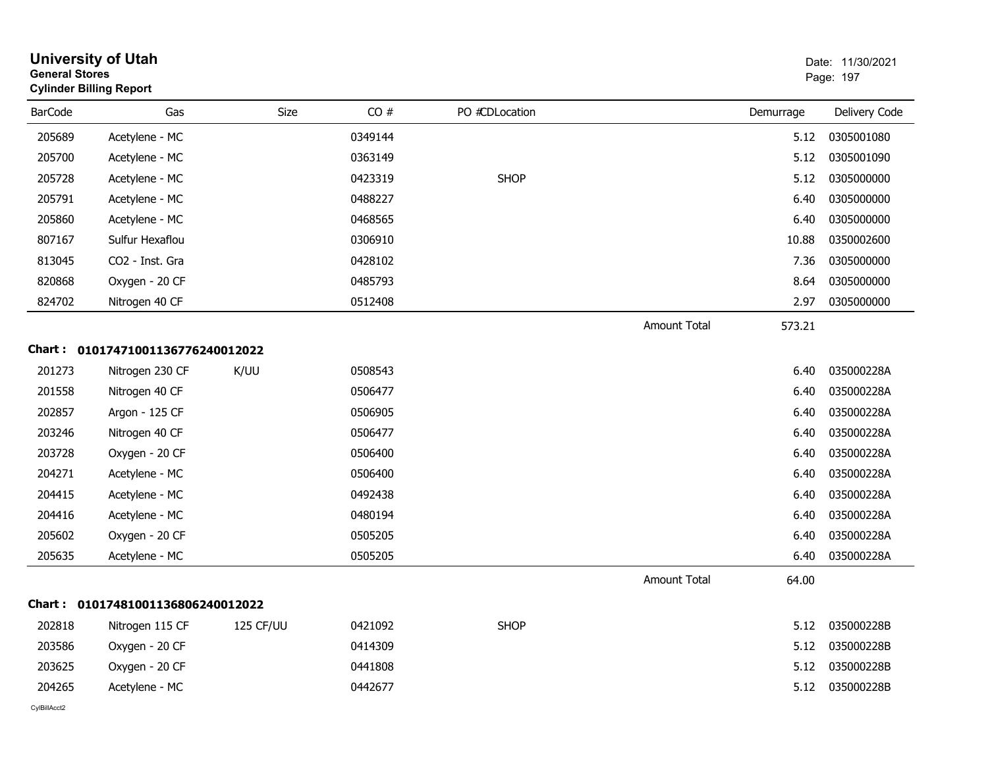| <b>General Stores</b> | <b>University of Utah</b><br><b>Cylinder Billing Report</b> |           |         |                |                     |           | Date: 11/30/2021<br>Page: 197 |
|-----------------------|-------------------------------------------------------------|-----------|---------|----------------|---------------------|-----------|-------------------------------|
| <b>BarCode</b>        | Gas                                                         | Size      | CO#     | PO #CDLocation |                     | Demurrage | Delivery Code                 |
| 205689                | Acetylene - MC                                              |           | 0349144 |                |                     | 5.12      | 0305001080                    |
| 205700                | Acetylene - MC                                              |           | 0363149 |                |                     | 5.12      | 0305001090                    |
| 205728                | Acetylene - MC                                              |           | 0423319 | <b>SHOP</b>    |                     | 5.12      | 0305000000                    |
| 205791                | Acetylene - MC                                              |           | 0488227 |                |                     | 6.40      | 0305000000                    |
| 205860                | Acetylene - MC                                              |           | 0468565 |                |                     | 6.40      | 0305000000                    |
| 807167                | Sulfur Hexaflou                                             |           | 0306910 |                |                     | 10.88     | 0350002600                    |
| 813045                | CO2 - Inst. Gra                                             |           | 0428102 |                |                     | 7.36      | 0305000000                    |
| 820868                | Oxygen - 20 CF                                              |           | 0485793 |                |                     | 8.64      | 0305000000                    |
| 824702                | Nitrogen 40 CF                                              |           | 0512408 |                |                     | 2.97      | 0305000000                    |
|                       |                                                             |           |         |                | <b>Amount Total</b> | 573.21    |                               |
|                       | Chart: 01017471001136776240012022                           |           |         |                |                     |           |                               |
| 201273                | Nitrogen 230 CF                                             | K/UU      | 0508543 |                |                     | 6.40      | 035000228A                    |
| 201558                | Nitrogen 40 CF                                              |           | 0506477 |                |                     | 6.40      | 035000228A                    |
| 202857                | Argon - 125 CF                                              |           | 0506905 |                |                     | 6.40      | 035000228A                    |
| 203246                | Nitrogen 40 CF                                              |           | 0506477 |                |                     | 6.40      | 035000228A                    |
| 203728                | Oxygen - 20 CF                                              |           | 0506400 |                |                     | 6.40      | 035000228A                    |
| 204271                | Acetylene - MC                                              |           | 0506400 |                |                     | 6.40      | 035000228A                    |
| 204415                | Acetylene - MC                                              |           | 0492438 |                |                     | 6.40      | 035000228A                    |
| 204416                | Acetylene - MC                                              |           | 0480194 |                |                     | 6.40      | 035000228A                    |
| 205602                | Oxygen - 20 CF                                              |           | 0505205 |                |                     | 6.40      | 035000228A                    |
| 205635                | Acetylene - MC                                              |           | 0505205 |                |                     | 6.40      | 035000228A                    |
|                       |                                                             |           |         |                | <b>Amount Total</b> | 64.00     |                               |
|                       | Chart: 01017481001136806240012022                           |           |         |                |                     |           |                               |
| 202818                | Nitrogen 115 CF                                             | 125 CF/UU | 0421092 | <b>SHOP</b>    |                     | 5.12      | 035000228B                    |
| 203586                | Oxygen - 20 CF                                              |           | 0414309 |                |                     | 5.12      | 035000228B                    |
| 203625                | Oxygen - 20 CF                                              |           | 0441808 |                |                     | 5.12      | 035000228B                    |
| 204265                | Acetylene - MC                                              |           | 0442677 |                |                     | 5.12      | 035000228B                    |
| CylBillAcct2          |                                                             |           |         |                |                     |           |                               |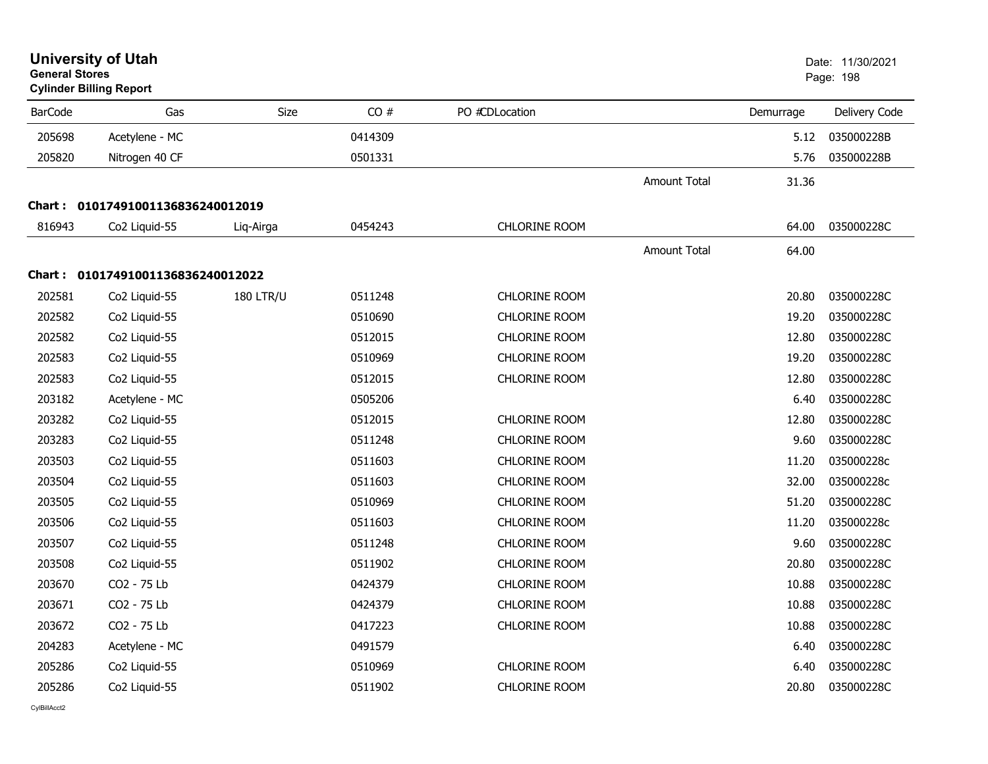| <b>General Stores</b> | <b>University of Utah</b><br><b>Cylinder Billing Report</b> |                  |         |                      |                     |           | Date: 11/30/2021<br>Page: 198 |
|-----------------------|-------------------------------------------------------------|------------------|---------|----------------------|---------------------|-----------|-------------------------------|
| <b>BarCode</b>        | Gas                                                         | <b>Size</b>      | CO#     | PO #CDLocation       |                     | Demurrage | Delivery Code                 |
| 205698                | Acetylene - MC                                              |                  | 0414309 |                      |                     | 5.12      | 035000228B                    |
| 205820                | Nitrogen 40 CF                                              |                  | 0501331 |                      |                     | 5.76      | 035000228B                    |
|                       |                                                             |                  |         |                      | <b>Amount Total</b> | 31.36     |                               |
|                       | Chart: 01017491001136836240012019                           |                  |         |                      |                     |           |                               |
| 816943                | Co2 Liquid-55                                               | Liq-Airga        | 0454243 | <b>CHLORINE ROOM</b> |                     | 64.00     | 035000228C                    |
|                       |                                                             |                  |         |                      | Amount Total        | 64.00     |                               |
|                       | Chart: 01017491001136836240012022                           |                  |         |                      |                     |           |                               |
| 202581                | Co2 Liquid-55                                               | <b>180 LTR/U</b> | 0511248 | <b>CHLORINE ROOM</b> |                     | 20.80     | 035000228C                    |
| 202582                | Co2 Liquid-55                                               |                  | 0510690 | <b>CHLORINE ROOM</b> |                     | 19.20     | 035000228C                    |
| 202582                | Co <sub>2</sub> Liquid-55                                   |                  | 0512015 | <b>CHLORINE ROOM</b> |                     | 12.80     | 035000228C                    |
| 202583                | Co2 Liquid-55                                               |                  | 0510969 | <b>CHLORINE ROOM</b> |                     | 19.20     | 035000228C                    |
| 202583                | Co2 Liquid-55                                               |                  | 0512015 | <b>CHLORINE ROOM</b> |                     | 12.80     | 035000228C                    |
| 203182                | Acetylene - MC                                              |                  | 0505206 |                      |                     | 6.40      | 035000228C                    |
| 203282                | Co2 Liquid-55                                               |                  | 0512015 | <b>CHLORINE ROOM</b> |                     | 12.80     | 035000228C                    |
| 203283                | Co2 Liquid-55                                               |                  | 0511248 | <b>CHLORINE ROOM</b> |                     | 9.60      | 035000228C                    |
| 203503                | Co2 Liquid-55                                               |                  | 0511603 | <b>CHLORINE ROOM</b> |                     | 11.20     | 035000228c                    |
| 203504                | Co2 Liquid-55                                               |                  | 0511603 | <b>CHLORINE ROOM</b> |                     | 32.00     | 035000228c                    |
| 203505                | Co2 Liquid-55                                               |                  | 0510969 | <b>CHLORINE ROOM</b> |                     | 51.20     | 035000228C                    |
| 203506                | Co2 Liquid-55                                               |                  | 0511603 | <b>CHLORINE ROOM</b> |                     | 11.20     | 035000228c                    |
| 203507                | Co2 Liquid-55                                               |                  | 0511248 | CHLORINE ROOM        |                     | 9.60      | 035000228C                    |
| 203508                | Co2 Liquid-55                                               |                  | 0511902 | <b>CHLORINE ROOM</b> |                     | 20.80     | 035000228C                    |
| 203670                | CO2 - 75 Lb                                                 |                  | 0424379 | <b>CHLORINE ROOM</b> |                     | 10.88     | 035000228C                    |
| 203671                | CO2 - 75 Lb                                                 |                  | 0424379 | <b>CHLORINE ROOM</b> |                     | 10.88     | 035000228C                    |
| 203672                | CO2 - 75 Lb                                                 |                  | 0417223 | <b>CHLORINE ROOM</b> |                     | 10.88     | 035000228C                    |
| 204283                | Acetylene - MC                                              |                  | 0491579 |                      |                     | 6.40      | 035000228C                    |
| 205286                | Co2 Liquid-55                                               |                  | 0510969 | <b>CHLORINE ROOM</b> |                     | 6.40      | 035000228C                    |
| 205286                | Co2 Liquid-55                                               |                  | 0511902 | <b>CHLORINE ROOM</b> |                     | 20.80     | 035000228C                    |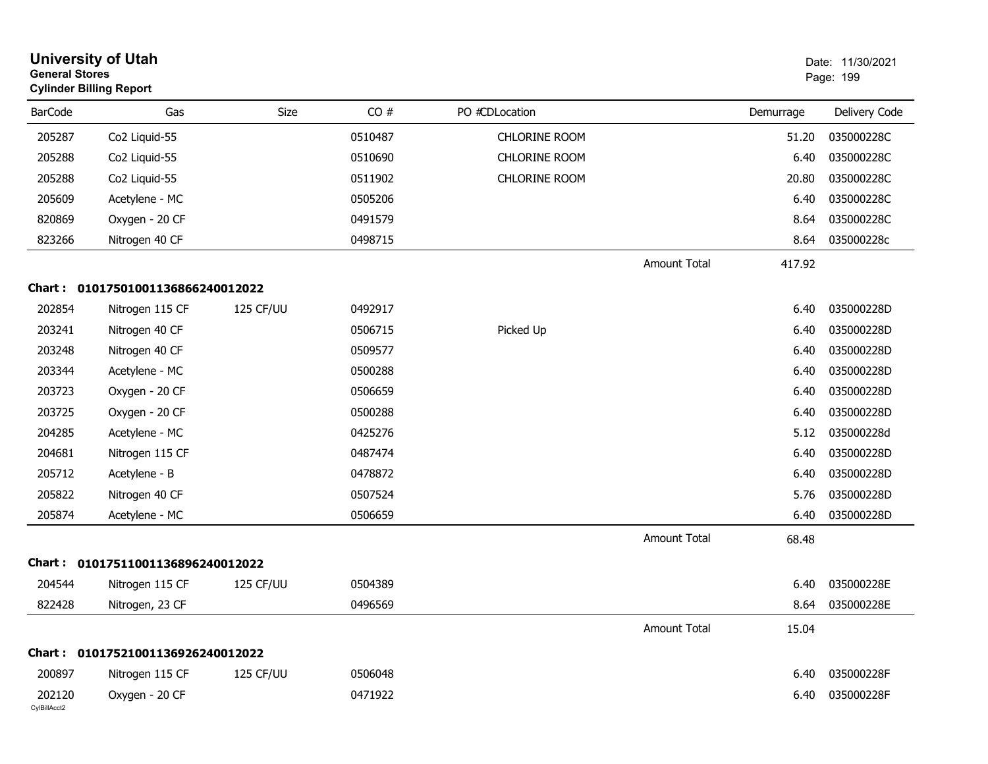|                        | <b>University of Utah</b><br><b>General Stores</b><br><b>Cylinder Billing Report</b> |           |         |                      |                     |           | Date: 11/30/2021<br>Page: 199 |
|------------------------|--------------------------------------------------------------------------------------|-----------|---------|----------------------|---------------------|-----------|-------------------------------|
| <b>BarCode</b>         | Gas                                                                                  | Size      | CO#     | PO #CDLocation       |                     | Demurrage | Delivery Code                 |
| 205287                 | Co2 Liquid-55                                                                        |           | 0510487 | <b>CHLORINE ROOM</b> |                     | 51.20     | 035000228C                    |
| 205288                 | Co2 Liquid-55                                                                        |           | 0510690 | <b>CHLORINE ROOM</b> |                     | 6.40      | 035000228C                    |
| 205288                 | Co2 Liquid-55                                                                        |           | 0511902 | <b>CHLORINE ROOM</b> |                     | 20.80     | 035000228C                    |
| 205609                 | Acetylene - MC                                                                       |           | 0505206 |                      |                     | 6.40      | 035000228C                    |
| 820869                 | Oxygen - 20 CF                                                                       |           | 0491579 |                      |                     | 8.64      | 035000228C                    |
| 823266                 | Nitrogen 40 CF                                                                       |           | 0498715 |                      |                     | 8.64      | 035000228c                    |
|                        |                                                                                      |           |         |                      | Amount Total        | 417.92    |                               |
| Chart :                | 01017501001136866240012022                                                           |           |         |                      |                     |           |                               |
| 202854                 | Nitrogen 115 CF                                                                      | 125 CF/UU | 0492917 |                      |                     | 6.40      | 035000228D                    |
| 203241                 | Nitrogen 40 CF                                                                       |           | 0506715 | Picked Up            |                     | 6.40      | 035000228D                    |
| 203248                 | Nitrogen 40 CF                                                                       |           | 0509577 |                      |                     | 6.40      | 035000228D                    |
| 203344                 | Acetylene - MC                                                                       |           | 0500288 |                      |                     | 6.40      | 035000228D                    |
| 203723                 | Oxygen - 20 CF                                                                       |           | 0506659 |                      |                     | 6.40      | 035000228D                    |
| 203725                 | Oxygen - 20 CF                                                                       |           | 0500288 |                      |                     | 6.40      | 035000228D                    |
| 204285                 | Acetylene - MC                                                                       |           | 0425276 |                      |                     | 5.12      | 035000228d                    |
| 204681                 | Nitrogen 115 CF                                                                      |           | 0487474 |                      |                     | 6.40      | 035000228D                    |
| 205712                 | Acetylene - B                                                                        |           | 0478872 |                      |                     | 6.40      | 035000228D                    |
| 205822                 | Nitrogen 40 CF                                                                       |           | 0507524 |                      |                     | 5.76      | 035000228D                    |
| 205874                 | Acetylene - MC                                                                       |           | 0506659 |                      |                     | 6.40      | 035000228D                    |
|                        |                                                                                      |           |         |                      | <b>Amount Total</b> | 68.48     |                               |
| Chart :                | 01017511001136896240012022                                                           |           |         |                      |                     |           |                               |
| 204544                 | Nitrogen 115 CF                                                                      | 125 CF/UU | 0504389 |                      |                     | 6.40      | 035000228E                    |
| 822428                 | Nitrogen, 23 CF                                                                      |           | 0496569 |                      |                     |           | 8.64 035000228E               |
|                        |                                                                                      |           |         |                      | Amount Total        | 15.04     |                               |
|                        | Chart: 01017521001136926240012022                                                    |           |         |                      |                     |           |                               |
| 200897                 | Nitrogen 115 CF                                                                      | 125 CF/UU | 0506048 |                      |                     | 6.40      | 035000228F                    |
| 202120<br>CylBillAcct2 | Oxygen - 20 CF                                                                       |           | 0471922 |                      |                     | 6.40      | 035000228F                    |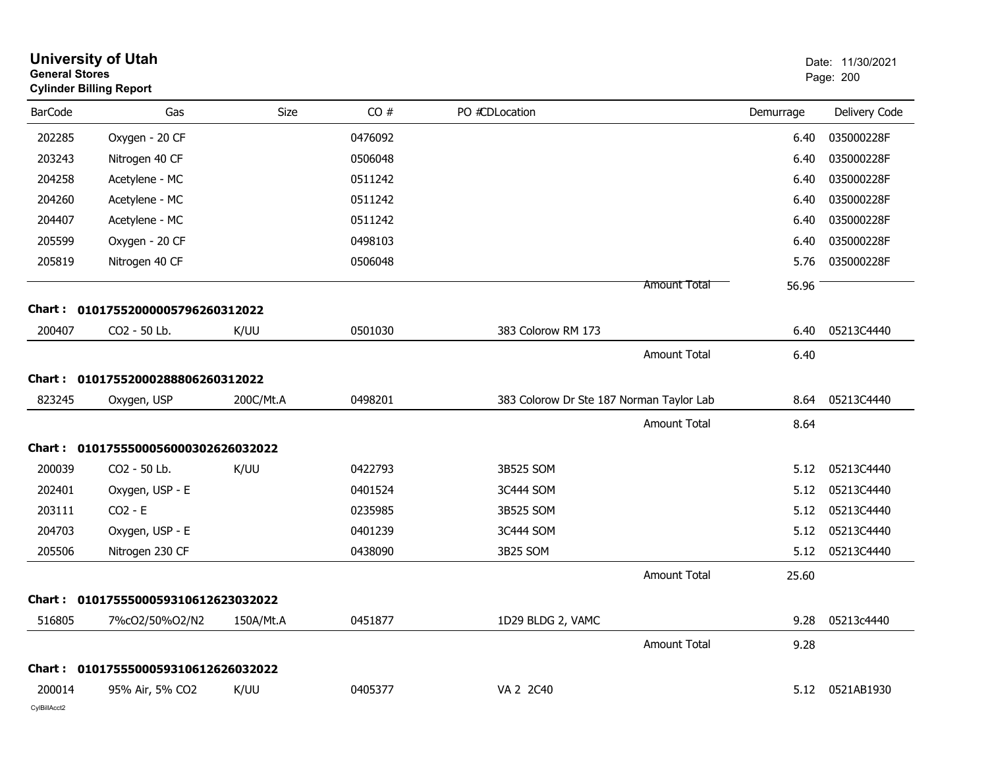| <b>General Stores</b> | <b>University of Utah</b><br><b>Cylinder Billing Report</b> |           |         |                                          |                     |           | Date: 11/30/2021<br>Page: 200 |
|-----------------------|-------------------------------------------------------------|-----------|---------|------------------------------------------|---------------------|-----------|-------------------------------|
| <b>BarCode</b>        | Gas                                                         | Size      | CO#     | PO #CDLocation                           |                     | Demurrage | Delivery Code                 |
| 202285                | Oxygen - 20 CF                                              |           | 0476092 |                                          |                     | 6.40      | 035000228F                    |
| 203243                | Nitrogen 40 CF                                              |           | 0506048 |                                          |                     | 6.40      | 035000228F                    |
| 204258                | Acetylene - MC                                              |           | 0511242 |                                          |                     | 6.40      | 035000228F                    |
| 204260                | Acetylene - MC                                              |           | 0511242 |                                          |                     | 6.40      | 035000228F                    |
| 204407                | Acetylene - MC                                              |           | 0511242 |                                          |                     | 6.40      | 035000228F                    |
| 205599                | Oxygen - 20 CF                                              |           | 0498103 |                                          |                     | 6.40      | 035000228F                    |
| 205819                | Nitrogen 40 CF                                              |           | 0506048 |                                          |                     | 5.76      | 035000228F                    |
|                       |                                                             |           |         |                                          | <b>Amount Total</b> | 56.96     |                               |
| Chart :               | 01017552000005796260312022                                  |           |         |                                          |                     |           |                               |
| 200407                | CO2 - 50 Lb.                                                | K/UU      | 0501030 | 383 Colorow RM 173                       |                     | 6.40      | 05213C4440                    |
|                       |                                                             |           |         |                                          | <b>Amount Total</b> | 6.40      |                               |
|                       | Chart: 01017552000288806260312022                           |           |         |                                          |                     |           |                               |
| 823245                | Oxygen, USP                                                 | 200C/Mt.A | 0498201 | 383 Colorow Dr Ste 187 Norman Taylor Lab |                     | 8.64      | 05213C4440                    |
|                       |                                                             |           |         |                                          | <b>Amount Total</b> | 8.64      |                               |
|                       | Chart: 0101755500056000302626032022                         |           |         |                                          |                     |           |                               |
| 200039                | CO2 - 50 Lb.                                                | K/UU      | 0422793 | 3B525 SOM                                |                     | 5.12      | 05213C4440                    |
| 202401                | Oxygen, USP - E                                             |           | 0401524 | 3C444 SOM                                |                     | 5.12      | 05213C4440                    |
| 203111                | $CO2 - E$                                                   |           | 0235985 | 3B525 SOM                                |                     | 5.12      | 05213C4440                    |
| 204703                | Oxygen, USP - E                                             |           | 0401239 | 3C444 SOM                                |                     | 5.12      | 05213C4440                    |
| 205506                | Nitrogen 230 CF                                             |           | 0438090 | 3B25 SOM                                 |                     | 5.12      | 05213C4440                    |
|                       |                                                             |           |         |                                          | <b>Amount Total</b> | 25.60     |                               |
|                       | Chart: 0101755500059310612623032022                         |           |         |                                          |                     |           |                               |
| 516805                | 7%cO2/50%O2/N2                                              | 150A/Mt.A | 0451877 | 1D29 BLDG 2, VAMC                        |                     | 9.28      | 05213c4440                    |
|                       |                                                             |           |         |                                          | Amount Total        | 9.28      |                               |
|                       | Chart: 0101755500059310612626032022                         |           |         |                                          |                     |           |                               |
| 200014                | 95% Air, 5% CO2                                             | K/UU      | 0405377 | VA 2 2C40                                |                     |           | 5.12 0521AB1930               |
| CylBillAcct2          |                                                             |           |         |                                          |                     |           |                               |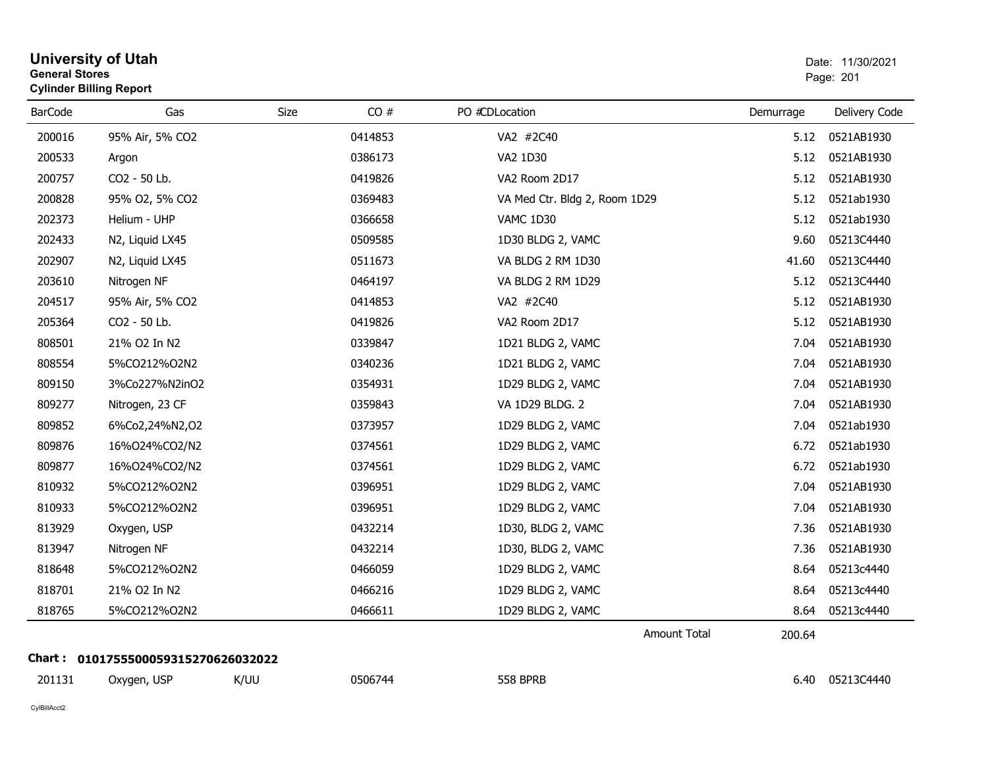| <b>General Stores</b> | <b>University of Utah</b><br><b>Cylinder Billing Report</b> |      |         |                               | Date: 11/30/2021<br>Page: 201 |               |  |
|-----------------------|-------------------------------------------------------------|------|---------|-------------------------------|-------------------------------|---------------|--|
| <b>BarCode</b>        | Gas                                                         | Size | CO#     | PO #CDLocation                | Demurrage                     | Delivery Code |  |
| 200016                | 95% Air, 5% CO2                                             |      | 0414853 | VA2 #2C40                     | 5.12                          | 0521AB1930    |  |
| 200533                | Argon                                                       |      | 0386173 | VA2 1D30                      | 5.12                          | 0521AB1930    |  |
| 200757                | CO2 - 50 Lb.                                                |      | 0419826 | VA2 Room 2D17                 | 5.12                          | 0521AB1930    |  |
| 200828                | 95% O2, 5% CO2                                              |      | 0369483 | VA Med Ctr. Bldg 2, Room 1D29 | 5.12                          | 0521ab1930    |  |
| 202373                | Helium - UHP                                                |      | 0366658 | <b>VAMC 1D30</b>              | 5.12                          | 0521ab1930    |  |
| 202433                | N2, Liquid LX45                                             |      | 0509585 | 1D30 BLDG 2, VAMC             | 9.60                          | 05213C4440    |  |
| 202907                | N2, Liquid LX45                                             |      | 0511673 | VA BLDG 2 RM 1D30             | 41.60                         | 05213C4440    |  |
| 203610                | Nitrogen NF                                                 |      | 0464197 | VA BLDG 2 RM 1D29             | 5.12                          | 05213C4440    |  |
| 204517                | 95% Air, 5% CO2                                             |      | 0414853 | VA2 #2C40                     | 5.12                          | 0521AB1930    |  |
| 205364                | CO2 - 50 Lb.                                                |      | 0419826 | VA2 Room 2D17                 | 5.12                          | 0521AB1930    |  |
| 808501                | 21% O2 In N2                                                |      | 0339847 | 1D21 BLDG 2, VAMC             | 7.04                          | 0521AB1930    |  |
| 808554                | 5%CO212%O2N2                                                |      | 0340236 | 1D21 BLDG 2, VAMC             | 7.04                          | 0521AB1930    |  |
| 809150                | 3%Co227%N2inO2                                              |      | 0354931 | 1D29 BLDG 2, VAMC             | 7.04                          | 0521AB1930    |  |
| 809277                | Nitrogen, 23 CF                                             |      | 0359843 | VA 1D29 BLDG. 2               | 7.04                          | 0521AB1930    |  |
| 809852                | 6%Co2,24%N2,O2                                              |      | 0373957 | 1D29 BLDG 2, VAMC             | 7.04                          | 0521ab1930    |  |
| 809876                | 16%024%CO2/N2                                               |      | 0374561 | 1D29 BLDG 2, VAMC             | 6.72                          | 0521ab1930    |  |
| 809877                | 16%O24%CO2/N2                                               |      | 0374561 | 1D29 BLDG 2, VAMC             | 6.72                          | 0521ab1930    |  |
| 810932                | 5%CO212%O2N2                                                |      | 0396951 | 1D29 BLDG 2, VAMC             | 7.04                          | 0521AB1930    |  |
| 810933                | 5%CO212%O2N2                                                |      | 0396951 | 1D29 BLDG 2, VAMC             | 7.04                          | 0521AB1930    |  |
| 813929                | Oxygen, USP                                                 |      | 0432214 | 1D30, BLDG 2, VAMC            | 7.36                          | 0521AB1930    |  |
| 813947                | Nitrogen NF                                                 |      | 0432214 | 1D30, BLDG 2, VAMC            | 7.36                          | 0521AB1930    |  |
| 818648                | 5%CO212%O2N2                                                |      | 0466059 | 1D29 BLDG 2, VAMC             | 8.64                          | 05213c4440    |  |
| 818701                | 21% O2 In N2                                                |      | 0466216 | 1D29 BLDG 2, VAMC             | 8.64                          | 05213c4440    |  |
| 818765                | 5%CO212%O2N2                                                |      | 0466611 | 1D29 BLDG 2, VAMC             | 8.64                          | 05213c4440    |  |
|                       |                                                             |      |         | <b>Amount Total</b>           | 200.64                        |               |  |
|                       | Chart: 0101755500059315270626032022                         |      |         |                               |                               |               |  |
| 201131                | Oxygen, USP                                                 | K/UU | 0506744 | <b>558 BPRB</b>               | 6.40                          | 05213C4440    |  |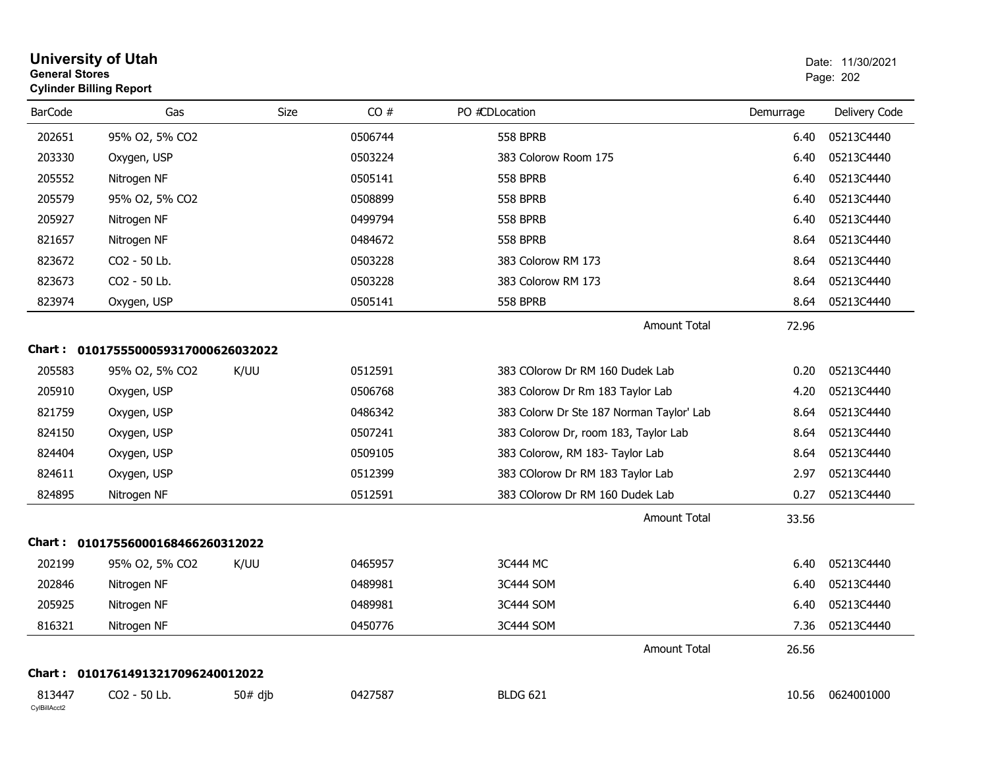| <b>General Stores</b>  | <b>Cylinder Billing Report</b>      |           |         |                                          |           | Page: 202     |
|------------------------|-------------------------------------|-----------|---------|------------------------------------------|-----------|---------------|
| <b>BarCode</b>         | Gas                                 | Size      | CO#     | PO #CDLocation                           | Demurrage | Delivery Code |
| 202651                 | 95% O2, 5% CO2                      |           | 0506744 | <b>558 BPRB</b>                          | 6.40      | 05213C4440    |
| 203330                 | Oxygen, USP                         |           | 0503224 | 383 Colorow Room 175                     | 6.40      | 05213C4440    |
| 205552                 | Nitrogen NF                         |           | 0505141 | <b>558 BPRB</b>                          | 6.40      | 05213C4440    |
| 205579                 | 95% O2, 5% CO2                      |           | 0508899 | <b>558 BPRB</b>                          | 6.40      | 05213C4440    |
| 205927                 | Nitrogen NF                         |           | 0499794 | <b>558 BPRB</b>                          | 6.40      | 05213C4440    |
| 821657                 | Nitrogen NF                         |           | 0484672 | <b>558 BPRB</b>                          | 8.64      | 05213C4440    |
| 823672                 | CO2 - 50 Lb.                        |           | 0503228 | 383 Colorow RM 173                       | 8.64      | 05213C4440    |
| 823673                 | CO2 - 50 Lb.                        |           | 0503228 | 383 Colorow RM 173                       | 8.64      | 05213C4440    |
| 823974                 | Oxygen, USP                         |           | 0505141 | <b>558 BPRB</b>                          | 8.64      | 05213C4440    |
|                        |                                     |           |         | Amount Total                             | 72.96     |               |
|                        | Chart: 0101755500059317000626032022 |           |         |                                          |           |               |
| 205583                 | 95% O2, 5% CO2                      | K/UU      | 0512591 | 383 COlorow Dr RM 160 Dudek Lab          | 0.20      | 05213C4440    |
| 205910                 | Oxygen, USP                         |           | 0506768 | 383 Colorow Dr Rm 183 Taylor Lab         | 4.20      | 05213C4440    |
| 821759                 | Oxygen, USP                         |           | 0486342 | 383 Colorw Dr Ste 187 Norman Taylor' Lab | 8.64      | 05213C4440    |
| 824150                 | Oxygen, USP                         |           | 0507241 | 383 Colorow Dr, room 183, Taylor Lab     | 8.64      | 05213C4440    |
| 824404                 | Oxygen, USP                         |           | 0509105 | 383 Colorow, RM 183- Taylor Lab          | 8.64      | 05213C4440    |
| 824611                 | Oxygen, USP                         |           | 0512399 | 383 COlorow Dr RM 183 Taylor Lab         | 2.97      | 05213C4440    |
| 824895                 | Nitrogen NF                         |           | 0512591 | 383 COlorow Dr RM 160 Dudek Lab          | 0.27      | 05213C4440    |
|                        |                                     |           |         | <b>Amount Total</b>                      | 33.56     |               |
|                        | Chart: 01017556000168466260312022   |           |         |                                          |           |               |
| 202199                 | 95% O2, 5% CO2                      | K/UU      | 0465957 | 3C444 MC                                 | 6.40      | 05213C4440    |
| 202846                 | Nitrogen NF                         |           | 0489981 | 3C444 SOM                                | 6.40      | 05213C4440    |
| 205925                 | Nitrogen NF                         |           | 0489981 | 3C444 SOM                                | 6.40      | 05213C4440    |
| 816321                 | Nitrogen NF                         |           | 0450776 | 3C444 SOM                                | 7.36      | 05213C4440    |
|                        |                                     |           |         | <b>Amount Total</b>                      | 26.56     |               |
| Chart :                | 01017614913217096240012022          |           |         |                                          |           |               |
| 813447<br>CylBillAcct2 | CO2 - 50 Lb.                        | $50#$ dib | 0427587 | <b>BLDG 621</b>                          | 10.56     | 0624001000    |

# **University of Utah**  Date: 11/30/2021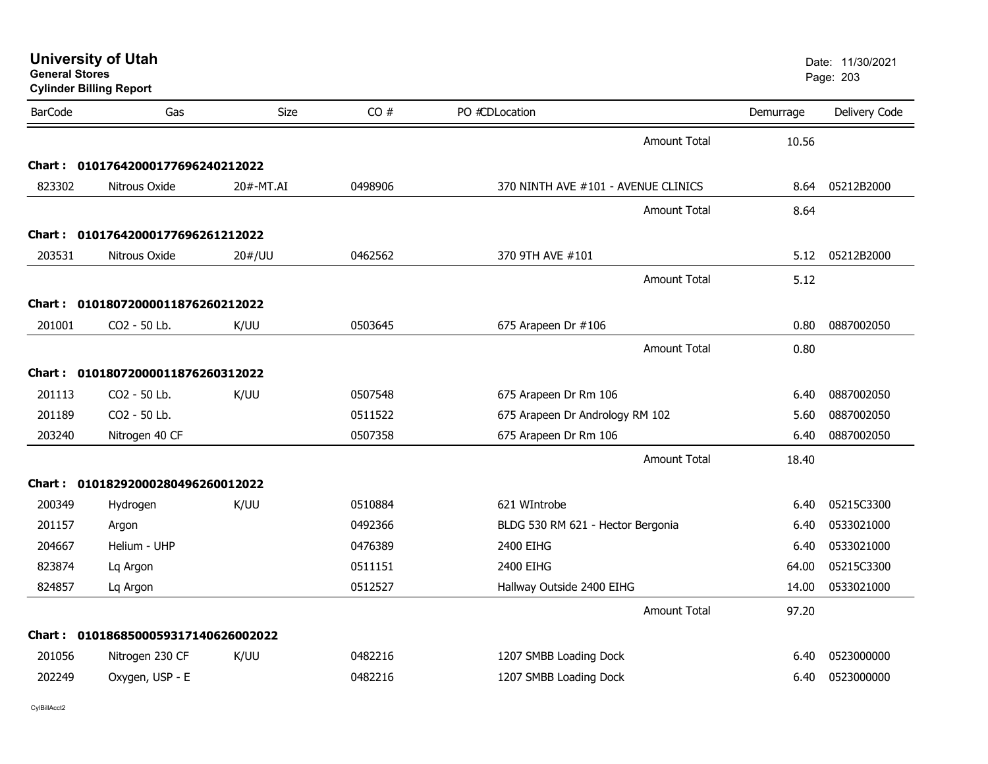| <b>General Stores</b> | <b>University of Utah</b><br><b>Cylinder Billing Report</b> |           |         |                                     |           | Date: 11/30/2021<br>Page: 203 |
|-----------------------|-------------------------------------------------------------|-----------|---------|-------------------------------------|-----------|-------------------------------|
| <b>BarCode</b>        | Gas                                                         | Size      | CO#     | PO #CDLocation                      | Demurrage | Delivery Code                 |
|                       |                                                             |           |         | <b>Amount Total</b>                 | 10.56     |                               |
|                       | Chart: 01017642000177696240212022                           |           |         |                                     |           |                               |
| 823302                | Nitrous Oxide                                               | 20#-MT.AI | 0498906 | 370 NINTH AVE #101 - AVENUE CLINICS | 8.64      | 05212B2000                    |
|                       |                                                             |           |         | <b>Amount Total</b>                 | 8.64      |                               |
|                       | Chart: 01017642000177696261212022                           |           |         |                                     |           |                               |
| 203531                | Nitrous Oxide                                               | 20#/UU    | 0462562 | 370 9TH AVE #101                    | 5.12      | 05212B2000                    |
|                       |                                                             |           |         | <b>Amount Total</b>                 | 5.12      |                               |
|                       | Chart: 01018072000011876260212022                           |           |         |                                     |           |                               |
| 201001                | CO2 - 50 Lb.                                                | K/UU      | 0503645 | 675 Arapeen Dr #106                 | 0.80      | 0887002050                    |
|                       |                                                             |           |         | <b>Amount Total</b>                 | 0.80      |                               |
|                       | Chart: 01018072000011876260312022                           |           |         |                                     |           |                               |
| 201113                | CO <sub>2</sub> - 50 Lb.                                    | K/UU      | 0507548 | 675 Arapeen Dr Rm 106               | 6.40      | 0887002050                    |
| 201189                | CO2 - 50 Lb.                                                |           | 0511522 | 675 Arapeen Dr Andrology RM 102     | 5.60      | 0887002050                    |
| 203240                | Nitrogen 40 CF                                              |           | 0507358 | 675 Arapeen Dr Rm 106               | 6.40      | 0887002050                    |
|                       |                                                             |           |         | <b>Amount Total</b>                 | 18.40     |                               |
| Chart :               | 01018292000280496260012022                                  |           |         |                                     |           |                               |
| 200349                | Hydrogen                                                    | K/UU      | 0510884 | 621 WIntrobe                        | 6.40      | 05215C3300                    |
| 201157                | Argon                                                       |           | 0492366 | BLDG 530 RM 621 - Hector Bergonia   | 6.40      | 0533021000                    |
| 204667                | Helium - UHP                                                |           | 0476389 | 2400 EIHG                           | 6.40      | 0533021000                    |
| 823874                | Lq Argon                                                    |           | 0511151 | 2400 EIHG                           | 64.00     | 05215C3300                    |
| 824857                | Lq Argon                                                    |           | 0512527 | Hallway Outside 2400 EIHG           | 14.00     | 0533021000                    |
|                       |                                                             |           |         | <b>Amount Total</b>                 | 97.20     |                               |
| Chart :               | 0101868500059317140626002022                                |           |         |                                     |           |                               |
| 201056                | Nitrogen 230 CF                                             | K/UU      | 0482216 | 1207 SMBB Loading Dock              | 6.40      | 0523000000                    |
| 202249                | Oxygen, USP - E                                             |           | 0482216 | 1207 SMBB Loading Dock              | 6.40      | 0523000000                    |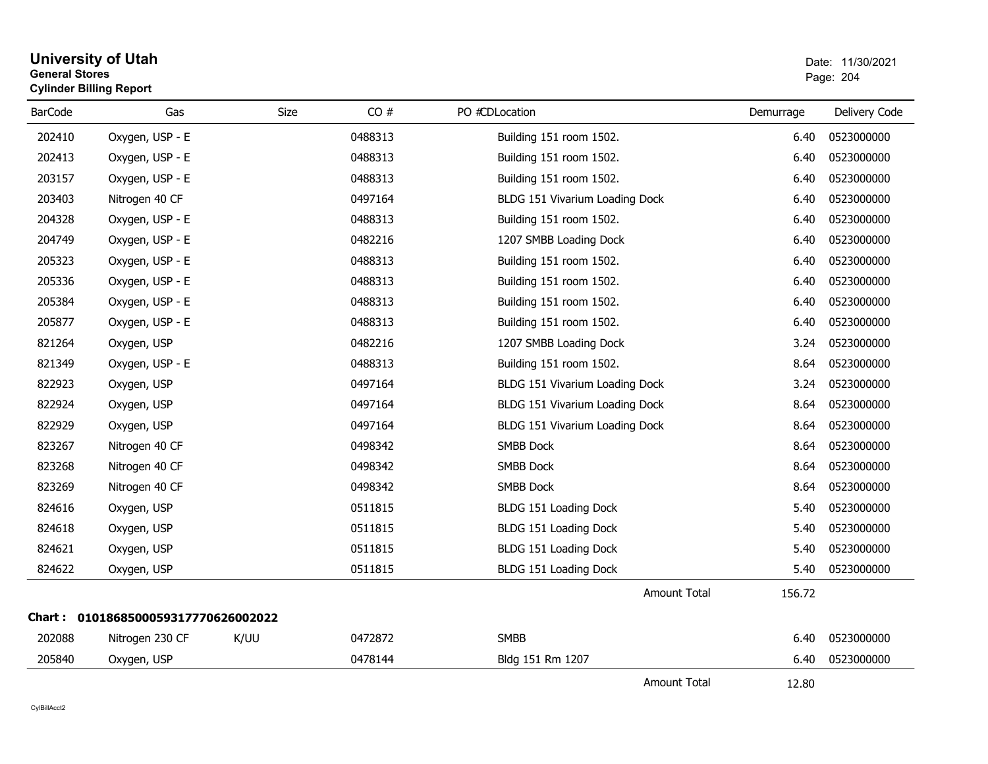#### **University of Utah** Date: 11/30/2021 **General Stores**er and the state of the state of the state of the state of the state of the state of the Page: 204  $\,$ **Cylinder Billing Report**

| <b>BarCode</b> | Gas                                 | Size | CO#     | PO #CDLocation                 | Demurrage | Delivery Code |
|----------------|-------------------------------------|------|---------|--------------------------------|-----------|---------------|
| 202410         | Oxygen, USP - E                     |      | 0488313 | Building 151 room 1502.        | 6.40      | 0523000000    |
| 202413         | Oxygen, USP - E                     |      | 0488313 | Building 151 room 1502.        | 6.40      | 0523000000    |
| 203157         | Oxygen, USP - E                     |      | 0488313 | Building 151 room 1502.        | 6.40      | 0523000000    |
| 203403         | Nitrogen 40 CF                      |      | 0497164 | BLDG 151 Vivarium Loading Dock | 6.40      | 0523000000    |
| 204328         | Oxygen, USP - E                     |      | 0488313 | Building 151 room 1502.        | 6.40      | 0523000000    |
| 204749         | Oxygen, USP - E                     |      | 0482216 | 1207 SMBB Loading Dock         | 6.40      | 0523000000    |
| 205323         | Oxygen, USP - E                     |      | 0488313 | Building 151 room 1502.        | 6.40      | 0523000000    |
| 205336         | Oxygen, USP - E                     |      | 0488313 | Building 151 room 1502.        | 6.40      | 0523000000    |
| 205384         | Oxygen, USP - E                     |      | 0488313 | Building 151 room 1502.        | 6.40      | 0523000000    |
| 205877         | Oxygen, USP - E                     |      | 0488313 | Building 151 room 1502.        | 6.40      | 0523000000    |
| 821264         | Oxygen, USP                         |      | 0482216 | 1207 SMBB Loading Dock         | 3.24      | 0523000000    |
| 821349         | Oxygen, USP - E                     |      | 0488313 | Building 151 room 1502.        | 8.64      | 0523000000    |
| 822923         | Oxygen, USP                         |      | 0497164 | BLDG 151 Vivarium Loading Dock | 3.24      | 0523000000    |
| 822924         | Oxygen, USP                         |      | 0497164 | BLDG 151 Vivarium Loading Dock | 8.64      | 0523000000    |
| 822929         | Oxygen, USP                         |      | 0497164 | BLDG 151 Vivarium Loading Dock | 8.64      | 0523000000    |
| 823267         | Nitrogen 40 CF                      |      | 0498342 | SMBB Dock                      | 8.64      | 0523000000    |
| 823268         | Nitrogen 40 CF                      |      | 0498342 | <b>SMBB Dock</b>               | 8.64      | 0523000000    |
| 823269         | Nitrogen 40 CF                      |      | 0498342 | <b>SMBB Dock</b>               | 8.64      | 0523000000    |
| 824616         | Oxygen, USP                         |      | 0511815 | BLDG 151 Loading Dock          | 5.40      | 0523000000    |
| 824618         | Oxygen, USP                         |      | 0511815 | BLDG 151 Loading Dock          | 5.40      | 0523000000    |
| 824621         | Oxygen, USP                         |      | 0511815 | BLDG 151 Loading Dock          | 5.40      | 0523000000    |
| 824622         | Oxygen, USP                         |      | 0511815 | BLDG 151 Loading Dock          | 5.40      | 0523000000    |
|                |                                     |      |         | <b>Amount Total</b>            | 156.72    |               |
|                | Chart: 0101868500059317770626002022 |      |         |                                |           |               |
| 202088         | Nitrogen 230 CF                     | K/UU | 0472872 | <b>SMBB</b>                    | 6.40      | 0523000000    |
| 205840         | Oxygen, USP                         |      | 0478144 | Bldg 151 Rm 1207               | 6.40      | 0523000000    |
|                |                                     |      |         | Amount Total                   | 12.80     |               |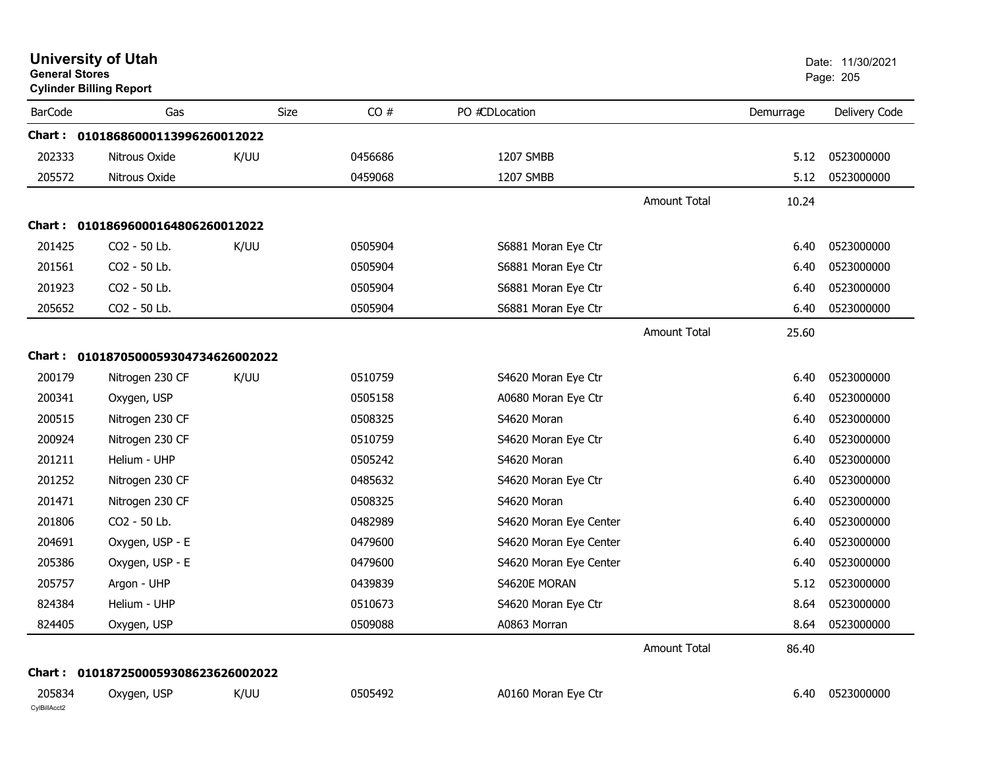|                        | <b>University of Utah</b><br><b>General Stores</b><br><b>Cylinder Billing Report</b> |      |         |                        | Date: 11/30/2021<br>Page: 205 |           |                 |
|------------------------|--------------------------------------------------------------------------------------|------|---------|------------------------|-------------------------------|-----------|-----------------|
| <b>BarCode</b>         | Gas                                                                                  | Size | CO#     | PO #CDLocation         |                               | Demurrage | Delivery Code   |
|                        | Chart: 01018686000113996260012022                                                    |      |         |                        |                               |           |                 |
| 202333                 | Nitrous Oxide                                                                        | K/UU | 0456686 | 1207 SMBB              |                               | 5.12      | 0523000000      |
| 205572                 | Nitrous Oxide                                                                        |      | 0459068 | 1207 SMBB              |                               | 5.12      | 0523000000      |
|                        |                                                                                      |      |         |                        | <b>Amount Total</b>           | 10.24     |                 |
|                        | Chart: 01018696000164806260012022                                                    |      |         |                        |                               |           |                 |
| 201425                 | CO2 - 50 Lb.                                                                         | K/UU | 0505904 | S6881 Moran Eye Ctr    |                               | 6.40      | 0523000000      |
| 201561                 | CO2 - 50 Lb.                                                                         |      | 0505904 | S6881 Moran Eye Ctr    |                               | 6.40      | 0523000000      |
| 201923                 | CO2 - 50 Lb.                                                                         |      | 0505904 | S6881 Moran Eye Ctr    |                               | 6.40      | 0523000000      |
| 205652                 | CO2 - 50 Lb.                                                                         |      | 0505904 | S6881 Moran Eye Ctr    |                               | 6.40      | 0523000000      |
|                        |                                                                                      |      |         |                        | <b>Amount Total</b>           | 25.60     |                 |
|                        | Chart: 0101870500059304734626002022                                                  |      |         |                        |                               |           |                 |
| 200179                 | Nitrogen 230 CF                                                                      | K/UU | 0510759 | S4620 Moran Eye Ctr    |                               | 6.40      | 0523000000      |
| 200341                 | Oxygen, USP                                                                          |      | 0505158 | A0680 Moran Eye Ctr    |                               | 6.40      | 0523000000      |
| 200515                 | Nitrogen 230 CF                                                                      |      | 0508325 | S4620 Moran            |                               | 6.40      | 0523000000      |
| 200924                 | Nitrogen 230 CF                                                                      |      | 0510759 | S4620 Moran Eye Ctr    |                               | 6.40      | 0523000000      |
| 201211                 | Helium - UHP                                                                         |      | 0505242 | S4620 Moran            |                               | 6.40      | 0523000000      |
| 201252                 | Nitrogen 230 CF                                                                      |      | 0485632 | S4620 Moran Eye Ctr    |                               | 6.40      | 0523000000      |
| 201471                 | Nitrogen 230 CF                                                                      |      | 0508325 | S4620 Moran            |                               | 6.40      | 0523000000      |
| 201806                 | CO2 - 50 Lb.                                                                         |      | 0482989 | S4620 Moran Eye Center |                               | 6.40      | 0523000000      |
| 204691                 | Oxygen, USP - E                                                                      |      | 0479600 | S4620 Moran Eye Center |                               | 6.40      | 0523000000      |
| 205386                 | Oxygen, USP - E                                                                      |      | 0479600 | S4620 Moran Eye Center |                               | 6.40      | 0523000000      |
| 205757                 | Argon - UHP                                                                          |      | 0439839 | S4620E MORAN           |                               | 5.12      | 0523000000      |
| 824384                 | Helium - UHP                                                                         |      | 0510673 | S4620 Moran Eye Ctr    |                               | 8.64      | 0523000000      |
| 824405                 | Oxygen, USP                                                                          |      | 0509088 | A0863 Morran           |                               |           | 8.64 0523000000 |
|                        |                                                                                      |      |         |                        | <b>Amount Total</b>           | 86.40     |                 |
|                        | Chart: 0101872500059308623626002022                                                  |      |         |                        |                               |           |                 |
| 205834<br>CylBillAcct2 | Oxygen, USP                                                                          | K/UU | 0505492 | A0160 Moran Eye Ctr    |                               | 6.40      | 0523000000      |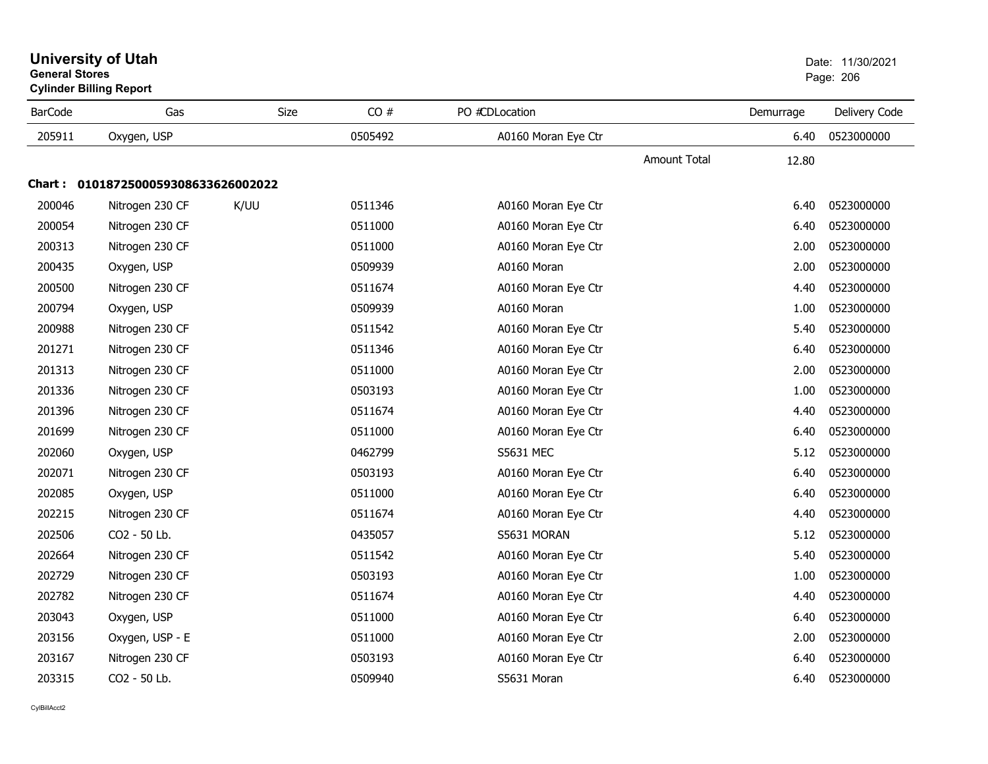|                | Cylinder Billing Report             |      |         |                     |                     |           |               |  |  |  |  |
|----------------|-------------------------------------|------|---------|---------------------|---------------------|-----------|---------------|--|--|--|--|
| <b>BarCode</b> | Gas                                 | Size | CO#     | PO #CDLocation      |                     | Demurrage | Delivery Code |  |  |  |  |
| 205911         | Oxygen, USP                         |      | 0505492 | A0160 Moran Eye Ctr |                     | 6.40      | 0523000000    |  |  |  |  |
|                |                                     |      |         |                     | <b>Amount Total</b> | 12.80     |               |  |  |  |  |
|                | Chart: 0101872500059308633626002022 |      |         |                     |                     |           |               |  |  |  |  |
| 200046         | Nitrogen 230 CF                     | K/UU | 0511346 | A0160 Moran Eye Ctr |                     | 6.40      | 0523000000    |  |  |  |  |
| 200054         | Nitrogen 230 CF                     |      | 0511000 | A0160 Moran Eye Ctr |                     | 6.40      | 0523000000    |  |  |  |  |
| 200313         | Nitrogen 230 CF                     |      | 0511000 | A0160 Moran Eye Ctr |                     | 2.00      | 0523000000    |  |  |  |  |
| 200435         | Oxygen, USP                         |      | 0509939 | A0160 Moran         |                     | 2.00      | 0523000000    |  |  |  |  |
| 200500         | Nitrogen 230 CF                     |      | 0511674 | A0160 Moran Eye Ctr |                     | 4.40      | 0523000000    |  |  |  |  |
| 200794         | Oxygen, USP                         |      | 0509939 | A0160 Moran         |                     | 1.00      | 0523000000    |  |  |  |  |
| 200988         | Nitrogen 230 CF                     |      | 0511542 | A0160 Moran Eye Ctr |                     | 5.40      | 0523000000    |  |  |  |  |
| 201271         | Nitrogen 230 CF                     |      | 0511346 | A0160 Moran Eye Ctr |                     | 6.40      | 0523000000    |  |  |  |  |
| 201313         | Nitrogen 230 CF                     |      | 0511000 | A0160 Moran Eye Ctr |                     | 2.00      | 0523000000    |  |  |  |  |
| 201336         | Nitrogen 230 CF                     |      | 0503193 | A0160 Moran Eye Ctr |                     | 1.00      | 0523000000    |  |  |  |  |
| 201396         | Nitrogen 230 CF                     |      | 0511674 | A0160 Moran Eye Ctr |                     | 4.40      | 0523000000    |  |  |  |  |
| 201699         | Nitrogen 230 CF                     |      | 0511000 | A0160 Moran Eye Ctr |                     | 6.40      | 0523000000    |  |  |  |  |
| 202060         | Oxygen, USP                         |      | 0462799 | <b>S5631 MEC</b>    |                     | 5.12      | 0523000000    |  |  |  |  |
| 202071         | Nitrogen 230 CF                     |      | 0503193 | A0160 Moran Eye Ctr |                     | 6.40      | 0523000000    |  |  |  |  |
| 202085         | Oxygen, USP                         |      | 0511000 | A0160 Moran Eye Ctr |                     | 6.40      | 0523000000    |  |  |  |  |
| 202215         | Nitrogen 230 CF                     |      | 0511674 | A0160 Moran Eye Ctr |                     | 4.40      | 0523000000    |  |  |  |  |
| 202506         | CO2 - 50 Lb.                        |      | 0435057 | S5631 MORAN         |                     | 5.12      | 0523000000    |  |  |  |  |
| 202664         | Nitrogen 230 CF                     |      | 0511542 | A0160 Moran Eye Ctr |                     | 5.40      | 0523000000    |  |  |  |  |
| 202729         | Nitrogen 230 CF                     |      | 0503193 | A0160 Moran Eye Ctr |                     | 1.00      | 0523000000    |  |  |  |  |
| 202782         | Nitrogen 230 CF                     |      | 0511674 | A0160 Moran Eye Ctr |                     | 4.40      | 0523000000    |  |  |  |  |
| 203043         | Oxygen, USP                         |      | 0511000 | A0160 Moran Eye Ctr |                     | 6.40      | 0523000000    |  |  |  |  |
| 203156         | Oxygen, USP - E                     |      | 0511000 | A0160 Moran Eye Ctr |                     | 2.00      | 0523000000    |  |  |  |  |
| 203167         | Nitrogen 230 CF                     |      | 0503193 | A0160 Moran Eye Ctr |                     | 6.40      | 0523000000    |  |  |  |  |
| 203315         | CO2 - 50 Lb.                        |      | 0509940 | S5631 Moran         |                     | 6.40      | 0523000000    |  |  |  |  |

#### **University of Utah** Date: 11/30/2021 **General Stores**entry of the contract of the contract of the contract of the contract of the contract of the contract of the contract of the contract of the contract of the contract of the contract of the contract of the contract of the c **Cylinder Billing Report**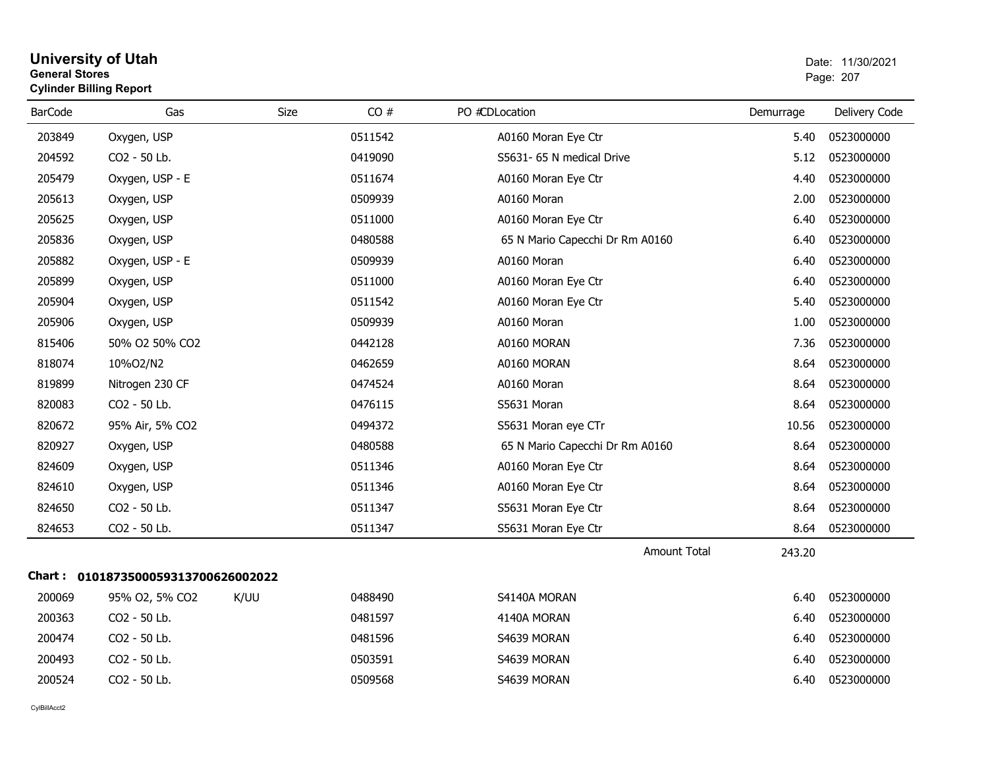#### **University of Utah** Date: 11/30/2021 **General Stores**s and the contract of the contract of the contract of the contract of the contract of the contract of the contract of the contract of the contract of the contract of the contract of the contract of the contract of the cont **Cylinder Billing Report**

| <b>BarCode</b> | Gas                                 | <b>Size</b> | CO#     | PO #CDLocation                  | Demurrage | Delivery Code |
|----------------|-------------------------------------|-------------|---------|---------------------------------|-----------|---------------|
| 203849         | Oxygen, USP                         |             | 0511542 | A0160 Moran Eye Ctr             | 5.40      | 0523000000    |
| 204592         | CO2 - 50 Lb.                        |             | 0419090 | S5631- 65 N medical Drive       | 5.12      | 0523000000    |
| 205479         | Oxygen, USP - E                     |             | 0511674 | A0160 Moran Eye Ctr             | 4.40      | 0523000000    |
| 205613         | Oxygen, USP                         |             | 0509939 | A0160 Moran                     | 2.00      | 0523000000    |
| 205625         | Oxygen, USP                         |             | 0511000 | A0160 Moran Eye Ctr             | 6.40      | 0523000000    |
| 205836         | Oxygen, USP                         |             | 0480588 | 65 N Mario Capecchi Dr Rm A0160 | 6.40      | 0523000000    |
| 205882         | Oxygen, USP - E                     |             | 0509939 | A0160 Moran                     | 6.40      | 0523000000    |
| 205899         | Oxygen, USP                         |             | 0511000 | A0160 Moran Eye Ctr             | 6.40      | 0523000000    |
| 205904         | Oxygen, USP                         |             | 0511542 | A0160 Moran Eye Ctr             | 5.40      | 0523000000    |
| 205906         | Oxygen, USP                         |             | 0509939 | A0160 Moran                     | 1.00      | 0523000000    |
| 815406         | 50% O2 50% CO2                      |             | 0442128 | A0160 MORAN                     | 7.36      | 0523000000    |
| 818074         | 10%O2/N2                            |             | 0462659 | A0160 MORAN                     | 8.64      | 0523000000    |
| 819899         | Nitrogen 230 CF                     |             | 0474524 | A0160 Moran                     | 8.64      | 0523000000    |
| 820083         | CO2 - 50 Lb.                        |             | 0476115 | S5631 Moran                     | 8.64      | 0523000000    |
| 820672         | 95% Air, 5% CO2                     |             | 0494372 | S5631 Moran eye CTr             | 10.56     | 0523000000    |
| 820927         | Oxygen, USP                         |             | 0480588 | 65 N Mario Capecchi Dr Rm A0160 | 8.64      | 0523000000    |
| 824609         | Oxygen, USP                         |             | 0511346 | A0160 Moran Eye Ctr             | 8.64      | 0523000000    |
| 824610         | Oxygen, USP                         |             | 0511346 | A0160 Moran Eye Ctr             | 8.64      | 0523000000    |
| 824650         | CO2 - 50 Lb.                        |             | 0511347 | S5631 Moran Eye Ctr             | 8.64      | 0523000000    |
| 824653         | CO2 - 50 Lb.                        |             | 0511347 | S5631 Moran Eye Ctr             | 8.64      | 0523000000    |
|                |                                     |             |         | <b>Amount Total</b>             | 243.20    |               |
|                | Chart: 0101873500059313700626002022 |             |         |                                 |           |               |
| 200069         | 95% O2, 5% CO2                      | K/UU        | 0488490 | S4140A MORAN                    | 6.40      | 0523000000    |
| 200363         | CO2 - 50 Lb.                        |             | 0481597 | 4140A MORAN                     | 6.40      | 0523000000    |
| 200474         | CO2 - 50 Lb.                        |             | 0481596 | S4639 MORAN                     | 6.40      | 0523000000    |
| 200493         | CO2 - 50 Lb.                        |             | 0503591 | S4639 MORAN                     | 6.40      | 0523000000    |
| 200524         | CO2 - 50 Lb.                        |             | 0509568 | S4639 MORAN                     | 6.40      | 0523000000    |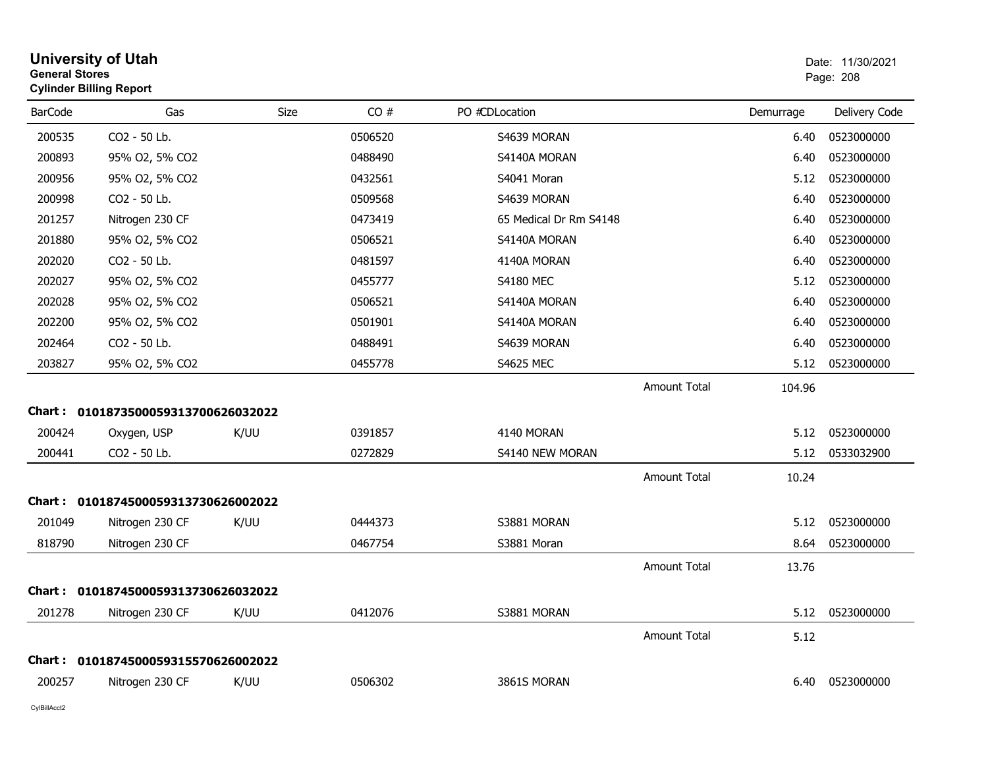|                | <b>University of Utah</b><br><b>General Stores</b><br><b>Cylinder Billing Report</b> |      |         |                        |                     |           |               |
|----------------|--------------------------------------------------------------------------------------|------|---------|------------------------|---------------------|-----------|---------------|
| <b>BarCode</b> | Gas                                                                                  | Size | CO#     | PO #CDLocation         |                     | Demurrage | Delivery Code |
| 200535         | CO2 - 50 Lb.                                                                         |      | 0506520 | S4639 MORAN            |                     | 6.40      | 0523000000    |
| 200893         | 95% O2, 5% CO2                                                                       |      | 0488490 | S4140A MORAN           |                     | 6.40      | 0523000000    |
| 200956         | 95% O2, 5% CO2                                                                       |      | 0432561 | S4041 Moran            |                     | 5.12      | 0523000000    |
| 200998         | CO2 - 50 Lb.                                                                         |      | 0509568 | S4639 MORAN            |                     | 6.40      | 0523000000    |
| 201257         | Nitrogen 230 CF                                                                      |      | 0473419 | 65 Medical Dr Rm S4148 |                     | 6.40      | 0523000000    |
| 201880         | 95% O2, 5% CO2                                                                       |      | 0506521 | S4140A MORAN           |                     | 6.40      | 0523000000    |
| 202020         | CO <sub>2</sub> - 50 Lb.                                                             |      | 0481597 | 4140A MORAN            |                     | 6.40      | 0523000000    |
| 202027         | 95% O2, 5% CO2                                                                       |      | 0455777 | <b>S4180 MEC</b>       |                     | 5.12      | 0523000000    |
| 202028         | 95% O2, 5% CO2                                                                       |      | 0506521 | S4140A MORAN           |                     | 6.40      | 0523000000    |
| 202200         | 95% O2, 5% CO2                                                                       |      | 0501901 | S4140A MORAN           |                     | 6.40      | 0523000000    |
| 202464         | CO2 - 50 Lb.                                                                         |      | 0488491 | S4639 MORAN            |                     | 6.40      | 0523000000    |
| 203827         | 95% O2, 5% CO2                                                                       |      | 0455778 | <b>S4625 MEC</b>       |                     | 5.12      | 0523000000    |
|                |                                                                                      |      |         |                        | <b>Amount Total</b> | 104.96    |               |
| Chart :        | 0101873500059313700626032022                                                         |      |         |                        |                     |           |               |
| 200424         | Oxygen, USP                                                                          | K/UU | 0391857 | 4140 MORAN             |                     | 5.12      | 0523000000    |
| 200441         | CO2 - 50 Lb.                                                                         |      | 0272829 | S4140 NEW MORAN        |                     | 5.12      | 0533032900    |
|                |                                                                                      |      |         |                        | <b>Amount Total</b> | 10.24     |               |
| <b>Chart :</b> | 0101874500059313730626002022                                                         |      |         |                        |                     |           |               |
| 201049         | Nitrogen 230 CF                                                                      | K/UU | 0444373 | S3881 MORAN            |                     | 5.12      | 0523000000    |
| 818790         | Nitrogen 230 CF                                                                      |      | 0467754 | S3881 Moran            |                     | 8.64      | 0523000000    |
|                |                                                                                      |      |         |                        | <b>Amount Total</b> | 13.76     |               |
| Chart :        | 0101874500059313730626032022                                                         |      |         |                        |                     |           |               |
| 201278         | Nitrogen 230 CF                                                                      | K/UU | 0412076 | S3881 MORAN            |                     | 5.12      | 0523000000    |
|                |                                                                                      |      |         |                        | <b>Amount Total</b> | 5.12      |               |
| Chart :        | 0101874500059315570626002022                                                         |      |         |                        |                     |           |               |
| 200257         | Nitrogen 230 CF                                                                      | K/UU | 0506302 | 3861S MORAN            |                     | 6.40      | 0523000000    |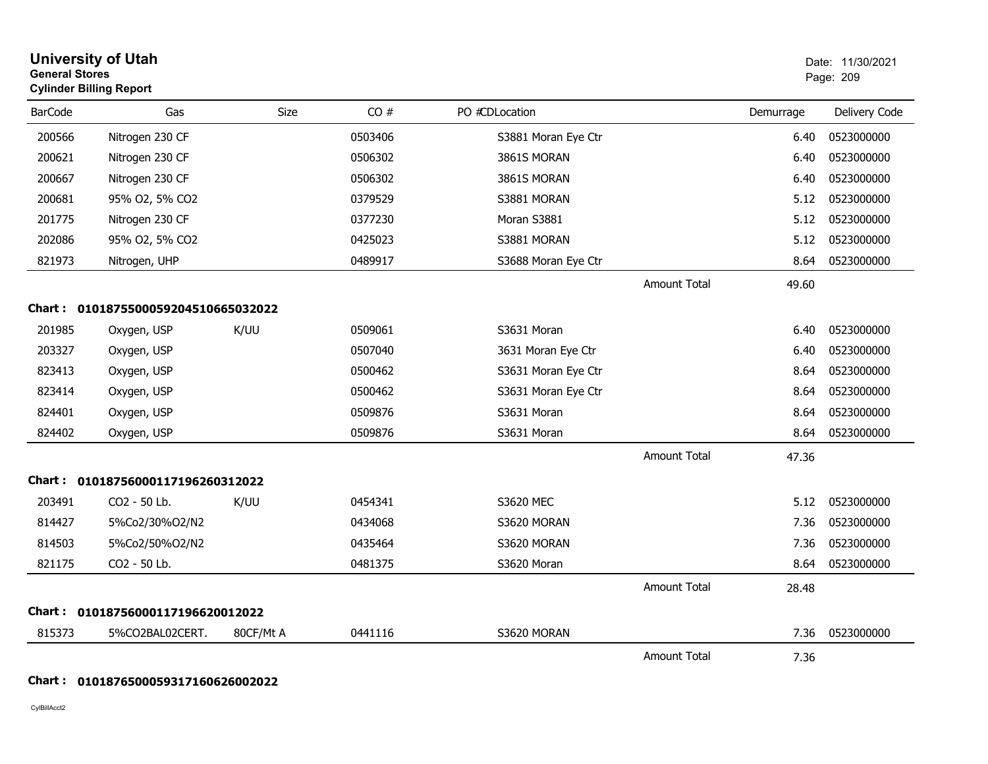|                | <b>University of Utah</b><br><b>General Stores</b><br><b>Cylinder Billing Report</b> |           |         |                     |                     |           | Date: 11/30/2021<br>Page: 209 |  |
|----------------|--------------------------------------------------------------------------------------|-----------|---------|---------------------|---------------------|-----------|-------------------------------|--|
| <b>BarCode</b> | Gas                                                                                  | Size      | CO#     | PO #CDLocation      |                     | Demurrage | Delivery Code                 |  |
| 200566         | Nitrogen 230 CF                                                                      |           | 0503406 | S3881 Moran Eye Ctr |                     | 6.40      | 0523000000                    |  |
| 200621         | Nitrogen 230 CF                                                                      |           | 0506302 | 3861S MORAN         |                     | 6.40      | 0523000000                    |  |
| 200667         | Nitrogen 230 CF                                                                      |           | 0506302 | 3861S MORAN         |                     | 6.40      | 0523000000                    |  |
| 200681         | 95% O2, 5% CO2                                                                       |           | 0379529 | S3881 MORAN         |                     | 5.12      | 0523000000                    |  |
| 201775         | Nitrogen 230 CF                                                                      |           | 0377230 | Moran S3881         |                     | 5.12      | 0523000000                    |  |
| 202086         | 95% O2, 5% CO2                                                                       |           | 0425023 | S3881 MORAN         |                     | 5.12      | 0523000000                    |  |
| 821973         | Nitrogen, UHP                                                                        |           | 0489917 | S3688 Moran Eye Ctr |                     | 8.64      | 0523000000                    |  |
|                |                                                                                      |           |         |                     | <b>Amount Total</b> | 49.60     |                               |  |
|                | Chart: 0101875500059204510665032022                                                  |           |         |                     |                     |           |                               |  |
| 201985         | Oxygen, USP                                                                          | K/UU      | 0509061 | S3631 Moran         |                     | 6.40      | 0523000000                    |  |
| 203327         | Oxygen, USP                                                                          |           | 0507040 | 3631 Moran Eye Ctr  |                     | 6.40      | 0523000000                    |  |
| 823413         | Oxygen, USP                                                                          |           | 0500462 | S3631 Moran Eye Ctr |                     | 8.64      | 0523000000                    |  |
| 823414         | Oxygen, USP                                                                          |           | 0500462 | S3631 Moran Eye Ctr |                     | 8.64      | 0523000000                    |  |
| 824401         | Oxygen, USP                                                                          |           | 0509876 | S3631 Moran         |                     | 8.64      | 0523000000                    |  |
| 824402         | Oxygen, USP                                                                          |           | 0509876 | S3631 Moran         |                     | 8.64      | 0523000000                    |  |
|                |                                                                                      |           |         |                     | <b>Amount Total</b> | 47.36     |                               |  |
|                | Chart: 01018756000117196260312022                                                    |           |         |                     |                     |           |                               |  |
| 203491         | CO2 - 50 Lb.                                                                         | K/UU      | 0454341 | S3620 MEC           |                     | 5.12      | 0523000000                    |  |
| 814427         | 5%Co2/30%O2/N2                                                                       |           | 0434068 | S3620 MORAN         |                     | 7.36      | 0523000000                    |  |
| 814503         | 5%Co2/50%O2/N2                                                                       |           | 0435464 | S3620 MORAN         |                     | 7.36      | 0523000000                    |  |
| 821175         | CO2 - 50 Lb.                                                                         |           | 0481375 | S3620 Moran         |                     | 8.64      | 0523000000                    |  |
|                |                                                                                      |           |         |                     | <b>Amount Total</b> | 28.48     |                               |  |
|                | Chart: 01018756000117196620012022                                                    |           |         |                     |                     |           |                               |  |
| 815373         | 5%CO2BAL02CERT.                                                                      | 80CF/Mt A | 0441116 | S3620 MORAN         |                     | 7.36      | 0523000000                    |  |
|                |                                                                                      |           |         |                     | <b>Amount Total</b> | 7.36      |                               |  |

#### **Chart : 0101876500059317160626002022**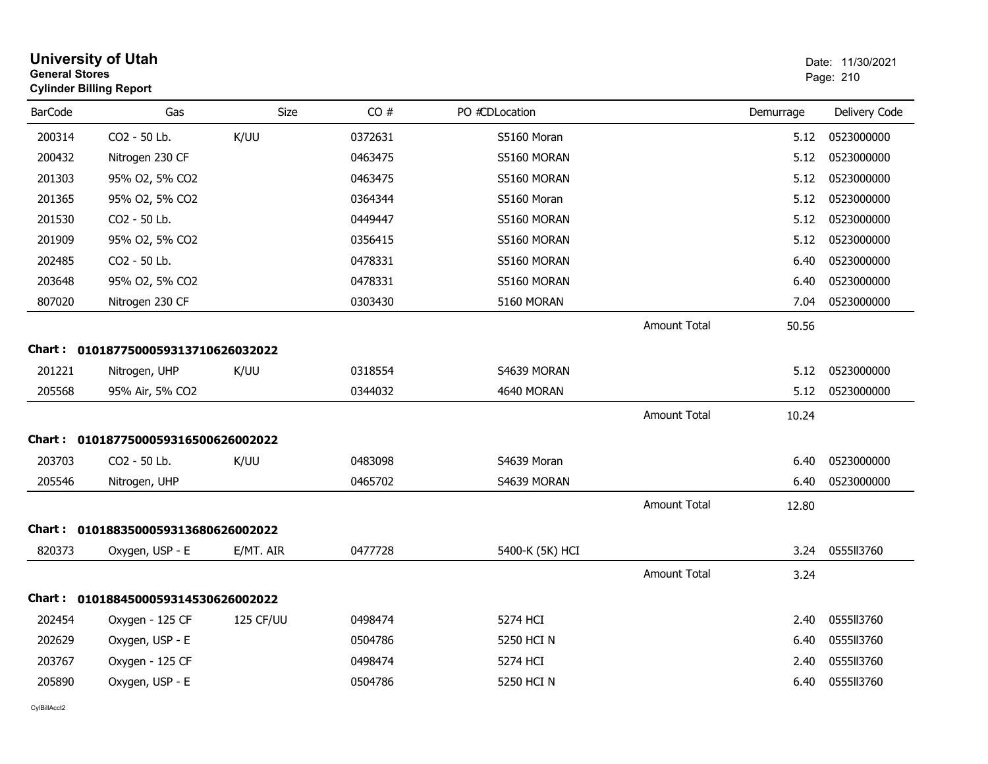| <b>General Stores</b> | <b>University of Utah</b><br><b>Cylinder Billing Report</b> |           |         |                 |                     |           | Date: 11/30/2021<br>Page: 210 |
|-----------------------|-------------------------------------------------------------|-----------|---------|-----------------|---------------------|-----------|-------------------------------|
| <b>BarCode</b>        | Gas                                                         | Size      | CO#     | PO #CDLocation  |                     | Demurrage | Delivery Code                 |
| 200314                | CO2 - 50 Lb.                                                | K/UU      | 0372631 | S5160 Moran     |                     | 5.12      | 0523000000                    |
| 200432                | Nitrogen 230 CF                                             |           | 0463475 | S5160 MORAN     |                     | 5.12      | 0523000000                    |
| 201303                | 95% O2, 5% CO2                                              |           | 0463475 | S5160 MORAN     |                     | 5.12      | 0523000000                    |
| 201365                | 95% O2, 5% CO2                                              |           | 0364344 | S5160 Moran     |                     | 5.12      | 0523000000                    |
| 201530                | CO2 - 50 Lb.                                                |           | 0449447 | S5160 MORAN     |                     | 5.12      | 0523000000                    |
| 201909                | 95% O2, 5% CO2                                              |           | 0356415 | S5160 MORAN     |                     | 5.12      | 0523000000                    |
| 202485                | CO2 - 50 Lb.                                                |           | 0478331 | S5160 MORAN     |                     | 6.40      | 0523000000                    |
| 203648                | 95% O2, 5% CO2                                              |           | 0478331 | S5160 MORAN     |                     | 6.40      | 0523000000                    |
| 807020                | Nitrogen 230 CF                                             |           | 0303430 | 5160 MORAN      |                     | 7.04      | 0523000000                    |
|                       |                                                             |           |         |                 | <b>Amount Total</b> | 50.56     |                               |
|                       | Chart: 0101877500059313710626032022                         |           |         |                 |                     |           |                               |
| 201221                | Nitrogen, UHP                                               | K/UU      | 0318554 | S4639 MORAN     |                     | 5.12      | 0523000000                    |
| 205568                | 95% Air, 5% CO2                                             |           | 0344032 | 4640 MORAN      |                     | 5.12      | 0523000000                    |
|                       |                                                             |           |         |                 | <b>Amount Total</b> | 10.24     |                               |
|                       | Chart: 0101877500059316500626002022                         |           |         |                 |                     |           |                               |
| 203703                | CO2 - 50 Lb.                                                | K/UU      | 0483098 | S4639 Moran     |                     | 6.40      | 0523000000                    |
| 205546                | Nitrogen, UHP                                               |           | 0465702 | S4639 MORAN     |                     | 6.40      | 0523000000                    |
|                       |                                                             |           |         |                 | <b>Amount Total</b> | 12.80     |                               |
|                       | Chart: 0101883500059313680626002022                         |           |         |                 |                     |           |                               |
| 820373                | Oxygen, USP - E                                             | E/MT. AIR | 0477728 | 5400-K (5K) HCI |                     | 3.24      | 0555II3760                    |
|                       |                                                             |           |         |                 | <b>Amount Total</b> | 3.24      |                               |
|                       | Chart: 0101884500059314530626002022                         |           |         |                 |                     |           |                               |
| 202454                | Oxygen - 125 CF                                             | 125 CF/UU | 0498474 | 5274 HCI        |                     | 2.40      | 0555II3760                    |
| 202629                | Oxygen, USP - E                                             |           | 0504786 | 5250 HCI N      |                     | 6.40      | 055513760                     |
| 203767                | Oxygen - 125 CF                                             |           | 0498474 | 5274 HCI        |                     | 2.40      | 0555113760                    |
| 205890                | Oxygen, USP - E                                             |           | 0504786 | 5250 HCI N      |                     | 6.40      | 0555113760                    |
|                       |                                                             |           |         |                 |                     |           |                               |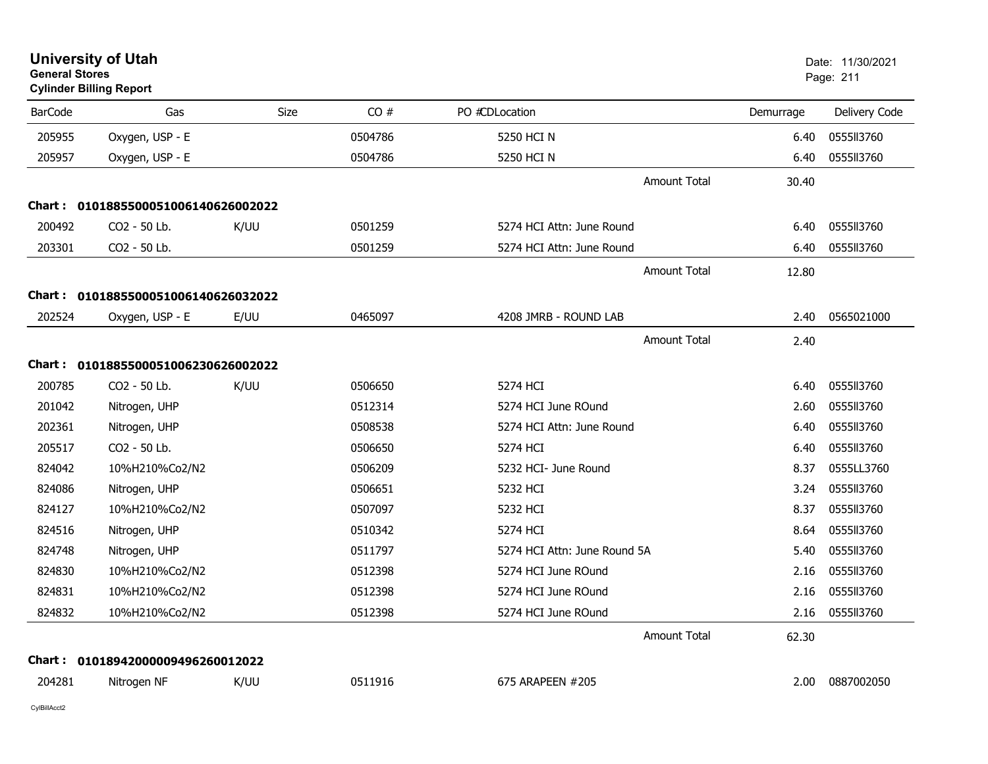|                | <b>University of Utah</b><br><b>General Stores</b><br><b>Cylinder Billing Report</b> |      |         |                              | Date: 11/30/2021<br>Page: 211 |               |
|----------------|--------------------------------------------------------------------------------------|------|---------|------------------------------|-------------------------------|---------------|
| <b>BarCode</b> | Gas                                                                                  | Size | CO#     | PO #CDLocation               | Demurrage                     | Delivery Code |
| 205955         | Oxygen, USP - E                                                                      |      | 0504786 | 5250 HCI N                   | 6.40                          | 0555113760    |
| 205957         | Oxygen, USP - E                                                                      |      | 0504786 | 5250 HCI N                   | 6.40                          | 0555113760    |
|                |                                                                                      |      |         | Amount Total                 | 30.40                         |               |
|                | Chart: 0101885500051006140626002022                                                  |      |         |                              |                               |               |
| 200492         | CO2 - 50 Lb.                                                                         | K/UU | 0501259 | 5274 HCI Attn: June Round    | 6.40                          | 0555113760    |
| 203301         | CO2 - 50 Lb.                                                                         |      | 0501259 | 5274 HCI Attn: June Round    | 6.40                          | 0555113760    |
|                |                                                                                      |      |         | Amount Total                 | 12.80                         |               |
|                | Chart: 0101885500051006140626032022                                                  |      |         |                              |                               |               |
| 202524         | Oxygen, USP - E                                                                      | E/UU | 0465097 | 4208 JMRB - ROUND LAB        | 2.40                          | 0565021000    |
|                |                                                                                      |      |         | Amount Total                 | 2.40                          |               |
|                | Chart: 0101885500051006230626002022                                                  |      |         |                              |                               |               |
| 200785         | CO2 - 50 Lb.                                                                         | K/UU | 0506650 | 5274 HCI                     | 6.40                          | 0555II3760    |
| 201042         | Nitrogen, UHP                                                                        |      | 0512314 | 5274 HCI June ROund          | 2.60                          | 0555113760    |
| 202361         | Nitrogen, UHP                                                                        |      | 0508538 | 5274 HCI Attn: June Round    | 6.40                          | 0555113760    |
| 205517         | CO2 - 50 Lb.                                                                         |      | 0506650 | 5274 HCI                     | 6.40                          | 0555113760    |
| 824042         | 10%H210%Co2/N2                                                                       |      | 0506209 | 5232 HCI- June Round         | 8.37                          | 0555LL3760    |
| 824086         | Nitrogen, UHP                                                                        |      | 0506651 | 5232 HCI                     | 3.24                          | 055513760     |
| 824127         | 10%H210%Co2/N2                                                                       |      | 0507097 | 5232 HCI                     | 8.37                          | 055513760     |
| 824516         | Nitrogen, UHP                                                                        |      | 0510342 | 5274 HCI                     | 8.64                          | 055513760     |
| 824748         | Nitrogen, UHP                                                                        |      | 0511797 | 5274 HCI Attn: June Round 5A | 5.40                          | 0555II3760    |
| 824830         | 10%H210%Co2/N2                                                                       |      | 0512398 | 5274 HCI June ROund          | 2.16                          | 0555II3760    |
| 824831         | 10%H210%Co2/N2                                                                       |      | 0512398 | 5274 HCI June ROund          | 2.16                          | 0555113760    |
| 824832         | 10%H210%Co2/N2                                                                       |      | 0512398 | 5274 HCI June ROund          | 2.16                          | 0555113760    |
|                |                                                                                      |      |         | Amount Total                 | 62.30                         |               |
| <b>Chart:</b>  | 01018942000009496260012022                                                           |      |         |                              |                               |               |
| 204281         | Nitrogen NF                                                                          | K/UU | 0511916 | 675 ARAPEEN #205             | 2.00                          | 0887002050    |
|                |                                                                                      |      |         |                              |                               |               |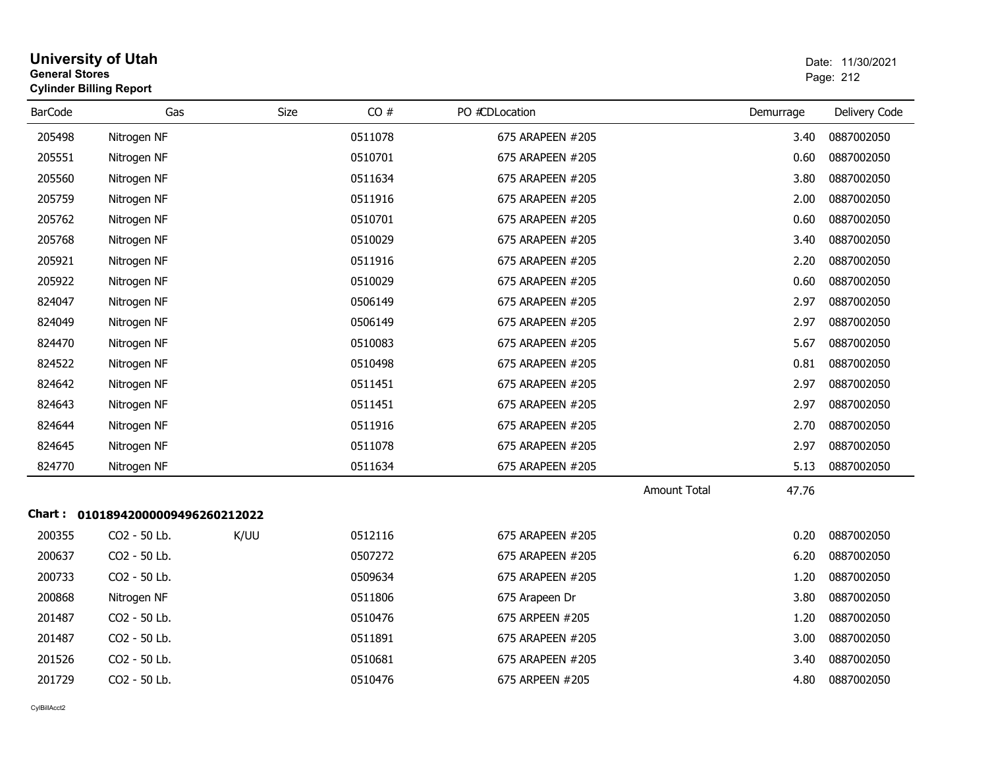|                | <b>University of Utah</b><br>Date: 11/30/2021<br><b>General Stores</b><br>Page: 212<br><b>Cylinder Billing Report</b> |             |         |                  |                     |           |               |  |
|----------------|-----------------------------------------------------------------------------------------------------------------------|-------------|---------|------------------|---------------------|-----------|---------------|--|
| <b>BarCode</b> | Gas                                                                                                                   | <b>Size</b> | CO#     | PO #CDLocation   |                     | Demurrage | Delivery Code |  |
| 205498         | Nitrogen NF                                                                                                           |             | 0511078 | 675 ARAPEEN #205 |                     | 3.40      | 0887002050    |  |
| 205551         | Nitrogen NF                                                                                                           |             | 0510701 | 675 ARAPEEN #205 |                     | 0.60      | 0887002050    |  |
| 205560         | Nitrogen NF                                                                                                           |             | 0511634 | 675 ARAPEEN #205 |                     | 3.80      | 0887002050    |  |
| 205759         | Nitrogen NF                                                                                                           |             | 0511916 | 675 ARAPEEN #205 |                     | 2.00      | 0887002050    |  |
| 205762         | Nitrogen NF                                                                                                           |             | 0510701 | 675 ARAPEEN #205 |                     | 0.60      | 0887002050    |  |
| 205768         | Nitrogen NF                                                                                                           |             | 0510029 | 675 ARAPEEN #205 |                     | 3.40      | 0887002050    |  |
| 205921         | Nitrogen NF                                                                                                           |             | 0511916 | 675 ARAPEEN #205 |                     | 2.20      | 0887002050    |  |
| 205922         | Nitrogen NF                                                                                                           |             | 0510029 | 675 ARAPEEN #205 |                     | 0.60      | 0887002050    |  |
| 824047         | Nitrogen NF                                                                                                           |             | 0506149 | 675 ARAPEEN #205 |                     | 2.97      | 0887002050    |  |
| 824049         | Nitrogen NF                                                                                                           |             | 0506149 | 675 ARAPEEN #205 |                     | 2.97      | 0887002050    |  |
| 824470         | Nitrogen NF                                                                                                           |             | 0510083 | 675 ARAPEEN #205 |                     | 5.67      | 0887002050    |  |
| 824522         | Nitrogen NF                                                                                                           |             | 0510498 | 675 ARAPEEN #205 |                     | 0.81      | 0887002050    |  |
| 824642         | Nitrogen NF                                                                                                           |             | 0511451 | 675 ARAPEEN #205 |                     | 2.97      | 0887002050    |  |
| 824643         | Nitrogen NF                                                                                                           |             | 0511451 | 675 ARAPEEN #205 |                     | 2.97      | 0887002050    |  |
| 824644         | Nitrogen NF                                                                                                           |             | 0511916 | 675 ARAPEEN #205 |                     | 2.70      | 0887002050    |  |
| 824645         | Nitrogen NF                                                                                                           |             | 0511078 | 675 ARAPEEN #205 |                     | 2.97      | 0887002050    |  |
| 824770         | Nitrogen NF                                                                                                           |             | 0511634 | 675 ARAPEEN #205 |                     | 5.13      | 0887002050    |  |
|                |                                                                                                                       |             |         |                  | <b>Amount Total</b> | 47.76     |               |  |
|                | Chart: 01018942000009496260212022                                                                                     |             |         |                  |                     |           |               |  |
| 200355         | CO2 - 50 Lb.                                                                                                          | K/UU        | 0512116 | 675 ARAPEEN #205 |                     | 0.20      | 0887002050    |  |
| 200637         | CO2 - 50 Lb.                                                                                                          |             | 0507272 | 675 ARAPEEN #205 |                     | 6.20      | 0887002050    |  |
| 200733         | CO2 - 50 Lb.                                                                                                          |             | 0509634 | 675 ARAPEEN #205 |                     | 1.20      | 0887002050    |  |
| 200868         | Nitrogen NF                                                                                                           |             | 0511806 | 675 Arapeen Dr   |                     | 3.80      | 0887002050    |  |
| 201487         | CO2 - 50 Lb.                                                                                                          |             | 0510476 | 675 ARPEEN #205  |                     | 1.20      | 0887002050    |  |
| 201487         | CO2 - 50 Lb.                                                                                                          |             | 0511891 | 675 ARAPEEN #205 |                     | 3.00      | 0887002050    |  |
| 201526         | CO2 - 50 Lb.                                                                                                          |             | 0510681 | 675 ARAPEEN #205 |                     | 3.40      | 0887002050    |  |
| 201729         | CO2 - 50 Lb.                                                                                                          |             | 0510476 | 675 ARPEEN #205  |                     | 4.80      | 0887002050    |  |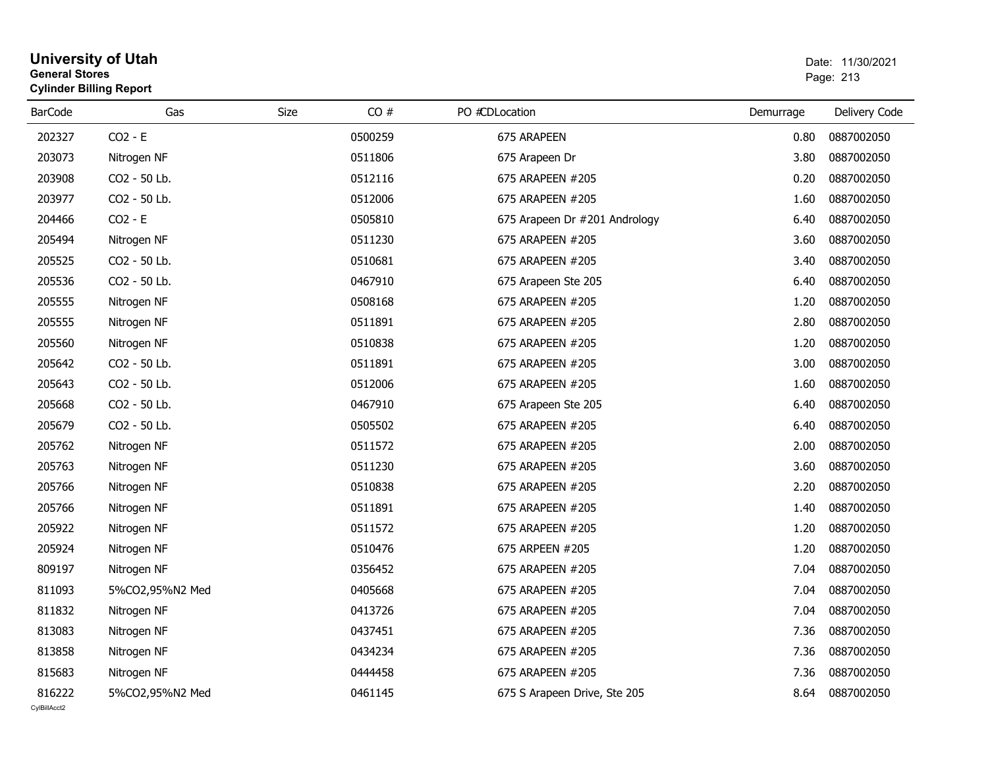| General Stores | <b>Cylinder Billing Report</b> |             | Page: 213 |                               |           |               |
|----------------|--------------------------------|-------------|-----------|-------------------------------|-----------|---------------|
| <b>BarCode</b> | Gas                            | <b>Size</b> | CO#       | PO #CDLocation                | Demurrage | Delivery Code |
| 202327         | $CO2 - E$                      |             | 0500259   | 675 ARAPEEN                   | 0.80      | 0887002050    |
| 203073         | Nitrogen NF                    |             | 0511806   | 675 Arapeen Dr                | 3.80      | 0887002050    |
| 203908         | CO <sub>2</sub> - 50 Lb.       |             | 0512116   | 675 ARAPEEN #205              | 0.20      | 0887002050    |
| 203977         | CO2 - 50 Lb.                   |             | 0512006   | 675 ARAPEEN #205              | 1.60      | 0887002050    |
| 204466         | $CO2 - E$                      |             | 0505810   | 675 Arapeen Dr #201 Andrology | 6.40      | 0887002050    |
| 205494         | Nitrogen NF                    |             | 0511230   | 675 ARAPEEN #205              | 3.60      | 0887002050    |
| 205525         | CO2 - 50 Lb.                   |             | 0510681   | 675 ARAPEEN #205              | 3.40      | 0887002050    |
| 205536         | CO2 - 50 Lb.                   |             | 0467910   | 675 Arapeen Ste 205           | 6.40      | 0887002050    |
| 205555         | Nitrogen NF                    |             | 0508168   | 675 ARAPEEN #205              | 1.20      | 0887002050    |
| 205555         | Nitrogen NF                    |             | 0511891   | 675 ARAPEEN #205              | 2.80      | 0887002050    |
| 205560         | Nitrogen NF                    |             | 0510838   | 675 ARAPEEN #205              | 1.20      | 0887002050    |
| 205642         | CO2 - 50 Lb.                   |             | 0511891   | 675 ARAPEEN #205              | 3.00      | 0887002050    |
| 205643         | CO2 - 50 Lb.                   |             | 0512006   | 675 ARAPEEN #205              | 1.60      | 0887002050    |
| 205668         | CO2 - 50 Lb.                   |             | 0467910   | 675 Arapeen Ste 205           | 6.40      | 0887002050    |
| 205679         | CO2 - 50 Lb.                   |             | 0505502   | 675 ARAPEEN #205              | 6.40      | 0887002050    |
| 205762         | Nitrogen NF                    |             | 0511572   | 675 ARAPEEN #205              | 2.00      | 0887002050    |
| 205763         | Nitrogen NF                    |             | 0511230   | 675 ARAPEEN #205              | 3.60      | 0887002050    |
| 205766         | Nitrogen NF                    |             | 0510838   | 675 ARAPEEN #205              | 2.20      | 0887002050    |
| 205766         | Nitrogen NF                    |             | 0511891   | 675 ARAPEEN #205              | 1.40      | 0887002050    |
| 205922         | Nitrogen NF                    |             | 0511572   | 675 ARAPEEN #205              | 1.20      | 0887002050    |
| 205924         | Nitrogen NF                    |             | 0510476   | 675 ARPEEN #205               | 1.20      | 0887002050    |
| 809197         | Nitrogen NF                    |             | 0356452   | 675 ARAPEEN #205              | 7.04      | 0887002050    |
| 811093         | 5%CO2,95%N2 Med                |             | 0405668   | 675 ARAPEEN #205              | 7.04      | 0887002050    |
| 811832         | Nitrogen NF                    |             | 0413726   | 675 ARAPEEN #205              | 7.04      | 0887002050    |
| 813083         | Nitrogen NF                    |             | 0437451   | 675 ARAPEEN #205              | 7.36      | 0887002050    |
| 813858         | Nitrogen NF                    |             | 0434234   | 675 ARAPEEN #205              | 7.36      | 0887002050    |
| 815683         | Nitrogen NF                    |             | 0444458   | 675 ARAPEEN #205              | 7.36      | 0887002050    |
| 816222         | 5%CO2,95%N2 Med                |             | 0461145   | 675 S Arapeen Drive, Ste 205  | 8.64      | 0887002050    |

# **University of Utah** Date: 11/30/2021 **General Stores**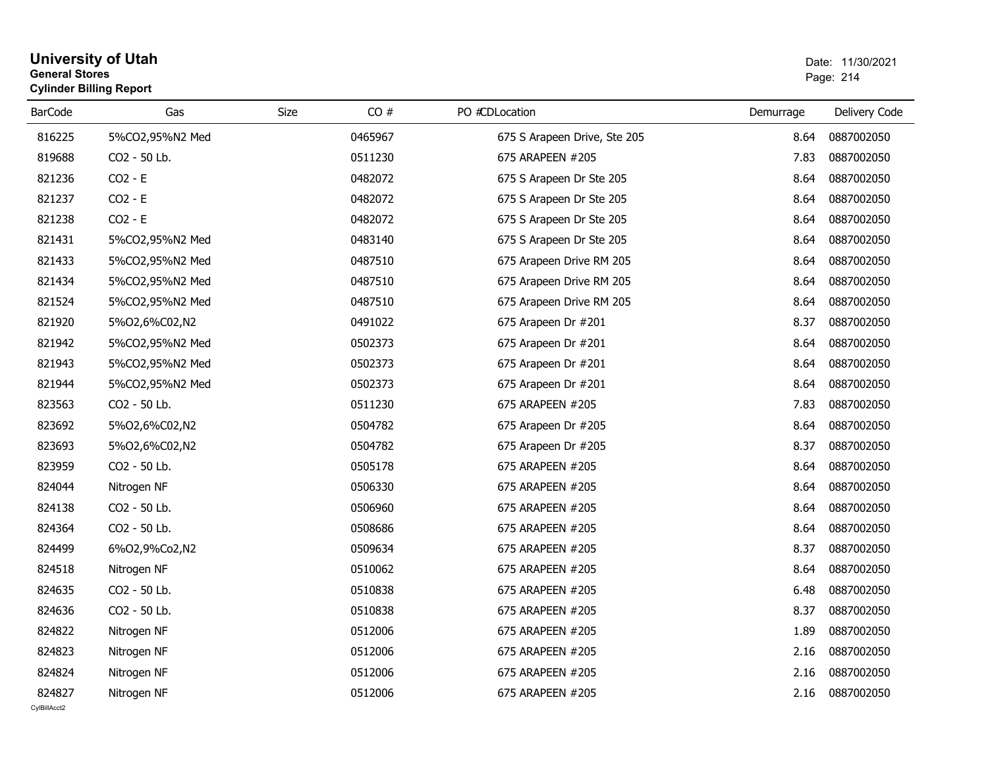#### **University of Utah**  Date: 11/30/2021 **General Stores**es and the contract of the contract of the contract of the contract of the contract of the contract of the contract of the contract of the contract of the contract of the contract of the contract of the contract of the con **Cylinder Billing Report** BarCode Gas Size CO # PO #CDLocation Demurrage Delivery Code 8162255%CO2,95%N2 Med 675 S Arapeen Drive, Ste 205 8.64 0887002050 819688 And CO2 - 50 Lb. 0511230 675 ARAPEEN #205 7.83 0887002050 821236 $CO2 - E$ 0482072 675 S Arapeen Dr Ste 205 8.64 0887002050 821237 $CO2 - E$ 0482072 675 S Arapeen Dr Ste 205 8.64 0887002050 821238 $CO2 - E$ 0482072 675 S Arapeen Dr Ste 205 8.64 0887002050 821431 And 5%CO2,95%N2 Med <sup>0483140</sup> 675 S Arapeen Dr Ste 205 8.64 <sup>0887002050</sup> 821433 And 5%CO2,95%N2 Med <sup>0487510</sup> 675 Arapeen Drive RM 205 8.64 <sup>0887002050</sup> 821434 And 5%CO2,95%N2 Med <sup>0487510</sup> 675 Arapeen Drive RM 205 8.64 <sup>0887002050</sup> 821524 And 5%CO2,95%N2 Med <sup>0487510</sup> 675 Arapeen Drive RM 205 8.64 <sup>0887002050</sup> 8219205%O2,6%C02,N2 0491022 0491022 675 Arapeen Dr #201 8.37 0887002050 8219425%CO2,95%N2 Med 0502373 0502373 675 Arapeen Dr #201 8.64 0887002050 8219435%CO2,95%N2 Med 0502373 0502373 675 Arapeen Dr #201 8.64 0887002050 8219445%CO2,95%N2 Med 0502373 0502373 675 Arapeen Dr #201 8.64 0887002050 823563 And CO2 - 50 Lb. 0511230 675 ARAPEEN #205 7.83 0887002050 823692 And 5%O2,6%C02,N2 <sup>0504782</sup> 675 Arapeen Dr #205 8.64 <sup>0887002050</sup> 823693823959

| 823692 | 5%02,6%C02,N2            | 0504782 | 675 Arapeen Dr #205 | 8.64 | 0887002050 |
|--------|--------------------------|---------|---------------------|------|------------|
| 823693 | 5%02,6%C02,N2            | 0504782 | 675 Arapeen Dr #205 | 8.37 | 0887002050 |
| 823959 | CO <sub>2</sub> - 50 Lb. | 0505178 | 675 ARAPEEN #205    | 8.64 | 0887002050 |
| 824044 | Nitrogen NF              | 0506330 | 675 ARAPEEN #205    | 8.64 | 0887002050 |
| 824138 | CO <sub>2</sub> - 50 Lb. | 0506960 | 675 ARAPEEN #205    | 8.64 | 0887002050 |
| 824364 | CO <sub>2</sub> - 50 Lb. | 0508686 | 675 ARAPEEN #205    | 8.64 | 0887002050 |
| 824499 | 6%02,9%Co2,N2            | 0509634 | 675 ARAPEEN #205    | 8.37 | 0887002050 |
| 824518 | Nitrogen NF              | 0510062 | 675 ARAPEEN #205    | 8.64 | 0887002050 |
| 824635 | CO <sub>2</sub> - 50 Lb. | 0510838 | 675 ARAPEEN #205    | 6.48 | 0887002050 |
| 824636 | CO <sub>2</sub> - 50 Lb. | 0510838 | 675 ARAPEEN #205    | 8.37 | 0887002050 |
| 824822 | Nitrogen NF              | 0512006 | 675 ARAPEEN #205    | 1.89 | 0887002050 |
| 824823 | Nitrogen NF              | 0512006 | 675 ARAPEEN #205    | 2.16 | 0887002050 |
| 824824 | Nitrogen NF              | 0512006 | 675 ARAPEEN #205    | 2.16 | 0887002050 |
| 824827 | Nitrogen NF              | 0512006 | 675 ARAPEEN #205    | 2.16 | 0887002050 |
|        |                          |         |                     |      |            |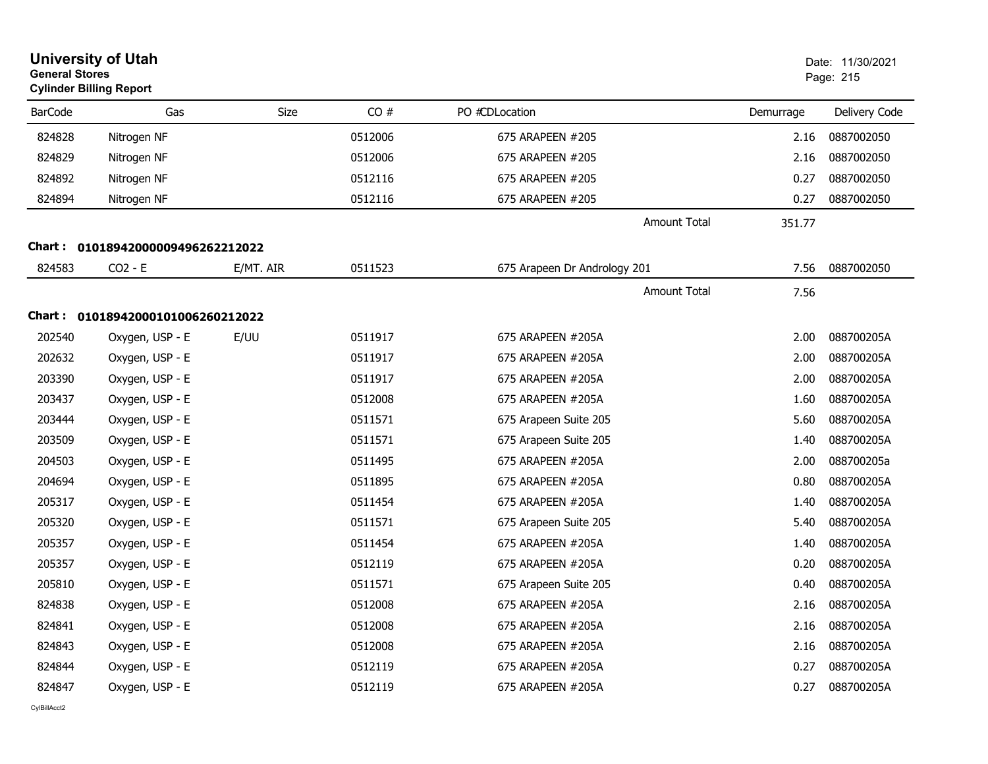| <b>General Stores</b> | <b>University of Utah</b><br><b>Cylinder Billing Report</b> |           | Date: 11/30/2021<br>Page: 215 |                              |           |               |
|-----------------------|-------------------------------------------------------------|-----------|-------------------------------|------------------------------|-----------|---------------|
| <b>BarCode</b>        | Gas                                                         | Size      | CO#                           | PO #CDLocation               | Demurrage | Delivery Code |
| 824828                | Nitrogen NF                                                 |           | 0512006                       | 675 ARAPEEN #205             | 2.16      | 0887002050    |
| 824829                | Nitrogen NF                                                 |           | 0512006                       | 675 ARAPEEN #205             | 2.16      | 0887002050    |
| 824892                | Nitrogen NF                                                 |           | 0512116                       | 675 ARAPEEN #205             | 0.27      | 0887002050    |
| 824894                | Nitrogen NF                                                 |           | 0512116                       | 675 ARAPEEN #205             | 0.27      | 0887002050    |
|                       |                                                             |           |                               | <b>Amount Total</b>          | 351.77    |               |
|                       | Chart: 01018942000009496262212022                           |           |                               |                              |           |               |
| 824583                | $CO2 - E$                                                   | E/MT. AIR | 0511523                       | 675 Arapeen Dr Andrology 201 | 7.56      | 0887002050    |
|                       |                                                             |           |                               | <b>Amount Total</b>          | 7.56      |               |
|                       | Chart: 01018942000101006260212022                           |           |                               |                              |           |               |
| 202540                | Oxygen, USP - E                                             | E/UU      | 0511917                       | 675 ARAPEEN #205A            | 2.00      | 088700205A    |
| 202632                | Oxygen, USP - E                                             |           | 0511917                       | 675 ARAPEEN #205A            | 2.00      | 088700205A    |
| 203390                | Oxygen, USP - E                                             |           | 0511917                       | 675 ARAPEEN #205A            | 2.00      | 088700205A    |
| 203437                | Oxygen, USP - E                                             |           | 0512008                       | 675 ARAPEEN #205A            | 1.60      | 088700205A    |
| 203444                | Oxygen, USP - E                                             |           | 0511571                       | 675 Arapeen Suite 205        | 5.60      | 088700205A    |
| 203509                | Oxygen, USP - E                                             |           | 0511571                       | 675 Arapeen Suite 205        | 1.40      | 088700205A    |
| 204503                | Oxygen, USP - E                                             |           | 0511495                       | 675 ARAPEEN #205A            | 2.00      | 088700205a    |
| 204694                | Oxygen, USP - E                                             |           | 0511895                       | 675 ARAPEEN #205A            | 0.80      | 088700205A    |
| 205317                | Oxygen, USP - E                                             |           | 0511454                       | 675 ARAPEEN #205A            | 1.40      | 088700205A    |
| 205320                | Oxygen, USP - E                                             |           | 0511571                       | 675 Arapeen Suite 205        | 5.40      | 088700205A    |
| 205357                | Oxygen, USP - E                                             |           | 0511454                       | 675 ARAPEEN #205A            | 1.40      | 088700205A    |
| 205357                | Oxygen, USP - E                                             |           | 0512119                       | 675 ARAPEEN #205A            | 0.20      | 088700205A    |
| 205810                | Oxygen, USP - E                                             |           | 0511571                       | 675 Arapeen Suite 205        | 0.40      | 088700205A    |
| 824838                | Oxygen, USP - E                                             |           | 0512008                       | 675 ARAPEEN #205A            | 2.16      | 088700205A    |
| 824841                | Oxygen, USP - E                                             |           | 0512008                       | 675 ARAPEEN #205A            | 2.16      | 088700205A    |
| 824843                | Oxygen, USP - E                                             |           | 0512008                       | 675 ARAPEEN #205A            | 2.16      | 088700205A    |
| 824844                | Oxygen, USP - E                                             |           | 0512119                       | 675 ARAPEEN #205A            | 0.27      | 088700205A    |
| 824847                | Oxygen, USP - E                                             |           | 0512119                       | 675 ARAPEEN #205A            | 0.27      | 088700205A    |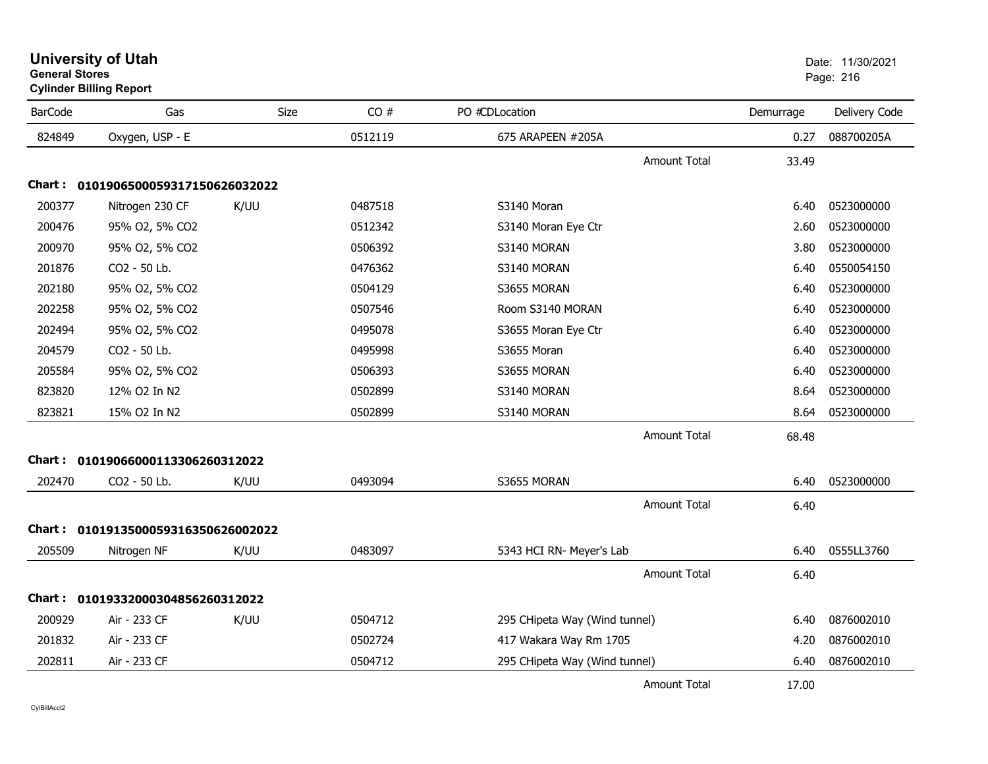| General Stores<br><b>Cylinder Billing Report</b> |                                     |             |         |                          |                     | Page: 216     |               |
|--------------------------------------------------|-------------------------------------|-------------|---------|--------------------------|---------------------|---------------|---------------|
| <b>BarCode</b>                                   | Gas                                 | <b>Size</b> | CO#     | PO #CDLocation           |                     | Demurrage     | Delivery Code |
| 824849                                           | Oxygen, USP - E                     |             | 0512119 | 675 ARAPEEN #205A        |                     | 0.27          | 088700205A    |
|                                                  |                                     |             |         |                          | <b>Amount Total</b> | 33.49         |               |
| <b>Chart :</b>                                   | 0101906500059317150626032022        |             |         |                          |                     |               |               |
| 200377                                           | Nitrogen 230 CF                     | K/UU        | 0487518 | S3140 Moran              |                     | 6.40          | 0523000000    |
| 200476                                           | 95% O2, 5% CO2                      |             | 0512342 | S3140 Moran Eye Ctr      |                     | 2.60          | 0523000000    |
| 200970                                           | 95% O2, 5% CO2                      |             | 0506392 | S3140 MORAN              |                     | 3.80          | 0523000000    |
| 201876                                           | CO2 - 50 Lb.                        |             | 0476362 | S3140 MORAN              |                     | 6.40          | 0550054150    |
| 202180                                           | 95% O2, 5% CO2                      |             | 0504129 | S3655 MORAN              |                     | 6.40          | 0523000000    |
| 202258                                           | 95% O2, 5% CO2                      |             | 0507546 | Room S3140 MORAN         |                     | 6.40          | 0523000000    |
| 202494                                           | 95% O2, 5% CO2                      |             | 0495078 | S3655 Moran Eye Ctr      |                     | 6.40          | 0523000000    |
| 204579                                           | CO2 - 50 Lb.                        |             | 0495998 | S3655 Moran              |                     | 6.40          | 0523000000    |
| 205584                                           | 95% O2, 5% CO2                      |             | 0506393 | S3655 MORAN              |                     | 6.40          | 0523000000    |
| 823820                                           | 12% O2 In N2                        |             | 0502899 | S3140 MORAN              |                     | 8.64          | 0523000000    |
| 823821                                           | 15% O2 In N2                        |             | 0502899 | S3140 MORAN              |                     | 8.64          | 0523000000    |
|                                                  |                                     |             |         |                          | <b>Amount Total</b> | 68.48         |               |
|                                                  | Chart: 01019066000113306260312022   |             |         |                          |                     |               |               |
| 202470                                           | CO2 - 50 Lb.                        | K/UU        | 0493094 | S3655 MORAN              |                     | 6.40          | 0523000000    |
|                                                  |                                     |             |         |                          | <b>Amount Total</b> | 6.40          |               |
|                                                  | Chart: 0101913500059316350626002022 |             |         |                          |                     |               |               |
| 205509                                           | Nitrogen NF                         | K/UU        | 0483097 | 5343 HCI RN- Meyer's Lab |                     | 6.40          | 0555LL3760    |
|                                                  |                                     |             |         |                          | $A$ mount $T$ otal  | $\sim$ $\sim$ |               |

# **University of Utah** Date: 11/30/2021 **General Stores**

|              | UIUISUOSUUUSSJI/ISUOZOUSZUZZ        |      |         |                               |       |            |
|--------------|-------------------------------------|------|---------|-------------------------------|-------|------------|
| 200377       | Nitrogen 230 CF                     | K/UU | 0487518 | S3140 Moran                   | 6.40  | 0523000000 |
| 200476       | 95% O2, 5% CO2                      |      | 0512342 | S3140 Moran Eye Ctr           | 2.60  | 0523000000 |
| 200970       | 95% O2, 5% CO2                      |      | 0506392 | S3140 MORAN                   | 3.80  | 0523000000 |
| 201876       | CO2 - 50 Lb.                        |      | 0476362 | S3140 MORAN                   | 6.40  | 0550054150 |
| 202180       | 95% O2, 5% CO2                      |      | 0504129 | S3655 MORAN                   | 6.40  | 0523000000 |
| 202258       | 95% O2, 5% CO2                      |      | 0507546 | Room S3140 MORAN              | 6.40  | 0523000000 |
| 202494       | 95% O2, 5% CO2                      |      | 0495078 | S3655 Moran Eye Ctr           | 6.40  | 0523000000 |
| 204579       | CO2 - 50 Lb.                        |      | 0495998 | S3655 Moran                   | 6.40  | 0523000000 |
| 205584       | 95% O2, 5% CO2                      |      | 0506393 | S3655 MORAN                   | 6.40  | 0523000000 |
| 823820       | 12% O2 In N2                        |      | 0502899 | S3140 MORAN                   | 8.64  | 0523000000 |
| 823821       | 15% O2 In N2                        |      | 0502899 | S3140 MORAN                   | 8.64  | 0523000000 |
|              |                                     |      |         | Amount Total                  | 68.48 |            |
| Chart :      | 01019066000113306260312022          |      |         |                               |       |            |
| 202470       | CO2 - 50 Lb.                        | K/UU | 0493094 | S3655 MORAN                   | 6.40  | 0523000000 |
|              |                                     |      |         | <b>Amount Total</b>           | 6.40  |            |
|              | Chart: 0101913500059316350626002022 |      |         |                               |       |            |
| 205509       | Nitrogen NF                         | K/UU | 0483097 | 5343 HCI RN- Meyer's Lab      | 6.40  | 0555LL3760 |
|              |                                     |      |         | <b>Amount Total</b>           | 6.40  |            |
| Chart :      | 01019332000304856260312022          |      |         |                               |       |            |
| 200929       | Air - 233 CF                        | K/UU | 0504712 | 295 CHipeta Way (Wind tunnel) | 6.40  | 0876002010 |
| 201832       | Air - 233 CF                        |      | 0502724 | 417 Wakara Way Rm 1705        | 4.20  | 0876002010 |
| 202811       | Air - 233 CF                        |      | 0504712 | 295 CHipeta Way (Wind tunnel) | 6.40  | 0876002010 |
|              |                                     |      |         | <b>Amount Total</b>           | 17.00 |            |
| CylBillAcct2 |                                     |      |         |                               |       |            |
|              |                                     |      |         |                               |       |            |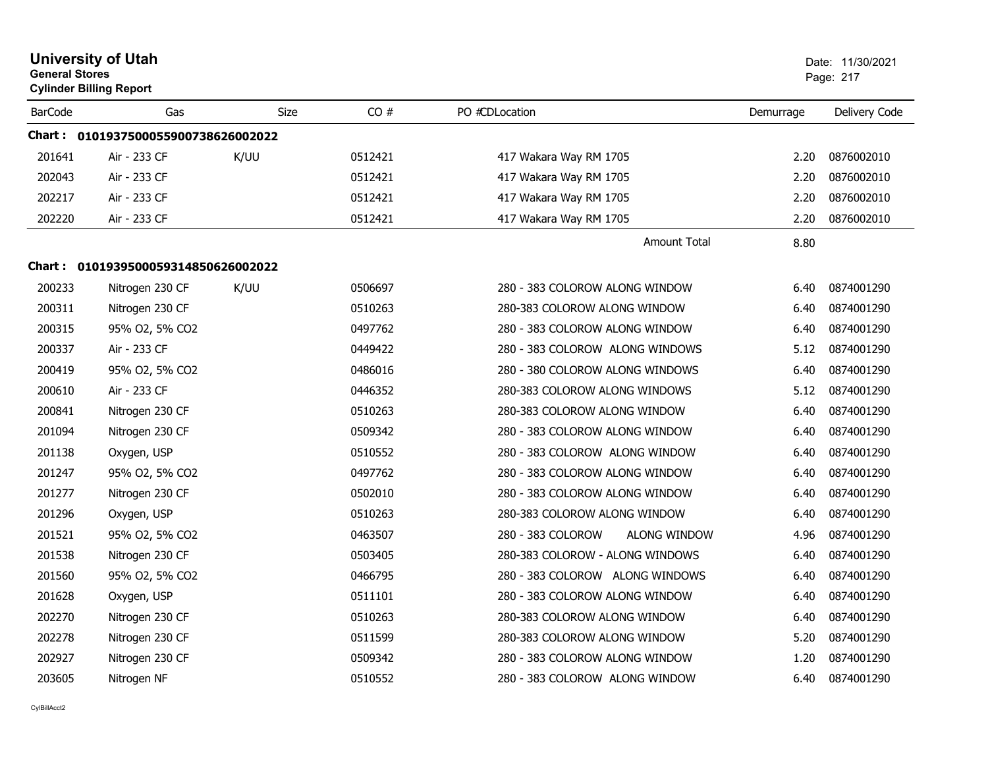| <b>General Stores</b> | <b>University of Utah</b><br><b>Cylinder Billing Report</b> |             |         |                                          |           | Date: 11/30/2021<br>Page: 217 |
|-----------------------|-------------------------------------------------------------|-------------|---------|------------------------------------------|-----------|-------------------------------|
| <b>BarCode</b>        | Gas                                                         | <b>Size</b> | CO#     | PO #CDLocation                           | Demurrage | Delivery Code                 |
|                       | Chart: 0101937500055900738626002022                         |             |         |                                          |           |                               |
| 201641                | Air - 233 CF                                                | K/UU        | 0512421 | 417 Wakara Way RM 1705                   | 2.20      | 0876002010                    |
| 202043                | Air - 233 CF                                                |             | 0512421 | 417 Wakara Way RM 1705                   | 2.20      | 0876002010                    |
| 202217                | Air - 233 CF                                                |             | 0512421 | 417 Wakara Way RM 1705                   | 2.20      | 0876002010                    |
| 202220                | Air - 233 CF                                                |             | 0512421 | 417 Wakara Way RM 1705                   | 2.20      | 0876002010                    |
|                       |                                                             |             |         | <b>Amount Total</b>                      | 8.80      |                               |
|                       | Chart: 0101939500059314850626002022                         |             |         |                                          |           |                               |
| 200233                | Nitrogen 230 CF                                             | K/UU        | 0506697 | 280 - 383 COLOROW ALONG WINDOW           | 6.40      | 0874001290                    |
| 200311                | Nitrogen 230 CF                                             |             | 0510263 | 280-383 COLOROW ALONG WINDOW             | 6.40      | 0874001290                    |
| 200315                | 95% O2, 5% CO2                                              |             | 0497762 | 280 - 383 COLOROW ALONG WINDOW           | 6.40      | 0874001290                    |
| 200337                | Air - 233 CF                                                |             | 0449422 | 280 - 383 COLOROW ALONG WINDOWS          | 5.12      | 0874001290                    |
| 200419                | 95% O2, 5% CO2                                              |             | 0486016 | 280 - 380 COLOROW ALONG WINDOWS          | 6.40      | 0874001290                    |
| 200610                | Air - 233 CF                                                |             | 0446352 | 280-383 COLOROW ALONG WINDOWS            | 5.12      | 0874001290                    |
| 200841                | Nitrogen 230 CF                                             |             | 0510263 | 280-383 COLOROW ALONG WINDOW             | 6.40      | 0874001290                    |
| 201094                | Nitrogen 230 CF                                             |             | 0509342 | 280 - 383 COLOROW ALONG WINDOW           | 6.40      | 0874001290                    |
| 201138                | Oxygen, USP                                                 |             | 0510552 | 280 - 383 COLOROW ALONG WINDOW           | 6.40      | 0874001290                    |
| 201247                | 95% O2, 5% CO2                                              |             | 0497762 | 280 - 383 COLOROW ALONG WINDOW           | 6.40      | 0874001290                    |
| 201277                | Nitrogen 230 CF                                             |             | 0502010 | 280 - 383 COLOROW ALONG WINDOW           | 6.40      | 0874001290                    |
| 201296                | Oxygen, USP                                                 |             | 0510263 | 280-383 COLOROW ALONG WINDOW             | 6.40      | 0874001290                    |
| 201521                | 95% O2, 5% CO2                                              |             | 0463507 | 280 - 383 COLOROW<br><b>ALONG WINDOW</b> | 4.96      | 0874001290                    |
| 201538                | Nitrogen 230 CF                                             |             | 0503405 | 280-383 COLOROW - ALONG WINDOWS          | 6.40      | 0874001290                    |
| 201560                | 95% O2, 5% CO2                                              |             | 0466795 | 280 - 383 COLOROW ALONG WINDOWS          | 6.40      | 0874001290                    |
| 201628                | Oxygen, USP                                                 |             | 0511101 | 280 - 383 COLOROW ALONG WINDOW           | 6.40      | 0874001290                    |
| 202270                | Nitrogen 230 CF                                             |             | 0510263 | 280-383 COLOROW ALONG WINDOW             | 6.40      | 0874001290                    |
| 202278                | Nitrogen 230 CF                                             |             | 0511599 | 280-383 COLOROW ALONG WINDOW             | 5.20      | 0874001290                    |
| 202927                | Nitrogen 230 CF                                             |             | 0509342 | 280 - 383 COLOROW ALONG WINDOW           | 1.20      | 0874001290                    |
| 203605                | Nitrogen NF                                                 |             | 0510552 | 280 - 383 COLOROW ALONG WINDOW           | 6.40      | 0874001290                    |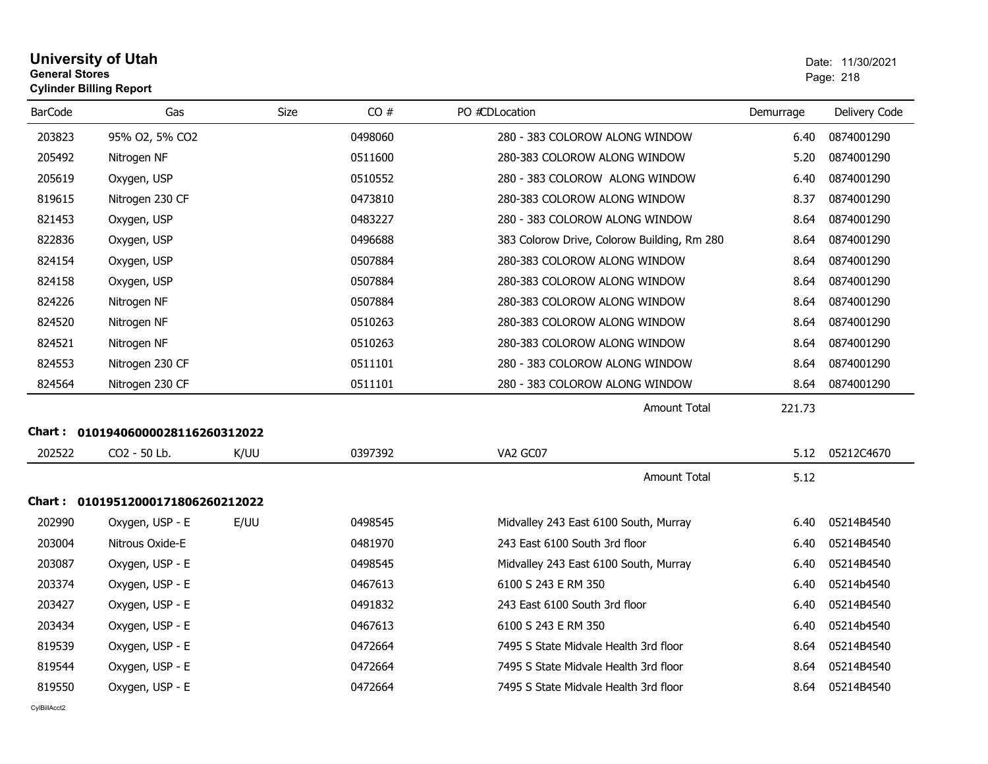| <b>University of Utah</b>      | Date: 11/ |
|--------------------------------|-----------|
| <b>General Stores</b>          | Page: 218 |
| <b>Cylinder Billing Report</b> |           |

| <b>BarCode</b> | Gas                               | <b>Size</b> | CO#     | PO #CDLocation                              | Demurrage | Delivery Code |
|----------------|-----------------------------------|-------------|---------|---------------------------------------------|-----------|---------------|
| 203823         | 95% O2, 5% CO2                    |             | 0498060 | 280 - 383 COLOROW ALONG WINDOW              | 6.40      | 0874001290    |
| 205492         | Nitrogen NF                       |             | 0511600 | 280-383 COLOROW ALONG WINDOW                | 5.20      | 0874001290    |
| 205619         | Oxygen, USP                       |             | 0510552 | 280 - 383 COLOROW ALONG WINDOW              | 6.40      | 0874001290    |
| 819615         | Nitrogen 230 CF                   |             | 0473810 | 280-383 COLOROW ALONG WINDOW                | 8.37      | 0874001290    |
| 821453         | Oxygen, USP                       |             | 0483227 | 280 - 383 COLOROW ALONG WINDOW              | 8.64      | 0874001290    |
| 822836         | Oxygen, USP                       |             | 0496688 | 383 Colorow Drive, Colorow Building, Rm 280 | 8.64      | 0874001290    |
| 824154         | Oxygen, USP                       |             | 0507884 | 280-383 COLOROW ALONG WINDOW                | 8.64      | 0874001290    |
| 824158         | Oxygen, USP                       |             | 0507884 | 280-383 COLOROW ALONG WINDOW                | 8.64      | 0874001290    |
| 824226         | Nitrogen NF                       |             | 0507884 | 280-383 COLOROW ALONG WINDOW                | 8.64      | 0874001290    |
| 824520         | Nitrogen NF                       |             | 0510263 | 280-383 COLOROW ALONG WINDOW                | 8.64      | 0874001290    |
| 824521         | Nitrogen NF                       |             | 0510263 | 280-383 COLOROW ALONG WINDOW                | 8.64      | 0874001290    |
| 824553         | Nitrogen 230 CF                   |             | 0511101 | 280 - 383 COLOROW ALONG WINDOW              | 8.64      | 0874001290    |
| 824564         | Nitrogen 230 CF                   |             | 0511101 | 280 - 383 COLOROW ALONG WINDOW              | 8.64      | 0874001290    |
|                |                                   |             |         | <b>Amount Total</b>                         | 221.73    |               |
| <b>Chart:</b>  | 01019406000028116260312022        |             |         |                                             |           |               |
| 202522         | CO2 - 50 Lb.                      | K/UU        | 0397392 | VA2 GC07                                    | 5.12      | 05212C4670    |
|                |                                   |             |         | <b>Amount Total</b>                         | 5.12      |               |
|                | Chart: 01019512000171806260212022 |             |         |                                             |           |               |
| 202990         | Oxygen, USP - E                   | E/UU        | 0498545 | Midvalley 243 East 6100 South, Murray       | 6.40      | 05214B4540    |
| 203004         | Nitrous Oxide-E                   |             | 0481970 | 243 East 6100 South 3rd floor               | 6.40      | 05214B4540    |
| 203087         | Oxygen, USP - E                   |             | 0498545 | Midvalley 243 East 6100 South, Murray       | 6.40      | 05214B4540    |
| 203374         | Oxygen, USP - E                   |             | 0467613 | 6100 S 243 E RM 350                         | 6.40      | 05214b4540    |
| 203427         | Oxygen, USP - E                   |             | 0491832 | 243 East 6100 South 3rd floor               | 6.40      | 05214B4540    |
| 203434         | Oxygen, USP - E                   |             | 0467613 | 6100 S 243 E RM 350                         | 6.40      | 05214b4540    |
| 819539         | Oxygen, USP - E                   |             | 0472664 | 7495 S State Midvale Health 3rd floor       | 8.64      | 05214B4540    |
| 819544         | Oxygen, USP - E                   |             | 0472664 | 7495 S State Midvale Health 3rd floor       | 8.64      | 05214B4540    |
| 819550         | Oxygen, USP - E                   |             | 0472664 | 7495 S State Midvale Health 3rd floor       | 8.64      | 05214B4540    |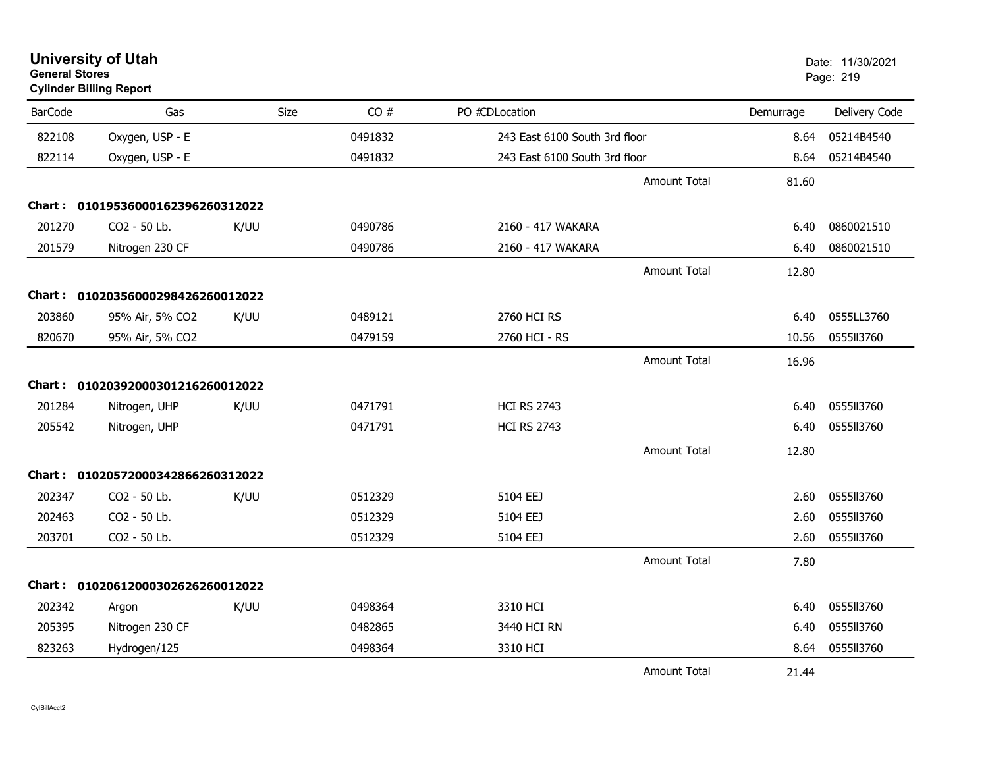| <b>General Stores</b> | <b>Cylinder Billing Report</b>    |      |         |                               |                     |           | Page: 219     |
|-----------------------|-----------------------------------|------|---------|-------------------------------|---------------------|-----------|---------------|
| <b>BarCode</b>        | Gas                               | Size | CO#     | PO #CDLocation                |                     | Demurrage | Delivery Code |
| 822108                | Oxygen, USP - E                   |      | 0491832 | 243 East 6100 South 3rd floor |                     | 8.64      | 05214B4540    |
| 822114                | Oxygen, USP - E                   |      | 0491832 | 243 East 6100 South 3rd floor |                     | 8.64      | 05214B4540    |
|                       |                                   |      |         |                               | <b>Amount Total</b> | 81.60     |               |
|                       | Chart: 01019536000162396260312022 |      |         |                               |                     |           |               |
| 201270                | CO2 - 50 Lb.                      | K/UU | 0490786 | 2160 - 417 WAKARA             |                     | 6.40      | 0860021510    |
| 201579                | Nitrogen 230 CF                   |      | 0490786 | 2160 - 417 WAKARA             |                     | 6.40      | 0860021510    |
|                       |                                   |      |         |                               | <b>Amount Total</b> | 12.80     |               |
|                       | Chart: 01020356000298426260012022 |      |         |                               |                     |           |               |
| 203860                | 95% Air, 5% CO2                   | K/UU | 0489121 | 2760 HCI RS                   |                     | 6.40      | 0555LL3760    |
| 820670                | 95% Air, 5% CO2                   |      | 0479159 | 2760 HCI - RS                 |                     | 10.56     | 0555113760    |
|                       |                                   |      |         |                               | Amount Total        | 16.96     |               |
|                       | Chart: 01020392000301216260012022 |      |         |                               |                     |           |               |
| 201284                | Nitrogen, UHP                     | K/UU | 0471791 | <b>HCI RS 2743</b>            |                     | 6.40      | 0555113760    |
| 205542                | Nitrogen, UHP                     |      | 0471791 | <b>HCI RS 2743</b>            |                     | 6.40      | 0555ll3760    |
|                       |                                   |      |         |                               | <b>Amount Total</b> | 12.80     |               |
|                       | Chart: 01020572000342866260312022 |      |         |                               |                     |           |               |
| 202347                | CO2 - 50 Lb.                      | K/UU | 0512329 | 5104 EEJ                      |                     | 2.60      | 0555113760    |
| 202463                | CO2 - 50 Lb.                      |      | 0512329 | 5104 EEJ                      |                     | 2.60      | 0555113760    |
| 203701                | CO2 - 50 Lb.                      |      | 0512329 | 5104 EEJ                      |                     | 2.60      | 0555113760    |
|                       |                                   |      |         |                               | <b>Amount Total</b> | 7.80      |               |
|                       | Chart: 01020612000302626260012022 |      |         |                               |                     |           |               |
| 202342                | Argon                             | K/UU | 0498364 | 3310 HCI                      |                     | 6.40      | 0555113760    |
| 205395                | Nitrogen 230 CF                   |      | 0482865 | 3440 HCI RN                   |                     | 6.40      | 0555113760    |
| 823263                | Hydrogen/125                      |      | 0498364 | 3310 HCI                      |                     | 8.64      | 0555113760    |
|                       |                                   |      |         |                               | <b>Amount Total</b> | 21.44     |               |

**University of Utah** Date: 11/30/2021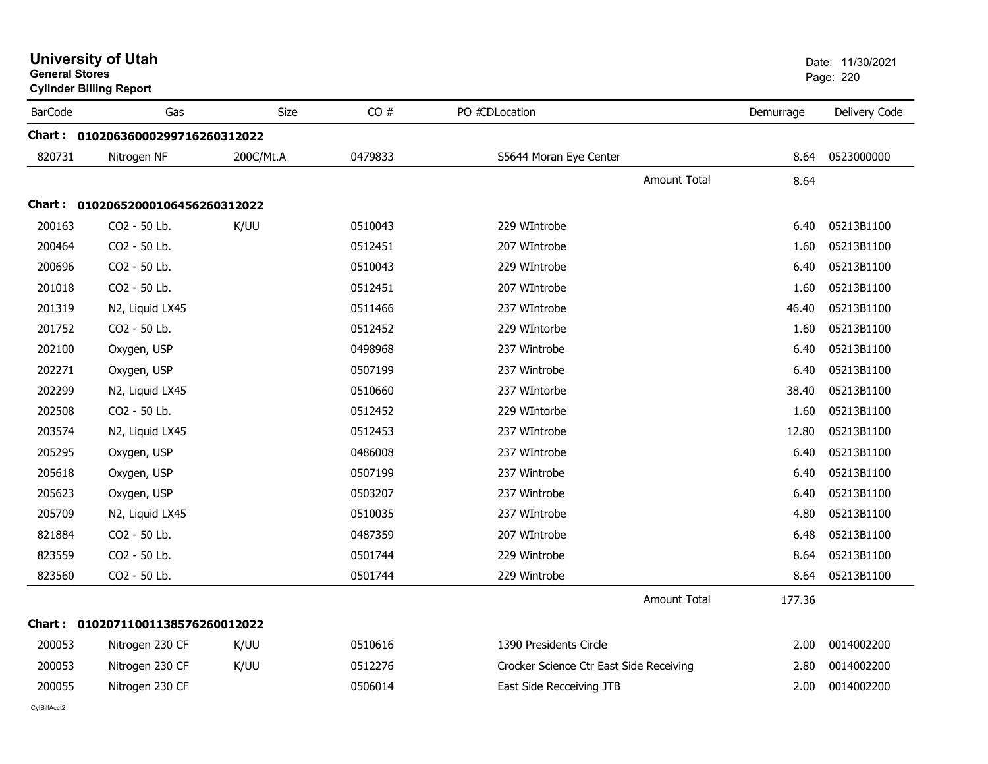| <b>General Stores</b> | <b>University of Utah</b><br><b>Cylinder Billing Report</b> |             |         |                                         |              |           | Date: 11/30/2021<br>Page: 220 |
|-----------------------|-------------------------------------------------------------|-------------|---------|-----------------------------------------|--------------|-----------|-------------------------------|
| <b>BarCode</b>        | Gas                                                         | <b>Size</b> | CO#     | PO #CDLocation                          |              | Demurrage | Delivery Code                 |
|                       | Chart: 01020636000299716260312022                           |             |         |                                         |              |           |                               |
| 820731                | Nitrogen NF                                                 | 200C/Mt.A   | 0479833 | S5644 Moran Eye Center                  |              | 8.64      | 0523000000                    |
|                       |                                                             |             |         |                                         | Amount Total | 8.64      |                               |
|                       | Chart : 01020652000106456260312022                          |             |         |                                         |              |           |                               |
| 200163                | CO <sub>2</sub> - 50 Lb.                                    | K/UU        | 0510043 | 229 WIntrobe                            |              | 6.40      | 05213B1100                    |
| 200464                | CO2 - 50 Lb.                                                |             | 0512451 | 207 WIntrobe                            |              | 1.60      | 05213B1100                    |
| 200696                | CO <sub>2</sub> - 50 Lb.                                    |             | 0510043 | 229 WIntrobe                            |              | 6.40      | 05213B1100                    |
| 201018                | CO2 - 50 Lb.                                                |             | 0512451 | 207 WIntrobe                            |              | 1.60      | 05213B1100                    |
| 201319                | N2, Liquid LX45                                             |             | 0511466 | 237 WIntrobe                            |              | 46.40     | 05213B1100                    |
| 201752                | CO2 - 50 Lb.                                                |             | 0512452 | 229 WIntorbe                            |              | 1.60      | 05213B1100                    |
| 202100                | Oxygen, USP                                                 |             | 0498968 | 237 Wintrobe                            |              | 6.40      | 05213B1100                    |
| 202271                | Oxygen, USP                                                 |             | 0507199 | 237 Wintrobe                            |              | 6.40      | 05213B1100                    |
| 202299                | N2, Liquid LX45                                             |             | 0510660 | 237 WIntorbe                            |              | 38.40     | 05213B1100                    |
| 202508                | CO2 - 50 Lb.                                                |             | 0512452 | 229 WIntorbe                            |              | 1.60      | 05213B1100                    |
| 203574                | N2, Liquid LX45                                             |             | 0512453 | 237 WIntrobe                            |              | 12.80     | 05213B1100                    |
| 205295                | Oxygen, USP                                                 |             | 0486008 | 237 WIntrobe                            |              | 6.40      | 05213B1100                    |
| 205618                | Oxygen, USP                                                 |             | 0507199 | 237 Wintrobe                            |              | 6.40      | 05213B1100                    |
| 205623                | Oxygen, USP                                                 |             | 0503207 | 237 Wintrobe                            |              | 6.40      | 05213B1100                    |
| 205709                | N2, Liquid LX45                                             |             | 0510035 | 237 WIntrobe                            |              | 4.80      | 05213B1100                    |
| 821884                | CO2 - 50 Lb.                                                |             | 0487359 | 207 WIntrobe                            |              | 6.48      | 05213B1100                    |
| 823559                | CO2 - 50 Lb.                                                |             | 0501744 | 229 Wintrobe                            |              | 8.64      | 05213B1100                    |
| 823560                | CO2 - 50 Lb.                                                |             | 0501744 | 229 Wintrobe                            |              | 8.64      | 05213B1100                    |
|                       |                                                             |             |         |                                         | Amount Total | 177.36    |                               |
|                       | Chart: 01020711001138576260012022                           |             |         |                                         |              |           |                               |
| 200053                | Nitrogen 230 CF                                             | K/UU        | 0510616 | 1390 Presidents Circle                  |              | 2.00      | 0014002200                    |
| 200053                | Nitrogen 230 CF                                             | K/UU        | 0512276 | Crocker Science Ctr East Side Receiving |              | 2.80      | 0014002200                    |
| 200055                | Nitrogen 230 CF                                             |             | 0506014 | East Side Recceiving JTB                |              | 2.00      | 0014002200                    |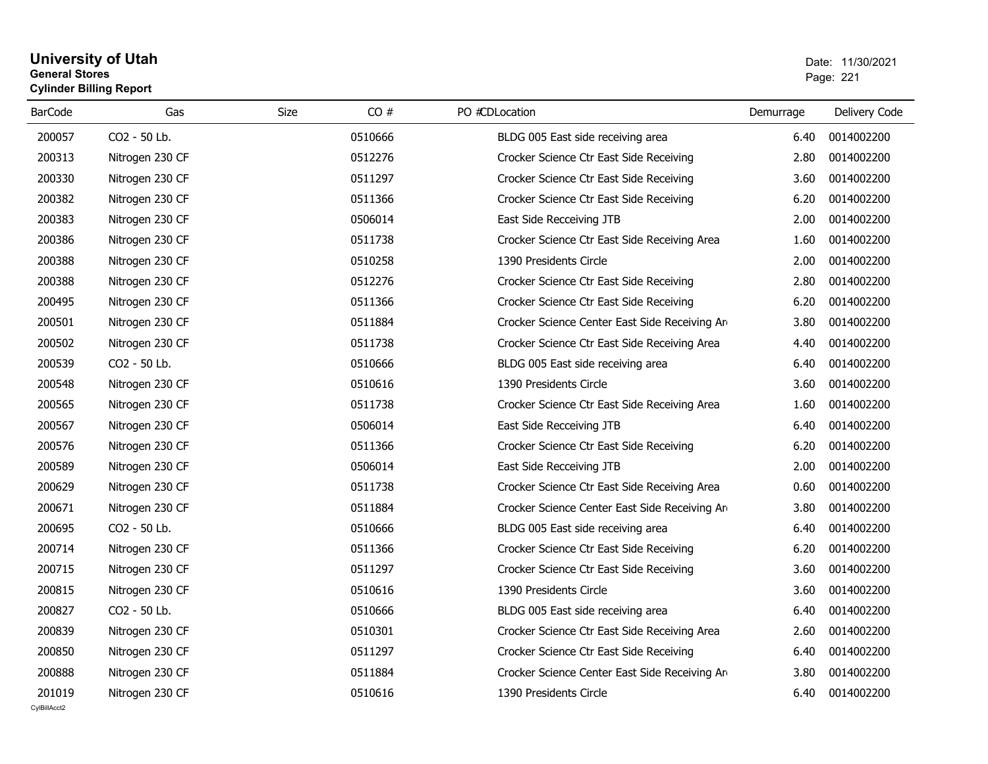### **University of Utah** Date: 11/30/2021 **General Stores**es and the contract of the contract of the contract of the contract of the contract of the contract of the contract of the contract of the contract of the contract of the contract of the contract of the contract of the con **Cylinder Billing Report**

| <b>BarCode</b> | Gas             | CO#<br>Size | PO #CDLocation                                 | Demurrage | Delivery Code |
|----------------|-----------------|-------------|------------------------------------------------|-----------|---------------|
| 200057         | CO2 - 50 Lb.    | 0510666     | BLDG 005 East side receiving area              | 6.40      | 0014002200    |
| 200313         | Nitrogen 230 CF | 0512276     | Crocker Science Ctr East Side Receiving        | 2.80      | 0014002200    |
| 200330         | Nitrogen 230 CF | 0511297     | Crocker Science Ctr East Side Receiving        | 3.60      | 0014002200    |
| 200382         | Nitrogen 230 CF | 0511366     | Crocker Science Ctr East Side Receiving        | 6.20      | 0014002200    |
| 200383         | Nitrogen 230 CF | 0506014     | East Side Recceiving JTB                       | 2.00      | 0014002200    |
| 200386         | Nitrogen 230 CF | 0511738     | Crocker Science Ctr East Side Receiving Area   | 1.60      | 0014002200    |
| 200388         | Nitrogen 230 CF | 0510258     | 1390 Presidents Circle                         | 2.00      | 0014002200    |
| 200388         | Nitrogen 230 CF | 0512276     | Crocker Science Ctr East Side Receiving        | 2.80      | 0014002200    |
| 200495         | Nitrogen 230 CF | 0511366     | Crocker Science Ctr East Side Receiving        | 6.20      | 0014002200    |
| 200501         | Nitrogen 230 CF | 0511884     | Crocker Science Center East Side Receiving Arm | 3.80      | 0014002200    |
| 200502         | Nitrogen 230 CF | 0511738     | Crocker Science Ctr East Side Receiving Area   | 4.40      | 0014002200    |
| 200539         | CO2 - 50 Lb.    | 0510666     | BLDG 005 East side receiving area              | 6.40      | 0014002200    |
| 200548         | Nitrogen 230 CF | 0510616     | 1390 Presidents Circle                         | 3.60      | 0014002200    |
| 200565         | Nitrogen 230 CF | 0511738     | Crocker Science Ctr East Side Receiving Area   | 1.60      | 0014002200    |
| 200567         | Nitrogen 230 CF | 0506014     | East Side Recceiving JTB                       | 6.40      | 0014002200    |
| 200576         | Nitrogen 230 CF | 0511366     | Crocker Science Ctr East Side Receiving        | 6.20      | 0014002200    |
| 200589         | Nitrogen 230 CF | 0506014     | East Side Recceiving JTB                       | 2.00      | 0014002200    |
| 200629         | Nitrogen 230 CF | 0511738     | Crocker Science Ctr East Side Receiving Area   | 0.60      | 0014002200    |
| 200671         | Nitrogen 230 CF | 0511884     | Crocker Science Center East Side Receiving Are | 3.80      | 0014002200    |
| 200695         | CO2 - 50 Lb.    | 0510666     | BLDG 005 East side receiving area              | 6.40      | 0014002200    |
| 200714         | Nitrogen 230 CF | 0511366     | Crocker Science Ctr East Side Receiving        | 6.20      | 0014002200    |
| 200715         | Nitrogen 230 CF | 0511297     | Crocker Science Ctr East Side Receiving        | 3.60      | 0014002200    |
| 200815         | Nitrogen 230 CF | 0510616     | 1390 Presidents Circle                         | 3.60      | 0014002200    |
| 200827         | CO2 - 50 Lb.    | 0510666     | BLDG 005 East side receiving area              | 6.40      | 0014002200    |
| 200839         | Nitrogen 230 CF | 0510301     | Crocker Science Ctr East Side Receiving Area   | 2.60      | 0014002200    |
| 200850         | Nitrogen 230 CF | 0511297     | Crocker Science Ctr East Side Receiving        | 6.40      | 0014002200    |
| 200888         | Nitrogen 230 CF | 0511884     | Crocker Science Center East Side Receiving Arm | 3.80      | 0014002200    |
| 201019         | Nitrogen 230 CF | 0510616     | 1390 Presidents Circle                         | 6.40      | 0014002200    |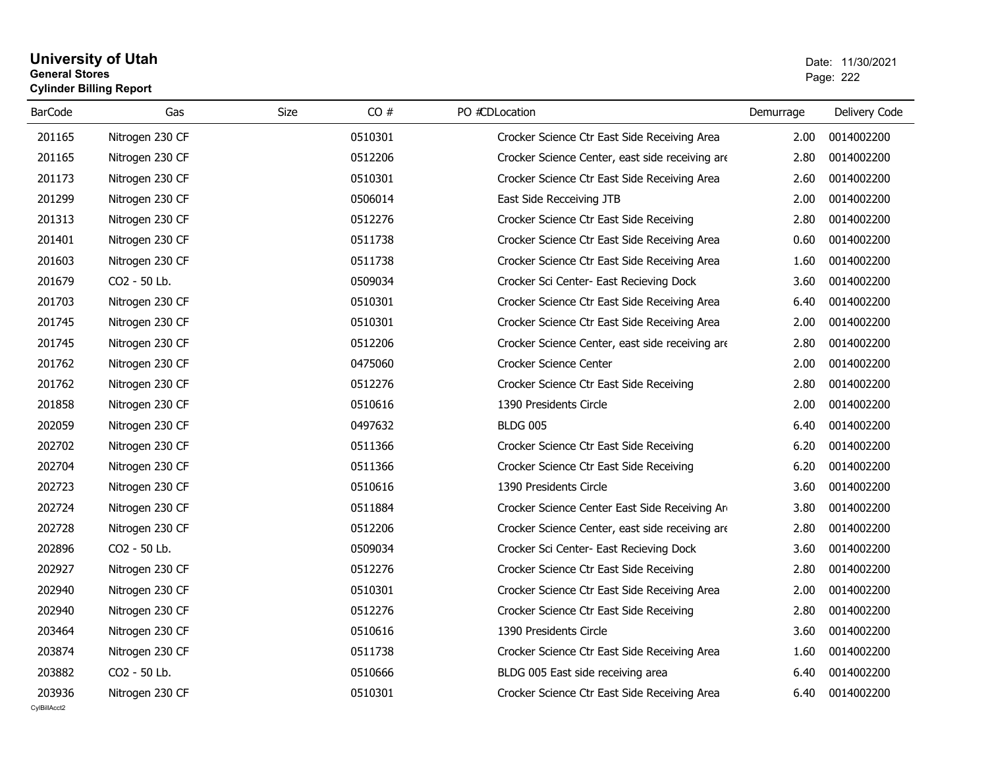### **University of Utah** Date: 11/30/2021 **General Stores**estate the control of the control of the control of the control of the control of the control of the control of the control of the control of the control of the control of the control of the control of the control of the c **Cylinder Billing Report**

| <b>BarCode</b> | Gas             | CO#<br>Size | PO #CDLocation                                  | Demurrage | Delivery Code |
|----------------|-----------------|-------------|-------------------------------------------------|-----------|---------------|
| 201165         | Nitrogen 230 CF | 0510301     | Crocker Science Ctr East Side Receiving Area    | 2.00      | 0014002200    |
| 201165         | Nitrogen 230 CF | 0512206     | Crocker Science Center, east side receiving are | 2.80      | 0014002200    |
| 201173         | Nitrogen 230 CF | 0510301     | Crocker Science Ctr East Side Receiving Area    | 2.60      | 0014002200    |
| 201299         | Nitrogen 230 CF | 0506014     | East Side Recceiving JTB                        | 2.00      | 0014002200    |
| 201313         | Nitrogen 230 CF | 0512276     | Crocker Science Ctr East Side Receiving         | 2.80      | 0014002200    |
| 201401         | Nitrogen 230 CF | 0511738     | Crocker Science Ctr East Side Receiving Area    | 0.60      | 0014002200    |
| 201603         | Nitrogen 230 CF | 0511738     | Crocker Science Ctr East Side Receiving Area    | 1.60      | 0014002200    |
| 201679         | CO2 - 50 Lb.    | 0509034     | Crocker Sci Center- East Recieving Dock         | 3.60      | 0014002200    |
| 201703         | Nitrogen 230 CF | 0510301     | Crocker Science Ctr East Side Receiving Area    | 6.40      | 0014002200    |
| 201745         | Nitrogen 230 CF | 0510301     | Crocker Science Ctr East Side Receiving Area    | 2.00      | 0014002200    |
| 201745         | Nitrogen 230 CF | 0512206     | Crocker Science Center, east side receiving are | 2.80      | 0014002200    |
| 201762         | Nitrogen 230 CF | 0475060     | Crocker Science Center                          | 2.00      | 0014002200    |
| 201762         | Nitrogen 230 CF | 0512276     | Crocker Science Ctr East Side Receiving         | 2.80      | 0014002200    |
| 201858         | Nitrogen 230 CF | 0510616     | 1390 Presidents Circle                          | 2.00      | 0014002200    |
| 202059         | Nitrogen 230 CF | 0497632     | <b>BLDG 005</b>                                 | 6.40      | 0014002200    |
| 202702         | Nitrogen 230 CF | 0511366     | Crocker Science Ctr East Side Receiving         | 6.20      | 0014002200    |
| 202704         | Nitrogen 230 CF | 0511366     | Crocker Science Ctr East Side Receiving         | 6.20      | 0014002200    |
| 202723         | Nitrogen 230 CF | 0510616     | 1390 Presidents Circle                          | 3.60      | 0014002200    |
| 202724         | Nitrogen 230 CF | 0511884     | Crocker Science Center East Side Receiving Arm  | 3.80      | 0014002200    |
| 202728         | Nitrogen 230 CF | 0512206     | Crocker Science Center, east side receiving are | 2.80      | 0014002200    |
| 202896         | CO2 - 50 Lb.    | 0509034     | Crocker Sci Center- East Recieving Dock         | 3.60      | 0014002200    |
| 202927         | Nitrogen 230 CF | 0512276     | Crocker Science Ctr East Side Receiving         | 2.80      | 0014002200    |
| 202940         | Nitrogen 230 CF | 0510301     | Crocker Science Ctr East Side Receiving Area    | 2.00      | 0014002200    |
| 202940         | Nitrogen 230 CF | 0512276     | Crocker Science Ctr East Side Receiving         | 2.80      | 0014002200    |
| 203464         | Nitrogen 230 CF | 0510616     | 1390 Presidents Circle                          | 3.60      | 0014002200    |
| 203874         | Nitrogen 230 CF | 0511738     | Crocker Science Ctr East Side Receiving Area    | 1.60      | 0014002200    |
| 203882         | CO2 - 50 Lb.    | 0510666     | BLDG 005 East side receiving area               | 6.40      | 0014002200    |
| 203936         | Nitrogen 230 CF | 0510301     | Crocker Science Ctr East Side Receiving Area    | 6.40      | 0014002200    |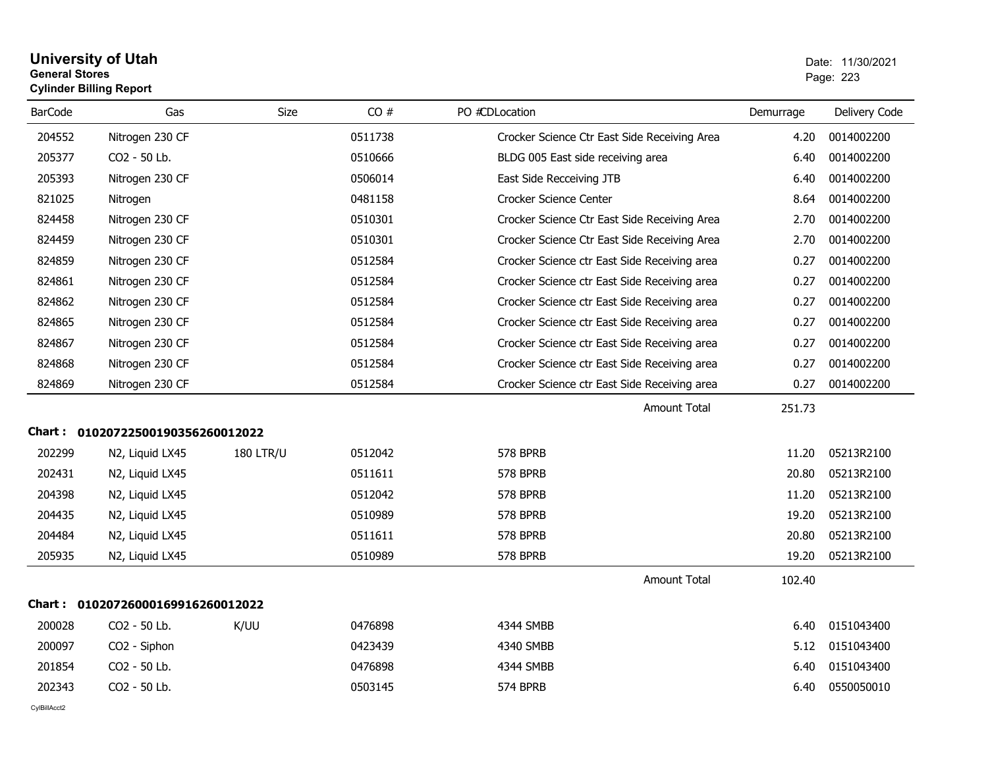## **University of Utah** Date: 11/30/2021 **General Stores**entry of the contract of the contract of the contract of the contract of the contract of the contract of the contract of the contract of the contract of the contract of the contract of the contract of the contract of the c **Cylinder Billing Report**

| <b>BarCode</b> | Gas                               | Size             | CO#     | PO #CDLocation                               | Demurrage | Delivery Code |
|----------------|-----------------------------------|------------------|---------|----------------------------------------------|-----------|---------------|
| 204552         | Nitrogen 230 CF                   |                  | 0511738 | Crocker Science Ctr East Side Receiving Area | 4.20      | 0014002200    |
| 205377         | CO2 - 50 Lb.                      |                  | 0510666 | BLDG 005 East side receiving area            | 6.40      | 0014002200    |
| 205393         | Nitrogen 230 CF                   |                  | 0506014 | East Side Recceiving JTB                     | 6.40      | 0014002200    |
| 821025         | Nitrogen                          |                  | 0481158 | Crocker Science Center                       | 8.64      | 0014002200    |
| 824458         | Nitrogen 230 CF                   |                  | 0510301 | Crocker Science Ctr East Side Receiving Area | 2.70      | 0014002200    |
| 824459         | Nitrogen 230 CF                   |                  | 0510301 | Crocker Science Ctr East Side Receiving Area | 2.70      | 0014002200    |
| 824859         | Nitrogen 230 CF                   |                  | 0512584 | Crocker Science ctr East Side Receiving area | 0.27      | 0014002200    |
| 824861         | Nitrogen 230 CF                   |                  | 0512584 | Crocker Science ctr East Side Receiving area | 0.27      | 0014002200    |
| 824862         | Nitrogen 230 CF                   |                  | 0512584 | Crocker Science ctr East Side Receiving area | 0.27      | 0014002200    |
| 824865         | Nitrogen 230 CF                   |                  | 0512584 | Crocker Science ctr East Side Receiving area | 0.27      | 0014002200    |
| 824867         | Nitrogen 230 CF                   |                  | 0512584 | Crocker Science ctr East Side Receiving area | 0.27      | 0014002200    |
| 824868         | Nitrogen 230 CF                   |                  | 0512584 | Crocker Science ctr East Side Receiving area | 0.27      | 0014002200    |
| 824869         | Nitrogen 230 CF                   |                  | 0512584 | Crocker Science ctr East Side Receiving area | 0.27      | 0014002200    |
|                |                                   |                  |         | <b>Amount Total</b>                          | 251.73    |               |
|                | Chart: 01020722500190356260012022 |                  |         |                                              |           |               |
| 202299         | N2, Liquid LX45                   | <b>180 LTR/U</b> | 0512042 | 578 BPRB                                     | 11.20     | 05213R2100    |
| 202431         | N2, Liquid LX45                   |                  | 0511611 | <b>578 BPRB</b>                              | 20.80     | 05213R2100    |
| 204398         | N2, Liquid LX45                   |                  | 0512042 | <b>578 BPRB</b>                              | 11.20     | 05213R2100    |
| 204435         | N2, Liquid LX45                   |                  | 0510989 | 578 BPRB                                     | 19.20     | 05213R2100    |
| 204484         | N2, Liquid LX45                   |                  | 0511611 | 578 BPRB                                     | 20.80     | 05213R2100    |
| 205935         | N2, Liquid LX45                   |                  | 0510989 | 578 BPRB                                     | 19.20     | 05213R2100    |
|                |                                   |                  |         | <b>Amount Total</b>                          | 102.40    |               |
|                | Chart: 01020726000169916260012022 |                  |         |                                              |           |               |
| 200028         | CO2 - 50 Lb.                      | K/UU             | 0476898 | 4344 SMBB                                    | 6.40      | 0151043400    |
| 200097         | CO2 - Siphon                      |                  | 0423439 | 4340 SMBB                                    | 5.12      | 0151043400    |
| 201854         | CO2 - 50 Lb.                      |                  | 0476898 | 4344 SMBB                                    | 6.40      | 0151043400    |
| 202343         | CO2 - 50 Lb.                      |                  | 0503145 | 574 BPRB                                     | 6.40      | 0550050010    |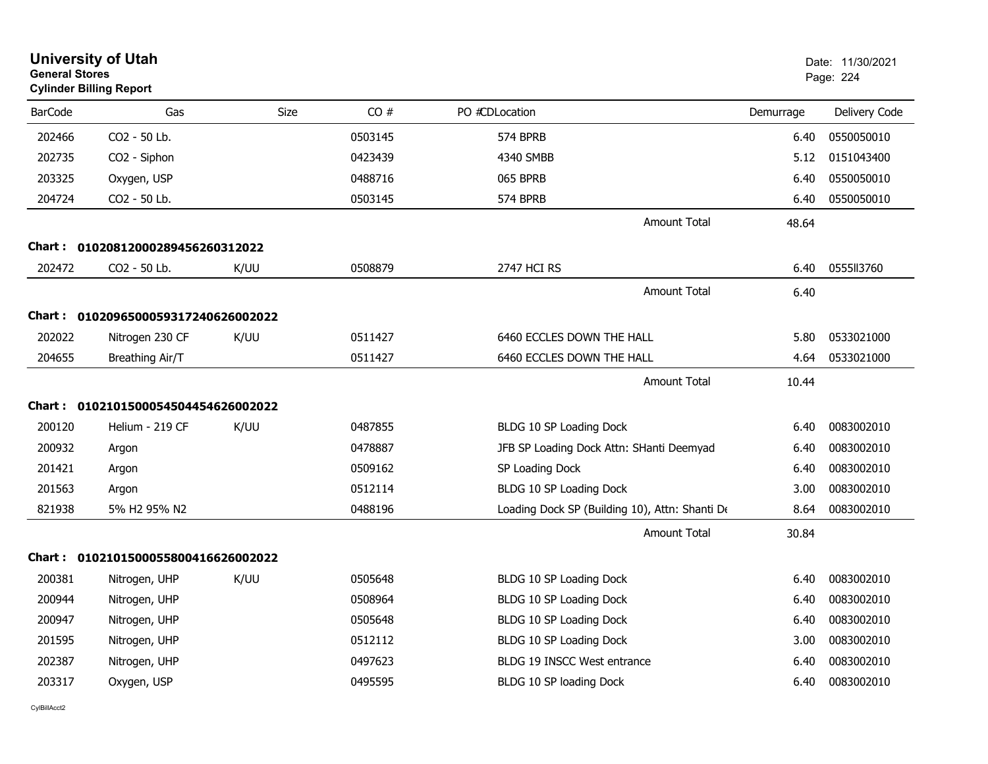| <b>General Stores</b> | <b>University of Utah</b><br><b>Cylinder Billing Report</b> |      |         |                                                |           | Date: 11/30/2021<br>Page: 224 |
|-----------------------|-------------------------------------------------------------|------|---------|------------------------------------------------|-----------|-------------------------------|
| <b>BarCode</b>        | Gas                                                         | Size | CO#     | PO #CDLocation                                 | Demurrage | Delivery Code                 |
| 202466                | CO2 - 50 Lb.                                                |      | 0503145 | <b>574 BPRB</b>                                | 6.40      | 0550050010                    |
| 202735                | CO2 - Siphon                                                |      | 0423439 | 4340 SMBB                                      | 5.12      | 0151043400                    |
| 203325                | Oxygen, USP                                                 |      | 0488716 | 065 BPRB                                       | 6.40      | 0550050010                    |
| 204724                | CO2 - 50 Lb.                                                |      | 0503145 | 574 BPRB                                       | 6.40      | 0550050010                    |
|                       |                                                             |      |         | <b>Amount Total</b>                            | 48.64     |                               |
| Chart :               | 01020812000289456260312022                                  |      |         |                                                |           |                               |
| 202472                | CO <sub>2</sub> - 50 Lb.                                    | K/UU | 0508879 | 2747 HCI RS                                    | 6.40      | 0555113760                    |
|                       |                                                             |      |         | <b>Amount Total</b>                            | 6.40      |                               |
|                       | Chart: 0102096500059317240626002022                         |      |         |                                                |           |                               |
| 202022                | Nitrogen 230 CF                                             | K/UU | 0511427 | 6460 ECCLES DOWN THE HALL                      | 5.80      | 0533021000                    |
| 204655                | Breathing Air/T                                             |      | 0511427 | 6460 ECCLES DOWN THE HALL                      | 4.64      | 0533021000                    |
|                       |                                                             |      |         | <b>Amount Total</b>                            | 10.44     |                               |
|                       | Chart: 0102101500054504454626002022                         |      |         |                                                |           |                               |
| 200120                | Helium - 219 CF                                             | K/UU | 0487855 | BLDG 10 SP Loading Dock                        | 6.40      | 0083002010                    |
| 200932                | Argon                                                       |      | 0478887 | JFB SP Loading Dock Attn: SHanti Deemyad       | 6.40      | 0083002010                    |
| 201421                | Argon                                                       |      | 0509162 | SP Loading Dock                                | 6.40      | 0083002010                    |
| 201563                | Argon                                                       |      | 0512114 | BLDG 10 SP Loading Dock                        | 3.00      | 0083002010                    |
| 821938                | 5% H2 95% N2                                                |      | 0488196 | Loading Dock SP (Building 10), Attn: Shanti De | 8.64      | 0083002010                    |
|                       |                                                             |      |         | <b>Amount Total</b>                            | 30.84     |                               |
|                       | Chart: 0102101500055800416626002022                         |      |         |                                                |           |                               |
| 200381                | Nitrogen, UHP                                               | K/UU | 0505648 | BLDG 10 SP Loading Dock                        | 6.40      | 0083002010                    |
| 200944                | Nitrogen, UHP                                               |      | 0508964 | BLDG 10 SP Loading Dock                        | 6.40      | 0083002010                    |
| 200947                | Nitrogen, UHP                                               |      | 0505648 | BLDG 10 SP Loading Dock                        | 6.40      | 0083002010                    |
| 201595                | Nitrogen, UHP                                               |      | 0512112 | BLDG 10 SP Loading Dock                        | 3.00      | 0083002010                    |
| 202387                | Nitrogen, UHP                                               |      | 0497623 | BLDG 19 INSCC West entrance                    | 6.40      | 0083002010                    |
| 203317                | Oxygen, USP                                                 |      | 0495595 | BLDG 10 SP loading Dock                        | 6.40      | 0083002010                    |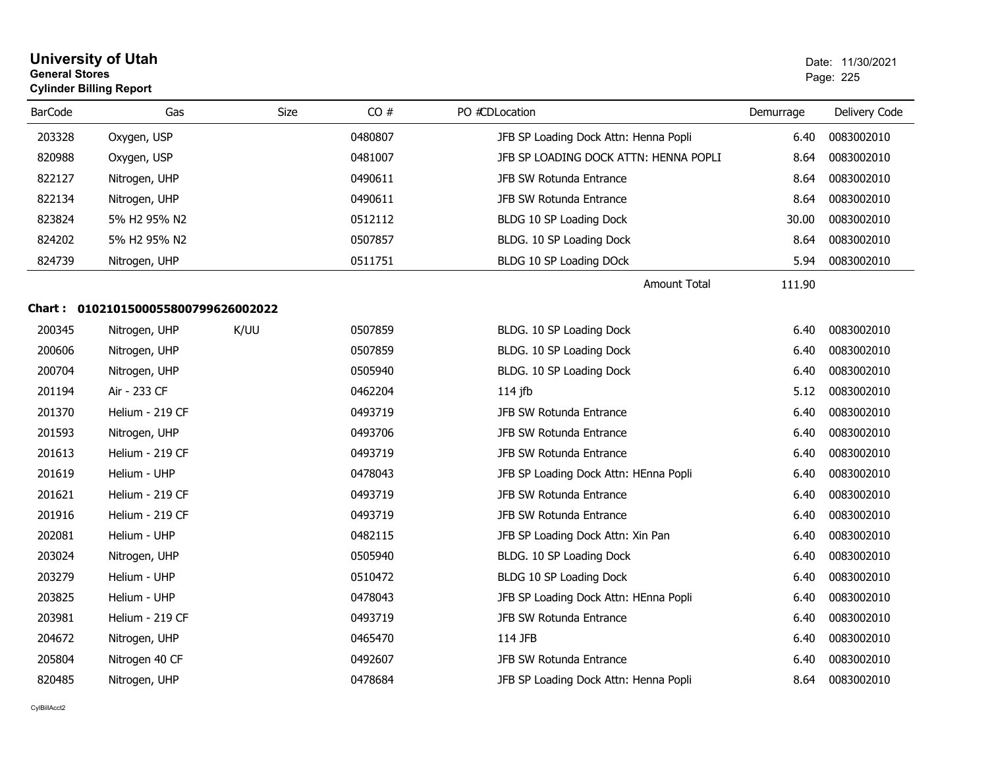| <b>General Stores</b> | <b>University of Utah</b><br><b>Cylinder Billing Report</b> |             |         |                                       |           | Date: 11/30/2021<br>Page: 225 |
|-----------------------|-------------------------------------------------------------|-------------|---------|---------------------------------------|-----------|-------------------------------|
| <b>BarCode</b>        | Gas                                                         | <b>Size</b> | CO#     | PO #CDLocation                        | Demurrage | Delivery Code                 |
| 203328                | Oxygen, USP                                                 |             | 0480807 | JFB SP Loading Dock Attn: Henna Popli | 6.40      | 0083002010                    |
| 820988                | Oxygen, USP                                                 |             | 0481007 | JFB SP LOADING DOCK ATTN: HENNA POPLI | 8.64      | 0083002010                    |
| 822127                | Nitrogen, UHP                                               |             | 0490611 | JFB SW Rotunda Entrance               | 8.64      | 0083002010                    |
| 822134                | Nitrogen, UHP                                               |             | 0490611 | JFB SW Rotunda Entrance               | 8.64      | 0083002010                    |
| 823824                | 5% H2 95% N2                                                |             | 0512112 | BLDG 10 SP Loading Dock               | 30.00     | 0083002010                    |
| 824202                | 5% H2 95% N2                                                |             | 0507857 | BLDG. 10 SP Loading Dock              | 8.64      | 0083002010                    |
| 824739                | Nitrogen, UHP                                               |             | 0511751 | BLDG 10 SP Loading DOck               | 5.94      | 0083002010                    |
|                       |                                                             |             |         | <b>Amount Total</b>                   | 111.90    |                               |
|                       | Chart: 0102101500055800799626002022                         |             |         |                                       |           |                               |
| 200345                | Nitrogen, UHP                                               | K/UU        | 0507859 | BLDG. 10 SP Loading Dock              | 6.40      | 0083002010                    |
| 200606                | Nitrogen, UHP                                               |             | 0507859 | BLDG. 10 SP Loading Dock              | 6.40      | 0083002010                    |
| 200704                | Nitrogen, UHP                                               |             | 0505940 | BLDG. 10 SP Loading Dock              | 6.40      | 0083002010                    |
| 201194                | Air - 233 CF                                                |             | 0462204 | $114$ jfb                             | 5.12      | 0083002010                    |
| 201370                | Helium - 219 CF                                             |             | 0493719 | JFB SW Rotunda Entrance               | 6.40      | 0083002010                    |
| 201593                | Nitrogen, UHP                                               |             | 0493706 | JFB SW Rotunda Entrance               | 6.40      | 0083002010                    |
| 201613                | Helium - 219 CF                                             |             | 0493719 | JFB SW Rotunda Entrance               | 6.40      | 0083002010                    |
| 201619                | Helium - UHP                                                |             | 0478043 | JFB SP Loading Dock Attn: HEnna Popli | 6.40      | 0083002010                    |
| 201621                | Helium - 219 CF                                             |             | 0493719 | JFB SW Rotunda Entrance               | 6.40      | 0083002010                    |
| 201916                | Helium - 219 CF                                             |             | 0493719 | JFB SW Rotunda Entrance               | 6.40      | 0083002010                    |
| 202081                | Helium - UHP                                                |             | 0482115 | JFB SP Loading Dock Attn: Xin Pan     | 6.40      | 0083002010                    |
| 203024                | Nitrogen, UHP                                               |             | 0505940 | BLDG. 10 SP Loading Dock              | 6.40      | 0083002010                    |
| 203279                | Helium - UHP                                                |             | 0510472 | BLDG 10 SP Loading Dock               | 6.40      | 0083002010                    |
| 203825                | Helium - UHP                                                |             | 0478043 | JFB SP Loading Dock Attn: HEnna Popli | 6.40      | 0083002010                    |
| 203981                | Helium - 219 CF                                             |             | 0493719 | JFB SW Rotunda Entrance               | 6.40      | 0083002010                    |
| 204672                | Nitrogen, UHP                                               |             | 0465470 | 114 JFB                               | 6.40      | 0083002010                    |
| 205804                | Nitrogen 40 CF                                              |             | 0492607 | JFB SW Rotunda Entrance               | 6.40      | 0083002010                    |
| 820485                | Nitrogen, UHP                                               |             | 0478684 | JFB SP Loading Dock Attn: Henna Popli | 8.64      | 0083002010                    |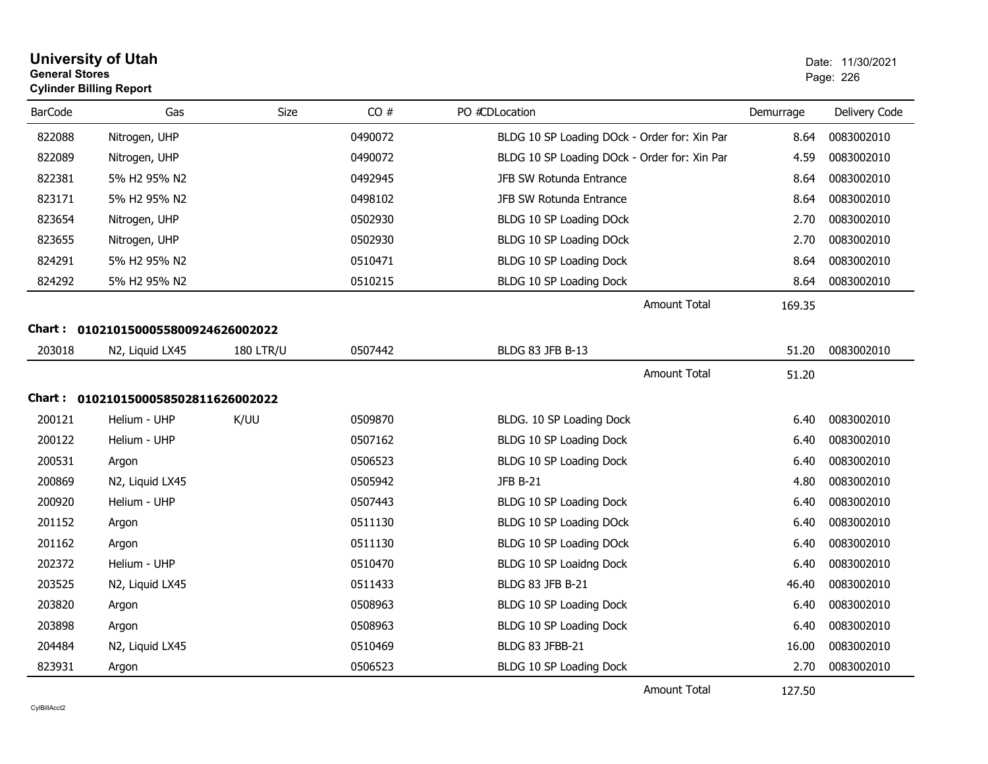| <b>General Stores</b> | <b>University of Utah</b><br><b>Cylinder Billing Report</b> |                  |         |                                              |           | Date: 11/30/2021<br>Page: 226 |
|-----------------------|-------------------------------------------------------------|------------------|---------|----------------------------------------------|-----------|-------------------------------|
| <b>BarCode</b>        | Gas                                                         | Size             | CO#     | PO #CDLocation                               | Demurrage | Delivery Code                 |
| 822088                | Nitrogen, UHP                                               |                  | 0490072 | BLDG 10 SP Loading DOck - Order for: Xin Par | 8.64      | 0083002010                    |
| 822089                | Nitrogen, UHP                                               |                  | 0490072 | BLDG 10 SP Loading DOck - Order for: Xin Par | 4.59      | 0083002010                    |
| 822381                | 5% H2 95% N2                                                |                  | 0492945 | JFB SW Rotunda Entrance                      | 8.64      | 0083002010                    |
| 823171                | 5% H2 95% N2                                                |                  | 0498102 | JFB SW Rotunda Entrance                      | 8.64      | 0083002010                    |
| 823654                | Nitrogen, UHP                                               |                  | 0502930 | BLDG 10 SP Loading DOck                      | 2.70      | 0083002010                    |
| 823655                | Nitrogen, UHP                                               |                  | 0502930 | BLDG 10 SP Loading DOck                      | 2.70      | 0083002010                    |
| 824291                | 5% H2 95% N2                                                |                  | 0510471 | BLDG 10 SP Loading Dock                      | 8.64      | 0083002010                    |
| 824292                | 5% H2 95% N2                                                |                  | 0510215 | BLDG 10 SP Loading Dock                      | 8.64      | 0083002010                    |
|                       |                                                             |                  |         | <b>Amount Total</b>                          | 169.35    |                               |
|                       | Chart: 0102101500055800924626002022                         |                  |         |                                              |           |                               |
| 203018                | N2, Liquid LX45                                             | <b>180 LTR/U</b> | 0507442 | BLDG 83 JFB B-13                             | 51.20     | 0083002010                    |
|                       |                                                             |                  |         | <b>Amount Total</b>                          | 51.20     |                               |
|                       | Chart: 0102101500058502811626002022                         |                  |         |                                              |           |                               |
| 200121                | Helium - UHP                                                | K/UU             | 0509870 | BLDG. 10 SP Loading Dock                     | 6.40      | 0083002010                    |
| 200122                | Helium - UHP                                                |                  | 0507162 | BLDG 10 SP Loading Dock                      | 6.40      | 0083002010                    |
| 200531                | Argon                                                       |                  | 0506523 | BLDG 10 SP Loading Dock                      | 6.40      | 0083002010                    |
| 200869                | N2, Liquid LX45                                             |                  | 0505942 | <b>JFB B-21</b>                              | 4.80      | 0083002010                    |
| 200920                | Helium - UHP                                                |                  | 0507443 | BLDG 10 SP Loading Dock                      | 6.40      | 0083002010                    |
| 201152                | Argon                                                       |                  | 0511130 | BLDG 10 SP Loading DOck                      | 6.40      | 0083002010                    |
| 201162                | Argon                                                       |                  | 0511130 | BLDG 10 SP Loading DOck                      | 6.40      | 0083002010                    |
| 202372                | Helium - UHP                                                |                  | 0510470 | BLDG 10 SP Loaidng Dock                      | 6.40      | 0083002010                    |
| 203525                | N2, Liquid LX45                                             |                  | 0511433 | <b>BLDG 83 JFB B-21</b>                      | 46.40     | 0083002010                    |
| 203820                | Argon                                                       |                  | 0508963 | BLDG 10 SP Loading Dock                      | 6.40      | 0083002010                    |
| 203898                | Argon                                                       |                  | 0508963 | BLDG 10 SP Loading Dock                      | 6.40      | 0083002010                    |
| 204484                | N2, Liquid LX45                                             |                  | 0510469 | BLDG 83 JFBB-21                              | 16.00     | 0083002010                    |
| 823931                | Argon                                                       |                  | 0506523 | BLDG 10 SP Loading Dock                      | 2.70      | 0083002010                    |

Amount Total

127.50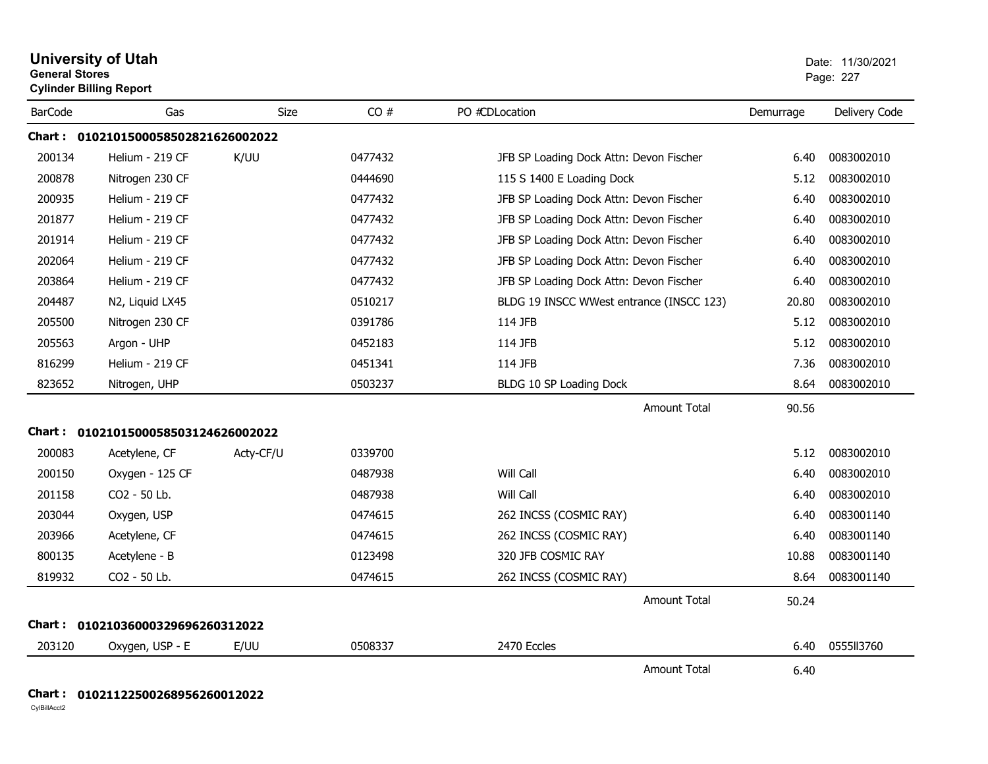| <b>General Stores</b> | <b>University of Utah</b><br><b>Cylinder Billing Report</b> |             |         |                                          |           | Date: 11/30/2021<br>Page: 227 |
|-----------------------|-------------------------------------------------------------|-------------|---------|------------------------------------------|-----------|-------------------------------|
| <b>BarCode</b>        | Gas                                                         | <b>Size</b> | CO#     | PO #CDLocation                           | Demurrage | Delivery Code                 |
|                       | Chart: 0102101500058502821626002022                         |             |         |                                          |           |                               |
| 200134                | Helium - 219 CF                                             | K/UU        | 0477432 | JFB SP Loading Dock Attn: Devon Fischer  | 6.40      | 0083002010                    |
| 200878                | Nitrogen 230 CF                                             |             | 0444690 | 115 S 1400 E Loading Dock                | 5.12      | 0083002010                    |
| 200935                | Helium - 219 CF                                             |             | 0477432 | JFB SP Loading Dock Attn: Devon Fischer  | 6.40      | 0083002010                    |
| 201877                | Helium - 219 CF                                             |             | 0477432 | JFB SP Loading Dock Attn: Devon Fischer  | 6.40      | 0083002010                    |
| 201914                | Helium - 219 CF                                             |             | 0477432 | JFB SP Loading Dock Attn: Devon Fischer  | 6.40      | 0083002010                    |
| 202064                | Helium - 219 CF                                             |             | 0477432 | JFB SP Loading Dock Attn: Devon Fischer  | 6.40      | 0083002010                    |
| 203864                | Helium - 219 CF                                             |             | 0477432 | JFB SP Loading Dock Attn: Devon Fischer  | 6.40      | 0083002010                    |
| 204487                | N2, Liquid LX45                                             |             | 0510217 | BLDG 19 INSCC WWest entrance (INSCC 123) | 20.80     | 0083002010                    |
| 205500                | Nitrogen 230 CF                                             |             | 0391786 | 114 JFB                                  | 5.12      | 0083002010                    |
| 205563                | Argon - UHP                                                 |             | 0452183 | 114 JFB                                  | 5.12      | 0083002010                    |
| 816299                | Helium - 219 CF                                             |             | 0451341 | 114 JFB                                  | 7.36      | 0083002010                    |
| 823652                | Nitrogen, UHP                                               |             | 0503237 | BLDG 10 SP Loading Dock                  | 8.64      | 0083002010                    |
|                       |                                                             |             |         | <b>Amount Total</b>                      | 90.56     |                               |
|                       | Chart: 0102101500058503124626002022                         |             |         |                                          |           |                               |
| 200083                | Acetylene, CF                                               | Acty-CF/U   | 0339700 |                                          | 5.12      | 0083002010                    |
| 200150                | Oxygen - 125 CF                                             |             | 0487938 | Will Call                                | 6.40      | 0083002010                    |
| 201158                | CO2 - 50 Lb.                                                |             | 0487938 | Will Call                                | 6.40      | 0083002010                    |
| 203044                | Oxygen, USP                                                 |             | 0474615 | 262 INCSS (COSMIC RAY)                   | 6.40      | 0083001140                    |
| 203966                | Acetylene, CF                                               |             | 0474615 | 262 INCSS (COSMIC RAY)                   | 6.40      | 0083001140                    |
| 800135                | Acetylene - B                                               |             | 0123498 | 320 JFB COSMIC RAY                       | 10.88     | 0083001140                    |
| 819932                | CO2 - 50 Lb.                                                |             | 0474615 | 262 INCSS (COSMIC RAY)                   | 8.64      | 0083001140                    |
|                       |                                                             |             |         | <b>Amount Total</b>                      | 50.24     |                               |
|                       | Chart: 01021036000329696260312022                           |             |         |                                          |           |                               |
| 203120                | Oxygen, USP - E                                             | E/UU        | 0508337 | 2470 Eccles                              | 6.40      | 0555113760                    |
|                       |                                                             |             |         | <b>Amount Total</b>                      | 6.40      |                               |

## **Chart : 01021122500268956260012022**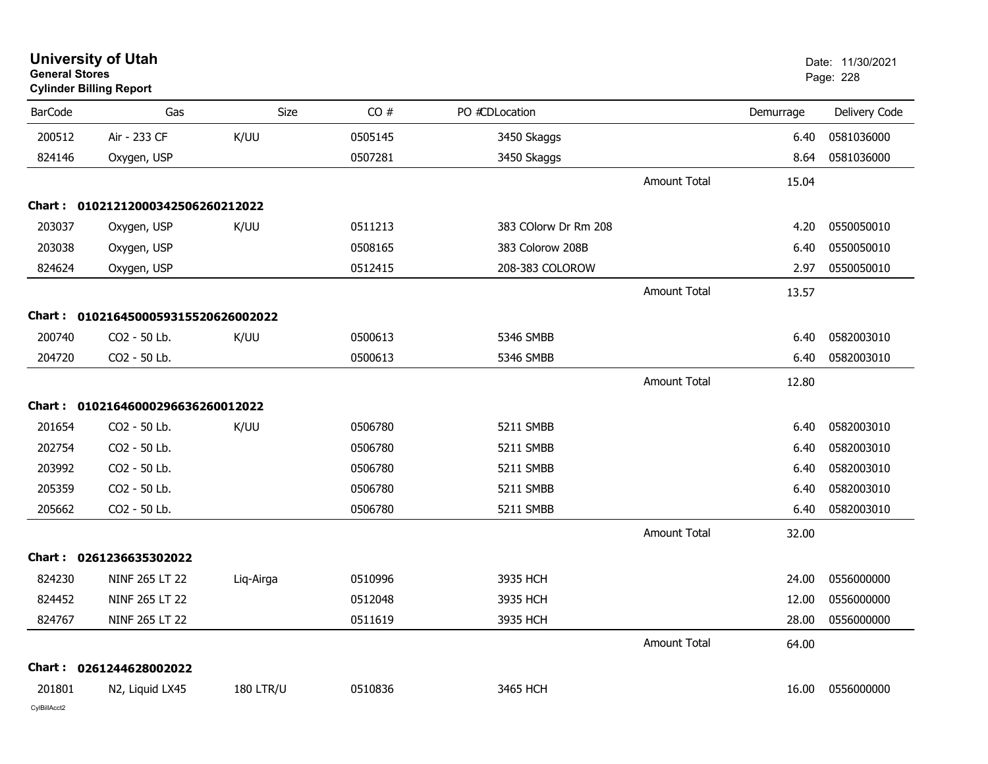| <b>General Stores</b> | <b>University of Utah</b><br><b>Cylinder Billing Report</b> |                  |         |                      |                     |           | Date: 11/30/2021<br>Page: 228 |
|-----------------------|-------------------------------------------------------------|------------------|---------|----------------------|---------------------|-----------|-------------------------------|
| <b>BarCode</b>        | Gas                                                         | Size             | CO#     | PO #CDLocation       |                     | Demurrage | Delivery Code                 |
| 200512                | Air - 233 CF                                                | K/UU             | 0505145 | 3450 Skaggs          |                     | 6.40      | 0581036000                    |
| 824146                | Oxygen, USP                                                 |                  | 0507281 | 3450 Skaggs          |                     | 8.64      | 0581036000                    |
|                       |                                                             |                  |         |                      | Amount Total        | 15.04     |                               |
|                       | Chart: 01021212000342506260212022                           |                  |         |                      |                     |           |                               |
| 203037                | Oxygen, USP                                                 | K/UU             | 0511213 | 383 COlorw Dr Rm 208 |                     | 4.20      | 0550050010                    |
| 203038                | Oxygen, USP                                                 |                  | 0508165 | 383 Colorow 208B     |                     | 6.40      | 0550050010                    |
| 824624                | Oxygen, USP                                                 |                  | 0512415 | 208-383 COLOROW      |                     | 2.97      | 0550050010                    |
|                       |                                                             |                  |         |                      | <b>Amount Total</b> | 13.57     |                               |
| Chart :               | 0102164500059315520626002022                                |                  |         |                      |                     |           |                               |
| 200740                | CO2 - 50 Lb.                                                | K/UU             | 0500613 | 5346 SMBB            |                     | 6.40      | 0582003010                    |
| 204720                | CO <sub>2</sub> - 50 Lb.                                    |                  | 0500613 | 5346 SMBB            |                     | 6.40      | 0582003010                    |
|                       |                                                             |                  |         |                      | <b>Amount Total</b> | 12.80     |                               |
|                       | Chart: 01021646000296636260012022                           |                  |         |                      |                     |           |                               |
| 201654                | CO2 - 50 Lb.                                                | K/UU             | 0506780 | 5211 SMBB            |                     | 6.40      | 0582003010                    |
| 202754                | CO2 - 50 Lb.                                                |                  | 0506780 | 5211 SMBB            |                     | 6.40      | 0582003010                    |
| 203992                | CO2 - 50 Lb.                                                |                  | 0506780 | 5211 SMBB            |                     | 6.40      | 0582003010                    |
| 205359                | CO2 - 50 Lb.                                                |                  | 0506780 | 5211 SMBB            |                     | 6.40      | 0582003010                    |
| 205662                | CO2 - 50 Lb.                                                |                  | 0506780 | 5211 SMBB            |                     | 6.40      | 0582003010                    |
|                       |                                                             |                  |         |                      | <b>Amount Total</b> | 32.00     |                               |
| Chart :               | 0261236635302022                                            |                  |         |                      |                     |           |                               |
| 824230                | NINF 265 LT 22                                              | Liq-Airga        | 0510996 | 3935 HCH             |                     | 24.00     | 0556000000                    |
| 824452                | NINF 265 LT 22                                              |                  | 0512048 | 3935 HCH             |                     | 12.00     | 0556000000                    |
| 824767                | NINF 265 LT 22                                              |                  | 0511619 | 3935 HCH             |                     | 28.00     | 0556000000                    |
|                       |                                                             |                  |         |                      | <b>Amount Total</b> | 64.00     |                               |
|                       | Chart: 0261244628002022                                     |                  |         |                      |                     |           |                               |
| 201801                | N2, Liquid LX45                                             | <b>180 LTR/U</b> | 0510836 | 3465 HCH             |                     | 16.00     | 0556000000                    |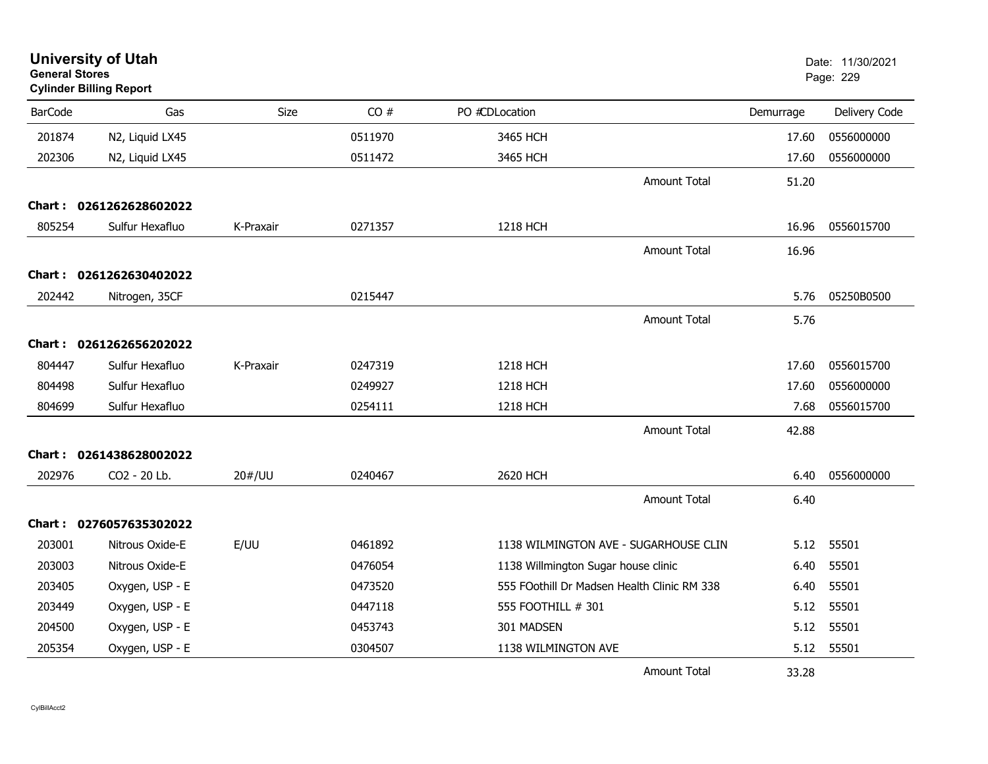| <b>General Stores</b> | <b>University of Utah</b><br><b>Cylinder Billing Report</b> |           |         |                                     |                                             |           | Date: 11/30/2021<br>Page: 229 |
|-----------------------|-------------------------------------------------------------|-----------|---------|-------------------------------------|---------------------------------------------|-----------|-------------------------------|
| <b>BarCode</b>        | Gas                                                         | Size      | CO#     | PO #CDLocation                      |                                             | Demurrage | Delivery Code                 |
| 201874                | N2, Liquid LX45                                             |           | 0511970 | 3465 HCH                            |                                             | 17.60     | 0556000000                    |
| 202306                | N2, Liquid LX45                                             |           | 0511472 | 3465 HCH                            |                                             | 17.60     | 0556000000                    |
|                       |                                                             |           |         |                                     | <b>Amount Total</b>                         | 51.20     |                               |
|                       | Chart: 0261262628602022                                     |           |         |                                     |                                             |           |                               |
| 805254                | Sulfur Hexafluo                                             | K-Praxair | 0271357 | 1218 HCH                            |                                             | 16.96     | 0556015700                    |
|                       |                                                             |           |         |                                     | <b>Amount Total</b>                         | 16.96     |                               |
|                       | Chart: 0261262630402022                                     |           |         |                                     |                                             |           |                               |
| 202442                | Nitrogen, 35CF                                              |           | 0215447 |                                     |                                             | 5.76      | 05250B0500                    |
|                       |                                                             |           |         |                                     | <b>Amount Total</b>                         | 5.76      |                               |
|                       | Chart: 0261262656202022                                     |           |         |                                     |                                             |           |                               |
| 804447                | Sulfur Hexafluo                                             | K-Praxair | 0247319 | 1218 HCH                            |                                             | 17.60     | 0556015700                    |
| 804498                | Sulfur Hexafluo                                             |           | 0249927 | 1218 HCH                            |                                             | 17.60     | 0556000000                    |
| 804699                | Sulfur Hexafluo                                             |           | 0254111 | 1218 HCH                            |                                             | 7.68      | 0556015700                    |
|                       |                                                             |           |         |                                     | <b>Amount Total</b>                         | 42.88     |                               |
|                       | Chart: 0261438628002022                                     |           |         |                                     |                                             |           |                               |
| 202976                | CO2 - 20 Lb.                                                | 20#/UU    | 0240467 | 2620 HCH                            |                                             | 6.40      | 0556000000                    |
|                       |                                                             |           |         |                                     | <b>Amount Total</b>                         | 6.40      |                               |
|                       | Chart: 0276057635302022                                     |           |         |                                     |                                             |           |                               |
| 203001                | Nitrous Oxide-E                                             | E/UU      | 0461892 |                                     | 1138 WILMINGTON AVE - SUGARHOUSE CLIN       | 5.12      | 55501                         |
| 203003                | Nitrous Oxide-E                                             |           | 0476054 | 1138 Willmington Sugar house clinic |                                             | 6.40      | 55501                         |
| 203405                | Oxygen, USP - E                                             |           | 0473520 |                                     | 555 FOothill Dr Madsen Health Clinic RM 338 | 6.40      | 55501                         |
| 203449                | Oxygen, USP - E                                             |           | 0447118 | 555 FOOTHILL # 301                  |                                             | 5.12      | 55501                         |
| 204500                | Oxygen, USP - E                                             |           | 0453743 | 301 MADSEN                          |                                             | 5.12      | 55501                         |
| 205354                | Oxygen, USP - E                                             |           | 0304507 | 1138 WILMINGTON AVE                 |                                             | 5.12      | 55501                         |
|                       |                                                             |           |         |                                     | <b>Amount Total</b>                         | 33.28     |                               |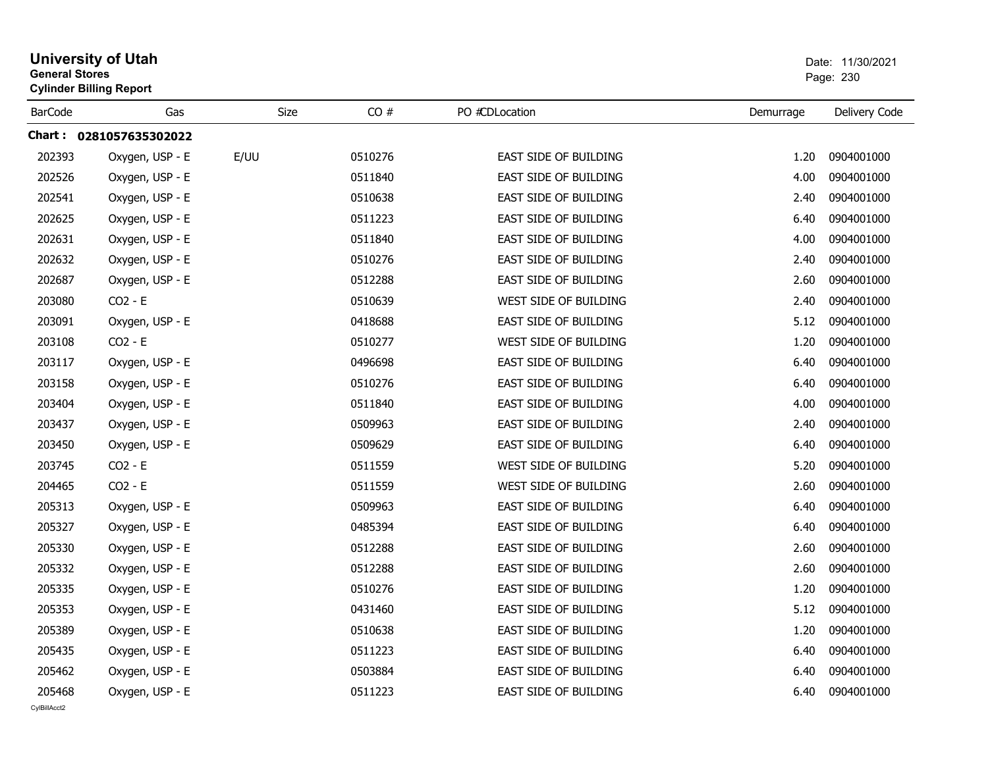| <b>University of Utah</b><br><b>General Stores</b><br><b>Cylinder Billing Report</b> |                         |      |         |                              |           | Date: 11/30/2021<br>Page: 230 |
|--------------------------------------------------------------------------------------|-------------------------|------|---------|------------------------------|-----------|-------------------------------|
| <b>BarCode</b>                                                                       | Gas                     | Size | CO#     | PO #CDLocation               | Demurrage | Delivery Code                 |
|                                                                                      | Chart: 0281057635302022 |      |         |                              |           |                               |
| 202393                                                                               | Oxygen, USP - E         | E/UU | 0510276 | <b>EAST SIDE OF BUILDING</b> | 1.20      | 0904001000                    |
| 202526                                                                               | Oxygen, USP - E         |      | 0511840 | EAST SIDE OF BUILDING        | 4.00      | 0904001000                    |
| 202541                                                                               | Oxygen, USP - E         |      | 0510638 | EAST SIDE OF BUILDING        | 2.40      | 0904001000                    |
| 202625                                                                               | Oxygen, USP - E         |      | 0511223 | EAST SIDE OF BUILDING        | 6.40      | 0904001000                    |
| 202631                                                                               | Oxygen, USP - E         |      | 0511840 | <b>EAST SIDE OF BUILDING</b> | 4.00      | 0904001000                    |
| 202632                                                                               | Oxygen, USP - E         |      | 0510276 | EAST SIDE OF BUILDING        | 2.40      | 0904001000                    |
| 202687                                                                               | Oxygen, USP - E         |      | 0512288 | EAST SIDE OF BUILDING        | 2.60      | 0904001000                    |
| 203080                                                                               | $CO2 - E$               |      | 0510639 | WEST SIDE OF BUILDING        | 2.40      | 0904001000                    |
| 203091                                                                               | Oxygen, USP - E         |      | 0418688 | <b>EAST SIDE OF BUILDING</b> | 5.12      | 0904001000                    |
| 203108                                                                               | $CO2 - E$               |      | 0510277 | WEST SIDE OF BUILDING        | 1.20      | 0904001000                    |
| 203117                                                                               | Oxygen, USP - E         |      | 0496698 | <b>EAST SIDE OF BUILDING</b> | 6.40      | 0904001000                    |
| 203158                                                                               | Oxygen, USP - E         |      | 0510276 | <b>EAST SIDE OF BUILDING</b> | 6.40      | 0904001000                    |
| 203404                                                                               | Oxygen, USP - E         |      | 0511840 | <b>EAST SIDE OF BUILDING</b> | 4.00      | 0904001000                    |
| 203437                                                                               | Oxygen, USP - E         |      | 0509963 | <b>EAST SIDE OF BUILDING</b> | 2.40      | 0904001000                    |
| 203450                                                                               | Oxygen, USP - E         |      | 0509629 | <b>EAST SIDE OF BUILDING</b> | 6.40      | 0904001000                    |
| 203745                                                                               | $CO2 - E$               |      | 0511559 | WEST SIDE OF BUILDING        | 5.20      | 0904001000                    |
| 204465                                                                               | $CO2 - E$               |      | 0511559 | WEST SIDE OF BUILDING        | 2.60      | 0904001000                    |
| 205313                                                                               | Oxygen, USP - E         |      | 0509963 | EAST SIDE OF BUILDING        | 6.40      | 0904001000                    |
| 205327                                                                               | Oxygen, USP - E         |      | 0485394 | EAST SIDE OF BUILDING        | 6.40      | 0904001000                    |
| 205330                                                                               | Oxygen, USP - E         |      | 0512288 | <b>EAST SIDE OF BUILDING</b> | 2.60      | 0904001000                    |
| 205332                                                                               | Oxygen, USP - E         |      | 0512288 | EAST SIDE OF BUILDING        | 2.60      | 0904001000                    |
| 205335                                                                               | Oxygen, USP - E         |      | 0510276 | <b>EAST SIDE OF BUILDING</b> | 1.20      | 0904001000                    |
| 205353                                                                               | Oxygen, USP - E         |      | 0431460 | EAST SIDE OF BUILDING        | 5.12      | 0904001000                    |
| 205389                                                                               | Oxygen, USP - E         |      | 0510638 | EAST SIDE OF BUILDING        | 1.20      | 0904001000                    |
| 205435                                                                               | Oxygen, USP - E         |      | 0511223 | EAST SIDE OF BUILDING        | 6.40      | 0904001000                    |
| 205462                                                                               | Oxygen, USP - E         |      | 0503884 | <b>EAST SIDE OF BUILDING</b> | 6.40      | 0904001000                    |
| 205468                                                                               | Oxygen, USP - E         |      | 0511223 | EAST SIDE OF BUILDING        | 6.40      | 0904001000                    |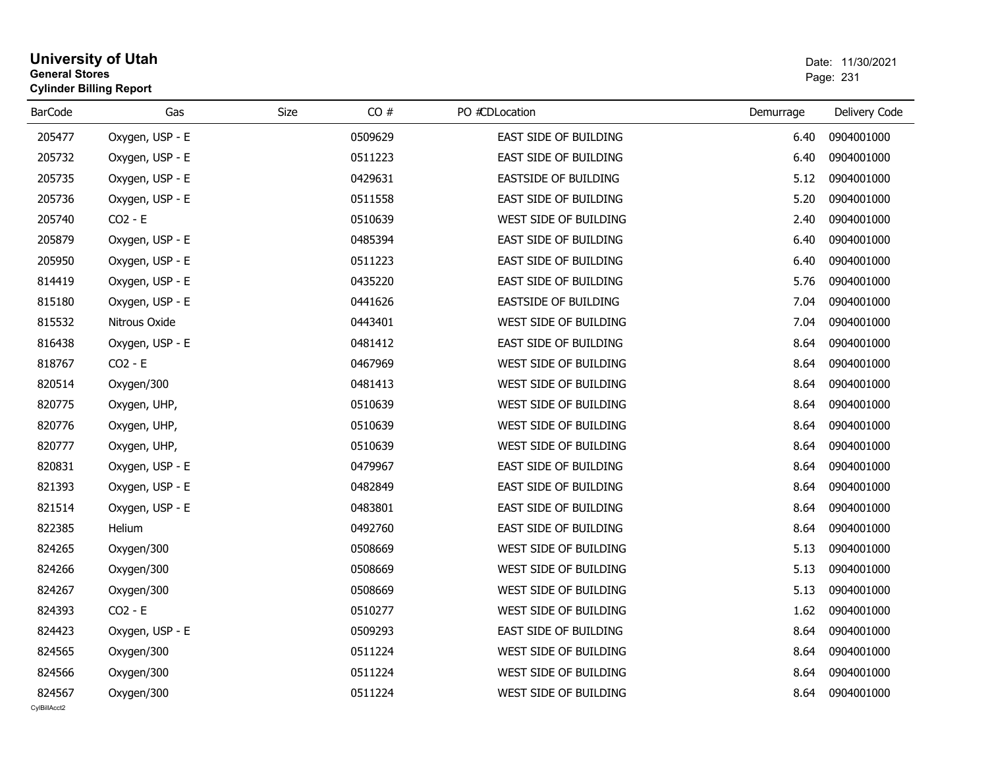## **University of Utah** Date: 11/30/2021 **General Stores**er van die 19de jaar van die 19de eeu n.C. Soos van die 19de eeu n.C. Soos van die 19de jaar 1231 v.C. 1231 v. **Cylinder Billing Report**

| <b>BarCode</b>         | Gas             | Size | CO#     | PO #CDLocation              | Demurrage | Delivery Code |
|------------------------|-----------------|------|---------|-----------------------------|-----------|---------------|
| 205477                 | Oxygen, USP - E |      | 0509629 | EAST SIDE OF BUILDING       | 6.40      | 0904001000    |
| 205732                 | Oxygen, USP - E |      | 0511223 | EAST SIDE OF BUILDING       | 6.40      | 0904001000    |
| 205735                 | Oxygen, USP - E |      | 0429631 | <b>EASTSIDE OF BUILDING</b> | 5.12      | 0904001000    |
| 205736                 | Oxygen, USP - E |      | 0511558 | EAST SIDE OF BUILDING       | 5.20      | 0904001000    |
| 205740                 | $CO2 - E$       |      | 0510639 | WEST SIDE OF BUILDING       | 2.40      | 0904001000    |
| 205879                 | Oxygen, USP - E |      | 0485394 | EAST SIDE OF BUILDING       | 6.40      | 0904001000    |
| 205950                 | Oxygen, USP - E |      | 0511223 | EAST SIDE OF BUILDING       | 6.40      | 0904001000    |
| 814419                 | Oxygen, USP - E |      | 0435220 | EAST SIDE OF BUILDING       | 5.76      | 0904001000    |
| 815180                 | Oxygen, USP - E |      | 0441626 | <b>EASTSIDE OF BUILDING</b> | 7.04      | 0904001000    |
| 815532                 | Nitrous Oxide   |      | 0443401 | WEST SIDE OF BUILDING       | 7.04      | 0904001000    |
| 816438                 | Oxygen, USP - E |      | 0481412 | EAST SIDE OF BUILDING       | 8.64      | 0904001000    |
| 818767                 | $CO2 - E$       |      | 0467969 | WEST SIDE OF BUILDING       | 8.64      | 0904001000    |
| 820514                 | Oxygen/300      |      | 0481413 | WEST SIDE OF BUILDING       | 8.64      | 0904001000    |
| 820775                 | Oxygen, UHP,    |      | 0510639 | WEST SIDE OF BUILDING       | 8.64      | 0904001000    |
| 820776                 | Oxygen, UHP,    |      | 0510639 | WEST SIDE OF BUILDING       | 8.64      | 0904001000    |
| 820777                 | Oxygen, UHP,    |      | 0510639 | WEST SIDE OF BUILDING       | 8.64      | 0904001000    |
| 820831                 | Oxygen, USP - E |      | 0479967 | EAST SIDE OF BUILDING       | 8.64      | 0904001000    |
| 821393                 | Oxygen, USP - E |      | 0482849 | EAST SIDE OF BUILDING       | 8.64      | 0904001000    |
| 821514                 | Oxygen, USP - E |      | 0483801 | EAST SIDE OF BUILDING       | 8.64      | 0904001000    |
| 822385                 | Helium          |      | 0492760 | EAST SIDE OF BUILDING       | 8.64      | 0904001000    |
| 824265                 | Oxygen/300      |      | 0508669 | WEST SIDE OF BUILDING       | 5.13      | 0904001000    |
| 824266                 | Oxygen/300      |      | 0508669 | WEST SIDE OF BUILDING       | 5.13      | 0904001000    |
| 824267                 | Oxygen/300      |      | 0508669 | WEST SIDE OF BUILDING       | 5.13      | 0904001000    |
| 824393                 | $CO2 - E$       |      | 0510277 | WEST SIDE OF BUILDING       | 1.62      | 0904001000    |
| 824423                 | Oxygen, USP - E |      | 0509293 | EAST SIDE OF BUILDING       | 8.64      | 0904001000    |
| 824565                 | Oxygen/300      |      | 0511224 | WEST SIDE OF BUILDING       | 8.64      | 0904001000    |
| 824566                 | Oxygen/300      |      | 0511224 | WEST SIDE OF BUILDING       | 8.64      | 0904001000    |
| 824567<br>CvIBillAcct2 | Oxygen/300      |      | 0511224 | WEST SIDE OF BUILDING       | 8.64      | 0904001000    |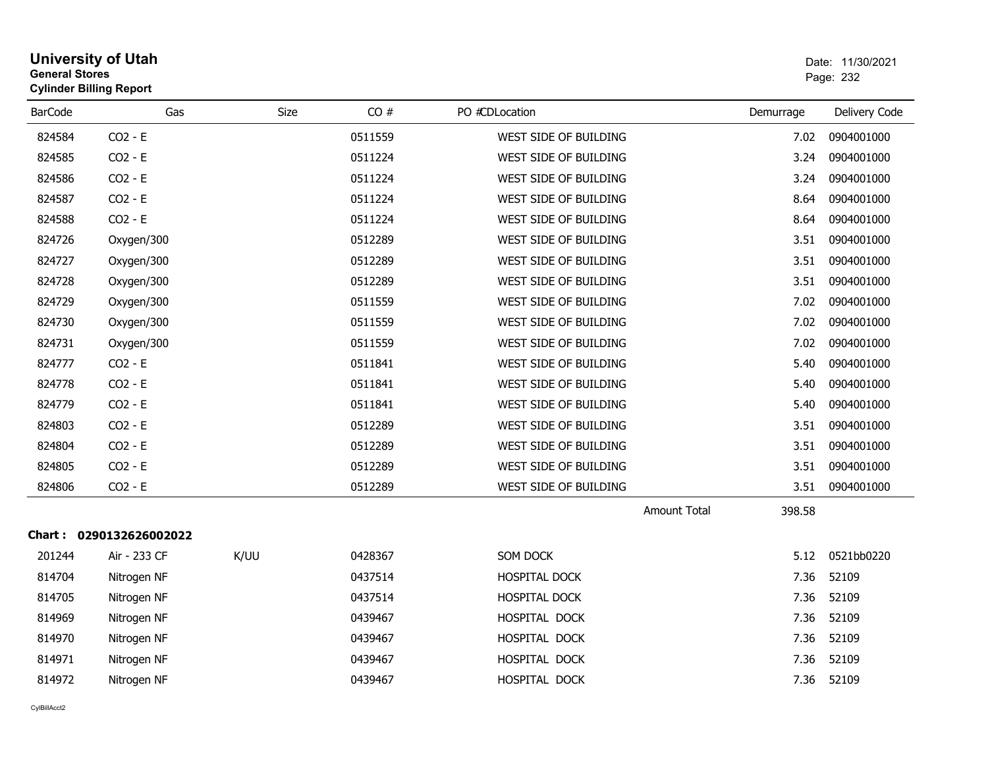| General Stores | <b>Cylinder Billing Report</b> |             |         |                       |                     |           | Page: 232     |
|----------------|--------------------------------|-------------|---------|-----------------------|---------------------|-----------|---------------|
| <b>BarCode</b> | Gas                            | <b>Size</b> | CO#     | PO #CDLocation        |                     | Demurrage | Delivery Code |
| 824584         | $CO2 - E$                      |             | 0511559 | WEST SIDE OF BUILDING |                     | 7.02      | 0904001000    |
| 824585         | $CO2 - E$                      |             | 0511224 | WEST SIDE OF BUILDING |                     | 3.24      | 0904001000    |
| 824586         | $CO2 - E$                      |             | 0511224 | WEST SIDE OF BUILDING |                     | 3.24      | 0904001000    |
| 824587         | $CO2 - E$                      |             | 0511224 | WEST SIDE OF BUILDING |                     | 8.64      | 0904001000    |
| 824588         | $CO2 - E$                      |             | 0511224 | WEST SIDE OF BUILDING |                     | 8.64      | 0904001000    |
| 824726         | Oxygen/300                     |             | 0512289 | WEST SIDE OF BUILDING |                     | 3.51      | 0904001000    |
| 824727         | Oxygen/300                     |             | 0512289 | WEST SIDE OF BUILDING |                     | 3.51      | 0904001000    |
| 824728         | Oxygen/300                     |             | 0512289 | WEST SIDE OF BUILDING |                     | 3.51      | 0904001000    |
| 824729         | Oxygen/300                     |             | 0511559 | WEST SIDE OF BUILDING |                     | 7.02      | 0904001000    |
| 824730         | Oxygen/300                     |             | 0511559 | WEST SIDE OF BUILDING |                     | 7.02      | 0904001000    |
| 824731         | Oxygen/300                     |             | 0511559 | WEST SIDE OF BUILDING |                     | 7.02      | 0904001000    |
| 824777         | $CO2 - E$                      |             | 0511841 | WEST SIDE OF BUILDING |                     | 5.40      | 0904001000    |
| 824778         | $CO2 - E$                      |             | 0511841 | WEST SIDE OF BUILDING |                     | 5.40      | 0904001000    |
| 824779         | $CO2 - E$                      |             | 0511841 | WEST SIDE OF BUILDING |                     | 5.40      | 0904001000    |
| 824803         | $CO2 - E$                      |             | 0512289 | WEST SIDE OF BUILDING |                     | 3.51      | 0904001000    |
| 824804         | $CO2 - E$                      |             | 0512289 | WEST SIDE OF BUILDING |                     | 3.51      | 0904001000    |
| 824805         | $CO2 - E$                      |             | 0512289 | WEST SIDE OF BUILDING |                     | 3.51      | 0904001000    |
| 824806         | $CO2 - E$                      |             | 0512289 | WEST SIDE OF BUILDING |                     | 3.51      | 0904001000    |
|                |                                |             |         |                       | <b>Amount Total</b> | 398.58    |               |
|                | Chart: 0290132626002022        |             |         |                       |                     |           |               |
| 201244         | Air - 233 CF                   | K/UU        | 0428367 | SOM DOCK              |                     | 5.12      | 0521bb0220    |
| 814704         | Nitrogen NF                    |             | 0437514 | HOSPITAL DOCK         |                     | 7.36      | 52109         |
| 814705         | Nitrogen NF                    |             | 0437514 | HOSPITAL DOCK         |                     | 7.36      | 52109         |
| 814969         | Nitrogen NF                    |             | 0439467 | HOSPITAL DOCK         |                     | 7.36      | 52109         |
| 814970         | Nitrogen NF                    |             | 0439467 | HOSPITAL DOCK         |                     | 7.36      | 52109         |
| 814971         | Nitrogen NF                    |             | 0439467 | HOSPITAL DOCK         |                     | 7.36      | 52109         |
| 814972         | Nitrogen NF                    |             | 0439467 | HOSPITAL DOCK         |                     | 7.36      | 52109         |

# **University of Utah** Date: 11/30/2021 **General Stores**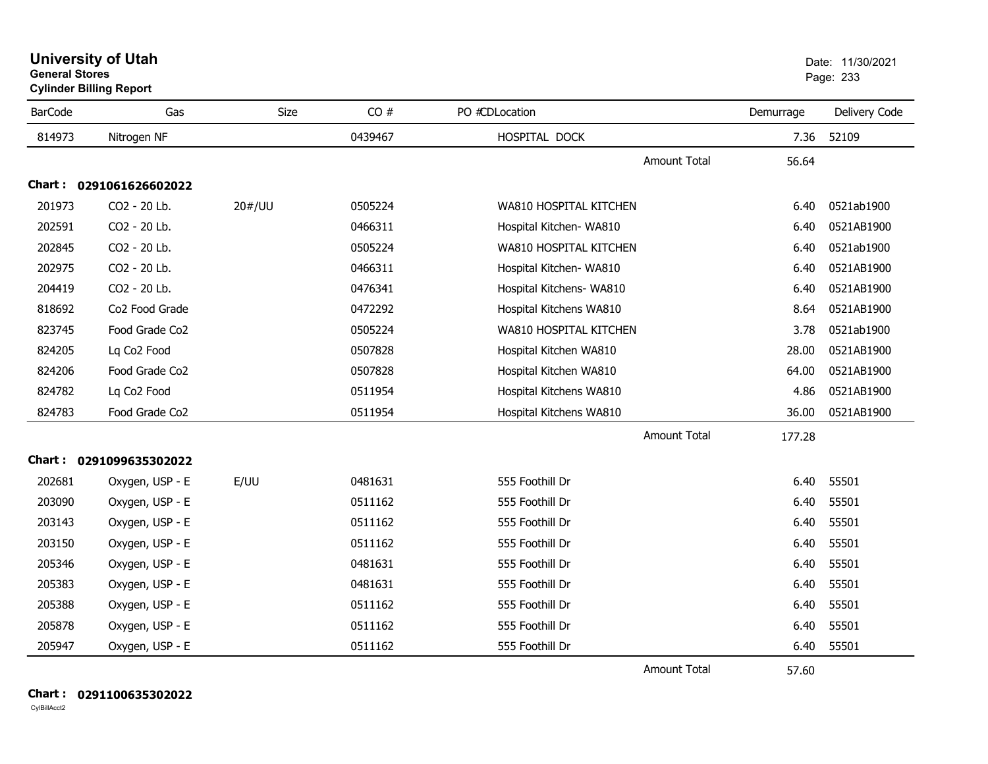**University of Utah** Date: 11/30/2021 **General Stores**

**Cylinder Billing Report**

| <b>BarCode</b> | Gas                     | <b>Size</b> | CO#     | PO #CDLocation           | Demurrage | Delivery Code |
|----------------|-------------------------|-------------|---------|--------------------------|-----------|---------------|
| 814973         | Nitrogen NF             |             | 0439467 | HOSPITAL DOCK            | 7.36      | 52109         |
|                |                         |             |         | Amount Total             | 56.64     |               |
|                | Chart: 0291061626602022 |             |         |                          |           |               |
| 201973         | CO2 - 20 Lb.            | 20#/UU      | 0505224 | WA810 HOSPITAL KITCHEN   | 6.40      | 0521ab1900    |
| 202591         | CO2 - 20 Lb.            |             | 0466311 | Hospital Kitchen- WA810  | 6.40      | 0521AB1900    |
| 202845         | CO2 - 20 Lb.            |             | 0505224 | WA810 HOSPITAL KITCHEN   | 6.40      | 0521ab1900    |
| 202975         | CO2 - 20 Lb.            |             | 0466311 | Hospital Kitchen- WA810  | 6.40      | 0521AB1900    |
| 204419         | CO2 - 20 Lb.            |             | 0476341 | Hospital Kitchens- WA810 | 6.40      | 0521AB1900    |
| 818692         | Co2 Food Grade          |             | 0472292 | Hospital Kitchens WA810  | 8.64      | 0521AB1900    |
| 823745         | Food Grade Co2          |             | 0505224 | WA810 HOSPITAL KITCHEN   | 3.78      | 0521ab1900    |
| 824205         | Lq Co <sub>2</sub> Food |             | 0507828 | Hospital Kitchen WA810   | 28.00     | 0521AB1900    |
| 824206         | Food Grade Co2          |             | 0507828 | Hospital Kitchen WA810   | 64.00     | 0521AB1900    |
| 824782         | Lq Co2 Food             |             | 0511954 | Hospital Kitchens WA810  | 4.86      | 0521AB1900    |
| 824783         | Food Grade Co2          |             | 0511954 | Hospital Kitchens WA810  | 36.00     | 0521AB1900    |
|                |                         |             |         | <b>Amount Total</b>      | 177.28    |               |
|                | Chart: 0291099635302022 |             |         |                          |           |               |
| 202681         | Oxygen, USP - E         | E/UU        | 0481631 | 555 Foothill Dr          | 6.40      | 55501         |
| 203090         | Oxygen, USP - E         |             | 0511162 | 555 Foothill Dr          | 6.40      | 55501         |
| 203143         | Oxygen, USP - E         |             | 0511162 | 555 Foothill Dr          | 6.40      | 55501         |
| 203150         | Oxygen, USP - E         |             | 0511162 | 555 Foothill Dr          | 6.40      | 55501         |
| 205346         | Oxygen, USP - E         |             | 0481631 | 555 Foothill Dr          | 6.40      | 55501         |
| 205383         | Oxygen, USP - E         |             | 0481631 | 555 Foothill Dr          | 6.40      | 55501         |
| 205388         | Oxygen, USP - E         |             | 0511162 | 555 Foothill Dr          | 6.40      | 55501         |
| 205878         | Oxygen, USP - E         |             | 0511162 | 555 Foothill Dr          | 6.40      | 55501         |
| 205947         | Oxygen, USP - E         |             | 0511162 | 555 Foothill Dr          | 6.40      | 55501         |
|                |                         |             |         | <b>Amount Total</b>      | 57.60     |               |

**Chart : 0291100635302022**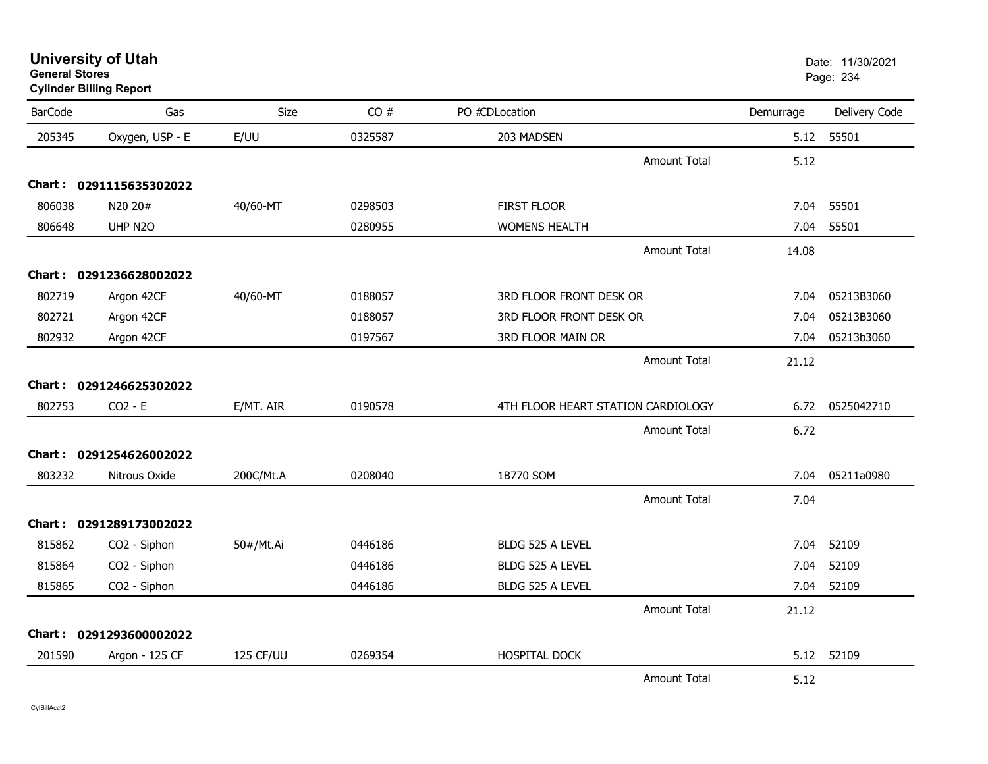**University of Utah** Date: 11/30/2021 **General Stores**

## **Cylinder Billing Report**

| <b>BarCode</b> | Gas                     | Size      | CO#     | PO #CDLocation                     | Demurrage | Delivery Code |
|----------------|-------------------------|-----------|---------|------------------------------------|-----------|---------------|
| 205345         | Oxygen, USP - E         | E/UU      | 0325587 | 203 MADSEN                         | 5.12      | 55501         |
|                |                         |           |         | <b>Amount Total</b>                | 5.12      |               |
|                | Chart: 0291115635302022 |           |         |                                    |           |               |
| 806038         | N20 20#                 | 40/60-MT  | 0298503 | <b>FIRST FLOOR</b>                 | 7.04      | 55501         |
| 806648         | UHP N2O                 |           | 0280955 | <b>WOMENS HEALTH</b>               | 7.04      | 55501         |
|                |                         |           |         | Amount Total                       | 14.08     |               |
|                | Chart: 0291236628002022 |           |         |                                    |           |               |
| 802719         | Argon 42CF              | 40/60-MT  | 0188057 | 3RD FLOOR FRONT DESK OR            | 7.04      | 05213B3060    |
| 802721         | Argon 42CF              |           | 0188057 | 3RD FLOOR FRONT DESK OR            | 7.04      | 05213B3060    |
| 802932         | Argon 42CF              |           | 0197567 | 3RD FLOOR MAIN OR                  | 7.04      | 05213b3060    |
|                |                         |           |         | Amount Total                       | 21.12     |               |
|                | Chart: 0291246625302022 |           |         |                                    |           |               |
| 802753         | $CO2 - E$               | E/MT. AIR | 0190578 | 4TH FLOOR HEART STATION CARDIOLOGY | 6.72      | 0525042710    |
|                |                         |           |         | <b>Amount Total</b>                | 6.72      |               |
|                | Chart: 0291254626002022 |           |         |                                    |           |               |
| 803232         | Nitrous Oxide           | 200C/Mt.A | 0208040 | 1B770 SOM                          | 7.04      | 05211a0980    |
|                |                         |           |         | Amount Total                       | 7.04      |               |
|                | Chart: 0291289173002022 |           |         |                                    |           |               |
| 815862         | CO2 - Siphon            | 50#/Mt.Ai | 0446186 | BLDG 525 A LEVEL                   | 7.04      | 52109         |
| 815864         | CO2 - Siphon            |           | 0446186 | BLDG 525 A LEVEL                   | 7.04      | 52109         |
| 815865         | CO2 - Siphon            |           | 0446186 | BLDG 525 A LEVEL                   | 7.04      | 52109         |
|                |                         |           |         | Amount Total                       | 21.12     |               |
|                | Chart: 0291293600002022 |           |         |                                    |           |               |
| 201590         | Argon - 125 CF          | 125 CF/UU | 0269354 | HOSPITAL DOCK                      |           | 5.12 52109    |
|                |                         |           |         | <b>Amount Total</b>                | 5.12      |               |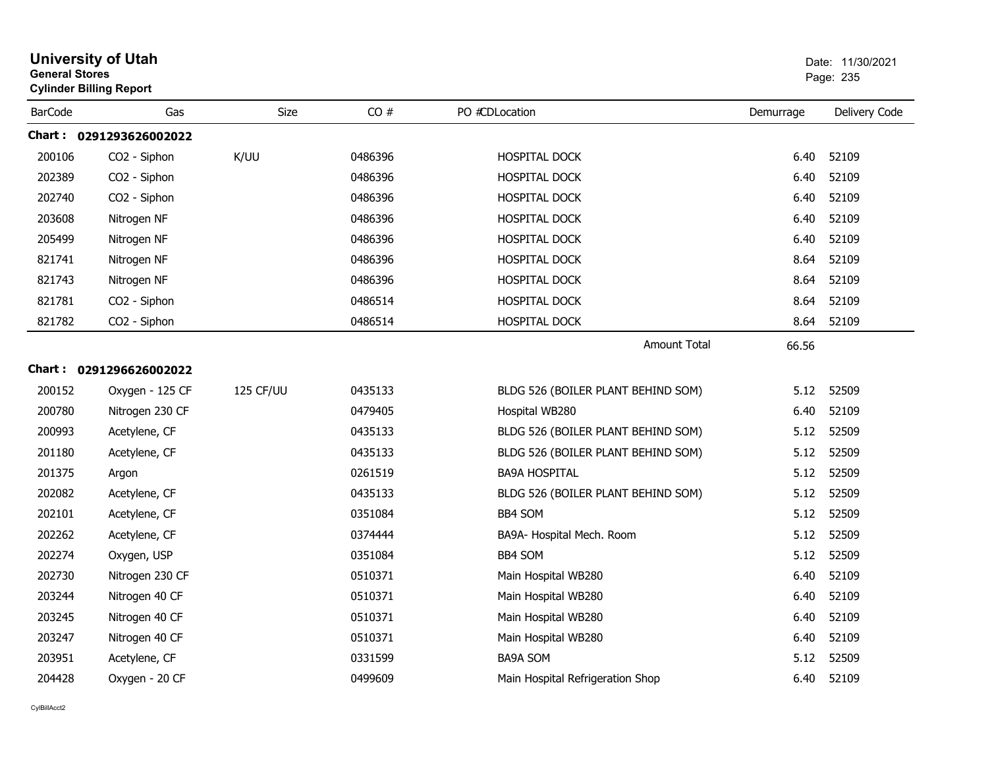| <b>General Stores</b> | <b>University of Utah</b><br><b>Cylinder Billing Report</b> |           |         |                                    |           | Date: 11/30/2021<br>Page: 235 |
|-----------------------|-------------------------------------------------------------|-----------|---------|------------------------------------|-----------|-------------------------------|
| <b>BarCode</b>        | Gas                                                         | Size      | CO#     | PO #CDLocation                     | Demurrage | Delivery Code                 |
|                       | Chart: 0291293626002022                                     |           |         |                                    |           |                               |
| 200106                | CO2 - Siphon                                                | K/UU      | 0486396 | <b>HOSPITAL DOCK</b>               | 6.40      | 52109                         |
| 202389                | CO2 - Siphon                                                |           | 0486396 | HOSPITAL DOCK                      | 6.40      | 52109                         |
| 202740                | CO2 - Siphon                                                |           | 0486396 | HOSPITAL DOCK                      | 6.40      | 52109                         |
| 203608                | Nitrogen NF                                                 |           | 0486396 | <b>HOSPITAL DOCK</b>               | 6.40      | 52109                         |
| 205499                | Nitrogen NF                                                 |           | 0486396 | HOSPITAL DOCK                      | 6.40      | 52109                         |
| 821741                | Nitrogen NF                                                 |           | 0486396 | HOSPITAL DOCK                      | 8.64      | 52109                         |
| 821743                | Nitrogen NF                                                 |           | 0486396 | <b>HOSPITAL DOCK</b>               | 8.64      | 52109                         |
| 821781                | CO2 - Siphon                                                |           | 0486514 | HOSPITAL DOCK                      | 8.64      | 52109                         |
| 821782                | CO2 - Siphon                                                |           | 0486514 | HOSPITAL DOCK                      | 8.64      | 52109                         |
|                       |                                                             |           |         | Amount Total                       | 66.56     |                               |
|                       | Chart: 0291296626002022                                     |           |         |                                    |           |                               |
| 200152                | Oxygen - 125 CF                                             | 125 CF/UU | 0435133 | BLDG 526 (BOILER PLANT BEHIND SOM) | 5.12      | 52509                         |
| 200780                | Nitrogen 230 CF                                             |           | 0479405 | Hospital WB280                     | 6.40      | 52109                         |
| 200993                | Acetylene, CF                                               |           | 0435133 | BLDG 526 (BOILER PLANT BEHIND SOM) | 5.12      | 52509                         |
| 201180                | Acetylene, CF                                               |           | 0435133 | BLDG 526 (BOILER PLANT BEHIND SOM) | 5.12      | 52509                         |
| 201375                | Argon                                                       |           | 0261519 | <b>BA9A HOSPITAL</b>               |           | 5.12 52509                    |
| 202082                | Acetylene, CF                                               |           | 0435133 | BLDG 526 (BOILER PLANT BEHIND SOM) | 5.12      | 52509                         |
| 202101                | Acetylene, CF                                               |           | 0351084 | BB4 SOM                            | 5.12      | 52509                         |
| 202262                | Acetylene, CF                                               |           | 0374444 | BA9A- Hospital Mech. Room          | 5.12      | 52509                         |
| 202274                | Oxygen, USP                                                 |           | 0351084 | <b>BB4 SOM</b>                     | 5.12      | 52509                         |
| 202730                | Nitrogen 230 CF                                             |           | 0510371 | Main Hospital WB280                | 6.40      | 52109                         |
| 203244                | Nitrogen 40 CF                                              |           | 0510371 | Main Hospital WB280                | 6.40      | 52109                         |
| 203245                | Nitrogen 40 CF                                              |           | 0510371 | Main Hospital WB280                | 6.40      | 52109                         |
| 203247                | Nitrogen 40 CF                                              |           | 0510371 | Main Hospital WB280                | 6.40      | 52109                         |
| 203951                | Acetylene, CF                                               |           | 0331599 | <b>BA9A SOM</b>                    | 5.12      | 52509                         |
| 204428                | Oxygen - 20 CF                                              |           | 0499609 | Main Hospital Refrigeration Shop   | 6.40      | 52109                         |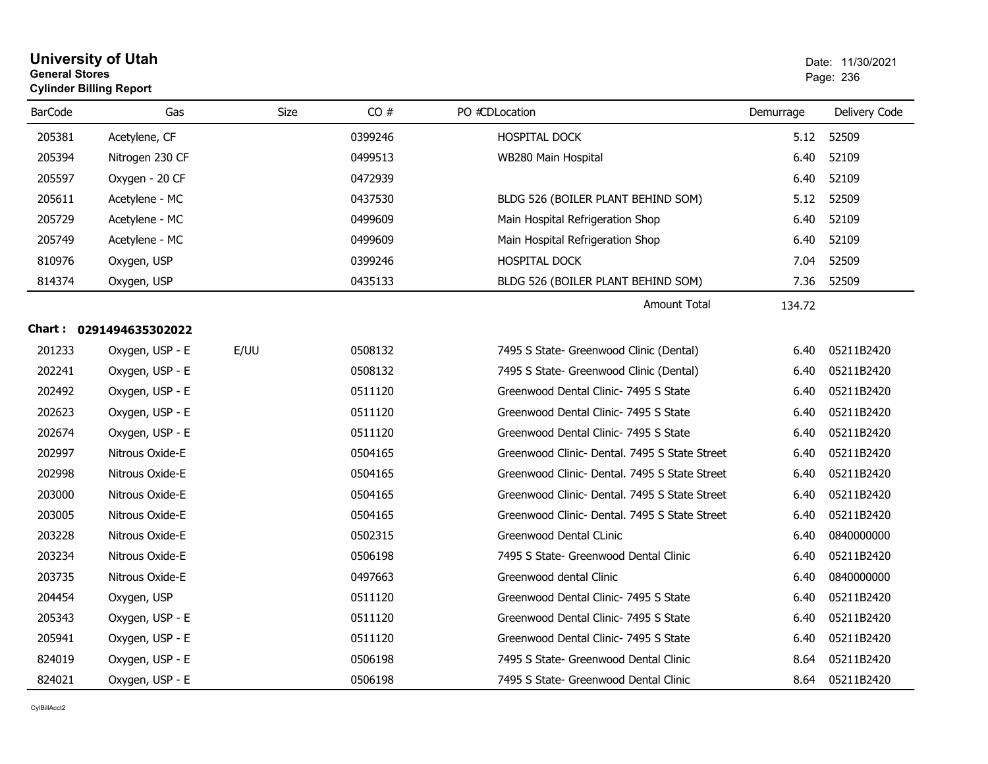## **University of Utah** Date: 11/30/2021 **General Stores**entry of the contract of the contract of the contract of the contract of the contract of the contract of the contract of the contract of the contract of the contract of the contract of the contract of the contract of the c **Cylinder Billing Report**

| <b>BarCode</b> | Gas                     | Size | CO#     | PO #CDLocation                                | Demurrage | Delivery Code |
|----------------|-------------------------|------|---------|-----------------------------------------------|-----------|---------------|
| 205381         | Acetylene, CF           |      | 0399246 | HOSPITAL DOCK                                 | 5.12      | 52509         |
| 205394         | Nitrogen 230 CF         |      | 0499513 | WB280 Main Hospital                           | 6.40      | 52109         |
| 205597         | Oxygen - 20 CF          |      | 0472939 |                                               | 6.40      | 52109         |
| 205611         | Acetylene - MC          |      | 0437530 | BLDG 526 (BOILER PLANT BEHIND SOM)            | 5.12      | 52509         |
| 205729         | Acetylene - MC          |      | 0499609 | Main Hospital Refrigeration Shop              | 6.40      | 52109         |
| 205749         | Acetylene - MC          |      | 0499609 | Main Hospital Refrigeration Shop              | 6.40      | 52109         |
| 810976         | Oxygen, USP             |      | 0399246 | HOSPITAL DOCK                                 | 7.04      | 52509         |
| 814374         | Oxygen, USP             |      | 0435133 | BLDG 526 (BOILER PLANT BEHIND SOM)            | 7.36      | 52509         |
|                |                         |      |         | Amount Total                                  | 134.72    |               |
|                | Chart: 0291494635302022 |      |         |                                               |           |               |
| 201233         | Oxygen, USP - E         | E/UU | 0508132 | 7495 S State- Greenwood Clinic (Dental)       | 6.40      | 05211B2420    |
| 202241         | Oxygen, USP - E         |      | 0508132 | 7495 S State- Greenwood Clinic (Dental)       | 6.40      | 05211B2420    |
| 202492         | Oxygen, USP - E         |      | 0511120 | Greenwood Dental Clinic- 7495 S State         | 6.40      | 05211B2420    |
| 202623         | Oxygen, USP - E         |      | 0511120 | Greenwood Dental Clinic- 7495 S State         | 6.40      | 05211B2420    |
| 202674         | Oxygen, USP - E         |      | 0511120 | Greenwood Dental Clinic- 7495 S State         | 6.40      | 05211B2420    |
| 202997         | Nitrous Oxide-E         |      | 0504165 | Greenwood Clinic- Dental. 7495 S State Street | 6.40      | 05211B2420    |
| 202998         | Nitrous Oxide-E         |      | 0504165 | Greenwood Clinic- Dental. 7495 S State Street | 6.40      | 05211B2420    |
| 203000         | Nitrous Oxide-E         |      | 0504165 | Greenwood Clinic- Dental. 7495 S State Street | 6.40      | 05211B2420    |
| 203005         | Nitrous Oxide-E         |      | 0504165 | Greenwood Clinic- Dental. 7495 S State Street | 6.40      | 05211B2420    |
| 203228         | Nitrous Oxide-E         |      | 0502315 | Greenwood Dental CLinic                       | 6.40      | 0840000000    |
| 203234         | Nitrous Oxide-E         |      | 0506198 | 7495 S State- Greenwood Dental Clinic         | 6.40      | 05211B2420    |
| 203735         | Nitrous Oxide-E         |      | 0497663 | Greenwood dental Clinic                       | 6.40      | 0840000000    |
| 204454         | Oxygen, USP             |      | 0511120 | Greenwood Dental Clinic- 7495 S State         | 6.40      | 05211B2420    |
| 205343         | Oxygen, USP - E         |      | 0511120 | Greenwood Dental Clinic- 7495 S State         | 6.40      | 05211B2420    |
| 205941         | Oxygen, USP - E         |      | 0511120 | Greenwood Dental Clinic- 7495 S State         | 6.40      | 05211B2420    |
| 824019         | Oxygen, USP - E         |      | 0506198 | 7495 S State- Greenwood Dental Clinic         | 8.64      | 05211B2420    |
| 824021         | Oxygen, USP - E         |      | 0506198 | 7495 S State- Greenwood Dental Clinic         | 8.64      | 05211B2420    |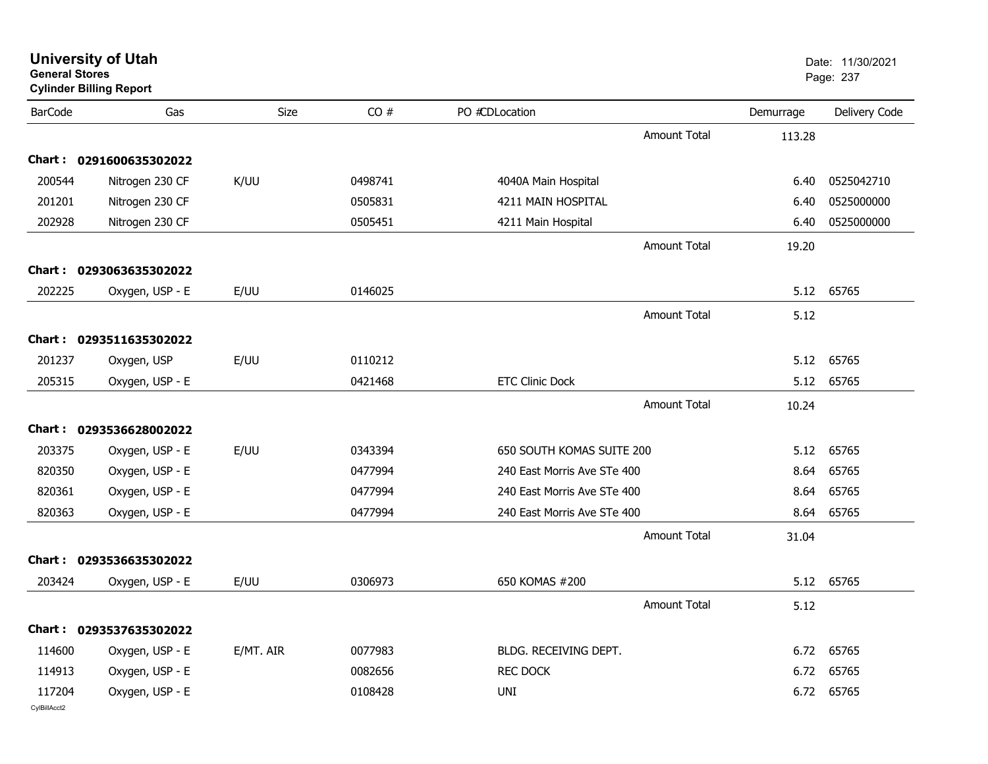| <b>General Stores</b>  | <b>University of Utah</b><br><b>Cylinder Billing Report</b> |           |         |                             |           | Date: 11/30/2021<br>Page: 237 |
|------------------------|-------------------------------------------------------------|-----------|---------|-----------------------------|-----------|-------------------------------|
| <b>BarCode</b>         | Gas                                                         | Size      | CO#     | PO #CDLocation              | Demurrage | Delivery Code                 |
|                        |                                                             |           |         | <b>Amount Total</b>         | 113.28    |                               |
|                        | Chart: 0291600635302022                                     |           |         |                             |           |                               |
| 200544                 | Nitrogen 230 CF                                             | K/UU      | 0498741 | 4040A Main Hospital         | 6.40      | 0525042710                    |
| 201201                 | Nitrogen 230 CF                                             |           | 0505831 | 4211 MAIN HOSPITAL          | 6.40      | 0525000000                    |
| 202928                 | Nitrogen 230 CF                                             |           | 0505451 | 4211 Main Hospital          | 6.40      | 0525000000                    |
|                        |                                                             |           |         | <b>Amount Total</b>         | 19.20     |                               |
|                        | Chart: 0293063635302022                                     |           |         |                             |           |                               |
| 202225                 | Oxygen, USP - E                                             | E/UU      | 0146025 |                             | 5.12      | 65765                         |
|                        |                                                             |           |         | <b>Amount Total</b>         | 5.12      |                               |
| Chart:                 | 0293511635302022                                            |           |         |                             |           |                               |
| 201237                 | Oxygen, USP                                                 | E/UU      | 0110212 |                             | 5.12      | 65765                         |
| 205315                 | Oxygen, USP - E                                             |           | 0421468 | <b>ETC Clinic Dock</b>      | 5.12      | 65765                         |
|                        |                                                             |           |         | <b>Amount Total</b>         | 10.24     |                               |
|                        | Chart: 0293536628002022                                     |           |         |                             |           |                               |
| 203375                 | Oxygen, USP - E                                             | E/UU      | 0343394 | 650 SOUTH KOMAS SUITE 200   | 5.12      | 65765                         |
| 820350                 | Oxygen, USP - E                                             |           | 0477994 | 240 East Morris Ave STe 400 | 8.64      | 65765                         |
| 820361                 | Oxygen, USP - E                                             |           | 0477994 | 240 East Morris Ave STe 400 | 8.64      | 65765                         |
| 820363                 | Oxygen, USP - E                                             |           | 0477994 | 240 East Morris Ave STe 400 | 8.64      | 65765                         |
|                        |                                                             |           |         | Amount Total                | 31.04     |                               |
| Chart :                | 0293536635302022                                            |           |         |                             |           |                               |
| 203424                 | Oxygen, USP - E                                             | E/UU      | 0306973 | 650 KOMAS #200              | 5.12      | 65765                         |
|                        |                                                             |           |         | Amount Total                | 5.12      |                               |
|                        | Chart: 0293537635302022                                     |           |         |                             |           |                               |
| 114600                 | Oxygen, USP - E                                             | E/MT. AIR | 0077983 | BLDG. RECEIVING DEPT.       |           | 6.72 65765                    |
| 114913                 | Oxygen, USP - E                                             |           | 0082656 | <b>REC DOCK</b>             | 6.72      | 65765                         |
| 117204<br>CylBillAcct2 | Oxygen, USP - E                                             |           | 0108428 | UNI                         |           | 6.72 65765                    |